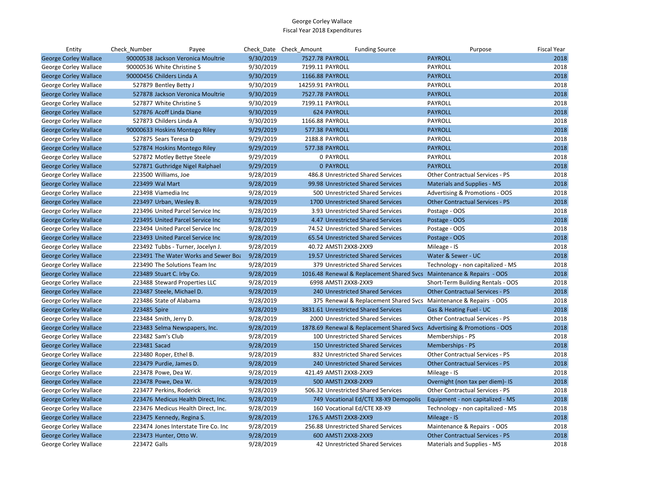| Entity                       | Check_Number    | Payee                                |           | Check Date Check Amount              | <b>Funding Source</b>                 | Purpose                                                                  | <b>Fiscal Year</b> |
|------------------------------|-----------------|--------------------------------------|-----------|--------------------------------------|---------------------------------------|--------------------------------------------------------------------------|--------------------|
| <b>George Corley Wallace</b> |                 | 90000538 Jackson Veronica Moultrie   | 9/30/2019 | 7527.78 PAYROLL                      |                                       | <b>PAYROLL</b>                                                           | 2018               |
| George Corley Wallace        |                 | 90000536 White Christine S           | 9/30/2019 | 7199.11 PAYROLL                      |                                       | PAYROLL                                                                  | 2018               |
| <b>George Corley Wallace</b> |                 | 90000456 Childers Linda A            | 9/30/2019 | 1166.88 PAYROLL                      |                                       | <b>PAYROLL</b>                                                           | 2018               |
| George Corley Wallace        |                 | 527879 Bentley Betty J               | 9/30/2019 | 14259.91 PAYROLL                     |                                       | PAYROLL                                                                  | 2018               |
| <b>George Corley Wallace</b> |                 | 527878 Jackson Veronica Moultrie     | 9/30/2019 | 7527.78 PAYROLL                      |                                       | <b>PAYROLL</b>                                                           | 2018               |
| George Corley Wallace        |                 | 527877 White Christine S             | 9/30/2019 | 7199.11 PAYROLL                      |                                       | PAYROLL                                                                  | 2018               |
| <b>George Corley Wallace</b> |                 | 527876 Acoff Linda Diane             | 9/30/2019 | <b>624 PAYROLL</b>                   |                                       | <b>PAYROLL</b>                                                           | 2018               |
| George Corley Wallace        |                 | 527873 Childers Linda A              | 9/30/2019 | 1166.88 PAYROLL                      |                                       | PAYROLL                                                                  | 2018               |
| <b>George Corley Wallace</b> |                 | 90000633 Hoskins Montego Riley       | 9/29/2019 | 577.38 PAYROLL                       |                                       | <b>PAYROLL</b>                                                           | 2018               |
| George Corley Wallace        |                 | 527875 Sears Teresa D                | 9/29/2019 | 2188.8 PAYROLL                       |                                       | PAYROLL                                                                  | 2018               |
| <b>George Corley Wallace</b> |                 | 527874 Hoskins Montego Riley         | 9/29/2019 | 577.38 PAYROLL                       |                                       | <b>PAYROLL</b>                                                           | 2018               |
| George Corley Wallace        |                 | 527872 Motley Bettye Steele          | 9/29/2019 | 0 PAYROLL                            |                                       | PAYROLL                                                                  | 2018               |
| <b>George Corley Wallace</b> |                 | 527871 Guthridge Nigel Ralphael      | 9/29/2019 | <b>0 PAYROLL</b>                     |                                       | <b>PAYROLL</b>                                                           | 2018               |
| George Corley Wallace        |                 | 223500 Williams, Joe                 | 9/28/2019 |                                      | 486.8 Unrestricted Shared Services    | Other Contractual Services - PS                                          | 2018               |
| <b>George Corley Wallace</b> | 223499 Wal Mart |                                      | 9/28/2019 |                                      | 99.98 Unrestricted Shared Services    | <b>Materials and Supplies - MS</b>                                       | 2018               |
| George Corley Wallace        |                 | 223498 Viamedia Inc                  | 9/28/2019 |                                      | 500 Unrestricted Shared Services      | Advertising & Promotions - OOS                                           | 2018               |
| <b>George Corley Wallace</b> |                 | 223497 Urban, Wesley B.              | 9/28/2019 |                                      | 1700 Unrestricted Shared Services     | <b>Other Contractual Services - PS</b>                                   | 2018               |
| George Corley Wallace        |                 | 223496 United Parcel Service Inc     | 9/28/2019 |                                      | 3.93 Unrestricted Shared Services     | Postage - OOS                                                            | 2018               |
| <b>George Corley Wallace</b> |                 | 223495 United Parcel Service Inc     | 9/28/2019 |                                      | 4.47 Unrestricted Shared Services     | Postage - OOS                                                            | 2018               |
| George Corley Wallace        |                 | 223494 United Parcel Service Inc     | 9/28/2019 |                                      | 74.52 Unrestricted Shared Services    | Postage - OOS                                                            | 2018               |
| <b>George Corley Wallace</b> |                 | 223493 United Parcel Service Inc     | 9/28/2019 |                                      | 65.54 Unrestricted Shared Services    | Postage - OOS                                                            | 2018               |
| George Corley Wallace        |                 | 223492 Tubbs - Turner, Jocelyn J.    | 9/28/2019 | 40.72 AMSTI 2XX8-2XX9                |                                       | Mileage - IS                                                             | 2018               |
| <b>George Corley Wallace</b> |                 | 223491 The Water Works and Sewer Boa | 9/28/2019 |                                      | 19.57 Unrestricted Shared Services    | Water & Sewer - UC                                                       | 2018               |
| George Corley Wallace        |                 | 223490 The Solutions Team Inc        | 9/28/2019 |                                      | 379 Unrestricted Shared Services      | Technology - non capitalized - MS                                        | 2018               |
| <b>George Corley Wallace</b> |                 | 223489 Stuart C. Irby Co.            | 9/28/2019 |                                      |                                       | 1016.48 Renewal & Replacement Shared Svcs Maintenance & Repairs - OOS    | 2018               |
| George Corley Wallace        |                 | 223488 Steward Properties LLC        | 9/28/2019 | 6998 AMSTI 2XX8-2XX9                 |                                       | Short-Term Building Rentals - OOS                                        | 2018               |
| <b>George Corley Wallace</b> |                 | 223487 Steele, Michael D.            | 9/28/2019 |                                      | 240 Unrestricted Shared Services      | <b>Other Contractual Services - PS</b>                                   | 2018               |
| George Corley Wallace        |                 | 223486 State of Alabama              | 9/28/2019 |                                      |                                       | 375 Renewal & Replacement Shared Svcs Maintenance & Repairs - OOS        | 2018               |
| <b>George Corley Wallace</b> | 223485 Spire    |                                      | 9/28/2019 | 3831.61 Unrestricted Shared Services |                                       | Gas & Heating Fuel - UC                                                  | 2018               |
| George Corley Wallace        |                 | 223484 Smith, Jerry D.               | 9/28/2019 |                                      | 2000 Unrestricted Shared Services     | Other Contractual Services - PS                                          | 2018               |
| <b>George Corley Wallace</b> |                 | 223483 Selma Newspapers, Inc.        | 9/28/2019 |                                      |                                       | 1878.69 Renewal & Replacement Shared Svcs Advertising & Promotions - OOS | 2018               |
| George Corley Wallace        |                 | 223482 Sam's Club                    | 9/28/2019 |                                      | 100 Unrestricted Shared Services      | Memberships - PS                                                         | 2018               |
| <b>George Corley Wallace</b> | 223481 Sacad    |                                      | 9/28/2019 |                                      | 150 Unrestricted Shared Services      | Memberships - PS                                                         | 2018               |
| George Corley Wallace        |                 | 223480 Roper, Ethel B.               | 9/28/2019 |                                      | 832 Unrestricted Shared Services      | <b>Other Contractual Services - PS</b>                                   | 2018               |
| <b>George Corley Wallace</b> |                 | 223479 Purdie, James D.              | 9/28/2019 |                                      | 240 Unrestricted Shared Services      | <b>Other Contractual Services - PS</b>                                   | 2018               |
| George Corley Wallace        |                 | 223478 Powe, Dea W.                  | 9/28/2019 | 421.49 AMSTI 2XX8-2XX9               |                                       | Mileage - IS                                                             | 2018               |
| <b>George Corley Wallace</b> |                 | 223478 Powe, Dea W.                  | 9/28/2019 | 500 AMSTI 2XX8-2XX9                  |                                       | Overnight (non tax per diem)- IS                                         | 2018               |
| George Corley Wallace        |                 | 223477 Perkins, Roderick             | 9/28/2019 |                                      | 506.32 Unrestricted Shared Services   | Other Contractual Services - PS                                          | 2018               |
| <b>George Corley Wallace</b> |                 | 223476 Medicus Health Direct, Inc.   | 9/28/2019 |                                      | 749 Vocational Ed/CTE X8-X9 Demopolis | Equipment - non capitalized - MS                                         | 2018               |
| George Corley Wallace        |                 | 223476 Medicus Health Direct, Inc.   | 9/28/2019 |                                      | 160 Vocational Ed/CTE X8-X9           | Technology - non capitalized - MS                                        | 2018               |
| <b>George Corley Wallace</b> |                 | 223475 Kennedy, Regina S.            | 9/28/2019 | 176.5 AMSTI 2XX8-2XX9                |                                       | Mileage - IS                                                             | 2018               |
| George Corley Wallace        |                 | 223474 Jones Interstate Tire Co. Inc | 9/28/2019 |                                      | 256.88 Unrestricted Shared Services   | Maintenance & Repairs - OOS                                              | 2018               |
| <b>George Corley Wallace</b> |                 | 223473 Hunter, Otto W.               | 9/28/2019 | 600 AMSTI 2XX8-2XX9                  |                                       | <b>Other Contractual Services - PS</b>                                   | 2018               |
| George Corley Wallace        | 223472 Galls    |                                      | 9/28/2019 |                                      | 42 Unrestricted Shared Services       | Materials and Supplies - MS                                              | 2018               |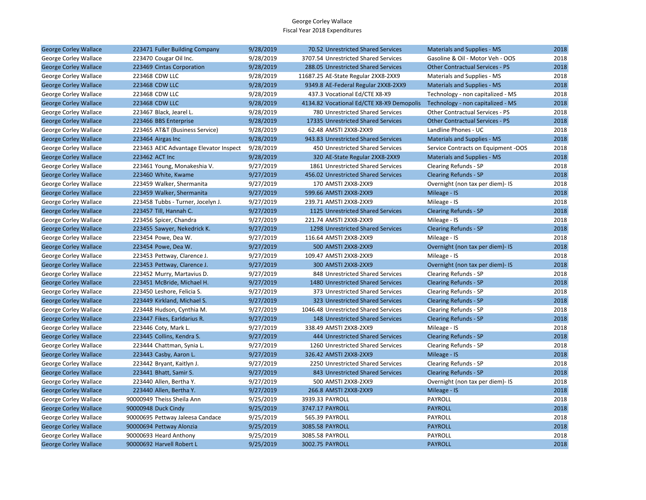| <b>George Corley Wallace</b> | 223471 Fuller Building Company         | 9/28/2019 | 70.52 Unrestricted Shared Services        | <b>Materials and Supplies - MS</b>     | 2018 |
|------------------------------|----------------------------------------|-----------|-------------------------------------------|----------------------------------------|------|
| George Corley Wallace        | 223470 Cougar Oil Inc.                 | 9/28/2019 | 3707.54 Unrestricted Shared Services      | Gasoline & Oil - Motor Veh - OOS       | 2018 |
| <b>George Corley Wallace</b> | 223469 Cintas Corporation              | 9/28/2019 | 288.05 Unrestricted Shared Services       | <b>Other Contractual Services - PS</b> | 2018 |
| George Corley Wallace        | 223468 CDW LLC                         | 9/28/2019 | 11687.25 AE-State Regular 2XX8-2XX9       | Materials and Supplies - MS            | 2018 |
| <b>George Corley Wallace</b> | 223468 CDW LLC                         | 9/28/2019 | 9349.8 AE-Federal Regular 2XX8-2XX9       | Materials and Supplies - MS            | 2018 |
| George Corley Wallace        | 223468 CDW LLC                         | 9/28/2019 | 437.3 Vocational Ed/CTE X8-X9             | Technology - non capitalized - MS      | 2018 |
| <b>George Corley Wallace</b> | 223468 CDW LLC                         | 9/28/2019 | 4134.82 Vocational Ed/CTE X8-X9 Demopolis | Technology - non capitalized - MS      | 2018 |
| George Corley Wallace        | 223467 Black, Jearel L.                | 9/28/2019 | 780 Unrestricted Shared Services          | <b>Other Contractual Services - PS</b> | 2018 |
| <b>George Corley Wallace</b> | 223466 BBS Enterprise                  | 9/28/2019 | 17335 Unrestricted Shared Services        | <b>Other Contractual Services - PS</b> | 2018 |
| George Corley Wallace        | 223465 AT&T (Business Service)         | 9/28/2019 | 62.48 AMSTI 2XX8-2XX9                     | Landline Phones - UC                   | 2018 |
| <b>George Corley Wallace</b> | 223464 Airgas Inc                      | 9/28/2019 | 943.83 Unrestricted Shared Services       | <b>Materials and Supplies - MS</b>     | 2018 |
| George Corley Wallace        | 223463 AEIC Advantage Elevator Inspect | 9/28/2019 | 450 Unrestricted Shared Services          | Service Contracts on Equipment -OOS    | 2018 |
| <b>George Corley Wallace</b> | 223462 ACT Inc                         | 9/28/2019 | 320 AE-State Regular 2XX8-2XX9            | <b>Materials and Supplies - MS</b>     | 2018 |
| George Corley Wallace        | 223461 Young, Monakeshia V.            | 9/27/2019 | 1861 Unrestricted Shared Services         | Clearing Refunds - SP                  | 2018 |
| <b>George Corley Wallace</b> | 223460 White, Kwame                    | 9/27/2019 | 456.02 Unrestricted Shared Services       | <b>Clearing Refunds - SP</b>           | 2018 |
| George Corley Wallace        | 223459 Walker, Shermanita              | 9/27/2019 | 170 AMSTI 2XX8-2XX9                       | Overnight (non tax per diem)- IS       | 2018 |
| <b>George Corley Wallace</b> | 223459 Walker, Shermanita              | 9/27/2019 | 599.66 AMSTI 2XX8-2XX9                    | Mileage - IS                           | 2018 |
| George Corley Wallace        | 223458 Tubbs - Turner, Jocelyn J.      | 9/27/2019 | 239.71 AMSTI 2XX8-2XX9                    | Mileage - IS                           | 2018 |
| <b>George Corley Wallace</b> | 223457 Till, Hannah C.                 | 9/27/2019 | 1125 Unrestricted Shared Services         | <b>Clearing Refunds - SP</b>           | 2018 |
| George Corley Wallace        | 223456 Spicer, Chandra                 | 9/27/2019 | 221.74 AMSTI 2XX8-2XX9                    | Mileage - IS                           | 2018 |
| <b>George Corley Wallace</b> | 223455 Sawyer, Nekedrick K.            | 9/27/2019 | 1298 Unrestricted Shared Services         | <b>Clearing Refunds - SP</b>           | 2018 |
| George Corley Wallace        | 223454 Powe, Dea W.                    | 9/27/2019 | 116.64 AMSTI 2XX8-2XX9                    | Mileage - IS                           | 2018 |
| <b>George Corley Wallace</b> | 223454 Powe, Dea W.                    | 9/27/2019 | 500 AMSTI 2XX8-2XX9                       | Overnight (non tax per diem)- IS       | 2018 |
| George Corley Wallace        | 223453 Pettway, Clarence J.            | 9/27/2019 | 109.47 AMSTI 2XX8-2XX9                    | Mileage - IS                           | 2018 |
| <b>George Corley Wallace</b> | 223453 Pettway, Clarence J.            | 9/27/2019 | 300 AMSTI 2XX8-2XX9                       | Overnight (non tax per diem)- IS       | 2018 |
| George Corley Wallace        | 223452 Murry, Martavius D.             | 9/27/2019 | 848 Unrestricted Shared Services          | Clearing Refunds - SP                  | 2018 |
| <b>George Corley Wallace</b> | 223451 McBride, Michael H.             | 9/27/2019 | 1480 Unrestricted Shared Services         | <b>Clearing Refunds - SP</b>           | 2018 |
| George Corley Wallace        | 223450 Leshore, Felicia S.             | 9/27/2019 | 373 Unrestricted Shared Services          | Clearing Refunds - SP                  | 2018 |
| <b>George Corley Wallace</b> | 223449 Kirkland, Michael S.            | 9/27/2019 | 323 Unrestricted Shared Services          | <b>Clearing Refunds - SP</b>           | 2018 |
| George Corley Wallace        | 223448 Hudson, Cynthia M.              | 9/27/2019 | 1046.48 Unrestricted Shared Services      | Clearing Refunds - SP                  | 2018 |
| <b>George Corley Wallace</b> | 223447 Fikes, Earldarius R.            | 9/27/2019 | 148 Unrestricted Shared Services          | <b>Clearing Refunds - SP</b>           | 2018 |
| George Corley Wallace        | 223446 Coty, Mark L.                   | 9/27/2019 | 338.49 AMSTI 2XX8-2XX9                    | Mileage - IS                           | 2018 |
| <b>George Corley Wallace</b> | 223445 Collins, Kendra S.              | 9/27/2019 | 444 Unrestricted Shared Services          | <b>Clearing Refunds - SP</b>           | 2018 |
| George Corley Wallace        | 223444 Chattman, Synia L.              | 9/27/2019 | 1260 Unrestricted Shared Services         | Clearing Refunds - SP                  | 2018 |
| <b>George Corley Wallace</b> | 223443 Casby, Aaron L.                 | 9/27/2019 | 326.42 AMSTI 2XX8-2XX9                    | Mileage - IS                           | 2018 |
| George Corley Wallace        | 223442 Bryant, Kaitlyn J.              | 9/27/2019 | 2250 Unrestricted Shared Services         | Clearing Refunds - SP                  | 2018 |
| <b>George Corley Wallace</b> | 223441 Bhatt, Samir S.                 | 9/27/2019 | 843 Unrestricted Shared Services          | <b>Clearing Refunds - SP</b>           | 2018 |
| George Corley Wallace        | 223440 Allen, Bertha Y.                | 9/27/2019 | 500 AMSTI 2XX8-2XX9                       | Overnight (non tax per diem)- IS       | 2018 |
| <b>George Corley Wallace</b> | 223440 Allen, Bertha Y.                | 9/27/2019 | 266.8 AMSTI 2XX8-2XX9                     | Mileage - IS                           | 2018 |
| George Corley Wallace        | 90000949 Theiss Sheila Ann             | 9/25/2019 | 3939.33 PAYROLL                           | PAYROLL                                | 2018 |
| <b>George Corley Wallace</b> | 90000948 Duck Cindy                    | 9/25/2019 | 3747.17 PAYROLL                           | <b>PAYROLL</b>                         | 2018 |
| George Corley Wallace        | 90000695 Pettway Jaleesa Candace       | 9/25/2019 | 565.39 PAYROLL                            | PAYROLL                                | 2018 |
| <b>George Corley Wallace</b> | 90000694 Pettway Alonzia               | 9/25/2019 | 3085.58 PAYROLL                           | <b>PAYROLL</b>                         | 2018 |
| George Corley Wallace        | 90000693 Heard Anthony                 | 9/25/2019 | 3085.58 PAYROLL                           | PAYROLL                                | 2018 |
| <b>George Corley Wallace</b> | 90000692 Harvell Robert L              | 9/25/2019 | 3002.75 PAYROLL                           | <b>PAYROLL</b>                         | 2018 |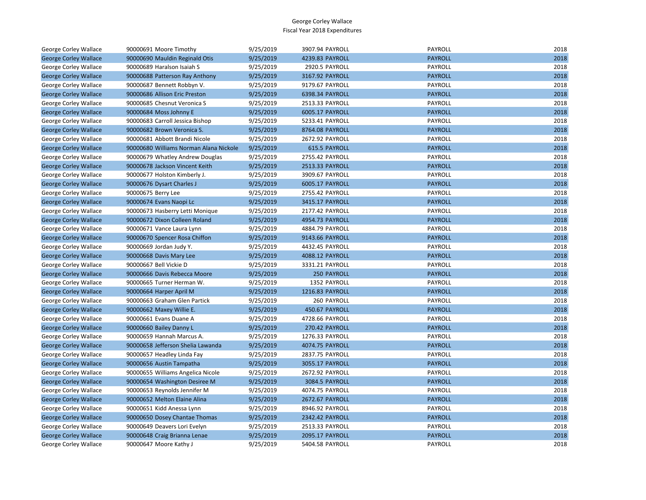| George Corley Wallace        | 90000691 Moore Timothy                 | 9/25/2019 | 3907.94 PAYROLL | <b>PAYROLL</b> | 2018 |
|------------------------------|----------------------------------------|-----------|-----------------|----------------|------|
| <b>George Corley Wallace</b> | 90000690 Mauldin Reginald Otis         | 9/25/2019 | 4239.83 PAYROLL | <b>PAYROLL</b> | 2018 |
| George Corley Wallace        | 90000689 Haralson Isaiah S             | 9/25/2019 | 2920.5 PAYROLL  | PAYROLL        | 2018 |
| <b>George Corley Wallace</b> | 90000688 Patterson Ray Anthony         | 9/25/2019 | 3167.92 PAYROLL | <b>PAYROLL</b> | 2018 |
| George Corley Wallace        | 90000687 Bennett Robbyn V.             | 9/25/2019 | 9179.67 PAYROLL | PAYROLL        | 2018 |
| <b>George Corley Wallace</b> | 90000686 Allison Eric Preston          | 9/25/2019 | 6398.34 PAYROLL | <b>PAYROLL</b> | 2018 |
| George Corley Wallace        | 90000685 Chesnut Veronica S            | 9/25/2019 | 2513.33 PAYROLL | PAYROLL        | 2018 |
| <b>George Corley Wallace</b> | 90000684 Moss Johnny E                 | 9/25/2019 | 6005.17 PAYROLL | <b>PAYROLL</b> | 2018 |
| George Corley Wallace        | 90000683 Carroll Jessica Bishop        | 9/25/2019 | 5233.41 PAYROLL | PAYROLL        | 2018 |
| <b>George Corley Wallace</b> | 90000682 Brown Veronica S.             | 9/25/2019 | 8764.08 PAYROLL | <b>PAYROLL</b> | 2018 |
| George Corley Wallace        | 90000681 Abbott Brandi Nicole          | 9/25/2019 | 2672.92 PAYROLL | <b>PAYROLL</b> | 2018 |
| <b>George Corley Wallace</b> | 90000680 Williams Norman Alana Nickole | 9/25/2019 | 615.5 PAYROLL   | <b>PAYROLL</b> | 2018 |
| George Corley Wallace        | 90000679 Whatley Andrew Douglas        | 9/25/2019 | 2755.42 PAYROLL | PAYROLL        | 2018 |
| <b>George Corley Wallace</b> | 90000678 Jackson Vincent Keith         | 9/25/2019 | 2513.33 PAYROLL | <b>PAYROLL</b> | 2018 |
| George Corley Wallace        | 90000677 Holston Kimberly J.           | 9/25/2019 | 3909.67 PAYROLL | PAYROLL        | 2018 |
| <b>George Corley Wallace</b> | 90000676 Dysart Charles J              | 9/25/2019 | 6005.17 PAYROLL | <b>PAYROLL</b> | 2018 |
| George Corley Wallace        | 90000675 Berry Lee                     | 9/25/2019 | 2755.42 PAYROLL | PAYROLL        | 2018 |
| <b>George Corley Wallace</b> | 90000674 Evans Naopi Lc                | 9/25/2019 | 3415.17 PAYROLL | <b>PAYROLL</b> | 2018 |
| George Corley Wallace        | 90000673 Hasberry Letti Monique        | 9/25/2019 | 2177.42 PAYROLL | PAYROLL        | 2018 |
| <b>George Corley Wallace</b> | 90000672 Dixon Colleen Roland          | 9/25/2019 | 4954.73 PAYROLL | <b>PAYROLL</b> | 2018 |
| George Corley Wallace        | 90000671 Vance Laura Lynn              | 9/25/2019 | 4884.79 PAYROLL | PAYROLL        | 2018 |
| <b>George Corley Wallace</b> | 90000670 Spencer Rosa Chiffon          | 9/25/2019 | 9143.66 PAYROLL | <b>PAYROLL</b> | 2018 |
| George Corley Wallace        | 90000669 Jordan Judy Y.                | 9/25/2019 | 4432.45 PAYROLL | PAYROLL        | 2018 |
| <b>George Corley Wallace</b> | 90000668 Davis Mary Lee                | 9/25/2019 | 4088.12 PAYROLL | <b>PAYROLL</b> | 2018 |
| George Corley Wallace        | 90000667 Bell Vickie D                 | 9/25/2019 | 3331.21 PAYROLL | PAYROLL        | 2018 |
| <b>George Corley Wallace</b> | 90000666 Davis Rebecca Moore           | 9/25/2019 | 250 PAYROLL     | <b>PAYROLL</b> | 2018 |
| George Corley Wallace        | 90000665 Turner Herman W.              | 9/25/2019 | 1352 PAYROLL    | PAYROLL        | 2018 |
| <b>George Corley Wallace</b> | 90000664 Harper April M                | 9/25/2019 | 1216.83 PAYROLL | <b>PAYROLL</b> | 2018 |
| George Corley Wallace        | 90000663 Graham Glen Partick           | 9/25/2019 | 260 PAYROLL     | PAYROLL        | 2018 |
| <b>George Corley Wallace</b> | 90000662 Maxey Willie E.               | 9/25/2019 | 450.67 PAYROLL  | <b>PAYROLL</b> | 2018 |
| George Corley Wallace        | 90000661 Evans Duane A                 | 9/25/2019 | 4728.66 PAYROLL | <b>PAYROLL</b> | 2018 |
| <b>George Corley Wallace</b> | 90000660 Bailey Danny L                | 9/25/2019 | 270.42 PAYROLL  | <b>PAYROLL</b> | 2018 |
| George Corley Wallace        | 90000659 Hannah Marcus A.              | 9/25/2019 | 1276.33 PAYROLL | PAYROLL        | 2018 |
| <b>George Corley Wallace</b> | 90000658 Jefferson Shelia Lawanda      | 9/25/2019 | 4074.75 PAYROLL | <b>PAYROLL</b> | 2018 |
| George Corley Wallace        | 90000657 Headley Linda Fay             | 9/25/2019 | 2837.75 PAYROLL | PAYROLL        | 2018 |
| <b>George Corley Wallace</b> | 90000656 Austin Tampatha               | 9/25/2019 | 3055.17 PAYROLL | <b>PAYROLL</b> | 2018 |
| George Corley Wallace        | 90000655 Williams Angelica Nicole      | 9/25/2019 | 2672.92 PAYROLL | PAYROLL        | 2018 |
| <b>George Corley Wallace</b> | 90000654 Washington Desiree M          | 9/25/2019 | 3084.5 PAYROLL  | <b>PAYROLL</b> | 2018 |
| George Corley Wallace        | 90000653 Reynolds Jennifer M           | 9/25/2019 | 4074.75 PAYROLL | PAYROLL        | 2018 |
| <b>George Corley Wallace</b> | 90000652 Melton Elaine Alina           | 9/25/2019 | 2672.67 PAYROLL | <b>PAYROLL</b> | 2018 |
| George Corley Wallace        | 90000651 Kidd Anessa Lynn              | 9/25/2019 | 8946.92 PAYROLL | PAYROLL        | 2018 |
| <b>George Corley Wallace</b> | 90000650 Dosey Chantae Thomas          | 9/25/2019 | 2342.42 PAYROLL | <b>PAYROLL</b> | 2018 |
| George Corley Wallace        | 90000649 Deavers Lori Evelyn           | 9/25/2019 | 2513.33 PAYROLL | PAYROLL        | 2018 |
| <b>George Corley Wallace</b> | 90000648 Craig Brianna Lenae           | 9/25/2019 | 2095.17 PAYROLL | <b>PAYROLL</b> | 2018 |
| <b>George Corley Wallace</b> | 90000647 Moore Kathy J                 | 9/25/2019 | 5404.58 PAYROLL | PAYROLL        | 2018 |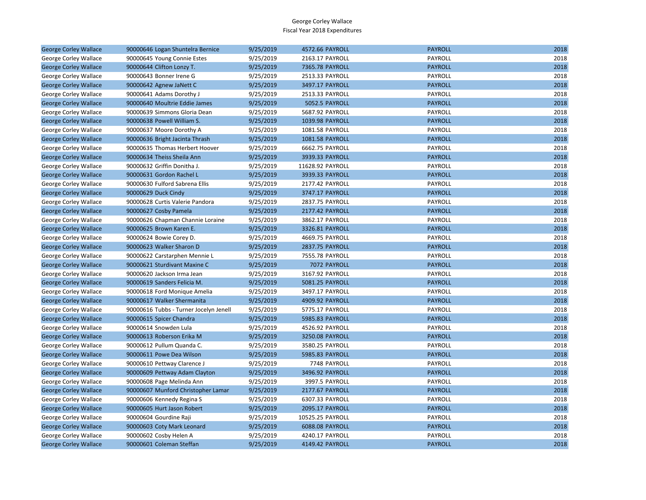| <b>George Corley Wallace</b> | 90000646 Logan Shuntelra Bernice       | 9/25/2019 | 4572.66 PAYROLL  | <b>PAYROLL</b> | 2018 |
|------------------------------|----------------------------------------|-----------|------------------|----------------|------|
| George Corley Wallace        | 90000645 Young Connie Estes            | 9/25/2019 | 2163.17 PAYROLL  | PAYROLL        | 2018 |
| <b>George Corley Wallace</b> | 90000644 Clifton Lonzy T.              | 9/25/2019 | 7365.78 PAYROLL  | <b>PAYROLL</b> | 2018 |
| George Corley Wallace        | 90000643 Bonner Irene G                | 9/25/2019 | 2513.33 PAYROLL  | PAYROLL        | 2018 |
| <b>George Corley Wallace</b> | 90000642 Agnew JaNett C                | 9/25/2019 | 3497.17 PAYROLL  | <b>PAYROLL</b> | 2018 |
| George Corley Wallace        | 90000641 Adams Dorothy J               | 9/25/2019 | 2513.33 PAYROLL  | PAYROLL        | 2018 |
| <b>George Corley Wallace</b> | 90000640 Moultrie Eddie James          | 9/25/2019 | 5052.5 PAYROLL   | <b>PAYROLL</b> | 2018 |
| George Corley Wallace        | 90000639 Simmons Gloria Dean           | 9/25/2019 | 5687.92 PAYROLL  | PAYROLL        | 2018 |
| <b>George Corley Wallace</b> | 90000638 Powell William S.             | 9/25/2019 | 1039.98 PAYROLL  | <b>PAYROLL</b> | 2018 |
| George Corley Wallace        | 90000637 Moore Dorothy A               | 9/25/2019 | 1081.58 PAYROLL  | PAYROLL        | 2018 |
| <b>George Corley Wallace</b> | 90000636 Bright Jacinta Thrash         | 9/25/2019 | 1081.58 PAYROLL  | <b>PAYROLL</b> | 2018 |
| George Corley Wallace        | 90000635 Thomas Herbert Hoover         | 9/25/2019 | 6662.75 PAYROLL  | PAYROLL        | 2018 |
| <b>George Corley Wallace</b> | 90000634 Theiss Sheila Ann             | 9/25/2019 | 3939.33 PAYROLL  | <b>PAYROLL</b> | 2018 |
| George Corley Wallace        | 90000632 Griffin Donitha J.            | 9/25/2019 | 11628.92 PAYROLL | PAYROLL        | 2018 |
| <b>George Corley Wallace</b> | 90000631 Gordon Rachel L               | 9/25/2019 | 3939.33 PAYROLL  | <b>PAYROLL</b> | 2018 |
| George Corley Wallace        | 90000630 Fulford Sabrena Ellis         | 9/25/2019 | 2177.42 PAYROLL  | PAYROLL        | 2018 |
| <b>George Corley Wallace</b> | 90000629 Duck Cindy                    | 9/25/2019 | 3747.17 PAYROLL  | <b>PAYROLL</b> | 2018 |
| George Corley Wallace        | 90000628 Curtis Valerie Pandora        | 9/25/2019 | 2837.75 PAYROLL  | PAYROLL        | 2018 |
| <b>George Corley Wallace</b> | 90000627 Cosby Pamela                  | 9/25/2019 | 2177.42 PAYROLL  | <b>PAYROLL</b> | 2018 |
| George Corley Wallace        | 90000626 Chapman Channie Loraine       | 9/25/2019 | 3862.17 PAYROLL  | PAYROLL        | 2018 |
| <b>George Corley Wallace</b> | 90000625 Brown Karen E.                | 9/25/2019 | 3326.81 PAYROLL  | <b>PAYROLL</b> | 2018 |
| George Corley Wallace        | 90000624 Bowie Corey D.                | 9/25/2019 | 4669.75 PAYROLL  | PAYROLL        | 2018 |
| <b>George Corley Wallace</b> | 90000623 Walker Sharon D               | 9/25/2019 | 2837.75 PAYROLL  | <b>PAYROLL</b> | 2018 |
| George Corley Wallace        | 90000622 Carstarphen Mennie L          | 9/25/2019 | 7555.78 PAYROLL  | PAYROLL        | 2018 |
| <b>George Corley Wallace</b> | 90000621 Sturdivant Maxine C           | 9/25/2019 | 7072 PAYROLL     | <b>PAYROLL</b> | 2018 |
| George Corley Wallace        | 90000620 Jackson Irma Jean             | 9/25/2019 | 3167.92 PAYROLL  | PAYROLL        | 2018 |
| <b>George Corley Wallace</b> | 90000619 Sanders Felicia M.            | 9/25/2019 | 5081.25 PAYROLL  | <b>PAYROLL</b> | 2018 |
| George Corley Wallace        | 90000618 Ford Monique Amelia           | 9/25/2019 | 3497.17 PAYROLL  | PAYROLL        | 2018 |
| <b>George Corley Wallace</b> | 90000617 Walker Shermanita             | 9/25/2019 | 4909.92 PAYROLL  | <b>PAYROLL</b> | 2018 |
| George Corley Wallace        | 90000616 Tubbs - Turner Jocelyn Jenell | 9/25/2019 | 5775.17 PAYROLL  | PAYROLL        | 2018 |
| <b>George Corley Wallace</b> | 90000615 Spicer Chandra                | 9/25/2019 | 5985.83 PAYROLL  | <b>PAYROLL</b> | 2018 |
| George Corley Wallace        | 90000614 Snowden Lula                  | 9/25/2019 | 4526.92 PAYROLL  | PAYROLL        | 2018 |
| <b>George Corley Wallace</b> | 90000613 Roberson Erika M              | 9/25/2019 | 3250.08 PAYROLL  | <b>PAYROLL</b> | 2018 |
| George Corley Wallace        | 90000612 Pullum Quanda C.              | 9/25/2019 | 3580.25 PAYROLL  | PAYROLL        | 2018 |
| <b>George Corley Wallace</b> | 90000611 Powe Dea Wilson               | 9/25/2019 | 5985.83 PAYROLL  | <b>PAYROLL</b> | 2018 |
| George Corley Wallace        | 90000610 Pettway Clarence J            | 9/25/2019 | 7748 PAYROLL     | PAYROLL        | 2018 |
| <b>George Corley Wallace</b> | 90000609 Pettway Adam Clayton          | 9/25/2019 | 3496.92 PAYROLL  | <b>PAYROLL</b> | 2018 |
| George Corley Wallace        | 90000608 Page Melinda Ann              | 9/25/2019 | 3997.5 PAYROLL   | PAYROLL        | 2018 |
| <b>George Corley Wallace</b> | 90000607 Munford Christopher Lamar     | 9/25/2019 | 2177.67 PAYROLL  | <b>PAYROLL</b> | 2018 |
| George Corley Wallace        | 90000606 Kennedy Regina S              | 9/25/2019 | 6307.33 PAYROLL  | PAYROLL        | 2018 |
| <b>George Corley Wallace</b> | 90000605 Hurt Jason Robert             | 9/25/2019 | 2095.17 PAYROLL  | <b>PAYROLL</b> | 2018 |
| George Corley Wallace        | 90000604 Gourdine Raji                 | 9/25/2019 | 10525.25 PAYROLL | PAYROLL        | 2018 |
| <b>George Corley Wallace</b> | 90000603 Coty Mark Leonard             | 9/25/2019 | 6088.08 PAYROLL  | <b>PAYROLL</b> | 2018 |
| George Corley Wallace        | 90000602 Cosby Helen A                 | 9/25/2019 | 4240.17 PAYROLL  | PAYROLL        | 2018 |
| <b>George Corley Wallace</b> | 90000601 Coleman Steffan               | 9/25/2019 | 4149.42 PAYROLL  | <b>PAYROLL</b> | 2018 |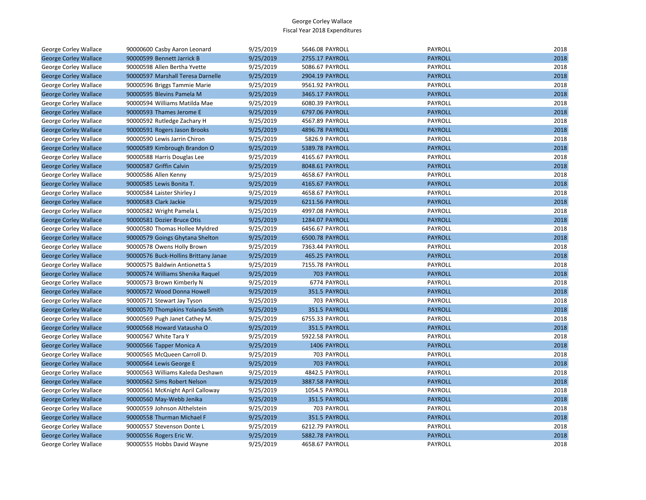| George Corley Wallace        | 90000600 Casby Aaron Leonard         | 9/25/2019 | 5646.08 PAYROLL | PAYROLL        | 2018 |
|------------------------------|--------------------------------------|-----------|-----------------|----------------|------|
| <b>George Corley Wallace</b> | 90000599 Bennett Jarrick B           | 9/25/2019 | 2755.17 PAYROLL | <b>PAYROLL</b> | 2018 |
| <b>George Corley Wallace</b> | 90000598 Allen Bertha Yvette         | 9/25/2019 | 5086.67 PAYROLL | <b>PAYROLL</b> | 2018 |
| <b>George Corley Wallace</b> | 90000597 Marshall Teresa Darnelle    | 9/25/2019 | 2904.19 PAYROLL | <b>PAYROLL</b> | 2018 |
| George Corley Wallace        | 90000596 Briggs Tammie Marie         | 9/25/2019 | 9561.92 PAYROLL | PAYROLL        | 2018 |
| <b>George Corley Wallace</b> | 90000595 Blevins Pamela M            | 9/25/2019 | 3465.17 PAYROLL | <b>PAYROLL</b> | 2018 |
| George Corley Wallace        | 90000594 Williams Matilda Mae        | 9/25/2019 | 6080.39 PAYROLL | PAYROLL        | 2018 |
| <b>George Corley Wallace</b> | 90000593 Thames Jerome E             | 9/25/2019 | 6797.06 PAYROLL | <b>PAYROLL</b> | 2018 |
| George Corley Wallace        | 90000592 Rutledge Zachary H          | 9/25/2019 | 4567.89 PAYROLL | PAYROLL        | 2018 |
| <b>George Corley Wallace</b> | 90000591 Rogers Jason Brooks         | 9/25/2019 | 4896.78 PAYROLL | <b>PAYROLL</b> | 2018 |
| George Corley Wallace        | 90000590 Lewis Jarrin Chiron         | 9/25/2019 | 5826.9 PAYROLL  | PAYROLL        | 2018 |
| <b>George Corley Wallace</b> | 90000589 Kimbrough Brandon O         | 9/25/2019 | 5389.78 PAYROLL | <b>PAYROLL</b> | 2018 |
| George Corley Wallace        | 90000588 Harris Douglas Lee          | 9/25/2019 | 4165.67 PAYROLL | PAYROLL        | 2018 |
| <b>George Corley Wallace</b> | 90000587 Griffin Calvin              | 9/25/2019 | 8048.61 PAYROLL | <b>PAYROLL</b> | 2018 |
| George Corley Wallace        | 90000586 Allen Kenny                 | 9/25/2019 | 4658.67 PAYROLL | PAYROLL        | 2018 |
| <b>George Corley Wallace</b> | 90000585 Lewis Bonita T.             | 9/25/2019 | 4165.67 PAYROLL | <b>PAYROLL</b> | 2018 |
| George Corley Wallace        | 90000584 Laister Shirley J           | 9/25/2019 | 4658.67 PAYROLL | PAYROLL        | 2018 |
| <b>George Corley Wallace</b> | 90000583 Clark Jackie                | 9/25/2019 | 6211.56 PAYROLL | <b>PAYROLL</b> | 2018 |
| George Corley Wallace        | 90000582 Wright Pamela L             | 9/25/2019 | 4997.08 PAYROLL | PAYROLL        | 2018 |
| <b>George Corley Wallace</b> | 90000581 Dozier Bruce Otis           | 9/25/2019 | 1284.07 PAYROLL | <b>PAYROLL</b> | 2018 |
| George Corley Wallace        | 90000580 Thomas Hollee Myldred       | 9/25/2019 | 6456.67 PAYROLL | PAYROLL        | 2018 |
| <b>George Corley Wallace</b> | 90000579 Goings Ghytana Shelton      | 9/25/2019 | 6500.78 PAYROLL | <b>PAYROLL</b> | 2018 |
| George Corley Wallace        | 90000578 Owens Holly Brown           | 9/25/2019 | 7363.44 PAYROLL | PAYROLL        | 2018 |
| <b>George Corley Wallace</b> | 90000576 Buck-Hollins Brittany Janae | 9/25/2019 | 465.25 PAYROLL  | <b>PAYROLL</b> | 2018 |
| George Corley Wallace        | 90000575 Baldwin Antionetta S        | 9/25/2019 | 7155.78 PAYROLL | <b>PAYROLL</b> | 2018 |
| <b>George Corley Wallace</b> | 90000574 Williams Shenika Raquel     | 9/25/2019 | 703 PAYROLL     | <b>PAYROLL</b> | 2018 |
| George Corley Wallace        | 90000573 Brown Kimberly N            | 9/25/2019 | 6774 PAYROLL    | PAYROLL        | 2018 |
| <b>George Corley Wallace</b> | 90000572 Wood Donna Howell           | 9/25/2019 | 351.5 PAYROLL   | <b>PAYROLL</b> | 2018 |
| George Corley Wallace        | 90000571 Stewart Jay Tyson           | 9/25/2019 | 703 PAYROLL     | PAYROLL        | 2018 |
| <b>George Corley Wallace</b> | 90000570 Thompkins Yolanda Smith     | 9/25/2019 | 351.5 PAYROLL   | <b>PAYROLL</b> | 2018 |
| George Corley Wallace        | 90000569 Pugh Janet Cathey M.        | 9/25/2019 | 6755.33 PAYROLL | PAYROLL        | 2018 |
| <b>George Corley Wallace</b> | 90000568 Howard Vatausha O           | 9/25/2019 | 351.5 PAYROLL   | <b>PAYROLL</b> | 2018 |
| George Corley Wallace        | 90000567 White Tara Y                | 9/25/2019 | 5922.58 PAYROLL | PAYROLL        | 2018 |
| <b>George Corley Wallace</b> | 90000566 Tapper Monica A             | 9/25/2019 | 1406 PAYROLL    | <b>PAYROLL</b> | 2018 |
| George Corley Wallace        | 90000565 McQueen Carroll D.          | 9/25/2019 | 703 PAYROLL     | PAYROLL        | 2018 |
| <b>George Corley Wallace</b> | 90000564 Lewis George E              | 9/25/2019 | 703 PAYROLL     | <b>PAYROLL</b> | 2018 |
| George Corley Wallace        | 90000563 Williams Kaleda Deshawn     | 9/25/2019 | 4842.5 PAYROLL  | PAYROLL        | 2018 |
| <b>George Corley Wallace</b> | 90000562 Sims Robert Nelson          | 9/25/2019 | 3887.58 PAYROLL | <b>PAYROLL</b> | 2018 |
| George Corley Wallace        | 90000561 McKnight April Calloway     | 9/25/2019 | 1054.5 PAYROLL  | PAYROLL        | 2018 |
| <b>George Corley Wallace</b> | 90000560 May-Webb Jenika             | 9/25/2019 | 351.5 PAYROLL   | <b>PAYROLL</b> | 2018 |
| George Corley Wallace        | 90000559 Johnson Althelstein         | 9/25/2019 | 703 PAYROLL     | PAYROLL        | 2018 |
| <b>George Corley Wallace</b> | 90000558 Thurman Michael F           | 9/25/2019 | 351.5 PAYROLL   | <b>PAYROLL</b> | 2018 |
| George Corley Wallace        | 90000557 Stevenson Donte L           | 9/25/2019 | 6212.79 PAYROLL | PAYROLL        | 2018 |
| <b>George Corley Wallace</b> | 90000556 Rogers Eric W.              | 9/25/2019 | 5882.78 PAYROLL | <b>PAYROLL</b> | 2018 |
| <b>George Corley Wallace</b> | 90000555 Hobbs David Wayne           | 9/25/2019 | 4658.67 PAYROLL | <b>PAYROLL</b> | 2018 |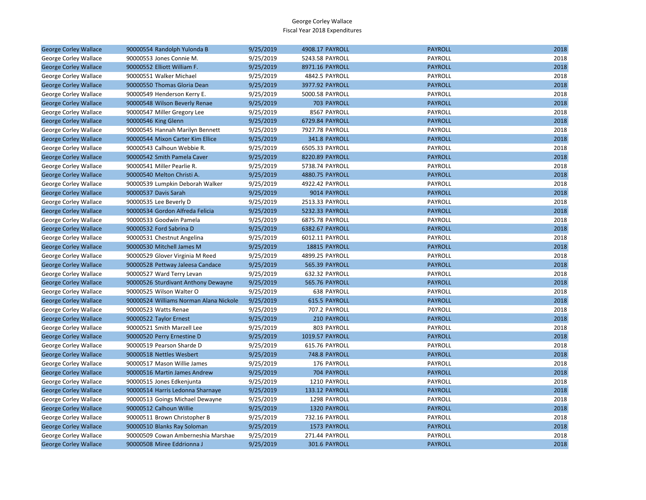| <b>George Corley Wallace</b> | 90000554 Randolph Yulonda B            | 9/25/2019 | 4908.17 PAYROLL       | <b>PAYROLL</b> | 2018 |
|------------------------------|----------------------------------------|-----------|-----------------------|----------------|------|
| George Corley Wallace        | 90000553 Jones Connie M.               | 9/25/2019 | 5243.58 PAYROLL       | PAYROLL        | 2018 |
| <b>George Corley Wallace</b> | 90000552 Elliott William F.            | 9/25/2019 | 8971.16 PAYROLL       | <b>PAYROLL</b> | 2018 |
| George Corley Wallace        | 90000551 Walker Michael                | 9/25/2019 | 4842.5 PAYROLL        | PAYROLL        | 2018 |
| <b>George Corley Wallace</b> | 90000550 Thomas Gloria Dean            | 9/25/2019 | 3977.92 PAYROLL       | <b>PAYROLL</b> | 2018 |
| George Corley Wallace        | 90000549 Henderson Kerry E.            | 9/25/2019 | 5000.58 PAYROLL       | PAYROLL        | 2018 |
| <b>George Corley Wallace</b> | 90000548 Wilson Beverly Renae          | 9/25/2019 | 703 PAYROLL           | <b>PAYROLL</b> | 2018 |
| George Corley Wallace        | 90000547 Miller Gregory Lee            | 9/25/2019 | 8567 PAYROLL          | PAYROLL        | 2018 |
| <b>George Corley Wallace</b> | 90000546 King Glenn                    | 9/25/2019 | 6729.84 PAYROLL       | <b>PAYROLL</b> | 2018 |
| George Corley Wallace        | 90000545 Hannah Marilyn Bennett        | 9/25/2019 | 7927.78 PAYROLL       | PAYROLL        | 2018 |
| <b>George Corley Wallace</b> | 90000544 Mixon Carter Kim Ellice       | 9/25/2019 | 341.8 PAYROLL         | <b>PAYROLL</b> | 2018 |
| George Corley Wallace        | 90000543 Calhoun Webbie R.             | 9/25/2019 | 6505.33 PAYROLL       | PAYROLL        | 2018 |
| <b>George Corley Wallace</b> | 90000542 Smith Pamela Caver            | 9/25/2019 | 8220.89 PAYROLL       | <b>PAYROLL</b> | 2018 |
| George Corley Wallace        | 90000541 Miller Pearlie R.             | 9/25/2019 | 5738.74 PAYROLL       | <b>PAYROLL</b> | 2018 |
| <b>George Corley Wallace</b> | 90000540 Melton Christi A.             | 9/25/2019 | 4880.75 PAYROLL       | <b>PAYROLL</b> | 2018 |
| George Corley Wallace        | 90000539 Lumpkin Deborah Walker        | 9/25/2019 | 4922.42 PAYROLL       | PAYROLL        | 2018 |
| <b>George Corley Wallace</b> | 90000537 Davis Sarah                   | 9/25/2019 | 9014 PAYROLL          | <b>PAYROLL</b> | 2018 |
| George Corley Wallace        | 90000535 Lee Beverly D                 | 9/25/2019 | 2513.33 PAYROLL       | PAYROLL        | 2018 |
| <b>George Corley Wallace</b> | 90000534 Gordon Alfreda Felicia        | 9/25/2019 | 5232.33 PAYROLL       | <b>PAYROLL</b> | 2018 |
| George Corley Wallace        | 90000533 Goodwin Pamela                | 9/25/2019 | 6875.78 PAYROLL       | PAYROLL        | 2018 |
| <b>George Corley Wallace</b> | 90000532 Ford Sabrina D                | 9/25/2019 | 6382.67 PAYROLL       | <b>PAYROLL</b> | 2018 |
| George Corley Wallace        | 90000531 Chestnut Angelina             | 9/25/2019 | 6012.11 PAYROLL       | PAYROLL        | 2018 |
| <b>George Corley Wallace</b> | 90000530 Mitchell James M              | 9/25/2019 | 18815 PAYROLL         | <b>PAYROLL</b> | 2018 |
| George Corley Wallace        | 90000529 Glover Virginia M Reed        | 9/25/2019 | 4899.25 PAYROLL       | PAYROLL        | 2018 |
| <b>George Corley Wallace</b> | 90000528 Pettway Jaleesa Candace       | 9/25/2019 | 565.39 PAYROLL        | <b>PAYROLL</b> | 2018 |
| George Corley Wallace        | 90000527 Ward Terry Levan              | 9/25/2019 | 632.32 PAYROLL        | PAYROLL        | 2018 |
| <b>George Corley Wallace</b> | 90000526 Sturdivant Anthony Dewayne    | 9/25/2019 | <b>565.76 PAYROLL</b> | <b>PAYROLL</b> | 2018 |
| George Corley Wallace        | 90000525 Wilson Walter O               | 9/25/2019 | <b>638 PAYROLL</b>    | PAYROLL        | 2018 |
| <b>George Corley Wallace</b> | 90000524 Williams Norman Alana Nickole | 9/25/2019 | 615.5 PAYROLL         | <b>PAYROLL</b> | 2018 |
| George Corley Wallace        | 90000523 Watts Renae                   | 9/25/2019 | 707.2 PAYROLL         | PAYROLL        | 2018 |
| <b>George Corley Wallace</b> | 90000522 Taylor Ernest                 | 9/25/2019 | 210 PAYROLL           | <b>PAYROLL</b> | 2018 |
| George Corley Wallace        | 90000521 Smith Marzell Lee             | 9/25/2019 | 803 PAYROLL           | PAYROLL        | 2018 |
| <b>George Corley Wallace</b> | 90000520 Perry Ernestine D             | 9/25/2019 | 1019.57 PAYROLL       | <b>PAYROLL</b> | 2018 |
| George Corley Wallace        | 90000519 Pearson Sharde D              | 9/25/2019 | 615.76 PAYROLL        | PAYROLL        | 2018 |
| <b>George Corley Wallace</b> | 90000518 Nettles Wesbert               | 9/25/2019 | 748.8 PAYROLL         | <b>PAYROLL</b> | 2018 |
| George Corley Wallace        | 90000517 Mason Willie James            | 9/25/2019 | 176 PAYROLL           | PAYROLL        | 2018 |
| <b>George Corley Wallace</b> | 90000516 Martin James Andrew           | 9/25/2019 | 704 PAYROLL           | <b>PAYROLL</b> | 2018 |
| George Corley Wallace        | 90000515 Jones Edkenjunta              | 9/25/2019 | 1210 PAYROLL          | PAYROLL        | 2018 |
| <b>George Corley Wallace</b> | 90000514 Harris Ledonna Sharnaye       | 9/25/2019 | 133.12 PAYROLL        | <b>PAYROLL</b> | 2018 |
| George Corley Wallace        | 90000513 Goings Michael Dewayne        | 9/25/2019 | 1298 PAYROLL          | PAYROLL        | 2018 |
| <b>George Corley Wallace</b> | 90000512 Calhoun Willie                | 9/25/2019 | 1320 PAYROLL          | <b>PAYROLL</b> | 2018 |
| George Corley Wallace        | 90000511 Brown Christopher B           | 9/25/2019 | 732.16 PAYROLL        | PAYROLL        | 2018 |
| <b>George Corley Wallace</b> | 90000510 Blanks Ray Soloman            | 9/25/2019 | 1573 PAYROLL          | <b>PAYROLL</b> | 2018 |
| George Corley Wallace        | 90000509 Cowan Amberneshia Marshae     | 9/25/2019 | 271.44 PAYROLL        | PAYROLL        | 2018 |
| <b>George Corley Wallace</b> | 90000508 Miree Eddrionna J             | 9/25/2019 | 301.6 PAYROLL         | <b>PAYROLL</b> | 2018 |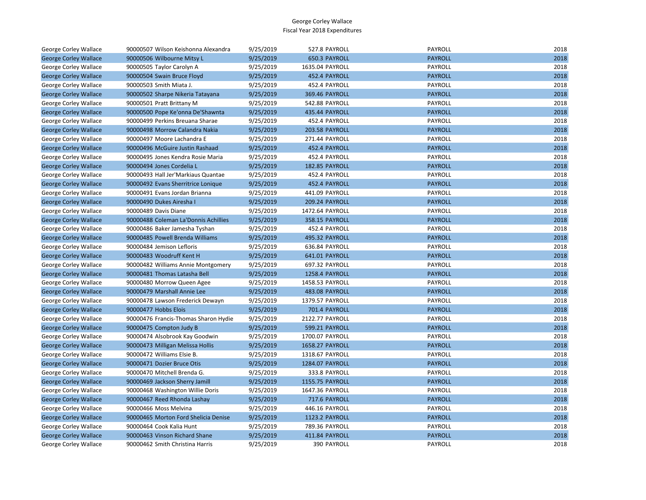| George Corley Wallace        | 90000507 Wilson Keishonna Alexandra  | 9/25/2019 | 527.8 PAYROLL         | PAYROLL        | 2018 |
|------------------------------|--------------------------------------|-----------|-----------------------|----------------|------|
| <b>George Corley Wallace</b> | 90000506 Wilbourne Mitsy L           | 9/25/2019 | 650.3 PAYROLL         | <b>PAYROLL</b> | 2018 |
| George Corley Wallace        | 90000505 Taylor Carolyn A            | 9/25/2019 | 1635.04 PAYROLL       | PAYROLL        | 2018 |
| <b>George Corley Wallace</b> | 90000504 Swain Bruce Floyd           | 9/25/2019 | 452.4 PAYROLL         | <b>PAYROLL</b> | 2018 |
| George Corley Wallace        | 90000503 Smith Miata J.              | 9/25/2019 | 452.4 PAYROLL         | PAYROLL        | 2018 |
| <b>George Corley Wallace</b> | 90000502 Sharpe Nikeria Tatayana     | 9/25/2019 | 369.46 PAYROLL        | <b>PAYROLL</b> | 2018 |
| George Corley Wallace        | 90000501 Pratt Brittany M            | 9/25/2019 | 542.88 PAYROLL        | PAYROLL        | 2018 |
| <b>George Corley Wallace</b> | 90000500 Pope Ke'onna De'Shawnta     | 9/25/2019 | 435.44 PAYROLL        | <b>PAYROLL</b> | 2018 |
| George Corley Wallace        | 90000499 Perkins Breuana Sharae      | 9/25/2019 | 452.4 PAYROLL         | PAYROLL        | 2018 |
| <b>George Corley Wallace</b> | 90000498 Morrow Calandra Nakia       | 9/25/2019 | <b>203.58 PAYROLL</b> | <b>PAYROLL</b> | 2018 |
| George Corley Wallace        | 90000497 Moore Lachandra E           | 9/25/2019 | 271.44 PAYROLL        | PAYROLL        | 2018 |
| <b>George Corley Wallace</b> | 90000496 McGuire Justin Rashaad      | 9/25/2019 | 452.4 PAYROLL         | <b>PAYROLL</b> | 2018 |
| George Corley Wallace        | 90000495 Jones Kendra Rosie Maria    | 9/25/2019 | 452.4 PAYROLL         | PAYROLL        | 2018 |
| <b>George Corley Wallace</b> | 90000494 Jones Cordelia L            | 9/25/2019 | 182.85 PAYROLL        | <b>PAYROLL</b> | 2018 |
| George Corley Wallace        | 90000493 Hall Jer'Markiaus Quantae   | 9/25/2019 | 452.4 PAYROLL         | PAYROLL        | 2018 |
| <b>George Corley Wallace</b> | 90000492 Evans Sherritrice Lonique   | 9/25/2019 | 452.4 PAYROLL         | <b>PAYROLL</b> | 2018 |
| George Corley Wallace        | 90000491 Evans Jordan Brianna        | 9/25/2019 | 441.09 PAYROLL        | PAYROLL        | 2018 |
| <b>George Corley Wallace</b> | 90000490 Dukes Airesha I             | 9/25/2019 | 209.24 PAYROLL        | <b>PAYROLL</b> | 2018 |
| George Corley Wallace        | 90000489 Davis Diane                 | 9/25/2019 | 1472.64 PAYROLL       | PAYROLL        | 2018 |
| <b>George Corley Wallace</b> | 90000488 Coleman La'Donnis Achillies | 9/25/2019 | 358.15 PAYROLL        | <b>PAYROLL</b> | 2018 |
| George Corley Wallace        | 90000486 Baker Jamesha Tyshan        | 9/25/2019 | 452.4 PAYROLL         | <b>PAYROLL</b> | 2018 |
| <b>George Corley Wallace</b> | 90000485 Powell Brenda Williams      | 9/25/2019 | 495.32 PAYROLL        | <b>PAYROLL</b> | 2018 |
| George Corley Wallace        | 90000484 Jemison Lefloris            | 9/25/2019 | 636.84 PAYROLL        | PAYROLL        | 2018 |
| <b>George Corley Wallace</b> | 90000483 Woodruff Kent H             | 9/25/2019 | 641.01 PAYROLL        | <b>PAYROLL</b> | 2018 |
| George Corley Wallace        | 90000482 Williams Annie Montgomery   | 9/25/2019 | 697.32 PAYROLL        | PAYROLL        | 2018 |
| <b>George Corley Wallace</b> | 90000481 Thomas Latasha Bell         | 9/25/2019 | 1258.4 PAYROLL        | <b>PAYROLL</b> | 2018 |
| George Corley Wallace        | 90000480 Morrow Queen Agee           | 9/25/2019 | 1458.53 PAYROLL       | PAYROLL        | 2018 |
| <b>George Corley Wallace</b> | 90000479 Marshall Annie Lee          | 9/25/2019 | 483.08 PAYROLL        | <b>PAYROLL</b> | 2018 |
| George Corley Wallace        | 90000478 Lawson Frederick Dewayn     | 9/25/2019 | 1379.57 PAYROLL       | PAYROLL        | 2018 |
| <b>George Corley Wallace</b> | 90000477 Hobbs Elois                 | 9/25/2019 | 701.4 PAYROLL         | <b>PAYROLL</b> | 2018 |
| George Corley Wallace        | 90000476 Francis-Thomas Sharon Hydie | 9/25/2019 | 2122.77 PAYROLL       | PAYROLL        | 2018 |
| <b>George Corley Wallace</b> | 90000475 Compton Judy B              | 9/25/2019 | 599.21 PAYROLL        | <b>PAYROLL</b> | 2018 |
| George Corley Wallace        | 90000474 Alsobrook Kay Goodwin       | 9/25/2019 | 1700.07 PAYROLL       | PAYROLL        | 2018 |
| <b>George Corley Wallace</b> | 90000473 Milligan Melissa Hollis     | 9/25/2019 | 1658.27 PAYROLL       | <b>PAYROLL</b> | 2018 |
| George Corley Wallace        | 90000472 Williams Elsie B.           | 9/25/2019 | 1318.67 PAYROLL       | PAYROLL        | 2018 |
| <b>George Corley Wallace</b> | 90000471 Dozier Bruce Otis           | 9/25/2019 | 1284.07 PAYROLL       | <b>PAYROLL</b> | 2018 |
| George Corley Wallace        | 90000470 Mitchell Brenda G.          | 9/25/2019 | 333.8 PAYROLL         | PAYROLL        | 2018 |
| <b>George Corley Wallace</b> | 90000469 Jackson Sherry Jamill       | 9/25/2019 | 1155.75 PAYROLL       | <b>PAYROLL</b> | 2018 |
| George Corley Wallace        | 90000468 Washington Willie Doris     | 9/25/2019 | 1647.36 PAYROLL       | PAYROLL        | 2018 |
| <b>George Corley Wallace</b> | 90000467 Reed Rhonda Lashay          | 9/25/2019 | 717.6 PAYROLL         | <b>PAYROLL</b> | 2018 |
| George Corley Wallace        | 90000466 Moss Melvina                | 9/25/2019 | 446.16 PAYROLL        | PAYROLL        | 2018 |
| <b>George Corley Wallace</b> | 90000465 Morton Ford Shelicia Denise | 9/25/2019 | 1123.2 PAYROLL        | <b>PAYROLL</b> | 2018 |
| George Corley Wallace        | 90000464 Cook Kalia Hunt             | 9/25/2019 | 789.36 PAYROLL        | PAYROLL        | 2018 |
| <b>George Corley Wallace</b> | 90000463 Vinson Richard Shane        | 9/25/2019 | 411.84 PAYROLL        | <b>PAYROLL</b> | 2018 |
| George Corley Wallace        | 90000462 Smith Christina Harris      | 9/25/2019 | 390 PAYROLL           | PAYROLL        | 2018 |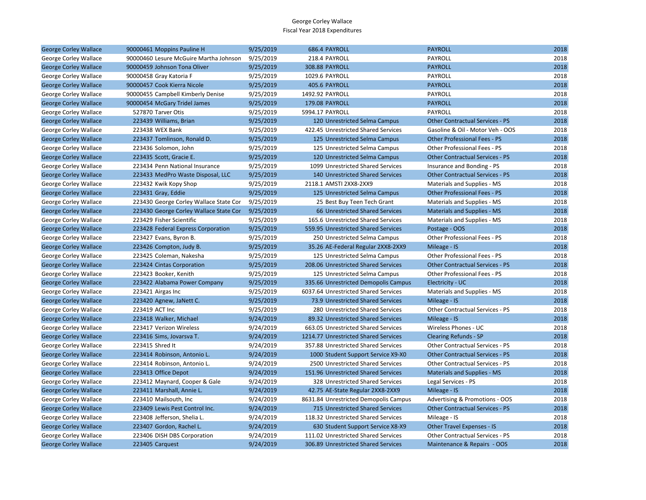| <b>George Corley Wallace</b> | 90000461 Moppins Pauline H             | 9/25/2019 | 686.4 PAYROLL                         | <b>PAYROLL</b>                         | 2018 |
|------------------------------|----------------------------------------|-----------|---------------------------------------|----------------------------------------|------|
| George Corley Wallace        | 90000460 Lesure McGuire Martha Johnson | 9/25/2019 | 218.4 PAYROLL                         | PAYROLL                                | 2018 |
| <b>George Corley Wallace</b> | 90000459 Johnson Tona Oliver           | 9/25/2019 | <b>308.88 PAYROLL</b>                 | <b>PAYROLL</b>                         | 2018 |
| George Corley Wallace        | 90000458 Gray Katoria F                | 9/25/2019 | 1029.6 PAYROLL                        | PAYROLL                                | 2018 |
| <b>George Corley Wallace</b> | 90000457 Cook Kierra Nicole            | 9/25/2019 | 405.6 PAYROLL                         | <b>PAYROLL</b>                         | 2018 |
| George Corley Wallace        | 90000455 Campbell Kimberly Denise      | 9/25/2019 | 1492.92 PAYROLL                       | PAYROLL                                | 2018 |
| <b>George Corley Wallace</b> | 90000454 McGary Tridel James           | 9/25/2019 | 179.08 PAYROLL                        | <b>PAYROLL</b>                         | 2018 |
| George Corley Wallace        | 527870 Tarver Otis                     | 9/25/2019 | 5994.17 PAYROLL                       | PAYROLL                                | 2018 |
| <b>George Corley Wallace</b> | 223439 Williams, Brian                 | 9/25/2019 | 120 Unrestricted Selma Campus         | <b>Other Contractual Services - PS</b> | 2018 |
| George Corley Wallace        | 223438 WEX Bank                        | 9/25/2019 | 422.45 Unrestricted Shared Services   | Gasoline & Oil - Motor Veh - OOS       | 2018 |
| <b>George Corley Wallace</b> | 223437 Tomlinson, Ronald D.            | 9/25/2019 | 125 Unrestricted Selma Campus         | <b>Other Professional Fees - PS</b>    | 2018 |
| George Corley Wallace        | 223436 Solomon, John                   | 9/25/2019 | 125 Unrestricted Selma Campus         | Other Professional Fees - PS           | 2018 |
| <b>George Corley Wallace</b> | 223435 Scott, Gracie E.                | 9/25/2019 | 120 Unrestricted Selma Campus         | <b>Other Contractual Services - PS</b> | 2018 |
| George Corley Wallace        | 223434 Penn National Insurance         | 9/25/2019 | 1099 Unrestricted Shared Services     | Insurance and Bonding - PS             | 2018 |
| <b>George Corley Wallace</b> | 223433 MedPro Waste Disposal, LLC      | 9/25/2019 | 140 Unrestricted Shared Services      | <b>Other Contractual Services - PS</b> | 2018 |
| George Corley Wallace        | 223432 Kwik Kopy Shop                  | 9/25/2019 | 2118.1 AMSTI 2XX8-2XX9                | Materials and Supplies - MS            | 2018 |
| <b>George Corley Wallace</b> | 223431 Gray, Eddie                     | 9/25/2019 | 125 Unrestricted Selma Campus         | <b>Other Professional Fees - PS</b>    | 2018 |
| George Corley Wallace        | 223430 George Corley Wallace State Cor | 9/25/2019 | 25 Best Buy Teen Tech Grant           | Materials and Supplies - MS            | 2018 |
| <b>George Corley Wallace</b> | 223430 George Corley Wallace State Cor | 9/25/2019 | 66 Unrestricted Shared Services       | <b>Materials and Supplies - MS</b>     | 2018 |
| George Corley Wallace        | 223429 Fisher Scientific               | 9/25/2019 | 165.6 Unrestricted Shared Services    | Materials and Supplies - MS            | 2018 |
| <b>George Corley Wallace</b> | 223428 Federal Express Corporation     | 9/25/2019 | 559.95 Unrestricted Shared Services   | Postage - OOS                          | 2018 |
| George Corley Wallace        | 223427 Evans, Byron B.                 | 9/25/2019 | 250 Unrestricted Selma Campus         | Other Professional Fees - PS           | 2018 |
| <b>George Corley Wallace</b> | 223426 Compton, Judy B.                | 9/25/2019 | 35.26 AE-Federal Regular 2XX8-2XX9    | Mileage - IS                           | 2018 |
| George Corley Wallace        | 223425 Coleman, Nakesha                | 9/25/2019 | 125 Unrestricted Selma Campus         | Other Professional Fees - PS           | 2018 |
| <b>George Corley Wallace</b> | 223424 Cintas Corporation              | 9/25/2019 | 208.06 Unrestricted Shared Services   | <b>Other Contractual Services - PS</b> | 2018 |
| George Corley Wallace        | 223423 Booker, Kenith                  | 9/25/2019 | 125 Unrestricted Selma Campus         | Other Professional Fees - PS           | 2018 |
| <b>George Corley Wallace</b> | 223422 Alabama Power Company           | 9/25/2019 | 335.66 Unrestricted Demopolis Campus  | Electricity - UC                       | 2018 |
| George Corley Wallace        | 223421 Airgas Inc                      | 9/25/2019 | 6037.64 Unrestricted Shared Services  | Materials and Supplies - MS            | 2018 |
| <b>George Corley Wallace</b> | 223420 Agnew, JaNett C.                | 9/25/2019 | 73.9 Unrestricted Shared Services     | Mileage - IS                           | 2018 |
| George Corley Wallace        | 223419 ACT Inc                         | 9/25/2019 | 280 Unrestricted Shared Services      | Other Contractual Services - PS        | 2018 |
| <b>George Corley Wallace</b> | 223418 Walker, Michael                 | 9/24/2019 | 89.32 Unrestricted Shared Services    | Mileage - IS                           | 2018 |
| George Corley Wallace        | 223417 Verizon Wireless                | 9/24/2019 | 663.05 Unrestricted Shared Services   | Wireless Phones - UC                   | 2018 |
| <b>George Corley Wallace</b> | 223416 Sims, Jovarsva T.               | 9/24/2019 | 1214.77 Unrestricted Shared Services  | <b>Clearing Refunds - SP</b>           | 2018 |
| George Corley Wallace        | 223415 Shred It                        | 9/24/2019 | 357.88 Unrestricted Shared Services   | <b>Other Contractual Services - PS</b> | 2018 |
| <b>George Corley Wallace</b> | 223414 Robinson, Antonio L.            | 9/24/2019 | 1000 Student Support Service X9-X0    | <b>Other Contractual Services - PS</b> | 2018 |
| George Corley Wallace        | 223414 Robinson, Antonio L.            | 9/24/2019 | 2500 Unrestricted Shared Services     | <b>Other Contractual Services - PS</b> | 2018 |
| <b>George Corley Wallace</b> | 223413 Office Depot                    | 9/24/2019 | 151.96 Unrestricted Shared Services   | <b>Materials and Supplies - MS</b>     | 2018 |
| George Corley Wallace        | 223412 Maynard, Cooper & Gale          | 9/24/2019 | 328 Unrestricted Shared Services      | Legal Services - PS                    | 2018 |
| <b>George Corley Wallace</b> | 223411 Marshall, Annie L.              | 9/24/2019 | 42.75 AE-State Regular 2XX8-2XX9      | Mileage - IS                           | 2018 |
| George Corley Wallace        | 223410 Mailsouth, Inc.                 | 9/24/2019 | 8631.84 Unrestricted Demopolis Campus | Advertising & Promotions - OOS         | 2018 |
| <b>George Corley Wallace</b> | 223409 Lewis Pest Control Inc.         | 9/24/2019 | 715 Unrestricted Shared Services      | <b>Other Contractual Services - PS</b> | 2018 |
| George Corley Wallace        | 223408 Jefferson, Shelia L.            | 9/24/2019 | 118.32 Unrestricted Shared Services   | Mileage - IS                           | 2018 |
| <b>George Corley Wallace</b> | 223407 Gordon, Rachel L.               | 9/24/2019 | 630 Student Support Service X8-X9     | <b>Other Travel Expenses - IS</b>      | 2018 |
| George Corley Wallace        | 223406 DISH DBS Corporation            | 9/24/2019 | 111.02 Unrestricted Shared Services   | Other Contractual Services - PS        | 2018 |
| <b>George Corley Wallace</b> | 223405 Carquest                        | 9/24/2019 | 306.89 Unrestricted Shared Services   | Maintenance & Repairs - OOS            | 2018 |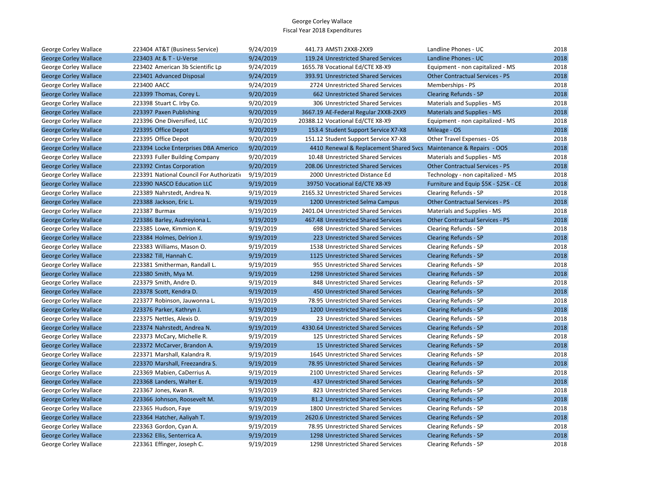| George Corley Wallace        | 223404 AT&T (Business Service)           | 9/24/2019 | 441.73 AMSTI 2XX8-2XX9                                             | Landline Phones - UC                   | 2018 |
|------------------------------|------------------------------------------|-----------|--------------------------------------------------------------------|----------------------------------------|------|
| <b>George Corley Wallace</b> | 223403 At & T - U-Verse                  | 9/24/2019 | 119.24 Unrestricted Shared Services                                | Landline Phones - UC                   | 2018 |
| George Corley Wallace        | 223402 American 3b Scientific Lp         | 9/24/2019 | 1655.78 Vocational Ed/CTE X8-X9                                    | Equipment - non capitalized - MS       | 2018 |
| <b>George Corley Wallace</b> | 223401 Advanced Disposal                 | 9/24/2019 | 393.91 Unrestricted Shared Services                                | <b>Other Contractual Services - PS</b> | 2018 |
| George Corley Wallace        | 223400 AACC                              | 9/24/2019 | 2724 Unrestricted Shared Services                                  | Memberships - PS                       | 2018 |
| <b>George Corley Wallace</b> | 223399 Thomas, Corey L.                  | 9/20/2019 | 662 Unrestricted Shared Services                                   | <b>Clearing Refunds - SP</b>           | 2018 |
| George Corley Wallace        | 223398 Stuart C. Irby Co.                | 9/20/2019 | 306 Unrestricted Shared Services                                   | Materials and Supplies - MS            | 2018 |
| <b>George Corley Wallace</b> | 223397 Paxen Publishing                  | 9/20/2019 | 3667.19 AE-Federal Regular 2XX8-2XX9                               | <b>Materials and Supplies - MS</b>     | 2018 |
| George Corley Wallace        | 223396 One Diversified, LLC              | 9/20/2019 | 20388.12 Vocational Ed/CTE X8-X9                                   | Equipment - non capitalized - MS       | 2018 |
| <b>George Corley Wallace</b> | 223395 Office Depot                      | 9/20/2019 | 153.4 Student Support Service X7-X8                                | Mileage - OS                           | 2018 |
| George Corley Wallace        | 223395 Office Depot                      | 9/20/2019 | 151.12 Student Support Service X7-X8                               | Other Travel Expenses - OS             | 2018 |
| <b>George Corley Wallace</b> | 223394 Locke Enterprises DBA Americo     | 9/20/2019 | 4410 Renewal & Replacement Shared Svcs Maintenance & Repairs - OOS |                                        | 2018 |
| George Corley Wallace        | 223393 Fuller Building Company           | 9/20/2019 | 10.48 Unrestricted Shared Services                                 | Materials and Supplies - MS            | 2018 |
| <b>George Corley Wallace</b> | 223392 Cintas Corporation                | 9/20/2019 | 208.06 Unrestricted Shared Services                                | <b>Other Contractual Services - PS</b> | 2018 |
| George Corley Wallace        | 223391 National Council For Authorizatio | 9/19/2019 | 2000 Unrestricted Distance Ed                                      | Technology - non capitalized - MS      | 2018 |
| <b>George Corley Wallace</b> | 223390 NASCO Education LLC               | 9/19/2019 | 39750 Vocational Ed/CTE X8-X9                                      | Furniture and Equip \$5K - \$25K - CE  | 2018 |
| George Corley Wallace        | 223389 Nahrstedt, Andrea N.              | 9/19/2019 | 2165.32 Unrestricted Shared Services                               | Clearing Refunds - SP                  | 2018 |
| <b>George Corley Wallace</b> | 223388 Jackson, Eric L.                  | 9/19/2019 | 1200 Unrestricted Selma Campus                                     | <b>Other Contractual Services - PS</b> | 2018 |
| George Corley Wallace        | 223387 Burmax                            | 9/19/2019 | 2401.04 Unrestricted Shared Services                               | Materials and Supplies - MS            | 2018 |
| <b>George Corley Wallace</b> | 223386 Barley, Audreyiona L.             | 9/19/2019 | 467.48 Unrestricted Shared Services                                | <b>Other Contractual Services - PS</b> | 2018 |
| George Corley Wallace        | 223385 Lowe, Kimmion K.                  | 9/19/2019 | 698 Unrestricted Shared Services                                   | Clearing Refunds - SP                  | 2018 |
| <b>George Corley Wallace</b> | 223384 Holmes, Delrion J.                | 9/19/2019 | 223 Unrestricted Shared Services                                   | <b>Clearing Refunds - SP</b>           | 2018 |
| George Corley Wallace        | 223383 Williams, Mason O.                | 9/19/2019 | 1538 Unrestricted Shared Services                                  | Clearing Refunds - SP                  | 2018 |
| <b>George Corley Wallace</b> | 223382 Till, Hannah C.                   | 9/19/2019 | 1125 Unrestricted Shared Services                                  | <b>Clearing Refunds - SP</b>           | 2018 |
| George Corley Wallace        | 223381 Smitherman, Randall L.            | 9/19/2019 | 955 Unrestricted Shared Services                                   | Clearing Refunds - SP                  | 2018 |
| <b>George Corley Wallace</b> | 223380 Smith, Mya M.                     | 9/19/2019 | 1298 Unrestricted Shared Services                                  | <b>Clearing Refunds - SP</b>           | 2018 |
| George Corley Wallace        | 223379 Smith, Andre D.                   | 9/19/2019 | 848 Unrestricted Shared Services                                   | Clearing Refunds - SP                  | 2018 |
| <b>George Corley Wallace</b> | 223378 Scott, Kendra D.                  | 9/19/2019 | 450 Unrestricted Shared Services                                   | <b>Clearing Refunds - SP</b>           | 2018 |
| George Corley Wallace        | 223377 Robinson, Jauwonna L.             | 9/19/2019 | 78.95 Unrestricted Shared Services                                 | Clearing Refunds - SP                  | 2018 |
| <b>George Corley Wallace</b> | 223376 Parker, Kathryn J.                | 9/19/2019 | 1200 Unrestricted Shared Services                                  | <b>Clearing Refunds - SP</b>           | 2018 |
| George Corley Wallace        | 223375 Nettles, Alexis D.                | 9/19/2019 | 23 Unrestricted Shared Services                                    | Clearing Refunds - SP                  | 2018 |
| <b>George Corley Wallace</b> | 223374 Nahrstedt, Andrea N.              | 9/19/2019 | 4330.64 Unrestricted Shared Services                               | <b>Clearing Refunds - SP</b>           | 2018 |
| George Corley Wallace        | 223373 McCary, Michelle R.               | 9/19/2019 | 125 Unrestricted Shared Services                                   | Clearing Refunds - SP                  | 2018 |
| <b>George Corley Wallace</b> | 223372 McCarver, Brandon A.              | 9/19/2019 | 15 Unrestricted Shared Services                                    | <b>Clearing Refunds - SP</b>           | 2018 |
| George Corley Wallace        | 223371 Marshall, Kalandra R.             | 9/19/2019 | 1645 Unrestricted Shared Services                                  | Clearing Refunds - SP                  | 2018 |
| <b>George Corley Wallace</b> | 223370 Marshall, Freezandra S.           | 9/19/2019 | 78.95 Unrestricted Shared Services                                 | <b>Clearing Refunds - SP</b>           | 2018 |
| George Corley Wallace        | 223369 Mabien, CaDerrius A.              | 9/19/2019 | 2100 Unrestricted Shared Services                                  | Clearing Refunds - SP                  | 2018 |
| <b>George Corley Wallace</b> | 223368 Landers, Walter E.                | 9/19/2019 | 437 Unrestricted Shared Services                                   | <b>Clearing Refunds - SP</b>           | 2018 |
| George Corley Wallace        | 223367 Jones, Kwan R.                    | 9/19/2019 | 823 Unrestricted Shared Services                                   | Clearing Refunds - SP                  | 2018 |
| <b>George Corley Wallace</b> | 223366 Johnson, Roosevelt M.             | 9/19/2019 | 81.2 Unrestricted Shared Services                                  | <b>Clearing Refunds - SP</b>           | 2018 |
| George Corley Wallace        | 223365 Hudson, Faye                      | 9/19/2019 | 1800 Unrestricted Shared Services                                  | Clearing Refunds - SP                  | 2018 |
| <b>George Corley Wallace</b> | 223364 Hatcher, Aaliyah T.               | 9/19/2019 | 2620.6 Unrestricted Shared Services                                | <b>Clearing Refunds - SP</b>           | 2018 |
| George Corley Wallace        | 223363 Gordon, Cyan A.                   | 9/19/2019 | 78.95 Unrestricted Shared Services                                 | Clearing Refunds - SP                  | 2018 |
| <b>George Corley Wallace</b> | 223362 Ellis, Senterrica A.              | 9/19/2019 | 1298 Unrestricted Shared Services                                  | <b>Clearing Refunds - SP</b>           | 2018 |
| George Corley Wallace        | 223361 Effinger, Joseph C.               | 9/19/2019 | 1298 Unrestricted Shared Services                                  | Clearing Refunds - SP                  | 2018 |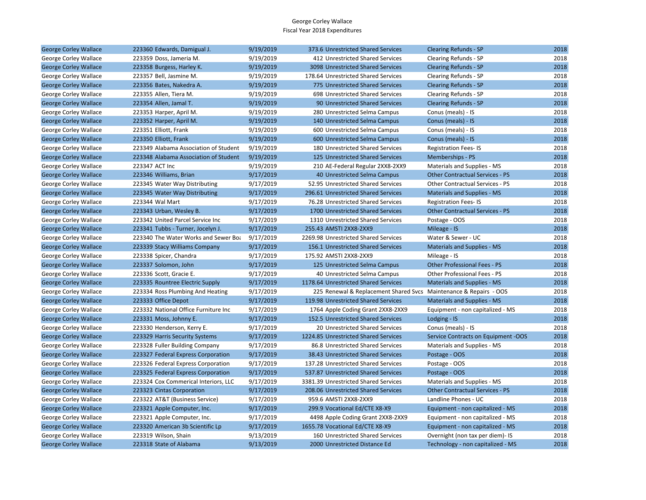| <b>George Corley Wallace</b> | 223360 Edwards, Damigual J.           | 9/19/2019 | 373.6 Unrestricted Shared Services                                | <b>Clearing Refunds - SP</b>           | 2018 |
|------------------------------|---------------------------------------|-----------|-------------------------------------------------------------------|----------------------------------------|------|
| George Corley Wallace        | 223359 Doss, Jameria M.               | 9/19/2019 | 412 Unrestricted Shared Services                                  | Clearing Refunds - SP                  | 2018 |
| <b>George Corley Wallace</b> | 223358 Burgess, Harley K.             | 9/19/2019 | 3098 Unrestricted Shared Services                                 | <b>Clearing Refunds - SP</b>           | 2018 |
| George Corley Wallace        | 223357 Bell, Jasmine M.               | 9/19/2019 | 178.64 Unrestricted Shared Services                               | Clearing Refunds - SP                  | 2018 |
| <b>George Corley Wallace</b> | 223356 Bates, Nakedra A.              | 9/19/2019 | 775 Unrestricted Shared Services                                  | <b>Clearing Refunds - SP</b>           | 2018 |
| George Corley Wallace        | 223355 Allen, Tiera M.                | 9/19/2019 | 698 Unrestricted Shared Services                                  | Clearing Refunds - SP                  | 2018 |
| <b>George Corley Wallace</b> | 223354 Allen, Jamal T.                | 9/19/2019 | 90 Unrestricted Shared Services                                   | <b>Clearing Refunds - SP</b>           | 2018 |
| George Corley Wallace        | 223353 Harper, April M.               | 9/19/2019 | 280 Unrestricted Selma Campus                                     | Conus (meals) - IS                     | 2018 |
| <b>George Corley Wallace</b> | 223352 Harper, April M.               | 9/19/2019 | 140 Unrestricted Selma Campus                                     | Conus (meals) - IS                     | 2018 |
| George Corley Wallace        | 223351 Elliott, Frank                 | 9/19/2019 | 600 Unrestricted Selma Campus                                     | Conus (meals) - IS                     | 2018 |
| <b>George Corley Wallace</b> | 223350 Elliott, Frank                 | 9/19/2019 | 600 Unrestricted Selma Campus                                     | Conus (meals) - IS                     | 2018 |
| George Corley Wallace        | 223349 Alabama Association of Student | 9/19/2019 | 180 Unrestricted Shared Services                                  | <b>Registration Fees-IS</b>            | 2018 |
| <b>George Corley Wallace</b> | 223348 Alabama Association of Student | 9/19/2019 | 125 Unrestricted Shared Services                                  | Memberships - PS                       | 2018 |
| George Corley Wallace        | 223347 ACT Inc                        | 9/19/2019 | 210 AE-Federal Regular 2XX8-2XX9                                  | Materials and Supplies - MS            | 2018 |
| <b>George Corley Wallace</b> | 223346 Williams, Brian                | 9/17/2019 | 40 Unrestricted Selma Campus                                      | <b>Other Contractual Services - PS</b> | 2018 |
| George Corley Wallace        | 223345 Water Way Distributing         | 9/17/2019 | 52.95 Unrestricted Shared Services                                | <b>Other Contractual Services - PS</b> | 2018 |
| <b>George Corley Wallace</b> | 223345 Water Way Distributing         | 9/17/2019 | 296.61 Unrestricted Shared Services                               | Materials and Supplies - MS            | 2018 |
| George Corley Wallace        | 223344 Wal Mart                       | 9/17/2019 | 76.28 Unrestricted Shared Services                                | <b>Registration Fees-IS</b>            | 2018 |
| <b>George Corley Wallace</b> | 223343 Urban, Wesley B.               | 9/17/2019 | 1700 Unrestricted Shared Services                                 | <b>Other Contractual Services - PS</b> | 2018 |
| George Corley Wallace        | 223342 United Parcel Service Inc      | 9/17/2019 | 1310 Unrestricted Shared Services                                 | Postage - OOS                          | 2018 |
| <b>George Corley Wallace</b> | 223341 Tubbs - Turner, Jocelyn J.     | 9/17/2019 | 255.43 AMSTI 2XX8-2XX9                                            | Mileage - IS                           | 2018 |
| George Corley Wallace        | 223340 The Water Works and Sewer Boa  | 9/17/2019 | 2269.98 Unrestricted Shared Services                              | Water & Sewer - UC                     | 2018 |
| <b>George Corley Wallace</b> | 223339 Stacy Williams Company         | 9/17/2019 | 156.1 Unrestricted Shared Services                                | <b>Materials and Supplies - MS</b>     | 2018 |
| George Corley Wallace        | 223338 Spicer, Chandra                | 9/17/2019 | 175.92 AMSTI 2XX8-2XX9                                            | Mileage - IS                           | 2018 |
| <b>George Corley Wallace</b> | 223337 Solomon, John                  | 9/17/2019 | 125 Unrestricted Selma Campus                                     | <b>Other Professional Fees - PS</b>    | 2018 |
| George Corley Wallace        | 223336 Scott, Gracie E.               | 9/17/2019 | 40 Unrestricted Selma Campus                                      | Other Professional Fees - PS           | 2018 |
| <b>George Corley Wallace</b> | 223335 Rountree Electric Supply       | 9/17/2019 | 1178.64 Unrestricted Shared Services                              | Materials and Supplies - MS            | 2018 |
| George Corley Wallace        | 223334 Ross Plumbing And Heating      | 9/17/2019 | 225 Renewal & Replacement Shared Svcs Maintenance & Repairs - OOS |                                        | 2018 |
| <b>George Corley Wallace</b> | 223333 Office Depot                   | 9/17/2019 | 119.98 Unrestricted Shared Services                               | <b>Materials and Supplies - MS</b>     | 2018 |
| George Corley Wallace        | 223332 National Office Furniture Inc  | 9/17/2019 | 1764 Apple Coding Grant 2XX8-2XX9                                 | Equipment - non capitalized - MS       | 2018 |
| <b>George Corley Wallace</b> | 223331 Moss, Johnny E.                | 9/17/2019 | 152.5 Unrestricted Shared Services                                | Lodging - IS                           | 2018 |
| George Corley Wallace        | 223330 Henderson, Kerry E.            | 9/17/2019 | 20 Unrestricted Shared Services                                   | Conus (meals) - IS                     | 2018 |
| <b>George Corley Wallace</b> | 223329 Harris Security Systems        | 9/17/2019 | 1224.85 Unrestricted Shared Services                              | Service Contracts on Equipment -OOS    | 2018 |
| George Corley Wallace        | 223328 Fuller Building Company        | 9/17/2019 | 86.8 Unrestricted Shared Services                                 | Materials and Supplies - MS            | 2018 |
| <b>George Corley Wallace</b> | 223327 Federal Express Corporation    | 9/17/2019 | 38.43 Unrestricted Shared Services                                | Postage - OOS                          | 2018 |
| George Corley Wallace        | 223326 Federal Express Corporation    | 9/17/2019 | 137.28 Unrestricted Shared Services                               | Postage - OOS                          | 2018 |
| <b>George Corley Wallace</b> | 223325 Federal Express Corporation    | 9/17/2019 | 537.87 Unrestricted Shared Services                               | Postage - OOS                          | 2018 |
| George Corley Wallace        | 223324 Cox Commerical Interiors, LLC  | 9/17/2019 | 3381.39 Unrestricted Shared Services                              | Materials and Supplies - MS            | 2018 |
| <b>George Corley Wallace</b> | 223323 Cintas Corporation             | 9/17/2019 | 208.06 Unrestricted Shared Services                               | <b>Other Contractual Services - PS</b> | 2018 |
| George Corley Wallace        | 223322 AT&T (Business Service)        | 9/17/2019 | 959.6 AMSTI 2XX8-2XX9                                             | Landline Phones - UC                   | 2018 |
| <b>George Corley Wallace</b> | 223321 Apple Computer, Inc.           | 9/17/2019 | 299.9 Vocational Ed/CTE X8-X9                                     | Equipment - non capitalized - MS       | 2018 |
| George Corley Wallace        | 223321 Apple Computer, Inc.           | 9/17/2019 | 4498 Apple Coding Grant 2XX8-2XX9                                 | Equipment - non capitalized - MS       | 2018 |
| <b>George Corley Wallace</b> | 223320 American 3b Scientific Lp      | 9/17/2019 | 1655.78 Vocational Ed/CTE X8-X9                                   | Equipment - non capitalized - MS       | 2018 |
| George Corley Wallace        | 223319 Wilson, Shain                  | 9/13/2019 | 160 Unrestricted Shared Services                                  | Overnight (non tax per diem)- IS       | 2018 |
| <b>George Corley Wallace</b> | 223318 State of Alabama               | 9/13/2019 | 2000 Unrestricted Distance Ed                                     | Technology - non capitalized - MS      | 2018 |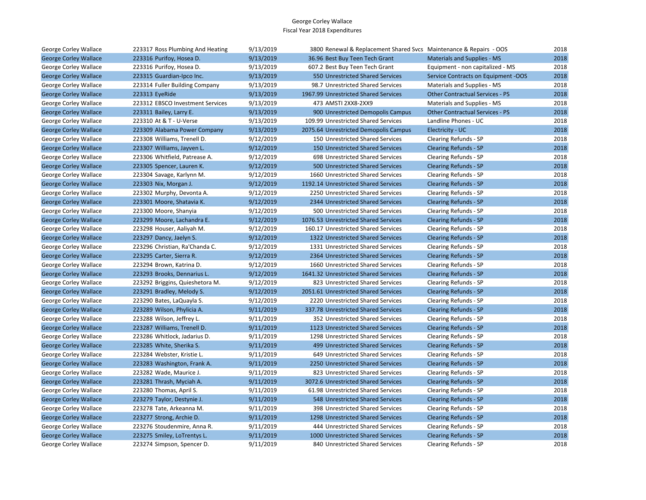| George Corley Wallace        | 223317 Ross Plumbing And Heating | 9/13/2019 | 3800 Renewal & Replacement Shared Svcs Maintenance & Repairs - OOS |                                        | 2018 |
|------------------------------|----------------------------------|-----------|--------------------------------------------------------------------|----------------------------------------|------|
| <b>George Corley Wallace</b> | 223316 Purifoy, Hosea D.         | 9/13/2019 | 36.96 Best Buy Teen Tech Grant                                     | <b>Materials and Supplies - MS</b>     | 2018 |
| George Corley Wallace        | 223316 Purifoy, Hosea D.         | 9/13/2019 | 607.2 Best Buy Teen Tech Grant                                     | Equipment - non capitalized - MS       | 2018 |
| <b>George Corley Wallace</b> | 223315 Guardian-Ipco Inc.        | 9/13/2019 | 550 Unrestricted Shared Services                                   | Service Contracts on Equipment -OOS    | 2018 |
| George Corley Wallace        | 223314 Fuller Building Company   | 9/13/2019 | 98.7 Unrestricted Shared Services                                  | Materials and Supplies - MS            | 2018 |
| <b>George Corley Wallace</b> | 223313 EyeRide                   | 9/13/2019 | 1967.99 Unrestricted Shared Services                               | <b>Other Contractual Services - PS</b> | 2018 |
| George Corley Wallace        | 223312 EBSCO Investment Services | 9/13/2019 | 473 AMSTI 2XX8-2XX9                                                | Materials and Supplies - MS            | 2018 |
| <b>George Corley Wallace</b> | 223311 Bailey, Larry E.          | 9/13/2019 | 900 Unrestricted Demopolis Campus                                  | <b>Other Contractual Services - PS</b> | 2018 |
| George Corley Wallace        | 223310 At & T - U-Verse          | 9/13/2019 | 109.99 Unrestricted Shared Services                                | Landline Phones - UC                   | 2018 |
| <b>George Corley Wallace</b> | 223309 Alabama Power Company     | 9/13/2019 | 2075.64 Unrestricted Demopolis Campus                              | Electricity - UC                       | 2018 |
| George Corley Wallace        | 223308 Williams, Trenell D.      | 9/12/2019 | 150 Unrestricted Shared Services                                   | Clearing Refunds - SP                  | 2018 |
| <b>George Corley Wallace</b> | 223307 Williams, Jayven L.       | 9/12/2019 | 150 Unrestricted Shared Services                                   | <b>Clearing Refunds - SP</b>           | 2018 |
| George Corley Wallace        | 223306 Whitfield, Patrease A.    | 9/12/2019 | 698 Unrestricted Shared Services                                   | Clearing Refunds - SP                  | 2018 |
| <b>George Corley Wallace</b> | 223305 Spencer, Lauren K.        | 9/12/2019 | 500 Unrestricted Shared Services                                   | <b>Clearing Refunds - SP</b>           | 2018 |
| George Corley Wallace        | 223304 Savage, Karlynn M.        | 9/12/2019 | 1660 Unrestricted Shared Services                                  | Clearing Refunds - SP                  | 2018 |
| <b>George Corley Wallace</b> | 223303 Nix, Morgan J.            | 9/12/2019 | 1192.14 Unrestricted Shared Services                               | Clearing Refunds - SP                  | 2018 |
| George Corley Wallace        | 223302 Murphy, Devonta A.        | 9/12/2019 | 2250 Unrestricted Shared Services                                  | Clearing Refunds - SP                  | 2018 |
| <b>George Corley Wallace</b> | 223301 Moore, Shatavia K.        | 9/12/2019 | 2344 Unrestricted Shared Services                                  | <b>Clearing Refunds - SP</b>           | 2018 |
| George Corley Wallace        | 223300 Moore, Shanyia            | 9/12/2019 | 500 Unrestricted Shared Services                                   | Clearing Refunds - SP                  | 2018 |
| <b>George Corley Wallace</b> | 223299 Moore, Lachandra E.       | 9/12/2019 | 1076.53 Unrestricted Shared Services                               | <b>Clearing Refunds - SP</b>           | 2018 |
| George Corley Wallace        | 223298 Houser, Aaliyah M.        | 9/12/2019 | 160.17 Unrestricted Shared Services                                | Clearing Refunds - SP                  | 2018 |
| <b>George Corley Wallace</b> | 223297 Dancy, Jaelyn S.          | 9/12/2019 | 1322 Unrestricted Shared Services                                  | <b>Clearing Refunds - SP</b>           | 2018 |
| George Corley Wallace        | 223296 Christian, Ra'Chanda C.   | 9/12/2019 | 1331 Unrestricted Shared Services                                  | Clearing Refunds - SP                  | 2018 |
| <b>George Corley Wallace</b> | 223295 Carter, Sierra R.         | 9/12/2019 | 2364 Unrestricted Shared Services                                  | <b>Clearing Refunds - SP</b>           | 2018 |
| George Corley Wallace        | 223294 Brown, Katrina D.         | 9/12/2019 | 1660 Unrestricted Shared Services                                  | Clearing Refunds - SP                  | 2018 |
| <b>George Corley Wallace</b> | 223293 Brooks, Dennarius L.      | 9/12/2019 | 1641.32 Unrestricted Shared Services                               | <b>Clearing Refunds - SP</b>           | 2018 |
| George Corley Wallace        | 223292 Briggins, Quieshetora M.  | 9/12/2019 | 823 Unrestricted Shared Services                                   | Clearing Refunds - SP                  | 2018 |
| <b>George Corley Wallace</b> | 223291 Bradley, Melody S.        | 9/12/2019 | 2051.61 Unrestricted Shared Services                               | <b>Clearing Refunds - SP</b>           | 2018 |
| George Corley Wallace        | 223290 Bates, LaQuayla S.        | 9/12/2019 | 2220 Unrestricted Shared Services                                  | Clearing Refunds - SP                  | 2018 |
| <b>George Corley Wallace</b> | 223289 Wilson, Phylicia A.       | 9/11/2019 | 337.78 Unrestricted Shared Services                                | <b>Clearing Refunds - SP</b>           | 2018 |
| George Corley Wallace        | 223288 Wilson, Jeffrey L.        | 9/11/2019 | 352 Unrestricted Shared Services                                   | Clearing Refunds - SP                  | 2018 |
| <b>George Corley Wallace</b> | 223287 Williams, Trenell D.      | 9/11/2019 | 1123 Unrestricted Shared Services                                  | Clearing Refunds - SP                  | 2018 |
| George Corley Wallace        | 223286 Whitlock, Jadarius D.     | 9/11/2019 | 1298 Unrestricted Shared Services                                  | Clearing Refunds - SP                  | 2018 |
| <b>George Corley Wallace</b> | 223285 White, Sherika S.         | 9/11/2019 | 499 Unrestricted Shared Services                                   | <b>Clearing Refunds - SP</b>           | 2018 |
| George Corley Wallace        | 223284 Webster, Kristie L.       | 9/11/2019 | 649 Unrestricted Shared Services                                   | Clearing Refunds - SP                  | 2018 |
| <b>George Corley Wallace</b> | 223283 Washington, Frank A.      | 9/11/2019 | 2250 Unrestricted Shared Services                                  | <b>Clearing Refunds - SP</b>           | 2018 |
| George Corley Wallace        | 223282 Wade, Maurice J.          | 9/11/2019 | 823 Unrestricted Shared Services                                   | Clearing Refunds - SP                  | 2018 |
| <b>George Corley Wallace</b> | 223281 Thrash, Myciah A.         | 9/11/2019 | 3072.6 Unrestricted Shared Services                                | Clearing Refunds - SP                  | 2018 |
| George Corley Wallace        | 223280 Thomas, April S.          | 9/11/2019 | 61.98 Unrestricted Shared Services                                 | Clearing Refunds - SP                  | 2018 |
| <b>George Corley Wallace</b> | 223279 Taylor, Destynie J.       | 9/11/2019 | 548 Unrestricted Shared Services                                   | <b>Clearing Refunds - SP</b>           | 2018 |
| George Corley Wallace        | 223278 Tate, Arkeanna M.         | 9/11/2019 | 398 Unrestricted Shared Services                                   | Clearing Refunds - SP                  | 2018 |
| <b>George Corley Wallace</b> | 223277 Strong, Archie D.         | 9/11/2019 | 1298 Unrestricted Shared Services                                  | Clearing Refunds - SP                  | 2018 |
| George Corley Wallace        | 223276 Stoudenmire, Anna R.      | 9/11/2019 | 444 Unrestricted Shared Services                                   | Clearing Refunds - SP                  | 2018 |
| <b>George Corley Wallace</b> | 223275 Smiley, LoTrentys L.      | 9/11/2019 | 1000 Unrestricted Shared Services                                  | Clearing Refunds - SP                  | 2018 |
| George Corley Wallace        | 223274 Simpson, Spencer D.       | 9/11/2019 | 840 Unrestricted Shared Services                                   | Clearing Refunds - SP                  | 2018 |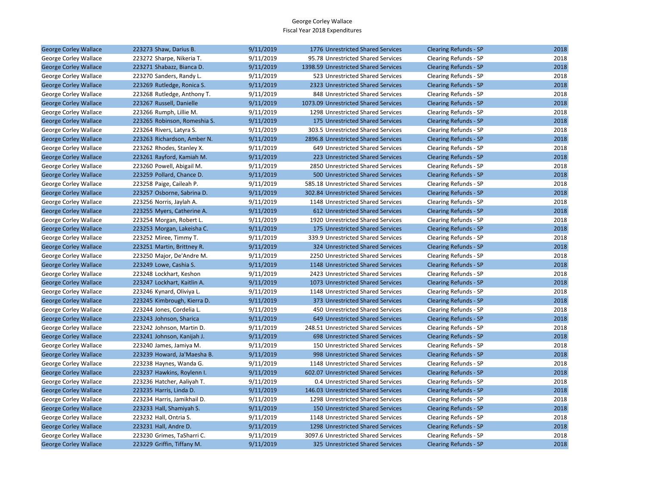| <b>George Corley Wallace</b> | 223273 Shaw, Darius B.       | 9/11/2019 | 1776 Unrestricted Shared Services    | <b>Clearing Refunds - SP</b> | 2018 |
|------------------------------|------------------------------|-----------|--------------------------------------|------------------------------|------|
| George Corley Wallace        | 223272 Sharpe, Nikeria T.    | 9/11/2019 | 95.78 Unrestricted Shared Services   | Clearing Refunds - SP        | 2018 |
| <b>George Corley Wallace</b> | 223271 Shabazz, Bianca D.    | 9/11/2019 | 1398.59 Unrestricted Shared Services | <b>Clearing Refunds - SP</b> | 2018 |
| George Corley Wallace        | 223270 Sanders, Randy L.     | 9/11/2019 | 523 Unrestricted Shared Services     | Clearing Refunds - SP        | 2018 |
| <b>George Corley Wallace</b> | 223269 Rutledge, Ronica S.   | 9/11/2019 | 2323 Unrestricted Shared Services    | <b>Clearing Refunds - SP</b> | 2018 |
| George Corley Wallace        | 223268 Rutledge, Anthony T.  | 9/11/2019 | 848 Unrestricted Shared Services     | Clearing Refunds - SP        | 2018 |
| <b>George Corley Wallace</b> | 223267 Russell, Danielle     | 9/11/2019 | 1073.09 Unrestricted Shared Services | <b>Clearing Refunds - SP</b> | 2018 |
| George Corley Wallace        | 223266 Rumph, Lillie M.      | 9/11/2019 | 1298 Unrestricted Shared Services    | Clearing Refunds - SP        | 2018 |
| <b>George Corley Wallace</b> | 223265 Robinson, Romeshia S. | 9/11/2019 | 175 Unrestricted Shared Services     | <b>Clearing Refunds - SP</b> | 2018 |
| George Corley Wallace        | 223264 Rivers, Latyra S.     | 9/11/2019 | 303.5 Unrestricted Shared Services   | Clearing Refunds - SP        | 2018 |
| <b>George Corley Wallace</b> | 223263 Richardson, Amber N.  | 9/11/2019 | 2896.8 Unrestricted Shared Services  | <b>Clearing Refunds - SP</b> | 2018 |
| George Corley Wallace        | 223262 Rhodes, Stanley X.    | 9/11/2019 | 649 Unrestricted Shared Services     | Clearing Refunds - SP        | 2018 |
| <b>George Corley Wallace</b> | 223261 Rayford, Kamiah M.    | 9/11/2019 | 223 Unrestricted Shared Services     | <b>Clearing Refunds - SP</b> | 2018 |
| George Corley Wallace        | 223260 Powell, Abigail M.    | 9/11/2019 | 2850 Unrestricted Shared Services    | Clearing Refunds - SP        | 2018 |
| <b>George Corley Wallace</b> | 223259 Pollard, Chance D.    | 9/11/2019 | 500 Unrestricted Shared Services     | <b>Clearing Refunds - SP</b> | 2018 |
| George Corley Wallace        | 223258 Paige, Caileah P.     | 9/11/2019 | 585.18 Unrestricted Shared Services  | Clearing Refunds - SP        | 2018 |
| <b>George Corley Wallace</b> | 223257 Osborne, Sabrina D.   | 9/11/2019 | 302.84 Unrestricted Shared Services  | <b>Clearing Refunds - SP</b> | 2018 |
| George Corley Wallace        | 223256 Norris, Jaylah A.     | 9/11/2019 | 1148 Unrestricted Shared Services    | Clearing Refunds - SP        | 2018 |
| <b>George Corley Wallace</b> | 223255 Myers, Catherine A.   | 9/11/2019 | 612 Unrestricted Shared Services     | <b>Clearing Refunds - SP</b> | 2018 |
| George Corley Wallace        | 223254 Morgan, Robert L.     | 9/11/2019 | 1920 Unrestricted Shared Services    | Clearing Refunds - SP        | 2018 |
| <b>George Corley Wallace</b> | 223253 Morgan, Lakeisha C.   | 9/11/2019 | 175 Unrestricted Shared Services     | <b>Clearing Refunds - SP</b> | 2018 |
| George Corley Wallace        | 223252 Miree, Timmy T.       | 9/11/2019 | 339.9 Unrestricted Shared Services   | Clearing Refunds - SP        | 2018 |
| <b>George Corley Wallace</b> | 223251 Martin, Brittney R.   | 9/11/2019 | 324 Unrestricted Shared Services     | <b>Clearing Refunds - SP</b> | 2018 |
| George Corley Wallace        | 223250 Major, De'Andre M.    | 9/11/2019 | 2250 Unrestricted Shared Services    | Clearing Refunds - SP        | 2018 |
| <b>George Corley Wallace</b> | 223249 Lowe, Cashia S.       | 9/11/2019 | 1148 Unrestricted Shared Services    | <b>Clearing Refunds - SP</b> | 2018 |
| George Corley Wallace        | 223248 Lockhart, Keshon      | 9/11/2019 | 2423 Unrestricted Shared Services    | Clearing Refunds - SP        | 2018 |
| <b>George Corley Wallace</b> | 223247 Lockhart, Kaitlin A.  | 9/11/2019 | 1073 Unrestricted Shared Services    | <b>Clearing Refunds - SP</b> | 2018 |
| George Corley Wallace        | 223246 Kynard, Oliviya L.    | 9/11/2019 | 1148 Unrestricted Shared Services    | Clearing Refunds - SP        | 2018 |
| <b>George Corley Wallace</b> | 223245 Kimbrough, Kierra D.  | 9/11/2019 | 373 Unrestricted Shared Services     | <b>Clearing Refunds - SP</b> | 2018 |
| George Corley Wallace        | 223244 Jones, Cordelia L.    | 9/11/2019 | 450 Unrestricted Shared Services     | Clearing Refunds - SP        | 2018 |
| <b>George Corley Wallace</b> | 223243 Johnson, Sharica      | 9/11/2019 | 649 Unrestricted Shared Services     | <b>Clearing Refunds - SP</b> | 2018 |
| George Corley Wallace        | 223242 Johnson, Martin D.    | 9/11/2019 | 248.51 Unrestricted Shared Services  | Clearing Refunds - SP        | 2018 |
| <b>George Corley Wallace</b> | 223241 Johnson, Kanijah J.   | 9/11/2019 | 698 Unrestricted Shared Services     | <b>Clearing Refunds - SP</b> | 2018 |
| George Corley Wallace        | 223240 James, Jamiya M.      | 9/11/2019 | 150 Unrestricted Shared Services     | Clearing Refunds - SP        | 2018 |
| <b>George Corley Wallace</b> | 223239 Howard, Ja'Maesha B.  | 9/11/2019 | 998 Unrestricted Shared Services     | <b>Clearing Refunds - SP</b> | 2018 |
| George Corley Wallace        | 223238 Haynes, Wanda G.      | 9/11/2019 | 1148 Unrestricted Shared Services    | Clearing Refunds - SP        | 2018 |
| <b>George Corley Wallace</b> | 223237 Hawkins, Roylenn I.   | 9/11/2019 | 602.07 Unrestricted Shared Services  | <b>Clearing Refunds - SP</b> | 2018 |
| George Corley Wallace        | 223236 Hatcher, Aaliyah T.   | 9/11/2019 | 0.4 Unrestricted Shared Services     | Clearing Refunds - SP        | 2018 |
| <b>George Corley Wallace</b> | 223235 Harris, Linda D.      | 9/11/2019 | 146.03 Unrestricted Shared Services  | <b>Clearing Refunds - SP</b> | 2018 |
| George Corley Wallace        | 223234 Harris, Jamikhail D.  | 9/11/2019 | 1298 Unrestricted Shared Services    | Clearing Refunds - SP        | 2018 |
| <b>George Corley Wallace</b> | 223233 Hall, Shamiyah S.     | 9/11/2019 | 150 Unrestricted Shared Services     | <b>Clearing Refunds - SP</b> | 2018 |
| George Corley Wallace        | 223232 Hall, Ontria S.       | 9/11/2019 | 1148 Unrestricted Shared Services    | Clearing Refunds - SP        | 2018 |
| <b>George Corley Wallace</b> | 223231 Hall, Andre D.        | 9/11/2019 | 1298 Unrestricted Shared Services    | <b>Clearing Refunds - SP</b> | 2018 |
| George Corley Wallace        | 223230 Grimes, TaSharri C.   | 9/11/2019 | 3097.6 Unrestricted Shared Services  | Clearing Refunds - SP        | 2018 |
| <b>George Corley Wallace</b> | 223229 Griffin, Tiffany M.   | 9/11/2019 | 325 Unrestricted Shared Services     | <b>Clearing Refunds - SP</b> | 2018 |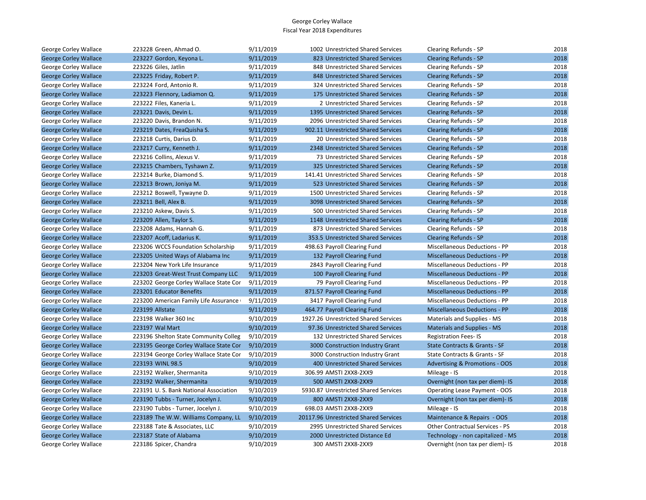| George Corley Wallace        | 223228 Green, Ahmad O.                 | 9/11/2019 | 1002 Unrestricted Shared Services     | Clearing Refunds - SP                     | 2018 |
|------------------------------|----------------------------------------|-----------|---------------------------------------|-------------------------------------------|------|
| <b>George Corley Wallace</b> | 223227 Gordon, Keyona L.               | 9/11/2019 | 823 Unrestricted Shared Services      | <b>Clearing Refunds - SP</b>              | 2018 |
| George Corley Wallace        | 223226 Giles, Jatlin                   | 9/11/2019 | 848 Unrestricted Shared Services      | Clearing Refunds - SP                     | 2018 |
| <b>George Corley Wallace</b> | 223225 Friday, Robert P.               | 9/11/2019 | 848 Unrestricted Shared Services      | <b>Clearing Refunds - SP</b>              | 2018 |
| George Corley Wallace        | 223224 Ford, Antonio R.                | 9/11/2019 | 324 Unrestricted Shared Services      | Clearing Refunds - SP                     | 2018 |
| <b>George Corley Wallace</b> | 223223 Flennory, Ladiamon Q.           | 9/11/2019 | 175 Unrestricted Shared Services      | <b>Clearing Refunds - SP</b>              | 2018 |
| George Corley Wallace        | 223222 Files, Kaneria L.               | 9/11/2019 | 2 Unrestricted Shared Services        | Clearing Refunds - SP                     | 2018 |
| <b>George Corley Wallace</b> | 223221 Davis, Devin L.                 | 9/11/2019 | 1395 Unrestricted Shared Services     | <b>Clearing Refunds - SP</b>              | 2018 |
| George Corley Wallace        | 223220 Davis, Brandon N.               | 9/11/2019 | 2096 Unrestricted Shared Services     | Clearing Refunds - SP                     | 2018 |
| <b>George Corley Wallace</b> | 223219 Dates, FreaQuisha S.            | 9/11/2019 | 902.11 Unrestricted Shared Services   | <b>Clearing Refunds - SP</b>              | 2018 |
| George Corley Wallace        | 223218 Curtis, Darius D.               | 9/11/2019 | 20 Unrestricted Shared Services       | Clearing Refunds - SP                     | 2018 |
| <b>George Corley Wallace</b> | 223217 Curry, Kenneth J.               | 9/11/2019 | 2348 Unrestricted Shared Services     | <b>Clearing Refunds - SP</b>              | 2018 |
| George Corley Wallace        | 223216 Collins, Alexus V.              | 9/11/2019 | 73 Unrestricted Shared Services       | Clearing Refunds - SP                     | 2018 |
| <b>George Corley Wallace</b> | 223215 Chambers, Tyshawn Z.            | 9/11/2019 | 325 Unrestricted Shared Services      | <b>Clearing Refunds - SP</b>              | 2018 |
| George Corley Wallace        | 223214 Burke, Diamond S.               | 9/11/2019 | 141.41 Unrestricted Shared Services   | Clearing Refunds - SP                     | 2018 |
| <b>George Corley Wallace</b> | 223213 Brown, Joniya M.                | 9/11/2019 | 523 Unrestricted Shared Services      | <b>Clearing Refunds - SP</b>              | 2018 |
| George Corley Wallace        | 223212 Boswell, Tywayne D.             | 9/11/2019 | 1500 Unrestricted Shared Services     | Clearing Refunds - SP                     | 2018 |
| <b>George Corley Wallace</b> | 223211 Bell, Alex B.                   | 9/11/2019 | 3098 Unrestricted Shared Services     | <b>Clearing Refunds - SP</b>              | 2018 |
| George Corley Wallace        | 223210 Askew, Davis S.                 | 9/11/2019 | 500 Unrestricted Shared Services      | Clearing Refunds - SP                     | 2018 |
| <b>George Corley Wallace</b> | 223209 Allen, Taylor S.                | 9/11/2019 | 1148 Unrestricted Shared Services     | <b>Clearing Refunds - SP</b>              | 2018 |
| George Corley Wallace        | 223208 Adams, Hannah G.                | 9/11/2019 | 873 Unrestricted Shared Services      | Clearing Refunds - SP                     | 2018 |
| <b>George Corley Wallace</b> | 223207 Acoff, Ladarius K.              | 9/11/2019 | 353.5 Unrestricted Shared Services    | <b>Clearing Refunds - SP</b>              | 2018 |
| George Corley Wallace        | 223206 WCCS Foundation Scholarship     | 9/11/2019 | 498.63 Payroll Clearing Fund          | Miscellaneous Deductions - PP             | 2018 |
| <b>George Corley Wallace</b> | 223205 United Ways of Alabama Inc      | 9/11/2019 | 132 Payroll Clearing Fund             | <b>Miscellaneous Deductions - PP</b>      | 2018 |
| George Corley Wallace        | 223204 New York Life Insurance         | 9/11/2019 | 2843 Payroll Clearing Fund            | Miscellaneous Deductions - PP             | 2018 |
| <b>George Corley Wallace</b> | 223203 Great-West Trust Company LLC    | 9/11/2019 | 100 Payroll Clearing Fund             | <b>Miscellaneous Deductions - PP</b>      | 2018 |
| George Corley Wallace        | 223202 George Corley Wallace State Cor | 9/11/2019 | 79 Payroll Clearing Fund              | Miscellaneous Deductions - PP             | 2018 |
| <b>George Corley Wallace</b> | 223201 Educator Benefits               | 9/11/2019 | 871.57 Payroll Clearing Fund          | <b>Miscellaneous Deductions - PP</b>      | 2018 |
| George Corley Wallace        | 223200 American Family Life Assurance  | 9/11/2019 | 3417 Payroll Clearing Fund            | <b>Miscellaneous Deductions - PP</b>      | 2018 |
| <b>George Corley Wallace</b> | 223199 Allstate                        | 9/11/2019 | 464.77 Payroll Clearing Fund          | <b>Miscellaneous Deductions - PP</b>      | 2018 |
| George Corley Wallace        | 223198 Walker 360 Inc                  | 9/10/2019 | 1927.26 Unrestricted Shared Services  | Materials and Supplies - MS               | 2018 |
| <b>George Corley Wallace</b> | 223197 Wal Mart                        | 9/10/2019 | 97.36 Unrestricted Shared Services    | <b>Materials and Supplies - MS</b>        | 2018 |
| George Corley Wallace        | 223196 Shelton State Community Colleg  | 9/10/2019 | 132 Unrestricted Shared Services      | <b>Registration Fees-IS</b>               | 2018 |
| <b>George Corley Wallace</b> | 223195 George Corley Wallace State Cor | 9/10/2019 | 3000 Construction Industry Grant      | State Contracts & Grants - SF             | 2018 |
| George Corley Wallace        | 223194 George Corley Wallace State Cor | 9/10/2019 | 3000 Construction Industry Grant      | State Contracts & Grants - SF             | 2018 |
| <b>George Corley Wallace</b> | 223193 WINL 98.5                       | 9/10/2019 | 400 Unrestricted Shared Services      | <b>Advertising &amp; Promotions - OOS</b> | 2018 |
| George Corley Wallace        | 223192 Walker, Shermanita              | 9/10/2019 | 306.99 AMSTI 2XX8-2XX9                | Mileage - IS                              | 2018 |
| <b>George Corley Wallace</b> | 223192 Walker, Shermanita              | 9/10/2019 | 500 AMSTI 2XX8-2XX9                   | Overnight (non tax per diem)- IS          | 2018 |
| George Corley Wallace        | 223191 U.S. Bank National Association  | 9/10/2019 | 5930.87 Unrestricted Shared Services  | Operating Lease Payment - OOS             | 2018 |
| <b>George Corley Wallace</b> | 223190 Tubbs - Turner, Jocelyn J.      | 9/10/2019 | 800 AMSTI 2XX8-2XX9                   | Overnight (non tax per diem)- IS          | 2018 |
| George Corley Wallace        | 223190 Tubbs - Turner, Jocelyn J.      | 9/10/2019 | 698.03 AMSTI 2XX8-2XX9                | Mileage - IS                              | 2018 |
| <b>George Corley Wallace</b> | 223189 The W.W. Williams Company, LL   | 9/10/2019 | 20117.96 Unrestricted Shared Services | Maintenance & Repairs - OOS               | 2018 |
| George Corley Wallace        | 223188 Tate & Associates, LLC          | 9/10/2019 | 2995 Unrestricted Shared Services     | Other Contractual Services - PS           | 2018 |
| <b>George Corley Wallace</b> | 223187 State of Alabama                | 9/10/2019 | 2000 Unrestricted Distance Ed         | Technology - non capitalized - MS         | 2018 |
| George Corley Wallace        | 223186 Spicer, Chandra                 | 9/10/2019 | 300 AMSTI 2XX8-2XX9                   | Overnight (non tax per diem)- IS          | 2018 |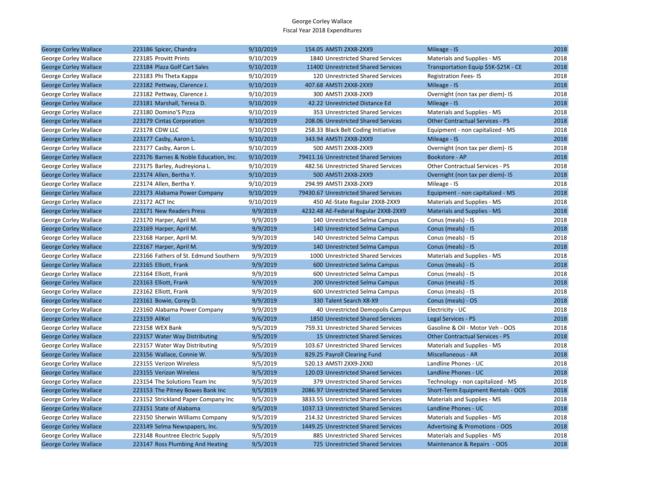| <b>George Corley Wallace</b> | 223186 Spicer, Chandra                | 9/10/2019 | 154.05 AMSTI 2XX8-2XX9                | Mileage - IS                              | 2018 |
|------------------------------|---------------------------------------|-----------|---------------------------------------|-------------------------------------------|------|
| George Corley Wallace        | 223185 Provitt Prints                 | 9/10/2019 | 1840 Unrestricted Shared Services     | Materials and Supplies - MS               | 2018 |
| <b>George Corley Wallace</b> | 223184 Plaza Golf Cart Sales          | 9/10/2019 | 11400 Unrestricted Shared Services    | Transportation Equip \$5K-\$25K - CE      | 2018 |
| George Corley Wallace        | 223183 Phi Theta Kappa                | 9/10/2019 | 120 Unrestricted Shared Services      | <b>Registration Fees-IS</b>               | 2018 |
| <b>George Corley Wallace</b> | 223182 Pettway, Clarence J.           | 9/10/2019 | 407.68 AMSTI 2XX8-2XX9                | Mileage - IS                              | 2018 |
| George Corley Wallace        | 223182 Pettway, Clarence J.           | 9/10/2019 | 300 AMSTI 2XX8-2XX9                   | Overnight (non tax per diem)- IS          | 2018 |
| <b>George Corley Wallace</b> | 223181 Marshall, Teresa D.            | 9/10/2019 | 42.22 Unrestricted Distance Ed        | Mileage - IS                              | 2018 |
| George Corley Wallace        | 223180 Domino'S Pizza                 | 9/10/2019 | 353 Unrestricted Shared Services      | Materials and Supplies - MS               | 2018 |
| <b>George Corley Wallace</b> | 223179 Cintas Corporation             | 9/10/2019 | 208.06 Unrestricted Shared Services   | <b>Other Contractual Services - PS</b>    | 2018 |
| George Corley Wallace        | 223178 CDW LLC                        | 9/10/2019 | 258.33 Black Belt Coding Initiative   | Equipment - non capitalized - MS          | 2018 |
| <b>George Corley Wallace</b> | 223177 Casby, Aaron L.                | 9/10/2019 | 343.94 AMSTI 2XX8-2XX9                | Mileage - IS                              | 2018 |
| George Corley Wallace        | 223177 Casby, Aaron L.                | 9/10/2019 | 500 AMSTI 2XX8-2XX9                   | Overnight (non tax per diem)- IS          | 2018 |
| <b>George Corley Wallace</b> | 223176 Barnes & Noble Education, Inc. | 9/10/2019 | 79411.16 Unrestricted Shared Services | <b>Bookstore - AP</b>                     | 2018 |
| George Corley Wallace        | 223175 Barley, Audreyiona L.          | 9/10/2019 | 482.56 Unrestricted Shared Services   | Other Contractual Services - PS           | 2018 |
| <b>George Corley Wallace</b> | 223174 Allen, Bertha Y.               | 9/10/2019 | 500 AMSTI 2XX8-2XX9                   | Overnight (non tax per diem)- IS          | 2018 |
| George Corley Wallace        | 223174 Allen, Bertha Y.               | 9/10/2019 | 294.99 AMSTI 2XX8-2XX9                | Mileage - IS                              | 2018 |
| <b>George Corley Wallace</b> | 223173 Alabama Power Company          | 9/10/2019 | 79430.67 Unrestricted Shared Services | Equipment - non capitalized - MS          | 2018 |
| George Corley Wallace        | 223172 ACT Inc                        | 9/10/2019 | 450 AE-State Regular 2XX8-2XX9        | Materials and Supplies - MS               | 2018 |
| <b>George Corley Wallace</b> | 223171 New Readers Press              | 9/9/2019  | 4232.48 AE-Federal Regular 2XX8-2XX9  | <b>Materials and Supplies - MS</b>        | 2018 |
| George Corley Wallace        | 223170 Harper, April M.               | 9/9/2019  | 140 Unrestricted Selma Campus         | Conus (meals) - IS                        | 2018 |
| <b>George Corley Wallace</b> | 223169 Harper, April M.               | 9/9/2019  | 140 Unrestricted Selma Campus         | Conus (meals) - IS                        | 2018 |
| George Corley Wallace        | 223168 Harper, April M.               | 9/9/2019  | 140 Unrestricted Selma Campus         | Conus (meals) - IS                        | 2018 |
| <b>George Corley Wallace</b> | 223167 Harper, April M.               | 9/9/2019  | 140 Unrestricted Selma Campus         | Conus (meals) - IS                        | 2018 |
| George Corley Wallace        | 223166 Fathers of St. Edmund Southern | 9/9/2019  | 1000 Unrestricted Shared Services     | Materials and Supplies - MS               | 2018 |
| <b>George Corley Wallace</b> | 223165 Elliott, Frank                 | 9/9/2019  | 600 Unrestricted Selma Campus         | Conus (meals) - IS                        | 2018 |
| George Corley Wallace        | 223164 Elliott, Frank                 | 9/9/2019  | 600 Unrestricted Selma Campus         | Conus (meals) - IS                        | 2018 |
| <b>George Corley Wallace</b> | 223163 Elliott, Frank                 | 9/9/2019  | 200 Unrestricted Selma Campus         | Conus (meals) - IS                        | 2018 |
| George Corley Wallace        | 223162 Elliott, Frank                 | 9/9/2019  | 600 Unrestricted Selma Campus         | Conus (meals) - IS                        | 2018 |
| <b>George Corley Wallace</b> | 223161 Bowie, Corey D.                | 9/9/2019  | 330 Talent Search X8-X9               | Conus (meals) - OS                        | 2018 |
| George Corley Wallace        | 223160 Alabama Power Company          | 9/9/2019  | 40 Unrestricted Demopolis Campus      | Electricity - UC                          | 2018 |
| <b>George Corley Wallace</b> | 223159 AllKel                         | 9/6/2019  | 1850 Unrestricted Shared Services     | Legal Services - PS                       | 2018 |
| George Corley Wallace        | 223158 WEX Bank                       | 9/5/2019  | 759.31 Unrestricted Shared Services   | Gasoline & Oil - Motor Veh - OOS          | 2018 |
| <b>George Corley Wallace</b> | 223157 Water Way Distributing         | 9/5/2019  | 15 Unrestricted Shared Services       | <b>Other Contractual Services - PS</b>    | 2018 |
| George Corley Wallace        | 223157 Water Way Distributing         | 9/5/2019  | 103.67 Unrestricted Shared Services   | Materials and Supplies - MS               | 2018 |
| <b>George Corley Wallace</b> | 223156 Wallace, Connie W.             | 9/5/2019  | 829.25 Payroll Clearing Fund          | Miscellaneous - AR                        | 2018 |
| George Corley Wallace        | 223155 Verizon Wireless               | 9/5/2019  | 520.13 AMSTI 2XX9-2XX0                | Landline Phones - UC                      | 2018 |
| <b>George Corley Wallace</b> | 223155 Verizon Wireless               | 9/5/2019  | 120.03 Unrestricted Shared Services   | Landline Phones - UC                      | 2018 |
| George Corley Wallace        | 223154 The Solutions Team Inc         | 9/5/2019  | 379 Unrestricted Shared Services      | Technology - non capitalized - MS         | 2018 |
| <b>George Corley Wallace</b> | 223153 The Pitney Bowes Bank Inc      | 9/5/2019  | 2086.97 Unrestricted Shared Services  | Short-Term Equipment Rentals - OOS        | 2018 |
| George Corley Wallace        | 223152 Strickland Paper Company Inc   | 9/5/2019  | 3833.55 Unrestricted Shared Services  | Materials and Supplies - MS               | 2018 |
| <b>George Corley Wallace</b> | 223151 State of Alabama               | 9/5/2019  | 1037.13 Unrestricted Shared Services  | Landline Phones - UC                      | 2018 |
| George Corley Wallace        | 223150 Sherwin Williams Company       | 9/5/2019  | 214.32 Unrestricted Shared Services   | Materials and Supplies - MS               | 2018 |
| <b>George Corley Wallace</b> | 223149 Selma Newspapers, Inc.         | 9/5/2019  | 1449.25 Unrestricted Shared Services  | <b>Advertising &amp; Promotions - OOS</b> | 2018 |
| George Corley Wallace        | 223148 Rountree Electric Supply       | 9/5/2019  | 885 Unrestricted Shared Services      | Materials and Supplies - MS               | 2018 |
| <b>George Corley Wallace</b> | 223147 Ross Plumbing And Heating      | 9/5/2019  | 725 Unrestricted Shared Services      | Maintenance & Repairs - OOS               | 2018 |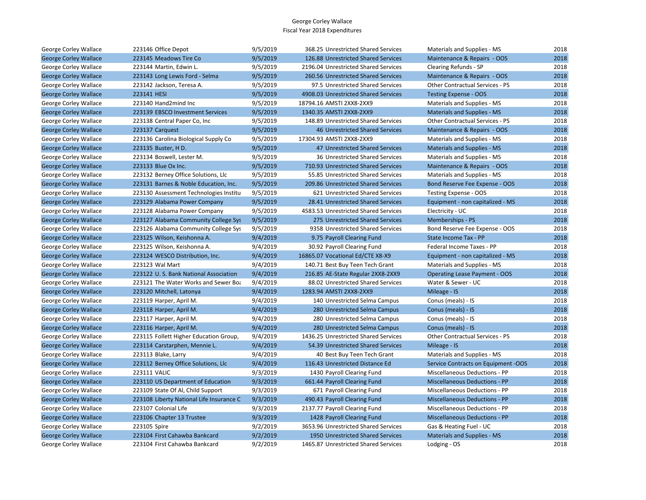| George Corley Wallace        | 223146 Office Depot                      | 9/5/2019 | 368.25 Unrestricted Shared Services    | Materials and Supplies - MS            | 2018 |
|------------------------------|------------------------------------------|----------|----------------------------------------|----------------------------------------|------|
| <b>George Corley Wallace</b> | 223145 Meadows Tire Co                   | 9/5/2019 | 126.88 Unrestricted Shared Services    | Maintenance & Repairs - OOS            | 2018 |
| George Corley Wallace        | 223144 Martin, Edwin L.                  | 9/5/2019 | 2196.04 Unrestricted Shared Services   | Clearing Refunds - SP                  | 2018 |
| <b>George Corley Wallace</b> | 223143 Long Lewis Ford - Selma           | 9/5/2019 | 260.56 Unrestricted Shared Services    | Maintenance & Repairs - OOS            | 2018 |
| George Corley Wallace        | 223142 Jackson, Teresa A.                | 9/5/2019 | 97.5 Unrestricted Shared Services      | <b>Other Contractual Services - PS</b> | 2018 |
| <b>George Corley Wallace</b> | 223141 HESI                              | 9/5/2019 | 4908.03 Unrestricted Shared Services   | <b>Testing Expense - OOS</b>           | 2018 |
| George Corley Wallace        | 223140 Hand2mind Inc                     | 9/5/2019 | 18794.16 AMSTI 2XX8-2XX9               | Materials and Supplies - MS            | 2018 |
| <b>George Corley Wallace</b> | 223139 EBSCO Investment Services         | 9/5/2019 | 1340.35 AMSTI 2XX8-2XX9                | Materials and Supplies - MS            | 2018 |
| George Corley Wallace        | 223138 Central Paper Co, Inc             | 9/5/2019 | 148.89 Unrestricted Shared Services    | <b>Other Contractual Services - PS</b> | 2018 |
| <b>George Corley Wallace</b> | 223137 Carquest                          | 9/5/2019 | <b>46 Unrestricted Shared Services</b> | Maintenance & Repairs - OOS            | 2018 |
| George Corley Wallace        | 223136 Carolina Biological Supply Co     | 9/5/2019 | 17304.93 AMSTI 2XX8-2XX9               | Materials and Supplies - MS            | 2018 |
| <b>George Corley Wallace</b> | 223135 Buster, H D.                      | 9/5/2019 | 47 Unrestricted Shared Services        | <b>Materials and Supplies - MS</b>     | 2018 |
| George Corley Wallace        | 223134 Boswell, Lester M.                | 9/5/2019 | 36 Unrestricted Shared Services        | Materials and Supplies - MS            | 2018 |
| <b>George Corley Wallace</b> | 223133 Blue Ox Inc.                      | 9/5/2019 | 710.93 Unrestricted Shared Services    | Maintenance & Repairs - OOS            | 2018 |
| George Corley Wallace        | 223132 Berney Office Solutions, Llc      | 9/5/2019 | 55.85 Unrestricted Shared Services     | Materials and Supplies - MS            | 2018 |
| <b>George Corley Wallace</b> | 223131 Barnes & Noble Education, Inc.    | 9/5/2019 | 209.86 Unrestricted Shared Services    | Bond Reserve Fee Expense - OOS         | 2018 |
| George Corley Wallace        | 223130 Assessment Technologies Institu   | 9/5/2019 | 621 Unrestricted Shared Services       | Testing Expense - OOS                  | 2018 |
| <b>George Corley Wallace</b> | 223129 Alabama Power Company             | 9/5/2019 | 28.41 Unrestricted Shared Services     | Equipment - non capitalized - MS       | 2018 |
| George Corley Wallace        | 223128 Alabama Power Company             | 9/5/2019 | 4583.53 Unrestricted Shared Services   | Electricity - UC                       | 2018 |
| <b>George Corley Wallace</b> | 223127 Alabama Community College Sys     | 9/5/2019 | 275 Unrestricted Shared Services       | Memberships - PS                       | 2018 |
| George Corley Wallace        | 223126 Alabama Community College Sys     | 9/5/2019 | 9358 Unrestricted Shared Services      | Bond Reserve Fee Expense - OOS         | 2018 |
| <b>George Corley Wallace</b> | 223125 Wilson, Keishonna A.              | 9/4/2019 | 9.75 Payroll Clearing Fund             | State Income Tax - PP                  | 2018 |
| George Corley Wallace        | 223125 Wilson, Keishonna A.              | 9/4/2019 | 30.92 Payroll Clearing Fund            | Federal Income Taxes - PP              | 2018 |
| <b>George Corley Wallace</b> | 223124 WESCO Distribution, Inc.          | 9/4/2019 | 16865.07 Vocational Ed/CTE X8-X9       | Equipment - non capitalized - MS       | 2018 |
| George Corley Wallace        | 223123 Wal Mart                          | 9/4/2019 | 140.71 Best Buy Teen Tech Grant        | Materials and Supplies - MS            | 2018 |
| <b>George Corley Wallace</b> | 223122 U.S. Bank National Association    | 9/4/2019 | 216.85 AE-State Regular 2XX8-2XX9      | <b>Operating Lease Payment - OOS</b>   | 2018 |
| George Corley Wallace        | 223121 The Water Works and Sewer Boa     | 9/4/2019 | 88.02 Unrestricted Shared Services     | Water & Sewer - UC                     | 2018 |
| <b>George Corley Wallace</b> | 223120 Mitchell, Latonya                 | 9/4/2019 | 1283.94 AMSTI 2XX8-2XX9                | Mileage - IS                           | 2018 |
| George Corley Wallace        | 223119 Harper, April M.                  | 9/4/2019 | 140 Unrestricted Selma Campus          | Conus (meals) - IS                     | 2018 |
| <b>George Corley Wallace</b> | 223118 Harper, April M.                  | 9/4/2019 | 280 Unrestricted Selma Campus          | Conus (meals) - IS                     | 2018 |
| George Corley Wallace        | 223117 Harper, April M.                  | 9/4/2019 | 280 Unrestricted Selma Campus          | Conus (meals) - IS                     | 2018 |
| <b>George Corley Wallace</b> | 223116 Harper, April M.                  | 9/4/2019 | 280 Unrestricted Selma Campus          | Conus (meals) - IS                     | 2018 |
| George Corley Wallace        | 223115 Follett Higher Education Group,   | 9/4/2019 | 1436.25 Unrestricted Shared Services   | <b>Other Contractual Services - PS</b> | 2018 |
| <b>George Corley Wallace</b> | 223114 Carstarphen, Mennie L.            | 9/4/2019 | 54.39 Unrestricted Shared Services     | Mileage - IS                           | 2018 |
| George Corley Wallace        | 223113 Blake, Larry                      | 9/4/2019 | 40 Best Buy Teen Tech Grant            | Materials and Supplies - MS            | 2018 |
| <b>George Corley Wallace</b> | 223112 Berney Office Solutions, Llc      | 9/4/2019 | 116.43 Unrestricted Distance Ed        | Service Contracts on Equipment -OOS    | 2018 |
| George Corley Wallace        | 223111 VALIC                             | 9/3/2019 | 1430 Payroll Clearing Fund             | Miscellaneous Deductions - PP          | 2018 |
| <b>George Corley Wallace</b> | 223110 US Department of Education        | 9/3/2019 | 661.44 Payroll Clearing Fund           | <b>Miscellaneous Deductions - PP</b>   | 2018 |
| George Corley Wallace        | 223109 State Of Al, Child Support        | 9/3/2019 | 671 Payroll Clearing Fund              | Miscellaneous Deductions - PP          | 2018 |
| <b>George Corley Wallace</b> | 223108 Liberty National Life Insurance C | 9/3/2019 | 490.43 Payroll Clearing Fund           | <b>Miscellaneous Deductions - PP</b>   | 2018 |
| George Corley Wallace        | 223107 Colonial Life                     | 9/3/2019 | 2137.77 Payroll Clearing Fund          | <b>Miscellaneous Deductions - PP</b>   | 2018 |
| <b>George Corley Wallace</b> | 223106 Chapter 13 Trustee                | 9/3/2019 | 1428 Payroll Clearing Fund             | <b>Miscellaneous Deductions - PP</b>   | 2018 |
| George Corley Wallace        | 223105 Spire                             | 9/2/2019 | 3653.96 Unrestricted Shared Services   | Gas & Heating Fuel - UC                | 2018 |
| <b>George Corley Wallace</b> | 223104 First Cahawba Bankcard            | 9/2/2019 | 1950 Unrestricted Shared Services      | <b>Materials and Supplies - MS</b>     | 2018 |
| George Corley Wallace        | 223104 First Cahawba Bankcard            | 9/2/2019 | 1465.87 Unrestricted Shared Services   | Lodging - OS                           | 2018 |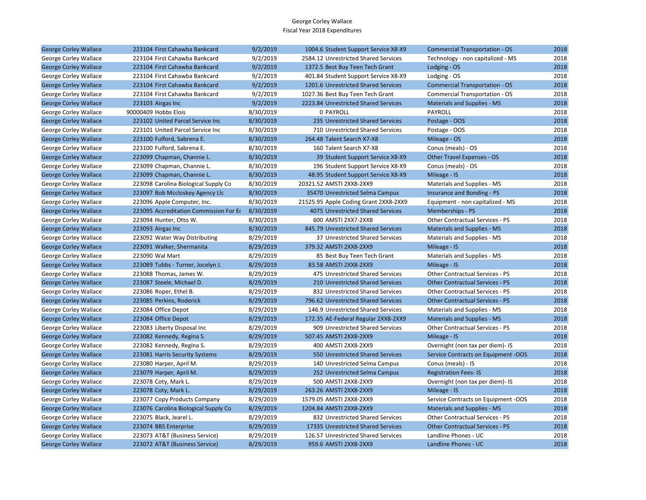| George Corley Wallace        | 223104 First Cahawba Bankcard          | 9/2/2019  | 1004.6 Student Support Service X8-X9  | <b>Commercial Transportation - OS</b>  | 2018 |
|------------------------------|----------------------------------------|-----------|---------------------------------------|----------------------------------------|------|
| George Corley Wallace        | 223104 First Cahawba Bankcard          | 9/2/2019  | 2584.12 Unrestricted Shared Services  | Technology - non capitalized - MS      | 2018 |
| <b>George Corley Wallace</b> | 223104 First Cahawba Bankcard          | 9/2/2019  | 1372.5 Best Buy Teen Tech Grant       | Lodging - OS                           | 2018 |
| George Corley Wallace        | 223104 First Cahawba Bankcard          | 9/2/2019  | 401.84 Student Support Service X8-X9  | Lodging - OS                           | 2018 |
| <b>George Corley Wallace</b> | 223104 First Cahawba Bankcard          | 9/2/2019  | 1201.6 Unrestricted Shared Services   | <b>Commercial Transportation - OS</b>  | 2018 |
| George Corley Wallace        | 223104 First Cahawba Bankcard          | 9/2/2019  | 1027.36 Best Buy Teen Tech Grant      | Commercial Transportation - OS         | 2018 |
| <b>George Corley Wallace</b> | 223103 Airgas Inc                      | 9/2/2019  | 2223.84 Unrestricted Shared Services  | <b>Materials and Supplies - MS</b>     | 2018 |
| George Corley Wallace        | 90000409 Hobbs Elois                   | 8/30/2019 | 0 PAYROLL                             | PAYROLL                                | 2018 |
| <b>George Corley Wallace</b> | 223102 United Parcel Service Inc       | 8/30/2019 | 235 Unrestricted Shared Services      | Postage - OOS                          | 2018 |
| George Corley Wallace        | 223101 United Parcel Service Inc       | 8/30/2019 | 710 Unrestricted Shared Services      | Postage - OOS                          | 2018 |
| <b>George Corley Wallace</b> | 223100 Fulford, Sabrena E.             | 8/30/2019 | 264.48 Talent Search X7-X8            | Mileage - OS                           | 2018 |
| George Corley Wallace        | 223100 Fulford, Sabrena E.             | 8/30/2019 | 160 Talent Search X7-X8               | Conus (meals) - OS                     | 2018 |
| <b>George Corley Wallace</b> | 223099 Chapman, Channie L.             | 8/30/2019 | 39 Student Support Service X8-X9      | Other Travel Expenses - OS             | 2018 |
| George Corley Wallace        | 223099 Chapman, Channie L.             | 8/30/2019 | 196 Student Support Service X8-X9     | Conus (meals) - OS                     | 2018 |
| <b>George Corley Wallace</b> | 223099 Chapman, Channie L.             | 8/30/2019 | 48.95 Student Support Service X8-X9   | Mileage - IS                           | 2018 |
| George Corley Wallace        | 223098 Carolina Biological Supply Co   | 8/30/2019 | 20321.52 AMSTI 2XX8-2XX9              | Materials and Supplies - MS            | 2018 |
| <b>George Corley Wallace</b> | 223097 Bob Mccloskey Agency Llc        | 8/30/2019 | 35470 Unrestricted Selma Campus       | Insurance and Bonding - PS             | 2018 |
| George Corley Wallace        | 223096 Apple Computer, Inc.            | 8/30/2019 | 21525.95 Apple Coding Grant 2XX8-2XX9 | Equipment - non capitalized - MS       | 2018 |
| <b>George Corley Wallace</b> | 223095 Accreditation Commission For Ed | 8/30/2019 | 4075 Unrestricted Shared Services     | Memberships - PS                       | 2018 |
| George Corley Wallace        | 223094 Hunter, Otto W.                 | 8/30/2019 | 600 AMSTI 2XX7-2XX8                   | Other Contractual Services - PS        | 2018 |
| <b>George Corley Wallace</b> | 223093 Airgas Inc                      | 8/30/2019 | 845.79 Unrestricted Shared Services   | <b>Materials and Supplies - MS</b>     | 2018 |
| George Corley Wallace        | 223092 Water Way Distributing          | 8/29/2019 | 37 Unrestricted Shared Services       | Materials and Supplies - MS            | 2018 |
| <b>George Corley Wallace</b> | 223091 Walker, Shermanita              | 8/29/2019 | 379.32 AMSTI 2XX8-2XX9                | Mileage - IS                           | 2018 |
| George Corley Wallace        | 223090 Wal Mart                        | 8/29/2019 | 85 Best Buy Teen Tech Grant           | Materials and Supplies - MS            | 2018 |
| <b>George Corley Wallace</b> | 223089 Tubbs - Turner, Jocelyn J.      | 8/29/2019 | 83.58 AMSTI 2XX8-2XX9                 | Mileage - IS                           | 2018 |
| George Corley Wallace        | 223088 Thomas, James W.                | 8/29/2019 | 475 Unrestricted Shared Services      | Other Contractual Services - PS        | 2018 |
| <b>George Corley Wallace</b> | 223087 Steele, Michael D.              | 8/29/2019 | 210 Unrestricted Shared Services      | <b>Other Contractual Services - PS</b> | 2018 |
| George Corley Wallace        | 223086 Roper, Ethel B.                 | 8/29/2019 | 832 Unrestricted Shared Services      | Other Contractual Services - PS        | 2018 |
| <b>George Corley Wallace</b> | 223085 Perkins, Roderick               | 8/29/2019 | 796.62 Unrestricted Shared Services   | <b>Other Contractual Services - PS</b> | 2018 |
| George Corley Wallace        | 223084 Office Depot                    | 8/29/2019 | 146.9 Unrestricted Shared Services    | Materials and Supplies - MS            | 2018 |
| <b>George Corley Wallace</b> | 223084 Office Depot                    | 8/29/2019 | 172.35 AE-Federal Regular 2XX8-2XX9   | <b>Materials and Supplies - MS</b>     | 2018 |
| George Corley Wallace        | 223083 Liberty Disposal Inc            | 8/29/2019 | 909 Unrestricted Shared Services      | <b>Other Contractual Services - PS</b> | 2018 |
| <b>George Corley Wallace</b> | 223082 Kennedy, Regina S.              | 8/29/2019 | 507.45 AMSTI 2XX8-2XX9                | Mileage - IS                           | 2018 |
| George Corley Wallace        | 223082 Kennedy, Regina S.              | 8/29/2019 | 400 AMSTI 2XX8-2XX9                   | Overnight (non tax per diem)- IS       | 2018 |
| <b>George Corley Wallace</b> | 223081 Harris Security Systems         | 8/29/2019 | 550 Unrestricted Shared Services      | Service Contracts on Equipment -OOS    | 2018 |
| George Corley Wallace        | 223080 Harper, April M.                | 8/29/2019 | 140 Unrestricted Selma Campus         | Conus (meals) - IS                     | 2018 |
| <b>George Corley Wallace</b> | 223079 Harper, April M.                | 8/29/2019 | 252 Unrestricted Selma Campus         | <b>Registration Fees-IS</b>            | 2018 |
| George Corley Wallace        | 223078 Coty, Mark L.                   | 8/29/2019 | 500 AMSTI 2XX8-2XX9                   | Overnight (non tax per diem)- IS       | 2018 |
| <b>George Corley Wallace</b> | 223078 Coty, Mark L.                   | 8/29/2019 | 263.26 AMSTI 2XX8-2XX9                | Mileage - IS                           | 2018 |
| George Corley Wallace        | 223077 Copy Products Company           | 8/29/2019 | 1579.05 AMSTI 2XX8-2XX9               | Service Contracts on Equipment -OOS    | 2018 |
| <b>George Corley Wallace</b> | 223076 Carolina Biological Supply Co   | 8/29/2019 | 1204.84 AMSTI 2XX8-2XX9               | <b>Materials and Supplies - MS</b>     | 2018 |
| George Corley Wallace        | 223075 Black, Jearel L.                | 8/29/2019 | 832 Unrestricted Shared Services      | Other Contractual Services - PS        | 2018 |
| <b>George Corley Wallace</b> | 223074 BBS Enterprise                  | 8/29/2019 | 17335 Unrestricted Shared Services    | <b>Other Contractual Services - PS</b> | 2018 |
| George Corley Wallace        | 223073 AT&T (Business Service)         | 8/29/2019 | 126.57 Unrestricted Shared Services   | Landline Phones - UC                   | 2018 |
| <b>George Corley Wallace</b> | 223072 AT&T (Business Service)         | 8/29/2019 | 959.6 AMSTI 2XX8-2XX9                 | Landline Phones - UC                   | 2018 |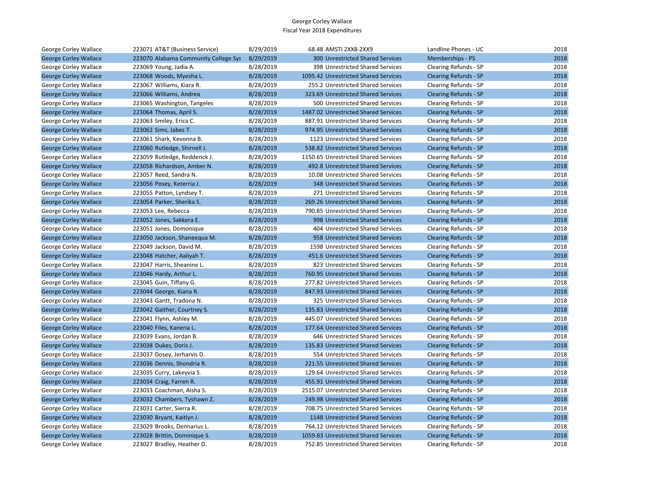| George Corley Wallace        | 223071 AT&T (Business Service)       | 8/29/2019 | 68.48 AMSTI 2XX8-2XX9                | Landline Phones - UC         | 2018 |
|------------------------------|--------------------------------------|-----------|--------------------------------------|------------------------------|------|
| <b>George Corley Wallace</b> | 223070 Alabama Community College Sys | 8/29/2019 | 300 Unrestricted Shared Services     | Memberships - PS             | 2018 |
| George Corley Wallace        | 223069 Young, Jadia A.               | 8/28/2019 | 398 Unrestricted Shared Services     | Clearing Refunds - SP        | 2018 |
| <b>George Corley Wallace</b> | 223068 Woods, Myesha L.              | 8/28/2019 | 1095.42 Unrestricted Shared Services | <b>Clearing Refunds - SP</b> | 2018 |
| George Corley Wallace        | 223067 Williams, Kiara R.            | 8/28/2019 | 255.2 Unrestricted Shared Services   | Clearing Refunds - SP        | 2018 |
| <b>George Corley Wallace</b> | 223066 Williams, Andrea              | 8/28/2019 | 323.69 Unrestricted Shared Services  | <b>Clearing Refunds - SP</b> | 2018 |
| George Corley Wallace        | 223065 Washington, Tangeles          | 8/28/2019 | 500 Unrestricted Shared Services     | Clearing Refunds - SP        | 2018 |
| <b>George Corley Wallace</b> | 223064 Thomas, April S.              | 8/28/2019 | 1487.02 Unrestricted Shared Services | <b>Clearing Refunds - SP</b> | 2018 |
| George Corley Wallace        | 223063 Smiley, Erica C.              | 8/28/2019 | 887.91 Unrestricted Shared Services  | Clearing Refunds - SP        | 2018 |
| <b>George Corley Wallace</b> | 223062 Sims, Jabez T.                | 8/28/2019 | 974.95 Unrestricted Shared Services  | <b>Clearing Refunds - SP</b> | 2018 |
| George Corley Wallace        | 223061 Shark, Kevonna B.             | 8/28/2019 | 1123 Unrestricted Shared Services    | Clearing Refunds - SP        | 2018 |
| <b>George Corley Wallace</b> | 223060 Rutledge, Shirnell J.         | 8/28/2019 | 538.82 Unrestricted Shared Services  | <b>Clearing Refunds - SP</b> | 2018 |
| George Corley Wallace        | 223059 Rutledge, Redderick J.        | 8/28/2019 | 1150.65 Unrestricted Shared Services | Clearing Refunds - SP        | 2018 |
| <b>George Corley Wallace</b> | 223058 Richardson, Amber N.          | 8/28/2019 | 492.8 Unrestricted Shared Services   | <b>Clearing Refunds - SP</b> | 2018 |
| George Corley Wallace        | 223057 Reed, Sandra N.               | 8/28/2019 | 10.08 Unrestricted Shared Services   | Clearing Refunds - SP        | 2018 |
| <b>George Corley Wallace</b> | 223056 Posey, Keterria J.            | 8/28/2019 | 348 Unrestricted Shared Services     | <b>Clearing Refunds - SP</b> | 2018 |
| George Corley Wallace        | 223055 Patton, Lyndsey T.            | 8/28/2019 | 271 Unrestricted Shared Services     | Clearing Refunds - SP        | 2018 |
| <b>George Corley Wallace</b> | 223054 Parker, Sherika S.            | 8/28/2019 | 269.26 Unrestricted Shared Services  | <b>Clearing Refunds - SP</b> | 2018 |
| George Corley Wallace        | 223053 Lee, Rebecca                  | 8/28/2019 | 790.85 Unrestricted Shared Services  | Clearing Refunds - SP        | 2018 |
| <b>George Corley Wallace</b> | 223052 Jones, Sakkera E.             | 8/28/2019 | 998 Unrestricted Shared Services     | <b>Clearing Refunds - SP</b> | 2018 |
| George Corley Wallace        | 223051 Jones, Domonique              | 8/28/2019 | 404 Unrestricted Shared Services     | Clearing Refunds - SP        | 2018 |
| <b>George Corley Wallace</b> | 223050 Jackson, Shaneequa M.         | 8/28/2019 | 958 Unrestricted Shared Services     | <b>Clearing Refunds - SP</b> | 2018 |
| George Corley Wallace        | 223049 Jackson, David M.             | 8/28/2019 | 1598 Unrestricted Shared Services    | Clearing Refunds - SP        | 2018 |
| <b>George Corley Wallace</b> | 223048 Hatcher, Aaliyah T.           | 8/28/2019 | 451.6 Unrestricted Shared Services   | <b>Clearing Refunds - SP</b> | 2018 |
| George Corley Wallace        | 223047 Harris, Sheanine L.           | 8/28/2019 | 823 Unrestricted Shared Services     | Clearing Refunds - SP        | 2018 |
| <b>George Corley Wallace</b> | 223046 Hardy, Arthur L.              | 8/28/2019 | 760.95 Unrestricted Shared Services  | <b>Clearing Refunds - SP</b> | 2018 |
| George Corley Wallace        | 223045 Guin, Tiffany G.              | 8/28/2019 | 277.82 Unrestricted Shared Services  | Clearing Refunds - SP        | 2018 |
| <b>George Corley Wallace</b> | 223044 George, Kiana R.              | 8/28/2019 | 847.93 Unrestricted Shared Services  | <b>Clearing Refunds - SP</b> | 2018 |
| George Corley Wallace        | 223043 Gantt, Tradona N.             | 8/28/2019 | 325 Unrestricted Shared Services     | Clearing Refunds - SP        | 2018 |
| <b>George Corley Wallace</b> | 223042 Gaither, Courtney S.          | 8/28/2019 | 135.83 Unrestricted Shared Services  | <b>Clearing Refunds - SP</b> | 2018 |
| George Corley Wallace        | 223041 Flynn, Ashley M.              | 8/28/2019 | 445.07 Unrestricted Shared Services  | Clearing Refunds - SP        | 2018 |
| <b>George Corley Wallace</b> | 223040 Files, Kaneria L.             | 8/28/2019 | 177.64 Unrestricted Shared Services  | <b>Clearing Refunds - SP</b> | 2018 |
| George Corley Wallace        | 223039 Evans, Jordan B.              | 8/28/2019 | 646 Unrestricted Shared Services     | Clearing Refunds - SP        | 2018 |
| <b>George Corley Wallace</b> | 223038 Dukes, Doris J.               | 8/28/2019 | 135.83 Unrestricted Shared Services  | <b>Clearing Refunds - SP</b> | 2018 |
| George Corley Wallace        | 223037 Dosey, Jerharvis D.           | 8/28/2019 | 554 Unrestricted Shared Services     | Clearing Refunds - SP        | 2018 |
| <b>George Corley Wallace</b> | 223036 Dennis, Shondria R.           | 8/28/2019 | 221.55 Unrestricted Shared Services  | <b>Clearing Refunds - SP</b> | 2018 |
| George Corley Wallace        | 223035 Curry, Lakeyvia S.            | 8/28/2019 | 129.64 Unrestricted Shared Services  | Clearing Refunds - SP        | 2018 |
| <b>George Corley Wallace</b> | 223034 Craig, Farren R.              | 8/28/2019 | 455.91 Unrestricted Shared Services  | <b>Clearing Refunds - SP</b> | 2018 |
| George Corley Wallace        | 223033 Coachman, Aisha S.            | 8/28/2019 | 2515.07 Unrestricted Shared Services | Clearing Refunds - SP        | 2018 |
| <b>George Corley Wallace</b> | 223032 Chambers, Tyshawn Z.          | 8/28/2019 | 249.98 Unrestricted Shared Services  | <b>Clearing Refunds - SP</b> | 2018 |
| George Corley Wallace        | 223031 Carter, Sierra R.             | 8/28/2019 | 708.75 Unrestricted Shared Services  | Clearing Refunds - SP        | 2018 |
| <b>George Corley Wallace</b> | 223030 Bryant, Kaitlyn J.            | 8/28/2019 | 1148 Unrestricted Shared Services    | <b>Clearing Refunds - SP</b> | 2018 |
| George Corley Wallace        | 223029 Brooks, Dennarius L.          | 8/28/2019 | 764.12 Unrestricted Shared Services  | Clearing Refunds - SP        | 2018 |
| <b>George Corley Wallace</b> | 223028 Brittin, Dominique S.         | 8/28/2019 | 1059.83 Unrestricted Shared Services | <b>Clearing Refunds - SP</b> | 2018 |
| George Corley Wallace        | 223027 Bradley, Heather D.           | 8/28/2019 | 752.85 Unrestricted Shared Services  | Clearing Refunds - SP        | 2018 |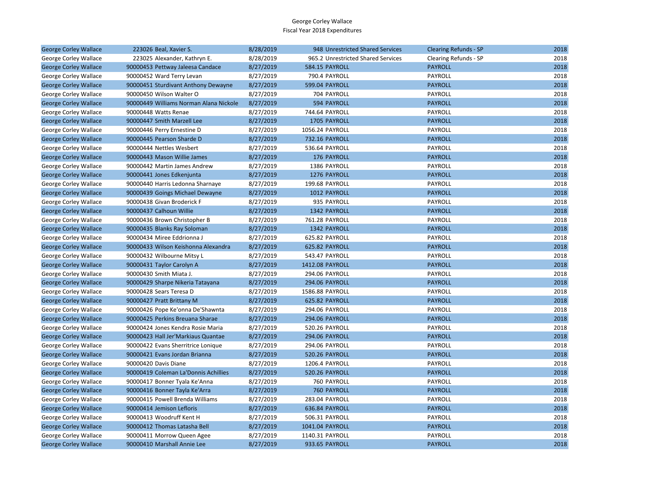| <b>George Corley Wallace</b> | 223026 Beal, Xavier S.                 | 8/28/2019 | 948 Unrestricted Shared Services   | <b>Clearing Refunds - SP</b> | 2018 |
|------------------------------|----------------------------------------|-----------|------------------------------------|------------------------------|------|
| George Corley Wallace        | 223025 Alexander, Kathryn E.           | 8/28/2019 | 965.2 Unrestricted Shared Services | Clearing Refunds - SP        | 2018 |
| <b>George Corley Wallace</b> | 90000453 Pettway Jaleesa Candace       | 8/27/2019 | 584.15 PAYROLL                     | <b>PAYROLL</b>               | 2018 |
| George Corley Wallace        | 90000452 Ward Terry Levan              | 8/27/2019 | 790.4 PAYROLL                      | PAYROLL                      | 2018 |
| <b>George Corley Wallace</b> | 90000451 Sturdivant Anthony Dewayne    | 8/27/2019 | 599.04 PAYROLL                     | <b>PAYROLL</b>               | 2018 |
| George Corley Wallace        | 90000450 Wilson Walter O               | 8/27/2019 | 704 PAYROLL                        | PAYROLL                      | 2018 |
| <b>George Corley Wallace</b> | 90000449 Williams Norman Alana Nickole | 8/27/2019 | 594 PAYROLL                        | <b>PAYROLL</b>               | 2018 |
| George Corley Wallace        | 90000448 Watts Renae                   | 8/27/2019 | 744.64 PAYROLL                     | PAYROLL                      | 2018 |
| <b>George Corley Wallace</b> | 90000447 Smith Marzell Lee             | 8/27/2019 | 1705 PAYROLL                       | <b>PAYROLL</b>               | 2018 |
| George Corley Wallace        | 90000446 Perry Ernestine D             | 8/27/2019 | 1056.24 PAYROLL                    | PAYROLL                      | 2018 |
| <b>George Corley Wallace</b> | 90000445 Pearson Sharde D              | 8/27/2019 | 732.16 PAYROLL                     | <b>PAYROLL</b>               | 2018 |
| George Corley Wallace        | 90000444 Nettles Wesbert               | 8/27/2019 | 536.64 PAYROLL                     | PAYROLL                      | 2018 |
| <b>George Corley Wallace</b> | 90000443 Mason Willie James            | 8/27/2019 | 176 PAYROLL                        | <b>PAYROLL</b>               | 2018 |
| George Corley Wallace        | 90000442 Martin James Andrew           | 8/27/2019 | 1386 PAYROLL                       | PAYROLL                      | 2018 |
| <b>George Corley Wallace</b> | 90000441 Jones Edkenjunta              | 8/27/2019 | 1276 PAYROLL                       | <b>PAYROLL</b>               | 2018 |
| George Corley Wallace        | 90000440 Harris Ledonna Sharnaye       | 8/27/2019 | 199.68 PAYROLL                     | PAYROLL                      | 2018 |
| <b>George Corley Wallace</b> | 90000439 Goings Michael Dewayne        | 8/27/2019 | 1012 PAYROLL                       | <b>PAYROLL</b>               | 2018 |
| George Corley Wallace        | 90000438 Givan Broderick F             | 8/27/2019 | 935 PAYROLL                        | PAYROLL                      | 2018 |
| <b>George Corley Wallace</b> | 90000437 Calhoun Willie                | 8/27/2019 | 1342 PAYROLL                       | <b>PAYROLL</b>               | 2018 |
| George Corley Wallace        | 90000436 Brown Christopher B           | 8/27/2019 | 761.28 PAYROLL                     | PAYROLL                      | 2018 |
| <b>George Corley Wallace</b> | 90000435 Blanks Ray Soloman            | 8/27/2019 | 1342 PAYROLL                       | <b>PAYROLL</b>               | 2018 |
| George Corley Wallace        | 90000434 Miree Eddrionna J             | 8/27/2019 | 625.82 PAYROLL                     | PAYROLL                      | 2018 |
| <b>George Corley Wallace</b> | 90000433 Wilson Keishonna Alexandra    | 8/27/2019 | 625.82 PAYROLL                     | <b>PAYROLL</b>               | 2018 |
| George Corley Wallace        | 90000432 Wilbourne Mitsy L             | 8/27/2019 | 543.47 PAYROLL                     | PAYROLL                      | 2018 |
| <b>George Corley Wallace</b> | 90000431 Taylor Carolyn A              | 8/27/2019 | 1412.08 PAYROLL                    | <b>PAYROLL</b>               | 2018 |
| George Corley Wallace        | 90000430 Smith Miata J.                | 8/27/2019 | 294.06 PAYROLL                     | <b>PAYROLL</b>               | 2018 |
| <b>George Corley Wallace</b> | 90000429 Sharpe Nikeria Tatayana       | 8/27/2019 | <b>294.06 PAYROLL</b>              | <b>PAYROLL</b>               | 2018 |
| George Corley Wallace        | 90000428 Sears Teresa D                | 8/27/2019 | 1586.88 PAYROLL                    | PAYROLL                      | 2018 |
| <b>George Corley Wallace</b> | 90000427 Pratt Brittany M              | 8/27/2019 | 625.82 PAYROLL                     | <b>PAYROLL</b>               | 2018 |
| George Corley Wallace        | 90000426 Pope Ke'onna De'Shawnta       | 8/27/2019 | 294.06 PAYROLL                     | PAYROLL                      | 2018 |
| <b>George Corley Wallace</b> | 90000425 Perkins Breuana Sharae        | 8/27/2019 | <b>294.06 PAYROLL</b>              | <b>PAYROLL</b>               | 2018 |
| George Corley Wallace        | 90000424 Jones Kendra Rosie Maria      | 8/27/2019 | 520.26 PAYROLL                     | PAYROLL                      | 2018 |
| <b>George Corley Wallace</b> | 90000423 Hall Jer'Markiaus Quantae     | 8/27/2019 | 294.06 PAYROLL                     | <b>PAYROLL</b>               | 2018 |
| George Corley Wallace        | 90000422 Evans Sherritrice Lonique     | 8/27/2019 | 294.06 PAYROLL                     | PAYROLL                      | 2018 |
| <b>George Corley Wallace</b> | 90000421 Evans Jordan Brianna          | 8/27/2019 | 520.26 PAYROLL                     | <b>PAYROLL</b>               | 2018 |
| George Corley Wallace        | 90000420 Davis Diane                   | 8/27/2019 | 1206.4 PAYROLL                     | PAYROLL                      | 2018 |
| <b>George Corley Wallace</b> | 90000419 Coleman La'Donnis Achillies   | 8/27/2019 | 520.26 PAYROLL                     | <b>PAYROLL</b>               | 2018 |
| George Corley Wallace        | 90000417 Bonner Tyala Ke'Anna          | 8/27/2019 | 760 PAYROLL                        | PAYROLL                      | 2018 |
| <b>George Corley Wallace</b> | 90000416 Bonner Tayla Ke'Arra          | 8/27/2019 | <b>760 PAYROLL</b>                 | <b>PAYROLL</b>               | 2018 |
| George Corley Wallace        | 90000415 Powell Brenda Williams        | 8/27/2019 | 283.04 PAYROLL                     | PAYROLL                      | 2018 |
| <b>George Corley Wallace</b> | 90000414 Jemison Lefloris              | 8/27/2019 | 636.84 PAYROLL                     | <b>PAYROLL</b>               | 2018 |
| George Corley Wallace        | 90000413 Woodruff Kent H               | 8/27/2019 | 506.31 PAYROLL                     | PAYROLL                      | 2018 |
| <b>George Corley Wallace</b> | 90000412 Thomas Latasha Bell           | 8/27/2019 | 1041.04 PAYROLL                    | <b>PAYROLL</b>               | 2018 |
| George Corley Wallace        | 90000411 Morrow Queen Agee             | 8/27/2019 | 1140.31 PAYROLL                    | PAYROLL                      | 2018 |
| <b>George Corley Wallace</b> | 90000410 Marshall Annie Lee            | 8/27/2019 | 933.65 PAYROLL                     | <b>PAYROLL</b>               | 2018 |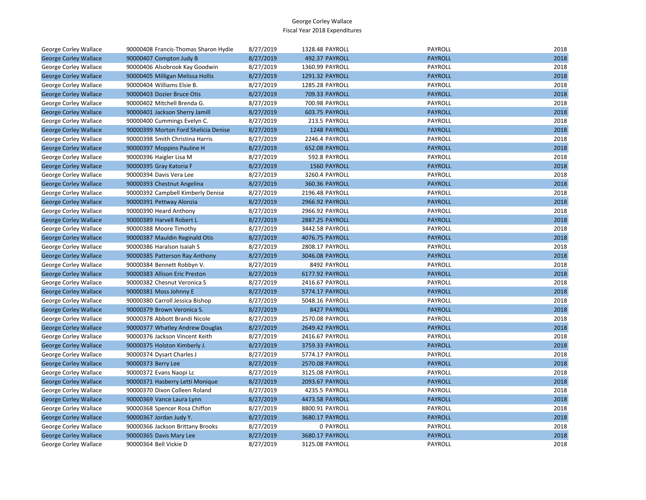| George Corley Wallace        | 90000408 Francis-Thomas Sharon Hydie | 8/27/2019 | 1328.48 PAYROLL | PAYROLL        | 2018 |
|------------------------------|--------------------------------------|-----------|-----------------|----------------|------|
| <b>George Corley Wallace</b> | 90000407 Compton Judy B              | 8/27/2019 | 492.37 PAYROLL  | <b>PAYROLL</b> | 2018 |
| George Corley Wallace        | 90000406 Alsobrook Kay Goodwin       | 8/27/2019 | 1360.99 PAYROLL | PAYROLL        | 2018 |
| <b>George Corley Wallace</b> | 90000405 Milligan Melissa Hollis     | 8/27/2019 | 1291.32 PAYROLL | <b>PAYROLL</b> | 2018 |
| George Corley Wallace        | 90000404 Williams Elsie B.           | 8/27/2019 | 1285.28 PAYROLL | PAYROLL        | 2018 |
| <b>George Corley Wallace</b> | 90000403 Dozier Bruce Otis           | 8/27/2019 | 709.33 PAYROLL  | <b>PAYROLL</b> | 2018 |
| George Corley Wallace        | 90000402 Mitchell Brenda G.          | 8/27/2019 | 700.98 PAYROLL  | PAYROLL        | 2018 |
| <b>George Corley Wallace</b> | 90000401 Jackson Sherry Jamill       | 8/27/2019 | 603.75 PAYROLL  | <b>PAYROLL</b> | 2018 |
| George Corley Wallace        | 90000400 Cummings Evelyn C.          | 8/27/2019 | 213.5 PAYROLL   | PAYROLL        | 2018 |
| <b>George Corley Wallace</b> | 90000399 Morton Ford Shelicia Denise | 8/27/2019 | 1248 PAYROLL    | <b>PAYROLL</b> | 2018 |
| George Corley Wallace        | 90000398 Smith Christina Harris      | 8/27/2019 | 2246.4 PAYROLL  | PAYROLL        | 2018 |
| <b>George Corley Wallace</b> | 90000397 Moppins Pauline H           | 8/27/2019 | 652.08 PAYROLL  | <b>PAYROLL</b> | 2018 |
| George Corley Wallace        | 90000396 Haigler Lisa M              | 8/27/2019 | 592.8 PAYROLL   | PAYROLL        | 2018 |
| <b>George Corley Wallace</b> | 90000395 Gray Katoria F              | 8/27/2019 | 1560 PAYROLL    | <b>PAYROLL</b> | 2018 |
| George Corley Wallace        | 90000394 Davis Vera Lee              | 8/27/2019 | 3260.4 PAYROLL  | PAYROLL        | 2018 |
| <b>George Corley Wallace</b> | 90000393 Chestnut Angelina           | 8/27/2019 | 360.36 PAYROLL  | <b>PAYROLL</b> | 2018 |
| George Corley Wallace        | 90000392 Campbell Kimberly Denise    | 8/27/2019 | 2196.48 PAYROLL | PAYROLL        | 2018 |
| <b>George Corley Wallace</b> | 90000391 Pettway Alonzia             | 8/27/2019 | 2966.92 PAYROLL | <b>PAYROLL</b> | 2018 |
| George Corley Wallace        | 90000390 Heard Anthony               | 8/27/2019 | 2966.92 PAYROLL | PAYROLL        | 2018 |
| <b>George Corley Wallace</b> | 90000389 Harvell Robert L            | 8/27/2019 | 2887.25 PAYROLL | <b>PAYROLL</b> | 2018 |
| George Corley Wallace        | 90000388 Moore Timothy               | 8/27/2019 | 3442.58 PAYROLL | <b>PAYROLL</b> | 2018 |
| <b>George Corley Wallace</b> | 90000387 Mauldin Reginald Otis       | 8/27/2019 | 4076.75 PAYROLL | <b>PAYROLL</b> | 2018 |
| George Corley Wallace        | 90000386 Haralson Isaiah S           | 8/27/2019 | 2808.17 PAYROLL | PAYROLL        | 2018 |
| <b>George Corley Wallace</b> | 90000385 Patterson Ray Anthony       | 8/27/2019 | 3046.08 PAYROLL | <b>PAYROLL</b> | 2018 |
| George Corley Wallace        | 90000384 Bennett Robbyn V.           | 8/27/2019 | 8492 PAYROLL    | PAYROLL        | 2018 |
| <b>George Corley Wallace</b> | 90000383 Allison Eric Preston        | 8/27/2019 | 6177.92 PAYROLL | <b>PAYROLL</b> | 2018 |
| George Corley Wallace        | 90000382 Chesnut Veronica S          | 8/27/2019 | 2416.67 PAYROLL | PAYROLL        | 2018 |
| <b>George Corley Wallace</b> | 90000381 Moss Johnny E               | 8/27/2019 | 5774.17 PAYROLL | <b>PAYROLL</b> | 2018 |
| George Corley Wallace        | 90000380 Carroll Jessica Bishop      | 8/27/2019 | 5048.16 PAYROLL | PAYROLL        | 2018 |
| <b>George Corley Wallace</b> | 90000379 Brown Veronica S.           | 8/27/2019 | 8427 PAYROLL    | <b>PAYROLL</b> | 2018 |
| George Corley Wallace        | 90000378 Abbott Brandi Nicole        | 8/27/2019 | 2570.08 PAYROLL | PAYROLL        | 2018 |
| <b>George Corley Wallace</b> | 90000377 Whatley Andrew Douglas      | 8/27/2019 | 2649.42 PAYROLL | <b>PAYROLL</b> | 2018 |
| George Corley Wallace        | 90000376 Jackson Vincent Keith       | 8/27/2019 | 2416.67 PAYROLL | PAYROLL        | 2018 |
| <b>George Corley Wallace</b> | 90000375 Holston Kimberly J.         | 8/27/2019 | 3759.33 PAYROLL | <b>PAYROLL</b> | 2018 |
| George Corley Wallace        | 90000374 Dysart Charles J            | 8/27/2019 | 5774.17 PAYROLL | PAYROLL        | 2018 |
| <b>George Corley Wallace</b> | 90000373 Berry Lee                   | 8/27/2019 | 2570.08 PAYROLL | <b>PAYROLL</b> | 2018 |
| George Corley Wallace        | 90000372 Evans Naopi Lc              | 8/27/2019 | 3125.08 PAYROLL | PAYROLL        | 2018 |
| <b>George Corley Wallace</b> | 90000371 Hasberry Letti Monique      | 8/27/2019 | 2093.67 PAYROLL | <b>PAYROLL</b> | 2018 |
| George Corley Wallace        | 90000370 Dixon Colleen Roland        | 8/27/2019 | 4235.5 PAYROLL  | PAYROLL        | 2018 |
| <b>George Corley Wallace</b> | 90000369 Vance Laura Lynn            | 8/27/2019 | 4473.58 PAYROLL | <b>PAYROLL</b> | 2018 |
| George Corley Wallace        | 90000368 Spencer Rosa Chiffon        | 8/27/2019 | 8800.91 PAYROLL | PAYROLL        | 2018 |
| <b>George Corley Wallace</b> | 90000367 Jordan Judy Y.              | 8/27/2019 | 3680.17 PAYROLL | <b>PAYROLL</b> | 2018 |
| George Corley Wallace        | 90000366 Jackson Brittany Brooks     | 8/27/2019 | 0 PAYROLL       | PAYROLL        | 2018 |
| <b>George Corley Wallace</b> | 90000365 Davis Mary Lee              | 8/27/2019 | 3680.17 PAYROLL | <b>PAYROLL</b> | 2018 |
| George Corley Wallace        | 90000364 Bell Vickie D               | 8/27/2019 | 3125.08 PAYROLL | PAYROLL        | 2018 |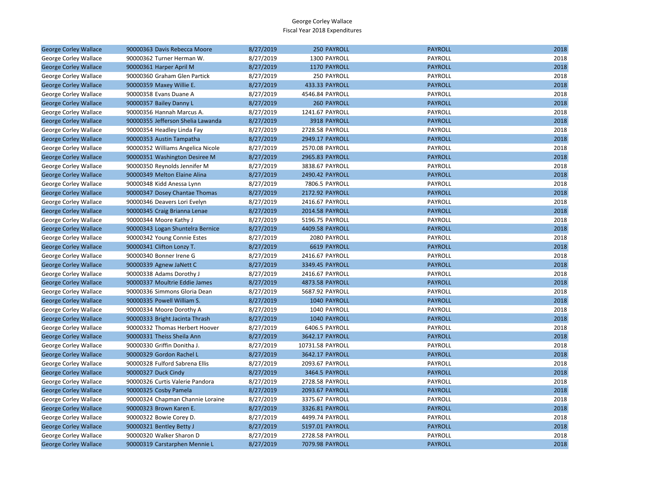| <b>George Corley Wallace</b> | 90000363 Davis Rebecca Moore      | 8/27/2019 | 250 PAYROLL        | <b>PAYROLL</b> | 2018 |
|------------------------------|-----------------------------------|-----------|--------------------|----------------|------|
| George Corley Wallace        | 90000362 Turner Herman W.         | 8/27/2019 | 1300 PAYROLL       | PAYROLL        | 2018 |
| <b>George Corley Wallace</b> | 90000361 Harper April M           | 8/27/2019 | 1170 PAYROLL       | <b>PAYROLL</b> | 2018 |
| George Corley Wallace        | 90000360 Graham Glen Partick      | 8/27/2019 | 250 PAYROLL        | PAYROLL        | 2018 |
| <b>George Corley Wallace</b> | 90000359 Maxey Willie E.          | 8/27/2019 | 433.33 PAYROLL     | <b>PAYROLL</b> | 2018 |
| George Corley Wallace        | 90000358 Evans Duane A            | 8/27/2019 | 4546.84 PAYROLL    | PAYROLL        | 2018 |
| <b>George Corley Wallace</b> | 90000357 Bailey Danny L           | 8/27/2019 | <b>260 PAYROLL</b> | <b>PAYROLL</b> | 2018 |
| George Corley Wallace        | 90000356 Hannah Marcus A.         | 8/27/2019 | 1241.67 PAYROLL    | PAYROLL        | 2018 |
| <b>George Corley Wallace</b> | 90000355 Jefferson Shelia Lawanda | 8/27/2019 | 3918 PAYROLL       | <b>PAYROLL</b> | 2018 |
| George Corley Wallace        | 90000354 Headley Linda Fay        | 8/27/2019 | 2728.58 PAYROLL    | PAYROLL        | 2018 |
| <b>George Corley Wallace</b> | 90000353 Austin Tampatha          | 8/27/2019 | 2949.17 PAYROLL    | <b>PAYROLL</b> | 2018 |
| George Corley Wallace        | 90000352 Williams Angelica Nicole | 8/27/2019 | 2570.08 PAYROLL    | PAYROLL        | 2018 |
| <b>George Corley Wallace</b> | 90000351 Washington Desiree M     | 8/27/2019 | 2965.83 PAYROLL    | <b>PAYROLL</b> | 2018 |
| George Corley Wallace        | 90000350 Reynolds Jennifer M      | 8/27/2019 | 3838.67 PAYROLL    | PAYROLL        | 2018 |
| <b>George Corley Wallace</b> | 90000349 Melton Elaine Alina      | 8/27/2019 | 2490.42 PAYROLL    | <b>PAYROLL</b> | 2018 |
| George Corley Wallace        | 90000348 Kidd Anessa Lynn         | 8/27/2019 | 7806.5 PAYROLL     | PAYROLL        | 2018 |
| <b>George Corley Wallace</b> | 90000347 Dosey Chantae Thomas     | 8/27/2019 | 2172.92 PAYROLL    | <b>PAYROLL</b> | 2018 |
| George Corley Wallace        | 90000346 Deavers Lori Evelyn      | 8/27/2019 | 2416.67 PAYROLL    | PAYROLL        | 2018 |
| <b>George Corley Wallace</b> | 90000345 Craig Brianna Lenae      | 8/27/2019 | 2014.58 PAYROLL    | <b>PAYROLL</b> | 2018 |
| George Corley Wallace        | 90000344 Moore Kathy J            | 8/27/2019 | 5196.75 PAYROLL    | PAYROLL        | 2018 |
| <b>George Corley Wallace</b> | 90000343 Logan Shuntelra Bernice  | 8/27/2019 | 4409.58 PAYROLL    | <b>PAYROLL</b> | 2018 |
| George Corley Wallace        | 90000342 Young Connie Estes       | 8/27/2019 | 2080 PAYROLL       | PAYROLL        | 2018 |
| <b>George Corley Wallace</b> | 90000341 Clifton Lonzy T.         | 8/27/2019 | 6619 PAYROLL       | <b>PAYROLL</b> | 2018 |
| George Corley Wallace        | 90000340 Bonner Irene G           | 8/27/2019 | 2416.67 PAYROLL    | <b>PAYROLL</b> | 2018 |
| <b>George Corley Wallace</b> | 90000339 Agnew JaNett C           | 8/27/2019 | 3349.45 PAYROLL    | <b>PAYROLL</b> | 2018 |
| George Corley Wallace        | 90000338 Adams Dorothy J          | 8/27/2019 | 2416.67 PAYROLL    | <b>PAYROLL</b> | 2018 |
| <b>George Corley Wallace</b> | 90000337 Moultrie Eddie James     | 8/27/2019 | 4873.58 PAYROLL    | <b>PAYROLL</b> | 2018 |
| George Corley Wallace        | 90000336 Simmons Gloria Dean      | 8/27/2019 | 5687.92 PAYROLL    | PAYROLL        | 2018 |
| <b>George Corley Wallace</b> | 90000335 Powell William S.        | 8/27/2019 | 1040 PAYROLL       | <b>PAYROLL</b> | 2018 |
| George Corley Wallace        | 90000334 Moore Dorothy A          | 8/27/2019 | 1040 PAYROLL       | PAYROLL        | 2018 |
| <b>George Corley Wallace</b> | 90000333 Bright Jacinta Thrash    | 8/27/2019 | 1040 PAYROLL       | <b>PAYROLL</b> | 2018 |
| George Corley Wallace        | 90000332 Thomas Herbert Hoover    | 8/27/2019 | 6406.5 PAYROLL     | <b>PAYROLL</b> | 2018 |
| <b>George Corley Wallace</b> | 90000331 Theiss Sheila Ann        | 8/27/2019 | 3642.17 PAYROLL    | <b>PAYROLL</b> | 2018 |
| George Corley Wallace        | 90000330 Griffin Donitha J.       | 8/27/2019 | 10731.58 PAYROLL   | PAYROLL        | 2018 |
| <b>George Corley Wallace</b> | 90000329 Gordon Rachel L          | 8/27/2019 | 3642.17 PAYROLL    | <b>PAYROLL</b> | 2018 |
| George Corley Wallace        | 90000328 Fulford Sabrena Ellis    | 8/27/2019 | 2093.67 PAYROLL    | PAYROLL        | 2018 |
| <b>George Corley Wallace</b> | 90000327 Duck Cindy               | 8/27/2019 | 3464.5 PAYROLL     | <b>PAYROLL</b> | 2018 |
| George Corley Wallace        | 90000326 Curtis Valerie Pandora   | 8/27/2019 | 2728.58 PAYROLL    | PAYROLL        | 2018 |
| <b>George Corley Wallace</b> | 90000325 Cosby Pamela             | 8/27/2019 | 2093.67 PAYROLL    | <b>PAYROLL</b> | 2018 |
| George Corley Wallace        | 90000324 Chapman Channie Loraine  | 8/27/2019 | 3375.67 PAYROLL    | PAYROLL        | 2018 |
| <b>George Corley Wallace</b> | 90000323 Brown Karen E.           | 8/27/2019 | 3326.81 PAYROLL    | <b>PAYROLL</b> | 2018 |
| George Corley Wallace        | 90000322 Bowie Corey D.           | 8/27/2019 | 4499.74 PAYROLL    | <b>PAYROLL</b> | 2018 |
| <b>George Corley Wallace</b> | 90000321 Bentley Betty J          | 8/27/2019 | 5197.01 PAYROLL    | <b>PAYROLL</b> | 2018 |
| George Corley Wallace        | 90000320 Walker Sharon D          | 8/27/2019 | 2728.58 PAYROLL    | PAYROLL        | 2018 |
| <b>George Corley Wallace</b> | 90000319 Carstarphen Mennie L     | 8/27/2019 | 7079.98 PAYROLL    | <b>PAYROLL</b> | 2018 |
|                              |                                   |           |                    |                |      |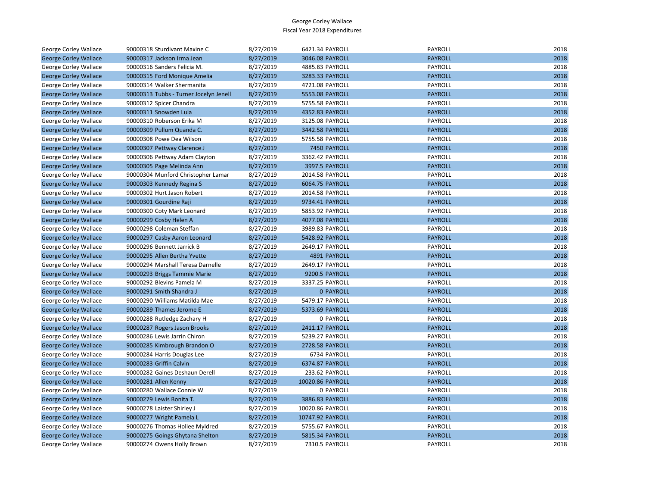| George Corley Wallace        | 90000318 Sturdivant Maxine C           | 8/27/2019 | 6421.34 PAYROLL  | PAYROLL        | 2018 |
|------------------------------|----------------------------------------|-----------|------------------|----------------|------|
| <b>George Corley Wallace</b> | 90000317 Jackson Irma Jean             | 8/27/2019 | 3046.08 PAYROLL  | <b>PAYROLL</b> | 2018 |
| George Corley Wallace        | 90000316 Sanders Felicia M.            | 8/27/2019 | 4885.83 PAYROLL  | <b>PAYROLL</b> | 2018 |
| <b>George Corley Wallace</b> | 90000315 Ford Monique Amelia           | 8/27/2019 | 3283.33 PAYROLL  | <b>PAYROLL</b> | 2018 |
| George Corley Wallace        | 90000314 Walker Shermanita             | 8/27/2019 | 4721.08 PAYROLL  | PAYROLL        | 2018 |
| <b>George Corley Wallace</b> | 90000313 Tubbs - Turner Jocelyn Jenell | 8/27/2019 | 5553.08 PAYROLL  | <b>PAYROLL</b> | 2018 |
| George Corley Wallace        | 90000312 Spicer Chandra                | 8/27/2019 | 5755.58 PAYROLL  | PAYROLL        | 2018 |
| <b>George Corley Wallace</b> | 90000311 Snowden Lula                  | 8/27/2019 | 4352.83 PAYROLL  | <b>PAYROLL</b> | 2018 |
| George Corley Wallace        | 90000310 Roberson Erika M              | 8/27/2019 | 3125.08 PAYROLL  | PAYROLL        | 2018 |
| <b>George Corley Wallace</b> | 90000309 Pullum Quanda C.              | 8/27/2019 | 3442.58 PAYROLL  | <b>PAYROLL</b> | 2018 |
| George Corley Wallace        | 90000308 Powe Dea Wilson               | 8/27/2019 | 5755.58 PAYROLL  | PAYROLL        | 2018 |
| <b>George Corley Wallace</b> | 90000307 Pettway Clarence J            | 8/27/2019 | 7450 PAYROLL     | <b>PAYROLL</b> | 2018 |
| George Corley Wallace        | 90000306 Pettway Adam Clayton          | 8/27/2019 | 3362.42 PAYROLL  | PAYROLL        | 2018 |
| <b>George Corley Wallace</b> | 90000305 Page Melinda Ann              | 8/27/2019 | 3997.5 PAYROLL   | <b>PAYROLL</b> | 2018 |
| George Corley Wallace        | 90000304 Munford Christopher Lamar     | 8/27/2019 | 2014.58 PAYROLL  | PAYROLL        | 2018 |
| <b>George Corley Wallace</b> | 90000303 Kennedy Regina S              | 8/27/2019 | 6064.75 PAYROLL  | <b>PAYROLL</b> | 2018 |
| George Corley Wallace        | 90000302 Hurt Jason Robert             | 8/27/2019 | 2014.58 PAYROLL  | PAYROLL        | 2018 |
| <b>George Corley Wallace</b> | 90000301 Gourdine Raji                 | 8/27/2019 | 9734.41 PAYROLL  | <b>PAYROLL</b> | 2018 |
| George Corley Wallace        | 90000300 Coty Mark Leonard             | 8/27/2019 | 5853.92 PAYROLL  | PAYROLL        | 2018 |
| <b>George Corley Wallace</b> | 90000299 Cosby Helen A                 | 8/27/2019 | 4077.08 PAYROLL  | <b>PAYROLL</b> | 2018 |
| George Corley Wallace        | 90000298 Coleman Steffan               | 8/27/2019 | 3989.83 PAYROLL  | PAYROLL        | 2018 |
| <b>George Corley Wallace</b> | 90000297 Casby Aaron Leonard           | 8/27/2019 | 5428.92 PAYROLL  | <b>PAYROLL</b> | 2018 |
| George Corley Wallace        | 90000296 Bennett Jarrick B             | 8/27/2019 | 2649.17 PAYROLL  | PAYROLL        | 2018 |
| <b>George Corley Wallace</b> | 90000295 Allen Bertha Yvette           | 8/27/2019 | 4891 PAYROLL     | <b>PAYROLL</b> | 2018 |
| George Corley Wallace        | 90000294 Marshall Teresa Darnelle      | 8/27/2019 | 2649.17 PAYROLL  | PAYROLL        | 2018 |
| <b>George Corley Wallace</b> | 90000293 Briggs Tammie Marie           | 8/27/2019 | 9200.5 PAYROLL   | <b>PAYROLL</b> | 2018 |
| George Corley Wallace        | 90000292 Blevins Pamela M              | 8/27/2019 | 3337.25 PAYROLL  | <b>PAYROLL</b> | 2018 |
| <b>George Corley Wallace</b> | 90000291 Smith Shandra J               | 8/27/2019 | <b>0 PAYROLL</b> | <b>PAYROLL</b> | 2018 |
| George Corley Wallace        | 90000290 Williams Matilda Mae          | 8/27/2019 | 5479.17 PAYROLL  | PAYROLL        | 2018 |
| <b>George Corley Wallace</b> | 90000289 Thames Jerome E               | 8/27/2019 | 5373.69 PAYROLL  | <b>PAYROLL</b> | 2018 |
| George Corley Wallace        | 90000288 Rutledge Zachary H            | 8/27/2019 | 0 PAYROLL        | PAYROLL        | 2018 |
| <b>George Corley Wallace</b> | 90000287 Rogers Jason Brooks           | 8/27/2019 | 2411.17 PAYROLL  | <b>PAYROLL</b> | 2018 |
| George Corley Wallace        | 90000286 Lewis Jarrin Chiron           | 8/27/2019 | 5239.27 PAYROLL  | PAYROLL        | 2018 |
| <b>George Corley Wallace</b> | 90000285 Kimbrough Brandon O           | 8/27/2019 | 2728.58 PAYROLL  | <b>PAYROLL</b> | 2018 |
| George Corley Wallace        | 90000284 Harris Douglas Lee            | 8/27/2019 | 6734 PAYROLL     | PAYROLL        | 2018 |
| <b>George Corley Wallace</b> | 90000283 Griffin Calvin                | 8/27/2019 | 6374.87 PAYROLL  | <b>PAYROLL</b> | 2018 |
| George Corley Wallace        | 90000282 Gaines Deshaun Derell         | 8/27/2019 | 233.62 PAYROLL   | PAYROLL        | 2018 |
| <b>George Corley Wallace</b> | 90000281 Allen Kenny                   | 8/27/2019 | 10020.86 PAYROLL | <b>PAYROLL</b> | 2018 |
| George Corley Wallace        | 90000280 Wallace Connie W              | 8/27/2019 | 0 PAYROLL        | PAYROLL        | 2018 |
| <b>George Corley Wallace</b> | 90000279 Lewis Bonita T.               | 8/27/2019 | 3886.83 PAYROLL  | <b>PAYROLL</b> | 2018 |
| George Corley Wallace        | 90000278 Laister Shirley J             | 8/27/2019 | 10020.86 PAYROLL | PAYROLL        | 2018 |
| <b>George Corley Wallace</b> | 90000277 Wright Pamela L               | 8/27/2019 | 10747.92 PAYROLL | <b>PAYROLL</b> | 2018 |
| George Corley Wallace        | 90000276 Thomas Hollee Myldred         | 8/27/2019 | 5755.67 PAYROLL  | PAYROLL        | 2018 |
| <b>George Corley Wallace</b> | 90000275 Goings Ghytana Shelton        | 8/27/2019 | 5815.34 PAYROLL  | <b>PAYROLL</b> | 2018 |
| George Corley Wallace        | 90000274 Owens Holly Brown             | 8/27/2019 | 7310.5 PAYROLL   | PAYROLL        | 2018 |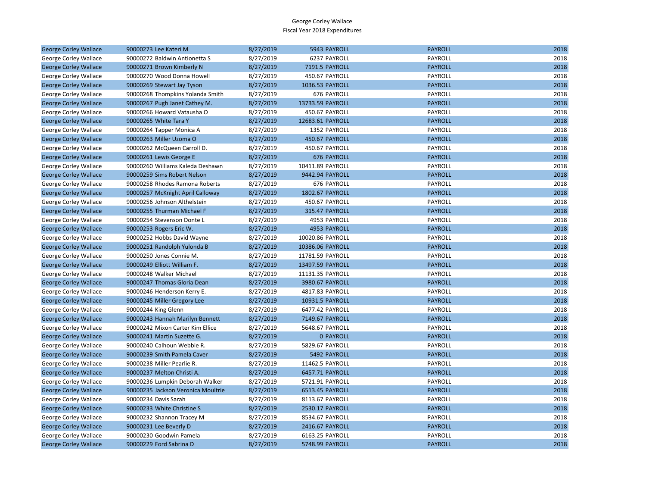| <b>George Corley Wallace</b> | 90000273 Lee Kateri M              | 8/27/2019 | 5943 PAYROLL           | <b>PAYROLL</b> | 2018 |
|------------------------------|------------------------------------|-----------|------------------------|----------------|------|
| George Corley Wallace        | 90000272 Baldwin Antionetta S      | 8/27/2019 | 6237 PAYROLL           | PAYROLL        | 2018 |
| <b>George Corley Wallace</b> | 90000271 Brown Kimberly N          | 8/27/2019 | 7191.5 PAYROLL         | <b>PAYROLL</b> | 2018 |
| George Corley Wallace        | 90000270 Wood Donna Howell         | 8/27/2019 | 450.67 PAYROLL         | PAYROLL        | 2018 |
| <b>George Corley Wallace</b> | 90000269 Stewart Jay Tyson         | 8/27/2019 | 1036.53 PAYROLL        | <b>PAYROLL</b> | 2018 |
| George Corley Wallace        | 90000268 Thompkins Yolanda Smith   | 8/27/2019 | 676 PAYROLL            | <b>PAYROLL</b> | 2018 |
| <b>George Corley Wallace</b> | 90000267 Pugh Janet Cathey M.      | 8/27/2019 | 13733.59 PAYROLL       | <b>PAYROLL</b> | 2018 |
| George Corley Wallace        | 90000266 Howard Vatausha O         | 8/27/2019 | 450.67 PAYROLL         | PAYROLL        | 2018 |
| <b>George Corley Wallace</b> | 90000265 White Tara Y              | 8/27/2019 | 12683.61 PAYROLL       | <b>PAYROLL</b> | 2018 |
| George Corley Wallace        | 90000264 Tapper Monica A           | 8/27/2019 | 1352 PAYROLL           | PAYROLL        | 2018 |
| <b>George Corley Wallace</b> | 90000263 Miller Uzoma O            | 8/27/2019 | 450.67 PAYROLL         | <b>PAYROLL</b> | 2018 |
| George Corley Wallace        | 90000262 McQueen Carroll D.        | 8/27/2019 | 450.67 PAYROLL         | PAYROLL        | 2018 |
| <b>George Corley Wallace</b> | 90000261 Lewis George E            | 8/27/2019 | 676 PAYROLL            | <b>PAYROLL</b> | 2018 |
| George Corley Wallace        | 90000260 Williams Kaleda Deshawn   | 8/27/2019 | 10411.89 PAYROLL       | PAYROLL        | 2018 |
| <b>George Corley Wallace</b> | 90000259 Sims Robert Nelson        | 8/27/2019 | 9442.94 PAYROLL        | <b>PAYROLL</b> | 2018 |
| George Corley Wallace        | 90000258 Rhodes Ramona Roberts     | 8/27/2019 | 676 PAYROLL            | <b>PAYROLL</b> | 2018 |
| <b>George Corley Wallace</b> | 90000257 McKnight April Calloway   | 8/27/2019 | <b>1802.67 PAYROLL</b> | <b>PAYROLL</b> | 2018 |
| George Corley Wallace        | 90000256 Johnson Althelstein       | 8/27/2019 | 450.67 PAYROLL         | PAYROLL        | 2018 |
| <b>George Corley Wallace</b> | 90000255 Thurman Michael F         | 8/27/2019 | 315.47 PAYROLL         | <b>PAYROLL</b> | 2018 |
| George Corley Wallace        | 90000254 Stevenson Donte L         | 8/27/2019 | 4953 PAYROLL           | <b>PAYROLL</b> | 2018 |
| <b>George Corley Wallace</b> | 90000253 Rogers Eric W.            | 8/27/2019 | 4953 PAYROLL           | <b>PAYROLL</b> | 2018 |
| George Corley Wallace        | 90000252 Hobbs David Wayne         | 8/27/2019 | 10020.86 PAYROLL       | PAYROLL        | 2018 |
| <b>George Corley Wallace</b> | 90000251 Randolph Yulonda B        | 8/27/2019 | 10386.06 PAYROLL       | <b>PAYROLL</b> | 2018 |
| George Corley Wallace        | 90000250 Jones Connie M.           | 8/27/2019 | 11781.59 PAYROLL       | PAYROLL        | 2018 |
| <b>George Corley Wallace</b> | 90000249 Elliott William F.        | 8/27/2019 | 13497.59 PAYROLL       | <b>PAYROLL</b> | 2018 |
| George Corley Wallace        | 90000248 Walker Michael            | 8/27/2019 | 11131.35 PAYROLL       | <b>PAYROLL</b> | 2018 |
| <b>George Corley Wallace</b> | 90000247 Thomas Gloria Dean        | 8/27/2019 | 3980.67 PAYROLL        | <b>PAYROLL</b> | 2018 |
| George Corley Wallace        | 90000246 Henderson Kerry E.        | 8/27/2019 | 4817.83 PAYROLL        | PAYROLL        | 2018 |
| <b>George Corley Wallace</b> | 90000245 Miller Gregory Lee        | 8/27/2019 | 10931.5 PAYROLL        | <b>PAYROLL</b> | 2018 |
| George Corley Wallace        | 90000244 King Glenn                | 8/27/2019 | 6477.42 PAYROLL        | <b>PAYROLL</b> | 2018 |
| <b>George Corley Wallace</b> | 90000243 Hannah Marilyn Bennett    | 8/27/2019 | 7149.67 PAYROLL        | <b>PAYROLL</b> | 2018 |
| George Corley Wallace        | 90000242 Mixon Carter Kim Ellice   | 8/27/2019 | 5648.67 PAYROLL        | <b>PAYROLL</b> | 2018 |
| <b>George Corley Wallace</b> | 90000241 Martin Suzette G.         | 8/27/2019 | <b>0 PAYROLL</b>       | <b>PAYROLL</b> | 2018 |
| George Corley Wallace        | 90000240 Calhoun Webbie R.         | 8/27/2019 | 5829.67 PAYROLL        | PAYROLL        | 2018 |
| <b>George Corley Wallace</b> | 90000239 Smith Pamela Caver        | 8/27/2019 | 5492 PAYROLL           | <b>PAYROLL</b> | 2018 |
| George Corley Wallace        | 90000238 Miller Pearlie R.         | 8/27/2019 | 11462.5 PAYROLL        | <b>PAYROLL</b> | 2018 |
| <b>George Corley Wallace</b> | 90000237 Melton Christi A.         | 8/27/2019 | 6457.71 PAYROLL        | <b>PAYROLL</b> | 2018 |
| George Corley Wallace        | 90000236 Lumpkin Deborah Walker    | 8/27/2019 | 5721.91 PAYROLL        | PAYROLL        | 2018 |
| <b>George Corley Wallace</b> | 90000235 Jackson Veronica Moultrie | 8/27/2019 | 6513.45 PAYROLL        | <b>PAYROLL</b> | 2018 |
| George Corley Wallace        | 90000234 Davis Sarah               | 8/27/2019 | 8113.67 PAYROLL        | PAYROLL        | 2018 |
| <b>George Corley Wallace</b> | 90000233 White Christine S         | 8/27/2019 | 2530.17 PAYROLL        | <b>PAYROLL</b> | 2018 |
| George Corley Wallace        | 90000232 Shannon Tracey M          | 8/27/2019 | 8534.67 PAYROLL        | <b>PAYROLL</b> | 2018 |
| <b>George Corley Wallace</b> | 90000231 Lee Beverly D             | 8/27/2019 | 2416.67 PAYROLL        | <b>PAYROLL</b> | 2018 |
| George Corley Wallace        | 90000230 Goodwin Pamela            | 8/27/2019 | 6163.25 PAYROLL        | PAYROLL        | 2018 |
| <b>George Corley Wallace</b> | 90000229 Ford Sabrina D            | 8/27/2019 | 5748.99 PAYROLL        | <b>PAYROLL</b> | 2018 |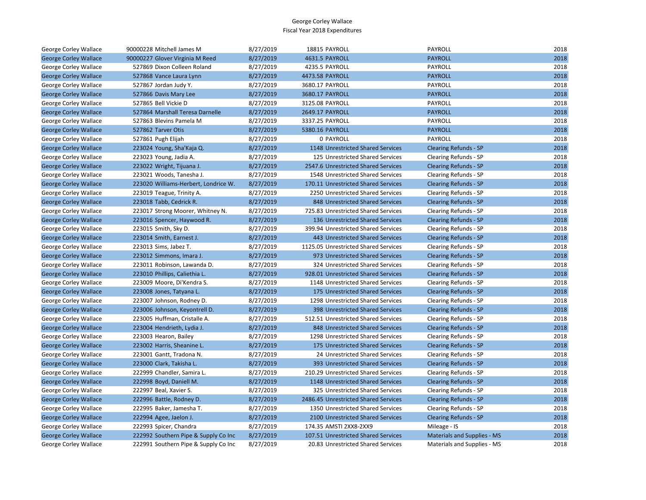| George Corley Wallace        | 90000228 Mitchell James M            | 8/27/2019 | 18815 PAYROLL                        | PAYROLL                            | 2018 |
|------------------------------|--------------------------------------|-----------|--------------------------------------|------------------------------------|------|
| <b>George Corley Wallace</b> | 90000227 Glover Virginia M Reed      | 8/27/2019 | 4631.5 PAYROLL                       | <b>PAYROLL</b>                     | 2018 |
| George Corley Wallace        | 527869 Dixon Colleen Roland          | 8/27/2019 | 4235.5 PAYROLL                       | <b>PAYROLL</b>                     | 2018 |
| <b>George Corley Wallace</b> | 527868 Vance Laura Lynn              | 8/27/2019 | 4473.58 PAYROLL                      | <b>PAYROLL</b>                     | 2018 |
| George Corley Wallace        | 527867 Jordan Judy Y.                | 8/27/2019 | 3680.17 PAYROLL                      | PAYROLL                            | 2018 |
| <b>George Corley Wallace</b> | 527866 Davis Mary Lee                | 8/27/2019 | 3680.17 PAYROLL                      | <b>PAYROLL</b>                     | 2018 |
| George Corley Wallace        | 527865 Bell Vickie D                 | 8/27/2019 | 3125.08 PAYROLL                      | PAYROLL                            | 2018 |
| <b>George Corley Wallace</b> | 527864 Marshall Teresa Darnelle      | 8/27/2019 | 2649.17 PAYROLL                      | <b>PAYROLL</b>                     | 2018 |
| George Corley Wallace        | 527863 Blevins Pamela M              | 8/27/2019 | 3337.25 PAYROLL                      | PAYROLL                            | 2018 |
| <b>George Corley Wallace</b> | 527862 Tarver Otis                   | 8/27/2019 | 5380.16 PAYROLL                      | <b>PAYROLL</b>                     | 2018 |
| George Corley Wallace        | 527861 Pugh Elijah                   | 8/27/2019 | <b>0 PAYROLL</b>                     | PAYROLL                            | 2018 |
| <b>George Corley Wallace</b> | 223024 Young, Sha'Kaja Q.            | 8/27/2019 | 1148 Unrestricted Shared Services    | <b>Clearing Refunds - SP</b>       | 2018 |
| George Corley Wallace        | 223023 Young, Jadia A.               | 8/27/2019 | 125 Unrestricted Shared Services     | Clearing Refunds - SP              | 2018 |
| <b>George Corley Wallace</b> | 223022 Wright, Tijuana J.            | 8/27/2019 | 2547.6 Unrestricted Shared Services  | <b>Clearing Refunds - SP</b>       | 2018 |
| George Corley Wallace        | 223021 Woods, Tanesha J.             | 8/27/2019 | 1548 Unrestricted Shared Services    | Clearing Refunds - SP              | 2018 |
| <b>George Corley Wallace</b> | 223020 Williams-Herbert, Londrice W. | 8/27/2019 | 170.11 Unrestricted Shared Services  | <b>Clearing Refunds - SP</b>       | 2018 |
| George Corley Wallace        | 223019 Teague, Trinity A.            | 8/27/2019 | 2250 Unrestricted Shared Services    | Clearing Refunds - SP              | 2018 |
| <b>George Corley Wallace</b> | 223018 Tabb, Cedrick R.              | 8/27/2019 | 848 Unrestricted Shared Services     | <b>Clearing Refunds - SP</b>       | 2018 |
| George Corley Wallace        | 223017 Strong Moorer, Whitney N.     | 8/27/2019 | 725.83 Unrestricted Shared Services  | Clearing Refunds - SP              | 2018 |
| <b>George Corley Wallace</b> | 223016 Spencer, Haywood R.           | 8/27/2019 | 136 Unrestricted Shared Services     | <b>Clearing Refunds - SP</b>       | 2018 |
| George Corley Wallace        | 223015 Smith, Sky D.                 | 8/27/2019 | 399.94 Unrestricted Shared Services  | Clearing Refunds - SP              | 2018 |
| <b>George Corley Wallace</b> | 223014 Smith, Earnest J.             | 8/27/2019 | 443 Unrestricted Shared Services     | <b>Clearing Refunds - SP</b>       | 2018 |
| George Corley Wallace        | 223013 Sims, Jabez T.                | 8/27/2019 | 1125.05 Unrestricted Shared Services | Clearing Refunds - SP              | 2018 |
| <b>George Corley Wallace</b> | 223012 Simmons, Imara J.             | 8/27/2019 | 973 Unrestricted Shared Services     | <b>Clearing Refunds - SP</b>       | 2018 |
| George Corley Wallace        | 223011 Robinson, Lawanda D.          | 8/27/2019 | 324 Unrestricted Shared Services     | Clearing Refunds - SP              | 2018 |
| <b>George Corley Wallace</b> | 223010 Phillips, Caliethia L.        | 8/27/2019 | 928.01 Unrestricted Shared Services  | <b>Clearing Refunds - SP</b>       | 2018 |
| George Corley Wallace        | 223009 Moore, Di'Kendra S.           | 8/27/2019 | 1148 Unrestricted Shared Services    | Clearing Refunds - SP              | 2018 |
| <b>George Corley Wallace</b> | 223008 Jones, Tatyana L.             | 8/27/2019 | 175 Unrestricted Shared Services     | <b>Clearing Refunds - SP</b>       | 2018 |
| George Corley Wallace        | 223007 Johnson, Rodney D.            | 8/27/2019 | 1298 Unrestricted Shared Services    | Clearing Refunds - SP              | 2018 |
| <b>George Corley Wallace</b> | 223006 Johnson, Keyontrell D.        | 8/27/2019 | 398 Unrestricted Shared Services     | <b>Clearing Refunds - SP</b>       | 2018 |
| George Corley Wallace        | 223005 Huffman, Cristalle A.         | 8/27/2019 | 512.51 Unrestricted Shared Services  | Clearing Refunds - SP              | 2018 |
| <b>George Corley Wallace</b> | 223004 Hendrieth, Lydia J.           | 8/27/2019 | 848 Unrestricted Shared Services     | <b>Clearing Refunds - SP</b>       | 2018 |
| George Corley Wallace        | 223003 Hearon, Bailey                | 8/27/2019 | 1298 Unrestricted Shared Services    | Clearing Refunds - SP              | 2018 |
| <b>George Corley Wallace</b> | 223002 Harris, Sheanine L.           | 8/27/2019 | 175 Unrestricted Shared Services     | <b>Clearing Refunds - SP</b>       | 2018 |
| George Corley Wallace        | 223001 Gantt, Tradona N.             | 8/27/2019 | 24 Unrestricted Shared Services      | Clearing Refunds - SP              | 2018 |
| <b>George Corley Wallace</b> | 223000 Clark, Takisha L.             | 8/27/2019 | 393 Unrestricted Shared Services     | <b>Clearing Refunds - SP</b>       | 2018 |
| George Corley Wallace        | 222999 Chandler, Samira L.           | 8/27/2019 | 210.29 Unrestricted Shared Services  | Clearing Refunds - SP              | 2018 |
| <b>George Corley Wallace</b> | 222998 Boyd, Daniell M.              | 8/27/2019 | 1148 Unrestricted Shared Services    | <b>Clearing Refunds - SP</b>       | 2018 |
| George Corley Wallace        | 222997 Beal, Xavier S.               | 8/27/2019 | 325 Unrestricted Shared Services     | Clearing Refunds - SP              | 2018 |
| <b>George Corley Wallace</b> | 222996 Battle, Rodney D.             | 8/27/2019 | 2486.45 Unrestricted Shared Services | <b>Clearing Refunds - SP</b>       | 2018 |
| George Corley Wallace        | 222995 Baker, Jamesha T.             | 8/27/2019 | 1350 Unrestricted Shared Services    | Clearing Refunds - SP              | 2018 |
| <b>George Corley Wallace</b> | 222994 Agee, Jaelon J.               | 8/27/2019 | 2100 Unrestricted Shared Services    | <b>Clearing Refunds - SP</b>       | 2018 |
| George Corley Wallace        | 222993 Spicer, Chandra               | 8/27/2019 | 174.35 AMSTI 2XX8-2XX9               | Mileage - IS                       | 2018 |
| <b>George Corley Wallace</b> | 222992 Southern Pipe & Supply Co Inc | 8/27/2019 | 107.51 Unrestricted Shared Services  | <b>Materials and Supplies - MS</b> | 2018 |
| George Corley Wallace        | 222991 Southern Pipe & Supply Co Inc | 8/27/2019 | 20.83 Unrestricted Shared Services   | Materials and Supplies - MS        | 2018 |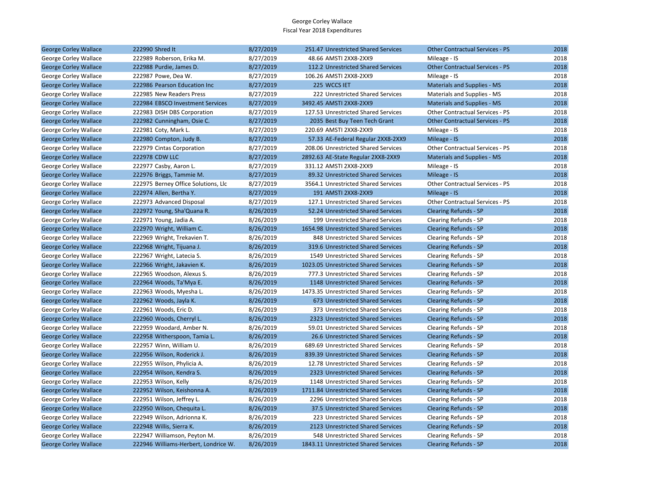| <b>George Corley Wallace</b> | 222990 Shred It                      | 8/27/2019 | 251.47 Unrestricted Shared Services  | <b>Other Contractual Services - PS</b> | 2018 |
|------------------------------|--------------------------------------|-----------|--------------------------------------|----------------------------------------|------|
| George Corley Wallace        | 222989 Roberson, Erika M.            | 8/27/2019 | 48.66 AMSTI 2XX8-2XX9                | Mileage - IS                           | 2018 |
| <b>George Corley Wallace</b> | 222988 Purdie, James D.              | 8/27/2019 | 112.2 Unrestricted Shared Services   | <b>Other Contractual Services - PS</b> | 2018 |
| George Corley Wallace        | 222987 Powe, Dea W.                  | 8/27/2019 | 106.26 AMSTI 2XX8-2XX9               | Mileage - IS                           | 2018 |
| <b>George Corley Wallace</b> | 222986 Pearson Education Inc         | 8/27/2019 | 225 WCCS IET                         | <b>Materials and Supplies - MS</b>     | 2018 |
| George Corley Wallace        | 222985 New Readers Press             | 8/27/2019 | 222 Unrestricted Shared Services     | Materials and Supplies - MS            | 2018 |
| <b>George Corley Wallace</b> | 222984 EBSCO Investment Services     | 8/27/2019 | 3492.45 AMSTI 2XX8-2XX9              | <b>Materials and Supplies - MS</b>     | 2018 |
| George Corley Wallace        | 222983 DISH DBS Corporation          | 8/27/2019 | 127.53 Unrestricted Shared Services  | Other Contractual Services - PS        | 2018 |
| <b>George Corley Wallace</b> | 222982 Cunningham, Osie C.           | 8/27/2019 | 2035 Best Buy Teen Tech Grant        | <b>Other Contractual Services - PS</b> | 2018 |
| George Corley Wallace        | 222981 Coty, Mark L.                 | 8/27/2019 | 220.69 AMSTI 2XX8-2XX9               | Mileage - IS                           | 2018 |
| <b>George Corley Wallace</b> | 222980 Compton, Judy B.              | 8/27/2019 | 57.33 AE-Federal Regular 2XX8-2XX9   | Mileage - IS                           | 2018 |
| George Corley Wallace        | 222979 Cintas Corporation            | 8/27/2019 | 208.06 Unrestricted Shared Services  | Other Contractual Services - PS        | 2018 |
| <b>George Corley Wallace</b> | <b>222978 CDW LLC</b>                | 8/27/2019 | 2892.63 AE-State Regular 2XX8-2XX9   | <b>Materials and Supplies - MS</b>     | 2018 |
| George Corley Wallace        | 222977 Casby, Aaron L.               | 8/27/2019 | 331.12 AMSTI 2XX8-2XX9               | Mileage - IS                           | 2018 |
| <b>George Corley Wallace</b> | 222976 Briggs, Tammie M.             | 8/27/2019 | 89.32 Unrestricted Shared Services   | Mileage - IS                           | 2018 |
| George Corley Wallace        | 222975 Berney Office Solutions, Llc  | 8/27/2019 | 3564.1 Unrestricted Shared Services  | Other Contractual Services - PS        | 2018 |
| <b>George Corley Wallace</b> | 222974 Allen, Bertha Y.              | 8/27/2019 | 191 AMSTI 2XX8-2XX9                  | Mileage - IS                           | 2018 |
| George Corley Wallace        | 222973 Advanced Disposal             | 8/27/2019 | 127.1 Unrestricted Shared Services   | Other Contractual Services - PS        | 2018 |
| <b>George Corley Wallace</b> | 222972 Young, Sha'Quana R.           | 8/26/2019 | 52.24 Unrestricted Shared Services   | <b>Clearing Refunds - SP</b>           | 2018 |
| George Corley Wallace        | 222971 Young, Jadia A.               | 8/26/2019 | 199 Unrestricted Shared Services     | Clearing Refunds - SP                  | 2018 |
| <b>George Corley Wallace</b> | 222970 Wright, William C.            | 8/26/2019 | 1654.98 Unrestricted Shared Services | <b>Clearing Refunds - SP</b>           | 2018 |
| George Corley Wallace        | 222969 Wright, Trekavien T.          | 8/26/2019 | 848 Unrestricted Shared Services     | Clearing Refunds - SP                  | 2018 |
| <b>George Corley Wallace</b> | 222968 Wright, Tijuana J.            | 8/26/2019 | 319.6 Unrestricted Shared Services   | <b>Clearing Refunds - SP</b>           | 2018 |
| George Corley Wallace        | 222967 Wright, Latecia S.            | 8/26/2019 | 1549 Unrestricted Shared Services    | Clearing Refunds - SP                  | 2018 |
| <b>George Corley Wallace</b> | 222966 Wright, Jakavien K.           | 8/26/2019 | 1023.05 Unrestricted Shared Services | <b>Clearing Refunds - SP</b>           | 2018 |
| George Corley Wallace        | 222965 Woodson, Alexus S.            | 8/26/2019 | 777.3 Unrestricted Shared Services   | Clearing Refunds - SP                  | 2018 |
| <b>George Corley Wallace</b> | 222964 Woods, Ta'Mya E.              | 8/26/2019 | 1148 Unrestricted Shared Services    | <b>Clearing Refunds - SP</b>           | 2018 |
| George Corley Wallace        | 222963 Woods, Myesha L.              | 8/26/2019 | 1473.35 Unrestricted Shared Services | Clearing Refunds - SP                  | 2018 |
| <b>George Corley Wallace</b> | 222962 Woods, Jayla K.               | 8/26/2019 | 673 Unrestricted Shared Services     | <b>Clearing Refunds - SP</b>           | 2018 |
| George Corley Wallace        | 222961 Woods, Eric D.                | 8/26/2019 | 373 Unrestricted Shared Services     | Clearing Refunds - SP                  | 2018 |
| <b>George Corley Wallace</b> | 222960 Woods, Cherryl L.             | 8/26/2019 | 2323 Unrestricted Shared Services    | <b>Clearing Refunds - SP</b>           | 2018 |
| George Corley Wallace        | 222959 Woodard, Amber N.             | 8/26/2019 | 59.01 Unrestricted Shared Services   | Clearing Refunds - SP                  | 2018 |
| <b>George Corley Wallace</b> | 222958 Witherspoon, Tamia L.         | 8/26/2019 | 26.6 Unrestricted Shared Services    | <b>Clearing Refunds - SP</b>           | 2018 |
| George Corley Wallace        | 222957 Winn, William U.              | 8/26/2019 | 689.69 Unrestricted Shared Services  | Clearing Refunds - SP                  | 2018 |
| <b>George Corley Wallace</b> | 222956 Wilson, Roderick J.           | 8/26/2019 | 839.39 Unrestricted Shared Services  | <b>Clearing Refunds - SP</b>           | 2018 |
| George Corley Wallace        | 222955 Wilson, Phylicia A.           | 8/26/2019 | 12.78 Unrestricted Shared Services   | Clearing Refunds - SP                  | 2018 |
| <b>George Corley Wallace</b> | 222954 Wilson, Kendra S.             | 8/26/2019 | 2323 Unrestricted Shared Services    | <b>Clearing Refunds - SP</b>           | 2018 |
| George Corley Wallace        | 222953 Wilson, Kelly                 | 8/26/2019 | 1148 Unrestricted Shared Services    | Clearing Refunds - SP                  | 2018 |
| <b>George Corley Wallace</b> | 222952 Wilson, Keishonna A.          | 8/26/2019 | 1711.84 Unrestricted Shared Services | <b>Clearing Refunds - SP</b>           | 2018 |
| George Corley Wallace        | 222951 Wilson, Jeffrey L.            | 8/26/2019 | 2296 Unrestricted Shared Services    | Clearing Refunds - SP                  | 2018 |
| <b>George Corley Wallace</b> | 222950 Wilson, Chequita L.           | 8/26/2019 | 37.5 Unrestricted Shared Services    | <b>Clearing Refunds - SP</b>           | 2018 |
| George Corley Wallace        | 222949 Wilson, Adrionna K.           | 8/26/2019 | 223 Unrestricted Shared Services     | Clearing Refunds - SP                  | 2018 |
| <b>George Corley Wallace</b> | 222948 Willis, Sierra K.             | 8/26/2019 | 2123 Unrestricted Shared Services    | <b>Clearing Refunds - SP</b>           | 2018 |
| George Corley Wallace        | 222947 Williamson, Peyton M.         | 8/26/2019 | 548 Unrestricted Shared Services     | Clearing Refunds - SP                  | 2018 |
| <b>George Corley Wallace</b> | 222946 Williams-Herbert, Londrice W. | 8/26/2019 | 1843.11 Unrestricted Shared Services | <b>Clearing Refunds - SP</b>           | 2018 |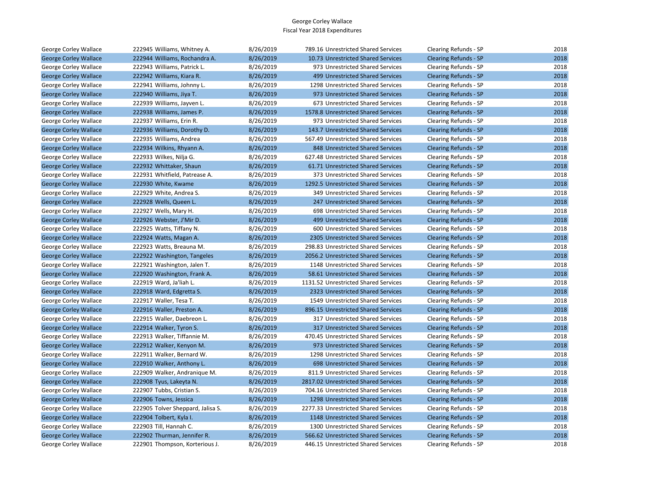| George Corley Wallace        | 222945 Williams, Whitney A.       | 8/26/2019 | 789.16 Unrestricted Shared Services  | Clearing Refunds - SP        | 2018 |
|------------------------------|-----------------------------------|-----------|--------------------------------------|------------------------------|------|
| <b>George Corley Wallace</b> | 222944 Williams, Rochandra A.     | 8/26/2019 | 10.73 Unrestricted Shared Services   | <b>Clearing Refunds - SP</b> | 2018 |
| George Corley Wallace        | 222943 Williams, Patrick L.       | 8/26/2019 | 973 Unrestricted Shared Services     | Clearing Refunds - SP        | 2018 |
| <b>George Corley Wallace</b> | 222942 Williams, Kiara R.         | 8/26/2019 | 499 Unrestricted Shared Services     | <b>Clearing Refunds - SP</b> | 2018 |
| George Corley Wallace        | 222941 Williams, Johnny L.        | 8/26/2019 | 1298 Unrestricted Shared Services    | Clearing Refunds - SP        | 2018 |
| <b>George Corley Wallace</b> | 222940 Williams, Jiya T.          | 8/26/2019 | 973 Unrestricted Shared Services     | <b>Clearing Refunds - SP</b> | 2018 |
| George Corley Wallace        | 222939 Williams, Jayven L.        | 8/26/2019 | 673 Unrestricted Shared Services     | Clearing Refunds - SP        | 2018 |
| <b>George Corley Wallace</b> | 222938 Williams, James P.         | 8/26/2019 | 1578.8 Unrestricted Shared Services  | <b>Clearing Refunds - SP</b> | 2018 |
| George Corley Wallace        | 222937 Williams, Erin R.          | 8/26/2019 | 973 Unrestricted Shared Services     | Clearing Refunds - SP        | 2018 |
| <b>George Corley Wallace</b> | 222936 Williams, Dorothy D.       | 8/26/2019 | 143.7 Unrestricted Shared Services   | <b>Clearing Refunds - SP</b> | 2018 |
| George Corley Wallace        | 222935 Williams, Andrea           | 8/26/2019 | 567.49 Unrestricted Shared Services  | Clearing Refunds - SP        | 2018 |
| <b>George Corley Wallace</b> | 222934 Wilkins, Rhyann A.         | 8/26/2019 | 848 Unrestricted Shared Services     | <b>Clearing Refunds - SP</b> | 2018 |
| George Corley Wallace        | 222933 Wilkes, Nilja G.           | 8/26/2019 | 627.48 Unrestricted Shared Services  | Clearing Refunds - SP        | 2018 |
| <b>George Corley Wallace</b> | 222932 Whittaker, Shaun           | 8/26/2019 | 61.71 Unrestricted Shared Services   | <b>Clearing Refunds - SP</b> | 2018 |
| George Corley Wallace        | 222931 Whitfield, Patrease A.     | 8/26/2019 | 373 Unrestricted Shared Services     | Clearing Refunds - SP        | 2018 |
| <b>George Corley Wallace</b> | 222930 White, Kwame               | 8/26/2019 | 1292.5 Unrestricted Shared Services  | <b>Clearing Refunds - SP</b> | 2018 |
| George Corley Wallace        | 222929 White, Andrea S.           | 8/26/2019 | 349 Unrestricted Shared Services     | Clearing Refunds - SP        | 2018 |
| <b>George Corley Wallace</b> | 222928 Wells, Queen L.            | 8/26/2019 | 247 Unrestricted Shared Services     | <b>Clearing Refunds - SP</b> | 2018 |
| George Corley Wallace        | 222927 Wells, Mary H.             | 8/26/2019 | 698 Unrestricted Shared Services     | Clearing Refunds - SP        | 2018 |
| <b>George Corley Wallace</b> | 222926 Webster, J'Mir D.          | 8/26/2019 | 499 Unrestricted Shared Services     | <b>Clearing Refunds - SP</b> | 2018 |
| George Corley Wallace        | 222925 Watts, Tiffany N.          | 8/26/2019 | 600 Unrestricted Shared Services     | Clearing Refunds - SP        | 2018 |
| <b>George Corley Wallace</b> | 222924 Watts, Magan A.            | 8/26/2019 | 2305 Unrestricted Shared Services    | <b>Clearing Refunds - SP</b> | 2018 |
| George Corley Wallace        | 222923 Watts, Breauna M.          | 8/26/2019 | 298.83 Unrestricted Shared Services  | Clearing Refunds - SP        | 2018 |
| <b>George Corley Wallace</b> | 222922 Washington, Tangeles       | 8/26/2019 | 2056.2 Unrestricted Shared Services  | <b>Clearing Refunds - SP</b> | 2018 |
| George Corley Wallace        | 222921 Washington, Jalen T.       | 8/26/2019 | 1148 Unrestricted Shared Services    | Clearing Refunds - SP        | 2018 |
| <b>George Corley Wallace</b> | 222920 Washington, Frank A.       | 8/26/2019 | 58.61 Unrestricted Shared Services   | <b>Clearing Refunds - SP</b> | 2018 |
| George Corley Wallace        | 222919 Ward, Ja'liah L.           | 8/26/2019 | 1131.52 Unrestricted Shared Services | Clearing Refunds - SP        | 2018 |
| <b>George Corley Wallace</b> | 222918 Ward, Edgretta S.          | 8/26/2019 | 2323 Unrestricted Shared Services    | <b>Clearing Refunds - SP</b> | 2018 |
| George Corley Wallace        | 222917 Waller, Tesa T.            | 8/26/2019 | 1549 Unrestricted Shared Services    | Clearing Refunds - SP        | 2018 |
| <b>George Corley Wallace</b> | 222916 Waller, Preston A.         | 8/26/2019 | 896.15 Unrestricted Shared Services  | <b>Clearing Refunds - SP</b> | 2018 |
| George Corley Wallace        | 222915 Waller, Daebreon L.        | 8/26/2019 | 317 Unrestricted Shared Services     | Clearing Refunds - SP        | 2018 |
| <b>George Corley Wallace</b> | 222914 Walker, Tyron S.           | 8/26/2019 | 317 Unrestricted Shared Services     | <b>Clearing Refunds - SP</b> | 2018 |
| George Corley Wallace        | 222913 Walker, Tiffannie M.       | 8/26/2019 | 470.45 Unrestricted Shared Services  | Clearing Refunds - SP        | 2018 |
| <b>George Corley Wallace</b> | 222912 Walker, Kenyon M.          | 8/26/2019 | 973 Unrestricted Shared Services     | <b>Clearing Refunds - SP</b> | 2018 |
| George Corley Wallace        | 222911 Walker, Bernard W.         | 8/26/2019 | 1298 Unrestricted Shared Services    | Clearing Refunds - SP        | 2018 |
| <b>George Corley Wallace</b> | 222910 Walker, Anthony L.         | 8/26/2019 | 698 Unrestricted Shared Services     | <b>Clearing Refunds - SP</b> | 2018 |
| George Corley Wallace        | 222909 Walker, Andranique M.      | 8/26/2019 | 811.9 Unrestricted Shared Services   | Clearing Refunds - SP        | 2018 |
| <b>George Corley Wallace</b> | 222908 Tyus, Lakeyta N.           | 8/26/2019 | 2817.02 Unrestricted Shared Services | <b>Clearing Refunds - SP</b> | 2018 |
| George Corley Wallace        | 222907 Tubbs, Cristian S.         | 8/26/2019 | 704.16 Unrestricted Shared Services  | Clearing Refunds - SP        | 2018 |
| <b>George Corley Wallace</b> | 222906 Towns, Jessica             | 8/26/2019 | 1298 Unrestricted Shared Services    | <b>Clearing Refunds - SP</b> | 2018 |
| George Corley Wallace        | 222905 Tolver Sheppard, Jalisa S. | 8/26/2019 | 2277.33 Unrestricted Shared Services | Clearing Refunds - SP        | 2018 |
| <b>George Corley Wallace</b> | 222904 Tolbert, Kyla I.           | 8/26/2019 | 1148 Unrestricted Shared Services    | <b>Clearing Refunds - SP</b> | 2018 |
| George Corley Wallace        | 222903 Till, Hannah C.            | 8/26/2019 | 1300 Unrestricted Shared Services    | Clearing Refunds - SP        | 2018 |
| <b>George Corley Wallace</b> | 222902 Thurman, Jennifer R.       | 8/26/2019 | 566.62 Unrestricted Shared Services  | <b>Clearing Refunds - SP</b> | 2018 |
| George Corley Wallace        | 222901 Thompson, Korterious J.    | 8/26/2019 | 446.15 Unrestricted Shared Services  | Clearing Refunds - SP        | 2018 |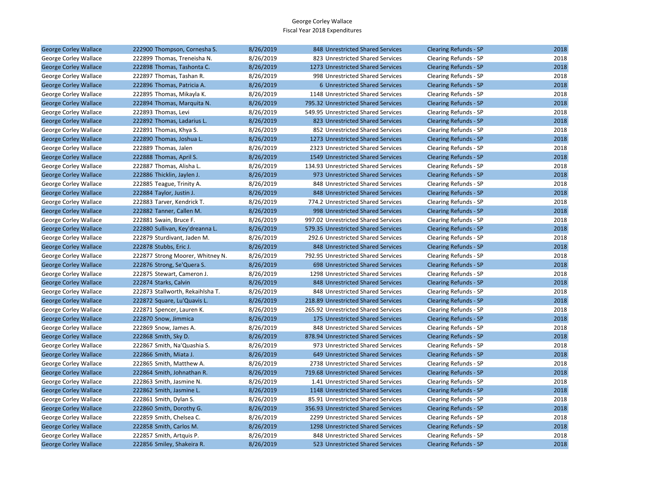| <b>George Corley Wallace</b> | 222900 Thompson, Cornesha S.     | 8/26/2019 | 848 Unrestricted Shared Services    | <b>Clearing Refunds - SP</b> | 2018 |
|------------------------------|----------------------------------|-----------|-------------------------------------|------------------------------|------|
| George Corley Wallace        | 222899 Thomas, Treneisha N.      | 8/26/2019 | 823 Unrestricted Shared Services    | Clearing Refunds - SP        | 2018 |
| <b>George Corley Wallace</b> | 222898 Thomas, Tashonta C.       | 8/26/2019 | 1273 Unrestricted Shared Services   | <b>Clearing Refunds - SP</b> | 2018 |
| George Corley Wallace        | 222897 Thomas, Tashan R.         | 8/26/2019 | 998 Unrestricted Shared Services    | Clearing Refunds - SP        | 2018 |
| <b>George Corley Wallace</b> | 222896 Thomas, Patricia A.       | 8/26/2019 | 6 Unrestricted Shared Services      | <b>Clearing Refunds - SP</b> | 2018 |
| George Corley Wallace        | 222895 Thomas, Mikayla K.        | 8/26/2019 | 1148 Unrestricted Shared Services   | Clearing Refunds - SP        | 2018 |
| <b>George Corley Wallace</b> | 222894 Thomas, Marquita N.       | 8/26/2019 | 795.32 Unrestricted Shared Services | <b>Clearing Refunds - SP</b> | 2018 |
| George Corley Wallace        | 222893 Thomas, Levi              | 8/26/2019 | 549.95 Unrestricted Shared Services | Clearing Refunds - SP        | 2018 |
| <b>George Corley Wallace</b> | 222892 Thomas, Ladarius L.       | 8/26/2019 | 823 Unrestricted Shared Services    | <b>Clearing Refunds - SP</b> | 2018 |
| George Corley Wallace        | 222891 Thomas, Khya S.           | 8/26/2019 | 852 Unrestricted Shared Services    | Clearing Refunds - SP        | 2018 |
| <b>George Corley Wallace</b> | 222890 Thomas, Joshua L.         | 8/26/2019 | 1273 Unrestricted Shared Services   | Clearing Refunds - SP        | 2018 |
| George Corley Wallace        | 222889 Thomas, Jalen             | 8/26/2019 | 2323 Unrestricted Shared Services   | Clearing Refunds - SP        | 2018 |
| <b>George Corley Wallace</b> | 222888 Thomas, April S.          | 8/26/2019 | 1549 Unrestricted Shared Services   | <b>Clearing Refunds - SP</b> | 2018 |
| George Corley Wallace        | 222887 Thomas, Alisha L.         | 8/26/2019 | 134.93 Unrestricted Shared Services | Clearing Refunds - SP        | 2018 |
| <b>George Corley Wallace</b> | 222886 Thicklin, Jaylen J.       | 8/26/2019 | 973 Unrestricted Shared Services    | <b>Clearing Refunds - SP</b> | 2018 |
| George Corley Wallace        | 222885 Teague, Trinity A.        | 8/26/2019 | 848 Unrestricted Shared Services    | Clearing Refunds - SP        | 2018 |
| <b>George Corley Wallace</b> | 222884 Taylor, Justin J.         | 8/26/2019 | 848 Unrestricted Shared Services    | Clearing Refunds - SP        | 2018 |
| George Corley Wallace        | 222883 Tarver, Kendrick T.       | 8/26/2019 | 774.2 Unrestricted Shared Services  | Clearing Refunds - SP        | 2018 |
| <b>George Corley Wallace</b> | 222882 Tanner, Callen M.         | 8/26/2019 | 998 Unrestricted Shared Services    | <b>Clearing Refunds - SP</b> | 2018 |
| George Corley Wallace        | 222881 Swain, Bruce F.           | 8/26/2019 | 997.02 Unrestricted Shared Services | Clearing Refunds - SP        | 2018 |
| <b>George Corley Wallace</b> | 222880 Sullivan, Key'dreanna L.  | 8/26/2019 | 579.35 Unrestricted Shared Services | <b>Clearing Refunds - SP</b> | 2018 |
| George Corley Wallace        | 222879 Sturdivant, Jaden M.      | 8/26/2019 | 292.6 Unrestricted Shared Services  | Clearing Refunds - SP        | 2018 |
| <b>George Corley Wallace</b> | 222878 Stubbs, Eric J.           | 8/26/2019 | 848 Unrestricted Shared Services    | <b>Clearing Refunds - SP</b> | 2018 |
| George Corley Wallace        | 222877 Strong Moorer, Whitney N. | 8/26/2019 | 792.95 Unrestricted Shared Services | Clearing Refunds - SP        | 2018 |
| <b>George Corley Wallace</b> | 222876 Strong, Se'Quera S.       | 8/26/2019 | 698 Unrestricted Shared Services    | <b>Clearing Refunds - SP</b> | 2018 |
| George Corley Wallace        | 222875 Stewart, Cameron J.       | 8/26/2019 | 1298 Unrestricted Shared Services   | Clearing Refunds - SP        | 2018 |
| <b>George Corley Wallace</b> | 222874 Starks, Calvin            | 8/26/2019 | 848 Unrestricted Shared Services    | <b>Clearing Refunds - SP</b> | 2018 |
| George Corley Wallace        | 222873 Stallworth, Rekaihlsha T. | 8/26/2019 | 848 Unrestricted Shared Services    | Clearing Refunds - SP        | 2018 |
| <b>George Corley Wallace</b> | 222872 Square, Lu'Quavis L.      | 8/26/2019 | 218.89 Unrestricted Shared Services | <b>Clearing Refunds - SP</b> | 2018 |
| George Corley Wallace        | 222871 Spencer, Lauren K.        | 8/26/2019 | 265.92 Unrestricted Shared Services | Clearing Refunds - SP        | 2018 |
| <b>George Corley Wallace</b> | 222870 Snow, Jimmica             | 8/26/2019 | 175 Unrestricted Shared Services    | <b>Clearing Refunds - SP</b> | 2018 |
| George Corley Wallace        | 222869 Snow, James A.            | 8/26/2019 | 848 Unrestricted Shared Services    | Clearing Refunds - SP        | 2018 |
| <b>George Corley Wallace</b> | 222868 Smith, Sky D.             | 8/26/2019 | 878.94 Unrestricted Shared Services | <b>Clearing Refunds - SP</b> | 2018 |
| George Corley Wallace        | 222867 Smith, Na'Quashia S.      | 8/26/2019 | 973 Unrestricted Shared Services    | Clearing Refunds - SP        | 2018 |
| <b>George Corley Wallace</b> | 222866 Smith, Miata J.           | 8/26/2019 | 649 Unrestricted Shared Services    | Clearing Refunds - SP        | 2018 |
| George Corley Wallace        | 222865 Smith, Matthew A.         | 8/26/2019 | 2738 Unrestricted Shared Services   | Clearing Refunds - SP        | 2018 |
| <b>George Corley Wallace</b> | 222864 Smith, Johnathan R.       | 8/26/2019 | 719.68 Unrestricted Shared Services | <b>Clearing Refunds - SP</b> | 2018 |
| George Corley Wallace        | 222863 Smith, Jasmine N.         | 8/26/2019 | 1.41 Unrestricted Shared Services   | Clearing Refunds - SP        | 2018 |
| <b>George Corley Wallace</b> | 222862 Smith, Jasmine L.         | 8/26/2019 | 1148 Unrestricted Shared Services   | <b>Clearing Refunds - SP</b> | 2018 |
| George Corley Wallace        | 222861 Smith, Dylan S.           | 8/26/2019 | 85.91 Unrestricted Shared Services  | Clearing Refunds - SP        | 2018 |
| <b>George Corley Wallace</b> | 222860 Smith, Dorothy G.         | 8/26/2019 | 356.93 Unrestricted Shared Services | Clearing Refunds - SP        | 2018 |
| George Corley Wallace        | 222859 Smith, Chelsea C.         | 8/26/2019 | 2299 Unrestricted Shared Services   | Clearing Refunds - SP        | 2018 |
| <b>George Corley Wallace</b> | 222858 Smith, Carlos M.          | 8/26/2019 | 1298 Unrestricted Shared Services   | <b>Clearing Refunds - SP</b> | 2018 |
| George Corley Wallace        | 222857 Smith, Artquis P.         | 8/26/2019 | 848 Unrestricted Shared Services    | Clearing Refunds - SP        | 2018 |
| <b>George Corley Wallace</b> | 222856 Smiley, Shakeira R.       | 8/26/2019 | 523 Unrestricted Shared Services    | <b>Clearing Refunds - SP</b> | 2018 |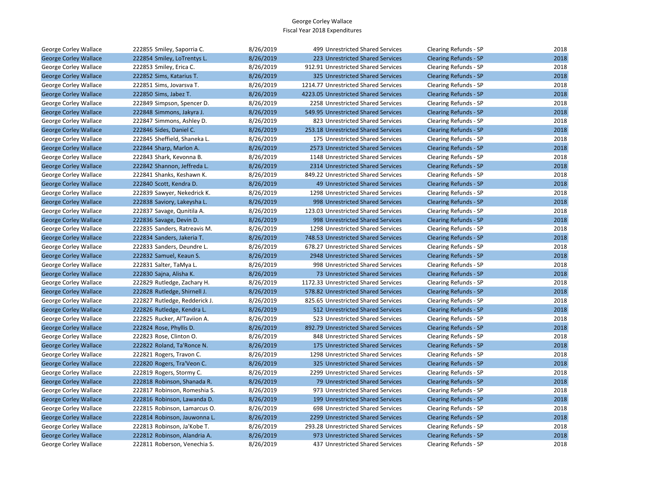| George Corley Wallace        | 222855 Smiley, Saporria C.    | 8/26/2019 | 499 Unrestricted Shared Services     | Clearing Refunds - SP        | 2018 |
|------------------------------|-------------------------------|-----------|--------------------------------------|------------------------------|------|
| <b>George Corley Wallace</b> | 222854 Smiley, LoTrentys L.   | 8/26/2019 | 223 Unrestricted Shared Services     | <b>Clearing Refunds - SP</b> | 2018 |
| George Corley Wallace        | 222853 Smiley, Erica C.       | 8/26/2019 | 912.91 Unrestricted Shared Services  | Clearing Refunds - SP        | 2018 |
| <b>George Corley Wallace</b> | 222852 Sims, Katarius T.      | 8/26/2019 | 325 Unrestricted Shared Services     | <b>Clearing Refunds - SP</b> | 2018 |
| George Corley Wallace        | 222851 Sims, Jovarsva T.      | 8/26/2019 | 1214.77 Unrestricted Shared Services | Clearing Refunds - SP        | 2018 |
| <b>George Corley Wallace</b> | 222850 Sims, Jabez T.         | 8/26/2019 | 4223.05 Unrestricted Shared Services | <b>Clearing Refunds - SP</b> | 2018 |
| George Corley Wallace        | 222849 Simpson, Spencer D.    | 8/26/2019 | 2258 Unrestricted Shared Services    | Clearing Refunds - SP        | 2018 |
| <b>George Corley Wallace</b> | 222848 Simmons, Jakyra J.     | 8/26/2019 | 549.95 Unrestricted Shared Services  | <b>Clearing Refunds - SP</b> | 2018 |
| George Corley Wallace        | 222847 Simmons, Ashley D.     | 8/26/2019 | 823 Unrestricted Shared Services     | Clearing Refunds - SP        | 2018 |
| <b>George Corley Wallace</b> | 222846 Sides, Daniel C.       | 8/26/2019 | 253.18 Unrestricted Shared Services  | Clearing Refunds - SP        | 2018 |
| George Corley Wallace        | 222845 Sheffield, Shaneka L.  | 8/26/2019 | 175 Unrestricted Shared Services     | Clearing Refunds - SP        | 2018 |
| <b>George Corley Wallace</b> | 222844 Sharp, Marlon A.       | 8/26/2019 | 2573 Unrestricted Shared Services    | <b>Clearing Refunds - SP</b> | 2018 |
| George Corley Wallace        | 222843 Shark, Kevonna B.      | 8/26/2019 | 1148 Unrestricted Shared Services    | Clearing Refunds - SP        | 2018 |
| <b>George Corley Wallace</b> | 222842 Shannon, Jeffreda L.   | 8/26/2019 | 2314 Unrestricted Shared Services    | <b>Clearing Refunds - SP</b> | 2018 |
| George Corley Wallace        | 222841 Shanks, Keshawn K.     | 8/26/2019 | 849.22 Unrestricted Shared Services  | Clearing Refunds - SP        | 2018 |
| <b>George Corley Wallace</b> | 222840 Scott, Kendra D.       | 8/26/2019 | 49 Unrestricted Shared Services      | Clearing Refunds - SP        | 2018 |
| George Corley Wallace        | 222839 Sawyer, Nekedrick K.   | 8/26/2019 | 1298 Unrestricted Shared Services    | Clearing Refunds - SP        | 2018 |
| <b>George Corley Wallace</b> | 222838 Saviory, Lakeysha L.   | 8/26/2019 | 998 Unrestricted Shared Services     | <b>Clearing Refunds - SP</b> | 2018 |
| George Corley Wallace        | 222837 Savage, Qunitila A.    | 8/26/2019 | 123.03 Unrestricted Shared Services  | Clearing Refunds - SP        | 2018 |
| <b>George Corley Wallace</b> | 222836 Savage, Devin D.       | 8/26/2019 | 998 Unrestricted Shared Services     | <b>Clearing Refunds - SP</b> | 2018 |
| George Corley Wallace        | 222835 Sanders, Ratreavis M.  | 8/26/2019 | 1298 Unrestricted Shared Services    | Clearing Refunds - SP        | 2018 |
| <b>George Corley Wallace</b> | 222834 Sanders, Jakeria T.    | 8/26/2019 | 748.53 Unrestricted Shared Services  | <b>Clearing Refunds - SP</b> | 2018 |
| George Corley Wallace        | 222833 Sanders, Deundre L.    | 8/26/2019 | 678.27 Unrestricted Shared Services  | Clearing Refunds - SP        | 2018 |
| <b>George Corley Wallace</b> | 222832 Samuel, Keaun S.       | 8/26/2019 | 2948 Unrestricted Shared Services    | <b>Clearing Refunds - SP</b> | 2018 |
| George Corley Wallace        | 222831 Salter, TaMya L.       | 8/26/2019 | 998 Unrestricted Shared Services     | Clearing Refunds - SP        | 2018 |
| <b>George Corley Wallace</b> | 222830 Sajna, Alisha K.       | 8/26/2019 | 73 Unrestricted Shared Services      | <b>Clearing Refunds - SP</b> | 2018 |
| George Corley Wallace        | 222829 Rutledge, Zachary H.   | 8/26/2019 | 1172.33 Unrestricted Shared Services | Clearing Refunds - SP        | 2018 |
| <b>George Corley Wallace</b> | 222828 Rutledge, Shirnell J.  | 8/26/2019 | 578.82 Unrestricted Shared Services  | <b>Clearing Refunds - SP</b> | 2018 |
| George Corley Wallace        | 222827 Rutledge, Redderick J. | 8/26/2019 | 825.65 Unrestricted Shared Services  | Clearing Refunds - SP        | 2018 |
| <b>George Corley Wallace</b> | 222826 Rutledge, Kendra L.    | 8/26/2019 | 512 Unrestricted Shared Services     | <b>Clearing Refunds - SP</b> | 2018 |
| George Corley Wallace        | 222825 Rucker, Al'Taviion A.  | 8/26/2019 | 523 Unrestricted Shared Services     | Clearing Refunds - SP        | 2018 |
| <b>George Corley Wallace</b> | 222824 Rose, Phyllis D.       | 8/26/2019 | 892.79 Unrestricted Shared Services  | Clearing Refunds - SP        | 2018 |
| George Corley Wallace        | 222823 Rose, Clinton O.       | 8/26/2019 | 848 Unrestricted Shared Services     | Clearing Refunds - SP        | 2018 |
| <b>George Corley Wallace</b> | 222822 Roland, Ta'Ronce N.    | 8/26/2019 | 175 Unrestricted Shared Services     | <b>Clearing Refunds - SP</b> | 2018 |
| George Corley Wallace        | 222821 Rogers, Travon C.      | 8/26/2019 | 1298 Unrestricted Shared Services    | Clearing Refunds - SP        | 2018 |
| <b>George Corley Wallace</b> | 222820 Rogers, Tra'Veon C.    | 8/26/2019 | 325 Unrestricted Shared Services     | <b>Clearing Refunds - SP</b> | 2018 |
| George Corley Wallace        | 222819 Rogers, Stormy C.      | 8/26/2019 | 2299 Unrestricted Shared Services    | Clearing Refunds - SP        | 2018 |
| <b>George Corley Wallace</b> | 222818 Robinson, Shanada R.   | 8/26/2019 | 79 Unrestricted Shared Services      | Clearing Refunds - SP        | 2018 |
| George Corley Wallace        | 222817 Robinson, Romeshia S.  | 8/26/2019 | 973 Unrestricted Shared Services     | Clearing Refunds - SP        | 2018 |
| <b>George Corley Wallace</b> | 222816 Robinson, Lawanda D.   | 8/26/2019 | 199 Unrestricted Shared Services     | <b>Clearing Refunds - SP</b> | 2018 |
| George Corley Wallace        | 222815 Robinson, Lamarcus O.  | 8/26/2019 | 698 Unrestricted Shared Services     | Clearing Refunds - SP        | 2018 |
| <b>George Corley Wallace</b> | 222814 Robinson, Jauwonna L.  | 8/26/2019 | 2299 Unrestricted Shared Services    | Clearing Refunds - SP        | 2018 |
| George Corley Wallace        | 222813 Robinson, Ja'Kobe T.   | 8/26/2019 | 293.28 Unrestricted Shared Services  | Clearing Refunds - SP        | 2018 |
| <b>George Corley Wallace</b> | 222812 Robinson, Alandria A.  | 8/26/2019 | 973 Unrestricted Shared Services     | Clearing Refunds - SP        | 2018 |
| George Corley Wallace        | 222811 Roberson, Venechia S.  | 8/26/2019 | 437 Unrestricted Shared Services     | Clearing Refunds - SP        | 2018 |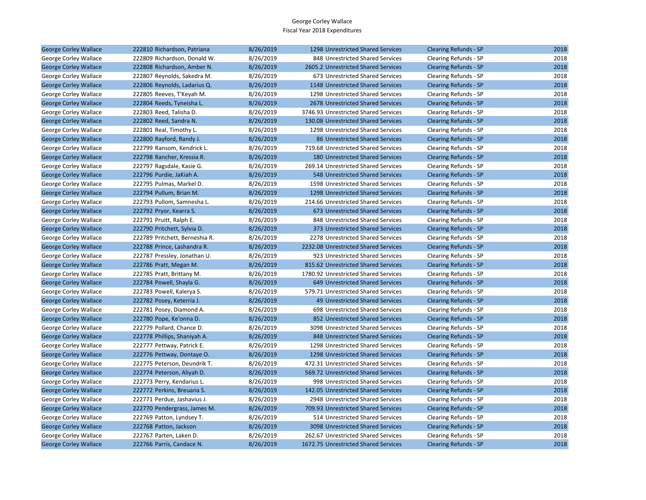| George Corley Wallace        | 222810 Richardson, Patriana    | 8/26/2019 | 1298 Unrestricted Shared Services    | <b>Clearing Refunds - SP</b> | 2018 |
|------------------------------|--------------------------------|-----------|--------------------------------------|------------------------------|------|
| George Corley Wallace        | 222809 Richardson, Donald W.   | 8/26/2019 | 848 Unrestricted Shared Services     | Clearing Refunds - SP        | 2018 |
| <b>George Corley Wallace</b> | 222808 Richardson, Amber N.    | 8/26/2019 | 2605.2 Unrestricted Shared Services  | <b>Clearing Refunds - SP</b> | 2018 |
| George Corley Wallace        | 222807 Reynolds, Sakedra M.    | 8/26/2019 | 673 Unrestricted Shared Services     | Clearing Refunds - SP        | 2018 |
| <b>George Corley Wallace</b> | 222806 Reynolds, Ladarius Q.   | 8/26/2019 | 1148 Unrestricted Shared Services    | <b>Clearing Refunds - SP</b> | 2018 |
| George Corley Wallace        | 222805 Reeves, T'Keyah M.      | 8/26/2019 | 1298 Unrestricted Shared Services    | Clearing Refunds - SP        | 2018 |
| <b>George Corley Wallace</b> | 222804 Reeds, Tyneisha L.      | 8/26/2019 | 2678 Unrestricted Shared Services    | <b>Clearing Refunds - SP</b> | 2018 |
| George Corley Wallace        | 222803 Reed, Talisha D.        | 8/26/2019 | 3746.93 Unrestricted Shared Services | Clearing Refunds - SP        | 2018 |
| <b>George Corley Wallace</b> | 222802 Reed, Sandra N.         | 8/26/2019 | 130.08 Unrestricted Shared Services  | <b>Clearing Refunds - SP</b> | 2018 |
| George Corley Wallace        | 222801 Real, Timothy L.        | 8/26/2019 | 1298 Unrestricted Shared Services    | Clearing Refunds - SP        | 2018 |
| <b>George Corley Wallace</b> | 222800 Rayford, Randy J.       | 8/26/2019 | 86 Unrestricted Shared Services      | <b>Clearing Refunds - SP</b> | 2018 |
| George Corley Wallace        | 222799 Ransom, Kendrick L.     | 8/26/2019 | 719.68 Unrestricted Shared Services  | Clearing Refunds - SP        | 2018 |
| <b>George Corley Wallace</b> | 222798 Rancher, Kressia R.     | 8/26/2019 | 180 Unrestricted Shared Services     | <b>Clearing Refunds - SP</b> | 2018 |
| George Corley Wallace        | 222797 Ragsdale, Kasie G.      | 8/26/2019 | 269.14 Unrestricted Shared Services  | Clearing Refunds - SP        | 2018 |
| <b>George Corley Wallace</b> | 222796 Purdie, JaKiah A.       | 8/26/2019 | 548 Unrestricted Shared Services     | <b>Clearing Refunds - SP</b> | 2018 |
| George Corley Wallace        | 222795 Pulmas, Markel D.       | 8/26/2019 | 1598 Unrestricted Shared Services    | Clearing Refunds - SP        | 2018 |
| <b>George Corley Wallace</b> | 222794 Pullum, Brian M.        | 8/26/2019 | 1298 Unrestricted Shared Services    | <b>Clearing Refunds - SP</b> | 2018 |
| George Corley Wallace        | 222793 Pullom, Samnesha L.     | 8/26/2019 | 214.66 Unrestricted Shared Services  | Clearing Refunds - SP        | 2018 |
| <b>George Corley Wallace</b> | 222792 Pryor, Kearra S.        | 8/26/2019 | 673 Unrestricted Shared Services     | <b>Clearing Refunds - SP</b> | 2018 |
| George Corley Wallace        | 222791 Pruitt, Ralph E.        | 8/26/2019 | 848 Unrestricted Shared Services     | Clearing Refunds - SP        | 2018 |
| <b>George Corley Wallace</b> | 222790 Pritchett, Sylvia D.    | 8/26/2019 | 373 Unrestricted Shared Services     | <b>Clearing Refunds - SP</b> | 2018 |
| George Corley Wallace        | 222789 Pritchett, Berneshia R. | 8/26/2019 | 2278 Unrestricted Shared Services    | Clearing Refunds - SP        | 2018 |
| <b>George Corley Wallace</b> | 222788 Prince, Lashandra R.    | 8/26/2019 | 2232.08 Unrestricted Shared Services | <b>Clearing Refunds - SP</b> | 2018 |
| George Corley Wallace        | 222787 Pressley, Jonathan U.   | 8/26/2019 | 923 Unrestricted Shared Services     | Clearing Refunds - SP        | 2018 |
| <b>George Corley Wallace</b> | 222786 Pratt, Megan M.         | 8/26/2019 | 815.62 Unrestricted Shared Services  | <b>Clearing Refunds - SP</b> | 2018 |
| George Corley Wallace        | 222785 Pratt, Brittany M.      | 8/26/2019 | 1780.92 Unrestricted Shared Services | Clearing Refunds - SP        | 2018 |
| <b>George Corley Wallace</b> | 222784 Powell, Shayla G.       | 8/26/2019 | 649 Unrestricted Shared Services     | <b>Clearing Refunds - SP</b> | 2018 |
| George Corley Wallace        | 222783 Powell, Kalerya S.      | 8/26/2019 | 579.71 Unrestricted Shared Services  | Clearing Refunds - SP        | 2018 |
| <b>George Corley Wallace</b> | 222782 Posey, Keterria J.      | 8/26/2019 | 49 Unrestricted Shared Services      | <b>Clearing Refunds - SP</b> | 2018 |
| George Corley Wallace        | 222781 Posey, Diamond A.       | 8/26/2019 | 698 Unrestricted Shared Services     | Clearing Refunds - SP        | 2018 |
| <b>George Corley Wallace</b> | 222780 Pope, Ke'onna D.        | 8/26/2019 | 852 Unrestricted Shared Services     | <b>Clearing Refunds - SP</b> | 2018 |
| George Corley Wallace        | 222779 Pollard, Chance D.      | 8/26/2019 | 3098 Unrestricted Shared Services    | Clearing Refunds - SP        | 2018 |
| <b>George Corley Wallace</b> | 222778 Phillips, Shaniyah A.   | 8/26/2019 | 848 Unrestricted Shared Services     | <b>Clearing Refunds - SP</b> | 2018 |
| George Corley Wallace        | 222777 Pettway, Patrick E.     | 8/26/2019 | 1298 Unrestricted Shared Services    | Clearing Refunds - SP        | 2018 |
| <b>George Corley Wallace</b> | 222776 Pettway, Dontaye O.     | 8/26/2019 | 1298 Unrestricted Shared Services    | <b>Clearing Refunds - SP</b> | 2018 |
| George Corley Wallace        | 222775 Peterson, Deundrik T.   | 8/26/2019 | 472.31 Unrestricted Shared Services  | Clearing Refunds - SP        | 2018 |
| <b>George Corley Wallace</b> | 222774 Peterson, Aliyah D.     | 8/26/2019 | 569.72 Unrestricted Shared Services  | <b>Clearing Refunds - SP</b> | 2018 |
| George Corley Wallace        | 222773 Perry, Kendarius L.     | 8/26/2019 | 998 Unrestricted Shared Services     | Clearing Refunds - SP        | 2018 |
| <b>George Corley Wallace</b> | 222772 Perkins, Breuana S.     | 8/26/2019 | 142.05 Unrestricted Shared Services  | <b>Clearing Refunds - SP</b> | 2018 |
| George Corley Wallace        | 222771 Perdue, Jashavius J.    | 8/26/2019 | 2948 Unrestricted Shared Services    | Clearing Refunds - SP        | 2018 |
| <b>George Corley Wallace</b> | 222770 Pendergrass, James M.   | 8/26/2019 | 709.93 Unrestricted Shared Services  | <b>Clearing Refunds - SP</b> | 2018 |
| George Corley Wallace        | 222769 Patton, Lyndsey T.      | 8/26/2019 | 514 Unrestricted Shared Services     | Clearing Refunds - SP        | 2018 |
| <b>George Corley Wallace</b> | 222768 Patton, Jackson         | 8/26/2019 | 3098 Unrestricted Shared Services    | <b>Clearing Refunds - SP</b> | 2018 |
| George Corley Wallace        | 222767 Parten, Laken D.        | 8/26/2019 | 262.67 Unrestricted Shared Services  | Clearing Refunds - SP        | 2018 |
| <b>George Corley Wallace</b> | 222766 Parris, Candace N.      | 8/26/2019 | 1672.75 Unrestricted Shared Services | <b>Clearing Refunds - SP</b> | 2018 |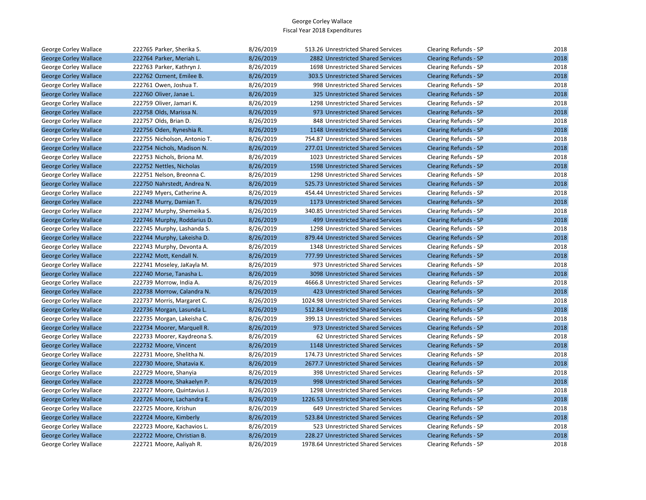| George Corley Wallace        | 222765 Parker, Sherika S.    | 8/26/2019 | 513.26 Unrestricted Shared Services  | Clearing Refunds - SP        | 2018 |
|------------------------------|------------------------------|-----------|--------------------------------------|------------------------------|------|
| <b>George Corley Wallace</b> | 222764 Parker, Meriah L.     | 8/26/2019 | 2882 Unrestricted Shared Services    | Clearing Refunds - SP        | 2018 |
| George Corley Wallace        | 222763 Parker, Kathryn J.    | 8/26/2019 | 1698 Unrestricted Shared Services    | Clearing Refunds - SP        | 2018 |
| <b>George Corley Wallace</b> | 222762 Ozment, Emilee B.     | 8/26/2019 | 303.5 Unrestricted Shared Services   | <b>Clearing Refunds - SP</b> | 2018 |
| George Corley Wallace        | 222761 Owen, Joshua T.       | 8/26/2019 | 998 Unrestricted Shared Services     | Clearing Refunds - SP        | 2018 |
| <b>George Corley Wallace</b> | 222760 Oliver, Janae L.      | 8/26/2019 | 325 Unrestricted Shared Services     | <b>Clearing Refunds - SP</b> | 2018 |
| George Corley Wallace        | 222759 Oliver, Jamari K.     | 8/26/2019 | 1298 Unrestricted Shared Services    | Clearing Refunds - SP        | 2018 |
| <b>George Corley Wallace</b> | 222758 Olds, Marissa N.      | 8/26/2019 | 973 Unrestricted Shared Services     | Clearing Refunds - SP        | 2018 |
| George Corley Wallace        | 222757 Olds, Brian D.        | 8/26/2019 | 848 Unrestricted Shared Services     | Clearing Refunds - SP        | 2018 |
| <b>George Corley Wallace</b> | 222756 Oden, Ryneshia R.     | 8/26/2019 | 1148 Unrestricted Shared Services    | <b>Clearing Refunds - SP</b> | 2018 |
| George Corley Wallace        | 222755 Nicholson, Antonio T. | 8/26/2019 | 754.87 Unrestricted Shared Services  | Clearing Refunds - SP        | 2018 |
| <b>George Corley Wallace</b> | 222754 Nichols, Madison N.   | 8/26/2019 | 277.01 Unrestricted Shared Services  | <b>Clearing Refunds - SP</b> | 2018 |
| George Corley Wallace        | 222753 Nichols, Briona M.    | 8/26/2019 | 1023 Unrestricted Shared Services    | Clearing Refunds - SP        | 2018 |
| <b>George Corley Wallace</b> | 222752 Nettles, Nicholas     | 8/26/2019 | 1598 Unrestricted Shared Services    | Clearing Refunds - SP        | 2018 |
| George Corley Wallace        | 222751 Nelson, Breonna C.    | 8/26/2019 | 1298 Unrestricted Shared Services    | Clearing Refunds - SP        | 2018 |
| <b>George Corley Wallace</b> | 222750 Nahrstedt, Andrea N.  | 8/26/2019 | 525.73 Unrestricted Shared Services  | <b>Clearing Refunds - SP</b> | 2018 |
| George Corley Wallace        | 222749 Myers, Catherine A.   | 8/26/2019 | 454.44 Unrestricted Shared Services  | Clearing Refunds - SP        | 2018 |
| <b>George Corley Wallace</b> | 222748 Murry, Damian T.      | 8/26/2019 | 1173 Unrestricted Shared Services    | <b>Clearing Refunds - SP</b> | 2018 |
| George Corley Wallace        | 222747 Murphy, Shemeika S.   | 8/26/2019 | 340.85 Unrestricted Shared Services  | Clearing Refunds - SP        | 2018 |
| <b>George Corley Wallace</b> | 222746 Murphy, Roddarius D.  | 8/26/2019 | 499 Unrestricted Shared Services     | <b>Clearing Refunds - SP</b> | 2018 |
| George Corley Wallace        | 222745 Murphy, Lashanda S.   | 8/26/2019 | 1298 Unrestricted Shared Services    | Clearing Refunds - SP        | 2018 |
| <b>George Corley Wallace</b> | 222744 Murphy, Lakeisha D.   | 8/26/2019 | 879.44 Unrestricted Shared Services  | <b>Clearing Refunds - SP</b> | 2018 |
| George Corley Wallace        | 222743 Murphy, Devonta A.    | 8/26/2019 | 1348 Unrestricted Shared Services    | Clearing Refunds - SP        | 2018 |
| <b>George Corley Wallace</b> | 222742 Mott, Kendall N.      | 8/26/2019 | 777.99 Unrestricted Shared Services  | <b>Clearing Refunds - SP</b> | 2018 |
| George Corley Wallace        | 222741 Moseley, JaKayla M.   | 8/26/2019 | 973 Unrestricted Shared Services     | Clearing Refunds - SP        | 2018 |
| <b>George Corley Wallace</b> | 222740 Morse, Tanasha L.     | 8/26/2019 | 3098 Unrestricted Shared Services    | <b>Clearing Refunds - SP</b> | 2018 |
| George Corley Wallace        | 222739 Morrow, India A.      | 8/26/2019 | 4666.8 Unrestricted Shared Services  | Clearing Refunds - SP        | 2018 |
| <b>George Corley Wallace</b> | 222738 Morrow, Calandra N.   | 8/26/2019 | 423 Unrestricted Shared Services     | Clearing Refunds - SP        | 2018 |
| George Corley Wallace        | 222737 Morris, Margaret C.   | 8/26/2019 | 1024.98 Unrestricted Shared Services | Clearing Refunds - SP        | 2018 |
| <b>George Corley Wallace</b> | 222736 Morgan, Lasunda L.    | 8/26/2019 | 512.84 Unrestricted Shared Services  | <b>Clearing Refunds - SP</b> | 2018 |
| George Corley Wallace        | 222735 Morgan, Lakeisha C.   | 8/26/2019 | 399.13 Unrestricted Shared Services  | Clearing Refunds - SP        | 2018 |
| <b>George Corley Wallace</b> | 222734 Moorer, Marquell R.   | 8/26/2019 | 973 Unrestricted Shared Services     | <b>Clearing Refunds - SP</b> | 2018 |
| George Corley Wallace        | 222733 Moorer, Kaydreona S.  | 8/26/2019 | 62 Unrestricted Shared Services      | Clearing Refunds - SP        | 2018 |
| <b>George Corley Wallace</b> | 222732 Moore, Vincent        | 8/26/2019 | 1148 Unrestricted Shared Services    | Clearing Refunds - SP        | 2018 |
| George Corley Wallace        | 222731 Moore, Shelitha N.    | 8/26/2019 | 174.73 Unrestricted Shared Services  | Clearing Refunds - SP        | 2018 |
| <b>George Corley Wallace</b> | 222730 Moore, Shatavia K.    | 8/26/2019 | 2677.7 Unrestricted Shared Services  | <b>Clearing Refunds - SP</b> | 2018 |
| George Corley Wallace        | 222729 Moore, Shanyia        | 8/26/2019 | 398 Unrestricted Shared Services     | Clearing Refunds - SP        | 2018 |
| <b>George Corley Wallace</b> | 222728 Moore, Shakaelyn P.   | 8/26/2019 | 998 Unrestricted Shared Services     | <b>Clearing Refunds - SP</b> | 2018 |
| George Corley Wallace        | 222727 Moore, Quintavius J.  | 8/26/2019 | 1298 Unrestricted Shared Services    | Clearing Refunds - SP        | 2018 |
| <b>George Corley Wallace</b> | 222726 Moore, Lachandra E.   | 8/26/2019 | 1226.53 Unrestricted Shared Services | <b>Clearing Refunds - SP</b> | 2018 |
| George Corley Wallace        | 222725 Moore, Krishun        | 8/26/2019 | 649 Unrestricted Shared Services     | Clearing Refunds - SP        | 2018 |
| <b>George Corley Wallace</b> | 222724 Moore, Kimberly       | 8/26/2019 | 523.84 Unrestricted Shared Services  | <b>Clearing Refunds - SP</b> | 2018 |
| George Corley Wallace        | 222723 Moore, Kachavios L.   | 8/26/2019 | 523 Unrestricted Shared Services     | Clearing Refunds - SP        | 2018 |
| <b>George Corley Wallace</b> | 222722 Moore, Christian B.   | 8/26/2019 | 228.27 Unrestricted Shared Services  | <b>Clearing Refunds - SP</b> | 2018 |
| George Corley Wallace        | 222721 Moore, Aaliyah R.     | 8/26/2019 | 1978.64 Unrestricted Shared Services | Clearing Refunds - SP        | 2018 |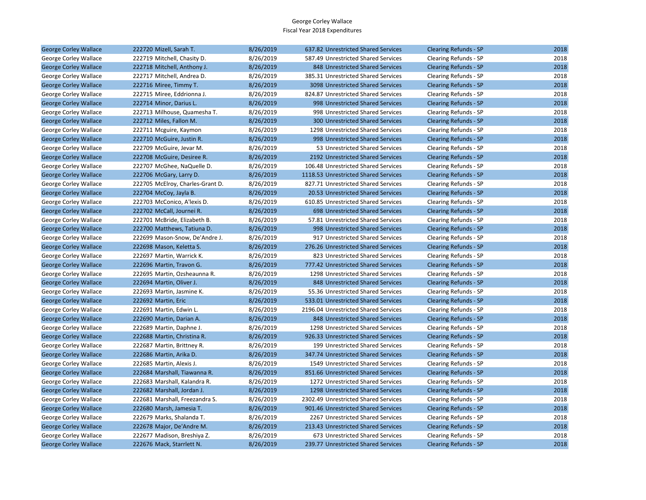| George Corley Wallace        | 222720 Mizell, Sarah T.          | 8/26/2019 | 637.82 Unrestricted Shared Services     | <b>Clearing Refunds - SP</b> | 2018 |
|------------------------------|----------------------------------|-----------|-----------------------------------------|------------------------------|------|
| George Corley Wallace        | 222719 Mitchell, Chasity D.      | 8/26/2019 | 587.49 Unrestricted Shared Services     | Clearing Refunds - SP        | 2018 |
| <b>George Corley Wallace</b> | 222718 Mitchell, Anthony J.      | 8/26/2019 | 848 Unrestricted Shared Services        | <b>Clearing Refunds - SP</b> | 2018 |
| George Corley Wallace        | 222717 Mitchell, Andrea D.       | 8/26/2019 | 385.31 Unrestricted Shared Services     | Clearing Refunds - SP        | 2018 |
| <b>George Corley Wallace</b> | 222716 Miree, Timmy T.           | 8/26/2019 | 3098 Unrestricted Shared Services       | <b>Clearing Refunds - SP</b> | 2018 |
| George Corley Wallace        | 222715 Miree, Eddrionna J.       | 8/26/2019 | 824.87 Unrestricted Shared Services     | Clearing Refunds - SP        | 2018 |
| <b>George Corley Wallace</b> | 222714 Minor, Darius L.          | 8/26/2019 | 998 Unrestricted Shared Services        | <b>Clearing Refunds - SP</b> | 2018 |
| George Corley Wallace        | 222713 Milhouse, Quamesha T.     | 8/26/2019 | 998 Unrestricted Shared Services        | Clearing Refunds - SP        | 2018 |
| <b>George Corley Wallace</b> | 222712 Miles, Fallon M.          | 8/26/2019 | <b>300 Unrestricted Shared Services</b> | <b>Clearing Refunds - SP</b> | 2018 |
| George Corley Wallace        | 222711 Mcguire, Kaymon           | 8/26/2019 | 1298 Unrestricted Shared Services       | Clearing Refunds - SP        | 2018 |
| <b>George Corley Wallace</b> | 222710 McGuire, Justin R.        | 8/26/2019 | 998 Unrestricted Shared Services        | <b>Clearing Refunds - SP</b> | 2018 |
| George Corley Wallace        | 222709 McGuire, Jevar M.         | 8/26/2019 | 53 Unrestricted Shared Services         | Clearing Refunds - SP        | 2018 |
| <b>George Corley Wallace</b> | 222708 McGuire, Desiree R.       | 8/26/2019 | 2192 Unrestricted Shared Services       | <b>Clearing Refunds - SP</b> | 2018 |
| George Corley Wallace        | 222707 McGhee, NaQuelle D.       | 8/26/2019 | 106.48 Unrestricted Shared Services     | Clearing Refunds - SP        | 2018 |
| <b>George Corley Wallace</b> | 222706 McGary, Larry D.          | 8/26/2019 | 1118.53 Unrestricted Shared Services    | <b>Clearing Refunds - SP</b> | 2018 |
| George Corley Wallace        | 222705 McElroy, Charles-Grant D. | 8/26/2019 | 827.71 Unrestricted Shared Services     | Clearing Refunds - SP        | 2018 |
| <b>George Corley Wallace</b> | 222704 McCoy, Jayla B.           | 8/26/2019 | 20.53 Unrestricted Shared Services      | <b>Clearing Refunds - SP</b> | 2018 |
| George Corley Wallace        | 222703 McConico, A'lexis D.      | 8/26/2019 | 610.85 Unrestricted Shared Services     | Clearing Refunds - SP        | 2018 |
| <b>George Corley Wallace</b> | 222702 McCall, Journei R.        | 8/26/2019 | 698 Unrestricted Shared Services        | <b>Clearing Refunds - SP</b> | 2018 |
| George Corley Wallace        | 222701 McBride, Elizabeth B.     | 8/26/2019 | 57.81 Unrestricted Shared Services      | Clearing Refunds - SP        | 2018 |
| <b>George Corley Wallace</b> | 222700 Matthews, Tatiuna D.      | 8/26/2019 | 998 Unrestricted Shared Services        | <b>Clearing Refunds - SP</b> | 2018 |
| George Corley Wallace        | 222699 Mason-Snow, De'Andre J.   | 8/26/2019 | 917 Unrestricted Shared Services        | Clearing Refunds - SP        | 2018 |
| <b>George Corley Wallace</b> | 222698 Mason, Keletta S.         | 8/26/2019 | 276.26 Unrestricted Shared Services     | <b>Clearing Refunds - SP</b> | 2018 |
| George Corley Wallace        | 222697 Martin, Warrick K.        | 8/26/2019 | 823 Unrestricted Shared Services        | Clearing Refunds - SP        | 2018 |
| <b>George Corley Wallace</b> | 222696 Martin, Travon G.         | 8/26/2019 | 777.42 Unrestricted Shared Services     | <b>Clearing Refunds - SP</b> | 2018 |
| George Corley Wallace        | 222695 Martin, Ozsheaunna R.     | 8/26/2019 | 1298 Unrestricted Shared Services       | Clearing Refunds - SP        | 2018 |
| <b>George Corley Wallace</b> | 222694 Martin, Oliver J.         | 8/26/2019 | 848 Unrestricted Shared Services        | <b>Clearing Refunds - SP</b> | 2018 |
| George Corley Wallace        | 222693 Martin, Jasmine K.        | 8/26/2019 | 55.36 Unrestricted Shared Services      | Clearing Refunds - SP        | 2018 |
| <b>George Corley Wallace</b> | 222692 Martin, Eric              | 8/26/2019 | 533.01 Unrestricted Shared Services     | Clearing Refunds - SP        | 2018 |
| George Corley Wallace        | 222691 Martin, Edwin L.          | 8/26/2019 | 2196.04 Unrestricted Shared Services    | Clearing Refunds - SP        | 2018 |
| <b>George Corley Wallace</b> | 222690 Martin, Darian A.         | 8/26/2019 | 848 Unrestricted Shared Services        | <b>Clearing Refunds - SP</b> | 2018 |
| George Corley Wallace        | 222689 Martin, Daphne J.         | 8/26/2019 | 1298 Unrestricted Shared Services       | Clearing Refunds - SP        | 2018 |
| <b>George Corley Wallace</b> | 222688 Martin, Christina R.      | 8/26/2019 | 926.33 Unrestricted Shared Services     | <b>Clearing Refunds - SP</b> | 2018 |
| George Corley Wallace        | 222687 Martin, Brittney R.       | 8/26/2019 | 199 Unrestricted Shared Services        | Clearing Refunds - SP        | 2018 |
| <b>George Corley Wallace</b> | 222686 Martin, Arika D.          | 8/26/2019 | 347.74 Unrestricted Shared Services     | Clearing Refunds - SP        | 2018 |
| George Corley Wallace        | 222685 Martin, Alexis J.         | 8/26/2019 | 1549 Unrestricted Shared Services       | Clearing Refunds - SP        | 2018 |
| <b>George Corley Wallace</b> | 222684 Marshall, Tiawanna R.     | 8/26/2019 | 851.66 Unrestricted Shared Services     | <b>Clearing Refunds - SP</b> | 2018 |
| George Corley Wallace        | 222683 Marshall, Kalandra R.     | 8/26/2019 | 1272 Unrestricted Shared Services       | Clearing Refunds - SP        | 2018 |
| <b>George Corley Wallace</b> | 222682 Marshall, Jordan J.       | 8/26/2019 | 1298 Unrestricted Shared Services       | <b>Clearing Refunds - SP</b> | 2018 |
| George Corley Wallace        | 222681 Marshall, Freezandra S.   | 8/26/2019 | 2302.49 Unrestricted Shared Services    | Clearing Refunds - SP        | 2018 |
| George Corley Wallace        | 222680 Marsh, Jamesia T.         | 8/26/2019 | 901.46 Unrestricted Shared Services     | <b>Clearing Refunds - SP</b> | 2018 |
| George Corley Wallace        | 222679 Marks, Shalanda T.        | 8/26/2019 | 2267 Unrestricted Shared Services       | Clearing Refunds - SP        | 2018 |
| <b>George Corley Wallace</b> | 222678 Major, De'Andre M.        | 8/26/2019 | 213.43 Unrestricted Shared Services     | <b>Clearing Refunds - SP</b> | 2018 |
| George Corley Wallace        | 222677 Madison, Breshiya Z.      | 8/26/2019 | 673 Unrestricted Shared Services        | Clearing Refunds - SP        | 2018 |
| <b>George Corley Wallace</b> | 222676 Mack, Starrlett N.        | 8/26/2019 | 239.77 Unrestricted Shared Services     | <b>Clearing Refunds - SP</b> | 2018 |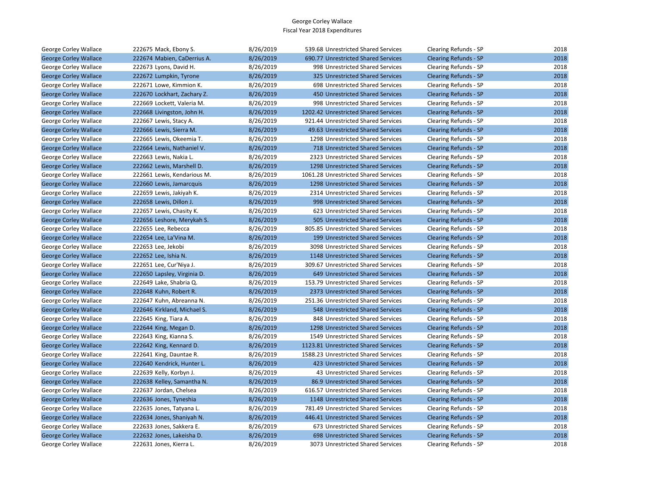| George Corley Wallace        | 222675 Mack, Ebony S.       | 8/26/2019 | 539.68 Unrestricted Shared Services  | Clearing Refunds - SP        | 2018 |
|------------------------------|-----------------------------|-----------|--------------------------------------|------------------------------|------|
| <b>George Corley Wallace</b> | 222674 Mabien, CaDerrius A. | 8/26/2019 | 690.77 Unrestricted Shared Services  | <b>Clearing Refunds - SP</b> | 2018 |
| George Corley Wallace        | 222673 Lyons, David H.      | 8/26/2019 | 998 Unrestricted Shared Services     | Clearing Refunds - SP        | 2018 |
| <b>George Corley Wallace</b> | 222672 Lumpkin, Tyrone      | 8/26/2019 | 325 Unrestricted Shared Services     | <b>Clearing Refunds - SP</b> | 2018 |
| George Corley Wallace        | 222671 Lowe, Kimmion K.     | 8/26/2019 | 698 Unrestricted Shared Services     | Clearing Refunds - SP        | 2018 |
| <b>George Corley Wallace</b> | 222670 Lockhart, Zachary Z. | 8/26/2019 | 450 Unrestricted Shared Services     | <b>Clearing Refunds - SP</b> | 2018 |
| George Corley Wallace        | 222669 Lockett, Valeria M.  | 8/26/2019 | 998 Unrestricted Shared Services     | Clearing Refunds - SP        | 2018 |
| <b>George Corley Wallace</b> | 222668 Livingston, John H.  | 8/26/2019 | 1202.42 Unrestricted Shared Services | <b>Clearing Refunds - SP</b> | 2018 |
| George Corley Wallace        | 222667 Lewis, Stacy A.      | 8/26/2019 | 921.44 Unrestricted Shared Services  | Clearing Refunds - SP        | 2018 |
| <b>George Corley Wallace</b> | 222666 Lewis, Sierra M.     | 8/26/2019 | 49.63 Unrestricted Shared Services   | <b>Clearing Refunds - SP</b> | 2018 |
| George Corley Wallace        | 222665 Lewis, Okeemia T.    | 8/26/2019 | 1298 Unrestricted Shared Services    | Clearing Refunds - SP        | 2018 |
| <b>George Corley Wallace</b> | 222664 Lewis, Nathaniel V.  | 8/26/2019 | 718 Unrestricted Shared Services     | <b>Clearing Refunds - SP</b> | 2018 |
| George Corley Wallace        | 222663 Lewis, Nakia L.      | 8/26/2019 | 2323 Unrestricted Shared Services    | Clearing Refunds - SP        | 2018 |
| <b>George Corley Wallace</b> | 222662 Lewis, Marshell D.   | 8/26/2019 | 1298 Unrestricted Shared Services    | <b>Clearing Refunds - SP</b> | 2018 |
| George Corley Wallace        | 222661 Lewis, Kendarious M. | 8/26/2019 | 1061.28 Unrestricted Shared Services | Clearing Refunds - SP        | 2018 |
| <b>George Corley Wallace</b> | 222660 Lewis, Jamarcquis    | 8/26/2019 | 1298 Unrestricted Shared Services    | <b>Clearing Refunds - SP</b> | 2018 |
| George Corley Wallace        | 222659 Lewis, Jakiyah K.    | 8/26/2019 | 2314 Unrestricted Shared Services    | Clearing Refunds - SP        | 2018 |
| <b>George Corley Wallace</b> | 222658 Lewis, Dillon J.     | 8/26/2019 | 998 Unrestricted Shared Services     | <b>Clearing Refunds - SP</b> | 2018 |
| George Corley Wallace        | 222657 Lewis, Chasity K.    | 8/26/2019 | 623 Unrestricted Shared Services     | Clearing Refunds - SP        | 2018 |
| <b>George Corley Wallace</b> | 222656 Leshore, Merykah S.  | 8/26/2019 | 505 Unrestricted Shared Services     | <b>Clearing Refunds - SP</b> | 2018 |
| George Corley Wallace        | 222655 Lee, Rebecca         | 8/26/2019 | 805.85 Unrestricted Shared Services  | Clearing Refunds - SP        | 2018 |
| <b>George Corley Wallace</b> | 222654 Lee, La'Vina M.      | 8/26/2019 | 199 Unrestricted Shared Services     | <b>Clearing Refunds - SP</b> | 2018 |
| George Corley Wallace        | 222653 Lee, Jekobi          | 8/26/2019 | 3098 Unrestricted Shared Services    | Clearing Refunds - SP        | 2018 |
| <b>George Corley Wallace</b> | 222652 Lee, Ishia N.        | 8/26/2019 | 1148 Unrestricted Shared Services    | <b>Clearing Refunds - SP</b> | 2018 |
| George Corley Wallace        | 222651 Lee, Cur'Niya J.     | 8/26/2019 | 309.67 Unrestricted Shared Services  | Clearing Refunds - SP        | 2018 |
| <b>George Corley Wallace</b> | 222650 Lapsley, Virginia D. | 8/26/2019 | 649 Unrestricted Shared Services     | <b>Clearing Refunds - SP</b> | 2018 |
| George Corley Wallace        | 222649 Lake, Shabria Q.     | 8/26/2019 | 153.79 Unrestricted Shared Services  | Clearing Refunds - SP        | 2018 |
| <b>George Corley Wallace</b> | 222648 Kuhn, Robert R.      | 8/26/2019 | 2373 Unrestricted Shared Services    | <b>Clearing Refunds - SP</b> | 2018 |
| George Corley Wallace        | 222647 Kuhn, Abreanna N.    | 8/26/2019 | 251.36 Unrestricted Shared Services  | Clearing Refunds - SP        | 2018 |
| <b>George Corley Wallace</b> | 222646 Kirkland, Michael S. | 8/26/2019 | 548 Unrestricted Shared Services     | <b>Clearing Refunds - SP</b> | 2018 |
| George Corley Wallace        | 222645 King, Tiara A.       | 8/26/2019 | 848 Unrestricted Shared Services     | Clearing Refunds - SP        | 2018 |
| <b>George Corley Wallace</b> | 222644 King, Megan D.       | 8/26/2019 | 1298 Unrestricted Shared Services    | <b>Clearing Refunds - SP</b> | 2018 |
| George Corley Wallace        | 222643 King, Kianna S.      | 8/26/2019 | 1549 Unrestricted Shared Services    | Clearing Refunds - SP        | 2018 |
| <b>George Corley Wallace</b> | 222642 King, Kennard D.     | 8/26/2019 | 1123.81 Unrestricted Shared Services | <b>Clearing Refunds - SP</b> | 2018 |
| George Corley Wallace        | 222641 King, Dauntae R.     | 8/26/2019 | 1588.23 Unrestricted Shared Services | Clearing Refunds - SP        | 2018 |
| <b>George Corley Wallace</b> | 222640 Kendrick, Hunter L.  | 8/26/2019 | 423 Unrestricted Shared Services     | <b>Clearing Refunds - SP</b> | 2018 |
| George Corley Wallace        | 222639 Kelly, Korbyn J.     | 8/26/2019 | 43 Unrestricted Shared Services      | Clearing Refunds - SP        | 2018 |
| <b>George Corley Wallace</b> | 222638 Kelley, Samantha N.  | 8/26/2019 | 86.9 Unrestricted Shared Services    | <b>Clearing Refunds - SP</b> | 2018 |
| George Corley Wallace        | 222637 Jordan, Chelsea      | 8/26/2019 | 616.57 Unrestricted Shared Services  | Clearing Refunds - SP        | 2018 |
| <b>George Corley Wallace</b> | 222636 Jones, Tyneshia      | 8/26/2019 | 1148 Unrestricted Shared Services    | <b>Clearing Refunds - SP</b> | 2018 |
| George Corley Wallace        | 222635 Jones, Tatyana L.    | 8/26/2019 | 781.49 Unrestricted Shared Services  | Clearing Refunds - SP        | 2018 |
| <b>George Corley Wallace</b> | 222634 Jones, Shaniyah N.   | 8/26/2019 | 446.41 Unrestricted Shared Services  | <b>Clearing Refunds - SP</b> | 2018 |
| George Corley Wallace        | 222633 Jones, Sakkera E.    | 8/26/2019 | 673 Unrestricted Shared Services     | Clearing Refunds - SP        | 2018 |
| <b>George Corley Wallace</b> | 222632 Jones, Lakeisha D.   | 8/26/2019 | 698 Unrestricted Shared Services     | <b>Clearing Refunds - SP</b> | 2018 |
| George Corley Wallace        | 222631 Jones, Kierra L.     | 8/26/2019 | 3073 Unrestricted Shared Services    | Clearing Refunds - SP        | 2018 |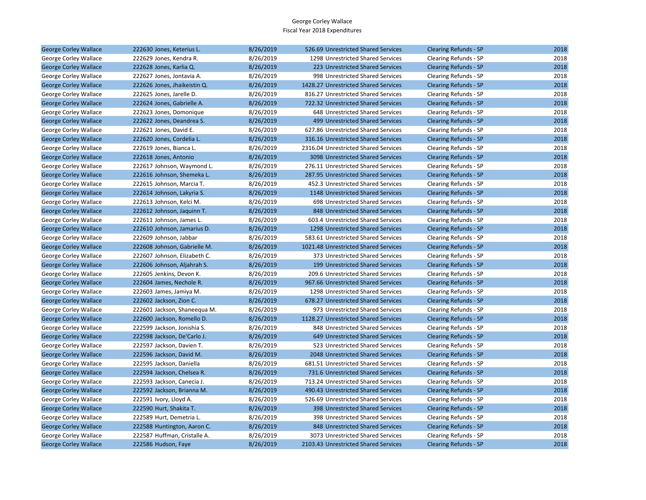| George Corley Wallace        | 222630 Jones, Keterius L.    | 8/26/2019 | 526.69 Unrestricted Shared Services  | <b>Clearing Refunds - SP</b> | 2018 |
|------------------------------|------------------------------|-----------|--------------------------------------|------------------------------|------|
| George Corley Wallace        | 222629 Jones, Kendra R.      | 8/26/2019 | 1298 Unrestricted Shared Services    | Clearing Refunds - SP        | 2018 |
| <b>George Corley Wallace</b> | 222628 Jones, Karlia Q.      | 8/26/2019 | 223 Unrestricted Shared Services     | <b>Clearing Refunds - SP</b> | 2018 |
| George Corley Wallace        | 222627 Jones, Jontavia A.    | 8/26/2019 | 998 Unrestricted Shared Services     | Clearing Refunds - SP        | 2018 |
| <b>George Corley Wallace</b> | 222626 Jones, Jhaikeistin Q. | 8/26/2019 | 1428.27 Unrestricted Shared Services | <b>Clearing Refunds - SP</b> | 2018 |
| George Corley Wallace        | 222625 Jones, Jarelle D.     | 8/26/2019 | 816.27 Unrestricted Shared Services  | Clearing Refunds - SP        | 2018 |
| <b>George Corley Wallace</b> | 222624 Jones, Gabrielle A.   | 8/26/2019 | 722.32 Unrestricted Shared Services  | <b>Clearing Refunds - SP</b> | 2018 |
| George Corley Wallace        | 222623 Jones, Domonique      | 8/26/2019 | 648 Unrestricted Shared Services     | Clearing Refunds - SP        | 2018 |
| <b>George Corley Wallace</b> | 222622 Jones, Deandrea S.    | 8/26/2019 | 499 Unrestricted Shared Services     | <b>Clearing Refunds - SP</b> | 2018 |
| George Corley Wallace        | 222621 Jones, David E.       | 8/26/2019 | 627.86 Unrestricted Shared Services  | Clearing Refunds - SP        | 2018 |
| <b>George Corley Wallace</b> | 222620 Jones, Cordelia L.    | 8/26/2019 | 316.16 Unrestricted Shared Services  | <b>Clearing Refunds - SP</b> | 2018 |
| George Corley Wallace        | 222619 Jones, Bianca L.      | 8/26/2019 | 2316.04 Unrestricted Shared Services | Clearing Refunds - SP        | 2018 |
| <b>George Corley Wallace</b> | 222618 Jones, Antonio        | 8/26/2019 | 3098 Unrestricted Shared Services    | <b>Clearing Refunds - SP</b> | 2018 |
| George Corley Wallace        | 222617 Johnson, Waymond L.   | 8/26/2019 | 276.11 Unrestricted Shared Services  | Clearing Refunds - SP        | 2018 |
| <b>George Corley Wallace</b> | 222616 Johnson, Shemeka L.   | 8/26/2019 | 287.95 Unrestricted Shared Services  | <b>Clearing Refunds - SP</b> | 2018 |
| George Corley Wallace        | 222615 Johnson, Marcia T.    | 8/26/2019 | 452.3 Unrestricted Shared Services   | Clearing Refunds - SP        | 2018 |
| <b>George Corley Wallace</b> | 222614 Johnson, Lakyria S.   | 8/26/2019 | 1148 Unrestricted Shared Services    | Clearing Refunds - SP        | 2018 |
| George Corley Wallace        | 222613 Johnson, Kelci M.     | 8/26/2019 | 698 Unrestricted Shared Services     | Clearing Refunds - SP        | 2018 |
| <b>George Corley Wallace</b> | 222612 Johnson, Jaquinn T.   | 8/26/2019 | 848 Unrestricted Shared Services     | <b>Clearing Refunds - SP</b> | 2018 |
| George Corley Wallace        | 222611 Johnson, James L.     | 8/26/2019 | 603.4 Unrestricted Shared Services   | Clearing Refunds - SP        | 2018 |
| <b>George Corley Wallace</b> | 222610 Johnson, Jamarius D.  | 8/26/2019 | 1298 Unrestricted Shared Services    | <b>Clearing Refunds - SP</b> | 2018 |
| George Corley Wallace        | 222609 Johnson, Jabbar       | 8/26/2019 | 583.61 Unrestricted Shared Services  | Clearing Refunds - SP        | 2018 |
| <b>George Corley Wallace</b> | 222608 Johnson, Gabrielle M. | 8/26/2019 | 1021.48 Unrestricted Shared Services | <b>Clearing Refunds - SP</b> | 2018 |
| George Corley Wallace        | 222607 Johnson, Elizabeth C. | 8/26/2019 | 373 Unrestricted Shared Services     | Clearing Refunds - SP        | 2018 |
| <b>George Corley Wallace</b> | 222606 Johnson, Aljahrah S.  | 8/26/2019 | 199 Unrestricted Shared Services     | <b>Clearing Refunds - SP</b> | 2018 |
| George Corley Wallace        | 222605 Jenkins, Devon K.     | 8/26/2019 | 209.6 Unrestricted Shared Services   | Clearing Refunds - SP        | 2018 |
| <b>George Corley Wallace</b> | 222604 James, Nechole R.     | 8/26/2019 | 967.66 Unrestricted Shared Services  | <b>Clearing Refunds - SP</b> | 2018 |
| George Corley Wallace        | 222603 James, Jamiya M.      | 8/26/2019 | 1298 Unrestricted Shared Services    | Clearing Refunds - SP        | 2018 |
| <b>George Corley Wallace</b> | 222602 Jackson, Zion C.      | 8/26/2019 | 678.27 Unrestricted Shared Services  | <b>Clearing Refunds - SP</b> | 2018 |
| George Corley Wallace        | 222601 Jackson, Shaneequa M. | 8/26/2019 | 973 Unrestricted Shared Services     | Clearing Refunds - SP        | 2018 |
| <b>George Corley Wallace</b> | 222600 Jackson, Romello D.   | 8/26/2019 | 1128.27 Unrestricted Shared Services | <b>Clearing Refunds - SP</b> | 2018 |
| George Corley Wallace        | 222599 Jackson, Jonishia S.  | 8/26/2019 | 848 Unrestricted Shared Services     | Clearing Refunds - SP        | 2018 |
| <b>George Corley Wallace</b> | 222598 Jackson, De'Carlo J.  | 8/26/2019 | 649 Unrestricted Shared Services     | <b>Clearing Refunds - SP</b> | 2018 |
| George Corley Wallace        | 222597 Jackson, Davien T.    | 8/26/2019 | 523 Unrestricted Shared Services     | Clearing Refunds - SP        | 2018 |
| <b>George Corley Wallace</b> | 222596 Jackson, David M.     | 8/26/2019 | 2048 Unrestricted Shared Services    | <b>Clearing Refunds - SP</b> | 2018 |
| George Corley Wallace        | 222595 Jackson, Daniella     | 8/26/2019 | 681.51 Unrestricted Shared Services  | Clearing Refunds - SP        | 2018 |
| <b>George Corley Wallace</b> | 222594 Jackson, Chelsea R.   | 8/26/2019 | 731.6 Unrestricted Shared Services   | <b>Clearing Refunds - SP</b> | 2018 |
| George Corley Wallace        | 222593 Jackson, Canecia J.   | 8/26/2019 | 713.24 Unrestricted Shared Services  | Clearing Refunds - SP        | 2018 |
| <b>George Corley Wallace</b> | 222592 Jackson, Brianna M.   | 8/26/2019 | 490.43 Unrestricted Shared Services  | <b>Clearing Refunds - SP</b> | 2018 |
| George Corley Wallace        | 222591 Ivory, Lloyd A.       | 8/26/2019 | 526.69 Unrestricted Shared Services  | Clearing Refunds - SP        | 2018 |
| <b>George Corley Wallace</b> | 222590 Hurt, Shakita T.      | 8/26/2019 | 398 Unrestricted Shared Services     | <b>Clearing Refunds - SP</b> | 2018 |
| George Corley Wallace        | 222589 Hurt, Demetria L.     | 8/26/2019 | 398 Unrestricted Shared Services     | Clearing Refunds - SP        | 2018 |
| <b>George Corley Wallace</b> | 222588 Huntington, Aaron C.  | 8/26/2019 | 848 Unrestricted Shared Services     | <b>Clearing Refunds - SP</b> | 2018 |
| George Corley Wallace        | 222587 Huffman, Cristalle A. | 8/26/2019 | 3073 Unrestricted Shared Services    | Clearing Refunds - SP        | 2018 |
| <b>George Corley Wallace</b> | 222586 Hudson, Faye          | 8/26/2019 | 2103.43 Unrestricted Shared Services | <b>Clearing Refunds - SP</b> | 2018 |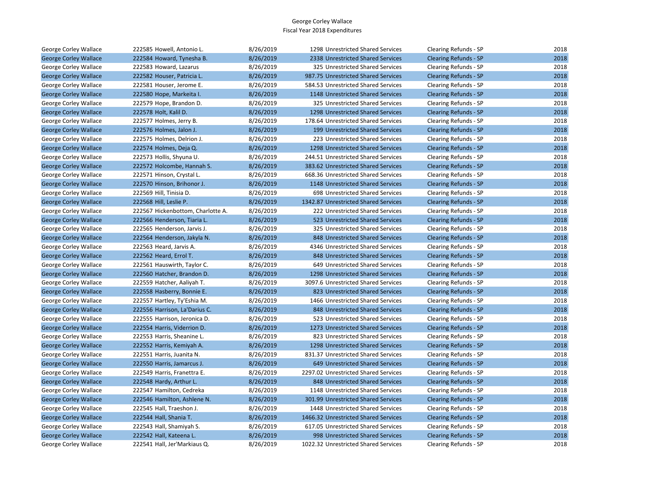| George Corley Wallace        | 222585 Howell, Antonio L.         | 8/26/2019 | 1298 Unrestricted Shared Services    | Clearing Refunds - SP        | 2018 |
|------------------------------|-----------------------------------|-----------|--------------------------------------|------------------------------|------|
| <b>George Corley Wallace</b> | 222584 Howard, Tynesha B.         | 8/26/2019 | 2338 Unrestricted Shared Services    | <b>Clearing Refunds - SP</b> | 2018 |
| George Corley Wallace        | 222583 Howard, Lazarus            | 8/26/2019 | 325 Unrestricted Shared Services     | Clearing Refunds - SP        | 2018 |
| <b>George Corley Wallace</b> | 222582 Houser, Patricia L.        | 8/26/2019 | 987.75 Unrestricted Shared Services  | <b>Clearing Refunds - SP</b> | 2018 |
| George Corley Wallace        | 222581 Houser, Jerome E.          | 8/26/2019 | 584.53 Unrestricted Shared Services  | Clearing Refunds - SP        | 2018 |
| <b>George Corley Wallace</b> | 222580 Hope, Markeita I.          | 8/26/2019 | 1148 Unrestricted Shared Services    | <b>Clearing Refunds - SP</b> | 2018 |
| George Corley Wallace        | 222579 Hope, Brandon D.           | 8/26/2019 | 325 Unrestricted Shared Services     | Clearing Refunds - SP        | 2018 |
| <b>George Corley Wallace</b> | 222578 Holt, Kalil D.             | 8/26/2019 | 1298 Unrestricted Shared Services    | Clearing Refunds - SP        | 2018 |
| George Corley Wallace        | 222577 Holmes, Jerry B.           | 8/26/2019 | 178.64 Unrestricted Shared Services  | Clearing Refunds - SP        | 2018 |
| <b>George Corley Wallace</b> | 222576 Holmes, Jalon J.           | 8/26/2019 | 199 Unrestricted Shared Services     | <b>Clearing Refunds - SP</b> | 2018 |
| George Corley Wallace        | 222575 Holmes, Delrion J.         | 8/26/2019 | 223 Unrestricted Shared Services     | Clearing Refunds - SP        | 2018 |
| <b>George Corley Wallace</b> | 222574 Holmes, Deja Q.            | 8/26/2019 | 1298 Unrestricted Shared Services    | <b>Clearing Refunds - SP</b> | 2018 |
| George Corley Wallace        | 222573 Hollis, Shyuna U.          | 8/26/2019 | 244.51 Unrestricted Shared Services  | Clearing Refunds - SP        | 2018 |
| <b>George Corley Wallace</b> | 222572 Holcombe, Hannah S.        | 8/26/2019 | 383.62 Unrestricted Shared Services  | <b>Clearing Refunds - SP</b> | 2018 |
| George Corley Wallace        | 222571 Hinson, Crystal L.         | 8/26/2019 | 668.36 Unrestricted Shared Services  | Clearing Refunds - SP        | 2018 |
| <b>George Corley Wallace</b> | 222570 Hinson, Brihonor J.        | 8/26/2019 | 1148 Unrestricted Shared Services    | <b>Clearing Refunds - SP</b> | 2018 |
| George Corley Wallace        | 222569 Hill, Tinisia D.           | 8/26/2019 | 698 Unrestricted Shared Services     | Clearing Refunds - SP        | 2018 |
| <b>George Corley Wallace</b> | 222568 Hill, Leslie P.            | 8/26/2019 | 1342.87 Unrestricted Shared Services | <b>Clearing Refunds - SP</b> | 2018 |
| George Corley Wallace        | 222567 Hickenbottom, Charlotte A. | 8/26/2019 | 222 Unrestricted Shared Services     | Clearing Refunds - SP        | 2018 |
| <b>George Corley Wallace</b> | 222566 Henderson, Tiaria L.       | 8/26/2019 | 523 Unrestricted Shared Services     | <b>Clearing Refunds - SP</b> | 2018 |
| George Corley Wallace        | 222565 Henderson, Jarvis J.       | 8/26/2019 | 325 Unrestricted Shared Services     | Clearing Refunds - SP        | 2018 |
| <b>George Corley Wallace</b> | 222564 Henderson, Jakyla N.       | 8/26/2019 | 848 Unrestricted Shared Services     | <b>Clearing Refunds - SP</b> | 2018 |
| George Corley Wallace        | 222563 Heard, Jarvis A.           | 8/26/2019 | 4346 Unrestricted Shared Services    | Clearing Refunds - SP        | 2018 |
| <b>George Corley Wallace</b> | 222562 Heard, Errol T.            | 8/26/2019 | 848 Unrestricted Shared Services     | <b>Clearing Refunds - SP</b> | 2018 |
| George Corley Wallace        | 222561 Hauswirth, Taylor C.       | 8/26/2019 | 649 Unrestricted Shared Services     | Clearing Refunds - SP        | 2018 |
| <b>George Corley Wallace</b> | 222560 Hatcher, Brandon D.        | 8/26/2019 | 1298 Unrestricted Shared Services    | <b>Clearing Refunds - SP</b> | 2018 |
| George Corley Wallace        | 222559 Hatcher, Aaliyah T.        | 8/26/2019 | 3097.6 Unrestricted Shared Services  | Clearing Refunds - SP        | 2018 |
| <b>George Corley Wallace</b> | 222558 Hasberry, Bonnie E.        | 8/26/2019 | 823 Unrestricted Shared Services     | <b>Clearing Refunds - SP</b> | 2018 |
| George Corley Wallace        | 222557 Hartley, Ty'Eshia M.       | 8/26/2019 | 1466 Unrestricted Shared Services    | Clearing Refunds - SP        | 2018 |
| <b>George Corley Wallace</b> | 222556 Harrison, La'Darius C.     | 8/26/2019 | 848 Unrestricted Shared Services     | <b>Clearing Refunds - SP</b> | 2018 |
| George Corley Wallace        | 222555 Harrison, Jeronica D.      | 8/26/2019 | 523 Unrestricted Shared Services     | Clearing Refunds - SP        | 2018 |
| <b>George Corley Wallace</b> | 222554 Harris, Viderrion D.       | 8/26/2019 | 1273 Unrestricted Shared Services    | <b>Clearing Refunds - SP</b> | 2018 |
| George Corley Wallace        | 222553 Harris, Sheanine L.        | 8/26/2019 | 823 Unrestricted Shared Services     | Clearing Refunds - SP        | 2018 |
| <b>George Corley Wallace</b> | 222552 Harris, Kemiyah A.         | 8/26/2019 | 1298 Unrestricted Shared Services    | <b>Clearing Refunds - SP</b> | 2018 |
| George Corley Wallace        | 222551 Harris, Juanita N.         | 8/26/2019 | 831.37 Unrestricted Shared Services  | Clearing Refunds - SP        | 2018 |
| <b>George Corley Wallace</b> | 222550 Harris, Jamarcus J.        | 8/26/2019 | 649 Unrestricted Shared Services     | <b>Clearing Refunds - SP</b> | 2018 |
| George Corley Wallace        | 222549 Harris, Franettra E.       | 8/26/2019 | 2297.02 Unrestricted Shared Services | Clearing Refunds - SP        | 2018 |
| <b>George Corley Wallace</b> | 222548 Hardy, Arthur L.           | 8/26/2019 | 848 Unrestricted Shared Services     | <b>Clearing Refunds - SP</b> | 2018 |
| George Corley Wallace        | 222547 Hamilton, Cedreka          | 8/26/2019 | 1148 Unrestricted Shared Services    | Clearing Refunds - SP        | 2018 |
| <b>George Corley Wallace</b> | 222546 Hamilton, Ashlene N.       | 8/26/2019 | 301.99 Unrestricted Shared Services  | <b>Clearing Refunds - SP</b> | 2018 |
| George Corley Wallace        | 222545 Hall, Traeshon J.          | 8/26/2019 | 1448 Unrestricted Shared Services    | Clearing Refunds - SP        | 2018 |
| <b>George Corley Wallace</b> | 222544 Hall, Shania T.            | 8/26/2019 | 1466.32 Unrestricted Shared Services | <b>Clearing Refunds - SP</b> | 2018 |
| George Corley Wallace        | 222543 Hall, Shamiyah S.          | 8/26/2019 | 617.05 Unrestricted Shared Services  | Clearing Refunds - SP        | 2018 |
| <b>George Corley Wallace</b> | 222542 Hall, Kateena L.           | 8/26/2019 | 998 Unrestricted Shared Services     | <b>Clearing Refunds - SP</b> | 2018 |
| George Corley Wallace        | 222541 Hall, Jer'Markiaus Q.      | 8/26/2019 | 1022.32 Unrestricted Shared Services | Clearing Refunds - SP        | 2018 |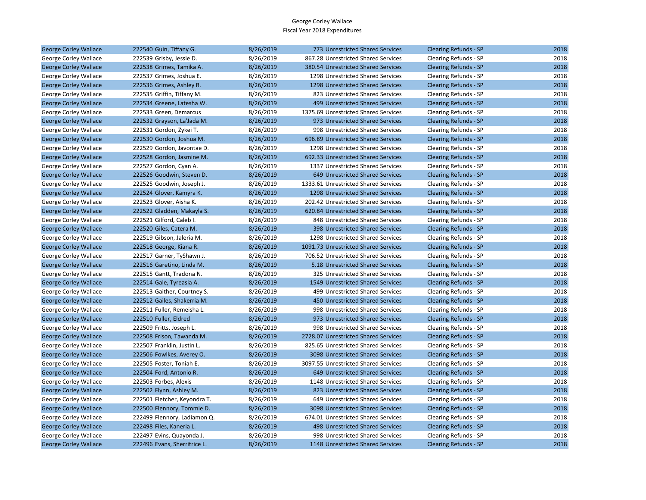| <b>George Corley Wallace</b> | 222540 Guin, Tiffany G.      | 8/26/2019 | 773 Unrestricted Shared Services     | <b>Clearing Refunds - SP</b> | 2018 |
|------------------------------|------------------------------|-----------|--------------------------------------|------------------------------|------|
| George Corley Wallace        | 222539 Grisby, Jessie D.     | 8/26/2019 | 867.28 Unrestricted Shared Services  | Clearing Refunds - SP        | 2018 |
| <b>George Corley Wallace</b> | 222538 Grimes, Tamika A.     | 8/26/2019 | 380.54 Unrestricted Shared Services  | <b>Clearing Refunds - SP</b> | 2018 |
| George Corley Wallace        | 222537 Grimes, Joshua E.     | 8/26/2019 | 1298 Unrestricted Shared Services    | Clearing Refunds - SP        | 2018 |
| <b>George Corley Wallace</b> | 222536 Grimes, Ashley R.     | 8/26/2019 | 1298 Unrestricted Shared Services    | <b>Clearing Refunds - SP</b> | 2018 |
| George Corley Wallace        | 222535 Griffin, Tiffany M.   | 8/26/2019 | 823 Unrestricted Shared Services     | Clearing Refunds - SP        | 2018 |
| <b>George Corley Wallace</b> | 222534 Greene, Latesha W.    | 8/26/2019 | 499 Unrestricted Shared Services     | <b>Clearing Refunds - SP</b> | 2018 |
| George Corley Wallace        | 222533 Green, Demarcus       | 8/26/2019 | 1375.69 Unrestricted Shared Services | Clearing Refunds - SP        | 2018 |
| <b>George Corley Wallace</b> | 222532 Grayson, La'Jada M.   | 8/26/2019 | 973 Unrestricted Shared Services     | <b>Clearing Refunds - SP</b> | 2018 |
| George Corley Wallace        | 222531 Gordon, Zykei T.      | 8/26/2019 | 998 Unrestricted Shared Services     | Clearing Refunds - SP        | 2018 |
| <b>George Corley Wallace</b> | 222530 Gordon, Joshua M.     | 8/26/2019 | 696.89 Unrestricted Shared Services  | <b>Clearing Refunds - SP</b> | 2018 |
| George Corley Wallace        | 222529 Gordon, Javontae D.   | 8/26/2019 | 1298 Unrestricted Shared Services    | Clearing Refunds - SP        | 2018 |
| <b>George Corley Wallace</b> | 222528 Gordon, Jasmine M.    | 8/26/2019 | 692.33 Unrestricted Shared Services  | <b>Clearing Refunds - SP</b> | 2018 |
| George Corley Wallace        | 222527 Gordon, Cyan A.       | 8/26/2019 | 1337 Unrestricted Shared Services    | Clearing Refunds - SP        | 2018 |
| <b>George Corley Wallace</b> | 222526 Goodwin, Steven D.    | 8/26/2019 | 649 Unrestricted Shared Services     | <b>Clearing Refunds - SP</b> | 2018 |
| George Corley Wallace        | 222525 Goodwin, Joseph J.    | 8/26/2019 | 1333.61 Unrestricted Shared Services | Clearing Refunds - SP        | 2018 |
| <b>George Corley Wallace</b> | 222524 Glover, Kamyra K.     | 8/26/2019 | 1298 Unrestricted Shared Services    | <b>Clearing Refunds - SP</b> | 2018 |
| George Corley Wallace        | 222523 Glover, Aisha K.      | 8/26/2019 | 202.42 Unrestricted Shared Services  | Clearing Refunds - SP        | 2018 |
| <b>George Corley Wallace</b> | 222522 Gladden, Makayla S.   | 8/26/2019 | 620.84 Unrestricted Shared Services  | <b>Clearing Refunds - SP</b> | 2018 |
| George Corley Wallace        | 222521 Gilford, Caleb I.     | 8/26/2019 | 848 Unrestricted Shared Services     | Clearing Refunds - SP        | 2018 |
| <b>George Corley Wallace</b> | 222520 Giles, Catera M.      | 8/26/2019 | 398 Unrestricted Shared Services     | <b>Clearing Refunds - SP</b> | 2018 |
| George Corley Wallace        | 222519 Gibson, Jaleria M.    | 8/26/2019 | 1298 Unrestricted Shared Services    | Clearing Refunds - SP        | 2018 |
| <b>George Corley Wallace</b> | 222518 George, Kiana R.      | 8/26/2019 | 1091.73 Unrestricted Shared Services | <b>Clearing Refunds - SP</b> | 2018 |
| George Corley Wallace        | 222517 Garner, TyShawn J.    | 8/26/2019 | 706.52 Unrestricted Shared Services  | Clearing Refunds - SP        | 2018 |
| <b>George Corley Wallace</b> | 222516 Garetino, Linda M.    | 8/26/2019 | 5.18 Unrestricted Shared Services    | <b>Clearing Refunds - SP</b> | 2018 |
| George Corley Wallace        | 222515 Gantt, Tradona N.     | 8/26/2019 | 325 Unrestricted Shared Services     | Clearing Refunds - SP        | 2018 |
| <b>George Corley Wallace</b> | 222514 Gale, Tyreasia A.     | 8/26/2019 | 1549 Unrestricted Shared Services    | <b>Clearing Refunds - SP</b> | 2018 |
| George Corley Wallace        | 222513 Gaither, Courtney S.  | 8/26/2019 | 499 Unrestricted Shared Services     | Clearing Refunds - SP        | 2018 |
| <b>George Corley Wallace</b> | 222512 Gailes, Shakerria M.  | 8/26/2019 | 450 Unrestricted Shared Services     | <b>Clearing Refunds - SP</b> | 2018 |
| George Corley Wallace        | 222511 Fuller, Remeisha L.   | 8/26/2019 | 998 Unrestricted Shared Services     | Clearing Refunds - SP        | 2018 |
| <b>George Corley Wallace</b> | 222510 Fuller, Eldred        | 8/26/2019 | 973 Unrestricted Shared Services     | <b>Clearing Refunds - SP</b> | 2018 |
| George Corley Wallace        | 222509 Fritts, Joseph L.     | 8/26/2019 | 998 Unrestricted Shared Services     | Clearing Refunds - SP        | 2018 |
| <b>George Corley Wallace</b> | 222508 Frison, Tawanda M.    | 8/26/2019 | 2728.07 Unrestricted Shared Services | <b>Clearing Refunds - SP</b> | 2018 |
| George Corley Wallace        | 222507 Franklin, Justin L.   | 8/26/2019 | 825.65 Unrestricted Shared Services  | Clearing Refunds - SP        | 2018 |
| <b>George Corley Wallace</b> | 222506 Fowlkes, Averey O.    | 8/26/2019 | 3098 Unrestricted Shared Services    | <b>Clearing Refunds - SP</b> | 2018 |
| George Corley Wallace        | 222505 Foster, Toniah E.     | 8/26/2019 | 3097.55 Unrestricted Shared Services | Clearing Refunds - SP        | 2018 |
| <b>George Corley Wallace</b> | 222504 Ford, Antonio R.      | 8/26/2019 | 649 Unrestricted Shared Services     | <b>Clearing Refunds - SP</b> | 2018 |
| George Corley Wallace        | 222503 Forbes, Alexis        | 8/26/2019 | 1148 Unrestricted Shared Services    | Clearing Refunds - SP        | 2018 |
| <b>George Corley Wallace</b> | 222502 Flynn, Ashley M.      | 8/26/2019 | 823 Unrestricted Shared Services     | <b>Clearing Refunds - SP</b> | 2018 |
| George Corley Wallace        | 222501 Fletcher, Keyondra T. | 8/26/2019 | 649 Unrestricted Shared Services     | Clearing Refunds - SP        | 2018 |
| <b>George Corley Wallace</b> | 222500 Flennory, Tommie D.   | 8/26/2019 | 3098 Unrestricted Shared Services    | <b>Clearing Refunds - SP</b> | 2018 |
| George Corley Wallace        | 222499 Flennory, Ladiamon Q. | 8/26/2019 | 674.01 Unrestricted Shared Services  | Clearing Refunds - SP        | 2018 |
| <b>George Corley Wallace</b> | 222498 Files, Kaneria L.     | 8/26/2019 | 498 Unrestricted Shared Services     | <b>Clearing Refunds - SP</b> | 2018 |
| George Corley Wallace        | 222497 Evins, Quayonda J.    | 8/26/2019 | 998 Unrestricted Shared Services     | Clearing Refunds - SP        | 2018 |
| <b>George Corley Wallace</b> | 222496 Evans, Sherritrice L. | 8/26/2019 | 1148 Unrestricted Shared Services    | <b>Clearing Refunds - SP</b> | 2018 |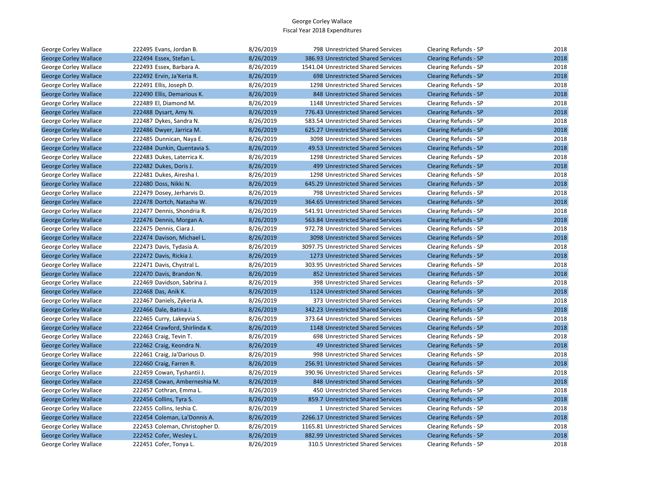| George Corley Wallace        | 222495 Evans, Jordan B.        | 8/26/2019 | 798 Unrestricted Shared Services     | Clearing Refunds - SP        | 2018 |
|------------------------------|--------------------------------|-----------|--------------------------------------|------------------------------|------|
| <b>George Corley Wallace</b> | 222494 Essex, Stefan L.        | 8/26/2019 | 386.93 Unrestricted Shared Services  | <b>Clearing Refunds - SP</b> | 2018 |
| George Corley Wallace        | 222493 Essex, Barbara A.       | 8/26/2019 | 1541.04 Unrestricted Shared Services | Clearing Refunds - SP        | 2018 |
| <b>George Corley Wallace</b> | 222492 Ervin, Ja'Keria R.      | 8/26/2019 | 698 Unrestricted Shared Services     | <b>Clearing Refunds - SP</b> | 2018 |
| George Corley Wallace        | 222491 Ellis, Joseph D.        | 8/26/2019 | 1298 Unrestricted Shared Services    | Clearing Refunds - SP        | 2018 |
| <b>George Corley Wallace</b> | 222490 Ellis, Demarious K.     | 8/26/2019 | 848 Unrestricted Shared Services     | <b>Clearing Refunds - SP</b> | 2018 |
| George Corley Wallace        | 222489 El, Diamond M.          | 8/26/2019 | 1148 Unrestricted Shared Services    | Clearing Refunds - SP        | 2018 |
| <b>George Corley Wallace</b> | 222488 Dysart, Amy N.          | 8/26/2019 | 776.43 Unrestricted Shared Services  | Clearing Refunds - SP        | 2018 |
| George Corley Wallace        | 222487 Dykes, Sandra N.        | 8/26/2019 | 583.54 Unrestricted Shared Services  | Clearing Refunds - SP        | 2018 |
| <b>George Corley Wallace</b> | 222486 Dwyer, Jarrica M.       | 8/26/2019 | 625.27 Unrestricted Shared Services  | <b>Clearing Refunds - SP</b> | 2018 |
| George Corley Wallace        | 222485 Dunnican, Naya E.       | 8/26/2019 | 3098 Unrestricted Shared Services    | Clearing Refunds - SP        | 2018 |
| <b>George Corley Wallace</b> | 222484 Dunkin, Quentavia S.    | 8/26/2019 | 49.53 Unrestricted Shared Services   | <b>Clearing Refunds - SP</b> | 2018 |
| George Corley Wallace        | 222483 Dukes, Laterrica K.     | 8/26/2019 | 1298 Unrestricted Shared Services    | Clearing Refunds - SP        | 2018 |
| <b>George Corley Wallace</b> | 222482 Dukes, Doris J.         | 8/26/2019 | 499 Unrestricted Shared Services     | Clearing Refunds - SP        | 2018 |
| George Corley Wallace        | 222481 Dukes, Airesha I.       | 8/26/2019 | 1298 Unrestricted Shared Services    | Clearing Refunds - SP        | 2018 |
| <b>George Corley Wallace</b> | 222480 Doss, Nikki N.          | 8/26/2019 | 645.29 Unrestricted Shared Services  | <b>Clearing Refunds - SP</b> | 2018 |
| George Corley Wallace        | 222479 Dosey, Jerharvis D.     | 8/26/2019 | 798 Unrestricted Shared Services     | Clearing Refunds - SP        | 2018 |
| <b>George Corley Wallace</b> | 222478 Dortch, Natasha W.      | 8/26/2019 | 364.65 Unrestricted Shared Services  | <b>Clearing Refunds - SP</b> | 2018 |
| George Corley Wallace        | 222477 Dennis, Shondria R.     | 8/26/2019 | 541.91 Unrestricted Shared Services  | Clearing Refunds - SP        | 2018 |
| <b>George Corley Wallace</b> | 222476 Dennis, Morgan A.       | 8/26/2019 | 563.84 Unrestricted Shared Services  | Clearing Refunds - SP        | 2018 |
| George Corley Wallace        | 222475 Dennis, Ciara J.        | 8/26/2019 | 972.78 Unrestricted Shared Services  | Clearing Refunds - SP        | 2018 |
| <b>George Corley Wallace</b> | 222474 Davison, Michael L.     | 8/26/2019 | 3098 Unrestricted Shared Services    | <b>Clearing Refunds - SP</b> | 2018 |
| George Corley Wallace        | 222473 Davis, Tydasia A.       | 8/26/2019 | 3097.75 Unrestricted Shared Services | Clearing Refunds - SP        | 2018 |
| <b>George Corley Wallace</b> | 222472 Davis, Rickia J.        | 8/26/2019 | 1273 Unrestricted Shared Services    | <b>Clearing Refunds - SP</b> | 2018 |
| George Corley Wallace        | 222471 Davis, Chystral L.      | 8/26/2019 | 303.95 Unrestricted Shared Services  | Clearing Refunds - SP        | 2018 |
| <b>George Corley Wallace</b> | 222470 Davis, Brandon N.       | 8/26/2019 | 852 Unrestricted Shared Services     | <b>Clearing Refunds - SP</b> | 2018 |
| George Corley Wallace        | 222469 Davidson, Sabrina J.    | 8/26/2019 | 398 Unrestricted Shared Services     | Clearing Refunds - SP        | 2018 |
| <b>George Corley Wallace</b> | 222468 Das, Anik K.            | 8/26/2019 | 1124 Unrestricted Shared Services    | <b>Clearing Refunds - SP</b> | 2018 |
| George Corley Wallace        | 222467 Daniels, Zykeria A.     | 8/26/2019 | 373 Unrestricted Shared Services     | Clearing Refunds - SP        | 2018 |
| <b>George Corley Wallace</b> | 222466 Dale, Batina J.         | 8/26/2019 | 342.23 Unrestricted Shared Services  | <b>Clearing Refunds - SP</b> | 2018 |
| George Corley Wallace        | 222465 Curry, Lakeyvia S.      | 8/26/2019 | 373.64 Unrestricted Shared Services  | Clearing Refunds - SP        | 2018 |
| <b>George Corley Wallace</b> | 222464 Crawford, Shirlinda K.  | 8/26/2019 | 1148 Unrestricted Shared Services    | <b>Clearing Refunds - SP</b> | 2018 |
| George Corley Wallace        | 222463 Craig, Tevin T.         | 8/26/2019 | 698 Unrestricted Shared Services     | Clearing Refunds - SP        | 2018 |
| <b>George Corley Wallace</b> | 222462 Craig, Keondra N.       | 8/26/2019 | 49 Unrestricted Shared Services      | <b>Clearing Refunds - SP</b> | 2018 |
| George Corley Wallace        | 222461 Craig, Ja'Darious D.    | 8/26/2019 | 998 Unrestricted Shared Services     | Clearing Refunds - SP        | 2018 |
| <b>George Corley Wallace</b> | 222460 Craig, Farren R.        | 8/26/2019 | 256.91 Unrestricted Shared Services  | <b>Clearing Refunds - SP</b> | 2018 |
| George Corley Wallace        | 222459 Cowan, Tyshantii J.     | 8/26/2019 | 390.96 Unrestricted Shared Services  | Clearing Refunds - SP        | 2018 |
| <b>George Corley Wallace</b> | 222458 Cowan, Amberneshia M.   | 8/26/2019 | 848 Unrestricted Shared Services     | <b>Clearing Refunds - SP</b> | 2018 |
| George Corley Wallace        | 222457 Cothran, Emma L.        | 8/26/2019 | 450 Unrestricted Shared Services     | Clearing Refunds - SP        | 2018 |
| <b>George Corley Wallace</b> | 222456 Collins, Tyra S.        | 8/26/2019 | 859.7 Unrestricted Shared Services   | <b>Clearing Refunds - SP</b> | 2018 |
| George Corley Wallace        | 222455 Collins, Ieshia C.      | 8/26/2019 | 1 Unrestricted Shared Services       | Clearing Refunds - SP        | 2018 |
| <b>George Corley Wallace</b> | 222454 Coleman, La'Donnis A.   | 8/26/2019 | 2266.17 Unrestricted Shared Services | <b>Clearing Refunds - SP</b> | 2018 |
| George Corley Wallace        | 222453 Coleman, Christopher D. | 8/26/2019 | 1165.81 Unrestricted Shared Services | Clearing Refunds - SP        | 2018 |
| <b>George Corley Wallace</b> | 222452 Cofer, Wesley L.        | 8/26/2019 | 882.99 Unrestricted Shared Services  | <b>Clearing Refunds - SP</b> | 2018 |
| George Corley Wallace        | 222451 Cofer, Tonya L.         | 8/26/2019 | 310.5 Unrestricted Shared Services   | Clearing Refunds - SP        | 2018 |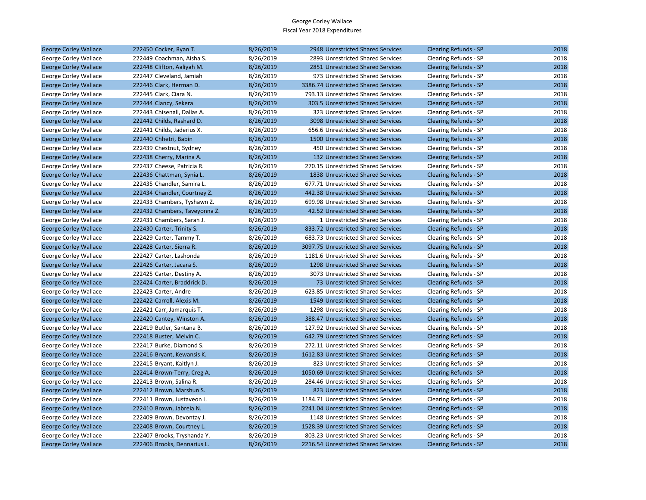| George Corley Wallace        | 222450 Cocker, Ryan T.        | 8/26/2019 | 2948 Unrestricted Shared Services    | <b>Clearing Refunds - SP</b> | 2018 |
|------------------------------|-------------------------------|-----------|--------------------------------------|------------------------------|------|
| George Corley Wallace        | 222449 Coachman, Aisha S.     | 8/26/2019 | 2893 Unrestricted Shared Services    | Clearing Refunds - SP        | 2018 |
| <b>George Corley Wallace</b> | 222448 Clifton, Aaliyah M.    | 8/26/2019 | 2851 Unrestricted Shared Services    | <b>Clearing Refunds - SP</b> | 2018 |
| George Corley Wallace        | 222447 Cleveland, Jamiah      | 8/26/2019 | 973 Unrestricted Shared Services     | Clearing Refunds - SP        | 2018 |
| <b>George Corley Wallace</b> | 222446 Clark, Herman D.       | 8/26/2019 | 3386.74 Unrestricted Shared Services | <b>Clearing Refunds - SP</b> | 2018 |
| George Corley Wallace        | 222445 Clark, Ciara N.        | 8/26/2019 | 793.13 Unrestricted Shared Services  | Clearing Refunds - SP        | 2018 |
| <b>George Corley Wallace</b> | 222444 Clancy, Sekera         | 8/26/2019 | 303.5 Unrestricted Shared Services   | <b>Clearing Refunds - SP</b> | 2018 |
| George Corley Wallace        | 222443 Chisenall, Dallas A.   | 8/26/2019 | 323 Unrestricted Shared Services     | Clearing Refunds - SP        | 2018 |
| <b>George Corley Wallace</b> | 222442 Childs, Rashard D.     | 8/26/2019 | 3098 Unrestricted Shared Services    | <b>Clearing Refunds - SP</b> | 2018 |
| George Corley Wallace        | 222441 Childs, Jaderius X.    | 8/26/2019 | 656.6 Unrestricted Shared Services   | Clearing Refunds - SP        | 2018 |
| <b>George Corley Wallace</b> | 222440 Chhetri, Babin         | 8/26/2019 | 1500 Unrestricted Shared Services    | <b>Clearing Refunds - SP</b> | 2018 |
| George Corley Wallace        | 222439 Chestnut, Sydney       | 8/26/2019 | 450 Unrestricted Shared Services     | Clearing Refunds - SP        | 2018 |
| <b>George Corley Wallace</b> | 222438 Cherry, Marina A.      | 8/26/2019 | 132 Unrestricted Shared Services     | <b>Clearing Refunds - SP</b> | 2018 |
| George Corley Wallace        | 222437 Cheese, Patricia R.    | 8/26/2019 | 270.15 Unrestricted Shared Services  | Clearing Refunds - SP        | 2018 |
| <b>George Corley Wallace</b> | 222436 Chattman, Synia L.     | 8/26/2019 | 1838 Unrestricted Shared Services    | <b>Clearing Refunds - SP</b> | 2018 |
| George Corley Wallace        | 222435 Chandler, Samira L.    | 8/26/2019 | 677.71 Unrestricted Shared Services  | Clearing Refunds - SP        | 2018 |
| <b>George Corley Wallace</b> | 222434 Chandler, Courtney Z.  | 8/26/2019 | 442.38 Unrestricted Shared Services  | <b>Clearing Refunds - SP</b> | 2018 |
| George Corley Wallace        | 222433 Chambers, Tyshawn Z.   | 8/26/2019 | 699.98 Unrestricted Shared Services  | Clearing Refunds - SP        | 2018 |
| <b>George Corley Wallace</b> | 222432 Chambers, Taveyonna Z. | 8/26/2019 | 42.52 Unrestricted Shared Services   | <b>Clearing Refunds - SP</b> | 2018 |
| George Corley Wallace        | 222431 Chambers, Sarah J.     | 8/26/2019 | 1 Unrestricted Shared Services       | Clearing Refunds - SP        | 2018 |
| <b>George Corley Wallace</b> | 222430 Carter, Trinity S.     | 8/26/2019 | 833.72 Unrestricted Shared Services  | <b>Clearing Refunds - SP</b> | 2018 |
| George Corley Wallace        | 222429 Carter, Tammy T.       | 8/26/2019 | 683.73 Unrestricted Shared Services  | Clearing Refunds - SP        | 2018 |
| <b>George Corley Wallace</b> | 222428 Carter, Sierra R.      | 8/26/2019 | 3097.75 Unrestricted Shared Services | <b>Clearing Refunds - SP</b> | 2018 |
| George Corley Wallace        | 222427 Carter, Lashonda       | 8/26/2019 | 1181.6 Unrestricted Shared Services  | Clearing Refunds - SP        | 2018 |
| <b>George Corley Wallace</b> | 222426 Carter, Jacara S.      | 8/26/2019 | 1298 Unrestricted Shared Services    | <b>Clearing Refunds - SP</b> | 2018 |
| George Corley Wallace        | 222425 Carter, Destiny A.     | 8/26/2019 | 3073 Unrestricted Shared Services    | Clearing Refunds - SP        | 2018 |
| <b>George Corley Wallace</b> | 222424 Carter, Braddrick D.   | 8/26/2019 | 73 Unrestricted Shared Services      | <b>Clearing Refunds - SP</b> | 2018 |
| George Corley Wallace        | 222423 Carter, Andre          | 8/26/2019 | 623.85 Unrestricted Shared Services  | Clearing Refunds - SP        | 2018 |
| <b>George Corley Wallace</b> | 222422 Carroll, Alexis M.     | 8/26/2019 | 1549 Unrestricted Shared Services    | <b>Clearing Refunds - SP</b> | 2018 |
| George Corley Wallace        | 222421 Carr, Jamarquis T.     | 8/26/2019 | 1298 Unrestricted Shared Services    | Clearing Refunds - SP        | 2018 |
| <b>George Corley Wallace</b> | 222420 Cantey, Winston A.     | 8/26/2019 | 388.47 Unrestricted Shared Services  | <b>Clearing Refunds - SP</b> | 2018 |
| George Corley Wallace        | 222419 Butler, Santana B.     | 8/26/2019 | 127.92 Unrestricted Shared Services  | Clearing Refunds - SP        | 2018 |
| <b>George Corley Wallace</b> | 222418 Buster, Melvin C.      | 8/26/2019 | 642.79 Unrestricted Shared Services  | <b>Clearing Refunds - SP</b> | 2018 |
| George Corley Wallace        | 222417 Burke, Diamond S.      | 8/26/2019 | 272.11 Unrestricted Shared Services  | Clearing Refunds - SP        | 2018 |
| <b>George Corley Wallace</b> | 222416 Bryant, Kewansis K.    | 8/26/2019 | 1612.83 Unrestricted Shared Services | <b>Clearing Refunds - SP</b> | 2018 |
| George Corley Wallace        | 222415 Bryant, Kaitlyn J.     | 8/26/2019 | 823 Unrestricted Shared Services     | Clearing Refunds - SP        | 2018 |
| <b>George Corley Wallace</b> | 222414 Brown-Terry, Creg A.   | 8/26/2019 | 1050.69 Unrestricted Shared Services | <b>Clearing Refunds - SP</b> | 2018 |
| George Corley Wallace        | 222413 Brown, Salina R.       | 8/26/2019 | 284.46 Unrestricted Shared Services  | Clearing Refunds - SP        | 2018 |
| <b>George Corley Wallace</b> | 222412 Brown, Marshun S.      | 8/26/2019 | 823 Unrestricted Shared Services     | <b>Clearing Refunds - SP</b> | 2018 |
| George Corley Wallace        | 222411 Brown, Justaveon L.    | 8/26/2019 | 1184.71 Unrestricted Shared Services | Clearing Refunds - SP        | 2018 |
| George Corley Wallace        | 222410 Brown, Jabreia N.      | 8/26/2019 | 2241.04 Unrestricted Shared Services | <b>Clearing Refunds - SP</b> | 2018 |
| George Corley Wallace        | 222409 Brown, Devontay J.     | 8/26/2019 | 1148 Unrestricted Shared Services    | Clearing Refunds - SP        | 2018 |
| <b>George Corley Wallace</b> | 222408 Brown, Courtney L.     | 8/26/2019 | 1528.39 Unrestricted Shared Services | <b>Clearing Refunds - SP</b> | 2018 |
| George Corley Wallace        | 222407 Brooks, Tryshanda Y.   | 8/26/2019 | 803.23 Unrestricted Shared Services  | Clearing Refunds - SP        | 2018 |
| <b>George Corley Wallace</b> | 222406 Brooks, Dennarius L.   | 8/26/2019 | 2216.54 Unrestricted Shared Services | <b>Clearing Refunds - SP</b> | 2018 |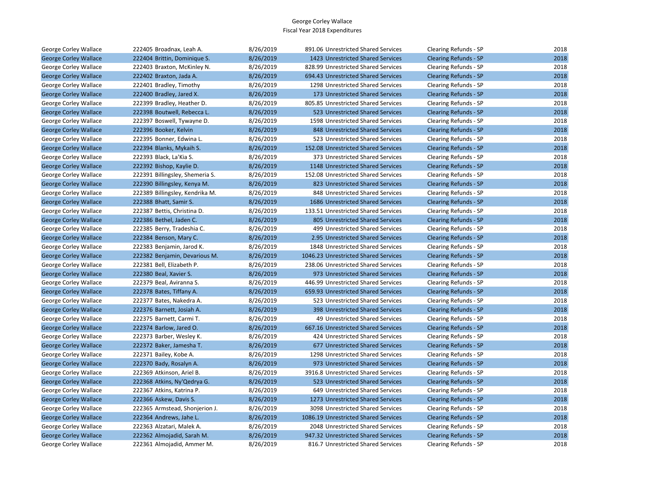| George Corley Wallace        | 222405 Broadnax, Leah A.        | 8/26/2019 | 891.06 Unrestricted Shared Services  | Clearing Refunds - SP        | 2018 |
|------------------------------|---------------------------------|-----------|--------------------------------------|------------------------------|------|
| <b>George Corley Wallace</b> | 222404 Brittin, Dominique S.    | 8/26/2019 | 1423 Unrestricted Shared Services    | <b>Clearing Refunds - SP</b> | 2018 |
| George Corley Wallace        | 222403 Braxton, McKinley N.     | 8/26/2019 | 828.99 Unrestricted Shared Services  | Clearing Refunds - SP        | 2018 |
| <b>George Corley Wallace</b> | 222402 Braxton, Jada A.         | 8/26/2019 | 694.43 Unrestricted Shared Services  | <b>Clearing Refunds - SP</b> | 2018 |
| George Corley Wallace        | 222401 Bradley, Timothy         | 8/26/2019 | 1298 Unrestricted Shared Services    | Clearing Refunds - SP        | 2018 |
| <b>George Corley Wallace</b> | 222400 Bradley, Jared X.        | 8/26/2019 | 173 Unrestricted Shared Services     | <b>Clearing Refunds - SP</b> | 2018 |
| George Corley Wallace        | 222399 Bradley, Heather D.      | 8/26/2019 | 805.85 Unrestricted Shared Services  | Clearing Refunds - SP        | 2018 |
| <b>George Corley Wallace</b> | 222398 Boutwell, Rebecca L.     | 8/26/2019 | 523 Unrestricted Shared Services     | <b>Clearing Refunds - SP</b> | 2018 |
| George Corley Wallace        | 222397 Boswell, Tywayne D.      | 8/26/2019 | 1598 Unrestricted Shared Services    | Clearing Refunds - SP        | 2018 |
| <b>George Corley Wallace</b> | 222396 Booker, Kelvin           | 8/26/2019 | 848 Unrestricted Shared Services     | <b>Clearing Refunds - SP</b> | 2018 |
| George Corley Wallace        | 222395 Bonner, Edwina L.        | 8/26/2019 | 523 Unrestricted Shared Services     | Clearing Refunds - SP        | 2018 |
| <b>George Corley Wallace</b> | 222394 Blanks, Mykaih S.        | 8/26/2019 | 152.08 Unrestricted Shared Services  | <b>Clearing Refunds - SP</b> | 2018 |
| George Corley Wallace        | 222393 Black, La'Kia S.         | 8/26/2019 | 373 Unrestricted Shared Services     | Clearing Refunds - SP        | 2018 |
| <b>George Corley Wallace</b> | 222392 Bishop, Kaylie D.        | 8/26/2019 | 1148 Unrestricted Shared Services    | <b>Clearing Refunds - SP</b> | 2018 |
| George Corley Wallace        | 222391 Billingsley, Shemeria S. | 8/26/2019 | 152.08 Unrestricted Shared Services  | Clearing Refunds - SP        | 2018 |
| <b>George Corley Wallace</b> | 222390 Billingsley, Kenya M.    | 8/26/2019 | 823 Unrestricted Shared Services     | <b>Clearing Refunds - SP</b> | 2018 |
| George Corley Wallace        | 222389 Billingsley, Kendrika M. | 8/26/2019 | 848 Unrestricted Shared Services     | Clearing Refunds - SP        | 2018 |
| <b>George Corley Wallace</b> | 222388 Bhatt, Samir S.          | 8/26/2019 | 1686 Unrestricted Shared Services    | <b>Clearing Refunds - SP</b> | 2018 |
| George Corley Wallace        | 222387 Bettis, Christina D.     | 8/26/2019 | 133.51 Unrestricted Shared Services  | Clearing Refunds - SP        | 2018 |
| <b>George Corley Wallace</b> | 222386 Bethel, Jaden C.         | 8/26/2019 | 805 Unrestricted Shared Services     | <b>Clearing Refunds - SP</b> | 2018 |
| George Corley Wallace        | 222385 Berry, Tradeshia C.      | 8/26/2019 | 499 Unrestricted Shared Services     | Clearing Refunds - SP        | 2018 |
| <b>George Corley Wallace</b> | 222384 Benson, Mary C.          | 8/26/2019 | 2.95 Unrestricted Shared Services    | <b>Clearing Refunds - SP</b> | 2018 |
| George Corley Wallace        | 222383 Benjamin, Jarod K.       | 8/26/2019 | 1848 Unrestricted Shared Services    | Clearing Refunds - SP        | 2018 |
| <b>George Corley Wallace</b> | 222382 Benjamin, Devarious M.   | 8/26/2019 | 1046.23 Unrestricted Shared Services | <b>Clearing Refunds - SP</b> | 2018 |
| George Corley Wallace        | 222381 Bell, Elizabeth P.       | 8/26/2019 | 238.06 Unrestricted Shared Services  | Clearing Refunds - SP        | 2018 |
| <b>George Corley Wallace</b> | 222380 Beal, Xavier S.          | 8/26/2019 | 973 Unrestricted Shared Services     | <b>Clearing Refunds - SP</b> | 2018 |
| George Corley Wallace        | 222379 Beal, Aviranna S.        | 8/26/2019 | 446.99 Unrestricted Shared Services  | Clearing Refunds - SP        | 2018 |
| <b>George Corley Wallace</b> | 222378 Bates, Tiffany A.        | 8/26/2019 | 659.93 Unrestricted Shared Services  | <b>Clearing Refunds - SP</b> | 2018 |
| George Corley Wallace        | 222377 Bates, Nakedra A.        | 8/26/2019 | 523 Unrestricted Shared Services     | Clearing Refunds - SP        | 2018 |
| <b>George Corley Wallace</b> | 222376 Barnett, Josiah A.       | 8/26/2019 | 398 Unrestricted Shared Services     | <b>Clearing Refunds - SP</b> | 2018 |
| George Corley Wallace        | 222375 Barnett, Carmi T.        | 8/26/2019 | 49 Unrestricted Shared Services      | Clearing Refunds - SP        | 2018 |
| <b>George Corley Wallace</b> | 222374 Barlow, Jared O.         | 8/26/2019 | 667.16 Unrestricted Shared Services  | Clearing Refunds - SP        | 2018 |
| George Corley Wallace        | 222373 Barber, Wesley K.        | 8/26/2019 | 424 Unrestricted Shared Services     | Clearing Refunds - SP        | 2018 |
| <b>George Corley Wallace</b> | 222372 Baker, Jamesha T.        | 8/26/2019 | 677 Unrestricted Shared Services     | <b>Clearing Refunds - SP</b> | 2018 |
| George Corley Wallace        | 222371 Bailey, Kobe A.          | 8/26/2019 | 1298 Unrestricted Shared Services    | Clearing Refunds - SP        | 2018 |
| <b>George Corley Wallace</b> | 222370 Bady, Rosalyn A.         | 8/26/2019 | 973 Unrestricted Shared Services     | <b>Clearing Refunds - SP</b> | 2018 |
| George Corley Wallace        | 222369 Atkinson, Ariel B.       | 8/26/2019 | 3916.8 Unrestricted Shared Services  | Clearing Refunds - SP        | 2018 |
| <b>George Corley Wallace</b> | 222368 Atkins, Ny'Qedrya G.     | 8/26/2019 | 523 Unrestricted Shared Services     | <b>Clearing Refunds - SP</b> | 2018 |
| George Corley Wallace        | 222367 Atkins, Katrina P.       | 8/26/2019 | 649 Unrestricted Shared Services     | Clearing Refunds - SP        | 2018 |
| <b>George Corley Wallace</b> | 222366 Askew, Davis S.          | 8/26/2019 | 1273 Unrestricted Shared Services    | <b>Clearing Refunds - SP</b> | 2018 |
| George Corley Wallace        | 222365 Armstead, Shonjerion J.  | 8/26/2019 | 3098 Unrestricted Shared Services    | Clearing Refunds - SP        | 2018 |
| <b>George Corley Wallace</b> | 222364 Andrews, Jahe L.         | 8/26/2019 | 1086.19 Unrestricted Shared Services | <b>Clearing Refunds - SP</b> | 2018 |
| George Corley Wallace        | 222363 Alzatari, Malek A.       | 8/26/2019 | 2048 Unrestricted Shared Services    | Clearing Refunds - SP        | 2018 |
| <b>George Corley Wallace</b> | 222362 Almojadid, Sarah M.      | 8/26/2019 | 947.32 Unrestricted Shared Services  | <b>Clearing Refunds - SP</b> | 2018 |
| George Corley Wallace        | 222361 Almojadid, Ammer M.      | 8/26/2019 | 816.7 Unrestricted Shared Services   | Clearing Refunds - SP        | 2018 |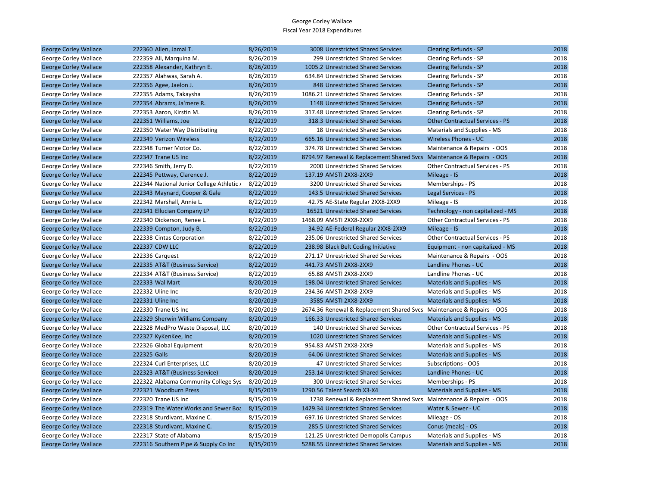| <b>George Corley Wallace</b> | 222360 Allen, Jamal T.                    | 8/26/2019 | 3008 Unrestricted Shared Services                                     | <b>Clearing Refunds - SP</b>           | 2018 |
|------------------------------|-------------------------------------------|-----------|-----------------------------------------------------------------------|----------------------------------------|------|
| George Corley Wallace        | 222359 Ali, Marquina M.                   | 8/26/2019 | 299 Unrestricted Shared Services                                      | Clearing Refunds - SP                  | 2018 |
| <b>George Corley Wallace</b> | 222358 Alexander, Kathryn E.              | 8/26/2019 | 1005.2 Unrestricted Shared Services                                   | <b>Clearing Refunds - SP</b>           | 2018 |
| George Corley Wallace        | 222357 Alahwas, Sarah A.                  | 8/26/2019 | 634.84 Unrestricted Shared Services                                   | Clearing Refunds - SP                  | 2018 |
| <b>George Corley Wallace</b> | 222356 Agee, Jaelon J.                    | 8/26/2019 | 848 Unrestricted Shared Services                                      | <b>Clearing Refunds - SP</b>           | 2018 |
| George Corley Wallace        | 222355 Adams, Takaysha                    | 8/26/2019 | 1086.21 Unrestricted Shared Services                                  | Clearing Refunds - SP                  | 2018 |
| <b>George Corley Wallace</b> | 222354 Abrams, Ja'mere R.                 | 8/26/2019 | 1148 Unrestricted Shared Services                                     | <b>Clearing Refunds - SP</b>           | 2018 |
| George Corley Wallace        | 222353 Aaron, Kirstin M.                  | 8/26/2019 | 317.48 Unrestricted Shared Services                                   | Clearing Refunds - SP                  | 2018 |
| <b>George Corley Wallace</b> | 222351 Williams, Joe                      | 8/22/2019 | 318.3 Unrestricted Shared Services                                    | <b>Other Contractual Services - PS</b> | 2018 |
| George Corley Wallace        | 222350 Water Way Distributing             | 8/22/2019 | 18 Unrestricted Shared Services                                       | Materials and Supplies - MS            | 2018 |
| <b>George Corley Wallace</b> | 222349 Verizon Wireless                   | 8/22/2019 | 665.16 Unrestricted Shared Services                                   | <b>Wireless Phones - UC</b>            | 2018 |
| George Corley Wallace        | 222348 Turner Motor Co.                   | 8/22/2019 | 374.78 Unrestricted Shared Services                                   | Maintenance & Repairs - OOS            | 2018 |
| <b>George Corley Wallace</b> | 222347 Trane US Inc                       | 8/22/2019 | 8794.97 Renewal & Replacement Shared Svcs Maintenance & Repairs - OOS |                                        | 2018 |
| George Corley Wallace        | 222346 Smith, Jerry D.                    | 8/22/2019 | 2000 Unrestricted Shared Services                                     | Other Contractual Services - PS        | 2018 |
| <b>George Corley Wallace</b> | 222345 Pettway, Clarence J.               | 8/22/2019 | 137.19 AMSTI 2XX8-2XX9                                                | Mileage - IS                           | 2018 |
| George Corley Wallace        | 222344 National Junior College Athletic / | 8/22/2019 | 3200 Unrestricted Shared Services                                     | Memberships - PS                       | 2018 |
| <b>George Corley Wallace</b> | 222343 Maynard, Cooper & Gale             | 8/22/2019 | 143.5 Unrestricted Shared Services                                    | Legal Services - PS                    | 2018 |
| George Corley Wallace        | 222342 Marshall, Annie L.                 | 8/22/2019 | 42.75 AE-State Regular 2XX8-2XX9                                      | Mileage - IS                           | 2018 |
| <b>George Corley Wallace</b> | 222341 Ellucian Company LP                | 8/22/2019 | 16521 Unrestricted Shared Services                                    | Technology - non capitalized - MS      | 2018 |
| George Corley Wallace        | 222340 Dickerson, Renee L.                | 8/22/2019 | 1468.09 AMSTI 2XX8-2XX9                                               | Other Contractual Services - PS        | 2018 |
| <b>George Corley Wallace</b> | 222339 Compton, Judy B.                   | 8/22/2019 | 34.92 AE-Federal Regular 2XX8-2XX9                                    | Mileage - IS                           | 2018 |
| George Corley Wallace        | 222338 Cintas Corporation                 | 8/22/2019 | 235.06 Unrestricted Shared Services                                   | Other Contractual Services - PS        | 2018 |
| <b>George Corley Wallace</b> | 222337 CDW LLC                            | 8/22/2019 | 238.98 Black Belt Coding Initiative                                   | Equipment - non capitalized - MS       | 2018 |
| George Corley Wallace        | 222336 Carquest                           | 8/22/2019 | 271.17 Unrestricted Shared Services                                   | Maintenance & Repairs - OOS            | 2018 |
| <b>George Corley Wallace</b> | 222335 AT&T (Business Service)            | 8/22/2019 | 441.73 AMSTI 2XX8-2XX9                                                | Landline Phones - UC                   | 2018 |
| George Corley Wallace        | 222334 AT&T (Business Service)            | 8/22/2019 | 65.88 AMSTI 2XX8-2XX9                                                 | Landline Phones - UC                   | 2018 |
| <b>George Corley Wallace</b> | 222333 Wal Mart                           | 8/20/2019 | 198.04 Unrestricted Shared Services                                   | <b>Materials and Supplies - MS</b>     | 2018 |
| George Corley Wallace        | 222332 Uline Inc                          | 8/20/2019 | 234.36 AMSTI 2XX8-2XX9                                                | Materials and Supplies - MS            | 2018 |
| <b>George Corley Wallace</b> | 222331 Uline Inc                          | 8/20/2019 | 3585 AMSTI 2XX8-2XX9                                                  | <b>Materials and Supplies - MS</b>     | 2018 |
| George Corley Wallace        | 222330 Trane US Inc                       | 8/20/2019 | 2674.36 Renewal & Replacement Shared Svcs Maintenance & Repairs - OOS |                                        | 2018 |
| <b>George Corley Wallace</b> | 222329 Sherwin Williams Company           | 8/20/2019 | 166.33 Unrestricted Shared Services                                   | <b>Materials and Supplies - MS</b>     | 2018 |
| George Corley Wallace        | 222328 MedPro Waste Disposal, LLC         | 8/20/2019 | 140 Unrestricted Shared Services                                      | Other Contractual Services - PS        | 2018 |
| <b>George Corley Wallace</b> | 222327 KyKenKee, Inc                      | 8/20/2019 | 1020 Unrestricted Shared Services                                     | <b>Materials and Supplies - MS</b>     | 2018 |
| George Corley Wallace        | 222326 Global Equipment                   | 8/20/2019 | 954.83 AMSTI 2XX8-2XX9                                                | Materials and Supplies - MS            | 2018 |
| <b>George Corley Wallace</b> | 222325 Galls                              | 8/20/2019 | 64.06 Unrestricted Shared Services                                    | <b>Materials and Supplies - MS</b>     | 2018 |
| George Corley Wallace        | 222324 Curl Enterprises, LLC              | 8/20/2019 | 47 Unrestricted Shared Services                                       | Subscriptions - OOS                    | 2018 |
| <b>George Corley Wallace</b> | 222323 AT&T (Business Service)            | 8/20/2019 | 253.14 Unrestricted Shared Services                                   | Landline Phones - UC                   | 2018 |
| George Corley Wallace        | 222322 Alabama Community College Sys      | 8/20/2019 | 300 Unrestricted Shared Services                                      | Memberships - PS                       | 2018 |
| <b>George Corley Wallace</b> | 222321 Woodburn Press                     | 8/15/2019 | 1290.56 Talent Search X3-X4                                           | <b>Materials and Supplies - MS</b>     | 2018 |
| George Corley Wallace        | 222320 Trane US Inc                       | 8/15/2019 | 1738 Renewal & Replacement Shared Svcs Maintenance & Repairs - OOS    |                                        | 2018 |
| <b>George Corley Wallace</b> | 222319 The Water Works and Sewer Boa      | 8/15/2019 | 1429.34 Unrestricted Shared Services                                  | Water & Sewer - UC                     | 2018 |
| George Corley Wallace        | 222318 Sturdivant, Maxine C.              | 8/15/2019 | 697.16 Unrestricted Shared Services                                   | Mileage - OS                           | 2018 |
| <b>George Corley Wallace</b> | 222318 Sturdivant, Maxine C.              | 8/15/2019 | 285.5 Unrestricted Shared Services                                    | Conus (meals) - OS                     | 2018 |
| George Corley Wallace        | 222317 State of Alabama                   | 8/15/2019 | 121.25 Unrestricted Demopolis Campus                                  | Materials and Supplies - MS            | 2018 |
| <b>George Corley Wallace</b> | 222316 Southern Pipe & Supply Co Inc      | 8/15/2019 | 5288.55 Unrestricted Shared Services                                  | <b>Materials and Supplies - MS</b>     | 2018 |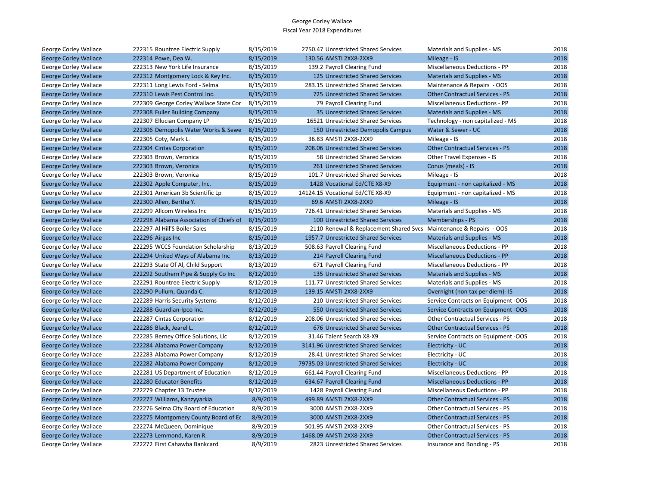| George Corley Wallace        | 222315 Rountree Electric Supply         | 8/15/2019 | 2750.47 Unrestricted Shared Services                               | Materials and Supplies - MS            | 2018 |
|------------------------------|-----------------------------------------|-----------|--------------------------------------------------------------------|----------------------------------------|------|
| <b>George Corley Wallace</b> | 222314 Powe, Dea W.                     | 8/15/2019 | 130.56 AMSTI 2XX8-2XX9                                             | Mileage - IS                           | 2018 |
| George Corley Wallace        | 222313 New York Life Insurance          | 8/15/2019 | 139.2 Payroll Clearing Fund                                        | <b>Miscellaneous Deductions - PP</b>   | 2018 |
| <b>George Corley Wallace</b> | 222312 Montgomery Lock & Key Inc.       | 8/15/2019 | 125 Unrestricted Shared Services                                   | <b>Materials and Supplies - MS</b>     | 2018 |
| George Corley Wallace        | 222311 Long Lewis Ford - Selma          | 8/15/2019 | 283.15 Unrestricted Shared Services                                | Maintenance & Repairs - OOS            | 2018 |
| <b>George Corley Wallace</b> | 222310 Lewis Pest Control Inc.          | 8/15/2019 | 725 Unrestricted Shared Services                                   | <b>Other Contractual Services - PS</b> | 2018 |
| George Corley Wallace        | 222309 George Corley Wallace State Cor  | 8/15/2019 | 79 Payroll Clearing Fund                                           | <b>Miscellaneous Deductions - PP</b>   | 2018 |
| <b>George Corley Wallace</b> | 222308 Fuller Building Company          | 8/15/2019 | 35 Unrestricted Shared Services                                    | Materials and Supplies - MS            | 2018 |
| George Corley Wallace        | 222307 Ellucian Company LP              | 8/15/2019 | 16521 Unrestricted Shared Services                                 | Technology - non capitalized - MS      | 2018 |
| <b>George Corley Wallace</b> | 222306 Demopolis Water Works & Sewe     | 8/15/2019 | 150 Unrestricted Demopolis Campus                                  | Water & Sewer - UC                     | 2018 |
| George Corley Wallace        | 222305 Coty, Mark L.                    | 8/15/2019 | 36.83 AMSTI 2XX8-2XX9                                              | Mileage - IS                           | 2018 |
| <b>George Corley Wallace</b> | 222304 Cintas Corporation               | 8/15/2019 | 208.06 Unrestricted Shared Services                                | <b>Other Contractual Services - PS</b> | 2018 |
| George Corley Wallace        | 222303 Brown, Veronica                  | 8/15/2019 | 58 Unrestricted Shared Services                                    | Other Travel Expenses - IS             | 2018 |
| <b>George Corley Wallace</b> | 222303 Brown, Veronica                  | 8/15/2019 | 261 Unrestricted Shared Services                                   | Conus (meals) - IS                     | 2018 |
| George Corley Wallace        | 222303 Brown, Veronica                  | 8/15/2019 | 101.7 Unrestricted Shared Services                                 | Mileage - IS                           | 2018 |
| <b>George Corley Wallace</b> | 222302 Apple Computer, Inc.             | 8/15/2019 | 1428 Vocational Ed/CTE X8-X9                                       | Equipment - non capitalized - MS       | 2018 |
| George Corley Wallace        | 222301 American 3b Scientific Lp        | 8/15/2019 | 14124.15 Vocational Ed/CTE X8-X9                                   | Equipment - non capitalized - MS       | 2018 |
| <b>George Corley Wallace</b> | 222300 Allen, Bertha Y.                 | 8/15/2019 | 69.6 AMSTI 2XX8-2XX9                                               | Mileage - IS                           | 2018 |
| George Corley Wallace        | 222299 Allcom Wireless Inc              | 8/15/2019 | 726.41 Unrestricted Shared Services                                | Materials and Supplies - MS            | 2018 |
| <b>George Corley Wallace</b> | 222298 Alabama Association of Chiefs of | 8/15/2019 | 100 Unrestricted Shared Services                                   | Memberships - PS                       | 2018 |
| George Corley Wallace        | 222297 Al Hill'S Boiler Sales           | 8/15/2019 | 2110 Renewal & Replacement Shared Svcs Maintenance & Repairs - OOS |                                        | 2018 |
| <b>George Corley Wallace</b> | 222296 Airgas Inc                       | 8/15/2019 | 1957.7 Unrestricted Shared Services                                | <b>Materials and Supplies - MS</b>     | 2018 |
| George Corley Wallace        | 222295 WCCS Foundation Scholarship      | 8/13/2019 | 508.63 Payroll Clearing Fund                                       | Miscellaneous Deductions - PP          | 2018 |
| <b>George Corley Wallace</b> | 222294 United Ways of Alabama Inc       | 8/13/2019 | 214 Payroll Clearing Fund                                          | <b>Miscellaneous Deductions - PP</b>   | 2018 |
| George Corley Wallace        | 222293 State Of Al, Child Support       | 8/13/2019 | 671 Payroll Clearing Fund                                          | Miscellaneous Deductions - PP          | 2018 |
| <b>George Corley Wallace</b> | 222292 Southern Pipe & Supply Co Inc    | 8/12/2019 | 135 Unrestricted Shared Services                                   | <b>Materials and Supplies - MS</b>     | 2018 |
| George Corley Wallace        | 222291 Rountree Electric Supply         | 8/12/2019 | 111.77 Unrestricted Shared Services                                | Materials and Supplies - MS            | 2018 |
| <b>George Corley Wallace</b> | 222290 Pullum, Quanda C.                | 8/12/2019 | 139.15 AMSTI 2XX8-2XX9                                             | Overnight (non tax per diem)- IS       | 2018 |
| George Corley Wallace        | 222289 Harris Security Systems          | 8/12/2019 | 210 Unrestricted Shared Services                                   | Service Contracts on Equipment -OOS    | 2018 |
| <b>George Corley Wallace</b> | 222288 Guardian-Ipco Inc.               | 8/12/2019 | 550 Unrestricted Shared Services                                   | Service Contracts on Equipment -OOS    | 2018 |
| George Corley Wallace        | 222287 Cintas Corporation               | 8/12/2019 | 208.06 Unrestricted Shared Services                                | <b>Other Contractual Services - PS</b> | 2018 |
| <b>George Corley Wallace</b> | 222286 Black, Jearel L.                 | 8/12/2019 | 676 Unrestricted Shared Services                                   | <b>Other Contractual Services - PS</b> | 2018 |
| George Corley Wallace        | 222285 Berney Office Solutions, Llc     | 8/12/2019 | 31.46 Talent Search X8-X9                                          | Service Contracts on Equipment -OOS    | 2018 |
| <b>George Corley Wallace</b> | 222284 Alabama Power Company            | 8/12/2019 | 3141.96 Unrestricted Shared Services                               | Electricity - UC                       | 2018 |
| George Corley Wallace        | 222283 Alabama Power Company            | 8/12/2019 | 28.41 Unrestricted Shared Services                                 | Electricity - UC                       | 2018 |
| <b>George Corley Wallace</b> | 222282 Alabama Power Company            | 8/12/2019 | 79735.03 Unrestricted Shared Services                              | Electricity - UC                       | 2018 |
| George Corley Wallace        | 222281 US Department of Education       | 8/12/2019 | 661.44 Payroll Clearing Fund                                       | Miscellaneous Deductions - PP          | 2018 |
| <b>George Corley Wallace</b> | 222280 Educator Benefits                | 8/12/2019 | 634.67 Payroll Clearing Fund                                       | <b>Miscellaneous Deductions - PP</b>   | 2018 |
| George Corley Wallace        | 222279 Chapter 13 Trustee               | 8/12/2019 | 1428 Payroll Clearing Fund                                         | <b>Miscellaneous Deductions - PP</b>   | 2018 |
| <b>George Corley Wallace</b> | 222277 Williams, Kanzyyarkia            | 8/9/2019  | 499.89 AMSTI 2XX8-2XX9                                             | <b>Other Contractual Services - PS</b> | 2018 |
| George Corley Wallace        | 222276 Selma City Board of Education    | 8/9/2019  | 3000 AMSTI 2XX8-2XX9                                               | Other Contractual Services - PS        | 2018 |
| <b>George Corley Wallace</b> | 222275 Montgomery County Board of Ec    | 8/9/2019  | 3000 AMSTI 2XX8-2XX9                                               | <b>Other Contractual Services - PS</b> | 2018 |
| George Corley Wallace        | 222274 McQueen, Dominique               | 8/9/2019  | 501.95 AMSTI 2XX8-2XX9                                             | Other Contractual Services - PS        | 2018 |
| <b>George Corley Wallace</b> | 222273 Lemmond, Karen R.                | 8/9/2019  | 1468.09 AMSTI 2XX8-2XX9                                            | <b>Other Contractual Services - PS</b> | 2018 |
| George Corley Wallace        | 222272 First Cahawba Bankcard           | 8/9/2019  | 2823 Unrestricted Shared Services                                  | Insurance and Bonding - PS             | 2018 |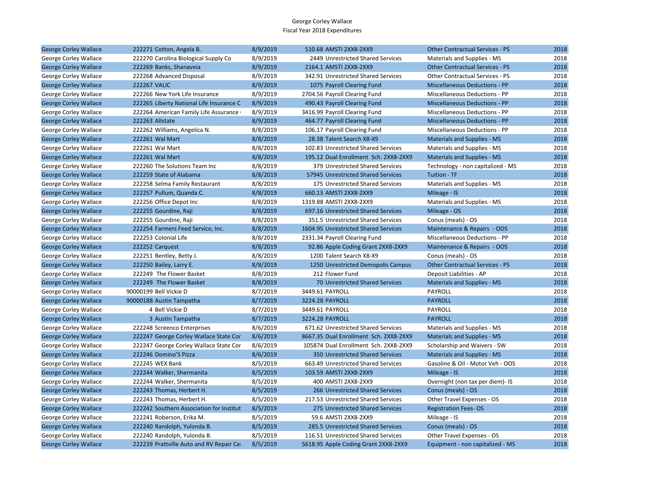| <b>George Corley Wallace</b> | 222271 Cotton, Angela B.                 | 8/9/2019 | 510.68 AMSTI 2XX8-2XX9                 | <b>Other Contractual Services - PS</b> | 2018 |
|------------------------------|------------------------------------------|----------|----------------------------------------|----------------------------------------|------|
| George Corley Wallace        | 222270 Carolina Biological Supply Co     | 8/9/2019 | 2449 Unrestricted Shared Services      | Materials and Supplies - MS            | 2018 |
| <b>George Corley Wallace</b> | 222269 Banks, Shanaveia                  | 8/9/2019 | 2164.1 AMSTI 2XX8-2XX9                 | <b>Other Contractual Services - PS</b> | 2018 |
| George Corley Wallace        | 222268 Advanced Disposal                 | 8/9/2019 | 342.91 Unrestricted Shared Services    | <b>Other Contractual Services - PS</b> | 2018 |
| <b>George Corley Wallace</b> | <b>222267 VALIC</b>                      | 8/9/2019 | 1075 Payroll Clearing Fund             | <b>Miscellaneous Deductions - PP</b>   | 2018 |
| George Corley Wallace        | 222266 New York Life Insurance           | 8/9/2019 | 2704.56 Payroll Clearing Fund          | Miscellaneous Deductions - PP          | 2018 |
| <b>George Corley Wallace</b> | 222265 Liberty National Life Insurance C | 8/9/2019 | 490.43 Payroll Clearing Fund           | <b>Miscellaneous Deductions - PP</b>   | 2018 |
| George Corley Wallace        | 222264 American Family Life Assurance    | 8/9/2019 | 3416.99 Payroll Clearing Fund          | Miscellaneous Deductions - PP          | 2018 |
| <b>George Corley Wallace</b> | 222263 Allstate                          | 8/9/2019 | 464.77 Payroll Clearing Fund           | <b>Miscellaneous Deductions - PP</b>   | 2018 |
| George Corley Wallace        | 222262 Williams, Angelica N.             | 8/8/2019 | 106.17 Payroll Clearing Fund           | Miscellaneous Deductions - PP          | 2018 |
| <b>George Corley Wallace</b> | 222261 Wal Mart                          | 8/8/2019 | 28.38 Talent Search X8-X9              | <b>Materials and Supplies - MS</b>     | 2018 |
| George Corley Wallace        | 222261 Wal Mart                          | 8/8/2019 | 102.83 Unrestricted Shared Services    | Materials and Supplies - MS            | 2018 |
| <b>George Corley Wallace</b> | 222261 Wal Mart                          | 8/8/2019 | 195.12 Dual Enrollment Sch. 2XX8-2XX9  | <b>Materials and Supplies - MS</b>     | 2018 |
| George Corley Wallace        | 222260 The Solutions Team Inc            | 8/8/2019 | 379 Unrestricted Shared Services       | Technology - non capitalized - MS      | 2018 |
| <b>George Corley Wallace</b> | 222259 State of Alabama                  | 8/8/2019 | 57945 Unrestricted Shared Services     | Tuition - TF                           | 2018 |
| George Corley Wallace        | 222258 Selma Family Restaurant           | 8/8/2019 | 175 Unrestricted Shared Services       | Materials and Supplies - MS            | 2018 |
| <b>George Corley Wallace</b> | 222257 Pullum, Quanda C.                 | 8/8/2019 | 660.13 AMSTI 2XX8-2XX9                 | Mileage - IS                           | 2018 |
| George Corley Wallace        | 222256 Office Depot Inc                  | 8/8/2019 | 1319.88 AMSTI 2XX8-2XX9                | Materials and Supplies - MS            | 2018 |
| <b>George Corley Wallace</b> | 222255 Gourdine, Raji                    | 8/8/2019 | 697.16 Unrestricted Shared Services    | Mileage - OS                           | 2018 |
| George Corley Wallace        | 222255 Gourdine, Raji                    | 8/8/2019 | 351.5 Unrestricted Shared Services     | Conus (meals) - OS                     | 2018 |
| <b>George Corley Wallace</b> | 222254 Farmers Feed Service, Inc.        | 8/8/2019 | 1604.95 Unrestricted Shared Services   | Maintenance & Repairs - OOS            | 2018 |
| George Corley Wallace        | 222253 Colonial Life                     | 8/8/2019 | 2331.34 Payroll Clearing Fund          | Miscellaneous Deductions - PP          | 2018 |
| <b>George Corley Wallace</b> | 222252 Carquest                          | 8/8/2019 | 92.86 Apple Coding Grant 2XX8-2XX9     | Maintenance & Repairs - OOS            | 2018 |
| George Corley Wallace        | 222251 Bentley, Betty J.                 | 8/8/2019 | 1200 Talent Search X8-X9               | Conus (meals) - OS                     | 2018 |
| <b>George Corley Wallace</b> | 222250 Bailey, Larry E.                  | 8/8/2019 | 1250 Unrestricted Demopolis Campus     | <b>Other Contractual Services - PS</b> | 2018 |
| George Corley Wallace        | 222249 The Flower Basket                 | 8/8/2019 | 212 Flower Fund                        | Deposit Liabilities - AP               | 2018 |
| <b>George Corley Wallace</b> | 222249 The Flower Basket                 | 8/8/2019 | 70 Unrestricted Shared Services        | <b>Materials and Supplies - MS</b>     | 2018 |
| George Corley Wallace        | 90000199 Bell Vickie D                   | 8/7/2019 | 3449.61 PAYROLL                        | PAYROLL                                | 2018 |
| <b>George Corley Wallace</b> | 90000188 Austin Tampatha                 | 8/7/2019 | 3224.28 PAYROLL                        | <b>PAYROLL</b>                         | 2018 |
| George Corley Wallace        | 4 Bell Vickie D                          | 8/7/2019 | 3449.61 PAYROLL                        | PAYROLL                                | 2018 |
| <b>George Corley Wallace</b> | 3 Austin Tampatha                        | 8/7/2019 | 3224.28 PAYROLL                        | <b>PAYROLL</b>                         | 2018 |
| George Corley Wallace        | 222248 Screenco Enterprises              | 8/6/2019 | 671.62 Unrestricted Shared Services    | Materials and Supplies - MS            | 2018 |
| <b>George Corley Wallace</b> | 222247 George Corley Wallace State Cor   | 8/6/2019 | 8667.35 Dual Enrollment Sch. 2XX8-2XX9 | <b>Materials and Supplies - MS</b>     | 2018 |
| George Corley Wallace        | 222247 George Corley Wallace State Cor   | 8/6/2019 | 105874 Dual Enrollment Sch. 2XX8-2XX9  | Scholarship and Waivers - SW           | 2018 |
| <b>George Corley Wallace</b> | 222246 Domino'S Pizza                    | 8/6/2019 | 350 Unrestricted Shared Services       | <b>Materials and Supplies - MS</b>     | 2018 |
| George Corley Wallace        | 222245 WEX Bank                          | 8/5/2019 | 663.49 Unrestricted Shared Services    | Gasoline & Oil - Motor Veh - OOS       | 2018 |
| <b>George Corley Wallace</b> | 222244 Walker, Shermanita                | 8/5/2019 | 103.59 AMSTI 2XX8-2XX9                 | Mileage - IS                           | 2018 |
| George Corley Wallace        | 222244 Walker, Shermanita                | 8/5/2019 | 400 AMSTI 2XX8-2XX9                    | Overnight (non tax per diem)- IS       | 2018 |
| <b>George Corley Wallace</b> | 222243 Thomas, Herbert H.                | 8/5/2019 | 266 Unrestricted Shared Services       | Conus (meals) - OS                     | 2018 |
| George Corley Wallace        | 222243 Thomas, Herbert H.                | 8/5/2019 | 217.53 Unrestricted Shared Services    | Other Travel Expenses - OS             | 2018 |
| <b>George Corley Wallace</b> | 222242 Southern Association for Institut | 8/5/2019 | 275 Unrestricted Shared Services       | <b>Registration Fees-OS</b>            | 2018 |
| George Corley Wallace        | 222241 Roberson, Erika M.                | 8/5/2019 | 59.6 AMSTI 2XX8-2XX9                   | Mileage - IS                           | 2018 |
| <b>George Corley Wallace</b> | 222240 Randolph, Yulonda B.              | 8/5/2019 | 285.5 Unrestricted Shared Services     | Conus (meals) - OS                     | 2018 |
| George Corley Wallace        | 222240 Randolph, Yulonda B.              | 8/5/2019 | 116.51 Unrestricted Shared Services    | Other Travel Expenses - OS             | 2018 |
| <b>George Corley Wallace</b> | 222239 Prattville Auto and RV Repair Cer | 8/5/2019 | 5618.95 Apple Coding Grant 2XX8-2XX9   | Equipment - non capitalized - MS       | 2018 |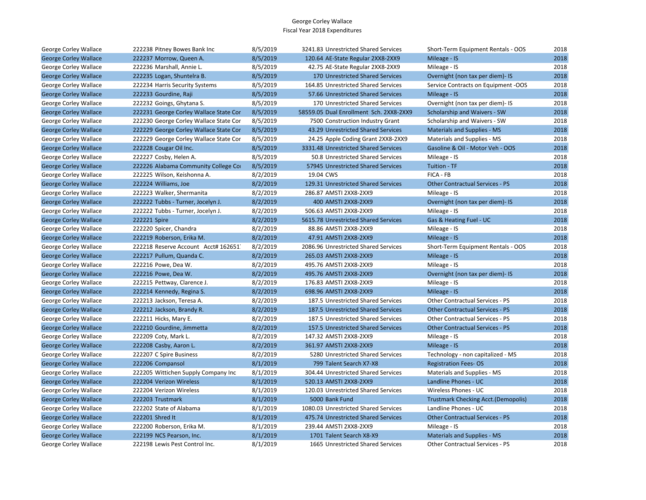| George Corley Wallace        | 222238 Pitney Bowes Bank Inc           | 8/5/2019 | 3241.83 Unrestricted Shared Services    | Short-Term Equipment Rentals - OOS         | 2018 |
|------------------------------|----------------------------------------|----------|-----------------------------------------|--------------------------------------------|------|
| <b>George Corley Wallace</b> | 222237 Morrow, Queen A.                | 8/5/2019 | 120.64 AE-State Regular 2XX8-2XX9       | Mileage - IS                               | 2018 |
| George Corley Wallace        | 222236 Marshall, Annie L.              | 8/5/2019 | 42.75 AE-State Regular 2XX8-2XX9        | Mileage - IS                               | 2018 |
| <b>George Corley Wallace</b> | 222235 Logan, Shuntelra B.             | 8/5/2019 | 170 Unrestricted Shared Services        | Overnight (non tax per diem)- IS           | 2018 |
| George Corley Wallace        | 222234 Harris Security Systems         | 8/5/2019 | 164.85 Unrestricted Shared Services     | Service Contracts on Equipment -OOS        | 2018 |
| <b>George Corley Wallace</b> | 222233 Gourdine, Raji                  | 8/5/2019 | 57.66 Unrestricted Shared Services      | Mileage - IS                               | 2018 |
| George Corley Wallace        | 222232 Goings, Ghytana S.              | 8/5/2019 | 170 Unrestricted Shared Services        | Overnight (non tax per diem)- IS           | 2018 |
| <b>George Corley Wallace</b> | 222231 George Corley Wallace State Cor | 8/5/2019 | 58559.05 Dual Enrollment Sch. 2XX8-2XX9 | Scholarship and Waivers - SW               | 2018 |
| George Corley Wallace        | 222230 George Corley Wallace State Cor | 8/5/2019 | 7500 Construction Industry Grant        | Scholarship and Waivers - SW               | 2018 |
| <b>George Corley Wallace</b> | 222229 George Corley Wallace State Cor | 8/5/2019 | 43.29 Unrestricted Shared Services      | <b>Materials and Supplies - MS</b>         | 2018 |
| George Corley Wallace        | 222229 George Corley Wallace State Cor | 8/5/2019 | 24.25 Apple Coding Grant 2XX8-2XX9      | Materials and Supplies - MS                | 2018 |
| <b>George Corley Wallace</b> | 222228 Cougar Oil Inc.                 | 8/5/2019 | 3331.48 Unrestricted Shared Services    | Gasoline & Oil - Motor Veh - OOS           | 2018 |
| George Corley Wallace        | 222227 Cosby, Helen A.                 | 8/5/2019 | 50.8 Unrestricted Shared Services       | Mileage - IS                               | 2018 |
| <b>George Corley Wallace</b> | 222226 Alabama Community College Cor   | 8/5/2019 | 57945 Unrestricted Shared Services      | Tuition - TF                               | 2018 |
| George Corley Wallace        | 222225 Wilson, Keishonna A.            | 8/2/2019 | 19.04 CWS                               | FICA - FB                                  | 2018 |
| <b>George Corley Wallace</b> | 222224 Williams, Joe                   | 8/2/2019 | 129.31 Unrestricted Shared Services     | <b>Other Contractual Services - PS</b>     | 2018 |
| George Corley Wallace        | 222223 Walker, Shermanita              | 8/2/2019 | 286.87 AMSTI 2XX8-2XX9                  | Mileage - IS                               | 2018 |
| <b>George Corley Wallace</b> | 222222 Tubbs - Turner, Jocelyn J.      | 8/2/2019 | 400 AMSTI 2XX8-2XX9                     | Overnight (non tax per diem)- IS           | 2018 |
| George Corley Wallace        | 222222 Tubbs - Turner, Jocelyn J.      | 8/2/2019 | 506.63 AMSTI 2XX8-2XX9                  | Mileage - IS                               | 2018 |
| <b>George Corley Wallace</b> | 222221 Spire                           | 8/2/2019 | 5615.78 Unrestricted Shared Services    | Gas & Heating Fuel - UC                    | 2018 |
| George Corley Wallace        | 222220 Spicer, Chandra                 | 8/2/2019 | 88.86 AMSTI 2XX8-2XX9                   | Mileage - IS                               | 2018 |
| <b>George Corley Wallace</b> | 222219 Roberson, Erika M.              | 8/2/2019 | 47.91 AMSTI 2XX8-2XX9                   | Mileage - IS                               | 2018 |
| George Corley Wallace        | 222218 Reserve Account Acct# 162651    | 8/2/2019 | 2086.96 Unrestricted Shared Services    | Short-Term Equipment Rentals - OOS         | 2018 |
| <b>George Corley Wallace</b> | 222217 Pullum, Quanda C.               | 8/2/2019 | 265.03 AMSTI 2XX8-2XX9                  | Mileage - IS                               | 2018 |
| George Corley Wallace        | 222216 Powe, Dea W.                    | 8/2/2019 | 495.76 AMSTI 2XX8-2XX9                  | Mileage - IS                               | 2018 |
| <b>George Corley Wallace</b> | 222216 Powe, Dea W.                    | 8/2/2019 | 495.76 AMSTI 2XX8-2XX9                  | Overnight (non tax per diem)- IS           | 2018 |
| George Corley Wallace        | 222215 Pettway, Clarence J.            | 8/2/2019 | 176.83 AMSTI 2XX8-2XX9                  | Mileage - IS                               | 2018 |
| <b>George Corley Wallace</b> | 222214 Kennedy, Regina S.              | 8/2/2019 | 698.96 AMSTI 2XX8-2XX9                  | Mileage - IS                               | 2018 |
| George Corley Wallace        | 222213 Jackson, Teresa A.              | 8/2/2019 | 187.5 Unrestricted Shared Services      | <b>Other Contractual Services - PS</b>     | 2018 |
| <b>George Corley Wallace</b> | 222212 Jackson, Brandy R.              | 8/2/2019 | 187.5 Unrestricted Shared Services      | <b>Other Contractual Services - PS</b>     | 2018 |
| George Corley Wallace        | 222211 Hicks, Mary E.                  | 8/2/2019 | 187.5 Unrestricted Shared Services      | Other Contractual Services - PS            | 2018 |
| <b>George Corley Wallace</b> | 222210 Gourdine, Jimmetta              | 8/2/2019 | 157.5 Unrestricted Shared Services      | <b>Other Contractual Services - PS</b>     | 2018 |
| George Corley Wallace        | 222209 Coty, Mark L.                   | 8/2/2019 | 147.32 AMSTI 2XX8-2XX9                  | Mileage - IS                               | 2018 |
| <b>George Corley Wallace</b> | 222208 Casby, Aaron L.                 | 8/2/2019 | 361.97 AMSTI 2XX8-2XX9                  | Mileage - IS                               | 2018 |
| George Corley Wallace        | 222207 C Spire Business                | 8/2/2019 | 5280 Unrestricted Shared Services       | Technology - non capitalized - MS          | 2018 |
| <b>George Corley Wallace</b> | 222206 Compansol                       | 8/1/2019 | 799 Talent Search X7-X8                 | <b>Registration Fees-OS</b>                | 2018 |
| George Corley Wallace        | 222205 Wittichen Supply Company Inc    | 8/1/2019 | 304.44 Unrestricted Shared Services     | Materials and Supplies - MS                | 2018 |
| <b>George Corley Wallace</b> | 222204 Verizon Wireless                | 8/1/2019 | 520.13 AMSTI 2XX8-2XX9                  | Landline Phones - UC                       | 2018 |
| George Corley Wallace        | 222204 Verizon Wireless                | 8/1/2019 | 120.03 Unrestricted Shared Services     | Wireless Phones - UC                       | 2018 |
| <b>George Corley Wallace</b> | 222203 Trustmark                       | 8/1/2019 | 5000 Bank Fund                          | <b>Trustmark Checking Acct.(Demopolis)</b> | 2018 |
| George Corley Wallace        | 222202 State of Alabama                | 8/1/2019 | 1080.03 Unrestricted Shared Services    | Landline Phones - UC                       | 2018 |
| <b>George Corley Wallace</b> | 222201 Shred It                        | 8/1/2019 | 475.74 Unrestricted Shared Services     | <b>Other Contractual Services - PS</b>     | 2018 |
| George Corley Wallace        | 222200 Roberson, Erika M.              | 8/1/2019 | 239.44 AMSTI 2XX8-2XX9                  | Mileage - IS                               | 2018 |
| <b>George Corley Wallace</b> | 222199 NCS Pearson, Inc.               | 8/1/2019 | 1701 Talent Search X8-X9                | <b>Materials and Supplies - MS</b>         | 2018 |
| George Corley Wallace        | 222198 Lewis Pest Control Inc.         | 8/1/2019 | 1665 Unrestricted Shared Services       | Other Contractual Services - PS            | 2018 |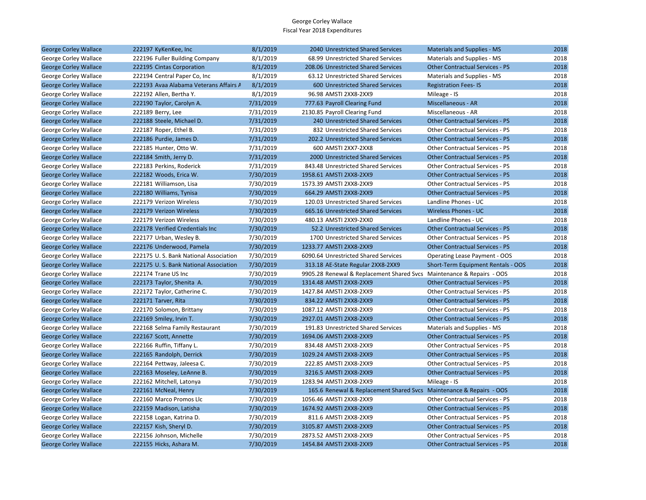| <b>George Corley Wallace</b> | 222197 KyKenKee, Inc                   | 8/1/2019  | 2040 Unrestricted Shared Services                                     | <b>Materials and Supplies - MS</b>     | 2018 |
|------------------------------|----------------------------------------|-----------|-----------------------------------------------------------------------|----------------------------------------|------|
| George Corley Wallace        | 222196 Fuller Building Company         | 8/1/2019  | 68.99 Unrestricted Shared Services                                    | Materials and Supplies - MS            | 2018 |
| <b>George Corley Wallace</b> | 222195 Cintas Corporation              | 8/1/2019  | 208.06 Unrestricted Shared Services                                   | <b>Other Contractual Services - PS</b> | 2018 |
| George Corley Wallace        | 222194 Central Paper Co, Inc.          | 8/1/2019  | 63.12 Unrestricted Shared Services                                    | Materials and Supplies - MS            | 2018 |
| <b>George Corley Wallace</b> | 222193 Avaa Alabama Veterans Affairs A | 8/1/2019  | 600 Unrestricted Shared Services                                      | <b>Registration Fees-IS</b>            | 2018 |
| George Corley Wallace        | 222192 Allen, Bertha Y.                | 8/1/2019  | 96.98 AMSTI 2XX8-2XX9                                                 | Mileage - IS                           | 2018 |
| <b>George Corley Wallace</b> | 222190 Taylor, Carolyn A.              | 7/31/2019 | 777.63 Payroll Clearing Fund                                          | Miscellaneous - AR                     | 2018 |
| George Corley Wallace        | 222189 Berry, Lee                      | 7/31/2019 | 2130.85 Payroll Clearing Fund                                         | Miscellaneous - AR                     | 2018 |
| <b>George Corley Wallace</b> | 222188 Steele, Michael D.              | 7/31/2019 | 240 Unrestricted Shared Services                                      | <b>Other Contractual Services - PS</b> | 2018 |
| George Corley Wallace        | 222187 Roper, Ethel B.                 | 7/31/2019 | 832 Unrestricted Shared Services                                      | <b>Other Contractual Services - PS</b> | 2018 |
| <b>George Corley Wallace</b> | 222186 Purdie, James D.                | 7/31/2019 | 202.2 Unrestricted Shared Services                                    | <b>Other Contractual Services - PS</b> | 2018 |
| George Corley Wallace        | 222185 Hunter, Otto W.                 | 7/31/2019 | 600 AMSTI 2XX7-2XX8                                                   | Other Contractual Services - PS        | 2018 |
| <b>George Corley Wallace</b> | 222184 Smith, Jerry D.                 | 7/31/2019 | 2000 Unrestricted Shared Services                                     | <b>Other Contractual Services - PS</b> | 2018 |
| George Corley Wallace        | 222183 Perkins, Roderick               | 7/31/2019 | 843.48 Unrestricted Shared Services                                   | Other Contractual Services - PS        | 2018 |
| <b>George Corley Wallace</b> | 222182 Woods, Erica W.                 | 7/30/2019 | 1958.61 AMSTI 2XX8-2XX9                                               | <b>Other Contractual Services - PS</b> | 2018 |
| George Corley Wallace        | 222181 Williamson, Lisa                | 7/30/2019 | 1573.39 AMSTI 2XX8-2XX9                                               | Other Contractual Services - PS        | 2018 |
| <b>George Corley Wallace</b> | 222180 Williams, Tynisa                | 7/30/2019 | 664.29 AMSTI 2XX8-2XX9                                                | <b>Other Contractual Services - PS</b> | 2018 |
| George Corley Wallace        | 222179 Verizon Wireless                | 7/30/2019 | 120.03 Unrestricted Shared Services                                   | Landline Phones - UC                   | 2018 |
| <b>George Corley Wallace</b> | 222179 Verizon Wireless                | 7/30/2019 | 665.16 Unrestricted Shared Services                                   | <b>Wireless Phones - UC</b>            | 2018 |
| George Corley Wallace        | 222179 Verizon Wireless                | 7/30/2019 | 480.13 AMSTI 2XX9-2XX0                                                | Landline Phones - UC                   | 2018 |
| <b>George Corley Wallace</b> | 222178 Verified Credentials Inc        | 7/30/2019 | 52.2 Unrestricted Shared Services                                     | <b>Other Contractual Services - PS</b> | 2018 |
| George Corley Wallace        | 222177 Urban, Wesley B.                | 7/30/2019 | 1700 Unrestricted Shared Services                                     | Other Contractual Services - PS        | 2018 |
| <b>George Corley Wallace</b> | 222176 Underwood, Pamela               | 7/30/2019 | 1233.77 AMSTI 2XX8-2XX9                                               | <b>Other Contractual Services - PS</b> | 2018 |
| George Corley Wallace        | 222175 U.S. Bank National Association  | 7/30/2019 | 6090.64 Unrestricted Shared Services                                  | Operating Lease Payment - OOS          | 2018 |
| <b>George Corley Wallace</b> | 222175 U.S. Bank National Association  | 7/30/2019 | 313.18 AE-State Regular 2XX8-2XX9                                     | Short-Term Equipment Rentals - OOS     | 2018 |
| George Corley Wallace        | 222174 Trane US Inc                    | 7/30/2019 | 9905.28 Renewal & Replacement Shared Svcs Maintenance & Repairs - OOS |                                        | 2018 |
| <b>George Corley Wallace</b> | 222173 Taylor, Shenita A.              | 7/30/2019 | 1314.48 AMSTI 2XX8-2XX9                                               | <b>Other Contractual Services - PS</b> | 2018 |
| George Corley Wallace        | 222172 Taylor, Catherine C.            | 7/30/2019 | 1427.84 AMSTI 2XX8-2XX9                                               | <b>Other Contractual Services - PS</b> | 2018 |
| <b>George Corley Wallace</b> | 222171 Tarver, Rita                    | 7/30/2019 | 834.22 AMSTI 2XX8-2XX9                                                | <b>Other Contractual Services - PS</b> | 2018 |
| George Corley Wallace        | 222170 Solomon, Brittany               | 7/30/2019 | 1087.12 AMSTI 2XX8-2XX9                                               | Other Contractual Services - PS        | 2018 |
| <b>George Corley Wallace</b> | 222169 Smiley, Irvin T.                | 7/30/2019 | 2927.01 AMSTI 2XX8-2XX9                                               | <b>Other Contractual Services - PS</b> | 2018 |
| George Corley Wallace        | 222168 Selma Family Restaurant         | 7/30/2019 | 191.83 Unrestricted Shared Services                                   | Materials and Supplies - MS            | 2018 |
| <b>George Corley Wallace</b> | 222167 Scott, Annette                  | 7/30/2019 | 1694.06 AMSTI 2XX8-2XX9                                               | <b>Other Contractual Services - PS</b> | 2018 |
| George Corley Wallace        | 222166 Ruffin, Tiffany L.              | 7/30/2019 | 834.48 AMSTI 2XX8-2XX9                                                | Other Contractual Services - PS        | 2018 |
| <b>George Corley Wallace</b> | 222165 Randolph, Derrick               | 7/30/2019 | 1029.24 AMSTI 2XX8-2XX9                                               | <b>Other Contractual Services - PS</b> | 2018 |
| George Corley Wallace        | 222164 Pettway, Jaleesa C.             | 7/30/2019 | 222.85 AMSTI 2XX8-2XX9                                                | Other Contractual Services - PS        | 2018 |
| <b>George Corley Wallace</b> | 222163 Moseley, LeAnne B.              | 7/30/2019 | 3216.5 AMSTI 2XX8-2XX9                                                | <b>Other Contractual Services - PS</b> | 2018 |
| George Corley Wallace        | 222162 Mitchell, Latonya               | 7/30/2019 | 1283.94 AMSTI 2XX8-2XX9                                               | Mileage - IS                           | 2018 |
| <b>George Corley Wallace</b> | 222161 McNeal, Henry                   | 7/30/2019 | 165.6 Renewal & Replacement Shared Svcs Maintenance & Repairs - OOS   |                                        | 2018 |
| George Corley Wallace        | 222160 Marco Promos Llc                | 7/30/2019 | 1056.46 AMSTI 2XX8-2XX9                                               | Other Contractual Services - PS        | 2018 |
| <b>George Corley Wallace</b> | 222159 Madison, Latisha                | 7/30/2019 | 1674.92 AMSTI 2XX8-2XX9                                               | <b>Other Contractual Services - PS</b> | 2018 |
| George Corley Wallace        | 222158 Logan, Katrina D.               | 7/30/2019 | 811.6 AMSTI 2XX8-2XX9                                                 | Other Contractual Services - PS        | 2018 |
| <b>George Corley Wallace</b> | 222157 Kish, Sheryl D.                 | 7/30/2019 | 3105.87 AMSTI 2XX8-2XX9                                               | <b>Other Contractual Services - PS</b> | 2018 |
| George Corley Wallace        | 222156 Johnson, Michelle               | 7/30/2019 | 2873.52 AMSTI 2XX8-2XX9                                               | Other Contractual Services - PS        | 2018 |
| <b>George Corley Wallace</b> | 222155 Hicks, Ashara M.                | 7/30/2019 | 1454.84 AMSTI 2XX8-2XX9                                               | <b>Other Contractual Services - PS</b> | 2018 |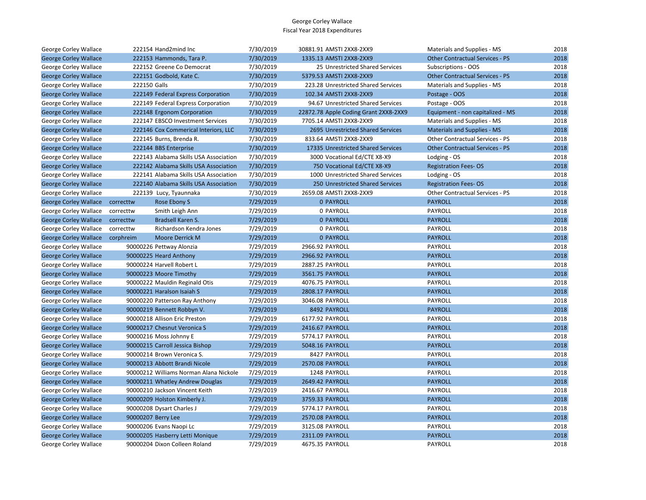| George Corley Wallace        | 222154 Hand2mind Inc                   | 7/30/2019 | 30881.91 AMSTI 2XX8-2XX9              | Materials and Supplies - MS            | 2018 |
|------------------------------|----------------------------------------|-----------|---------------------------------------|----------------------------------------|------|
| <b>George Corley Wallace</b> | 222153 Hammonds, Tara P.               | 7/30/2019 | 1335.13 AMSTI 2XX8-2XX9               | <b>Other Contractual Services - PS</b> | 2018 |
| George Corley Wallace        | 222152 Greene Co Democrat              | 7/30/2019 | 25 Unrestricted Shared Services       | Subscriptions - OOS                    | 2018 |
| <b>George Corley Wallace</b> | 222151 Godbold, Kate C.                | 7/30/2019 | 5379.53 AMSTI 2XX8-2XX9               | <b>Other Contractual Services - PS</b> | 2018 |
| George Corley Wallace        | 222150 Galls                           | 7/30/2019 | 223.28 Unrestricted Shared Services   | Materials and Supplies - MS            | 2018 |
| <b>George Corley Wallace</b> | 222149 Federal Express Corporation     | 7/30/2019 | 102.34 AMSTI 2XX8-2XX9                | Postage - OOS                          | 2018 |
| George Corley Wallace        | 222149 Federal Express Corporation     | 7/30/2019 | 94.67 Unrestricted Shared Services    | Postage - OOS                          | 2018 |
| <b>George Corley Wallace</b> | 222148 Ergonom Corporation             | 7/30/2019 | 22872.78 Apple Coding Grant 2XX8-2XX9 | Equipment - non capitalized - MS       | 2018 |
| George Corley Wallace        | 222147 EBSCO Investment Services       | 7/30/2019 | 7705.14 AMSTI 2XX8-2XX9               | Materials and Supplies - MS            | 2018 |
| <b>George Corley Wallace</b> | 222146 Cox Commerical Interiors, LLC   | 7/30/2019 | 2695 Unrestricted Shared Services     | <b>Materials and Supplies - MS</b>     | 2018 |
| George Corley Wallace        | 222145 Burns, Brenda R.                | 7/30/2019 | 833.64 AMSTI 2XX8-2XX9                | Other Contractual Services - PS        | 2018 |
| <b>George Corley Wallace</b> | 222144 BBS Enterprise                  | 7/30/2019 | 17335 Unrestricted Shared Services    | <b>Other Contractual Services - PS</b> | 2018 |
| George Corley Wallace        | 222143 Alabama Skills USA Association  | 7/30/2019 | 3000 Vocational Ed/CTE X8-X9          | Lodging - OS                           | 2018 |
| <b>George Corley Wallace</b> | 222142 Alabama Skills USA Association  | 7/30/2019 | 750 Vocational Ed/CTE X8-X9           | <b>Registration Fees-OS</b>            | 2018 |
| George Corley Wallace        | 222141 Alabama Skills USA Association  | 7/30/2019 | 1000 Unrestricted Shared Services     | Lodging - OS                           | 2018 |
| <b>George Corley Wallace</b> | 222140 Alabama Skills USA Association  | 7/30/2019 | 250 Unrestricted Shared Services      | <b>Registration Fees-OS</b>            | 2018 |
| George Corley Wallace        | 222139 Lucy, Tyaunnaka                 | 7/30/2019 | 2659.08 AMSTI 2XX8-2XX9               | Other Contractual Services - PS        | 2018 |
| <b>George Corley Wallace</b> | correcttw<br>Rose Ebony S              | 7/29/2019 | <b>0 PAYROLL</b>                      | <b>PAYROLL</b>                         | 2018 |
| George Corley Wallace        | correcttw<br>Smith Leigh Ann           | 7/29/2019 | 0 PAYROLL                             | PAYROLL                                | 2018 |
| <b>George Corley Wallace</b> | Bradsell Karen S.<br>correcttw         | 7/29/2019 | <b>0 PAYROLL</b>                      | <b>PAYROLL</b>                         | 2018 |
| George Corley Wallace        | correcttw<br>Richardson Kendra Jones   | 7/29/2019 | 0 PAYROLL                             | PAYROLL                                | 2018 |
| <b>George Corley Wallace</b> | corphreim<br><b>Moore Derrick M</b>    | 7/29/2019 | <b>0 PAYROLL</b>                      | <b>PAYROLL</b>                         | 2018 |
| George Corley Wallace        | 90000226 Pettway Alonzia               | 7/29/2019 | 2966.92 PAYROLL                       | PAYROLL                                | 2018 |
| <b>George Corley Wallace</b> | 90000225 Heard Anthony                 | 7/29/2019 | 2966.92 PAYROLL                       | <b>PAYROLL</b>                         | 2018 |
| George Corley Wallace        | 90000224 Harvell Robert L              | 7/29/2019 | 2887.25 PAYROLL                       | PAYROLL                                | 2018 |
| <b>George Corley Wallace</b> | 90000223 Moore Timothy                 | 7/29/2019 | 3561.75 PAYROLL                       | <b>PAYROLL</b>                         | 2018 |
| George Corley Wallace        | 90000222 Mauldin Reginald Otis         | 7/29/2019 | 4076.75 PAYROLL                       | PAYROLL                                | 2018 |
| <b>George Corley Wallace</b> | 90000221 Haralson Isaiah S             | 7/29/2019 | 2808.17 PAYROLL                       | <b>PAYROLL</b>                         | 2018 |
| George Corley Wallace        | 90000220 Patterson Ray Anthony         | 7/29/2019 | 3046.08 PAYROLL                       | PAYROLL                                | 2018 |
| <b>George Corley Wallace</b> | 90000219 Bennett Robbyn V.             | 7/29/2019 | 8492 PAYROLL                          | <b>PAYROLL</b>                         | 2018 |
| George Corley Wallace        | 90000218 Allison Eric Preston          | 7/29/2019 | 6177.92 PAYROLL                       | PAYROLL                                | 2018 |
| <b>George Corley Wallace</b> | 90000217 Chesnut Veronica S            | 7/29/2019 | 2416.67 PAYROLL                       | <b>PAYROLL</b>                         | 2018 |
| George Corley Wallace        | 90000216 Moss Johnny E                 | 7/29/2019 | 5774.17 PAYROLL                       | PAYROLL                                | 2018 |
| <b>George Corley Wallace</b> | 90000215 Carroll Jessica Bishop        | 7/29/2019 | 5048.16 PAYROLL                       | <b>PAYROLL</b>                         | 2018 |
| George Corley Wallace        | 90000214 Brown Veronica S.             | 7/29/2019 | 8427 PAYROLL                          | PAYROLL                                | 2018 |
| <b>George Corley Wallace</b> | 90000213 Abbott Brandi Nicole          | 7/29/2019 | 2570.08 PAYROLL                       | <b>PAYROLL</b>                         | 2018 |
| George Corley Wallace        | 90000212 Williams Norman Alana Nickole | 7/29/2019 | 1248 PAYROLL                          | PAYROLL                                | 2018 |
| <b>George Corley Wallace</b> | 90000211 Whatley Andrew Douglas        | 7/29/2019 | 2649.42 PAYROLL                       | <b>PAYROLL</b>                         | 2018 |
| George Corley Wallace        | 90000210 Jackson Vincent Keith         | 7/29/2019 | 2416.67 PAYROLL                       | PAYROLL                                | 2018 |
| <b>George Corley Wallace</b> | 90000209 Holston Kimberly J.           | 7/29/2019 | 3759.33 PAYROLL                       | <b>PAYROLL</b>                         | 2018 |
| George Corley Wallace        | 90000208 Dysart Charles J              | 7/29/2019 | 5774.17 PAYROLL                       | PAYROLL                                | 2018 |
| <b>George Corley Wallace</b> | 90000207 Berry Lee                     | 7/29/2019 | 2570.08 PAYROLL                       | <b>PAYROLL</b>                         | 2018 |
| George Corley Wallace        | 90000206 Evans Naopi Lc                | 7/29/2019 | 3125.08 PAYROLL                       | PAYROLL                                | 2018 |
| <b>George Corley Wallace</b> | 90000205 Hasberry Letti Monique        | 7/29/2019 | 2311.09 PAYROLL                       | <b>PAYROLL</b>                         | 2018 |
| George Corley Wallace        | 90000204 Dixon Colleen Roland          | 7/29/2019 | 4675.35 PAYROLL                       | <b>PAYROLL</b>                         | 2018 |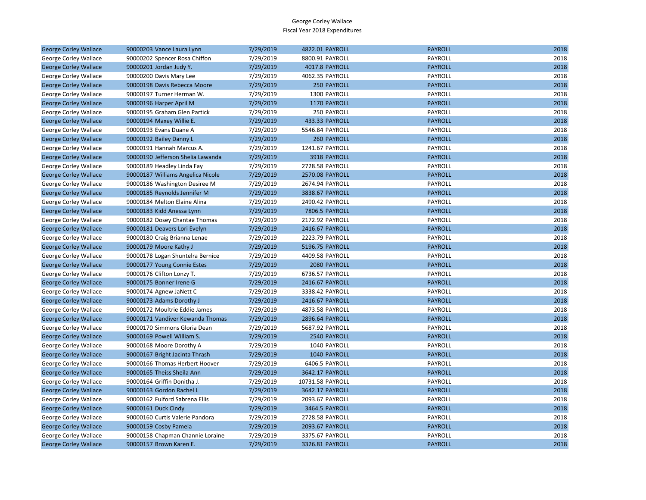| <b>George Corley Wallace</b> | 90000203 Vance Laura Lynn         | 7/29/2019 | 4822.01 PAYROLL    | <b>PAYROLL</b> | 2018 |
|------------------------------|-----------------------------------|-----------|--------------------|----------------|------|
| George Corley Wallace        | 90000202 Spencer Rosa Chiffon     | 7/29/2019 | 8800.91 PAYROLL    | PAYROLL        | 2018 |
| <b>George Corley Wallace</b> | 90000201 Jordan Judy Y.           | 7/29/2019 | 4017.8 PAYROLL     | <b>PAYROLL</b> | 2018 |
| George Corley Wallace        | 90000200 Davis Mary Lee           | 7/29/2019 | 4062.35 PAYROLL    | PAYROLL        | 2018 |
| <b>George Corley Wallace</b> | 90000198 Davis Rebecca Moore      | 7/29/2019 | 250 PAYROLL        | <b>PAYROLL</b> | 2018 |
| George Corley Wallace        | 90000197 Turner Herman W.         | 7/29/2019 | 1300 PAYROLL       | PAYROLL        | 2018 |
| <b>George Corley Wallace</b> | 90000196 Harper April M           | 7/29/2019 | 1170 PAYROLL       | <b>PAYROLL</b> | 2018 |
| George Corley Wallace        | 90000195 Graham Glen Partick      | 7/29/2019 | 250 PAYROLL        | PAYROLL        | 2018 |
| <b>George Corley Wallace</b> | 90000194 Maxey Willie E.          | 7/29/2019 | 433.33 PAYROLL     | <b>PAYROLL</b> | 2018 |
| George Corley Wallace        | 90000193 Evans Duane A            | 7/29/2019 | 5546.84 PAYROLL    | PAYROLL        | 2018 |
| <b>George Corley Wallace</b> | 90000192 Bailey Danny L           | 7/29/2019 | <b>260 PAYROLL</b> | <b>PAYROLL</b> | 2018 |
| George Corley Wallace        | 90000191 Hannah Marcus A.         | 7/29/2019 | 1241.67 PAYROLL    | PAYROLL        | 2018 |
| <b>George Corley Wallace</b> | 90000190 Jefferson Shelia Lawanda | 7/29/2019 | 3918 PAYROLL       | <b>PAYROLL</b> | 2018 |
| George Corley Wallace        | 90000189 Headley Linda Fay        | 7/29/2019 | 2728.58 PAYROLL    | PAYROLL        | 2018 |
| <b>George Corley Wallace</b> | 90000187 Williams Angelica Nicole | 7/29/2019 | 2570.08 PAYROLL    | <b>PAYROLL</b> | 2018 |
| George Corley Wallace        | 90000186 Washington Desiree M     | 7/29/2019 | 2674.94 PAYROLL    | PAYROLL        | 2018 |
| <b>George Corley Wallace</b> | 90000185 Reynolds Jennifer M      | 7/29/2019 | 3838.67 PAYROLL    | <b>PAYROLL</b> | 2018 |
| George Corley Wallace        | 90000184 Melton Elaine Alina      | 7/29/2019 | 2490.42 PAYROLL    | PAYROLL        | 2018 |
| <b>George Corley Wallace</b> | 90000183 Kidd Anessa Lynn         | 7/29/2019 | 7806.5 PAYROLL     | <b>PAYROLL</b> | 2018 |
| George Corley Wallace        | 90000182 Dosey Chantae Thomas     | 7/29/2019 | 2172.92 PAYROLL    | PAYROLL        | 2018 |
| <b>George Corley Wallace</b> | 90000181 Deavers Lori Evelyn      | 7/29/2019 | 2416.67 PAYROLL    | <b>PAYROLL</b> | 2018 |
| George Corley Wallace        | 90000180 Craig Brianna Lenae      | 7/29/2019 | 2223.79 PAYROLL    | PAYROLL        | 2018 |
| <b>George Corley Wallace</b> | 90000179 Moore Kathy J            | 7/29/2019 | 5196.75 PAYROLL    | <b>PAYROLL</b> | 2018 |
| George Corley Wallace        | 90000178 Logan Shuntelra Bernice  | 7/29/2019 | 4409.58 PAYROLL    | PAYROLL        | 2018 |
| <b>George Corley Wallace</b> | 90000177 Young Connie Estes       | 7/29/2019 | 2080 PAYROLL       | <b>PAYROLL</b> | 2018 |
| George Corley Wallace        | 90000176 Clifton Lonzy T.         | 7/29/2019 | 6736.57 PAYROLL    | PAYROLL        | 2018 |
| <b>George Corley Wallace</b> | 90000175 Bonner Irene G           | 7/29/2019 | 2416.67 PAYROLL    | <b>PAYROLL</b> | 2018 |
| George Corley Wallace        | 90000174 Agnew JaNett C           | 7/29/2019 | 3338.42 PAYROLL    | PAYROLL        | 2018 |
| <b>George Corley Wallace</b> | 90000173 Adams Dorothy J          | 7/29/2019 | 2416.67 PAYROLL    | <b>PAYROLL</b> | 2018 |
| George Corley Wallace        | 90000172 Moultrie Eddie James     | 7/29/2019 | 4873.58 PAYROLL    | PAYROLL        | 2018 |
| <b>George Corley Wallace</b> | 90000171 Vandiver Kewanda Thomas  | 7/29/2019 | 2896.64 PAYROLL    | <b>PAYROLL</b> | 2018 |
| George Corley Wallace        | 90000170 Simmons Gloria Dean      | 7/29/2019 | 5687.92 PAYROLL    | PAYROLL        | 2018 |
| <b>George Corley Wallace</b> | 90000169 Powell William S.        | 7/29/2019 | 2540 PAYROLL       | <b>PAYROLL</b> | 2018 |
| George Corley Wallace        | 90000168 Moore Dorothy A          | 7/29/2019 | 1040 PAYROLL       | PAYROLL        | 2018 |
| <b>George Corley Wallace</b> | 90000167 Bright Jacinta Thrash    | 7/29/2019 | 1040 PAYROLL       | <b>PAYROLL</b> | 2018 |
| George Corley Wallace        | 90000166 Thomas Herbert Hoover    | 7/29/2019 | 6406.5 PAYROLL     | PAYROLL        | 2018 |
| <b>George Corley Wallace</b> | 90000165 Theiss Sheila Ann        | 7/29/2019 | 3642.17 PAYROLL    | <b>PAYROLL</b> | 2018 |
| George Corley Wallace        | 90000164 Griffin Donitha J.       | 7/29/2019 | 10731.58 PAYROLL   | PAYROLL        | 2018 |
| <b>George Corley Wallace</b> | 90000163 Gordon Rachel L          | 7/29/2019 | 3642.17 PAYROLL    | <b>PAYROLL</b> | 2018 |
| George Corley Wallace        | 90000162 Fulford Sabrena Ellis    | 7/29/2019 | 2093.67 PAYROLL    | PAYROLL        | 2018 |
| <b>George Corley Wallace</b> | 90000161 Duck Cindy               | 7/29/2019 | 3464.5 PAYROLL     | <b>PAYROLL</b> | 2018 |
| George Corley Wallace        | 90000160 Curtis Valerie Pandora   | 7/29/2019 | 2728.58 PAYROLL    | PAYROLL        | 2018 |
| <b>George Corley Wallace</b> | 90000159 Cosby Pamela             | 7/29/2019 | 2093.67 PAYROLL    | <b>PAYROLL</b> | 2018 |
| George Corley Wallace        | 90000158 Chapman Channie Loraine  | 7/29/2019 | 3375.67 PAYROLL    | PAYROLL        | 2018 |
| <b>George Corley Wallace</b> | 90000157 Brown Karen E.           | 7/29/2019 | 3326.81 PAYROLL    | <b>PAYROLL</b> | 2018 |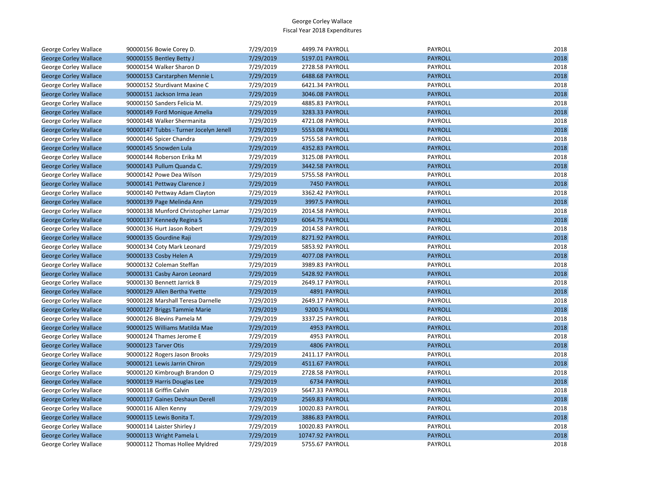| George Corley Wallace        | 90000156 Bowie Corey D.                | 7/29/2019 | 4499.74 PAYROLL  | PAYROLL        | 2018 |
|------------------------------|----------------------------------------|-----------|------------------|----------------|------|
| <b>George Corley Wallace</b> | 90000155 Bentley Betty J               | 7/29/2019 | 5197.01 PAYROLL  | <b>PAYROLL</b> | 2018 |
| <b>George Corley Wallace</b> | 90000154 Walker Sharon D               | 7/29/2019 | 2728.58 PAYROLL  | PAYROLL        | 2018 |
| <b>George Corley Wallace</b> | 90000153 Carstarphen Mennie L          | 7/29/2019 | 6488.68 PAYROLL  | <b>PAYROLL</b> | 2018 |
| George Corley Wallace        | 90000152 Sturdivant Maxine C           | 7/29/2019 | 6421.34 PAYROLL  | PAYROLL        | 2018 |
| <b>George Corley Wallace</b> | 90000151 Jackson Irma Jean             | 7/29/2019 | 3046.08 PAYROLL  | <b>PAYROLL</b> | 2018 |
| George Corley Wallace        | 90000150 Sanders Felicia M.            | 7/29/2019 | 4885.83 PAYROLL  | PAYROLL        | 2018 |
| <b>George Corley Wallace</b> | 90000149 Ford Monique Amelia           | 7/29/2019 | 3283.33 PAYROLL  | <b>PAYROLL</b> | 2018 |
| George Corley Wallace        | 90000148 Walker Shermanita             | 7/29/2019 | 4721.08 PAYROLL  | PAYROLL        | 2018 |
| <b>George Corley Wallace</b> | 90000147 Tubbs - Turner Jocelyn Jenell | 7/29/2019 | 5553.08 PAYROLL  | <b>PAYROLL</b> | 2018 |
| George Corley Wallace        | 90000146 Spicer Chandra                | 7/29/2019 | 5755.58 PAYROLL  | PAYROLL        | 2018 |
| <b>George Corley Wallace</b> | 90000145 Snowden Lula                  | 7/29/2019 | 4352.83 PAYROLL  | <b>PAYROLL</b> | 2018 |
| George Corley Wallace        | 90000144 Roberson Erika M              | 7/29/2019 | 3125.08 PAYROLL  | PAYROLL        | 2018 |
| <b>George Corley Wallace</b> | 90000143 Pullum Quanda C.              | 7/29/2019 | 3442.58 PAYROLL  | <b>PAYROLL</b> | 2018 |
| George Corley Wallace        | 90000142 Powe Dea Wilson               | 7/29/2019 | 5755.58 PAYROLL  | PAYROLL        | 2018 |
| <b>George Corley Wallace</b> | 90000141 Pettway Clarence J            | 7/29/2019 | 7450 PAYROLL     | <b>PAYROLL</b> | 2018 |
| George Corley Wallace        | 90000140 Pettway Adam Clayton          | 7/29/2019 | 3362.42 PAYROLL  | PAYROLL        | 2018 |
| <b>George Corley Wallace</b> | 90000139 Page Melinda Ann              | 7/29/2019 | 3997.5 PAYROLL   | <b>PAYROLL</b> | 2018 |
| George Corley Wallace        | 90000138 Munford Christopher Lamar     | 7/29/2019 | 2014.58 PAYROLL  | PAYROLL        | 2018 |
| <b>George Corley Wallace</b> | 90000137 Kennedy Regina S              | 7/29/2019 | 6064.75 PAYROLL  | <b>PAYROLL</b> | 2018 |
| George Corley Wallace        | 90000136 Hurt Jason Robert             | 7/29/2019 | 2014.58 PAYROLL  | PAYROLL        | 2018 |
| <b>George Corley Wallace</b> | 90000135 Gourdine Raji                 | 7/29/2019 | 8271.92 PAYROLL  | <b>PAYROLL</b> | 2018 |
| George Corley Wallace        | 90000134 Coty Mark Leonard             | 7/29/2019 | 5853.92 PAYROLL  | PAYROLL        | 2018 |
| <b>George Corley Wallace</b> | 90000133 Cosby Helen A                 | 7/29/2019 | 4077.08 PAYROLL  | <b>PAYROLL</b> | 2018 |
| George Corley Wallace        | 90000132 Coleman Steffan               | 7/29/2019 | 3989.83 PAYROLL  | PAYROLL        | 2018 |
| <b>George Corley Wallace</b> | 90000131 Casby Aaron Leonard           | 7/29/2019 | 5428.92 PAYROLL  | <b>PAYROLL</b> | 2018 |
| George Corley Wallace        | 90000130 Bennett Jarrick B             | 7/29/2019 | 2649.17 PAYROLL  | PAYROLL        | 2018 |
| <b>George Corley Wallace</b> | 90000129 Allen Bertha Yvette           | 7/29/2019 | 4891 PAYROLL     | <b>PAYROLL</b> | 2018 |
| George Corley Wallace        | 90000128 Marshall Teresa Darnelle      | 7/29/2019 | 2649.17 PAYROLL  | PAYROLL        | 2018 |
| <b>George Corley Wallace</b> | 90000127 Briggs Tammie Marie           | 7/29/2019 | 9200.5 PAYROLL   | <b>PAYROLL</b> | 2018 |
| George Corley Wallace        | 90000126 Blevins Pamela M              | 7/29/2019 | 3337.25 PAYROLL  | PAYROLL        | 2018 |
| <b>George Corley Wallace</b> | 90000125 Williams Matilda Mae          | 7/29/2019 | 4953 PAYROLL     | <b>PAYROLL</b> | 2018 |
| George Corley Wallace        | 90000124 Thames Jerome E               | 7/29/2019 | 4953 PAYROLL     | PAYROLL        | 2018 |
| <b>George Corley Wallace</b> | 90000123 Tarver Otis                   | 7/29/2019 | 4806 PAYROLL     | <b>PAYROLL</b> | 2018 |
| George Corley Wallace        | 90000122 Rogers Jason Brooks           | 7/29/2019 | 2411.17 PAYROLL  | PAYROLL        | 2018 |
| <b>George Corley Wallace</b> | 90000121 Lewis Jarrin Chiron           | 7/29/2019 | 4511.67 PAYROLL  | <b>PAYROLL</b> | 2018 |
| George Corley Wallace        | 90000120 Kimbrough Brandon O           | 7/29/2019 | 2728.58 PAYROLL  | PAYROLL        | 2018 |
| <b>George Corley Wallace</b> | 90000119 Harris Douglas Lee            | 7/29/2019 | 6734 PAYROLL     | <b>PAYROLL</b> | 2018 |
| George Corley Wallace        | 90000118 Griffin Calvin                | 7/29/2019 | 5647.33 PAYROLL  | PAYROLL        | 2018 |
| <b>George Corley Wallace</b> | 90000117 Gaines Deshaun Derell         | 7/29/2019 | 2569.83 PAYROLL  | <b>PAYROLL</b> | 2018 |
| George Corley Wallace        | 90000116 Allen Kenny                   | 7/29/2019 | 10020.83 PAYROLL | PAYROLL        | 2018 |
| <b>George Corley Wallace</b> | 90000115 Lewis Bonita T.               | 7/29/2019 | 3886.83 PAYROLL  | <b>PAYROLL</b> | 2018 |
| George Corley Wallace        | 90000114 Laister Shirley J             | 7/29/2019 | 10020.83 PAYROLL | PAYROLL        | 2018 |
| <b>George Corley Wallace</b> | 90000113 Wright Pamela L               | 7/29/2019 | 10747.92 PAYROLL | <b>PAYROLL</b> | 2018 |
| George Corley Wallace        | 90000112 Thomas Hollee Myldred         | 7/29/2019 | 5755.67 PAYROLL  | PAYROLL        | 2018 |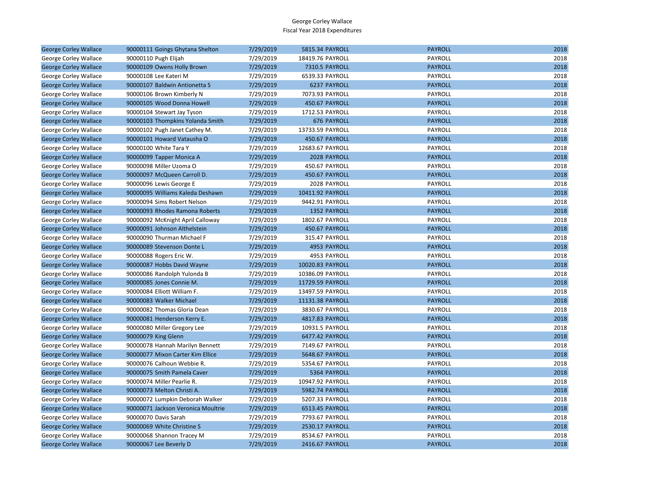| <b>George Corley Wallace</b> | 90000111 Goings Ghytana Shelton    | 7/29/2019 | 5815.34 PAYROLL  | <b>PAYROLL</b> | 2018 |
|------------------------------|------------------------------------|-----------|------------------|----------------|------|
| George Corley Wallace        | 90000110 Pugh Elijah               | 7/29/2019 | 18419.76 PAYROLL | PAYROLL        | 2018 |
| <b>George Corley Wallace</b> | 90000109 Owens Holly Brown         | 7/29/2019 | 7310.5 PAYROLL   | <b>PAYROLL</b> | 2018 |
| George Corley Wallace        | 90000108 Lee Kateri M              | 7/29/2019 | 6539.33 PAYROLL  | PAYROLL        | 2018 |
| <b>George Corley Wallace</b> | 90000107 Baldwin Antionetta S      | 7/29/2019 | 6237 PAYROLL     | <b>PAYROLL</b> | 2018 |
| George Corley Wallace        | 90000106 Brown Kimberly N          | 7/29/2019 | 7073.93 PAYROLL  | PAYROLL        | 2018 |
| <b>George Corley Wallace</b> | 90000105 Wood Donna Howell         | 7/29/2019 | 450.67 PAYROLL   | <b>PAYROLL</b> | 2018 |
| George Corley Wallace        | 90000104 Stewart Jay Tyson         | 7/29/2019 | 1712.53 PAYROLL  | PAYROLL        | 2018 |
| <b>George Corley Wallace</b> | 90000103 Thompkins Yolanda Smith   | 7/29/2019 | 676 PAYROLL      | <b>PAYROLL</b> | 2018 |
| George Corley Wallace        | 90000102 Pugh Janet Cathey M.      | 7/29/2019 | 13733.59 PAYROLL | PAYROLL        | 2018 |
| <b>George Corley Wallace</b> | 90000101 Howard Vatausha O         | 7/29/2019 | 450.67 PAYROLL   | <b>PAYROLL</b> | 2018 |
| George Corley Wallace        | 90000100 White Tara Y              | 7/29/2019 | 12683.67 PAYROLL | PAYROLL        | 2018 |
| <b>George Corley Wallace</b> | 90000099 Tapper Monica A           | 7/29/2019 | 2028 PAYROLL     | <b>PAYROLL</b> | 2018 |
| George Corley Wallace        | 90000098 Miller Uzoma O            | 7/29/2019 | 450.67 PAYROLL   | PAYROLL        | 2018 |
| <b>George Corley Wallace</b> | 90000097 McQueen Carroll D.        | 7/29/2019 | 450.67 PAYROLL   | <b>PAYROLL</b> | 2018 |
| George Corley Wallace        | 90000096 Lewis George E            | 7/29/2019 | 2028 PAYROLL     | PAYROLL        | 2018 |
| <b>George Corley Wallace</b> | 90000095 Williams Kaleda Deshawn   | 7/29/2019 | 10411.92 PAYROLL | <b>PAYROLL</b> | 2018 |
| George Corley Wallace        | 90000094 Sims Robert Nelson        | 7/29/2019 | 9442.91 PAYROLL  | PAYROLL        | 2018 |
| <b>George Corley Wallace</b> | 90000093 Rhodes Ramona Roberts     | 7/29/2019 | 1352 PAYROLL     | <b>PAYROLL</b> | 2018 |
| George Corley Wallace        | 90000092 McKnight April Calloway   | 7/29/2019 | 1802.67 PAYROLL  | PAYROLL        | 2018 |
| <b>George Corley Wallace</b> | 90000091 Johnson Althelstein       | 7/29/2019 | 450.67 PAYROLL   | <b>PAYROLL</b> | 2018 |
| George Corley Wallace        | 90000090 Thurman Michael F         | 7/29/2019 | 315.47 PAYROLL   | PAYROLL        | 2018 |
| <b>George Corley Wallace</b> | 90000089 Stevenson Donte L         | 7/29/2019 | 4953 PAYROLL     | <b>PAYROLL</b> | 2018 |
| George Corley Wallace        | 90000088 Rogers Eric W.            | 7/29/2019 | 4953 PAYROLL     | PAYROLL        | 2018 |
| <b>George Corley Wallace</b> | 90000087 Hobbs David Wayne         | 7/29/2019 | 10020.83 PAYROLL | <b>PAYROLL</b> | 2018 |
| George Corley Wallace        | 90000086 Randolph Yulonda B        | 7/29/2019 | 10386.09 PAYROLL | PAYROLL        | 2018 |
| <b>George Corley Wallace</b> | 90000085 Jones Connie M.           | 7/29/2019 | 11729.59 PAYROLL | <b>PAYROLL</b> | 2018 |
| George Corley Wallace        | 90000084 Elliott William F.        | 7/29/2019 | 13497.59 PAYROLL | PAYROLL        | 2018 |
| <b>George Corley Wallace</b> | 90000083 Walker Michael            | 7/29/2019 | 11131.38 PAYROLL | <b>PAYROLL</b> | 2018 |
| George Corley Wallace        | 90000082 Thomas Gloria Dean        | 7/29/2019 | 3830.67 PAYROLL  | PAYROLL        | 2018 |
| <b>George Corley Wallace</b> | 90000081 Henderson Kerry E.        | 7/29/2019 | 4817.83 PAYROLL  | <b>PAYROLL</b> | 2018 |
| George Corley Wallace        | 90000080 Miller Gregory Lee        | 7/29/2019 | 10931.5 PAYROLL  | PAYROLL        | 2018 |
| <b>George Corley Wallace</b> | 90000079 King Glenn                | 7/29/2019 | 6477.42 PAYROLL  | <b>PAYROLL</b> | 2018 |
| George Corley Wallace        | 90000078 Hannah Marilyn Bennett    | 7/29/2019 | 7149.67 PAYROLL  | PAYROLL        | 2018 |
| <b>George Corley Wallace</b> | 90000077 Mixon Carter Kim Ellice   | 7/29/2019 | 5648.67 PAYROLL  | <b>PAYROLL</b> | 2018 |
| George Corley Wallace        | 90000076 Calhoun Webbie R.         | 7/29/2019 | 5354.67 PAYROLL  | PAYROLL        | 2018 |
| <b>George Corley Wallace</b> | 90000075 Smith Pamela Caver        | 7/29/2019 | 5364 PAYROLL     | <b>PAYROLL</b> | 2018 |
| George Corley Wallace        | 90000074 Miller Pearlie R.         | 7/29/2019 | 10947.92 PAYROLL | PAYROLL        | 2018 |
| <b>George Corley Wallace</b> | 90000073 Melton Christi A.         | 7/29/2019 | 5982.74 PAYROLL  | <b>PAYROLL</b> | 2018 |
| George Corley Wallace        | 90000072 Lumpkin Deborah Walker    | 7/29/2019 | 5207.33 PAYROLL  | PAYROLL        | 2018 |
| <b>George Corley Wallace</b> | 90000071 Jackson Veronica Moultrie | 7/29/2019 | 6513.45 PAYROLL  | <b>PAYROLL</b> | 2018 |
| George Corley Wallace        | 90000070 Davis Sarah               | 7/29/2019 | 7793.67 PAYROLL  | PAYROLL        | 2018 |
| <b>George Corley Wallace</b> | 90000069 White Christine S         | 7/29/2019 | 2530.17 PAYROLL  | <b>PAYROLL</b> | 2018 |
| George Corley Wallace        | 90000068 Shannon Tracey M          | 7/29/2019 | 8534.67 PAYROLL  | PAYROLL        | 2018 |
| <b>George Corley Wallace</b> | 90000067 Lee Beverly D             | 7/29/2019 | 2416.67 PAYROLL  | <b>PAYROLL</b> | 2018 |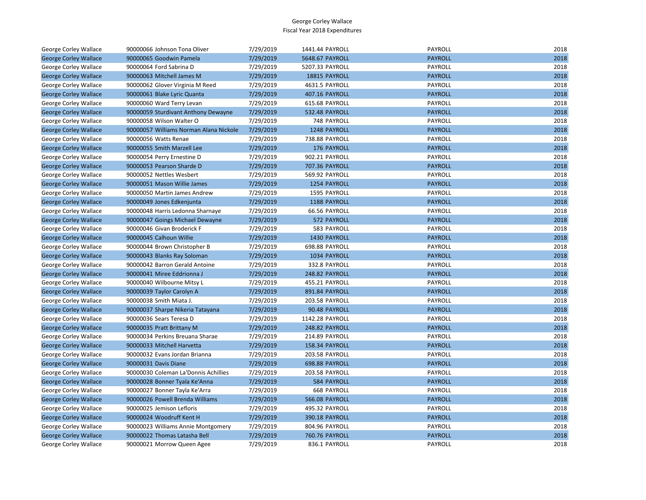| George Corley Wallace        | 90000066 Johnson Tona Oliver           | 7/29/2019 | 1441.44 PAYROLL       | PAYROLL        | 2018 |
|------------------------------|----------------------------------------|-----------|-----------------------|----------------|------|
| <b>George Corley Wallace</b> | 90000065 Goodwin Pamela                | 7/29/2019 | 5648.67 PAYROLL       | <b>PAYROLL</b> | 2018 |
| George Corley Wallace        | 90000064 Ford Sabrina D                | 7/29/2019 | 5207.33 PAYROLL       | <b>PAYROLL</b> | 2018 |
| <b>George Corley Wallace</b> | 90000063 Mitchell James M              | 7/29/2019 | 18815 PAYROLL         | <b>PAYROLL</b> | 2018 |
| George Corley Wallace        | 90000062 Glover Virginia M Reed        | 7/29/2019 | 4631.5 PAYROLL        | PAYROLL        | 2018 |
| <b>George Corley Wallace</b> | 90000061 Blake Lyric Quanta            | 7/29/2019 | 407.16 PAYROLL        | <b>PAYROLL</b> | 2018 |
| George Corley Wallace        | 90000060 Ward Terry Levan              | 7/29/2019 | 615.68 PAYROLL        | PAYROLL        | 2018 |
| <b>George Corley Wallace</b> | 90000059 Sturdivant Anthony Dewayne    | 7/29/2019 | 532.48 PAYROLL        | <b>PAYROLL</b> | 2018 |
| George Corley Wallace        | 90000058 Wilson Walter O               | 7/29/2019 | 748 PAYROLL           | PAYROLL        | 2018 |
| <b>George Corley Wallace</b> | 90000057 Williams Norman Alana Nickole | 7/29/2019 | 1248 PAYROLL          | <b>PAYROLL</b> | 2018 |
| George Corley Wallace        | 90000056 Watts Renae                   | 7/29/2019 | 738.88 PAYROLL        | PAYROLL        | 2018 |
| <b>George Corley Wallace</b> | 90000055 Smith Marzell Lee             | 7/29/2019 | 176 PAYROLL           | <b>PAYROLL</b> | 2018 |
| George Corley Wallace        | 90000054 Perry Ernestine D             | 7/29/2019 | 902.21 PAYROLL        | PAYROLL        | 2018 |
| <b>George Corley Wallace</b> | 90000053 Pearson Sharde D              | 7/29/2019 | 707.36 PAYROLL        | <b>PAYROLL</b> | 2018 |
| George Corley Wallace        | 90000052 Nettles Wesbert               | 7/29/2019 | 569.92 PAYROLL        | PAYROLL        | 2018 |
| <b>George Corley Wallace</b> | 90000051 Mason Willie James            | 7/29/2019 | 1254 PAYROLL          | <b>PAYROLL</b> | 2018 |
| George Corley Wallace        | 90000050 Martin James Andrew           | 7/29/2019 | 1595 PAYROLL          | PAYROLL        | 2018 |
| <b>George Corley Wallace</b> | 90000049 Jones Edkenjunta              | 7/29/2019 | 1188 PAYROLL          | <b>PAYROLL</b> | 2018 |
| George Corley Wallace        | 90000048 Harris Ledonna Sharnaye       | 7/29/2019 | 66.56 PAYROLL         | <b>PAYROLL</b> | 2018 |
| <b>George Corley Wallace</b> | 90000047 Goings Michael Dewayne        | 7/29/2019 | 572 PAYROLL           | <b>PAYROLL</b> | 2018 |
| George Corley Wallace        | 90000046 Givan Broderick F             | 7/29/2019 | 583 PAYROLL           | PAYROLL        | 2018 |
| <b>George Corley Wallace</b> | 90000045 Calhoun Willie                | 7/29/2019 | 1430 PAYROLL          | <b>PAYROLL</b> | 2018 |
| George Corley Wallace        | 90000044 Brown Christopher B           | 7/29/2019 | 698.88 PAYROLL        | PAYROLL        | 2018 |
| <b>George Corley Wallace</b> | 90000043 Blanks Ray Soloman            | 7/29/2019 | 1034 PAYROLL          | <b>PAYROLL</b> | 2018 |
| George Corley Wallace        | 90000042 Barron Gerald Antoine         | 7/29/2019 | 332.8 PAYROLL         | PAYROLL        | 2018 |
| <b>George Corley Wallace</b> | 90000041 Miree Eddrionna J             | 7/29/2019 | 248.82 PAYROLL        | <b>PAYROLL</b> | 2018 |
| George Corley Wallace        | 90000040 Wilbourne Mitsy L             | 7/29/2019 | 455.21 PAYROLL        | <b>PAYROLL</b> | 2018 |
| <b>George Corley Wallace</b> | 90000039 Taylor Carolyn A              | 7/29/2019 | 891.84 PAYROLL        | <b>PAYROLL</b> | 2018 |
| George Corley Wallace        | 90000038 Smith Miata J.                | 7/29/2019 | 203.58 PAYROLL        | PAYROLL        | 2018 |
| <b>George Corley Wallace</b> | 90000037 Sharpe Nikeria Tatayana       | 7/29/2019 | 90.48 PAYROLL         | <b>PAYROLL</b> | 2018 |
| George Corley Wallace        | 90000036 Sears Teresa D                | 7/29/2019 | 1142.28 PAYROLL       | PAYROLL        | 2018 |
| <b>George Corley Wallace</b> | 90000035 Pratt Brittany M              | 7/29/2019 | 248.82 PAYROLL        | <b>PAYROLL</b> | 2018 |
| George Corley Wallace        | 90000034 Perkins Breuana Sharae        | 7/29/2019 | 214.89 PAYROLL        | PAYROLL        | 2018 |
| <b>George Corley Wallace</b> | 90000033 Mitchell Harvetta             | 7/29/2019 | 158.34 PAYROLL        | <b>PAYROLL</b> | 2018 |
| George Corley Wallace        | 90000032 Evans Jordan Brianna          | 7/29/2019 | 203.58 PAYROLL        | PAYROLL        | 2018 |
| <b>George Corley Wallace</b> | 90000031 Davis Diane                   | 7/29/2019 | 698.88 PAYROLL        | <b>PAYROLL</b> | 2018 |
| George Corley Wallace        | 90000030 Coleman La'Donnis Achillies   | 7/29/2019 | 203.58 PAYROLL        | PAYROLL        | 2018 |
| <b>George Corley Wallace</b> | 90000028 Bonner Tyala Ke'Anna          | 7/29/2019 | 584 PAYROLL           | <b>PAYROLL</b> | 2018 |
| George Corley Wallace        | 90000027 Bonner Tayla Ke'Arra          | 7/29/2019 | <b>668 PAYROLL</b>    | PAYROLL        | 2018 |
| <b>George Corley Wallace</b> | 90000026 Powell Brenda Williams        | 7/29/2019 | <b>566.08 PAYROLL</b> | <b>PAYROLL</b> | 2018 |
| George Corley Wallace        | 90000025 Jemison Lefloris              | 7/29/2019 | 495.32 PAYROLL        | PAYROLL        | 2018 |
| <b>George Corley Wallace</b> | 90000024 Woodruff Kent H               | 7/29/2019 | 390.18 PAYROLL        | <b>PAYROLL</b> | 2018 |
| George Corley Wallace        | 90000023 Williams Annie Montgomery     | 7/29/2019 | 804.96 PAYROLL        | PAYROLL        | 2018 |
| <b>George Corley Wallace</b> | 90000022 Thomas Latasha Bell           | 7/29/2019 | 760.76 PAYROLL        | <b>PAYROLL</b> | 2018 |
| George Corley Wallace        | 90000021 Morrow Queen Agee             | 7/29/2019 | 836.1 PAYROLL         | PAYROLL        | 2018 |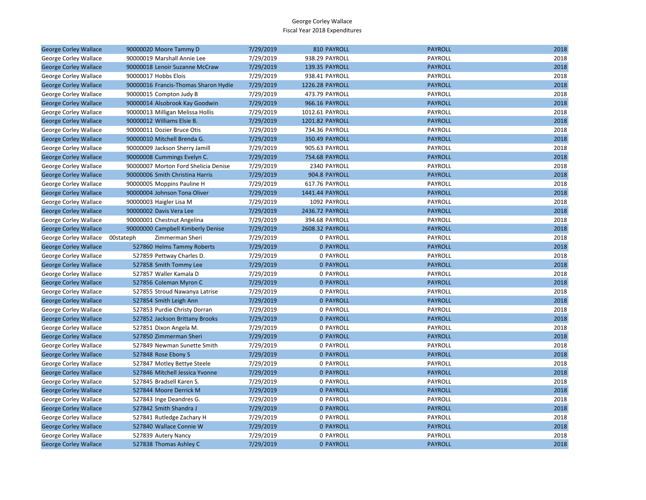| <b>George Corley Wallace</b> | 90000020 Moore Tammy D               | 7/29/2019 | 810 PAYROLL           | <b>PAYROLL</b> | 2018 |
|------------------------------|--------------------------------------|-----------|-----------------------|----------------|------|
| George Corley Wallace        | 90000019 Marshall Annie Lee          | 7/29/2019 | 938.29 PAYROLL        | PAYROLL        | 2018 |
| <b>George Corley Wallace</b> | 90000018 Lenoir Suzanne McCraw       | 7/29/2019 | 139.35 PAYROLL        | <b>PAYROLL</b> | 2018 |
| George Corley Wallace        | 90000017 Hobbs Elois                 | 7/29/2019 | 938.41 PAYROLL        | PAYROLL        | 2018 |
| <b>George Corley Wallace</b> | 90000016 Francis-Thomas Sharon Hydie | 7/29/2019 | 1226.28 PAYROLL       | <b>PAYROLL</b> | 2018 |
| George Corley Wallace        | 90000015 Compton Judy B              | 7/29/2019 | 473.79 PAYROLL        | PAYROLL        | 2018 |
| <b>George Corley Wallace</b> | 90000014 Alsobrook Kay Goodwin       | 7/29/2019 | 966.16 PAYROLL        | <b>PAYROLL</b> | 2018 |
| George Corley Wallace        | 90000013 Milligan Melissa Hollis     | 7/29/2019 | 1012.61 PAYROLL       | PAYROLL        | 2018 |
| <b>George Corley Wallace</b> | 90000012 Williams Elsie B.           | 7/29/2019 | 1201.82 PAYROLL       | <b>PAYROLL</b> | 2018 |
| George Corley Wallace        | 90000011 Dozier Bruce Otis           | 7/29/2019 | 734.36 PAYROLL        | PAYROLL        | 2018 |
| <b>George Corley Wallace</b> | 90000010 Mitchell Brenda G.          | 7/29/2019 | 350.49 PAYROLL        | <b>PAYROLL</b> | 2018 |
| George Corley Wallace        | 90000009 Jackson Sherry Jamill       | 7/29/2019 | 905.63 PAYROLL        | PAYROLL        | 2018 |
| <b>George Corley Wallace</b> | 90000008 Cummings Evelyn C.          | 7/29/2019 | <b>754.68 PAYROLL</b> | <b>PAYROLL</b> | 2018 |
| George Corley Wallace        | 90000007 Morton Ford Shelicia Denise | 7/29/2019 | 2340 PAYROLL          | PAYROLL        | 2018 |
| <b>George Corley Wallace</b> | 90000006 Smith Christina Harris      | 7/29/2019 | 904.8 PAYROLL         | <b>PAYROLL</b> | 2018 |
| George Corley Wallace        | 90000005 Moppins Pauline H           | 7/29/2019 | 617.76 PAYROLL        | PAYROLL        | 2018 |
| <b>George Corley Wallace</b> | 90000004 Johnson Tona Oliver         | 7/29/2019 | 1441.44 PAYROLL       | <b>PAYROLL</b> | 2018 |
| George Corley Wallace        | 90000003 Haigler Lisa M              | 7/29/2019 | 1092 PAYROLL          | PAYROLL        | 2018 |
| <b>George Corley Wallace</b> | 90000002 Davis Vera Lee              | 7/29/2019 | 2436.72 PAYROLL       | <b>PAYROLL</b> | 2018 |
| George Corley Wallace        | 90000001 Chestnut Angelina           | 7/29/2019 | 394.68 PAYROLL        | <b>PAYROLL</b> | 2018 |
| <b>George Corley Wallace</b> | 90000000 Campbell Kimberly Denise    | 7/29/2019 | 2608.32 PAYROLL       | <b>PAYROLL</b> | 2018 |
| George Corley Wallace        | 00stateph<br>Zimmerman Sheri         | 7/29/2019 | 0 PAYROLL             | PAYROLL        | 2018 |
| <b>George Corley Wallace</b> | 527860 Helms Tammy Roberts           | 7/29/2019 | <b>0 PAYROLL</b>      | <b>PAYROLL</b> | 2018 |
| George Corley Wallace        | 527859 Pettway Charles D.            | 7/29/2019 | 0 PAYROLL             | PAYROLL        | 2018 |
| <b>George Corley Wallace</b> | 527858 Smith Tommy Lee               | 7/29/2019 | <b>0 PAYROLL</b>      | <b>PAYROLL</b> | 2018 |
| George Corley Wallace        | 527857 Waller Kamala D               | 7/29/2019 | 0 PAYROLL             | PAYROLL        | 2018 |
| <b>George Corley Wallace</b> | 527856 Coleman Myron C               | 7/29/2019 | <b>0 PAYROLL</b>      | <b>PAYROLL</b> | 2018 |
| George Corley Wallace        | 527855 Stroud Nawanya Latrise        | 7/29/2019 | 0 PAYROLL             | PAYROLL        | 2018 |
| <b>George Corley Wallace</b> | 527854 Smith Leigh Ann               | 7/29/2019 | <b>0 PAYROLL</b>      | <b>PAYROLL</b> | 2018 |
| George Corley Wallace        | 527853 Purdie Christy Dorran         | 7/29/2019 | 0 PAYROLL             | PAYROLL        | 2018 |
| <b>George Corley Wallace</b> | 527852 Jackson Brittany Brooks       | 7/29/2019 | <b>0 PAYROLL</b>      | <b>PAYROLL</b> | 2018 |
| George Corley Wallace        | 527851 Dixon Angela M.               | 7/29/2019 | 0 PAYROLL             | PAYROLL        | 2018 |
| <b>George Corley Wallace</b> | 527850 Zimmerman Sheri               | 7/29/2019 | <b>0 PAYROLL</b>      | <b>PAYROLL</b> | 2018 |
| George Corley Wallace        | 527849 Newman Sunette Smith          | 7/29/2019 | 0 PAYROLL             | PAYROLL        | 2018 |
| <b>George Corley Wallace</b> | 527848 Rose Ebony S                  | 7/29/2019 | <b>0 PAYROLL</b>      | <b>PAYROLL</b> | 2018 |
| George Corley Wallace        | 527847 Motley Bettye Steele          | 7/29/2019 | 0 PAYROLL             | PAYROLL        | 2018 |
| <b>George Corley Wallace</b> | 527846 Mitchell Jessica Yvonne       | 7/29/2019 | <b>0 PAYROLL</b>      | <b>PAYROLL</b> | 2018 |
| George Corley Wallace        | 527845 Bradsell Karen S.             | 7/29/2019 | 0 PAYROLL             | PAYROLL        | 2018 |
| <b>George Corley Wallace</b> | 527844 Moore Derrick M               | 7/29/2019 | <b>0 PAYROLL</b>      | <b>PAYROLL</b> | 2018 |
| George Corley Wallace        | 527843 Inge Deandres G.              | 7/29/2019 | 0 PAYROLL             | PAYROLL        | 2018 |
| <b>George Corley Wallace</b> | 527842 Smith Shandra J               | 7/29/2019 | <b>0 PAYROLL</b>      | <b>PAYROLL</b> | 2018 |
| George Corley Wallace        | 527841 Rutledge Zachary H            | 7/29/2019 | 0 PAYROLL             | PAYROLL        | 2018 |
| <b>George Corley Wallace</b> | 527840 Wallace Connie W              | 7/29/2019 | <b>0 PAYROLL</b>      | <b>PAYROLL</b> | 2018 |
| George Corley Wallace        | 527839 Autery Nancy                  | 7/29/2019 | 0 PAYROLL             | PAYROLL        | 2018 |
| <b>George Corley Wallace</b> | 527838 Thomas Ashley C               | 7/29/2019 | <b>0 PAYROLL</b>      | <b>PAYROLL</b> | 2018 |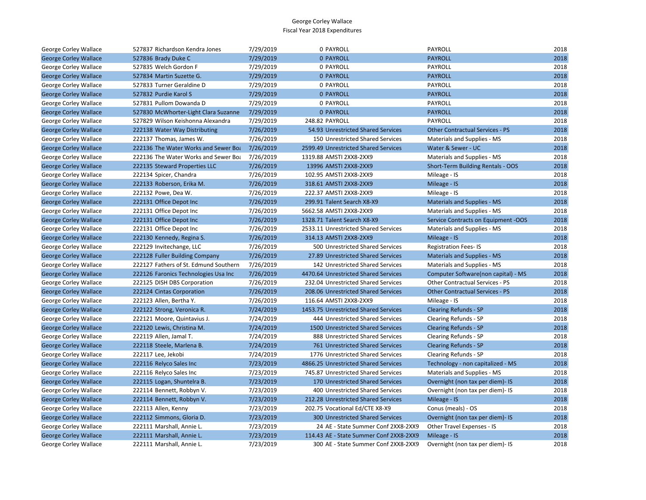| George Corley Wallace        | 527837 Richardson Kendra Jones        | 7/29/2019 | 0 PAYROLL                               | PAYROLL                                | 2018 |
|------------------------------|---------------------------------------|-----------|-----------------------------------------|----------------------------------------|------|
| <b>George Corley Wallace</b> | 527836 Brady Duke C                   | 7/29/2019 | <b>0 PAYROLL</b>                        | <b>PAYROLL</b>                         | 2018 |
| <b>George Corley Wallace</b> | 527835 Welch Gordon F                 | 7/29/2019 | 0 PAYROLL                               | <b>PAYROLL</b>                         | 2018 |
| <b>George Corley Wallace</b> | 527834 Martin Suzette G.              | 7/29/2019 | 0 PAYROLL                               | <b>PAYROLL</b>                         | 2018 |
| George Corley Wallace        | 527833 Turner Geraldine D             | 7/29/2019 | 0 PAYROLL                               | PAYROLL                                | 2018 |
| <b>George Corley Wallace</b> | 527832 Purdie Karol S                 | 7/29/2019 | <b>0 PAYROLL</b>                        | <b>PAYROLL</b>                         | 2018 |
| George Corley Wallace        | 527831 Pullom Dowanda D               | 7/29/2019 | 0 PAYROLL                               | PAYROLL                                | 2018 |
| <b>George Corley Wallace</b> | 527830 McWhorter-Light Clara Suzanne  | 7/29/2019 | <b>0 PAYROLL</b>                        | <b>PAYROLL</b>                         | 2018 |
| George Corley Wallace        | 527829 Wilson Keishonna Alexandra     | 7/29/2019 | 248.82 PAYROLL                          | PAYROLL                                | 2018 |
| <b>George Corley Wallace</b> | 222138 Water Way Distributing         | 7/26/2019 | 54.93 Unrestricted Shared Services      | <b>Other Contractual Services - PS</b> | 2018 |
| George Corley Wallace        | 222137 Thomas, James W.               | 7/26/2019 | 150 Unrestricted Shared Services        | Materials and Supplies - MS            | 2018 |
| <b>George Corley Wallace</b> | 222136 The Water Works and Sewer Boa  | 7/26/2019 | 2599.49 Unrestricted Shared Services    | Water & Sewer - UC                     | 2018 |
| George Corley Wallace        | 222136 The Water Works and Sewer Boa  | 7/26/2019 | 1319.88 AMSTI 2XX8-2XX9                 | Materials and Supplies - MS            | 2018 |
| <b>George Corley Wallace</b> | 222135 Steward Properties LLC         | 7/26/2019 | 13996 AMSTI 2XX8-2XX9                   | Short-Term Building Rentals - OOS      | 2018 |
| George Corley Wallace        | 222134 Spicer, Chandra                | 7/26/2019 | 102.95 AMSTI 2XX8-2XX9                  | Mileage - IS                           | 2018 |
| <b>George Corley Wallace</b> | 222133 Roberson, Erika M.             | 7/26/2019 | 318.61 AMSTI 2XX8-2XX9                  | Mileage - IS                           | 2018 |
| George Corley Wallace        | 222132 Powe, Dea W.                   | 7/26/2019 | 222.37 AMSTI 2XX8-2XX9                  | Mileage - IS                           | 2018 |
| <b>George Corley Wallace</b> | 222131 Office Depot Inc               | 7/26/2019 | 299.91 Talent Search X8-X9              | <b>Materials and Supplies - MS</b>     | 2018 |
| George Corley Wallace        | 222131 Office Depot Inc               | 7/26/2019 | 5662.58 AMSTI 2XX8-2XX9                 | Materials and Supplies - MS            | 2018 |
| <b>George Corley Wallace</b> | 222131 Office Depot Inc               | 7/26/2019 | 1328.71 Talent Search X8-X9             | Service Contracts on Equipment -OOS    | 2018 |
| George Corley Wallace        | 222131 Office Depot Inc               | 7/26/2019 | 2533.11 Unrestricted Shared Services    | Materials and Supplies - MS            | 2018 |
| <b>George Corley Wallace</b> | 222130 Kennedy, Regina S.             | 7/26/2019 | 314.13 AMSTI 2XX8-2XX9                  | Mileage - IS                           | 2018 |
| George Corley Wallace        | 222129 Invitechange, LLC              | 7/26/2019 | 500 Unrestricted Shared Services        | <b>Registration Fees-IS</b>            | 2018 |
| <b>George Corley Wallace</b> | 222128 Fuller Building Company        | 7/26/2019 | 27.89 Unrestricted Shared Services      | <b>Materials and Supplies - MS</b>     | 2018 |
| George Corley Wallace        | 222127 Fathers of St. Edmund Southern | 7/26/2019 | 142 Unrestricted Shared Services        | Materials and Supplies - MS            | 2018 |
| <b>George Corley Wallace</b> | 222126 Faronics Technologies Usa Inc  | 7/26/2019 | 4470.64 Unrestricted Shared Services    | Computer Software(non capital) - MS    | 2018 |
| George Corley Wallace        | 222125 DISH DBS Corporation           | 7/26/2019 | 232.04 Unrestricted Shared Services     | Other Contractual Services - PS        | 2018 |
| <b>George Corley Wallace</b> | 222124 Cintas Corporation             | 7/26/2019 | 208.06 Unrestricted Shared Services     | <b>Other Contractual Services - PS</b> | 2018 |
| George Corley Wallace        | 222123 Allen, Bertha Y.               | 7/26/2019 | 116.64 AMSTI 2XX8-2XX9                  | Mileage - IS                           | 2018 |
| <b>George Corley Wallace</b> | 222122 Strong, Veronica R.            | 7/24/2019 | 1453.75 Unrestricted Shared Services    | <b>Clearing Refunds - SP</b>           | 2018 |
| George Corley Wallace        | 222121 Moore, Quintavius J.           | 7/24/2019 | 444 Unrestricted Shared Services        | Clearing Refunds - SP                  | 2018 |
| <b>George Corley Wallace</b> | 222120 Lewis, Christina M.            | 7/24/2019 | 1500 Unrestricted Shared Services       | <b>Clearing Refunds - SP</b>           | 2018 |
| George Corley Wallace        | 222119 Allen, Jamal T.                | 7/24/2019 | 888 Unrestricted Shared Services        | Clearing Refunds - SP                  | 2018 |
| <b>George Corley Wallace</b> | 222118 Steele, Marlena B.             | 7/24/2019 | 761 Unrestricted Shared Services        | <b>Clearing Refunds - SP</b>           | 2018 |
| George Corley Wallace        | 222117 Lee, Jekobi                    | 7/24/2019 | 1776 Unrestricted Shared Services       | Clearing Refunds - SP                  | 2018 |
| <b>George Corley Wallace</b> | 222116 Relyco Sales Inc               | 7/23/2019 | 4866.25 Unrestricted Shared Services    | Technology - non capitalized - MS      | 2018 |
| George Corley Wallace        | 222116 Relyco Sales Inc               | 7/23/2019 | 745.87 Unrestricted Shared Services     | Materials and Supplies - MS            | 2018 |
| <b>George Corley Wallace</b> | 222115 Logan, Shuntelra B.            | 7/23/2019 | 170 Unrestricted Shared Services        | Overnight (non tax per diem)- IS       | 2018 |
| George Corley Wallace        | 222114 Bennett, Robbyn V.             | 7/23/2019 | 400 Unrestricted Shared Services        | Overnight (non tax per diem)- IS       | 2018 |
| <b>George Corley Wallace</b> | 222114 Bennett, Robbyn V.             | 7/23/2019 | 212.28 Unrestricted Shared Services     | Mileage - IS                           | 2018 |
| George Corley Wallace        | 222113 Allen, Kenny                   | 7/23/2019 | 202.75 Vocational Ed/CTE X8-X9          | Conus (meals) - OS                     | 2018 |
| <b>George Corley Wallace</b> | 222112 Simmons, Gloria D.             | 7/23/2019 | 300 Unrestricted Shared Services        | Overnight (non tax per diem)- IS       | 2018 |
| George Corley Wallace        | 222111 Marshall, Annie L.             | 7/23/2019 | 24 AE - State Summer Conf 2XX8-2XX9     | Other Travel Expenses - IS             | 2018 |
| <b>George Corley Wallace</b> | 222111 Marshall, Annie L.             | 7/23/2019 | 114.43 AE - State Summer Conf 2XX8-2XX9 | Mileage - IS                           | 2018 |
| George Corley Wallace        | 222111 Marshall, Annie L.             | 7/23/2019 | 300 AE - State Summer Conf 2XX8-2XX9    | Overnight (non tax per diem)- IS       | 2018 |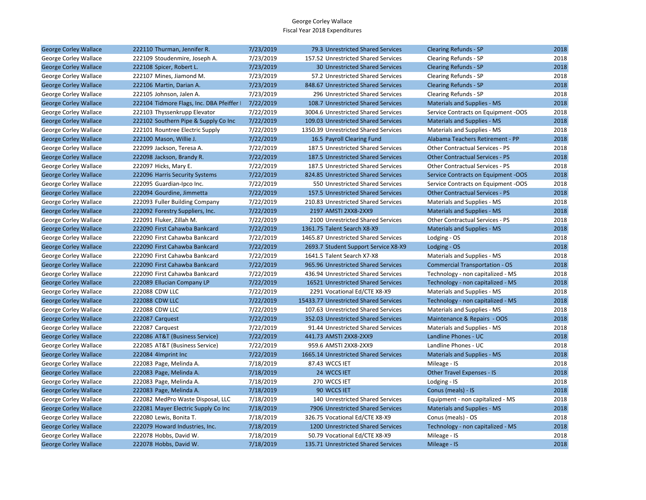| <b>George Corley Wallace</b> | 222110 Thurman, Jennifer R.               | 7/23/2019 | 79.3 Unrestricted Shared Services     | <b>Clearing Refunds - SP</b>           | 2018 |
|------------------------------|-------------------------------------------|-----------|---------------------------------------|----------------------------------------|------|
| George Corley Wallace        | 222109 Stoudenmire, Joseph A.             | 7/23/2019 | 157.52 Unrestricted Shared Services   | Clearing Refunds - SP                  | 2018 |
| <b>George Corley Wallace</b> | 222108 Spicer, Robert L.                  | 7/23/2019 | 30 Unrestricted Shared Services       | <b>Clearing Refunds - SP</b>           | 2018 |
| George Corley Wallace        | 222107 Mines, Jiamond M.                  | 7/23/2019 | 57.2 Unrestricted Shared Services     | Clearing Refunds - SP                  | 2018 |
| <b>George Corley Wallace</b> | 222106 Martin, Darian A.                  | 7/23/2019 | 848.67 Unrestricted Shared Services   | <b>Clearing Refunds - SP</b>           | 2018 |
| George Corley Wallace        | 222105 Johnson, Jalen A.                  | 7/23/2019 | 296 Unrestricted Shared Services      | Clearing Refunds - SP                  | 2018 |
| <b>George Corley Wallace</b> | 222104 Tidmore Flags, Inc. DBA Pfeiffer I | 7/22/2019 | 108.7 Unrestricted Shared Services    | Materials and Supplies - MS            | 2018 |
| George Corley Wallace        | 222103 Thyssenkrupp Elevator              | 7/22/2019 | 3004.6 Unrestricted Shared Services   | Service Contracts on Equipment -OOS    | 2018 |
| <b>George Corley Wallace</b> | 222102 Southern Pipe & Supply Co Inc      | 7/22/2019 | 109.03 Unrestricted Shared Services   | <b>Materials and Supplies - MS</b>     | 2018 |
| George Corley Wallace        | 222101 Rountree Electric Supply           | 7/22/2019 | 1350.39 Unrestricted Shared Services  | Materials and Supplies - MS            | 2018 |
| <b>George Corley Wallace</b> | 222100 Mason, Willie J.                   | 7/22/2019 | 16.5 Payroll Clearing Fund            | Alabama Teachers Retirement - PP       | 2018 |
| George Corley Wallace        | 222099 Jackson, Teresa A.                 | 7/22/2019 | 187.5 Unrestricted Shared Services    | <b>Other Contractual Services - PS</b> | 2018 |
| <b>George Corley Wallace</b> | 222098 Jackson, Brandy R.                 | 7/22/2019 | 187.5 Unrestricted Shared Services    | <b>Other Contractual Services - PS</b> | 2018 |
| George Corley Wallace        | 222097 Hicks, Mary E.                     | 7/22/2019 | 187.5 Unrestricted Shared Services    | <b>Other Contractual Services - PS</b> | 2018 |
| <b>George Corley Wallace</b> | 222096 Harris Security Systems            | 7/22/2019 | 824.85 Unrestricted Shared Services   | Service Contracts on Equipment -OOS    | 2018 |
| George Corley Wallace        | 222095 Guardian-Ipco Inc.                 | 7/22/2019 | 550 Unrestricted Shared Services      | Service Contracts on Equipment -OOS    | 2018 |
| <b>George Corley Wallace</b> | 222094 Gourdine, Jimmetta                 | 7/22/2019 | 157.5 Unrestricted Shared Services    | <b>Other Contractual Services - PS</b> | 2018 |
| George Corley Wallace        | 222093 Fuller Building Company            | 7/22/2019 | 210.83 Unrestricted Shared Services   | Materials and Supplies - MS            | 2018 |
| <b>George Corley Wallace</b> | 222092 Forestry Suppliers, Inc.           | 7/22/2019 | 2197 AMSTI 2XX8-2XX9                  | <b>Materials and Supplies - MS</b>     | 2018 |
| George Corley Wallace        | 222091 Fluker, Zillah M.                  | 7/22/2019 | 2100 Unrestricted Shared Services     | Other Contractual Services - PS        | 2018 |
| <b>George Corley Wallace</b> | 222090 First Cahawba Bankcard             | 7/22/2019 | 1361.75 Talent Search X8-X9           | <b>Materials and Supplies - MS</b>     | 2018 |
| George Corley Wallace        | 222090 First Cahawba Bankcard             | 7/22/2019 | 1465.87 Unrestricted Shared Services  | Lodging - OS                           | 2018 |
| <b>George Corley Wallace</b> | 222090 First Cahawba Bankcard             | 7/22/2019 | 2693.7 Student Support Service X8-X9  | Lodging - OS                           | 2018 |
| George Corley Wallace        | 222090 First Cahawba Bankcard             | 7/22/2019 | 1641.5 Talent Search X7-X8            | Materials and Supplies - MS            | 2018 |
| <b>George Corley Wallace</b> | 222090 First Cahawba Bankcard             | 7/22/2019 | 965.96 Unrestricted Shared Services   | <b>Commercial Transportation - OS</b>  | 2018 |
| George Corley Wallace        | 222090 First Cahawba Bankcard             | 7/22/2019 | 436.94 Unrestricted Shared Services   | Technology - non capitalized - MS      | 2018 |
| <b>George Corley Wallace</b> | 222089 Ellucian Company LP                | 7/22/2019 | 16521 Unrestricted Shared Services    | Technology - non capitalized - MS      | 2018 |
| George Corley Wallace        | 222088 CDW LLC                            | 7/22/2019 | 2291 Vocational Ed/CTE X8-X9          | Materials and Supplies - MS            | 2018 |
| <b>George Corley Wallace</b> | <b>222088 CDW LLC</b>                     | 7/22/2019 | 15433.77 Unrestricted Shared Services | Technology - non capitalized - MS      | 2018 |
| George Corley Wallace        | 222088 CDW LLC                            | 7/22/2019 | 107.63 Unrestricted Shared Services   | Materials and Supplies - MS            | 2018 |
| <b>George Corley Wallace</b> | 222087 Carquest                           | 7/22/2019 | 352.03 Unrestricted Shared Services   | Maintenance & Repairs - OOS            | 2018 |
| George Corley Wallace        | 222087 Carquest                           | 7/22/2019 | 91.44 Unrestricted Shared Services    | Materials and Supplies - MS            | 2018 |
| <b>George Corley Wallace</b> | 222086 AT&T (Business Service)            | 7/22/2019 | 441.73 AMSTI 2XX8-2XX9                | Landline Phones - UC                   | 2018 |
| George Corley Wallace        | 222085 AT&T (Business Service)            | 7/22/2019 | 959.6 AMSTI 2XX8-2XX9                 | Landline Phones - UC                   | 2018 |
| <b>George Corley Wallace</b> | 222084 4Imprint Inc                       | 7/22/2019 | 1665.14 Unrestricted Shared Services  | Materials and Supplies - MS            | 2018 |
| George Corley Wallace        | 222083 Page, Melinda A.                   | 7/18/2019 | 87.43 WCCS IET                        | Mileage - IS                           | 2018 |
| <b>George Corley Wallace</b> | 222083 Page, Melinda A.                   | 7/18/2019 | 24 WCCS IET                           | Other Travel Expenses - IS             | 2018 |
| George Corley Wallace        | 222083 Page, Melinda A.                   | 7/18/2019 | 270 WCCS IET                          | Lodging - IS                           | 2018 |
| <b>George Corley Wallace</b> | 222083 Page, Melinda A.                   | 7/18/2019 | 90 WCCS IET                           | Conus (meals) - IS                     | 2018 |
| George Corley Wallace        | 222082 MedPro Waste Disposal, LLC         | 7/18/2019 | 140 Unrestricted Shared Services      | Equipment - non capitalized - MS       | 2018 |
| <b>George Corley Wallace</b> | 222081 Mayer Electric Supply Co Inc       | 7/18/2019 | 7906 Unrestricted Shared Services     | <b>Materials and Supplies - MS</b>     | 2018 |
| George Corley Wallace        | 222080 Lewis, Bonita T.                   | 7/18/2019 | 326.75 Vocational Ed/CTE X8-X9        | Conus (meals) - OS                     | 2018 |
| <b>George Corley Wallace</b> | 222079 Howard Industries, Inc.            | 7/18/2019 | 1200 Unrestricted Shared Services     | Technology - non capitalized - MS      | 2018 |
| George Corley Wallace        | 222078 Hobbs, David W.                    | 7/18/2019 | 50.79 Vocational Ed/CTE X8-X9         | Mileage - IS                           | 2018 |
| <b>George Corley Wallace</b> | 222078 Hobbs, David W.                    | 7/18/2019 | 135.71 Unrestricted Shared Services   | Mileage - IS                           | 2018 |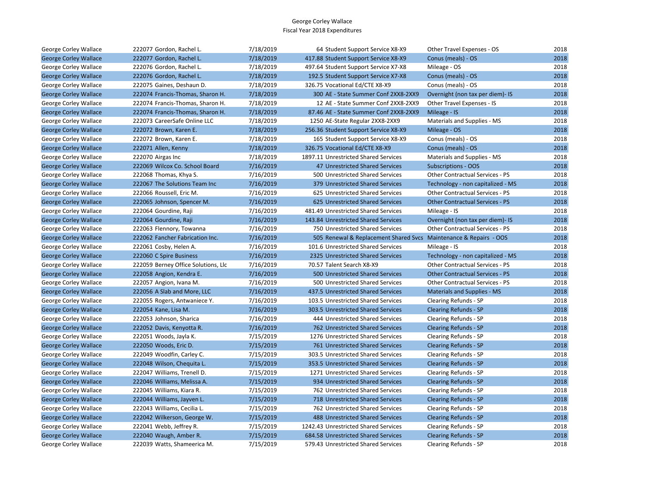| George Corley Wallace        | 222077 Gordon, Rachel L.            | 7/18/2019 | 64 Student Support Service X8-X9       | Other Travel Expenses - OS             | 2018 |
|------------------------------|-------------------------------------|-----------|----------------------------------------|----------------------------------------|------|
| <b>George Corley Wallace</b> | 222077 Gordon, Rachel L.            | 7/18/2019 | 417.88 Student Support Service X8-X9   | Conus (meals) - OS                     | 2018 |
| George Corley Wallace        | 222076 Gordon, Rachel L.            | 7/18/2019 | 497.64 Student Support Service X7-X8   | Mileage - OS                           | 2018 |
| <b>George Corley Wallace</b> | 222076 Gordon, Rachel L.            | 7/18/2019 | 192.5 Student Support Service X7-X8    | Conus (meals) - OS                     | 2018 |
| George Corley Wallace        | 222075 Gaines, Deshaun D.           | 7/18/2019 | 326.75 Vocational Ed/CTE X8-X9         | Conus (meals) - OS                     | 2018 |
| <b>George Corley Wallace</b> | 222074 Francis-Thomas, Sharon H.    | 7/18/2019 | 300 AE - State Summer Conf 2XX8-2XX9   | Overnight (non tax per diem)- IS       | 2018 |
| George Corley Wallace        | 222074 Francis-Thomas, Sharon H.    | 7/18/2019 | 12 AE - State Summer Conf 2XX8-2XX9    | Other Travel Expenses - IS             | 2018 |
| <b>George Corley Wallace</b> | 222074 Francis-Thomas, Sharon H.    | 7/18/2019 | 87.46 AE - State Summer Conf 2XX8-2XX9 | Mileage - IS                           | 2018 |
| George Corley Wallace        | 222073 CareerSafe Online LLC        | 7/18/2019 | 1250 AE-State Regular 2XX8-2XX9        | Materials and Supplies - MS            | 2018 |
| <b>George Corley Wallace</b> | 222072 Brown, Karen E.              | 7/18/2019 | 256.36 Student Support Service X8-X9   | Mileage - OS                           | 2018 |
| George Corley Wallace        | 222072 Brown, Karen E.              | 7/18/2019 | 165 Student Support Service X8-X9      | Conus (meals) - OS                     | 2018 |
| <b>George Corley Wallace</b> | 222071 Allen, Kenny                 | 7/18/2019 | 326.75 Vocational Ed/CTE X8-X9         | Conus (meals) - OS                     | 2018 |
| George Corley Wallace        | 222070 Airgas Inc                   | 7/18/2019 | 1897.11 Unrestricted Shared Services   | Materials and Supplies - MS            | 2018 |
| <b>George Corley Wallace</b> | 222069 Wilcox Co. School Board      | 7/16/2019 | 47 Unrestricted Shared Services        | <b>Subscriptions - OOS</b>             | 2018 |
| George Corley Wallace        | 222068 Thomas, Khya S.              | 7/16/2019 | 500 Unrestricted Shared Services       | Other Contractual Services - PS        | 2018 |
| <b>George Corley Wallace</b> | 222067 The Solutions Team Inc       | 7/16/2019 | 379 Unrestricted Shared Services       | Technology - non capitalized - MS      | 2018 |
| George Corley Wallace        | 222066 Roussell, Eric M.            | 7/16/2019 | 625 Unrestricted Shared Services       | <b>Other Contractual Services - PS</b> | 2018 |
| <b>George Corley Wallace</b> | 222065 Johnson, Spencer M.          | 7/16/2019 | 625 Unrestricted Shared Services       | <b>Other Contractual Services - PS</b> | 2018 |
| George Corley Wallace        | 222064 Gourdine, Raji               | 7/16/2019 | 481.49 Unrestricted Shared Services    | Mileage - IS                           | 2018 |
| <b>George Corley Wallace</b> | 222064 Gourdine, Raji               | 7/16/2019 | 143.84 Unrestricted Shared Services    | Overnight (non tax per diem)- IS       | 2018 |
| George Corley Wallace        | 222063 Flennory, Towanna            | 7/16/2019 | 750 Unrestricted Shared Services       | <b>Other Contractual Services - PS</b> | 2018 |
| <b>George Corley Wallace</b> | 222062 Fancher Fabrication Inc.     | 7/16/2019 | 505 Renewal & Replacement Shared Svcs  | Maintenance & Repairs - OOS            | 2018 |
| George Corley Wallace        | 222061 Cosby, Helen A.              | 7/16/2019 | 101.6 Unrestricted Shared Services     | Mileage - IS                           | 2018 |
| <b>George Corley Wallace</b> | 222060 C Spire Business             | 7/16/2019 | 2325 Unrestricted Shared Services      | Technology - non capitalized - MS      | 2018 |
| George Corley Wallace        | 222059 Berney Office Solutions, Llc | 7/16/2019 | 70.57 Talent Search X8-X9              | Other Contractual Services - PS        | 2018 |
| <b>George Corley Wallace</b> | 222058 Angion, Kendra E.            | 7/16/2019 | 500 Unrestricted Shared Services       | <b>Other Contractual Services - PS</b> | 2018 |
| George Corley Wallace        | 222057 Angion, Ivana M.             | 7/16/2019 | 500 Unrestricted Shared Services       | <b>Other Contractual Services - PS</b> | 2018 |
| <b>George Corley Wallace</b> | 222056 A Slab and More, LLC         | 7/16/2019 | 437.5 Unrestricted Shared Services     | <b>Materials and Supplies - MS</b>     | 2018 |
| George Corley Wallace        | 222055 Rogers, Antwaniece Y.        | 7/16/2019 | 103.5 Unrestricted Shared Services     | Clearing Refunds - SP                  | 2018 |
| <b>George Corley Wallace</b> | 222054 Kane, Lisa M.                | 7/16/2019 | 303.5 Unrestricted Shared Services     | <b>Clearing Refunds - SP</b>           | 2018 |
| George Corley Wallace        | 222053 Johnson, Sharica             | 7/16/2019 | 444 Unrestricted Shared Services       | Clearing Refunds - SP                  | 2018 |
| <b>George Corley Wallace</b> | 222052 Davis, Kenyotta R.           | 7/16/2019 | 762 Unrestricted Shared Services       | <b>Clearing Refunds - SP</b>           | 2018 |
| George Corley Wallace        | 222051 Woods, Jayla K.              | 7/15/2019 | 1276 Unrestricted Shared Services      | Clearing Refunds - SP                  | 2018 |
| <b>George Corley Wallace</b> | 222050 Woods, Eric D.               | 7/15/2019 | 761 Unrestricted Shared Services       | <b>Clearing Refunds - SP</b>           | 2018 |
| George Corley Wallace        | 222049 Woodfin, Carley C.           | 7/15/2019 | 303.5 Unrestricted Shared Services     | Clearing Refunds - SP                  | 2018 |
| <b>George Corley Wallace</b> | 222048 Wilson, Chequita L.          | 7/15/2019 | 353.5 Unrestricted Shared Services     | <b>Clearing Refunds - SP</b>           | 2018 |
| George Corley Wallace        | 222047 Williams, Trenell D.         | 7/15/2019 | 1271 Unrestricted Shared Services      | Clearing Refunds - SP                  | 2018 |
| <b>George Corley Wallace</b> | 222046 Williams, Melissa A.         | 7/15/2019 | 934 Unrestricted Shared Services       | <b>Clearing Refunds - SP</b>           | 2018 |
| George Corley Wallace        | 222045 Williams, Kiara R.           | 7/15/2019 | 762 Unrestricted Shared Services       | Clearing Refunds - SP                  | 2018 |
| <b>George Corley Wallace</b> | 222044 Williams, Jayven L.          | 7/15/2019 | 718 Unrestricted Shared Services       | <b>Clearing Refunds - SP</b>           | 2018 |
| George Corley Wallace        | 222043 Williams, Cecilia L.         | 7/15/2019 | 762 Unrestricted Shared Services       | Clearing Refunds - SP                  | 2018 |
| <b>George Corley Wallace</b> | 222042 Wilkerson, George W.         | 7/15/2019 | 488 Unrestricted Shared Services       | <b>Clearing Refunds - SP</b>           | 2018 |
| George Corley Wallace        | 222041 Webb, Jeffrey R.             | 7/15/2019 | 1242.43 Unrestricted Shared Services   | Clearing Refunds - SP                  | 2018 |
| <b>George Corley Wallace</b> | 222040 Waugh, Amber R.              | 7/15/2019 | 684.58 Unrestricted Shared Services    | <b>Clearing Refunds - SP</b>           | 2018 |
| George Corley Wallace        | 222039 Watts, Shameerica M.         | 7/15/2019 | 579.43 Unrestricted Shared Services    | Clearing Refunds - SP                  | 2018 |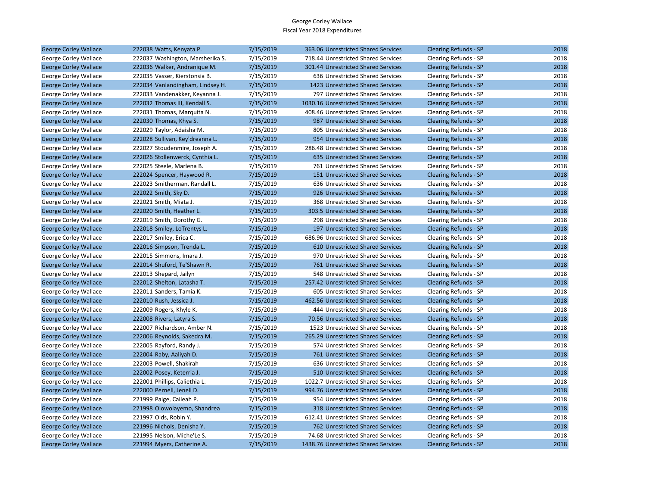| <b>George Corley Wallace</b> | 222038 Watts, Kenyata P.         | 7/15/2019 | 363.06 Unrestricted Shared Services  | <b>Clearing Refunds - SP</b> | 2018 |
|------------------------------|----------------------------------|-----------|--------------------------------------|------------------------------|------|
| George Corley Wallace        | 222037 Washington, Marsherika S. | 7/15/2019 | 718.44 Unrestricted Shared Services  | Clearing Refunds - SP        | 2018 |
| <b>George Corley Wallace</b> | 222036 Walker, Andranique M.     | 7/15/2019 | 301.44 Unrestricted Shared Services  | <b>Clearing Refunds - SP</b> | 2018 |
| George Corley Wallace        | 222035 Vasser, Kierstonsia B.    | 7/15/2019 | 636 Unrestricted Shared Services     | Clearing Refunds - SP        | 2018 |
| <b>George Corley Wallace</b> | 222034 Vanlandingham, Lindsey H. | 7/15/2019 | 1423 Unrestricted Shared Services    | <b>Clearing Refunds - SP</b> | 2018 |
| George Corley Wallace        | 222033 Vandenakker, Keyanna J.   | 7/15/2019 | 797 Unrestricted Shared Services     | Clearing Refunds - SP        | 2018 |
| <b>George Corley Wallace</b> | 222032 Thomas III, Kendall S.    | 7/15/2019 | 1030.16 Unrestricted Shared Services | <b>Clearing Refunds - SP</b> | 2018 |
| George Corley Wallace        | 222031 Thomas, Marquita N.       | 7/15/2019 | 408.46 Unrestricted Shared Services  | Clearing Refunds - SP        | 2018 |
| <b>George Corley Wallace</b> | 222030 Thomas, Khya S.           | 7/15/2019 | 987 Unrestricted Shared Services     | <b>Clearing Refunds - SP</b> | 2018 |
| George Corley Wallace        | 222029 Taylor, Adaisha M.        | 7/15/2019 | 805 Unrestricted Shared Services     | Clearing Refunds - SP        | 2018 |
| <b>George Corley Wallace</b> | 222028 Sullivan, Key'dreanna L.  | 7/15/2019 | 954 Unrestricted Shared Services     | <b>Clearing Refunds - SP</b> | 2018 |
| George Corley Wallace        | 222027 Stoudenmire, Joseph A.    | 7/15/2019 | 286.48 Unrestricted Shared Services  | Clearing Refunds - SP        | 2018 |
| <b>George Corley Wallace</b> | 222026 Stollenwerck, Cynthia L.  | 7/15/2019 | 635 Unrestricted Shared Services     | <b>Clearing Refunds - SP</b> | 2018 |
| George Corley Wallace        | 222025 Steele, Marlena B.        | 7/15/2019 | 761 Unrestricted Shared Services     | Clearing Refunds - SP        | 2018 |
| <b>George Corley Wallace</b> | 222024 Spencer, Haywood R.       | 7/15/2019 | 151 Unrestricted Shared Services     | <b>Clearing Refunds - SP</b> | 2018 |
| George Corley Wallace        | 222023 Smitherman, Randall L.    | 7/15/2019 | 636 Unrestricted Shared Services     | Clearing Refunds - SP        | 2018 |
| <b>George Corley Wallace</b> | 222022 Smith, Sky D.             | 7/15/2019 | 926 Unrestricted Shared Services     | <b>Clearing Refunds - SP</b> | 2018 |
| George Corley Wallace        | 222021 Smith, Miata J.           | 7/15/2019 | 368 Unrestricted Shared Services     | Clearing Refunds - SP        | 2018 |
| <b>George Corley Wallace</b> | 222020 Smith, Heather L.         | 7/15/2019 | 303.5 Unrestricted Shared Services   | <b>Clearing Refunds - SP</b> | 2018 |
| George Corley Wallace        | 222019 Smith, Dorothy G.         | 7/15/2019 | 298 Unrestricted Shared Services     | Clearing Refunds - SP        | 2018 |
| <b>George Corley Wallace</b> | 222018 Smiley, LoTrentys L.      | 7/15/2019 | 197 Unrestricted Shared Services     | <b>Clearing Refunds - SP</b> | 2018 |
| George Corley Wallace        | 222017 Smiley, Erica C.          | 7/15/2019 | 686.96 Unrestricted Shared Services  | Clearing Refunds - SP        | 2018 |
| <b>George Corley Wallace</b> | 222016 Simpson, Trenda L.        | 7/15/2019 | 610 Unrestricted Shared Services     | <b>Clearing Refunds - SP</b> | 2018 |
| George Corley Wallace        | 222015 Simmons, Imara J.         | 7/15/2019 | 970 Unrestricted Shared Services     | Clearing Refunds - SP        | 2018 |
| <b>George Corley Wallace</b> | 222014 Shuford, Te'Shawn R.      | 7/15/2019 | 761 Unrestricted Shared Services     | <b>Clearing Refunds - SP</b> | 2018 |
| George Corley Wallace        | 222013 Shepard, Jailyn           | 7/15/2019 | 548 Unrestricted Shared Services     | Clearing Refunds - SP        | 2018 |
| <b>George Corley Wallace</b> | 222012 Shelton, Latasha T.       | 7/15/2019 | 257.42 Unrestricted Shared Services  | <b>Clearing Refunds - SP</b> | 2018 |
| George Corley Wallace        | 222011 Sanders, Tamia K.         | 7/15/2019 | 605 Unrestricted Shared Services     | Clearing Refunds - SP        | 2018 |
| <b>George Corley Wallace</b> | 222010 Rush, Jessica J.          | 7/15/2019 | 462.56 Unrestricted Shared Services  | <b>Clearing Refunds - SP</b> | 2018 |
| George Corley Wallace        | 222009 Rogers, Khyle K.          | 7/15/2019 | 444 Unrestricted Shared Services     | Clearing Refunds - SP        | 2018 |
| <b>George Corley Wallace</b> | 222008 Rivers, Latyra S.         | 7/15/2019 | 70.56 Unrestricted Shared Services   | <b>Clearing Refunds - SP</b> | 2018 |
| George Corley Wallace        | 222007 Richardson, Amber N.      | 7/15/2019 | 1523 Unrestricted Shared Services    | Clearing Refunds - SP        | 2018 |
| <b>George Corley Wallace</b> | 222006 Reynolds, Sakedra M.      | 7/15/2019 | 265.29 Unrestricted Shared Services  | <b>Clearing Refunds - SP</b> | 2018 |
| George Corley Wallace        | 222005 Rayford, Randy J.         | 7/15/2019 | 574 Unrestricted Shared Services     | Clearing Refunds - SP        | 2018 |
| <b>George Corley Wallace</b> | 222004 Raby, Aaliyah D.          | 7/15/2019 | 761 Unrestricted Shared Services     | <b>Clearing Refunds - SP</b> | 2018 |
| George Corley Wallace        | 222003 Powell, Shakirah          | 7/15/2019 | 636 Unrestricted Shared Services     | Clearing Refunds - SP        | 2018 |
| <b>George Corley Wallace</b> | 222002 Posey, Keterria J.        | 7/15/2019 | 510 Unrestricted Shared Services     | <b>Clearing Refunds - SP</b> | 2018 |
| George Corley Wallace        | 222001 Phillips, Caliethia L.    | 7/15/2019 | 1022.7 Unrestricted Shared Services  | Clearing Refunds - SP        | 2018 |
| <b>George Corley Wallace</b> | 222000 Pernell, Jenell D.        | 7/15/2019 | 994.76 Unrestricted Shared Services  | <b>Clearing Refunds - SP</b> | 2018 |
| George Corley Wallace        | 221999 Paige, Caileah P.         | 7/15/2019 | 954 Unrestricted Shared Services     | Clearing Refunds - SP        | 2018 |
| <b>George Corley Wallace</b> | 221998 Olowolayemo, Shandrea     | 7/15/2019 | 318 Unrestricted Shared Services     | <b>Clearing Refunds - SP</b> | 2018 |
| George Corley Wallace        | 221997 Olds, Robin Y.            | 7/15/2019 | 612.41 Unrestricted Shared Services  | Clearing Refunds - SP        | 2018 |
| <b>George Corley Wallace</b> | 221996 Nichols, Denisha Y.       | 7/15/2019 | 762 Unrestricted Shared Services     | <b>Clearing Refunds - SP</b> | 2018 |
| George Corley Wallace        | 221995 Nelson, Miche'Le S.       | 7/15/2019 | 74.68 Unrestricted Shared Services   | Clearing Refunds - SP        | 2018 |
| <b>George Corley Wallace</b> | 221994 Myers, Catherine A.       | 7/15/2019 | 1438.76 Unrestricted Shared Services | <b>Clearing Refunds - SP</b> | 2018 |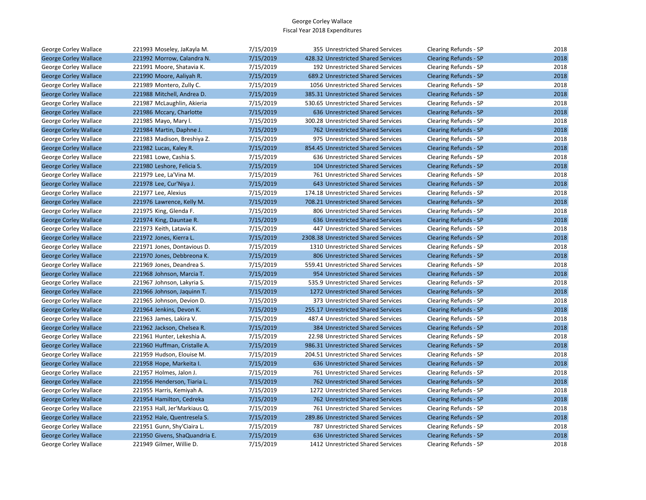| George Corley Wallace        | 221993 Moseley, JaKayla M.    | 7/15/2019 | 355 Unrestricted Shared Services     | Clearing Refunds - SP        | 2018 |
|------------------------------|-------------------------------|-----------|--------------------------------------|------------------------------|------|
| <b>George Corley Wallace</b> | 221992 Morrow, Calandra N.    | 7/15/2019 | 428.32 Unrestricted Shared Services  | <b>Clearing Refunds - SP</b> | 2018 |
| George Corley Wallace        | 221991 Moore, Shatavia K.     | 7/15/2019 | 192 Unrestricted Shared Services     | Clearing Refunds - SP        | 2018 |
| <b>George Corley Wallace</b> | 221990 Moore, Aaliyah R.      | 7/15/2019 | 689.2 Unrestricted Shared Services   | <b>Clearing Refunds - SP</b> | 2018 |
| George Corley Wallace        | 221989 Montero, Zully C.      | 7/15/2019 | 1056 Unrestricted Shared Services    | Clearing Refunds - SP        | 2018 |
| <b>George Corley Wallace</b> | 221988 Mitchell, Andrea D.    | 7/15/2019 | 385.31 Unrestricted Shared Services  | <b>Clearing Refunds - SP</b> | 2018 |
| George Corley Wallace        | 221987 McLaughlin, Akieria    | 7/15/2019 | 530.65 Unrestricted Shared Services  | Clearing Refunds - SP        | 2018 |
| <b>George Corley Wallace</b> | 221986 Mccary, Charlotte      | 7/15/2019 | 636 Unrestricted Shared Services     | Clearing Refunds - SP        | 2018 |
| George Corley Wallace        | 221985 Mayo, Mary I.          | 7/15/2019 | 300.28 Unrestricted Shared Services  | Clearing Refunds - SP        | 2018 |
| <b>George Corley Wallace</b> | 221984 Martin, Daphne J.      | 7/15/2019 | 762 Unrestricted Shared Services     | <b>Clearing Refunds - SP</b> | 2018 |
| George Corley Wallace        | 221983 Madison, Breshiya Z.   | 7/15/2019 | 975 Unrestricted Shared Services     | Clearing Refunds - SP        | 2018 |
| <b>George Corley Wallace</b> | 221982 Lucas, Kaley R.        | 7/15/2019 | 854.45 Unrestricted Shared Services  | <b>Clearing Refunds - SP</b> | 2018 |
| George Corley Wallace        | 221981 Lowe, Cashia S.        | 7/15/2019 | 636 Unrestricted Shared Services     | Clearing Refunds - SP        | 2018 |
| <b>George Corley Wallace</b> | 221980 Leshore, Felicia S.    | 7/15/2019 | 104 Unrestricted Shared Services     | Clearing Refunds - SP        | 2018 |
| George Corley Wallace        | 221979 Lee, La'Vina M.        | 7/15/2019 | 761 Unrestricted Shared Services     | Clearing Refunds - SP        | 2018 |
| <b>George Corley Wallace</b> | 221978 Lee, Cur'Niya J.       | 7/15/2019 | 643 Unrestricted Shared Services     | <b>Clearing Refunds - SP</b> | 2018 |
| George Corley Wallace        | 221977 Lee, Alexius           | 7/15/2019 | 174.18 Unrestricted Shared Services  | Clearing Refunds - SP        | 2018 |
| <b>George Corley Wallace</b> | 221976 Lawrence, Kelly M.     | 7/15/2019 | 708.21 Unrestricted Shared Services  | <b>Clearing Refunds - SP</b> | 2018 |
| George Corley Wallace        | 221975 King, Glenda F.        | 7/15/2019 | 806 Unrestricted Shared Services     | Clearing Refunds - SP        | 2018 |
| <b>George Corley Wallace</b> | 221974 King, Dauntae R.       | 7/15/2019 | 636 Unrestricted Shared Services     | <b>Clearing Refunds - SP</b> | 2018 |
| George Corley Wallace        | 221973 Keith, Latavia K.      | 7/15/2019 | 447 Unrestricted Shared Services     | Clearing Refunds - SP        | 2018 |
| <b>George Corley Wallace</b> | 221972 Jones, Kierra L.       | 7/15/2019 | 2308.38 Unrestricted Shared Services | <b>Clearing Refunds - SP</b> | 2018 |
| George Corley Wallace        | 221971 Jones, Dontavious D.   | 7/15/2019 | 1310 Unrestricted Shared Services    | Clearing Refunds - SP        | 2018 |
| <b>George Corley Wallace</b> | 221970 Jones, Debbreona K.    | 7/15/2019 | 806 Unrestricted Shared Services     | <b>Clearing Refunds - SP</b> | 2018 |
| George Corley Wallace        | 221969 Jones, Deandrea S.     | 7/15/2019 | 559.41 Unrestricted Shared Services  | Clearing Refunds - SP        | 2018 |
| <b>George Corley Wallace</b> | 221968 Johnson, Marcia T.     | 7/15/2019 | 954 Unrestricted Shared Services     | <b>Clearing Refunds - SP</b> | 2018 |
| George Corley Wallace        | 221967 Johnson, Lakyria S.    | 7/15/2019 | 535.9 Unrestricted Shared Services   | Clearing Refunds - SP        | 2018 |
| <b>George Corley Wallace</b> | 221966 Johnson, Jaquinn T.    | 7/15/2019 | 1272 Unrestricted Shared Services    | <b>Clearing Refunds - SP</b> | 2018 |
| George Corley Wallace        | 221965 Johnson, Devion D.     | 7/15/2019 | 373 Unrestricted Shared Services     | Clearing Refunds - SP        | 2018 |
| <b>George Corley Wallace</b> | 221964 Jenkins, Devon K.      | 7/15/2019 | 255.17 Unrestricted Shared Services  | <b>Clearing Refunds - SP</b> | 2018 |
| George Corley Wallace        | 221963 James, Lakira V.       | 7/15/2019 | 487.4 Unrestricted Shared Services   | Clearing Refunds - SP        | 2018 |
| <b>George Corley Wallace</b> | 221962 Jackson, Chelsea R.    | 7/15/2019 | 384 Unrestricted Shared Services     | <b>Clearing Refunds - SP</b> | 2018 |
| George Corley Wallace        | 221961 Hunter, Lekeshia A.    | 7/15/2019 | 22.98 Unrestricted Shared Services   | Clearing Refunds - SP        | 2018 |
| <b>George Corley Wallace</b> | 221960 Huffman, Cristalle A.  | 7/15/2019 | 986.31 Unrestricted Shared Services  | Clearing Refunds - SP        | 2018 |
| George Corley Wallace        | 221959 Hudson, Elouise M.     | 7/15/2019 | 204.51 Unrestricted Shared Services  | Clearing Refunds - SP        | 2018 |
| <b>George Corley Wallace</b> | 221958 Hope, Markeita I.      | 7/15/2019 | 636 Unrestricted Shared Services     | <b>Clearing Refunds - SP</b> | 2018 |
| George Corley Wallace        | 221957 Holmes, Jalon J.       | 7/15/2019 | 761 Unrestricted Shared Services     | Clearing Refunds - SP        | 2018 |
| <b>George Corley Wallace</b> | 221956 Henderson, Tiaria L.   | 7/15/2019 | 762 Unrestricted Shared Services     | <b>Clearing Refunds - SP</b> | 2018 |
| George Corley Wallace        | 221955 Harris, Kemiyah A.     | 7/15/2019 | 1272 Unrestricted Shared Services    | Clearing Refunds - SP        | 2018 |
| <b>George Corley Wallace</b> | 221954 Hamilton, Cedreka      | 7/15/2019 | 762 Unrestricted Shared Services     | <b>Clearing Refunds - SP</b> | 2018 |
| George Corley Wallace        | 221953 Hall, Jer'Markiaus Q.  | 7/15/2019 | 761 Unrestricted Shared Services     | Clearing Refunds - SP        | 2018 |
| <b>George Corley Wallace</b> | 221952 Hale, Quentresela S.   | 7/15/2019 | 289.86 Unrestricted Shared Services  | <b>Clearing Refunds - SP</b> | 2018 |
| George Corley Wallace        | 221951 Gunn, Shy'Ciaira L.    | 7/15/2019 | 787 Unrestricted Shared Services     | Clearing Refunds - SP        | 2018 |
| <b>George Corley Wallace</b> | 221950 Givens, ShaQuandria E. | 7/15/2019 | 636 Unrestricted Shared Services     | <b>Clearing Refunds - SP</b> | 2018 |
| George Corley Wallace        | 221949 Gilmer, Willie D.      | 7/15/2019 | 1412 Unrestricted Shared Services    | Clearing Refunds - SP        | 2018 |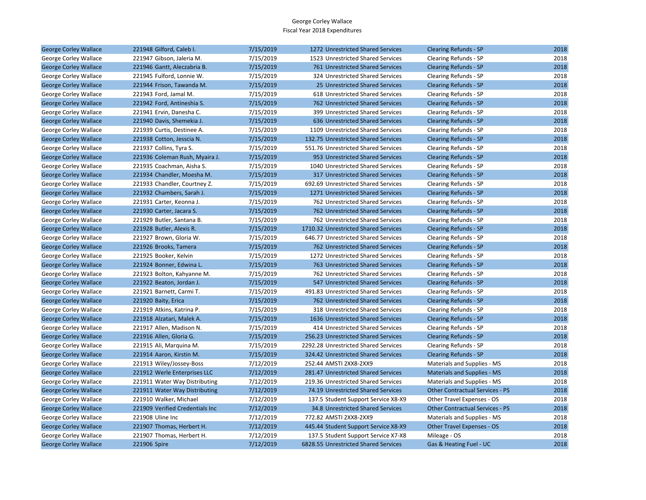| <b>George Corley Wallace</b> | 221948 Gilford, Caleb I.        | 7/15/2019 | 1272 Unrestricted Shared Services    | <b>Clearing Refunds - SP</b>           | 2018 |
|------------------------------|---------------------------------|-----------|--------------------------------------|----------------------------------------|------|
| George Corley Wallace        | 221947 Gibson, Jaleria M.       | 7/15/2019 | 1523 Unrestricted Shared Services    | Clearing Refunds - SP                  | 2018 |
| <b>George Corley Wallace</b> | 221946 Gantt, Aleczabria B.     | 7/15/2019 | 761 Unrestricted Shared Services     | <b>Clearing Refunds - SP</b>           | 2018 |
| George Corley Wallace        | 221945 Fulford, Lonnie W.       | 7/15/2019 | 324 Unrestricted Shared Services     | Clearing Refunds - SP                  | 2018 |
| <b>George Corley Wallace</b> | 221944 Frison, Tawanda M.       | 7/15/2019 | 25 Unrestricted Shared Services      | <b>Clearing Refunds - SP</b>           | 2018 |
| George Corley Wallace        | 221943 Ford, Jamal M.           | 7/15/2019 | 618 Unrestricted Shared Services     | Clearing Refunds - SP                  | 2018 |
| <b>George Corley Wallace</b> | 221942 Ford, Antineshia S.      | 7/15/2019 | 762 Unrestricted Shared Services     | Clearing Refunds - SP                  | 2018 |
| George Corley Wallace        | 221941 Ervin, Danesha C.        | 7/15/2019 | 399 Unrestricted Shared Services     | Clearing Refunds - SP                  | 2018 |
| <b>George Corley Wallace</b> | 221940 Davis, Shemekia J.       | 7/15/2019 | 636 Unrestricted Shared Services     | <b>Clearing Refunds - SP</b>           | 2018 |
| George Corley Wallace        | 221939 Curtis, Destinee A.      | 7/15/2019 | 1109 Unrestricted Shared Services    | Clearing Refunds - SP                  | 2018 |
| <b>George Corley Wallace</b> | 221938 Cotton, Jesscia N.       | 7/15/2019 | 132.75 Unrestricted Shared Services  | <b>Clearing Refunds - SP</b>           | 2018 |
| George Corley Wallace        | 221937 Collins, Tyra S.         | 7/15/2019 | 551.76 Unrestricted Shared Services  | Clearing Refunds - SP                  | 2018 |
| <b>George Corley Wallace</b> | 221936 Coleman Rush, Myaira J.  | 7/15/2019 | 953 Unrestricted Shared Services     | <b>Clearing Refunds - SP</b>           | 2018 |
| George Corley Wallace        | 221935 Coachman, Aisha S.       | 7/15/2019 | 1040 Unrestricted Shared Services    | Clearing Refunds - SP                  | 2018 |
| <b>George Corley Wallace</b> | 221934 Chandler, Moesha M.      | 7/15/2019 | 317 Unrestricted Shared Services     | <b>Clearing Refunds - SP</b>           | 2018 |
| George Corley Wallace        | 221933 Chandler, Courtney Z.    | 7/15/2019 | 692.69 Unrestricted Shared Services  | Clearing Refunds - SP                  | 2018 |
| <b>George Corley Wallace</b> | 221932 Chambers, Sarah J.       | 7/15/2019 | 1271 Unrestricted Shared Services    | <b>Clearing Refunds - SP</b>           | 2018 |
| George Corley Wallace        | 221931 Carter, Keonna J.        | 7/15/2019 | 762 Unrestricted Shared Services     | Clearing Refunds - SP                  | 2018 |
| <b>George Corley Wallace</b> | 221930 Carter, Jacara S.        | 7/15/2019 | 762 Unrestricted Shared Services     | <b>Clearing Refunds - SP</b>           | 2018 |
| George Corley Wallace        | 221929 Butler, Santana B.       | 7/15/2019 | 762 Unrestricted Shared Services     | Clearing Refunds - SP                  | 2018 |
| <b>George Corley Wallace</b> | 221928 Butler, Alexis R.        | 7/15/2019 | 1710.32 Unrestricted Shared Services | <b>Clearing Refunds - SP</b>           | 2018 |
| George Corley Wallace        | 221927 Brown, Gloria W.         | 7/15/2019 | 646.77 Unrestricted Shared Services  | Clearing Refunds - SP                  | 2018 |
| <b>George Corley Wallace</b> | 221926 Brooks, Tamera           | 7/15/2019 | 762 Unrestricted Shared Services     | <b>Clearing Refunds - SP</b>           | 2018 |
| George Corley Wallace        | 221925 Booker, Kelvin           | 7/15/2019 | 1272 Unrestricted Shared Services    | Clearing Refunds - SP                  | 2018 |
| <b>George Corley Wallace</b> | 221924 Bonner, Edwina L.        | 7/15/2019 | 763 Unrestricted Shared Services     | <b>Clearing Refunds - SP</b>           | 2018 |
| George Corley Wallace        | 221923 Bolton, Kahyanne M.      | 7/15/2019 | 762 Unrestricted Shared Services     | Clearing Refunds - SP                  | 2018 |
| <b>George Corley Wallace</b> | 221922 Beaton, Jordan J.        | 7/15/2019 | 547 Unrestricted Shared Services     | <b>Clearing Refunds - SP</b>           | 2018 |
| George Corley Wallace        | 221921 Barnett, Carmi T.        | 7/15/2019 | 491.83 Unrestricted Shared Services  | Clearing Refunds - SP                  | 2018 |
| <b>George Corley Wallace</b> | 221920 Baity, Erica             | 7/15/2019 | 762 Unrestricted Shared Services     | <b>Clearing Refunds - SP</b>           | 2018 |
| George Corley Wallace        | 221919 Atkins, Katrina P.       | 7/15/2019 | 318 Unrestricted Shared Services     | Clearing Refunds - SP                  | 2018 |
| <b>George Corley Wallace</b> | 221918 Alzatari, Malek A.       | 7/15/2019 | 1636 Unrestricted Shared Services    | <b>Clearing Refunds - SP</b>           | 2018 |
| George Corley Wallace        | 221917 Allen, Madison N.        | 7/15/2019 | 414 Unrestricted Shared Services     | Clearing Refunds - SP                  | 2018 |
| <b>George Corley Wallace</b> | 221916 Allen, Gloria G.         | 7/15/2019 | 256.23 Unrestricted Shared Services  | <b>Clearing Refunds - SP</b>           | 2018 |
| George Corley Wallace        | 221915 Ali, Marquina M.         | 7/15/2019 | 2292.28 Unrestricted Shared Services | Clearing Refunds - SP                  | 2018 |
| <b>George Corley Wallace</b> | 221914 Aaron, Kirstin M.        | 7/15/2019 | 324.42 Unrestricted Shared Services  | <b>Clearing Refunds - SP</b>           | 2018 |
| George Corley Wallace        | 221913 Wiley/Jossey-Boss        | 7/12/2019 | 252.44 AMSTI 2XX8-2XX9               | Materials and Supplies - MS            | 2018 |
| <b>George Corley Wallace</b> | 221912 Werle Enterprises LLC    | 7/12/2019 | 281.47 Unrestricted Shared Services  | Materials and Supplies - MS            | 2018 |
| George Corley Wallace        | 221911 Water Way Distributing   | 7/12/2019 | 219.36 Unrestricted Shared Services  | Materials and Supplies - MS            | 2018 |
| <b>George Corley Wallace</b> | 221911 Water Way Distributing   | 7/12/2019 | 74.19 Unrestricted Shared Services   | <b>Other Contractual Services - PS</b> | 2018 |
| George Corley Wallace        | 221910 Walker, Michael          | 7/12/2019 | 137.5 Student Support Service X8-X9  | Other Travel Expenses - OS             | 2018 |
| <b>George Corley Wallace</b> | 221909 Verified Credentials Inc | 7/12/2019 | 34.8 Unrestricted Shared Services    | <b>Other Contractual Services - PS</b> | 2018 |
| George Corley Wallace        | 221908 Uline Inc                | 7/12/2019 | 772.82 AMSTI 2XX8-2XX9               | Materials and Supplies - MS            | 2018 |
| <b>George Corley Wallace</b> | 221907 Thomas, Herbert H.       | 7/12/2019 | 445.44 Student Support Service X8-X9 | <b>Other Travel Expenses - OS</b>      | 2018 |
| George Corley Wallace        | 221907 Thomas, Herbert H.       | 7/12/2019 | 137.5 Student Support Service X7-X8  | Mileage - OS                           | 2018 |
| <b>George Corley Wallace</b> | 221906 Spire                    | 7/12/2019 | 6828.55 Unrestricted Shared Services | Gas & Heating Fuel - UC                | 2018 |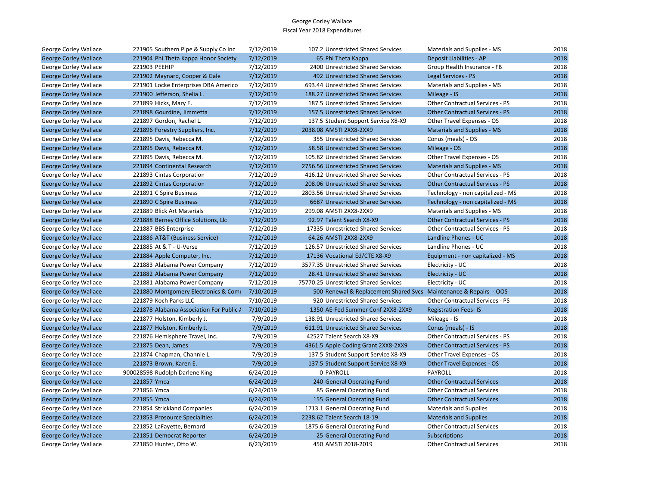| George Corley Wallace        | 221905 Southern Pipe & Supply Co Inc    | 7/12/2019 | 107.2 Unrestricted Shared Services                                | Materials and Supplies - MS            | 2018 |
|------------------------------|-----------------------------------------|-----------|-------------------------------------------------------------------|----------------------------------------|------|
| <b>George Corley Wallace</b> | 221904 Phi Theta Kappa Honor Society    | 7/12/2019 | 65 Phi Theta Kappa                                                | Deposit Liabilities - AP               | 2018 |
| George Corley Wallace        | 221903 PEEHIP                           | 7/12/2019 | 2400 Unrestricted Shared Services                                 | Group Health Insurance - FB            | 2018 |
| <b>George Corley Wallace</b> | 221902 Maynard, Cooper & Gale           | 7/12/2019 | 492 Unrestricted Shared Services                                  | Legal Services - PS                    | 2018 |
| George Corley Wallace        | 221901 Locke Enterprises DBA Americo    | 7/12/2019 | 693.44 Unrestricted Shared Services                               | Materials and Supplies - MS            | 2018 |
| <b>George Corley Wallace</b> | 221900 Jefferson, Shelia L.             | 7/12/2019 | 188.27 Unrestricted Shared Services                               | Mileage - IS                           | 2018 |
| George Corley Wallace        | 221899 Hicks, Mary E.                   | 7/12/2019 | 187.5 Unrestricted Shared Services                                | <b>Other Contractual Services - PS</b> | 2018 |
| <b>George Corley Wallace</b> | 221898 Gourdine, Jimmetta               | 7/12/2019 | 157.5 Unrestricted Shared Services                                | <b>Other Contractual Services - PS</b> | 2018 |
| George Corley Wallace        | 221897 Gordon, Rachel L.                | 7/12/2019 | 137.5 Student Support Service X8-X9                               | Other Travel Expenses - OS             | 2018 |
| <b>George Corley Wallace</b> | 221896 Forestry Suppliers, Inc.         | 7/12/2019 | 2038.08 AMSTI 2XX8-2XX9                                           | Materials and Supplies - MS            | 2018 |
| George Corley Wallace        | 221895 Davis, Rebecca M.                | 7/12/2019 | 355 Unrestricted Shared Services                                  | Conus (meals) - OS                     | 2018 |
| <b>George Corley Wallace</b> | 221895 Davis, Rebecca M.                | 7/12/2019 | 58.58 Unrestricted Shared Services                                | Mileage - OS                           | 2018 |
| George Corley Wallace        | 221895 Davis, Rebecca M.                | 7/12/2019 | 105.82 Unrestricted Shared Services                               | Other Travel Expenses - OS             | 2018 |
| <b>George Corley Wallace</b> | 221894 Continental Research             | 7/12/2019 | 2756.56 Unrestricted Shared Services                              | Materials and Supplies - MS            | 2018 |
| George Corley Wallace        | 221893 Cintas Corporation               | 7/12/2019 | 416.12 Unrestricted Shared Services                               | <b>Other Contractual Services - PS</b> | 2018 |
| <b>George Corley Wallace</b> | 221892 Cintas Corporation               | 7/12/2019 | 208.06 Unrestricted Shared Services                               | <b>Other Contractual Services - PS</b> | 2018 |
| George Corley Wallace        | 221891 C Spire Business                 | 7/12/2019 | 2803.56 Unrestricted Shared Services                              | Technology - non capitalized - MS      | 2018 |
| <b>George Corley Wallace</b> | 221890 C Spire Business                 | 7/12/2019 | 6687 Unrestricted Shared Services                                 | Technology - non capitalized - MS      | 2018 |
| George Corley Wallace        | 221889 Blick Art Materials              | 7/12/2019 | 299.08 AMSTI 2XX8-2XX9                                            | Materials and Supplies - MS            | 2018 |
| <b>George Corley Wallace</b> | 221888 Berney Office Solutions, Llc     | 7/12/2019 | 92.97 Talent Search X8-X9                                         | <b>Other Contractual Services - PS</b> | 2018 |
| George Corley Wallace        | 221887 BBS Enterprise                   | 7/12/2019 | 17335 Unrestricted Shared Services                                | <b>Other Contractual Services - PS</b> | 2018 |
| <b>George Corley Wallace</b> | 221886 AT&T (Business Service)          | 7/12/2019 | 64.26 AMSTI 2XX8-2XX9                                             | Landline Phones - UC                   | 2018 |
| George Corley Wallace        | 221885 At & T - U-Verse                 | 7/12/2019 | 126.57 Unrestricted Shared Services                               | Landline Phones - UC                   | 2018 |
| <b>George Corley Wallace</b> | 221884 Apple Computer, Inc.             | 7/12/2019 | 17136 Vocational Ed/CTE X8-X9                                     | Equipment - non capitalized - MS       | 2018 |
| George Corley Wallace        | 221883 Alabama Power Company            | 7/12/2019 | 3577.35 Unrestricted Shared Services                              | Electricity - UC                       | 2018 |
| <b>George Corley Wallace</b> | 221882 Alabama Power Company            | 7/12/2019 | 28.41 Unrestricted Shared Services                                | Electricity - UC                       | 2018 |
| George Corley Wallace        | 221881 Alabama Power Company            | 7/12/2019 | 75770.25 Unrestricted Shared Services                             | Electricity - UC                       | 2018 |
| <b>George Corley Wallace</b> | 221880 Montgomery Electronics & Comi    | 7/10/2019 | 500 Renewal & Replacement Shared Svcs Maintenance & Repairs - OOS |                                        | 2018 |
| George Corley Wallace        | 221879 Koch Parks LLC                   | 7/10/2019 | 920 Unrestricted Shared Services                                  | <b>Other Contractual Services - PS</b> | 2018 |
| <b>George Corley Wallace</b> | 221878 Alabama Association For Public / | 7/10/2019 | 1350 AE-Fed Summer Conf 2XX8-2XX9                                 | <b>Registration Fees-IS</b>            | 2018 |
| George Corley Wallace        | 221877 Holston, Kimberly J.             | 7/9/2019  | 138.91 Unrestricted Shared Services                               | Mileage - IS                           | 2018 |
| <b>George Corley Wallace</b> | 221877 Holston, Kimberly J.             | 7/9/2019  | 611.91 Unrestricted Shared Services                               | Conus (meals) - IS                     | 2018 |
| George Corley Wallace        | 221876 Hemisphere Travel, Inc.          | 7/9/2019  | 42527 Talent Search X8-X9                                         | Other Contractual Services - PS        | 2018 |
| <b>George Corley Wallace</b> | 221875 Dean, James                      | 7/9/2019  | 4361.5 Apple Coding Grant 2XX8-2XX9                               | <b>Other Contractual Services - PS</b> | 2018 |
| George Corley Wallace        | 221874 Chapman, Channie L.              | 7/9/2019  | 137.5 Student Support Service X8-X9                               | Other Travel Expenses - OS             | 2018 |
| <b>George Corley Wallace</b> | 221873 Brown, Karen E.                  | 7/9/2019  | 137.5 Student Support Service X8-X9                               | <b>Other Travel Expenses - OS</b>      | 2018 |
| George Corley Wallace        | 900028598 Rudolph Darlene King          | 6/24/2019 | 0 PAYROLL                                                         | PAYROLL                                | 2018 |
| <b>George Corley Wallace</b> | 221857 Ymca                             | 6/24/2019 | 240 General Operating Fund                                        | <b>Other Contractual Services</b>      | 2018 |
| George Corley Wallace        | 221856 Ymca                             | 6/24/2019 | 85 General Operating Fund                                         | <b>Other Contractual Services</b>      | 2018 |
| <b>George Corley Wallace</b> | 221855 Ymca                             | 6/24/2019 | 155 General Operating Fund                                        | <b>Other Contractual Services</b>      | 2018 |
| George Corley Wallace        | 221854 Strickland Companies             | 6/24/2019 | 1713.1 General Operating Fund                                     | <b>Materials and Supplies</b>          | 2018 |
| <b>George Corley Wallace</b> | 221853 Prosource Specialities           | 6/24/2019 | 2238.62 Talent Search 18-19                                       | <b>Materials and Supplies</b>          | 2018 |
| George Corley Wallace        | 221852 LaFayette, Bernard               | 6/24/2019 | 1875.6 General Operating Fund                                     | <b>Other Contractual Services</b>      | 2018 |
| <b>George Corley Wallace</b> | 221851 Democrat Reporter                | 6/24/2019 | 25 General Operating Fund                                         | <b>Subscriptions</b>                   | 2018 |
| George Corley Wallace        | 221850 Hunter, Otto W.                  | 6/23/2019 | 450 AMSTI 2018-2019                                               | <b>Other Contractual Services</b>      | 2018 |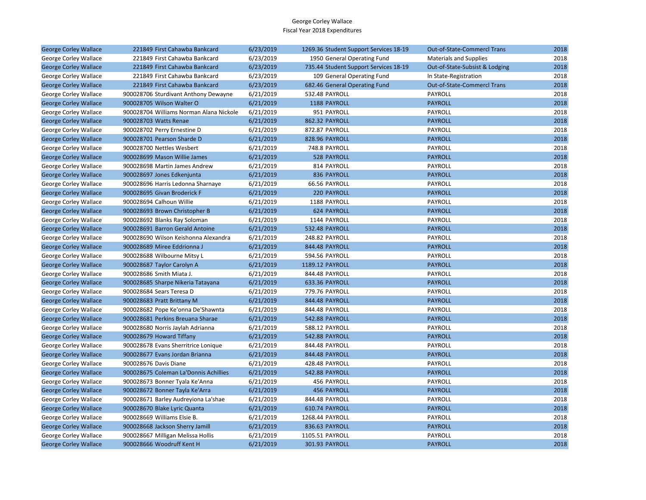| <b>George Corley Wallace</b> | 221849 First Cahawba Bankcard           | 6/23/2019 | 1269.36 Student Support Services 18-19 | <b>Out-of-State-Commercl Trans</b> | 2018 |
|------------------------------|-----------------------------------------|-----------|----------------------------------------|------------------------------------|------|
| George Corley Wallace        | 221849 First Cahawba Bankcard           | 6/23/2019 | 1950 General Operating Fund            | <b>Materials and Supplies</b>      | 2018 |
| <b>George Corley Wallace</b> | 221849 First Cahawba Bankcard           | 6/23/2019 | 735.44 Student Support Services 18-19  | Out-of-State-Subsist & Lodging     | 2018 |
| George Corley Wallace        | 221849 First Cahawba Bankcard           | 6/23/2019 | 109 General Operating Fund             | In State-Registration              | 2018 |
| <b>George Corley Wallace</b> | 221849 First Cahawba Bankcard           | 6/23/2019 | 682.46 General Operating Fund          | Out-of-State-Commercl Trans        | 2018 |
| George Corley Wallace        | 900028706 Sturdivant Anthony Dewayne    | 6/21/2019 | 532.48 PAYROLL                         | PAYROLL                            | 2018 |
| <b>George Corley Wallace</b> | 900028705 Wilson Walter O               | 6/21/2019 | 1188 PAYROLL                           | <b>PAYROLL</b>                     | 2018 |
| George Corley Wallace        | 900028704 Williams Norman Alana Nickole | 6/21/2019 | 951 PAYROLL                            | PAYROLL                            | 2018 |
| <b>George Corley Wallace</b> | 900028703 Watts Renae                   | 6/21/2019 | 862.32 PAYROLL                         | <b>PAYROLL</b>                     | 2018 |
| George Corley Wallace        | 900028702 Perry Ernestine D             | 6/21/2019 | 872.87 PAYROLL                         | PAYROLL                            | 2018 |
| <b>George Corley Wallace</b> | 900028701 Pearson Sharde D              | 6/21/2019 | 828.96 PAYROLL                         | <b>PAYROLL</b>                     | 2018 |
| George Corley Wallace        | 900028700 Nettles Wesbert               | 6/21/2019 | 748.8 PAYROLL                          | PAYROLL                            | 2018 |
| <b>George Corley Wallace</b> | 900028699 Mason Willie James            | 6/21/2019 | 528 PAYROLL                            | <b>PAYROLL</b>                     | 2018 |
| George Corley Wallace        | 900028698 Martin James Andrew           | 6/21/2019 | 814 PAYROLL                            | PAYROLL                            | 2018 |
| <b>George Corley Wallace</b> | 900028697 Jones Edkenjunta              | 6/21/2019 | 836 PAYROLL                            | <b>PAYROLL</b>                     | 2018 |
| George Corley Wallace        | 900028696 Harris Ledonna Sharnaye       | 6/21/2019 | 66.56 PAYROLL                          | PAYROLL                            | 2018 |
| <b>George Corley Wallace</b> | 900028695 Givan Broderick F             | 6/21/2019 | 220 PAYROLL                            | <b>PAYROLL</b>                     | 2018 |
| George Corley Wallace        | 900028694 Calhoun Willie                | 6/21/2019 | 1188 PAYROLL                           | PAYROLL                            | 2018 |
| <b>George Corley Wallace</b> | 900028693 Brown Christopher B           | 6/21/2019 | 624 PAYROLL                            | <b>PAYROLL</b>                     | 2018 |
| George Corley Wallace        | 900028692 Blanks Ray Soloman            | 6/21/2019 | 1144 PAYROLL                           | <b>PAYROLL</b>                     | 2018 |
| <b>George Corley Wallace</b> | 900028691 Barron Gerald Antoine         | 6/21/2019 | 532.48 PAYROLL                         | <b>PAYROLL</b>                     | 2018 |
| George Corley Wallace        | 900028690 Wilson Keishonna Alexandra    | 6/21/2019 | 248.82 PAYROLL                         | PAYROLL                            | 2018 |
| <b>George Corley Wallace</b> | 900028689 Miree Eddrionna J             | 6/21/2019 | 844.48 PAYROLL                         | <b>PAYROLL</b>                     | 2018 |
| George Corley Wallace        | 900028688 Wilbourne Mitsy L             | 6/21/2019 | 594.56 PAYROLL                         | PAYROLL                            | 2018 |
| <b>George Corley Wallace</b> | 900028687 Taylor Carolyn A              | 6/21/2019 | 1189.12 PAYROLL                        | <b>PAYROLL</b>                     | 2018 |
| George Corley Wallace        | 900028686 Smith Miata J.                | 6/21/2019 | 844.48 PAYROLL                         | <b>PAYROLL</b>                     | 2018 |
| <b>George Corley Wallace</b> | 900028685 Sharpe Nikeria Tatayana       | 6/21/2019 | 633.36 PAYROLL                         | <b>PAYROLL</b>                     | 2018 |
| George Corley Wallace        | 900028684 Sears Teresa D                | 6/21/2019 | 779.76 PAYROLL                         | PAYROLL                            | 2018 |
| <b>George Corley Wallace</b> | 900028683 Pratt Brittany M              | 6/21/2019 | 844.48 PAYROLL                         | <b>PAYROLL</b>                     | 2018 |
| George Corley Wallace        | 900028682 Pope Ke'onna De'Shawnta       | 6/21/2019 | 844.48 PAYROLL                         | PAYROLL                            | 2018 |
| <b>George Corley Wallace</b> | 900028681 Perkins Breuana Sharae        | 6/21/2019 | 542.88 PAYROLL                         | <b>PAYROLL</b>                     | 2018 |
| George Corley Wallace        | 900028680 Norris Jaylah Adrianna        | 6/21/2019 | 588.12 PAYROLL                         | PAYROLL                            | 2018 |
| <b>George Corley Wallace</b> | 900028679 Howard Tiffany                | 6/21/2019 | 542.88 PAYROLL                         | <b>PAYROLL</b>                     | 2018 |
| George Corley Wallace        | 900028678 Evans Sherritrice Lonique     | 6/21/2019 | 844.48 PAYROLL                         | PAYROLL                            | 2018 |
| <b>George Corley Wallace</b> | 900028677 Evans Jordan Brianna          | 6/21/2019 | 844.48 PAYROLL                         | <b>PAYROLL</b>                     | 2018 |
| George Corley Wallace        | 900028676 Davis Diane                   | 6/21/2019 | 428.48 PAYROLL                         | <b>PAYROLL</b>                     | 2018 |
| <b>George Corley Wallace</b> | 900028675 Coleman La'Donnis Achillies   | 6/21/2019 | 542.88 PAYROLL                         | <b>PAYROLL</b>                     | 2018 |
| George Corley Wallace        | 900028673 Bonner Tyala Ke'Anna          | 6/21/2019 | 456 PAYROLL                            | PAYROLL                            | 2018 |
| <b>George Corley Wallace</b> | 900028672 Bonner Tayla Ke'Arra          | 6/21/2019 | <b>456 PAYROLL</b>                     | <b>PAYROLL</b>                     | 2018 |
| George Corley Wallace        | 900028671 Barley Audreyiona La'shae     | 6/21/2019 | 844.48 PAYROLL                         | PAYROLL                            | 2018 |
| <b>George Corley Wallace</b> | 900028670 Blake Lyric Quanta            | 6/21/2019 | 610.74 PAYROLL                         | <b>PAYROLL</b>                     | 2018 |
| George Corley Wallace        | 900028669 Williams Elsie B.             | 6/21/2019 | 1268.44 PAYROLL                        | PAYROLL                            | 2018 |
| <b>George Corley Wallace</b> | 900028668 Jackson Sherry Jamill         | 6/21/2019 | 836.63 PAYROLL                         | <b>PAYROLL</b>                     | 2018 |
| George Corley Wallace        | 900028667 Milligan Melissa Hollis       | 6/21/2019 | 1105.51 PAYROLL                        | PAYROLL                            | 2018 |
| <b>George Corley Wallace</b> | 900028666 Woodruff Kent H               | 6/21/2019 | 301.93 PAYROLL                         | <b>PAYROLL</b>                     | 2018 |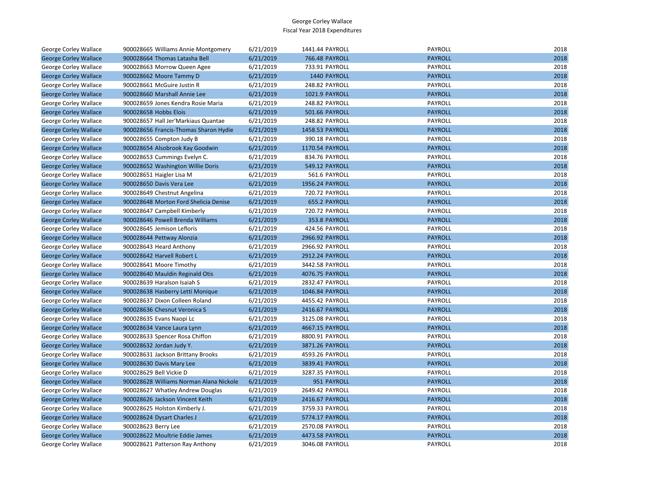| George Corley Wallace        | 900028665 Williams Annie Montgomery     | 6/21/2019 | 1441.44 PAYROLL       | PAYROLL        | 2018 |
|------------------------------|-----------------------------------------|-----------|-----------------------|----------------|------|
| <b>George Corley Wallace</b> | 900028664 Thomas Latasha Bell           | 6/21/2019 | <b>766.48 PAYROLL</b> | <b>PAYROLL</b> | 2018 |
| George Corley Wallace        | 900028663 Morrow Queen Agee             | 6/21/2019 | 733.91 PAYROLL        | PAYROLL        | 2018 |
| <b>George Corley Wallace</b> | 900028662 Moore Tammy D                 | 6/21/2019 | 1440 PAYROLL          | <b>PAYROLL</b> | 2018 |
| George Corley Wallace        | 900028661 McGuire Justin R              | 6/21/2019 | 248.82 PAYROLL        | PAYROLL        | 2018 |
| <b>George Corley Wallace</b> | 900028660 Marshall Annie Lee            | 6/21/2019 | 1021.9 PAYROLL        | <b>PAYROLL</b> | 2018 |
| George Corley Wallace        | 900028659 Jones Kendra Rosie Maria      | 6/21/2019 | 248.82 PAYROLL        | PAYROLL        | 2018 |
| <b>George Corley Wallace</b> | 900028658 Hobbs Elois                   | 6/21/2019 | 501.66 PAYROLL        | <b>PAYROLL</b> | 2018 |
| George Corley Wallace        | 900028657 Hall Jer'Markiaus Quantae     | 6/21/2019 | 248.82 PAYROLL        | PAYROLL        | 2018 |
| <b>George Corley Wallace</b> | 900028656 Francis-Thomas Sharon Hydie   | 6/21/2019 | 1458.53 PAYROLL       | <b>PAYROLL</b> | 2018 |
| George Corley Wallace        | 900028655 Compton Judy B                | 6/21/2019 | 390.18 PAYROLL        | PAYROLL        | 2018 |
| <b>George Corley Wallace</b> | 900028654 Alsobrook Kay Goodwin         | 6/21/2019 | 1170.54 PAYROLL       | <b>PAYROLL</b> | 2018 |
| George Corley Wallace        | 900028653 Cummings Evelyn C.            | 6/21/2019 | 834.76 PAYROLL        | PAYROLL        | 2018 |
| <b>George Corley Wallace</b> | 900028652 Washington Willie Doris       | 6/21/2019 | 549.12 PAYROLL        | <b>PAYROLL</b> | 2018 |
| George Corley Wallace        | 900028651 Haigler Lisa M                | 6/21/2019 | 561.6 PAYROLL         | PAYROLL        | 2018 |
| <b>George Corley Wallace</b> | 900028650 Davis Vera Lee                | 6/21/2019 | 1956.24 PAYROLL       | <b>PAYROLL</b> | 2018 |
| George Corley Wallace        | 900028649 Chestnut Angelina             | 6/21/2019 | 720.72 PAYROLL        | PAYROLL        | 2018 |
| <b>George Corley Wallace</b> | 900028648 Morton Ford Shelicia Denise   | 6/21/2019 | 655.2 PAYROLL         | <b>PAYROLL</b> | 2018 |
| George Corley Wallace        | 900028647 Campbell Kimberly             | 6/21/2019 | 720.72 PAYROLL        | PAYROLL        | 2018 |
| <b>George Corley Wallace</b> | 900028646 Powell Brenda Williams        | 6/21/2019 | 353.8 PAYROLL         | <b>PAYROLL</b> | 2018 |
| George Corley Wallace        | 900028645 Jemison Lefloris              | 6/21/2019 | 424.56 PAYROLL        | PAYROLL        | 2018 |
| <b>George Corley Wallace</b> | 900028644 Pettway Alonzia               | 6/21/2019 | 2966.92 PAYROLL       | <b>PAYROLL</b> | 2018 |
| George Corley Wallace        | 900028643 Heard Anthony                 | 6/21/2019 | 2966.92 PAYROLL       | PAYROLL        | 2018 |
| <b>George Corley Wallace</b> | 900028642 Harvell Robert L              | 6/21/2019 | 2912.24 PAYROLL       | <b>PAYROLL</b> | 2018 |
| George Corley Wallace        | 900028641 Moore Timothy                 | 6/21/2019 | 3442.58 PAYROLL       | PAYROLL        | 2018 |
| <b>George Corley Wallace</b> | 900028640 Mauldin Reginald Otis         | 6/21/2019 | 4076.75 PAYROLL       | <b>PAYROLL</b> | 2018 |
| George Corley Wallace        | 900028639 Haralson Isaiah S             | 6/21/2019 | 2832.47 PAYROLL       | PAYROLL        | 2018 |
| <b>George Corley Wallace</b> | 900028638 Hasberry Letti Monique        | 6/21/2019 | 1046.84 PAYROLL       | <b>PAYROLL</b> | 2018 |
| George Corley Wallace        | 900028637 Dixon Colleen Roland          | 6/21/2019 | 4455.42 PAYROLL       | PAYROLL        | 2018 |
| <b>George Corley Wallace</b> | 900028636 Chesnut Veronica S            | 6/21/2019 | 2416.67 PAYROLL       | <b>PAYROLL</b> | 2018 |
| George Corley Wallace        | 900028635 Evans Naopi Lc                | 6/21/2019 | 3125.08 PAYROLL       | PAYROLL        | 2018 |
| <b>George Corley Wallace</b> | 900028634 Vance Laura Lynn              | 6/21/2019 | 4667.15 PAYROLL       | <b>PAYROLL</b> | 2018 |
| George Corley Wallace        | 900028633 Spencer Rosa Chiffon          | 6/21/2019 | 8800.91 PAYROLL       | PAYROLL        | 2018 |
| <b>George Corley Wallace</b> | 900028632 Jordan Judy Y.                | 6/21/2019 | 3871.26 PAYROLL       | <b>PAYROLL</b> | 2018 |
| George Corley Wallace        | 900028631 Jackson Brittany Brooks       | 6/21/2019 | 4593.26 PAYROLL       | PAYROLL        | 2018 |
| <b>George Corley Wallace</b> | 900028630 Davis Mary Lee                | 6/21/2019 | 3839.41 PAYROLL       | <b>PAYROLL</b> | 2018 |
| George Corley Wallace        | 900028629 Bell Vickie D                 | 6/21/2019 | 3287.35 PAYROLL       | PAYROLL        | 2018 |
| <b>George Corley Wallace</b> | 900028628 Williams Norman Alana Nickole | 6/21/2019 | 951 PAYROLL           | <b>PAYROLL</b> | 2018 |
| George Corley Wallace        | 900028627 Whatley Andrew Douglas        | 6/21/2019 | 2649.42 PAYROLL       | PAYROLL        | 2018 |
| <b>George Corley Wallace</b> | 900028626 Jackson Vincent Keith         | 6/21/2019 | 2416.67 PAYROLL       | <b>PAYROLL</b> | 2018 |
| George Corley Wallace        | 900028625 Holston Kimberly J.           | 6/21/2019 | 3759.33 PAYROLL       | PAYROLL        | 2018 |
| <b>George Corley Wallace</b> | 900028624 Dysart Charles J              | 6/21/2019 | 5774.17 PAYROLL       | <b>PAYROLL</b> | 2018 |
| George Corley Wallace        | 900028623 Berry Lee                     | 6/21/2019 | 2570.08 PAYROLL       | PAYROLL        | 2018 |
| <b>George Corley Wallace</b> | 900028622 Moultrie Eddie James          | 6/21/2019 | 4473.58 PAYROLL       | <b>PAYROLL</b> | 2018 |
| George Corley Wallace        | 900028621 Patterson Ray Anthony         | 6/21/2019 | 3046.08 PAYROLL       | PAYROLL        | 2018 |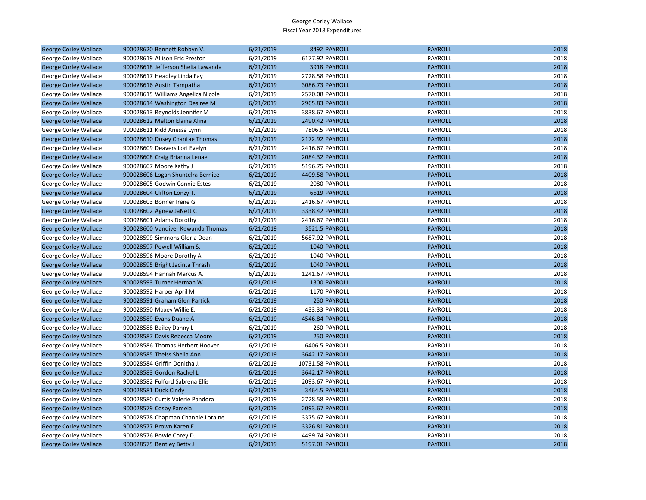| <b>George Corley Wallace</b> | 900028620 Bennett Robbyn V.        | 6/21/2019 | 8492 PAYROLL        | <b>PAYROLL</b> | 2018 |
|------------------------------|------------------------------------|-----------|---------------------|----------------|------|
| George Corley Wallace        | 900028619 Allison Eric Preston     | 6/21/2019 | 6177.92 PAYROLL     | PAYROLL        | 2018 |
| <b>George Corley Wallace</b> | 900028618 Jefferson Shelia Lawanda | 6/21/2019 | 3918 PAYROLL        | <b>PAYROLL</b> | 2018 |
| George Corley Wallace        | 900028617 Headley Linda Fay        | 6/21/2019 | 2728.58 PAYROLL     | PAYROLL        | 2018 |
| <b>George Corley Wallace</b> | 900028616 Austin Tampatha          | 6/21/2019 | 3086.73 PAYROLL     | <b>PAYROLL</b> | 2018 |
| George Corley Wallace        | 900028615 Williams Angelica Nicole | 6/21/2019 | 2570.08 PAYROLL     | <b>PAYROLL</b> | 2018 |
| <b>George Corley Wallace</b> | 900028614 Washington Desiree M     | 6/21/2019 | 2965.83 PAYROLL     | <b>PAYROLL</b> | 2018 |
| George Corley Wallace        | 900028613 Reynolds Jennifer M      | 6/21/2019 | 3838.67 PAYROLL     | PAYROLL        | 2018 |
| <b>George Corley Wallace</b> | 900028612 Melton Elaine Alina      | 6/21/2019 | 2490.42 PAYROLL     | <b>PAYROLL</b> | 2018 |
| George Corley Wallace        | 900028611 Kidd Anessa Lynn         | 6/21/2019 | 7806.5 PAYROLL      | PAYROLL        | 2018 |
| <b>George Corley Wallace</b> | 900028610 Dosey Chantae Thomas     | 6/21/2019 | 2172.92 PAYROLL     | <b>PAYROLL</b> | 2018 |
| George Corley Wallace        | 900028609 Deavers Lori Evelyn      | 6/21/2019 | 2416.67 PAYROLL     | <b>PAYROLL</b> | 2018 |
| <b>George Corley Wallace</b> | 900028608 Craig Brianna Lenae      | 6/21/2019 | 2084.32 PAYROLL     | <b>PAYROLL</b> | 2018 |
| George Corley Wallace        | 900028607 Moore Kathy J            | 6/21/2019 | 5196.75 PAYROLL     | PAYROLL        | 2018 |
| <b>George Corley Wallace</b> | 900028606 Logan Shuntelra Bernice  | 6/21/2019 | 4409.58 PAYROLL     | <b>PAYROLL</b> | 2018 |
| George Corley Wallace        | 900028605 Godwin Connie Estes      | 6/21/2019 | 2080 PAYROLL        | <b>PAYROLL</b> | 2018 |
| <b>George Corley Wallace</b> | 900028604 Clifton Lonzy T.         | 6/21/2019 | <b>6619 PAYROLL</b> | <b>PAYROLL</b> | 2018 |
| George Corley Wallace        | 900028603 Bonner Irene G           | 6/21/2019 | 2416.67 PAYROLL     | PAYROLL        | 2018 |
| <b>George Corley Wallace</b> | 900028602 Agnew JaNett C           | 6/21/2019 | 3338.42 PAYROLL     | <b>PAYROLL</b> | 2018 |
| George Corley Wallace        | 900028601 Adams Dorothy J          | 6/21/2019 | 2416.67 PAYROLL     | PAYROLL        | 2018 |
| <b>George Corley Wallace</b> | 900028600 Vandiver Kewanda Thomas  | 6/21/2019 | 3521.5 PAYROLL      | <b>PAYROLL</b> | 2018 |
| George Corley Wallace        | 900028599 Simmons Gloria Dean      | 6/21/2019 | 5687.92 PAYROLL     | PAYROLL        | 2018 |
| <b>George Corley Wallace</b> | 900028597 Powell William S.        | 6/21/2019 | 1040 PAYROLL        | <b>PAYROLL</b> | 2018 |
| George Corley Wallace        | 900028596 Moore Dorothy A          | 6/21/2019 | 1040 PAYROLL        | PAYROLL        | 2018 |
| <b>George Corley Wallace</b> | 900028595 Bright Jacinta Thrash    | 6/21/2019 | 1040 PAYROLL        | <b>PAYROLL</b> | 2018 |
| George Corley Wallace        | 900028594 Hannah Marcus A.         | 6/21/2019 | 1241.67 PAYROLL     | <b>PAYROLL</b> | 2018 |
| <b>George Corley Wallace</b> | 900028593 Turner Herman W.         | 6/21/2019 | 1300 PAYROLL        | <b>PAYROLL</b> | 2018 |
| George Corley Wallace        | 900028592 Harper April M           | 6/21/2019 | 1170 PAYROLL        | PAYROLL        | 2018 |
| <b>George Corley Wallace</b> | 900028591 Graham Glen Partick      | 6/21/2019 | 250 PAYROLL         | <b>PAYROLL</b> | 2018 |
| George Corley Wallace        | 900028590 Maxey Willie E.          | 6/21/2019 | 433.33 PAYROLL      | PAYROLL        | 2018 |
| <b>George Corley Wallace</b> | 900028589 Evans Duane A            | 6/21/2019 | 4546.84 PAYROLL     | <b>PAYROLL</b> | 2018 |
| George Corley Wallace        | 900028588 Bailey Danny L           | 6/21/2019 | 260 PAYROLL         | <b>PAYROLL</b> | 2018 |
| <b>George Corley Wallace</b> | 900028587 Davis Rebecca Moore      | 6/21/2019 | <b>250 PAYROLL</b>  | <b>PAYROLL</b> | 2018 |
| George Corley Wallace        | 900028586 Thomas Herbert Hoover    | 6/21/2019 | 6406.5 PAYROLL      | PAYROLL        | 2018 |
| <b>George Corley Wallace</b> | 900028585 Theiss Sheila Ann        | 6/21/2019 | 3642.17 PAYROLL     | <b>PAYROLL</b> | 2018 |
| George Corley Wallace        | 900028584 Griffin Donitha J.       | 6/21/2019 | 10731.58 PAYROLL    | PAYROLL        | 2018 |
| <b>George Corley Wallace</b> | 900028583 Gordon Rachel L          | 6/21/2019 | 3642.17 PAYROLL     | <b>PAYROLL</b> | 2018 |
| George Corley Wallace        | 900028582 Fulford Sabrena Ellis    | 6/21/2019 | 2093.67 PAYROLL     | <b>PAYROLL</b> | 2018 |
| <b>George Corley Wallace</b> | 900028581 Duck Cindy               | 6/21/2019 | 3464.5 PAYROLL      | <b>PAYROLL</b> | 2018 |
| George Corley Wallace        | 900028580 Curtis Valerie Pandora   | 6/21/2019 | 2728.58 PAYROLL     | PAYROLL        | 2018 |
| <b>George Corley Wallace</b> | 900028579 Cosby Pamela             | 6/21/2019 | 2093.67 PAYROLL     | <b>PAYROLL</b> | 2018 |
| George Corley Wallace        | 900028578 Chapman Channie Loraine  | 6/21/2019 | 3375.67 PAYROLL     | <b>PAYROLL</b> | 2018 |
| <b>George Corley Wallace</b> | 900028577 Brown Karen E.           | 6/21/2019 | 3326.81 PAYROLL     | <b>PAYROLL</b> | 2018 |
| George Corley Wallace        | 900028576 Bowie Corey D.           | 6/21/2019 | 4499.74 PAYROLL     | PAYROLL        | 2018 |
| <b>George Corley Wallace</b> | 900028575 Bentley Betty J          | 6/21/2019 | 5197.01 PAYROLL     | <b>PAYROLL</b> | 2018 |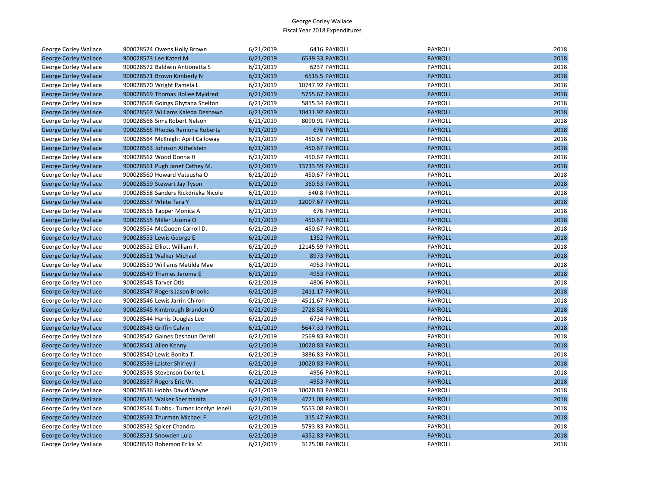| George Corley Wallace        | 900028574 Owens Holly Brown             | 6/21/2019 | 6416 PAYROLL       | PAYROLL        | 2018 |
|------------------------------|-----------------------------------------|-----------|--------------------|----------------|------|
| <b>George Corley Wallace</b> | 900028573 Lee Kateri M                  | 6/21/2019 | 6539.33 PAYROLL    | <b>PAYROLL</b> | 2018 |
| George Corley Wallace        | 900028572 Baldwin Antionetta S          | 6/21/2019 | 6237 PAYROLL       | PAYROLL        | 2018 |
| <b>George Corley Wallace</b> | 900028571 Brown Kimberly N              | 6/21/2019 | 6515.5 PAYROLL     | <b>PAYROLL</b> | 2018 |
| George Corley Wallace        | 900028570 Wright Pamela L               | 6/21/2019 | 10747.92 PAYROLL   | PAYROLL        | 2018 |
| <b>George Corley Wallace</b> | 900028569 Thomas Hollee Myldred         | 6/21/2019 | 5755.67 PAYROLL    | <b>PAYROLL</b> | 2018 |
| George Corley Wallace        | 900028568 Goings Ghytana Shelton        | 6/21/2019 | 5815.34 PAYROLL    | PAYROLL        | 2018 |
| <b>George Corley Wallace</b> | 900028567 Williams Kaleda Deshawn       | 6/21/2019 | 10411.92 PAYROLL   | <b>PAYROLL</b> | 2018 |
| George Corley Wallace        | 900028566 Sims Robert Nelson            | 6/21/2019 | 8090.91 PAYROLL    | PAYROLL        | 2018 |
| <b>George Corley Wallace</b> | 900028565 Rhodes Ramona Roberts         | 6/21/2019 | <b>676 PAYROLL</b> | <b>PAYROLL</b> | 2018 |
| George Corley Wallace        | 900028564 McKnight April Calloway       | 6/21/2019 | 450.67 PAYROLL     | PAYROLL        | 2018 |
| <b>George Corley Wallace</b> | 900028563 Johnson Althelstein           | 6/21/2019 | 450.67 PAYROLL     | <b>PAYROLL</b> | 2018 |
| George Corley Wallace        | 900028562 Wood Donna H                  | 6/21/2019 | 450.67 PAYROLL     | PAYROLL        | 2018 |
| <b>George Corley Wallace</b> | 900028561 Pugh Janet Cathey M.          | 6/21/2019 | 13733.59 PAYROLL   | <b>PAYROLL</b> | 2018 |
| George Corley Wallace        | 900028560 Howard Vatausha O             | 6/21/2019 | 450.67 PAYROLL     | PAYROLL        | 2018 |
| <b>George Corley Wallace</b> | 900028559 Stewart Jay Tyson             | 6/21/2019 | 360.53 PAYROLL     | <b>PAYROLL</b> | 2018 |
| George Corley Wallace        | 900028558 Sanders Rickdrieka Nicole     | 6/21/2019 | 540.8 PAYROLL      | PAYROLL        | 2018 |
| <b>George Corley Wallace</b> | 900028557 White Tara Y                  | 6/21/2019 | 12007.67 PAYROLL   | <b>PAYROLL</b> | 2018 |
| George Corley Wallace        | 900028556 Tapper Monica A               | 6/21/2019 | 676 PAYROLL        | PAYROLL        | 2018 |
| <b>George Corley Wallace</b> | 900028555 Miller Uzoma O                | 6/21/2019 | 450.67 PAYROLL     | <b>PAYROLL</b> | 2018 |
| George Corley Wallace        | 900028554 McQueen Carroll D.            | 6/21/2019 | 450.67 PAYROLL     | PAYROLL        | 2018 |
| <b>George Corley Wallace</b> | 900028553 Lewis George E                | 6/21/2019 | 1352 PAYROLL       | <b>PAYROLL</b> | 2018 |
| George Corley Wallace        | 900028552 Elliott William F.            | 6/21/2019 | 12145.59 PAYROLL   | PAYROLL        | 2018 |
| <b>George Corley Wallace</b> | 900028551 Walker Michael                | 6/21/2019 | 8973 PAYROLL       | <b>PAYROLL</b> | 2018 |
| George Corley Wallace        | 900028550 Williams Matilda Mae          | 6/21/2019 | 4953 PAYROLL       | PAYROLL        | 2018 |
| <b>George Corley Wallace</b> | 900028549 Thames Jerome E               | 6/21/2019 | 4953 PAYROLL       | <b>PAYROLL</b> | 2018 |
| George Corley Wallace        | 900028548 Tarver Otis                   | 6/21/2019 | 4806 PAYROLL       | <b>PAYROLL</b> | 2018 |
| <b>George Corley Wallace</b> | 900028547 Rogers Jason Brooks           | 6/21/2019 | 2411.17 PAYROLL    | <b>PAYROLL</b> | 2018 |
| George Corley Wallace        | 900028546 Lewis Jarrin Chiron           | 6/21/2019 | 4511.67 PAYROLL    | PAYROLL        | 2018 |
| <b>George Corley Wallace</b> | 900028545 Kimbrough Brandon O           | 6/21/2019 | 2728.58 PAYROLL    | <b>PAYROLL</b> | 2018 |
| George Corley Wallace        | 900028544 Harris Douglas Lee            | 6/21/2019 | 6734 PAYROLL       | PAYROLL        | 2018 |
| <b>George Corley Wallace</b> | 900028543 Griffin Calvin                | 6/21/2019 | 5647.33 PAYROLL    | <b>PAYROLL</b> | 2018 |
| George Corley Wallace        | 900028542 Gaines Deshaun Derell         | 6/21/2019 | 2569.83 PAYROLL    | PAYROLL        | 2018 |
| <b>George Corley Wallace</b> | 900028541 Allen Kenny                   | 6/21/2019 | 10020.83 PAYROLL   | <b>PAYROLL</b> | 2018 |
| George Corley Wallace        | 900028540 Lewis Bonita T.               | 6/21/2019 | 3886.83 PAYROLL    | PAYROLL        | 2018 |
| <b>George Corley Wallace</b> | 900028539 Laister Shirley J             | 6/21/2019 | 10020.83 PAYROLL   | <b>PAYROLL</b> | 2018 |
| George Corley Wallace        | 900028538 Stevenson Donte L             | 6/21/2019 | 4956 PAYROLL       | PAYROLL        | 2018 |
| <b>George Corley Wallace</b> | 900028537 Rogers Eric W.                | 6/21/2019 | 4953 PAYROLL       | <b>PAYROLL</b> | 2018 |
| George Corley Wallace        | 900028536 Hobbs David Wayne             | 6/21/2019 | 10020.83 PAYROLL   | PAYROLL        | 2018 |
| <b>George Corley Wallace</b> | 900028535 Walker Shermanita             | 6/21/2019 | 4721.08 PAYROLL    | <b>PAYROLL</b> | 2018 |
| George Corley Wallace        | 900028534 Tubbs - Turner Jocelyn Jenell | 6/21/2019 | 5553.08 PAYROLL    | PAYROLL        | 2018 |
| <b>George Corley Wallace</b> | 900028533 Thurman Michael F             | 6/21/2019 | 315.47 PAYROLL     | <b>PAYROLL</b> | 2018 |
| George Corley Wallace        | 900028532 Spicer Chandra                | 6/21/2019 | 5793.83 PAYROLL    | PAYROLL        | 2018 |
| <b>George Corley Wallace</b> | 900028531 Snowden Lula                  | 6/21/2019 | 4352.83 PAYROLL    | <b>PAYROLL</b> | 2018 |
| George Corley Wallace        | 900028530 Roberson Erika M              | 6/21/2019 | 3125.08 PAYROLL    | PAYROLL        | 2018 |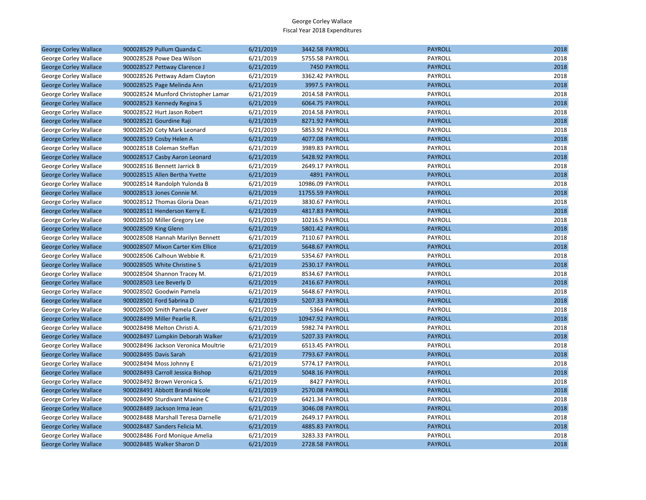| <b>George Corley Wallace</b> | 900028529 Pullum Quanda C.          | 6/21/2019 | 3442.58 PAYROLL  | <b>PAYROLL</b> | 2018 |
|------------------------------|-------------------------------------|-----------|------------------|----------------|------|
| George Corley Wallace        | 900028528 Powe Dea Wilson           | 6/21/2019 | 5755.58 PAYROLL  | PAYROLL        | 2018 |
| <b>George Corley Wallace</b> | 900028527 Pettway Clarence J        | 6/21/2019 | 7450 PAYROLL     | <b>PAYROLL</b> | 2018 |
| George Corley Wallace        | 900028526 Pettway Adam Clayton      | 6/21/2019 | 3362.42 PAYROLL  | PAYROLL        | 2018 |
| <b>George Corley Wallace</b> | 900028525 Page Melinda Ann          | 6/21/2019 | 3997.5 PAYROLL   | <b>PAYROLL</b> | 2018 |
| George Corley Wallace        | 900028524 Munford Christopher Lamar | 6/21/2019 | 2014.58 PAYROLL  | PAYROLL        | 2018 |
| <b>George Corley Wallace</b> | 900028523 Kennedy Regina S          | 6/21/2019 | 6064.75 PAYROLL  | <b>PAYROLL</b> | 2018 |
| George Corley Wallace        | 900028522 Hurt Jason Robert         | 6/21/2019 | 2014.58 PAYROLL  | PAYROLL        | 2018 |
| <b>George Corley Wallace</b> | 900028521 Gourdine Raji             | 6/21/2019 | 8271.92 PAYROLL  | <b>PAYROLL</b> | 2018 |
| George Corley Wallace        | 900028520 Coty Mark Leonard         | 6/21/2019 | 5853.92 PAYROLL  | PAYROLL        | 2018 |
| <b>George Corley Wallace</b> | 900028519 Cosby Helen A             | 6/21/2019 | 4077.08 PAYROLL  | <b>PAYROLL</b> | 2018 |
| George Corley Wallace        | 900028518 Coleman Steffan           | 6/21/2019 | 3989.83 PAYROLL  | PAYROLL        | 2018 |
| <b>George Corley Wallace</b> | 900028517 Casby Aaron Leonard       | 6/21/2019 | 5428.92 PAYROLL  | <b>PAYROLL</b> | 2018 |
| George Corley Wallace        | 900028516 Bennett Jarrick B         | 6/21/2019 | 2649.17 PAYROLL  | PAYROLL        | 2018 |
| <b>George Corley Wallace</b> | 900028515 Allen Bertha Yvette       | 6/21/2019 | 4891 PAYROLL     | <b>PAYROLL</b> | 2018 |
| George Corley Wallace        | 900028514 Randolph Yulonda B        | 6/21/2019 | 10986.09 PAYROLL | PAYROLL        | 2018 |
| <b>George Corley Wallace</b> | 900028513 Jones Connie M.           | 6/21/2019 | 11755.59 PAYROLL | <b>PAYROLL</b> | 2018 |
| George Corley Wallace        | 900028512 Thomas Gloria Dean        | 6/21/2019 | 3830.67 PAYROLL  | PAYROLL        | 2018 |
| <b>George Corley Wallace</b> | 900028511 Henderson Kerry E.        | 6/21/2019 | 4817.83 PAYROLL  | <b>PAYROLL</b> | 2018 |
| George Corley Wallace        | 900028510 Miller Gregory Lee        | 6/21/2019 | 10216.5 PAYROLL  | PAYROLL        | 2018 |
| <b>George Corley Wallace</b> | 900028509 King Glenn                | 6/21/2019 | 5801.42 PAYROLL  | <b>PAYROLL</b> | 2018 |
| George Corley Wallace        | 900028508 Hannah Marilyn Bennett    | 6/21/2019 | 7110.67 PAYROLL  | PAYROLL        | 2018 |
| <b>George Corley Wallace</b> | 900028507 Mixon Carter Kim Ellice   | 6/21/2019 | 5648.67 PAYROLL  | <b>PAYROLL</b> | 2018 |
| George Corley Wallace        | 900028506 Calhoun Webbie R.         | 6/21/2019 | 5354.67 PAYROLL  | PAYROLL        | 2018 |
| <b>George Corley Wallace</b> | 900028505 White Christine S         | 6/21/2019 | 2530.17 PAYROLL  | <b>PAYROLL</b> | 2018 |
| George Corley Wallace        | 900028504 Shannon Tracey M.         | 6/21/2019 | 8534.67 PAYROLL  | PAYROLL        | 2018 |
| <b>George Corley Wallace</b> | 900028503 Lee Beverly D             | 6/21/2019 | 2416.67 PAYROLL  | <b>PAYROLL</b> | 2018 |
| George Corley Wallace        | 900028502 Goodwin Pamela            | 6/21/2019 | 5648.67 PAYROLL  | PAYROLL        | 2018 |
| <b>George Corley Wallace</b> | 900028501 Ford Sabrina D            | 6/21/2019 | 5207.33 PAYROLL  | <b>PAYROLL</b> | 2018 |
| George Corley Wallace        | 900028500 Smith Pamela Caver        | 6/21/2019 | 5364 PAYROLL     | PAYROLL        | 2018 |
| <b>George Corley Wallace</b> | 900028499 Miller Pearlie R.         | 6/21/2019 | 10947.92 PAYROLL | <b>PAYROLL</b> | 2018 |
| George Corley Wallace        | 900028498 Melton Christi A.         | 6/21/2019 | 5982.74 PAYROLL  | PAYROLL        | 2018 |
| <b>George Corley Wallace</b> | 900028497 Lumpkin Deborah Walker    | 6/21/2019 | 5207.33 PAYROLL  | <b>PAYROLL</b> | 2018 |
| George Corley Wallace        | 900028496 Jackson Veronica Moultrie | 6/21/2019 | 6513.45 PAYROLL  | PAYROLL        | 2018 |
| <b>George Corley Wallace</b> | 900028495 Davis Sarah               | 6/21/2019 | 7793.67 PAYROLL  | <b>PAYROLL</b> | 2018 |
| George Corley Wallace        | 900028494 Moss Johnny E             | 6/21/2019 | 5774.17 PAYROLL  | PAYROLL        | 2018 |
| <b>George Corley Wallace</b> | 900028493 Carroll Jessica Bishop    | 6/21/2019 | 5048.16 PAYROLL  | <b>PAYROLL</b> | 2018 |
| George Corley Wallace        | 900028492 Brown Veronica S.         | 6/21/2019 | 8427 PAYROLL     | PAYROLL        | 2018 |
| <b>George Corley Wallace</b> | 900028491 Abbott Brandi Nicole      | 6/21/2019 | 2570.08 PAYROLL  | <b>PAYROLL</b> | 2018 |
| George Corley Wallace        | 900028490 Sturdivant Maxine C       | 6/21/2019 | 6421.34 PAYROLL  | PAYROLL        | 2018 |
| <b>George Corley Wallace</b> | 900028489 Jackson Irma Jean         | 6/21/2019 | 3046.08 PAYROLL  | <b>PAYROLL</b> | 2018 |
| George Corley Wallace        | 900028488 Marshall Teresa Darnelle  | 6/21/2019 | 2649.17 PAYROLL  | PAYROLL        | 2018 |
| <b>George Corley Wallace</b> | 900028487 Sanders Felicia M.        | 6/21/2019 | 4885.83 PAYROLL  | <b>PAYROLL</b> | 2018 |
| George Corley Wallace        | 900028486 Ford Monique Amelia       | 6/21/2019 | 3283.33 PAYROLL  | PAYROLL        | 2018 |
| <b>George Corley Wallace</b> | 900028485 Walker Sharon D           | 6/21/2019 | 2728.58 PAYROLL  | <b>PAYROLL</b> | 2018 |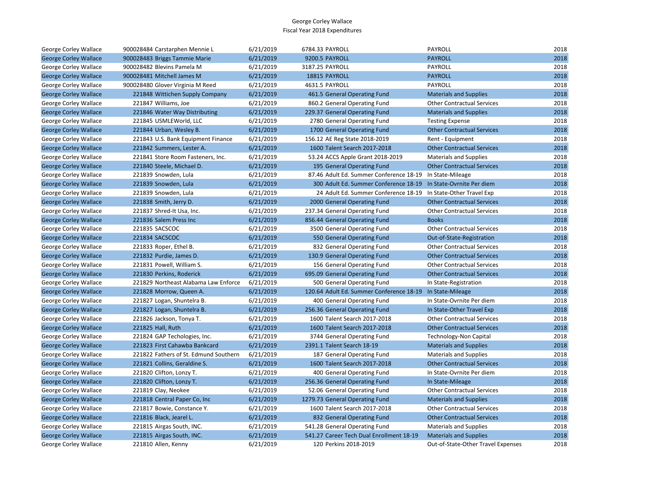| George Corley Wallace        | 900028484 Carstarphen Mennie L        | 6/21/2019 | 6784.33 PAYROLL                          | PAYROLL                            | 2018 |
|------------------------------|---------------------------------------|-----------|------------------------------------------|------------------------------------|------|
| <b>George Corley Wallace</b> | 900028483 Briggs Tammie Marie         | 6/21/2019 | 9200.5 PAYROLL                           | <b>PAYROLL</b>                     | 2018 |
| George Corley Wallace        | 900028482 Blevins Pamela M            | 6/21/2019 | 3187.25 PAYROLL                          | PAYROLL                            | 2018 |
| <b>George Corley Wallace</b> | 900028481 Mitchell James M            | 6/21/2019 | 18815 PAYROLL                            | <b>PAYROLL</b>                     | 2018 |
| George Corley Wallace        | 900028480 Glover Virginia M Reed      | 6/21/2019 | 4631.5 PAYROLL                           | <b>PAYROLL</b>                     | 2018 |
| <b>George Corley Wallace</b> | 221848 Wittichen Supply Company       | 6/21/2019 | 461.5 General Operating Fund             | <b>Materials and Supplies</b>      | 2018 |
| George Corley Wallace        | 221847 Williams, Joe                  | 6/21/2019 | 860.2 General Operating Fund             | <b>Other Contractual Services</b>  | 2018 |
| <b>George Corley Wallace</b> | 221846 Water Way Distributing         | 6/21/2019 | 229.37 General Operating Fund            | <b>Materials and Supplies</b>      | 2018 |
| George Corley Wallace        | 221845 USMLEWorld, LLC                | 6/21/2019 | 2780 General Operating Fund              | <b>Testing Expense</b>             | 2018 |
| <b>George Corley Wallace</b> | 221844 Urban, Wesley B.               | 6/21/2019 | 1700 General Operating Fund              | <b>Other Contractual Services</b>  | 2018 |
| George Corley Wallace        | 221843 U.S. Bank Equipment Finance    | 6/21/2019 | 156.12 AE Reg State 2018-2019            | Rent - Equipment                   | 2018 |
| <b>George Corley Wallace</b> | 221842 Summers, Lester A.             | 6/21/2019 | 1600 Talent Search 2017-2018             | <b>Other Contractual Services</b>  | 2018 |
| George Corley Wallace        | 221841 Store Room Fasteners, Inc.     | 6/21/2019 | 53.24 ACCS Apple Grant 2018-2019         | <b>Materials and Supplies</b>      | 2018 |
| <b>George Corley Wallace</b> | 221840 Steele, Michael D.             | 6/21/2019 | 195 General Operating Fund               | <b>Other Contractual Services</b>  | 2018 |
| George Corley Wallace        | 221839 Snowden, Lula                  | 6/21/2019 | 87.46 Adult Ed. Summer Conference 18-19  | In State-Mileage                   | 2018 |
| <b>George Corley Wallace</b> | 221839 Snowden, Lula                  | 6/21/2019 | 300 Adult Ed. Summer Conference 18-19    | In State-Ovrnite Per diem          | 2018 |
| George Corley Wallace        | 221839 Snowden, Lula                  | 6/21/2019 | 24 Adult Ed. Summer Conference 18-19     | In State-Other Travel Exp          | 2018 |
| <b>George Corley Wallace</b> | 221838 Smith, Jerry D.                | 6/21/2019 | 2000 General Operating Fund              | <b>Other Contractual Services</b>  | 2018 |
| George Corley Wallace        | 221837 Shred-It Usa, Inc.             | 6/21/2019 | 237.34 General Operating Fund            | <b>Other Contractual Services</b>  | 2018 |
| <b>George Corley Wallace</b> | 221836 Salem Press Inc                | 6/21/2019 | 856.44 General Operating Fund            | <b>Books</b>                       | 2018 |
| George Corley Wallace        | 221835 SACSCOC                        | 6/21/2019 | 3500 General Operating Fund              | <b>Other Contractual Services</b>  | 2018 |
| <b>George Corley Wallace</b> | 221834 SACSCOC                        | 6/21/2019 | 550 General Operating Fund               | Out-of-State-Registration          | 2018 |
| George Corley Wallace        | 221833 Roper, Ethel B.                | 6/21/2019 | 832 General Operating Fund               | <b>Other Contractual Services</b>  | 2018 |
| <b>George Corley Wallace</b> | 221832 Purdie, James D.               | 6/21/2019 | 130.9 General Operating Fund             | <b>Other Contractual Services</b>  | 2018 |
| George Corley Wallace        | 221831 Powell, William S.             | 6/21/2019 | 156 General Operating Fund               | <b>Other Contractual Services</b>  | 2018 |
| <b>George Corley Wallace</b> | 221830 Perkins, Roderick              | 6/21/2019 | 695.09 General Operating Fund            | <b>Other Contractual Services</b>  | 2018 |
| George Corley Wallace        | 221829 Northeast Alabama Law Enforce  | 6/21/2019 | 500 General Operating Fund               | In State-Registration              | 2018 |
| <b>George Corley Wallace</b> | 221828 Morrow, Queen A.               | 6/21/2019 | 120.64 Adult Ed. Summer Conference 18-19 | In State-Mileage                   | 2018 |
| George Corley Wallace        | 221827 Logan, Shuntelra B.            | 6/21/2019 | 400 General Operating Fund               | In State-Ovrnite Per diem          | 2018 |
| <b>George Corley Wallace</b> | 221827 Logan, Shuntelra B.            | 6/21/2019 | 256.36 General Operating Fund            | In State-Other Travel Exp          | 2018 |
| George Corley Wallace        | 221826 Jackson, Tonya T.              | 6/21/2019 | 1600 Talent Search 2017-2018             | <b>Other Contractual Services</b>  | 2018 |
| <b>George Corley Wallace</b> | 221825 Hall, Ruth                     | 6/21/2019 | 1600 Talent Search 2017-2018             | <b>Other Contractual Services</b>  | 2018 |
| George Corley Wallace        | 221824 GAP Techologies, Inc.          | 6/21/2019 | 3744 General Operating Fund              | <b>Technology-Non Capital</b>      | 2018 |
| <b>George Corley Wallace</b> | 221823 First Cahawba Bankcard         | 6/21/2019 | 2391.1 Talent Search 18-19               | <b>Materials and Supplies</b>      | 2018 |
| George Corley Wallace        | 221822 Fathers of St. Edmund Southern | 6/21/2019 | 187 General Operating Fund               | <b>Materials and Supplies</b>      | 2018 |
| <b>George Corley Wallace</b> | 221821 Collins, Geraldine S.          | 6/21/2019 | 1600 Talent Search 2017-2018             | <b>Other Contractual Services</b>  | 2018 |
| George Corley Wallace        | 221820 Clifton, Lonzy T.              | 6/21/2019 | 400 General Operating Fund               | In State-Ovrnite Per diem          | 2018 |
| <b>George Corley Wallace</b> | 221820 Clifton, Lonzy T.              | 6/21/2019 | 256.36 General Operating Fund            | In State-Mileage                   | 2018 |
| George Corley Wallace        | 221819 Clay, Neokee                   | 6/21/2019 | 52.06 General Operating Fund             | <b>Other Contractual Services</b>  | 2018 |
| <b>George Corley Wallace</b> | 221818 Central Paper Co, Inc          | 6/21/2019 | 1279.73 General Operating Fund           | <b>Materials and Supplies</b>      | 2018 |
| George Corley Wallace        | 221817 Bowie, Constance Y.            | 6/21/2019 | 1600 Talent Search 2017-2018             | <b>Other Contractual Services</b>  | 2018 |
| <b>George Corley Wallace</b> | 221816 Black, Jearel L.               | 6/21/2019 | 832 General Operating Fund               | <b>Other Contractual Services</b>  | 2018 |
| George Corley Wallace        | 221815 Airgas South, INC.             | 6/21/2019 | 541.28 General Operating Fund            | <b>Materials and Supplies</b>      | 2018 |
| <b>George Corley Wallace</b> | 221815 Airgas South, INC.             | 6/21/2019 | 541.27 Career Tech Dual Enrollment 18-19 | <b>Materials and Supplies</b>      | 2018 |
| George Corley Wallace        | 221810 Allen, Kenny                   | 6/21/2019 | 120 Perkins 2018-2019                    | Out-of-State-Other Travel Expenses | 2018 |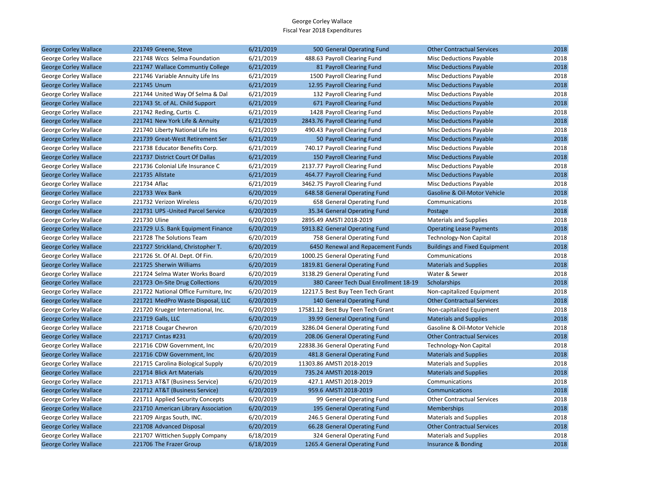| <b>George Corley Wallace</b> | 221749 Greene, Steve                  | 6/21/2019 | 500 General Operating Fund            | <b>Other Contractual Services</b>    | 2018 |
|------------------------------|---------------------------------------|-----------|---------------------------------------|--------------------------------------|------|
| George Corley Wallace        | 221748 Wccs Selma Foundation          | 6/21/2019 | 488.63 Payroll Clearing Fund          | <b>Misc Deductions Payable</b>       | 2018 |
| <b>George Corley Wallace</b> | 221747 Wallace Communtiy College      | 6/21/2019 | 81 Payroll Clearing Fund              | <b>Misc Deductions Payable</b>       | 2018 |
| George Corley Wallace        | 221746 Variable Annuity Life Ins      | 6/21/2019 | 1500 Payroll Clearing Fund            | Misc Deductions Payable              | 2018 |
| <b>George Corley Wallace</b> | 221745 Unum                           | 6/21/2019 | 12.95 Payroll Clearing Fund           | <b>Misc Deductions Payable</b>       | 2018 |
| George Corley Wallace        | 221744 United Way Of Selma & Dal      | 6/21/2019 | 132 Payroll Clearing Fund             | <b>Misc Deductions Payable</b>       | 2018 |
| <b>George Corley Wallace</b> | 221743 St. of AL. Child Support       | 6/21/2019 | 671 Payroll Clearing Fund             | <b>Misc Deductions Payable</b>       | 2018 |
| George Corley Wallace        | 221742 Reding, Curtis C.              | 6/21/2019 | 1428 Payroll Clearing Fund            | Misc Deductions Payable              | 2018 |
| <b>George Corley Wallace</b> | 221741 New York Life & Annuity        | 6/21/2019 | 2843.76 Payroll Clearing Fund         | <b>Misc Deductions Payable</b>       | 2018 |
| George Corley Wallace        | 221740 Liberty National Life Ins      | 6/21/2019 | 490.43 Payroll Clearing Fund          | Misc Deductions Payable              | 2018 |
| <b>George Corley Wallace</b> | 221739 Great-West Retirement Ser      | 6/21/2019 | 50 Payroll Clearing Fund              | <b>Misc Deductions Payable</b>       | 2018 |
| George Corley Wallace        | 221738 Educator Benefits Corp.        | 6/21/2019 | 740.17 Payroll Clearing Fund          | Misc Deductions Payable              | 2018 |
| <b>George Corley Wallace</b> | 221737 District Court Of Dallas       | 6/21/2019 | 150 Payroll Clearing Fund             | <b>Misc Deductions Payable</b>       | 2018 |
| George Corley Wallace        | 221736 Colonial Life Insurance C      | 6/21/2019 | 2137.77 Payroll Clearing Fund         | <b>Misc Deductions Payable</b>       | 2018 |
| <b>George Corley Wallace</b> | 221735 Allstate                       | 6/21/2019 | 464.77 Payroll Clearing Fund          | <b>Misc Deductions Payable</b>       | 2018 |
| George Corley Wallace        | 221734 Aflac                          | 6/21/2019 | 3462.75 Payroll Clearing Fund         | <b>Misc Deductions Payable</b>       | 2018 |
| <b>George Corley Wallace</b> | 221733 Wex Bank                       | 6/20/2019 | 648.58 General Operating Fund         | Gasoline & Oil-Motor Vehicle         | 2018 |
| George Corley Wallace        | 221732 Verizon Wireless               | 6/20/2019 | 658 General Operating Fund            | Communications                       | 2018 |
| <b>George Corley Wallace</b> | 221731 UPS - United Parcel Service    | 6/20/2019 | 35.34 General Operating Fund          | Postage                              | 2018 |
| George Corley Wallace        | 221730 Uline                          | 6/20/2019 | 2895.49 AMSTI 2018-2019               | <b>Materials and Supplies</b>        | 2018 |
| <b>George Corley Wallace</b> | 221729 U.S. Bank Equipment Finance    | 6/20/2019 | 5913.82 General Operating Fund        | <b>Operating Lease Payments</b>      | 2018 |
| George Corley Wallace        | 221728 The Solutions Team             | 6/20/2019 | 758 General Operating Fund            | <b>Technology-Non Capital</b>        | 2018 |
| <b>George Corley Wallace</b> | 221727 Strickland, Christopher T.     | 6/20/2019 | 6450 Renewal and Repacement Funds     | <b>Buildings and Fixed Equipment</b> | 2018 |
| George Corley Wallace        | 221726 St. Of Al. Dept. Of Fin.       | 6/20/2019 | 1000.25 General Operating Fund        | Communications                       | 2018 |
| <b>George Corley Wallace</b> | 221725 Sherwin Williams               | 6/20/2019 | 1819.81 General Operating Fund        | <b>Materials and Supplies</b>        | 2018 |
| George Corley Wallace        | 221724 Selma Water Works Board        | 6/20/2019 | 3138.29 General Operating Fund        | Water & Sewer                        | 2018 |
| <b>George Corley Wallace</b> | 221723 On-Site Drug Collections       | 6/20/2019 | 380 Career Tech Dual Enrollment 18-19 | Scholarships                         | 2018 |
| George Corley Wallace        | 221722 National Office Furniture, Inc | 6/20/2019 | 12217.5 Best Buy Teen Tech Grant      | Non-capitalized Equipment            | 2018 |
| <b>George Corley Wallace</b> | 221721 MedPro Waste Disposal, LLC     | 6/20/2019 | 140 General Operating Fund            | <b>Other Contractual Services</b>    | 2018 |
| George Corley Wallace        | 221720 Krueger International, Inc.    | 6/20/2019 | 17581.12 Best Buy Teen Tech Grant     | Non-capitalized Equipment            | 2018 |
| <b>George Corley Wallace</b> | 221719 Galls, LLC                     | 6/20/2019 | 39.99 General Operating Fund          | <b>Materials and Supplies</b>        | 2018 |
| George Corley Wallace        | 221718 Cougar Chevron                 | 6/20/2019 | 3286.04 General Operating Fund        | Gasoline & Oil-Motor Vehicle         | 2018 |
| <b>George Corley Wallace</b> | 221717 Cintas #231                    | 6/20/2019 | 208.06 General Operating Fund         | <b>Other Contractual Services</b>    | 2018 |
| George Corley Wallace        | 221716 CDW Government, Inc.           | 6/20/2019 | 22838.36 General Operating Fund       | <b>Technology-Non Capital</b>        | 2018 |
| <b>George Corley Wallace</b> | 221716 CDW Government, Inc.           | 6/20/2019 | 481.8 General Operating Fund          | <b>Materials and Supplies</b>        | 2018 |
| George Corley Wallace        | 221715 Carolina Biological Supply     | 6/20/2019 | 11303.86 AMSTI 2018-2019              | <b>Materials and Supplies</b>        | 2018 |
| <b>George Corley Wallace</b> | 221714 Blick Art Materials            | 6/20/2019 | 735.24 AMSTI 2018-2019                | <b>Materials and Supplies</b>        | 2018 |
| George Corley Wallace        | 221713 AT&T (Business Service)        | 6/20/2019 | 427.1 AMSTI 2018-2019                 | Communications                       | 2018 |
| <b>George Corley Wallace</b> | 221712 AT&T (Business Service)        | 6/20/2019 | 959.6 AMSTI 2018-2019                 | Communications                       | 2018 |
| George Corley Wallace        | 221711 Applied Security Concepts      | 6/20/2019 | 99 General Operating Fund             | <b>Other Contractual Services</b>    | 2018 |
| <b>George Corley Wallace</b> | 221710 American Library Association   | 6/20/2019 | 195 General Operating Fund            | <b>Memberships</b>                   | 2018 |
| George Corley Wallace        | 221709 Airgas South, INC.             | 6/20/2019 | 246.5 General Operating Fund          | <b>Materials and Supplies</b>        | 2018 |
| <b>George Corley Wallace</b> | 221708 Advanced Disposal              | 6/20/2019 | 66.28 General Operating Fund          | <b>Other Contractual Services</b>    | 2018 |
| George Corley Wallace        | 221707 Wittichen Supply Company       | 6/18/2019 | 324 General Operating Fund            | <b>Materials and Supplies</b>        | 2018 |
| <b>George Corley Wallace</b> | 221706 The Frazer Group               | 6/18/2019 | 1265.4 General Operating Fund         | Insurance & Bonding                  | 2018 |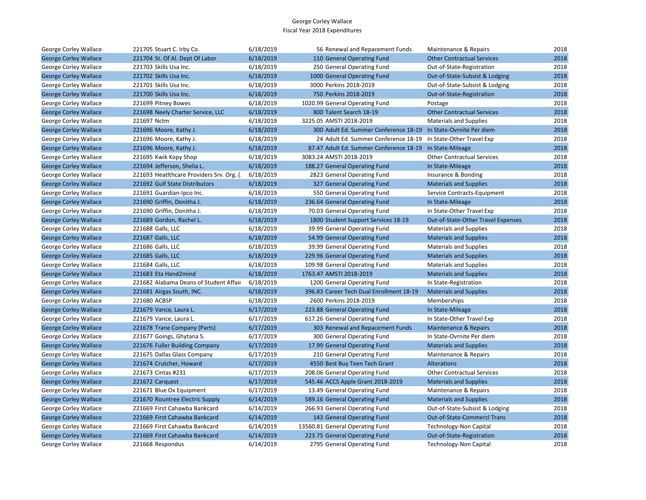| George Corley Wallace        | 221705 Stuart C. Irby Co.                | 6/18/2019 | 56 Renewal and Repacement Funds                                 | Maintenance & Repairs              | 2018 |
|------------------------------|------------------------------------------|-----------|-----------------------------------------------------------------|------------------------------------|------|
| <b>George Corley Wallace</b> | 221704 St. Of Al. Dept Of Labor          | 6/18/2019 | 110 General Operating Fund                                      | <b>Other Contractual Services</b>  | 2018 |
| George Corley Wallace        | 221703 Skills Usa Inc.                   | 6/18/2019 | 250 General Operating Fund                                      | Out-of-State-Registration          | 2018 |
| <b>George Corley Wallace</b> | 221702 Skills Usa Inc.                   | 6/18/2019 | 1000 General Operating Fund                                     | Out-of-State-Subsist & Lodging     | 2018 |
| George Corley Wallace        | 221701 Skills Usa Inc.                   | 6/18/2019 | 3000 Perkins 2018-2019                                          | Out-of-State-Subsist & Lodging     | 2018 |
| <b>George Corley Wallace</b> | 221700 Skills Usa Inc.                   | 6/18/2019 | 750 Perkins 2018-2019                                           | Out-of-State-Registration          | 2018 |
| George Corley Wallace        | 221699 Pitney Bowes                      | 6/18/2019 | 1020.99 General Operating Fund                                  | Postage                            | 2018 |
| <b>George Corley Wallace</b> | 221698 Neely Charter Service, LLC        | 6/18/2019 | 800 Talent Search 18-19                                         | <b>Other Contractual Services</b>  | 2018 |
| George Corley Wallace        | 221697 Nctm                              | 6/18/2019 | 3225.05 AMSTI 2018-2019                                         | <b>Materials and Supplies</b>      | 2018 |
| <b>George Corley Wallace</b> | 221696 Moore, Kathy J.                   | 6/18/2019 | 300 Adult Ed. Summer Conference 18-19 In State-Ovrnite Per diem |                                    | 2018 |
| George Corley Wallace        | 221696 Moore, Kathy J.                   | 6/18/2019 | 24 Adult Ed. Summer Conference 18-19                            | In State-Other Travel Exp          | 2018 |
| <b>George Corley Wallace</b> | 221696 Moore, Kathy J.                   | 6/18/2019 | 87.47 Adult Ed. Summer Conference 18-19 In State-Mileage        |                                    | 2018 |
| George Corley Wallace        | 221695 Kwik Kopy Shop                    | 6/18/2019 | 3083.24 AMSTI 2018-2019                                         | <b>Other Contractual Services</b>  | 2018 |
| <b>George Corley Wallace</b> | 221694 Jefferson, Shelia L.              | 6/18/2019 | 188.27 General Operating Fund                                   | In State-Mileage                   | 2018 |
| George Corley Wallace        | 221693 Heatlthcare Providers Srv. Org. ( | 6/18/2019 | 2823 General Operating Fund                                     | Insurance & Bonding                | 2018 |
| <b>George Corley Wallace</b> | 221692 Gulf State Distributors           | 6/18/2019 | 327 General Operating Fund                                      | <b>Materials and Supplies</b>      | 2018 |
| George Corley Wallace        | 221691 Guardian-Ipco Inc.                | 6/18/2019 | 550 General Operating Fund                                      | Service Contracts-Equipment        | 2018 |
| <b>George Corley Wallace</b> | 221690 Griffin, Donitha J.               | 6/18/2019 | 236.64 General Operating Fund                                   | In State-Mileage                   | 2018 |
| George Corley Wallace        | 221690 Griffin, Donitha J.               | 6/18/2019 | 70.03 General Operating Fund                                    | In State-Other Travel Exp          | 2018 |
| <b>George Corley Wallace</b> | 221689 Gordon, Rachel L.                 | 6/18/2019 | 1800 Student Support Services 18-19                             | Out-of-State-Other Travel Expenses | 2018 |
| George Corley Wallace        | 221688 Galls, LLC                        | 6/18/2019 | 39.99 General Operating Fund                                    | <b>Materials and Supplies</b>      | 2018 |
| <b>George Corley Wallace</b> | 221687 Galls, LLC                        | 6/18/2019 | 54.99 General Operating Fund                                    | <b>Materials and Supplies</b>      | 2018 |
| George Corley Wallace        | 221686 Galls, LLC                        | 6/18/2019 | 39.99 General Operating Fund                                    | <b>Materials and Supplies</b>      | 2018 |
| <b>George Corley Wallace</b> | 221685 Galls, LLC                        | 6/18/2019 | 229.96 General Operating Fund                                   | <b>Materials and Supplies</b>      | 2018 |
| George Corley Wallace        | 221684 Galls, LLC                        | 6/18/2019 | 109.98 General Operating Fund                                   | <b>Materials and Supplies</b>      | 2018 |
| <b>George Corley Wallace</b> | 221683 Eta Hand2mind                     | 6/18/2019 | 1763.47 AMSTI 2018-2019                                         | <b>Materials and Supplies</b>      | 2018 |
| George Corley Wallace        | 221682 Alabama Deans of Student Affair   | 6/18/2019 | 1200 General Operating Fund                                     | In State-Registration              | 2018 |
| <b>George Corley Wallace</b> | 221681 Airgas South, INC.                | 6/18/2019 | 396.83 Career Tech Dual Enrollment 18-19                        | <b>Materials and Supplies</b>      | 2018 |
| George Corley Wallace        | 221680 ACBSP                             | 6/18/2019 | 2600 Perkins 2018-2019                                          | Memberships                        | 2018 |
| <b>George Corley Wallace</b> | 221679 Vance, Laura L.                   | 6/17/2019 | 223.88 General Operating Fund                                   | In State-Mileage                   | 2018 |
| George Corley Wallace        | 221679 Vance, Laura L.                   | 6/17/2019 | 617.26 General Operating Fund                                   | In State-Other Travel Exp          | 2018 |
| <b>George Corley Wallace</b> | 221678 Trane Company (Parts)             | 6/17/2019 | 303 Renewal and Repacement Funds                                | <b>Maintenance &amp; Repairs</b>   | 2018 |
| George Corley Wallace        | 221677 Goings, Ghytana S.                | 6/17/2019 | 300 General Operating Fund                                      | In State-Ovrnite Per diem          | 2018 |
| <b>George Corley Wallace</b> | 221676 Fuller Building Company           | 6/17/2019 | 17.99 General Operating Fund                                    | <b>Materials and Supplies</b>      | 2018 |
| George Corley Wallace        | 221675 Dallas Glass Company              | 6/17/2019 | 210 General Operating Fund                                      | Maintenance & Repairs              | 2018 |
| <b>George Corley Wallace</b> | 221674 Crutcher, Howard                  | 6/17/2019 | 4550 Best Buy Teen Tech Grant                                   | <b>Alterations</b>                 | 2018 |
| George Corley Wallace        | 221673 Cintas #231                       | 6/17/2019 | 208.06 General Operating Fund                                   | <b>Other Contractual Services</b>  | 2018 |
| <b>George Corley Wallace</b> | 221672 Carquest                          | 6/17/2019 | 545.46 ACCS Apple Grant 2018-2019                               | <b>Materials and Supplies</b>      | 2018 |
| George Corley Wallace        | 221671 Blue Ox Equipment                 | 6/17/2019 | 13.49 General Operating Fund                                    | Maintenance & Repairs              | 2018 |
| <b>George Corley Wallace</b> | 221670 Rountree Electric Supply          | 6/14/2019 | 589.16 General Operating Fund                                   | <b>Materials and Supplies</b>      | 2018 |
| George Corley Wallace        | 221669 First Cahawba Bankcard            | 6/14/2019 | 266.93 General Operating Fund                                   | Out-of-State-Subsist & Lodging     | 2018 |
| <b>George Corley Wallace</b> | 221669 First Cahawba Bankcard            | 6/14/2019 | 143 General Operating Fund                                      | Out-of-State-Commercl Trans        | 2018 |
| George Corley Wallace        | 221669 First Cahawba Bankcard            | 6/14/2019 | 13560.81 General Operating Fund                                 | Technology-Non Capital             | 2018 |
| <b>George Corley Wallace</b> | 221669 First Cahawba Bankcard            | 6/14/2019 | 223.75 General Operating Fund                                   | Out-of-State-Registration          | 2018 |
| George Corley Wallace        | 221668 Respondus                         | 6/14/2019 | 2795 General Operating Fund                                     | <b>Technology-Non Capital</b>      | 2018 |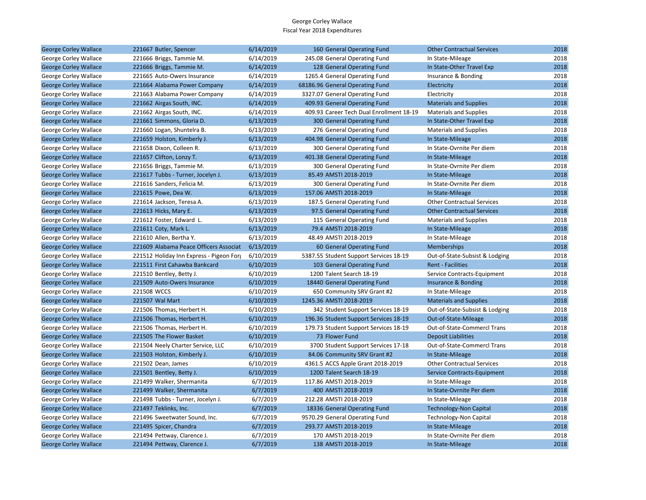| <b>George Corley Wallace</b> | 221667 Butler, Spencer                   | 6/14/2019 | 160 General Operating Fund               | <b>Other Contractual Services</b>  | 2018 |
|------------------------------|------------------------------------------|-----------|------------------------------------------|------------------------------------|------|
| George Corley Wallace        | 221666 Briggs, Tammie M.                 | 6/14/2019 | 245.08 General Operating Fund            | In State-Mileage                   | 2018 |
| <b>George Corley Wallace</b> | 221666 Briggs, Tammie M.                 | 6/14/2019 | 128 General Operating Fund               | In State-Other Travel Exp          | 2018 |
| George Corley Wallace        | 221665 Auto-Owers Insurance              | 6/14/2019 | 1265.4 General Operating Fund            | Insurance & Bonding                | 2018 |
| <b>George Corley Wallace</b> | 221664 Alabama Power Company             | 6/14/2019 | 68186.96 General Operating Fund          | Electricity                        | 2018 |
| George Corley Wallace        | 221663 Alabama Power Company             | 6/14/2019 | 3327.07 General Operating Fund           | Electricity                        | 2018 |
| <b>George Corley Wallace</b> | 221662 Airgas South, INC.                | 6/14/2019 | 409.93 General Operating Fund            | <b>Materials and Supplies</b>      | 2018 |
| George Corley Wallace        | 221662 Airgas South, INC.                | 6/14/2019 | 409.93 Career Tech Dual Enrollment 18-19 | <b>Materials and Supplies</b>      | 2018 |
| <b>George Corley Wallace</b> | 221661 Simmons, Gloria D.                | 6/13/2019 | 300 General Operating Fund               | In State-Other Travel Exp          | 2018 |
| George Corley Wallace        | 221660 Logan, Shuntelra B.               | 6/13/2019 | 276 General Operating Fund               | <b>Materials and Supplies</b>      | 2018 |
| <b>George Corley Wallace</b> | 221659 Holston, Kimberly J.              | 6/13/2019 | 404.98 General Operating Fund            | In State-Mileage                   | 2018 |
| George Corley Wallace        | 221658 Dixon, Colleen R.                 | 6/13/2019 | 300 General Operating Fund               | In State-Ovrnite Per diem          | 2018 |
| <b>George Corley Wallace</b> | 221657 Clifton, Lonzy T.                 | 6/13/2019 | 401.38 General Operating Fund            | In State-Mileage                   | 2018 |
| George Corley Wallace        | 221656 Briggs, Tammie M.                 | 6/13/2019 | 300 General Operating Fund               | In State-Ovrnite Per diem          | 2018 |
| <b>George Corley Wallace</b> | 221617 Tubbs - Turner, Jocelyn J.        | 6/13/2019 | 85.49 AMSTI 2018-2019                    | In State-Mileage                   | 2018 |
| George Corley Wallace        | 221616 Sanders, Felicia M.               | 6/13/2019 | 300 General Operating Fund               | In State-Ovrnite Per diem          | 2018 |
| <b>George Corley Wallace</b> | 221615 Powe, Dea W.                      | 6/13/2019 | 157.06 AMSTI 2018-2019                   | In State-Mileage                   | 2018 |
| George Corley Wallace        | 221614 Jackson, Teresa A.                | 6/13/2019 | 187.5 General Operating Fund             | <b>Other Contractual Services</b>  | 2018 |
| <b>George Corley Wallace</b> | 221613 Hicks, Mary E.                    | 6/13/2019 | 97.5 General Operating Fund              | <b>Other Contractual Services</b>  | 2018 |
| George Corley Wallace        | 221612 Foster, Edward L.                 | 6/13/2019 | 115 General Operating Fund               | <b>Materials and Supplies</b>      | 2018 |
| <b>George Corley Wallace</b> | 221611 Coty, Mark L.                     | 6/13/2019 | 79.4 AMSTI 2018-2019                     | In State-Mileage                   | 2018 |
| George Corley Wallace        | 221610 Allen, Bertha Y.                  | 6/13/2019 | 48.49 AMSTI 2018-2019                    | In State-Mileage                   | 2018 |
| <b>George Corley Wallace</b> | 221609 Alabama Peace Officers Associat   | 6/13/2019 | 60 General Operating Fund                | <b>Memberships</b>                 | 2018 |
| George Corley Wallace        | 221512 Holiday Inn Express - Pigeon Forg | 6/10/2019 | 5387.55 Student Support Services 18-19   | Out-of-State-Subsist & Lodging     | 2018 |
| <b>George Corley Wallace</b> | 221511 First Cahawba Bankcard            | 6/10/2019 | 103 General Operating Fund               | <b>Rent - Facilities</b>           | 2018 |
| George Corley Wallace        | 221510 Bentley, Betty J.                 | 6/10/2019 | 1200 Talent Search 18-19                 | Service Contracts-Equipment        | 2018 |
| <b>George Corley Wallace</b> | 221509 Auto-Owers Insurance              | 6/10/2019 | 18440 General Operating Fund             | Insurance & Bonding                | 2018 |
| George Corley Wallace        | 221508 WCCS                              | 6/10/2019 | 650 Community SRV Grant #2               | In State-Mileage                   | 2018 |
| <b>George Corley Wallace</b> | 221507 Wal Mart                          | 6/10/2019 | 1245.36 AMSTI 2018-2019                  | <b>Materials and Supplies</b>      | 2018 |
| George Corley Wallace        | 221506 Thomas, Herbert H.                | 6/10/2019 | 342 Student Support Services 18-19       | Out-of-State-Subsist & Lodging     | 2018 |
| <b>George Corley Wallace</b> | 221506 Thomas, Herbert H.                | 6/10/2019 | 196.36 Student Support Services 18-19    | Out-of-State-Mileage               | 2018 |
| George Corley Wallace        | 221506 Thomas, Herbert H.                | 6/10/2019 | 179.73 Student Support Services 18-19    | Out-of-State-Commercl Trans        | 2018 |
| <b>George Corley Wallace</b> | 221505 The Flower Basket                 | 6/10/2019 | 73 Flower Fund                           | <b>Deposit Liabilities</b>         | 2018 |
| George Corley Wallace        | 221504 Neely Charter Service, LLC        | 6/10/2019 | 3700 Student Support Services 17-18      | Out-of-State-Commercl Trans        | 2018 |
| <b>George Corley Wallace</b> | 221503 Holston, Kimberly J.              | 6/10/2019 | 84.06 Community SRV Grant #2             | In State-Mileage                   | 2018 |
| George Corley Wallace        | 221502 Dean, James                       | 6/10/2019 | 4361.5 ACCS Apple Grant 2018-2019        | <b>Other Contractual Services</b>  | 2018 |
| <b>George Corley Wallace</b> | 221501 Bentley, Betty J.                 | 6/10/2019 | 1200 Talent Search 18-19                 | <b>Service Contracts-Equipment</b> | 2018 |
| George Corley Wallace        | 221499 Walker, Shermanita                | 6/7/2019  | 117.86 AMSTI 2018-2019                   | In State-Mileage                   | 2018 |
| <b>George Corley Wallace</b> | 221499 Walker, Shermanita                | 6/7/2019  | 400 AMSTI 2018-2019                      | In State-Ovrnite Per diem          | 2018 |
| George Corley Wallace        | 221498 Tubbs - Turner, Jocelyn J.        | 6/7/2019  | 212.28 AMSTI 2018-2019                   | In State-Mileage                   | 2018 |
| <b>George Corley Wallace</b> | 221497 Teklinks, Inc.                    | 6/7/2019  | 18336 General Operating Fund             | <b>Technology-Non Capital</b>      | 2018 |
| George Corley Wallace        | 221496 Sweetwater Sound, Inc.            | 6/7/2019  | 9570.29 General Operating Fund           | <b>Technology-Non Capital</b>      | 2018 |
| <b>George Corley Wallace</b> | 221495 Spicer, Chandra                   | 6/7/2019  | 293.77 AMSTI 2018-2019                   | In State-Mileage                   | 2018 |
| George Corley Wallace        | 221494 Pettway, Clarence J.              | 6/7/2019  | 170 AMSTI 2018-2019                      | In State-Ovrnite Per diem          | 2018 |
| <b>George Corley Wallace</b> | 221494 Pettway, Clarence J.              | 6/7/2019  | 138 AMSTI 2018-2019                      | In State-Mileage                   | 2018 |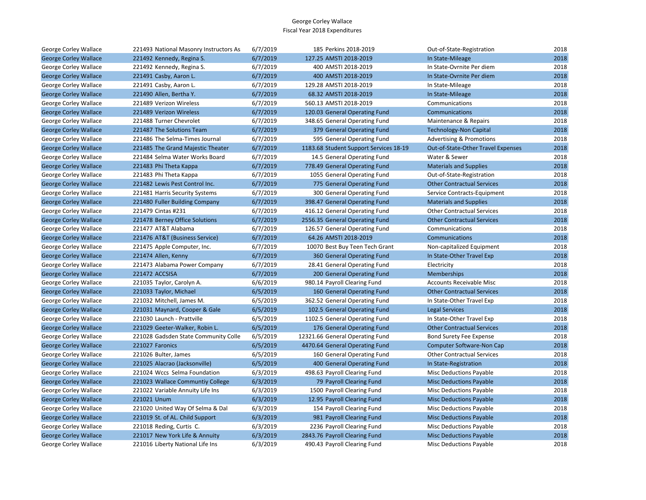| George Corley Wallace        | 221493 National Masonry Instructors As: | 6/7/2019 | 185 Perkins 2018-2019                  | Out-of-State-Registration           | 2018 |
|------------------------------|-----------------------------------------|----------|----------------------------------------|-------------------------------------|------|
| <b>George Corley Wallace</b> | 221492 Kennedy, Regina S.               | 6/7/2019 | 127.25 AMSTI 2018-2019                 | In State-Mileage                    | 2018 |
| George Corley Wallace        | 221492 Kennedy, Regina S.               | 6/7/2019 | 400 AMSTI 2018-2019                    | In State-Ovrnite Per diem           | 2018 |
| <b>George Corley Wallace</b> | 221491 Casby, Aaron L.                  | 6/7/2019 | 400 AMSTI 2018-2019                    | In State-Ovrnite Per diem           | 2018 |
| George Corley Wallace        | 221491 Casby, Aaron L.                  | 6/7/2019 | 129.28 AMSTI 2018-2019                 | In State-Mileage                    | 2018 |
| <b>George Corley Wallace</b> | 221490 Allen, Bertha Y.                 | 6/7/2019 | 68.32 AMSTI 2018-2019                  | In State-Mileage                    | 2018 |
| George Corley Wallace        | 221489 Verizon Wireless                 | 6/7/2019 | 560.13 AMSTI 2018-2019                 | Communications                      | 2018 |
| <b>George Corley Wallace</b> | 221489 Verizon Wireless                 | 6/7/2019 | 120.03 General Operating Fund          | <b>Communications</b>               | 2018 |
| George Corley Wallace        | 221488 Turner Chevrolet                 | 6/7/2019 | 348.65 General Operating Fund          | Maintenance & Repairs               | 2018 |
| <b>George Corley Wallace</b> | 221487 The Solutions Team               | 6/7/2019 | 379 General Operating Fund             | <b>Technology-Non Capital</b>       | 2018 |
| George Corley Wallace        | 221486 The Selma-Times Journal          | 6/7/2019 | 595 General Operating Fund             | <b>Advertising &amp; Promotions</b> | 2018 |
| <b>George Corley Wallace</b> | 221485 The Grand Majestic Theater       | 6/7/2019 | 1183.68 Student Support Services 18-19 | Out-of-State-Other Travel Expenses  | 2018 |
| George Corley Wallace        | 221484 Selma Water Works Board          | 6/7/2019 | 14.5 General Operating Fund            | Water & Sewer                       | 2018 |
| <b>George Corley Wallace</b> | 221483 Phi Theta Kappa                  | 6/7/2019 | 778.49 General Operating Fund          | <b>Materials and Supplies</b>       | 2018 |
| George Corley Wallace        | 221483 Phi Theta Kappa                  | 6/7/2019 | 1055 General Operating Fund            | Out-of-State-Registration           | 2018 |
| <b>George Corley Wallace</b> | 221482 Lewis Pest Control Inc.          | 6/7/2019 | 775 General Operating Fund             | <b>Other Contractual Services</b>   | 2018 |
| George Corley Wallace        | 221481 Harris Security Systems          | 6/7/2019 | 300 General Operating Fund             | Service Contracts-Equipment         | 2018 |
| <b>George Corley Wallace</b> | 221480 Fuller Building Company          | 6/7/2019 | 398.47 General Operating Fund          | <b>Materials and Supplies</b>       | 2018 |
| George Corley Wallace        | 221479 Cintas #231                      | 6/7/2019 | 416.12 General Operating Fund          | <b>Other Contractual Services</b>   | 2018 |
| <b>George Corley Wallace</b> | 221478 Berney Office Solutions          | 6/7/2019 | 2556.35 General Operating Fund         | <b>Other Contractual Services</b>   | 2018 |
| George Corley Wallace        | 221477 AT&T Alabama                     | 6/7/2019 | 126.57 General Operating Fund          | Communications                      | 2018 |
| <b>George Corley Wallace</b> | 221476 AT&T (Business Service)          | 6/7/2019 | 64.26 AMSTI 2018-2019                  | Communications                      | 2018 |
| George Corley Wallace        | 221475 Apple Computer, Inc.             | 6/7/2019 | 10070 Best Buy Teen Tech Grant         | Non-capitalized Equipment           | 2018 |
| <b>George Corley Wallace</b> | 221474 Allen, Kenny                     | 6/7/2019 | 360 General Operating Fund             | In State-Other Travel Exp           | 2018 |
| George Corley Wallace        | 221473 Alabama Power Company            | 6/7/2019 | 28.41 General Operating Fund           | Electricity                         | 2018 |
| <b>George Corley Wallace</b> | 221472 ACCSISA                          | 6/7/2019 | 200 General Operating Fund             | Memberships                         | 2018 |
| George Corley Wallace        | 221035 Taylor, Carolyn A.               | 6/6/2019 | 980.14 Payroll Clearing Fund           | <b>Accounts Receivable Misc</b>     | 2018 |
| <b>George Corley Wallace</b> | 221033 Taylor, Michael                  | 6/5/2019 | 160 General Operating Fund             | <b>Other Contractual Services</b>   | 2018 |
| George Corley Wallace        | 221032 Mitchell, James M.               | 6/5/2019 | 362.52 General Operating Fund          | In State-Other Travel Exp           | 2018 |
| <b>George Corley Wallace</b> | 221031 Maynard, Cooper & Gale           | 6/5/2019 | 102.5 General Operating Fund           | <b>Legal Services</b>               | 2018 |
| George Corley Wallace        | 221030 Launch - Prattville              | 6/5/2019 | 1102.5 General Operating Fund          | In State-Other Travel Exp           | 2018 |
| <b>George Corley Wallace</b> | 221029 Geeter-Walker, Robin L.          | 6/5/2019 | 176 General Operating Fund             | <b>Other Contractual Services</b>   | 2018 |
| George Corley Wallace        | 221028 Gadsden State Community Colle    | 6/5/2019 | 12321.66 General Operating Fund        | <b>Bond Surety Fee Expense</b>      | 2018 |
| <b>George Corley Wallace</b> | 221027 Faronics                         | 6/5/2019 | 4470.64 General Operating Fund         | <b>Computer Software-Non Cap</b>    | 2018 |
| George Corley Wallace        | 221026 Bulter, James                    | 6/5/2019 | 160 General Operating Fund             | <b>Other Contractual Services</b>   | 2018 |
| <b>George Corley Wallace</b> | 221025 Alacrao (Jacksonville)           | 6/5/2019 | 400 General Operating Fund             | In State-Registration               | 2018 |
| George Corley Wallace        | 221024 Wccs Selma Foundation            | 6/3/2019 | 498.63 Payroll Clearing Fund           | Misc Deductions Payable             | 2018 |
| <b>George Corley Wallace</b> | 221023 Wallace Communtiy College        | 6/3/2019 | 79 Payroll Clearing Fund               | <b>Misc Deductions Payable</b>      | 2018 |
| George Corley Wallace        | 221022 Variable Annuity Life Ins        | 6/3/2019 | 1500 Payroll Clearing Fund             | <b>Misc Deductions Payable</b>      | 2018 |
| <b>George Corley Wallace</b> | 221021 Unum                             | 6/3/2019 | 12.95 Payroll Clearing Fund            | <b>Misc Deductions Payable</b>      | 2018 |
| George Corley Wallace        | 221020 United Way Of Selma & Dal        | 6/3/2019 | 154 Payroll Clearing Fund              | Misc Deductions Payable             | 2018 |
| <b>George Corley Wallace</b> | 221019 St. of AL. Child Support         | 6/3/2019 | 981 Payroll Clearing Fund              | <b>Misc Deductions Payable</b>      | 2018 |
| George Corley Wallace        | 221018 Reding, Curtis C.                | 6/3/2019 | 2236 Payroll Clearing Fund             | <b>Misc Deductions Payable</b>      | 2018 |
| <b>George Corley Wallace</b> | 221017 New York Life & Annuity          | 6/3/2019 | 2843.76 Payroll Clearing Fund          | <b>Misc Deductions Payable</b>      | 2018 |
| George Corley Wallace        | 221016 Liberty National Life Ins        | 6/3/2019 | 490.43 Payroll Clearing Fund           | <b>Misc Deductions Payable</b>      | 2018 |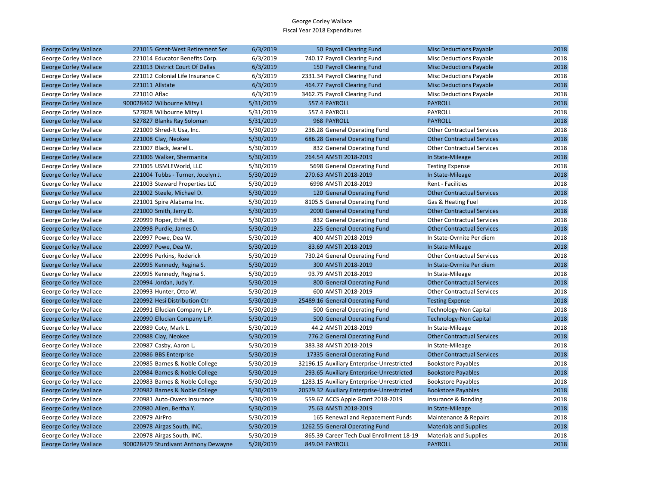| <b>George Corley Wallace</b> | 221015 Great-West Retirement Ser     | 6/3/2019  | 50 Payroll Clearing Fund                   | <b>Misc Deductions Payable</b>    | 2018 |
|------------------------------|--------------------------------------|-----------|--------------------------------------------|-----------------------------------|------|
| George Corley Wallace        | 221014 Educator Benefits Corp.       | 6/3/2019  | 740.17 Payroll Clearing Fund               | Misc Deductions Payable           | 2018 |
| <b>George Corley Wallace</b> | 221013 District Court Of Dallas      | 6/3/2019  | 150 Payroll Clearing Fund                  | <b>Misc Deductions Payable</b>    | 2018 |
| George Corley Wallace        | 221012 Colonial Life Insurance C     | 6/3/2019  | 2331.34 Payroll Clearing Fund              | Misc Deductions Payable           | 2018 |
| <b>George Corley Wallace</b> | 221011 Allstate                      | 6/3/2019  | 464.77 Payroll Clearing Fund               | <b>Misc Deductions Payable</b>    | 2018 |
| George Corley Wallace        | 221010 Aflac                         | 6/3/2019  | 3462.75 Payroll Clearing Fund              | <b>Misc Deductions Payable</b>    | 2018 |
| <b>George Corley Wallace</b> | 900028462 Wilbourne Mitsy L          | 5/31/2019 | 557.4 PAYROLL                              | <b>PAYROLL</b>                    | 2018 |
| George Corley Wallace        | 527828 Wilbourne Mitsy L             | 5/31/2019 | 557.4 PAYROLL                              | PAYROLL                           | 2018 |
| <b>George Corley Wallace</b> | 527827 Blanks Ray Soloman            | 5/31/2019 | 968 PAYROLL                                | <b>PAYROLL</b>                    | 2018 |
| George Corley Wallace        | 221009 Shred-It Usa, Inc.            | 5/30/2019 | 236.28 General Operating Fund              | <b>Other Contractual Services</b> | 2018 |
| <b>George Corley Wallace</b> | 221008 Clay, Neokee                  | 5/30/2019 | 686.28 General Operating Fund              | <b>Other Contractual Services</b> | 2018 |
| George Corley Wallace        | 221007 Black, Jearel L.              | 5/30/2019 | 832 General Operating Fund                 | <b>Other Contractual Services</b> | 2018 |
| <b>George Corley Wallace</b> | 221006 Walker, Shermanita            | 5/30/2019 | 264.54 AMSTI 2018-2019                     | In State-Mileage                  | 2018 |
| George Corley Wallace        | 221005 USMLEWorld, LLC               | 5/30/2019 | 5698 General Operating Fund                | <b>Testing Expense</b>            | 2018 |
| <b>George Corley Wallace</b> | 221004 Tubbs - Turner, Jocelyn J.    | 5/30/2019 | 270.63 AMSTI 2018-2019                     | In State-Mileage                  | 2018 |
| George Corley Wallace        | 221003 Steward Properties LLC        | 5/30/2019 | 6998 AMSTI 2018-2019                       | Rent - Facilities                 | 2018 |
| <b>George Corley Wallace</b> | 221002 Steele, Michael D.            | 5/30/2019 | 120 General Operating Fund                 | <b>Other Contractual Services</b> | 2018 |
| George Corley Wallace        | 221001 Spire Alabama Inc.            | 5/30/2019 | 8105.5 General Operating Fund              | Gas & Heating Fuel                | 2018 |
| <b>George Corley Wallace</b> | 221000 Smith, Jerry D.               | 5/30/2019 | 2000 General Operating Fund                | <b>Other Contractual Services</b> | 2018 |
| George Corley Wallace        | 220999 Roper, Ethel B.               | 5/30/2019 | 832 General Operating Fund                 | <b>Other Contractual Services</b> | 2018 |
| <b>George Corley Wallace</b> | 220998 Purdie, James D.              | 5/30/2019 | 225 General Operating Fund                 | <b>Other Contractual Services</b> | 2018 |
| George Corley Wallace        | 220997 Powe, Dea W.                  | 5/30/2019 | 400 AMSTI 2018-2019                        | In State-Ovrnite Per diem         | 2018 |
| <b>George Corley Wallace</b> | 220997 Powe, Dea W.                  | 5/30/2019 | 83.69 AMSTI 2018-2019                      | In State-Mileage                  | 2018 |
| George Corley Wallace        | 220996 Perkins, Roderick             | 5/30/2019 | 730.24 General Operating Fund              | <b>Other Contractual Services</b> | 2018 |
| <b>George Corley Wallace</b> | 220995 Kennedy, Regina S.            | 5/30/2019 | 300 AMSTI 2018-2019                        | In State-Ovrnite Per diem         | 2018 |
| George Corley Wallace        | 220995 Kennedy, Regina S.            | 5/30/2019 | 93.79 AMSTI 2018-2019                      | In State-Mileage                  | 2018 |
| <b>George Corley Wallace</b> | 220994 Jordan, Judy Y.               | 5/30/2019 | 800 General Operating Fund                 | <b>Other Contractual Services</b> | 2018 |
| George Corley Wallace        | 220993 Hunter, Otto W.               | 5/30/2019 | 600 AMSTI 2018-2019                        | <b>Other Contractual Services</b> | 2018 |
| <b>George Corley Wallace</b> | 220992 Hesi Distribution Ctr         | 5/30/2019 | 25489.16 General Operating Fund            | <b>Testing Expense</b>            | 2018 |
| George Corley Wallace        | 220991 Ellucian Company L.P.         | 5/30/2019 | 500 General Operating Fund                 | Technology-Non Capital            | 2018 |
| <b>George Corley Wallace</b> | 220990 Ellucian Company L.P.         | 5/30/2019 | 500 General Operating Fund                 | <b>Technology-Non Capital</b>     | 2018 |
| George Corley Wallace        | 220989 Coty, Mark L.                 | 5/30/2019 | 44.2 AMSTI 2018-2019                       | In State-Mileage                  | 2018 |
| <b>George Corley Wallace</b> | 220988 Clay, Neokee                  | 5/30/2019 | 776.2 General Operating Fund               | <b>Other Contractual Services</b> | 2018 |
| George Corley Wallace        | 220987 Casby, Aaron L.               | 5/30/2019 | 383.38 AMSTI 2018-2019                     | In State-Mileage                  | 2018 |
| <b>George Corley Wallace</b> | 220986 BBS Enterprise                | 5/30/2019 | 17335 General Operating Fund               | <b>Other Contractual Services</b> | 2018 |
| George Corley Wallace        | 220985 Barnes & Noble College        | 5/30/2019 | 32196.15 Auxiliary Enterprise-Unrestricted | <b>Bookstore Payables</b>         | 2018 |
| <b>George Corley Wallace</b> | 220984 Barnes & Noble College        | 5/30/2019 | 293.65 Auxiliary Enterprise-Unrestricted   | <b>Bookstore Payables</b>         | 2018 |
| George Corley Wallace        | 220983 Barnes & Noble College        | 5/30/2019 | 1283.15 Auxiliary Enterprise-Unrestricted  | <b>Bookstore Payables</b>         | 2018 |
| <b>George Corley Wallace</b> | 220982 Barnes & Noble College        | 5/30/2019 | 20579.32 Auxiliary Enterprise-Unrestricted | <b>Bookstore Payables</b>         | 2018 |
| George Corley Wallace        | 220981 Auto-Owers Insurance          | 5/30/2019 | 559.67 ACCS Apple Grant 2018-2019          | Insurance & Bonding               | 2018 |
| <b>George Corley Wallace</b> | 220980 Allen, Bertha Y.              | 5/30/2019 | 75.63 AMSTI 2018-2019                      | In State-Mileage                  | 2018 |
| George Corley Wallace        | 220979 AirPro                        | 5/30/2019 | 165 Renewal and Repacement Funds           | Maintenance & Repairs             | 2018 |
| <b>George Corley Wallace</b> | 220978 Airgas South, INC.            | 5/30/2019 | 1262.55 General Operating Fund             | <b>Materials and Supplies</b>     | 2018 |
| George Corley Wallace        | 220978 Airgas South, INC.            | 5/30/2019 | 865.39 Career Tech Dual Enrollment 18-19   | <b>Materials and Supplies</b>     | 2018 |
| <b>George Corley Wallace</b> | 900028479 Sturdivant Anthony Dewayne | 5/28/2019 | 849.04 PAYROLL                             | <b>PAYROLL</b>                    | 2018 |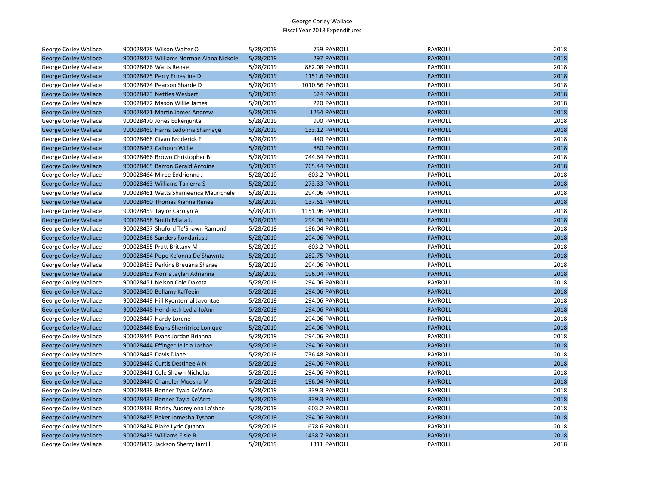| George Corley Wallace        | 900028478 Wilson Walter O               | 5/28/2019 | 759 PAYROLL           | PAYROLL        | 2018 |
|------------------------------|-----------------------------------------|-----------|-----------------------|----------------|------|
| <b>George Corley Wallace</b> | 900028477 Williams Norman Alana Nickole | 5/28/2019 | 297 PAYROLL           | <b>PAYROLL</b> | 2018 |
| <b>George Corley Wallace</b> | 900028476 Watts Renae                   | 5/28/2019 | 882.08 PAYROLL        | PAYROLL        | 2018 |
| <b>George Corley Wallace</b> | 900028475 Perry Ernestine D             | 5/28/2019 | 1151.6 PAYROLL        | <b>PAYROLL</b> | 2018 |
| George Corley Wallace        | 900028474 Pearson Sharde D              | 5/28/2019 | 1010.56 PAYROLL       | PAYROLL        | 2018 |
| <b>George Corley Wallace</b> | 900028473 Nettles Wesbert               | 5/28/2019 | 624 PAYROLL           | <b>PAYROLL</b> | 2018 |
| George Corley Wallace        | 900028472 Mason Willie James            | 5/28/2019 | 220 PAYROLL           | PAYROLL        | 2018 |
| <b>George Corley Wallace</b> | 900028471 Martin James Andrew           | 5/28/2019 | 1254 PAYROLL          | <b>PAYROLL</b> | 2018 |
| George Corley Wallace        | 900028470 Jones Edkenjunta              | 5/28/2019 | 990 PAYROLL           | PAYROLL        | 2018 |
| <b>George Corley Wallace</b> | 900028469 Harris Ledonna Sharnaye       | 5/28/2019 | 133.12 PAYROLL        | <b>PAYROLL</b> | 2018 |
| George Corley Wallace        | 900028468 Givan Broderick F             | 5/28/2019 | 440 PAYROLL           | PAYROLL        | 2018 |
| <b>George Corley Wallace</b> | 900028467 Calhoun Willie                | 5/28/2019 | 880 PAYROLL           | <b>PAYROLL</b> | 2018 |
| George Corley Wallace        | 900028466 Brown Christopher B           | 5/28/2019 | 744.64 PAYROLL        | PAYROLL        | 2018 |
| <b>George Corley Wallace</b> | 900028465 Barron Gerald Antoine         | 5/28/2019 | 765.44 PAYROLL        | <b>PAYROLL</b> | 2018 |
| George Corley Wallace        | 900028464 Miree Eddrionna J             | 5/28/2019 | 603.2 PAYROLL         | PAYROLL        | 2018 |
| <b>George Corley Wallace</b> | 900028463 Williams Takierra S           | 5/28/2019 | 273.33 PAYROLL        | <b>PAYROLL</b> | 2018 |
| George Corley Wallace        | 900028461 Watts Shameerica Maurichele   | 5/28/2019 | 294.06 PAYROLL        | PAYROLL        | 2018 |
| <b>George Corley Wallace</b> | 900028460 Thomas Kianna Renee           | 5/28/2019 | 137.61 PAYROLL        | <b>PAYROLL</b> | 2018 |
| George Corley Wallace        | 900028459 Taylor Carolyn A              | 5/28/2019 | 1151.96 PAYROLL       | PAYROLL        | 2018 |
| <b>George Corley Wallace</b> | 900028458 Smith Miata J.                | 5/28/2019 | 294.06 PAYROLL        | <b>PAYROLL</b> | 2018 |
| George Corley Wallace        | 900028457 Shuford Te'Shawn Ramond       | 5/28/2019 | 196.04 PAYROLL        | PAYROLL        | 2018 |
| <b>George Corley Wallace</b> | 900028456 Sanders Rondarius J           | 5/28/2019 | 294.06 PAYROLL        | <b>PAYROLL</b> | 2018 |
| George Corley Wallace        | 900028455 Pratt Brittany M              | 5/28/2019 | 603.2 PAYROLL         | PAYROLL        | 2018 |
| <b>George Corley Wallace</b> | 900028454 Pope Ke'onna De'Shawnta       | 5/28/2019 | 282.75 PAYROLL        | <b>PAYROLL</b> | 2018 |
| George Corley Wallace        | 900028453 Perkins Breuana Sharae        | 5/28/2019 | 294.06 PAYROLL        | PAYROLL        | 2018 |
| <b>George Corley Wallace</b> | 900028452 Norris Jaylah Adrianna        | 5/28/2019 | 196.04 PAYROLL        | <b>PAYROLL</b> | 2018 |
| George Corley Wallace        | 900028451 Nelson Cole Dakota            | 5/28/2019 | 294.06 PAYROLL        | PAYROLL        | 2018 |
| <b>George Corley Wallace</b> | 900028450 Bellamy Kaffeein              | 5/28/2019 | 294.06 PAYROLL        | <b>PAYROLL</b> | 2018 |
| George Corley Wallace        | 900028449 Hill Kyonterrial Javontae     | 5/28/2019 | 294.06 PAYROLL        | PAYROLL        | 2018 |
| <b>George Corley Wallace</b> | 900028448 Hendrieth Lydia JoAnn         | 5/28/2019 | 294.06 PAYROLL        | <b>PAYROLL</b> | 2018 |
| George Corley Wallace        | 900028447 Hardy Lorene                  | 5/28/2019 | 294.06 PAYROLL        | PAYROLL        | 2018 |
| <b>George Corley Wallace</b> | 900028446 Evans Sherritrice Lonique     | 5/28/2019 | 294.06 PAYROLL        | <b>PAYROLL</b> | 2018 |
| George Corley Wallace        | 900028445 Evans Jordan Brianna          | 5/28/2019 | 294.06 PAYROLL        | PAYROLL        | 2018 |
| <b>George Corley Wallace</b> | 900028444 Effinger Jelicia Lashae       | 5/28/2019 | <b>294.06 PAYROLL</b> | <b>PAYROLL</b> | 2018 |
| George Corley Wallace        | 900028443 Davis Diane                   | 5/28/2019 | 736.48 PAYROLL        | PAYROLL        | 2018 |
| <b>George Corley Wallace</b> | 900028442 Curtis Destinee A N           | 5/28/2019 | <b>294.06 PAYROLL</b> | <b>PAYROLL</b> | 2018 |
| George Corley Wallace        | 900028441 Cole Shawn Nicholas           | 5/28/2019 | 294.06 PAYROLL        | PAYROLL        | 2018 |
| <b>George Corley Wallace</b> | 900028440 Chandler Moesha M             | 5/28/2019 | 196.04 PAYROLL        | <b>PAYROLL</b> | 2018 |
| George Corley Wallace        | 900028438 Bonner Tyala Ke'Anna          | 5/28/2019 | 339.3 PAYROLL         | PAYROLL        | 2018 |
| <b>George Corley Wallace</b> | 900028437 Bonner Tayla Ke'Arra          | 5/28/2019 | 339.3 PAYROLL         | <b>PAYROLL</b> | 2018 |
| George Corley Wallace        | 900028436 Barley Audreyiona La'shae     | 5/28/2019 | 603.2 PAYROLL         | PAYROLL        | 2018 |
| <b>George Corley Wallace</b> | 900028435 Baker Jamesha Tyshan          | 5/28/2019 | <b>294.06 PAYROLL</b> | <b>PAYROLL</b> | 2018 |
| George Corley Wallace        | 900028434 Blake Lyric Quanta            | 5/28/2019 | 678.6 PAYROLL         | PAYROLL        | 2018 |
| <b>George Corley Wallace</b> | 900028433 Williams Elsie B.             | 5/28/2019 | 1438.7 PAYROLL        | <b>PAYROLL</b> | 2018 |
| <b>George Corley Wallace</b> | 900028432 Jackson Sherry Jamill         | 5/28/2019 | 1311 PAYROLL          | PAYROLL        | 2018 |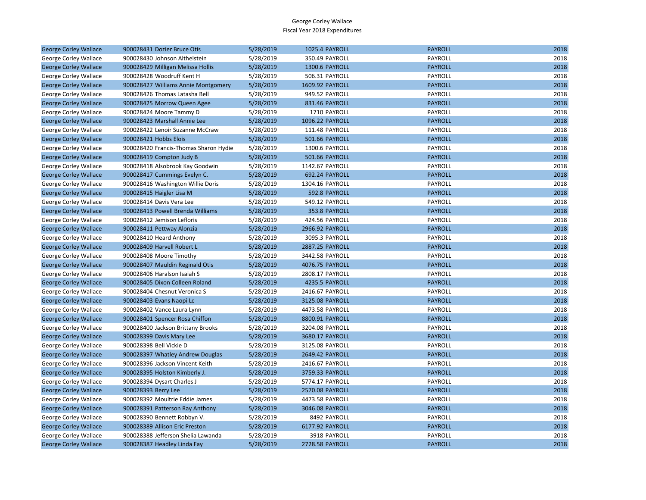| <b>George Corley Wallace</b> | 900028431 Dozier Bruce Otis           | 5/28/2019 | 1025.4 PAYROLL  | <b>PAYROLL</b> | 2018 |
|------------------------------|---------------------------------------|-----------|-----------------|----------------|------|
| George Corley Wallace        | 900028430 Johnson Althelstein         | 5/28/2019 | 350.49 PAYROLL  | PAYROLL        | 2018 |
| <b>George Corley Wallace</b> | 900028429 Milligan Melissa Hollis     | 5/28/2019 | 1300.6 PAYROLL  | <b>PAYROLL</b> | 2018 |
| George Corley Wallace        | 900028428 Woodruff Kent H             | 5/28/2019 | 506.31 PAYROLL  | PAYROLL        | 2018 |
| <b>George Corley Wallace</b> | 900028427 Williams Annie Montgomery   | 5/28/2019 | 1609.92 PAYROLL | <b>PAYROLL</b> | 2018 |
| George Corley Wallace        | 900028426 Thomas Latasha Bell         | 5/28/2019 | 949.52 PAYROLL  | PAYROLL        | 2018 |
| <b>George Corley Wallace</b> | 900028425 Morrow Queen Agee           | 5/28/2019 | 831.46 PAYROLL  | <b>PAYROLL</b> | 2018 |
| George Corley Wallace        | 900028424 Moore Tammy D               | 5/28/2019 | 1710 PAYROLL    | PAYROLL        | 2018 |
| <b>George Corley Wallace</b> | 900028423 Marshall Annie Lee          | 5/28/2019 | 1096.22 PAYROLL | <b>PAYROLL</b> | 2018 |
| George Corley Wallace        | 900028422 Lenoir Suzanne McCraw       | 5/28/2019 | 111.48 PAYROLL  | PAYROLL        | 2018 |
| <b>George Corley Wallace</b> | 900028421 Hobbs Elois                 | 5/28/2019 | 501.66 PAYROLL  | <b>PAYROLL</b> | 2018 |
| George Corley Wallace        | 900028420 Francis-Thomas Sharon Hydie | 5/28/2019 | 1300.6 PAYROLL  | PAYROLL        | 2018 |
| <b>George Corley Wallace</b> | 900028419 Compton Judy B              | 5/28/2019 | 501.66 PAYROLL  | <b>PAYROLL</b> | 2018 |
| George Corley Wallace        | 900028418 Alsobrook Kay Goodwin       | 5/28/2019 | 1142.67 PAYROLL | PAYROLL        | 2018 |
| <b>George Corley Wallace</b> | 900028417 Cummings Evelyn C.          | 5/28/2019 | 692.24 PAYROLL  | <b>PAYROLL</b> | 2018 |
| George Corley Wallace        | 900028416 Washington Willie Doris     | 5/28/2019 | 1304.16 PAYROLL | PAYROLL        | 2018 |
| <b>George Corley Wallace</b> | 900028415 Haigler Lisa M              | 5/28/2019 | 592.8 PAYROLL   | <b>PAYROLL</b> | 2018 |
| George Corley Wallace        | 900028414 Davis Vera Lee              | 5/28/2019 | 549.12 PAYROLL  | PAYROLL        | 2018 |
| <b>George Corley Wallace</b> | 900028413 Powell Brenda Williams      | 5/28/2019 | 353.8 PAYROLL   | <b>PAYROLL</b> | 2018 |
| George Corley Wallace        | 900028412 Jemison Lefloris            | 5/28/2019 | 424.56 PAYROLL  | PAYROLL        | 2018 |
| <b>George Corley Wallace</b> | 900028411 Pettway Alonzia             | 5/28/2019 | 2966.92 PAYROLL | <b>PAYROLL</b> | 2018 |
| George Corley Wallace        | 900028410 Heard Anthony               | 5/28/2019 | 3095.3 PAYROLL  | PAYROLL        | 2018 |
| <b>George Corley Wallace</b> | 900028409 Harvell Robert L            | 5/28/2019 | 2887.25 PAYROLL | <b>PAYROLL</b> | 2018 |
| George Corley Wallace        | 900028408 Moore Timothy               | 5/28/2019 | 3442.58 PAYROLL | PAYROLL        | 2018 |
| <b>George Corley Wallace</b> | 900028407 Mauldin Reginald Otis       | 5/28/2019 | 4076.75 PAYROLL | <b>PAYROLL</b> | 2018 |
| George Corley Wallace        | 900028406 Haralson Isaiah S           | 5/28/2019 | 2808.17 PAYROLL | PAYROLL        | 2018 |
| <b>George Corley Wallace</b> | 900028405 Dixon Colleen Roland        | 5/28/2019 | 4235.5 PAYROLL  | <b>PAYROLL</b> | 2018 |
| George Corley Wallace        | 900028404 Chesnut Veronica S          | 5/28/2019 | 2416.67 PAYROLL | PAYROLL        | 2018 |
| <b>George Corley Wallace</b> | 900028403 Evans Naopi Lc              | 5/28/2019 | 3125.08 PAYROLL | <b>PAYROLL</b> | 2018 |
| George Corley Wallace        | 900028402 Vance Laura Lynn            | 5/28/2019 | 4473.58 PAYROLL | PAYROLL        | 2018 |
| <b>George Corley Wallace</b> | 900028401 Spencer Rosa Chiffon        | 5/28/2019 | 8800.91 PAYROLL | <b>PAYROLL</b> | 2018 |
| George Corley Wallace        | 900028400 Jackson Brittany Brooks     | 5/28/2019 | 3204.08 PAYROLL | PAYROLL        | 2018 |
| <b>George Corley Wallace</b> | 900028399 Davis Mary Lee              | 5/28/2019 | 3680.17 PAYROLL | <b>PAYROLL</b> | 2018 |
| George Corley Wallace        | 900028398 Bell Vickie D               | 5/28/2019 | 3125.08 PAYROLL | PAYROLL        | 2018 |
| <b>George Corley Wallace</b> | 900028397 Whatley Andrew Douglas      | 5/28/2019 | 2649.42 PAYROLL | <b>PAYROLL</b> | 2018 |
| George Corley Wallace        | 900028396 Jackson Vincent Keith       | 5/28/2019 | 2416.67 PAYROLL | PAYROLL        | 2018 |
| <b>George Corley Wallace</b> | 900028395 Holston Kimberly J.         | 5/28/2019 | 3759.33 PAYROLL | <b>PAYROLL</b> | 2018 |
| George Corley Wallace        | 900028394 Dysart Charles J            | 5/28/2019 | 5774.17 PAYROLL | PAYROLL        | 2018 |
| <b>George Corley Wallace</b> | 900028393 Berry Lee                   | 5/28/2019 | 2570.08 PAYROLL | <b>PAYROLL</b> | 2018 |
| George Corley Wallace        | 900028392 Moultrie Eddie James        | 5/28/2019 | 4473.58 PAYROLL | PAYROLL        | 2018 |
| <b>George Corley Wallace</b> | 900028391 Patterson Ray Anthony       | 5/28/2019 | 3046.08 PAYROLL | <b>PAYROLL</b> | 2018 |
| George Corley Wallace        | 900028390 Bennett Robbyn V.           | 5/28/2019 | 8492 PAYROLL    | PAYROLL        | 2018 |
| <b>George Corley Wallace</b> | 900028389 Allison Eric Preston        | 5/28/2019 | 6177.92 PAYROLL | <b>PAYROLL</b> | 2018 |
| George Corley Wallace        | 900028388 Jefferson Shelia Lawanda    | 5/28/2019 | 3918 PAYROLL    | PAYROLL        | 2018 |
| <b>George Corley Wallace</b> | 900028387 Headley Linda Fay           | 5/28/2019 | 2728.58 PAYROLL | <b>PAYROLL</b> | 2018 |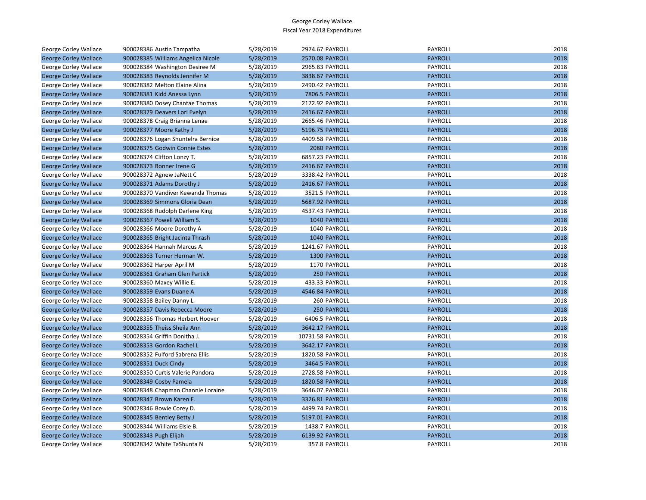| George Corley Wallace        | 900028386 Austin Tampatha          | 5/28/2019 | 2974.67 PAYROLL        | PAYROLL        | 2018 |
|------------------------------|------------------------------------|-----------|------------------------|----------------|------|
| <b>George Corley Wallace</b> | 900028385 Williams Angelica Nicole | 5/28/2019 | 2570.08 PAYROLL        | <b>PAYROLL</b> | 2018 |
| George Corley Wallace        | 900028384 Washington Desiree M     | 5/28/2019 | 2965.83 PAYROLL        | PAYROLL        | 2018 |
| <b>George Corley Wallace</b> | 900028383 Reynolds Jennifer M      | 5/28/2019 | 3838.67 PAYROLL        | <b>PAYROLL</b> | 2018 |
| George Corley Wallace        | 900028382 Melton Elaine Alina      | 5/28/2019 | 2490.42 PAYROLL        | PAYROLL        | 2018 |
| <b>George Corley Wallace</b> | 900028381 Kidd Anessa Lynn         | 5/28/2019 | 7806.5 PAYROLL         | <b>PAYROLL</b> | 2018 |
| George Corley Wallace        | 900028380 Dosey Chantae Thomas     | 5/28/2019 | 2172.92 PAYROLL        | <b>PAYROLL</b> | 2018 |
| <b>George Corley Wallace</b> | 900028379 Deavers Lori Evelyn      | 5/28/2019 | 2416.67 PAYROLL        | <b>PAYROLL</b> | 2018 |
| George Corley Wallace        | 900028378 Craig Brianna Lenae      | 5/28/2019 | 2665.46 PAYROLL        | PAYROLL        | 2018 |
| <b>George Corley Wallace</b> | 900028377 Moore Kathy J            | 5/28/2019 | 5196.75 PAYROLL        | <b>PAYROLL</b> | 2018 |
| George Corley Wallace        | 900028376 Logan Shuntelra Bernice  | 5/28/2019 | 4409.58 PAYROLL        | PAYROLL        | 2018 |
| <b>George Corley Wallace</b> | 900028375 Godwin Connie Estes      | 5/28/2019 | 2080 PAYROLL           | <b>PAYROLL</b> | 2018 |
| George Corley Wallace        | 900028374 Clifton Lonzy T.         | 5/28/2019 | 6857.23 PAYROLL        | PAYROLL        | 2018 |
| <b>George Corley Wallace</b> | 900028373 Bonner Irene G           | 5/28/2019 | 2416.67 PAYROLL        | <b>PAYROLL</b> | 2018 |
| George Corley Wallace        | 900028372 Agnew JaNett C           | 5/28/2019 | 3338.42 PAYROLL        | PAYROLL        | 2018 |
| <b>George Corley Wallace</b> | 900028371 Adams Dorothy J          | 5/28/2019 | 2416.67 PAYROLL        | <b>PAYROLL</b> | 2018 |
| George Corley Wallace        | 900028370 Vandiver Kewanda Thomas  | 5/28/2019 | 3521.5 PAYROLL         | PAYROLL        | 2018 |
| <b>George Corley Wallace</b> | 900028369 Simmons Gloria Dean      | 5/28/2019 | 5687.92 PAYROLL        | <b>PAYROLL</b> | 2018 |
| George Corley Wallace        | 900028368 Rudolph Darlene King     | 5/28/2019 | 4537.43 PAYROLL        | PAYROLL        | 2018 |
| <b>George Corley Wallace</b> | 900028367 Powell William S.        | 5/28/2019 | 1040 PAYROLL           | <b>PAYROLL</b> | 2018 |
| George Corley Wallace        | 900028366 Moore Dorothy A          | 5/28/2019 | 1040 PAYROLL           | PAYROLL        | 2018 |
| <b>George Corley Wallace</b> | 900028365 Bright Jacinta Thrash    | 5/28/2019 | 1040 PAYROLL           | <b>PAYROLL</b> | 2018 |
| George Corley Wallace        | 900028364 Hannah Marcus A.         | 5/28/2019 | 1241.67 PAYROLL        | PAYROLL        | 2018 |
| <b>George Corley Wallace</b> | 900028363 Turner Herman W.         | 5/28/2019 | <b>1300 PAYROLL</b>    | <b>PAYROLL</b> | 2018 |
| George Corley Wallace        | 900028362 Harper April M           | 5/28/2019 | 1170 PAYROLL           | PAYROLL        | 2018 |
| <b>George Corley Wallace</b> | 900028361 Graham Glen Partick      | 5/28/2019 | 250 PAYROLL            | <b>PAYROLL</b> | 2018 |
| George Corley Wallace        | 900028360 Maxey Willie E.          | 5/28/2019 | 433.33 PAYROLL         | PAYROLL        | 2018 |
| <b>George Corley Wallace</b> | 900028359 Evans Duane A            | 5/28/2019 | 4546.84 PAYROLL        | <b>PAYROLL</b> | 2018 |
| George Corley Wallace        | 900028358 Bailey Danny L           | 5/28/2019 | 260 PAYROLL            | PAYROLL        | 2018 |
| <b>George Corley Wallace</b> | 900028357 Davis Rebecca Moore      | 5/28/2019 | 250 PAYROLL            | <b>PAYROLL</b> | 2018 |
| George Corley Wallace        | 900028356 Thomas Herbert Hoover    | 5/28/2019 | 6406.5 PAYROLL         | PAYROLL        | 2018 |
| <b>George Corley Wallace</b> | 900028355 Theiss Sheila Ann        | 5/28/2019 | 3642.17 PAYROLL        | <b>PAYROLL</b> | 2018 |
| George Corley Wallace        | 900028354 Griffin Donitha J.       | 5/28/2019 | 10731.58 PAYROLL       | PAYROLL        | 2018 |
| <b>George Corley Wallace</b> | 900028353 Gordon Rachel L          | 5/28/2019 | 3642.17 PAYROLL        | <b>PAYROLL</b> | 2018 |
| George Corley Wallace        | 900028352 Fulford Sabrena Ellis    | 5/28/2019 | 1820.58 PAYROLL        | PAYROLL        | 2018 |
| <b>George Corley Wallace</b> | 900028351 Duck Cindy               | 5/28/2019 | 3464.5 PAYROLL         | <b>PAYROLL</b> | 2018 |
| George Corley Wallace        | 900028350 Curtis Valerie Pandora   | 5/28/2019 | 2728.58 PAYROLL        | PAYROLL        | 2018 |
| <b>George Corley Wallace</b> | 900028349 Cosby Pamela             | 5/28/2019 | <b>1820.58 PAYROLL</b> | <b>PAYROLL</b> | 2018 |
| George Corley Wallace        | 900028348 Chapman Channie Loraine  | 5/28/2019 | 3646.07 PAYROLL        | PAYROLL        | 2018 |
| <b>George Corley Wallace</b> | 900028347 Brown Karen E.           | 5/28/2019 | 3326.81 PAYROLL        | <b>PAYROLL</b> | 2018 |
| George Corley Wallace        | 900028346 Bowie Corey D.           | 5/28/2019 | 4499.74 PAYROLL        | PAYROLL        | 2018 |
| <b>George Corley Wallace</b> | 900028345 Bentley Betty J          | 5/28/2019 | 5197.01 PAYROLL        | <b>PAYROLL</b> | 2018 |
| George Corley Wallace        | 900028344 Williams Elsie B.        | 5/28/2019 | 1438.7 PAYROLL         | PAYROLL        | 2018 |
| <b>George Corley Wallace</b> | 900028343 Pugh Elijah              | 5/28/2019 | 6139.92 PAYROLL        | <b>PAYROLL</b> | 2018 |
| George Corley Wallace        | 900028342 White TaShunta N         | 5/28/2019 | 357.8 PAYROLL          | <b>PAYROLL</b> | 2018 |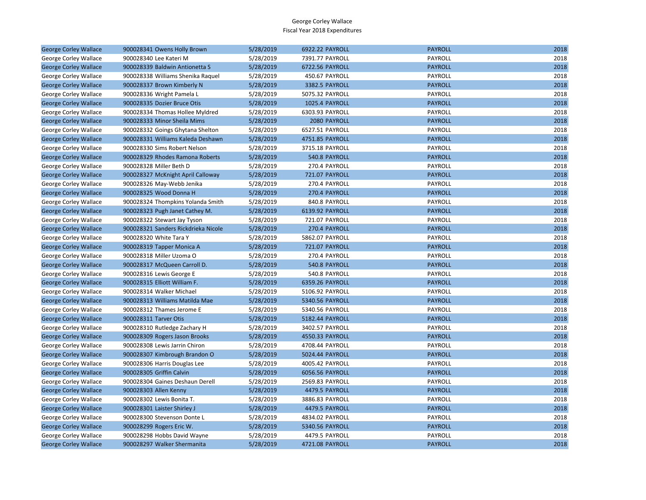| <b>George Corley Wallace</b> | 900028341 Owens Holly Brown         | 5/28/2019 | 6922.22 PAYROLL       | <b>PAYROLL</b> | 2018 |
|------------------------------|-------------------------------------|-----------|-----------------------|----------------|------|
| George Corley Wallace        | 900028340 Lee Kateri M              | 5/28/2019 | 7391.77 PAYROLL       | PAYROLL        | 2018 |
| <b>George Corley Wallace</b> | 900028339 Baldwin Antionetta S      | 5/28/2019 | 6722.56 PAYROLL       | <b>PAYROLL</b> | 2018 |
| George Corley Wallace        | 900028338 Williams Shenika Raquel   | 5/28/2019 | 450.67 PAYROLL        | PAYROLL        | 2018 |
| <b>George Corley Wallace</b> | 900028337 Brown Kimberly N          | 5/28/2019 | 3382.5 PAYROLL        | <b>PAYROLL</b> | 2018 |
| George Corley Wallace        | 900028336 Wright Pamela L           | 5/28/2019 | 5075.32 PAYROLL       | PAYROLL        | 2018 |
| <b>George Corley Wallace</b> | 900028335 Dozier Bruce Otis         | 5/28/2019 | 1025.4 PAYROLL        | <b>PAYROLL</b> | 2018 |
| George Corley Wallace        | 900028334 Thomas Hollee Myldred     | 5/28/2019 | 6303.93 PAYROLL       | <b>PAYROLL</b> | 2018 |
| <b>George Corley Wallace</b> | 900028333 Minor Sheila Mims         | 5/28/2019 | 2080 PAYROLL          | <b>PAYROLL</b> | 2018 |
| George Corley Wallace        | 900028332 Goings Ghytana Shelton    | 5/28/2019 | 6527.51 PAYROLL       | PAYROLL        | 2018 |
| <b>George Corley Wallace</b> | 900028331 Williams Kaleda Deshawn   | 5/28/2019 | 4751.85 PAYROLL       | <b>PAYROLL</b> | 2018 |
| George Corley Wallace        | 900028330 Sims Robert Nelson        | 5/28/2019 | 3715.18 PAYROLL       | PAYROLL        | 2018 |
| <b>George Corley Wallace</b> | 900028329 Rhodes Ramona Roberts     | 5/28/2019 | 540.8 PAYROLL         | <b>PAYROLL</b> | 2018 |
| George Corley Wallace        | 900028328 Miller Beth D             | 5/28/2019 | 270.4 PAYROLL         | PAYROLL        | 2018 |
| <b>George Corley Wallace</b> | 900028327 McKnight April Calloway   | 5/28/2019 | 721.07 PAYROLL        | <b>PAYROLL</b> | 2018 |
| George Corley Wallace        | 900028326 May-Webb Jenika           | 5/28/2019 | 270.4 PAYROLL         | PAYROLL        | 2018 |
| <b>George Corley Wallace</b> | 900028325 Wood Donna H              | 5/28/2019 | 270.4 PAYROLL         | <b>PAYROLL</b> | 2018 |
| George Corley Wallace        | 900028324 Thompkins Yolanda Smith   | 5/28/2019 | 840.8 PAYROLL         | PAYROLL        | 2018 |
| <b>George Corley Wallace</b> | 900028323 Pugh Janet Cathey M.      | 5/28/2019 | 6139.92 PAYROLL       | <b>PAYROLL</b> | 2018 |
| George Corley Wallace        | 900028322 Stewart Jay Tyson         | 5/28/2019 | 721.07 PAYROLL        | PAYROLL        | 2018 |
| <b>George Corley Wallace</b> | 900028321 Sanders Rickdrieka Nicole | 5/28/2019 | 270.4 PAYROLL         | <b>PAYROLL</b> | 2018 |
| George Corley Wallace        | 900028320 White Tara Y              | 5/28/2019 | 5862.07 PAYROLL       | PAYROLL        | 2018 |
| <b>George Corley Wallace</b> | 900028319 Tapper Monica A           | 5/28/2019 | <b>721.07 PAYROLL</b> | <b>PAYROLL</b> | 2018 |
| George Corley Wallace        | 900028318 Miller Uzoma O            | 5/28/2019 | 270.4 PAYROLL         | PAYROLL        | 2018 |
| <b>George Corley Wallace</b> | 900028317 McQueen Carroll D.        | 5/28/2019 | 540.8 PAYROLL         | <b>PAYROLL</b> | 2018 |
| George Corley Wallace        | 900028316 Lewis George E            | 5/28/2019 | 540.8 PAYROLL         | PAYROLL        | 2018 |
| <b>George Corley Wallace</b> | 900028315 Elliott William F.        | 5/28/2019 | 6359.26 PAYROLL       | <b>PAYROLL</b> | 2018 |
| George Corley Wallace        | 900028314 Walker Michael            | 5/28/2019 | 5106.92 PAYROLL       | PAYROLL        | 2018 |
| <b>George Corley Wallace</b> | 900028313 Williams Matilda Mae      | 5/28/2019 | 5340.56 PAYROLL       | <b>PAYROLL</b> | 2018 |
| George Corley Wallace        | 900028312 Thames Jerome E           | 5/28/2019 | 5340.56 PAYROLL       | PAYROLL        | 2018 |
| <b>George Corley Wallace</b> | 900028311 Tarver Otis               | 5/28/2019 | 5182.44 PAYROLL       | <b>PAYROLL</b> | 2018 |
| George Corley Wallace        | 900028310 Rutledge Zachary H        | 5/28/2019 | 3402.57 PAYROLL       | PAYROLL        | 2018 |
| <b>George Corley Wallace</b> | 900028309 Rogers Jason Brooks       | 5/28/2019 | 4550.33 PAYROLL       | <b>PAYROLL</b> | 2018 |
| George Corley Wallace        | 900028308 Lewis Jarrin Chiron       | 5/28/2019 | 4708.44 PAYROLL       | PAYROLL        | 2018 |
| <b>George Corley Wallace</b> | 900028307 Kimbrough Brandon O       | 5/28/2019 | 5024.44 PAYROLL       | <b>PAYROLL</b> | 2018 |
| George Corley Wallace        | 900028306 Harris Douglas Lee        | 5/28/2019 | 4005.42 PAYROLL       | PAYROLL        | 2018 |
| <b>George Corley Wallace</b> | 900028305 Griffin Calvin            | 5/28/2019 | 6056.56 PAYROLL       | <b>PAYROLL</b> | 2018 |
| George Corley Wallace        | 900028304 Gaines Deshaun Derell     | 5/28/2019 | 2569.83 PAYROLL       | PAYROLL        | 2018 |
| <b>George Corley Wallace</b> | 900028303 Allen Kenny               | 5/28/2019 | 4479.5 PAYROLL        | <b>PAYROLL</b> | 2018 |
| George Corley Wallace        | 900028302 Lewis Bonita T.           | 5/28/2019 | 3886.83 PAYROLL       | PAYROLL        | 2018 |
| <b>George Corley Wallace</b> | 900028301 Laister Shirley J         | 5/28/2019 | 4479.5 PAYROLL        | <b>PAYROLL</b> | 2018 |
| George Corley Wallace        | 900028300 Stevenson Donte L         | 5/28/2019 | 4834.02 PAYROLL       | PAYROLL        | 2018 |
| <b>George Corley Wallace</b> | 900028299 Rogers Eric W.            | 5/28/2019 | 5340.56 PAYROLL       | <b>PAYROLL</b> | 2018 |
| George Corley Wallace        | 900028298 Hobbs David Wayne         | 5/28/2019 | 4479.5 PAYROLL        | PAYROLL        | 2018 |
| <b>George Corley Wallace</b> | 900028297 Walker Shermanita         | 5/28/2019 | 4721.08 PAYROLL       | <b>PAYROLL</b> | 2018 |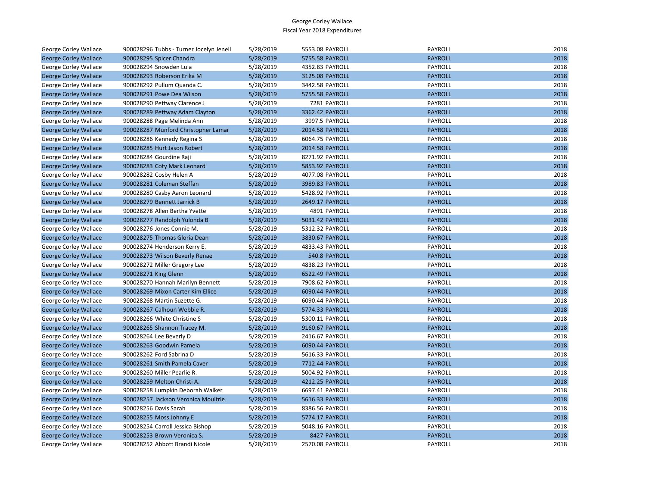| George Corley Wallace        | 900028296 Tubbs - Turner Jocelyn Jenell | 5/28/2019 | 5553.08 PAYROLL | PAYROLL        | 2018 |
|------------------------------|-----------------------------------------|-----------|-----------------|----------------|------|
| <b>George Corley Wallace</b> | 900028295 Spicer Chandra                | 5/28/2019 | 5755.58 PAYROLL | <b>PAYROLL</b> | 2018 |
| George Corley Wallace        | 900028294 Snowden Lula                  | 5/28/2019 | 4352.83 PAYROLL | <b>PAYROLL</b> | 2018 |
| <b>George Corley Wallace</b> | 900028293 Roberson Erika M              | 5/28/2019 | 3125.08 PAYROLL | <b>PAYROLL</b> | 2018 |
| George Corley Wallace        | 900028292 Pullum Quanda C.              | 5/28/2019 | 3442.58 PAYROLL | PAYROLL        | 2018 |
| <b>George Corley Wallace</b> | 900028291 Powe Dea Wilson               | 5/28/2019 | 5755.58 PAYROLL | <b>PAYROLL</b> | 2018 |
| George Corley Wallace        | 900028290 Pettway Clarence J            | 5/28/2019 | 7281 PAYROLL    | PAYROLL        | 2018 |
| <b>George Corley Wallace</b> | 900028289 Pettway Adam Clayton          | 5/28/2019 | 3362.42 PAYROLL | <b>PAYROLL</b> | 2018 |
| George Corley Wallace        | 900028288 Page Melinda Ann              | 5/28/2019 | 3997.5 PAYROLL  | PAYROLL        | 2018 |
| <b>George Corley Wallace</b> | 900028287 Munford Christopher Lamar     | 5/28/2019 | 2014.58 PAYROLL | <b>PAYROLL</b> | 2018 |
| George Corley Wallace        | 900028286 Kennedy Regina S              | 5/28/2019 | 6064.75 PAYROLL | PAYROLL        | 2018 |
| <b>George Corley Wallace</b> | 900028285 Hurt Jason Robert             | 5/28/2019 | 2014.58 PAYROLL | <b>PAYROLL</b> | 2018 |
| George Corley Wallace        | 900028284 Gourdine Raji                 | 5/28/2019 | 8271.92 PAYROLL | PAYROLL        | 2018 |
| <b>George Corley Wallace</b> | 900028283 Coty Mark Leonard             | 5/28/2019 | 5853.92 PAYROLL | <b>PAYROLL</b> | 2018 |
| George Corley Wallace        | 900028282 Cosby Helen A                 | 5/28/2019 | 4077.08 PAYROLL | PAYROLL        | 2018 |
| <b>George Corley Wallace</b> | 900028281 Coleman Steffan               | 5/28/2019 | 3989.83 PAYROLL | <b>PAYROLL</b> | 2018 |
| George Corley Wallace        | 900028280 Casby Aaron Leonard           | 5/28/2019 | 5428.92 PAYROLL | PAYROLL        | 2018 |
| <b>George Corley Wallace</b> | 900028279 Bennett Jarrick B             | 5/28/2019 | 2649.17 PAYROLL | <b>PAYROLL</b> | 2018 |
| George Corley Wallace        | 900028278 Allen Bertha Yvette           | 5/28/2019 | 4891 PAYROLL    | PAYROLL        | 2018 |
| <b>George Corley Wallace</b> | 900028277 Randolph Yulonda B            | 5/28/2019 | 5031.42 PAYROLL | <b>PAYROLL</b> | 2018 |
| George Corley Wallace        | 900028276 Jones Connie M.               | 5/28/2019 | 5312.32 PAYROLL | PAYROLL        | 2018 |
| <b>George Corley Wallace</b> | 900028275 Thomas Gloria Dean            | 5/28/2019 | 3830.67 PAYROLL | <b>PAYROLL</b> | 2018 |
| George Corley Wallace        | 900028274 Henderson Kerry E.            | 5/28/2019 | 4833.43 PAYROLL | PAYROLL        | 2018 |
| <b>George Corley Wallace</b> | 900028273 Wilson Beverly Renae          | 5/28/2019 | 540.8 PAYROLL   | <b>PAYROLL</b> | 2018 |
| George Corley Wallace        | 900028272 Miller Gregory Lee            | 5/28/2019 | 4838.23 PAYROLL | PAYROLL        | 2018 |
| <b>George Corley Wallace</b> | 900028271 King Glenn                    | 5/28/2019 | 6522.49 PAYROLL | <b>PAYROLL</b> | 2018 |
| George Corley Wallace        | 900028270 Hannah Marilyn Bennett        | 5/28/2019 | 7908.62 PAYROLL | <b>PAYROLL</b> | 2018 |
| <b>George Corley Wallace</b> | 900028269 Mixon Carter Kim Ellice       | 5/28/2019 | 6090.44 PAYROLL | <b>PAYROLL</b> | 2018 |
| George Corley Wallace        | 900028268 Martin Suzette G.             | 5/28/2019 | 6090.44 PAYROLL | PAYROLL        | 2018 |
| <b>George Corley Wallace</b> | 900028267 Calhoun Webbie R.             | 5/28/2019 | 5774.33 PAYROLL | <b>PAYROLL</b> | 2018 |
| George Corley Wallace        | 900028266 White Christine S             | 5/28/2019 | 5300.11 PAYROLL | PAYROLL        | 2018 |
| <b>George Corley Wallace</b> | 900028265 Shannon Tracey M.             | 5/28/2019 | 9160.67 PAYROLL | <b>PAYROLL</b> | 2018 |
| George Corley Wallace        | 900028264 Lee Beverly D                 | 5/28/2019 | 2416.67 PAYROLL | PAYROLL        | 2018 |
| <b>George Corley Wallace</b> | 900028263 Goodwin Pamela                | 5/28/2019 | 6090.44 PAYROLL | <b>PAYROLL</b> | 2018 |
| George Corley Wallace        | 900028262 Ford Sabrina D                | 5/28/2019 | 5616.33 PAYROLL | PAYROLL        | 2018 |
| <b>George Corley Wallace</b> | 900028261 Smith Pamela Caver            | 5/28/2019 | 7712.44 PAYROLL | <b>PAYROLL</b> | 2018 |
| George Corley Wallace        | 900028260 Miller Pearlie R.             | 5/28/2019 | 5004.92 PAYROLL | PAYROLL        | 2018 |
| <b>George Corley Wallace</b> | 900028259 Melton Christi A.             | 5/28/2019 | 4212.25 PAYROLL | <b>PAYROLL</b> | 2018 |
| George Corley Wallace        | 900028258 Lumpkin Deborah Walker        | 5/28/2019 | 6697.41 PAYROLL | PAYROLL        | 2018 |
| <b>George Corley Wallace</b> | 900028257 Jackson Veronica Moultrie     | 5/28/2019 | 5616.33 PAYROLL | <b>PAYROLL</b> | 2018 |
| George Corley Wallace        | 900028256 Davis Sarah                   | 5/28/2019 | 8386.56 PAYROLL | PAYROLL        | 2018 |
| <b>George Corley Wallace</b> | 900028255 Moss Johnny E                 | 5/28/2019 | 5774.17 PAYROLL | <b>PAYROLL</b> | 2018 |
| George Corley Wallace        | 900028254 Carroll Jessica Bishop        | 5/28/2019 | 5048.16 PAYROLL | PAYROLL        | 2018 |
| <b>George Corley Wallace</b> | 900028253 Brown Veronica S.             | 5/28/2019 | 8427 PAYROLL    | <b>PAYROLL</b> | 2018 |
| George Corley Wallace        | 900028252 Abbott Brandi Nicole          | 5/28/2019 | 2570.08 PAYROLL | PAYROLL        | 2018 |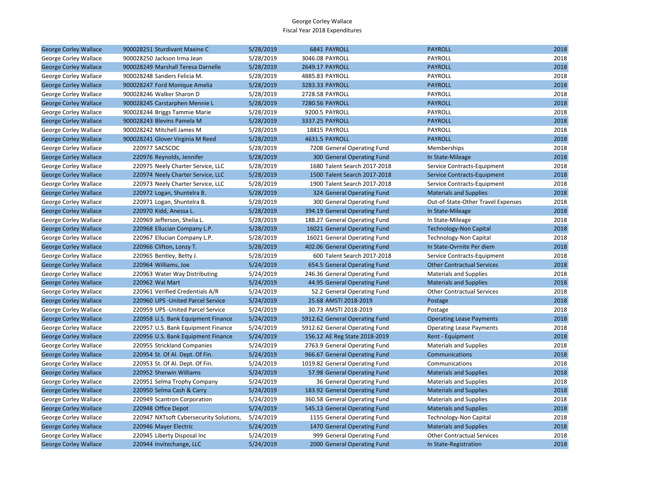| <b>George Corley Wallace</b> | 900028251 Sturdivant Maxine C           | 5/28/2019 | 6841 PAYROLL                   | <b>PAYROLL</b>                     | 2018 |
|------------------------------|-----------------------------------------|-----------|--------------------------------|------------------------------------|------|
| George Corley Wallace        | 900028250 Jackson Irma Jean             | 5/28/2019 | 3046.08 PAYROLL                | PAYROLL                            | 2018 |
| <b>George Corley Wallace</b> | 900028249 Marshall Teresa Darnelle      | 5/28/2019 | 2649.17 PAYROLL                | <b>PAYROLL</b>                     | 2018 |
| George Corley Wallace        | 900028248 Sanders Felicia M.            | 5/28/2019 | 4885.83 PAYROLL                | PAYROLL                            | 2018 |
| <b>George Corley Wallace</b> | 900028247 Ford Monique Amelia           | 5/28/2019 | 3283.33 PAYROLL                | <b>PAYROLL</b>                     | 2018 |
| George Corley Wallace        | 900028246 Walker Sharon D               | 5/28/2019 | 2728.58 PAYROLL                | PAYROLL                            | 2018 |
| <b>George Corley Wallace</b> | 900028245 Carstarphen Mennie L          | 5/28/2019 | 7280.56 PAYROLL                | <b>PAYROLL</b>                     | 2018 |
| George Corley Wallace        | 900028244 Briggs Tammie Marie           | 5/28/2019 | 9200.5 PAYROLL                 | <b>PAYROLL</b>                     | 2018 |
| <b>George Corley Wallace</b> | 900028243 Blevins Pamela M              | 5/28/2019 | 3337.25 PAYROLL                | <b>PAYROLL</b>                     | 2018 |
| George Corley Wallace        | 900028242 Mitchell James M              | 5/28/2019 | 18815 PAYROLL                  | PAYROLL                            | 2018 |
| <b>George Corley Wallace</b> | 900028241 Glover Virginia M Reed        | 5/28/2019 | 4631.5 PAYROLL                 | <b>PAYROLL</b>                     | 2018 |
| George Corley Wallace        | 220977 SACSCOC                          | 5/28/2019 | 7208 General Operating Fund    | Memberships                        | 2018 |
| <b>George Corley Wallace</b> | 220976 Reynolds, Jennifer               | 5/28/2019 | 300 General Operating Fund     | In State-Mileage                   | 2018 |
| George Corley Wallace        | 220975 Neely Charter Service, LLC       | 5/28/2019 | 1680 Talent Search 2017-2018   | Service Contracts-Equipment        | 2018 |
| <b>George Corley Wallace</b> | 220974 Neely Charter Service, LLC       | 5/28/2019 | 1500 Talent Search 2017-2018   | Service Contracts-Equipment        | 2018 |
| George Corley Wallace        | 220973 Neely Charter Service, LLC       | 5/28/2019 | 1900 Talent Search 2017-2018   | Service Contracts-Equipment        | 2018 |
| <b>George Corley Wallace</b> | 220972 Logan, Shuntelra B.              | 5/28/2019 | 324 General Operating Fund     | <b>Materials and Supplies</b>      | 2018 |
| George Corley Wallace        | 220971 Logan, Shuntelra B.              | 5/28/2019 | 300 General Operating Fund     | Out-of-State-Other Travel Expenses | 2018 |
| <b>George Corley Wallace</b> | 220970 Kidd, Anessa L.                  | 5/28/2019 | 394.19 General Operating Fund  | In State-Mileage                   | 2018 |
| George Corley Wallace        | 220969 Jefferson, Shelia L.             | 5/28/2019 | 188.27 General Operating Fund  | In State-Mileage                   | 2018 |
| <b>George Corley Wallace</b> | 220968 Ellucian Company L.P.            | 5/28/2019 | 16021 General Operating Fund   | <b>Technology-Non Capital</b>      | 2018 |
| George Corley Wallace        | 220967 Ellucian Company L.P.            | 5/28/2019 | 16021 General Operating Fund   | Technology-Non Capital             | 2018 |
| <b>George Corley Wallace</b> | 220966 Clifton, Lonzy T.                | 5/28/2019 | 402.06 General Operating Fund  | In State-Ovrnite Per diem          | 2018 |
| George Corley Wallace        | 220965 Bentley, Betty J.                | 5/28/2019 | 600 Talent Search 2017-2018    | Service Contracts-Equipment        | 2018 |
| <b>George Corley Wallace</b> | 220964 Williams, Joe                    | 5/24/2019 | 654.5 General Operating Fund   | <b>Other Contractual Services</b>  | 2018 |
| George Corley Wallace        | 220963 Water Way Distributing           | 5/24/2019 | 246.36 General Operating Fund  | <b>Materials and Supplies</b>      | 2018 |
| <b>George Corley Wallace</b> | 220962 Wal Mart                         | 5/24/2019 | 44.95 General Operating Fund   | <b>Materials and Supplies</b>      | 2018 |
| George Corley Wallace        | 220961 Verified Credentials A/R         | 5/24/2019 | 52.2 General Operating Fund    | <b>Other Contractual Services</b>  | 2018 |
| <b>George Corley Wallace</b> | 220960 UPS - United Parcel Service      | 5/24/2019 | 25.68 AMSTI 2018-2019          | Postage                            | 2018 |
| George Corley Wallace        | 220959 UPS - United Parcel Service      | 5/24/2019 | 30.73 AMSTI 2018-2019          | Postage                            | 2018 |
| <b>George Corley Wallace</b> | 220958 U.S. Bank Equipment Finance      | 5/24/2019 | 5912.62 General Operating Fund | <b>Operating Lease Payments</b>    | 2018 |
| George Corley Wallace        | 220957 U.S. Bank Equipment Finance      | 5/24/2019 | 5912.62 General Operating Fund | <b>Operating Lease Payments</b>    | 2018 |
| <b>George Corley Wallace</b> | 220956 U.S. Bank Equipment Finance      | 5/24/2019 | 156.12 AE Reg State 2018-2019  | Rent - Equipment                   | 2018 |
| George Corley Wallace        | 220955 Strickland Companies             | 5/24/2019 | 2763.9 General Operating Fund  | <b>Materials and Supplies</b>      | 2018 |
| <b>George Corley Wallace</b> | 220954 St. Of Al. Dept. Of Fin.         | 5/24/2019 | 966.67 General Operating Fund  | Communications                     | 2018 |
| George Corley Wallace        | 220953 St. Of Al. Dept. Of Fin.         | 5/24/2019 | 1019.82 General Operating Fund | Communications                     | 2018 |
| <b>George Corley Wallace</b> | 220952 Sherwin Williams                 | 5/24/2019 | 57.98 General Operating Fund   | <b>Materials and Supplies</b>      | 2018 |
| George Corley Wallace        | 220951 Selma Trophy Company             | 5/24/2019 | 36 General Operating Fund      | <b>Materials and Supplies</b>      | 2018 |
| <b>George Corley Wallace</b> | 220950 Selma Cash & Carry               | 5/24/2019 | 183.92 General Operating Fund  | <b>Materials and Supplies</b>      | 2018 |
| George Corley Wallace        | 220949 Scantron Corporation             | 5/24/2019 | 360.58 General Operating Fund  | <b>Materials and Supplies</b>      | 2018 |
| <b>George Corley Wallace</b> | 220948 Office Depot                     | 5/24/2019 | 545.13 General Operating Fund  | <b>Materials and Supplies</b>      | 2018 |
| George Corley Wallace        | 220947 NXTsoft Cybersecurity Solutions, | 5/24/2019 | 1155 General Operating Fund    | <b>Technology-Non Capital</b>      | 2018 |
| <b>George Corley Wallace</b> | 220946 Mayer Electric                   | 5/24/2019 | 1470 General Operating Fund    | <b>Materials and Supplies</b>      | 2018 |
| George Corley Wallace        | 220945 Liberty Disposal Inc             | 5/24/2019 | 999 General Operating Fund     | <b>Other Contractual Services</b>  | 2018 |
| <b>George Corley Wallace</b> | 220944 Invitechange, LLC                | 5/24/2019 | 2000 General Operating Fund    | In State-Registration              | 2018 |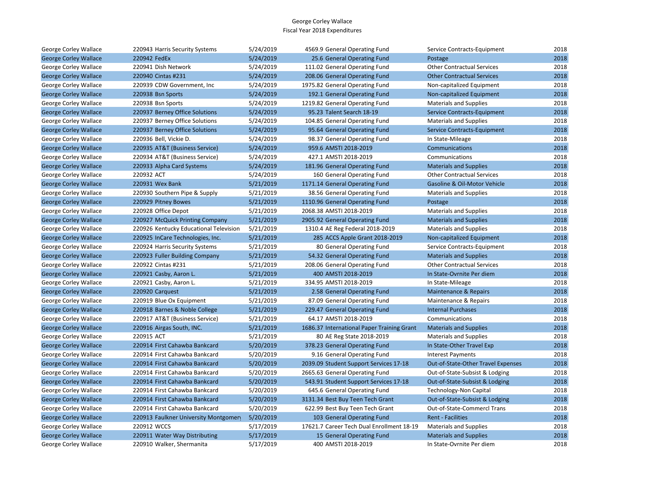| George Corley Wallace        | 220943 Harris Security Systems         | 5/24/2019 | 4569.9 General Operating Fund              | Service Contracts-Equipment        | 2018 |
|------------------------------|----------------------------------------|-----------|--------------------------------------------|------------------------------------|------|
| <b>George Corley Wallace</b> | 220942 FedEx                           | 5/24/2019 | 25.6 General Operating Fund                | Postage                            | 2018 |
| George Corley Wallace        | 220941 Dish Network                    | 5/24/2019 | 111.02 General Operating Fund              | <b>Other Contractual Services</b>  | 2018 |
| <b>George Corley Wallace</b> | 220940 Cintas #231                     | 5/24/2019 | 208.06 General Operating Fund              | <b>Other Contractual Services</b>  | 2018 |
| George Corley Wallace        | 220939 CDW Government, Inc             | 5/24/2019 | 1975.82 General Operating Fund             | Non-capitalized Equipment          | 2018 |
| <b>George Corley Wallace</b> | 220938 Bsn Sports                      | 5/24/2019 | 192.1 General Operating Fund               | Non-capitalized Equipment          | 2018 |
| George Corley Wallace        | 220938 Bsn Sports                      | 5/24/2019 | 1219.82 General Operating Fund             | <b>Materials and Supplies</b>      | 2018 |
| <b>George Corley Wallace</b> | 220937 Berney Office Solutions         | 5/24/2019 | 95.23 Talent Search 18-19                  | Service Contracts-Equipment        | 2018 |
| George Corley Wallace        | 220937 Berney Office Solutions         | 5/24/2019 | 104.85 General Operating Fund              | <b>Materials and Supplies</b>      | 2018 |
| <b>George Corley Wallace</b> | 220937 Berney Office Solutions         | 5/24/2019 | 95.64 General Operating Fund               | Service Contracts-Equipment        | 2018 |
| George Corley Wallace        | 220936 Bell, Vickie D.                 | 5/24/2019 | 98.37 General Operating Fund               | In State-Mileage                   | 2018 |
| <b>George Corley Wallace</b> | 220935 AT&T (Business Service)         | 5/24/2019 | 959.6 AMSTI 2018-2019                      | Communications                     | 2018 |
| George Corley Wallace        | 220934 AT&T (Business Service)         | 5/24/2019 | 427.1 AMSTI 2018-2019                      | Communications                     | 2018 |
| <b>George Corley Wallace</b> | 220933 Alpha Card Systems              | 5/24/2019 | 181.96 General Operating Fund              | <b>Materials and Supplies</b>      | 2018 |
| George Corley Wallace        | 220932 ACT                             | 5/24/2019 | 160 General Operating Fund                 | <b>Other Contractual Services</b>  | 2018 |
| <b>George Corley Wallace</b> | 220931 Wex Bank                        | 5/21/2019 | 1171.14 General Operating Fund             | Gasoline & Oil-Motor Vehicle       | 2018 |
| George Corley Wallace        | 220930 Southern Pipe & Supply          | 5/21/2019 | 38.56 General Operating Fund               | <b>Materials and Supplies</b>      | 2018 |
| <b>George Corley Wallace</b> | 220929 Pitney Bowes                    | 5/21/2019 | 1110.96 General Operating Fund             | Postage                            | 2018 |
| George Corley Wallace        | 220928 Office Depot                    | 5/21/2019 | 2068.38 AMSTI 2018-2019                    | <b>Materials and Supplies</b>      | 2018 |
| <b>George Corley Wallace</b> | 220927 McQuick Printing Company        | 5/21/2019 | 2905.92 General Operating Fund             | <b>Materials and Supplies</b>      | 2018 |
| George Corley Wallace        | 220926 Kentucky Educational Television | 5/21/2019 | 1310.4 AE Reg Federal 2018-2019            | <b>Materials and Supplies</b>      | 2018 |
| <b>George Corley Wallace</b> | 220925 InCare Technologies, Inc.       | 5/21/2019 | 285 ACCS Apple Grant 2018-2019             | Non-capitalized Equipment          | 2018 |
| George Corley Wallace        | 220924 Harris Security Systems         | 5/21/2019 | 80 General Operating Fund                  | Service Contracts-Equipment        | 2018 |
| <b>George Corley Wallace</b> | 220923 Fuller Building Company         | 5/21/2019 | 54.32 General Operating Fund               | <b>Materials and Supplies</b>      | 2018 |
| George Corley Wallace        | 220922 Cintas #231                     | 5/21/2019 | 208.06 General Operating Fund              | <b>Other Contractual Services</b>  | 2018 |
| <b>George Corley Wallace</b> | 220921 Casby, Aaron L.                 | 5/21/2019 | 400 AMSTI 2018-2019                        | In State-Ovrnite Per diem          | 2018 |
| George Corley Wallace        | 220921 Casby, Aaron L.                 | 5/21/2019 | 334.95 AMSTI 2018-2019                     | In State-Mileage                   | 2018 |
| <b>George Corley Wallace</b> | 220920 Carquest                        | 5/21/2019 | 2.58 General Operating Fund                | Maintenance & Repairs              | 2018 |
| George Corley Wallace        | 220919 Blue Ox Equipment               | 5/21/2019 | 87.09 General Operating Fund               | Maintenance & Repairs              | 2018 |
| <b>George Corley Wallace</b> | 220918 Barnes & Noble College          | 5/21/2019 | 229.47 General Operating Fund              | <b>Internal Purchases</b>          | 2018 |
| George Corley Wallace        | 220917 AT&T (Business Service)         | 5/21/2019 | 64.17 AMSTI 2018-2019                      | Communications                     | 2018 |
| <b>George Corley Wallace</b> | 220916 Airgas South, INC.              | 5/21/2019 | 1686.37 International Paper Training Grant | <b>Materials and Supplies</b>      | 2018 |
| George Corley Wallace        | 220915 ACT                             | 5/21/2019 | 80 AE Reg State 2018-2019                  | <b>Materials and Supplies</b>      | 2018 |
| <b>George Corley Wallace</b> | 220914 First Cahawba Bankcard          | 5/20/2019 | 378.23 General Operating Fund              | In State-Other Travel Exp          | 2018 |
| George Corley Wallace        | 220914 First Cahawba Bankcard          | 5/20/2019 | 9.16 General Operating Fund                | <b>Interest Payments</b>           | 2018 |
| <b>George Corley Wallace</b> | 220914 First Cahawba Bankcard          | 5/20/2019 | 2039.09 Student Support Services 17-18     | Out-of-State-Other Travel Expenses | 2018 |
| George Corley Wallace        | 220914 First Cahawba Bankcard          | 5/20/2019 | 2665.63 General Operating Fund             | Out-of-State-Subsist & Lodging     | 2018 |
| <b>George Corley Wallace</b> | 220914 First Cahawba Bankcard          | 5/20/2019 | 543.91 Student Support Services 17-18      | Out-of-State-Subsist & Lodging     | 2018 |
| George Corley Wallace        | 220914 First Cahawba Bankcard          | 5/20/2019 | 645.6 General Operating Fund               | Technology-Non Capital             | 2018 |
| <b>George Corley Wallace</b> | 220914 First Cahawba Bankcard          | 5/20/2019 | 3131.34 Best Buy Teen Tech Grant           | Out-of-State-Subsist & Lodging     | 2018 |
| George Corley Wallace        | 220914 First Cahawba Bankcard          | 5/20/2019 | 622.99 Best Buy Teen Tech Grant            | Out-of-State-Commercl Trans        | 2018 |
| <b>George Corley Wallace</b> | 220913 Faulkner University Montgomer   | 5/20/2019 | 103 General Operating Fund                 | <b>Rent - Facilities</b>           | 2018 |
| George Corley Wallace        | 220912 WCCS                            | 5/17/2019 | 17621.7 Career Tech Dual Enrollment 18-19  | <b>Materials and Supplies</b>      | 2018 |
| <b>George Corley Wallace</b> | 220911 Water Way Distributing          | 5/17/2019 | 15 General Operating Fund                  | <b>Materials and Supplies</b>      | 2018 |
| George Corley Wallace        | 220910 Walker, Shermanita              | 5/17/2019 | 400 AMSTI 2018-2019                        | In State-Ovrnite Per diem          | 2018 |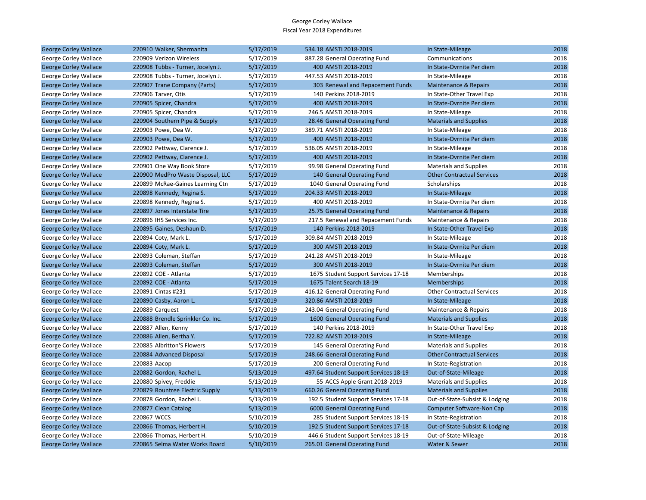| <b>George Corley Wallace</b> | 220910 Walker, Shermanita         | 5/17/2019 | 534.18 AMSTI 2018-2019                | In State-Mileage                  | 2018 |
|------------------------------|-----------------------------------|-----------|---------------------------------------|-----------------------------------|------|
| George Corley Wallace        | 220909 Verizon Wireless           | 5/17/2019 | 887.28 General Operating Fund         | Communications                    | 2018 |
| <b>George Corley Wallace</b> | 220908 Tubbs - Turner, Jocelyn J. | 5/17/2019 | 400 AMSTI 2018-2019                   | In State-Ovrnite Per diem         | 2018 |
| George Corley Wallace        | 220908 Tubbs - Turner, Jocelyn J. | 5/17/2019 | 447.53 AMSTI 2018-2019                | In State-Mileage                  | 2018 |
| <b>George Corley Wallace</b> | 220907 Trane Company (Parts)      | 5/17/2019 | 303 Renewal and Repacement Funds      | Maintenance & Repairs             | 2018 |
| George Corley Wallace        | 220906 Tarver, Otis               | 5/17/2019 | 140 Perkins 2018-2019                 | In State-Other Travel Exp         | 2018 |
| <b>George Corley Wallace</b> | 220905 Spicer, Chandra            | 5/17/2019 | 400 AMSTI 2018-2019                   | In State-Ovrnite Per diem         | 2018 |
| George Corley Wallace        | 220905 Spicer, Chandra            | 5/17/2019 | 246.5 AMSTI 2018-2019                 | In State-Mileage                  | 2018 |
| <b>George Corley Wallace</b> | 220904 Southern Pipe & Supply     | 5/17/2019 | 28.46 General Operating Fund          | <b>Materials and Supplies</b>     | 2018 |
| George Corley Wallace        | 220903 Powe, Dea W.               | 5/17/2019 | 389.71 AMSTI 2018-2019                | In State-Mileage                  | 2018 |
| <b>George Corley Wallace</b> | 220903 Powe, Dea W.               | 5/17/2019 | 400 AMSTI 2018-2019                   | In State-Ovrnite Per diem         | 2018 |
| George Corley Wallace        | 220902 Pettway, Clarence J.       | 5/17/2019 | 536.05 AMSTI 2018-2019                | In State-Mileage                  | 2018 |
| <b>George Corley Wallace</b> | 220902 Pettway, Clarence J.       | 5/17/2019 | 400 AMSTI 2018-2019                   | In State-Ovrnite Per diem         | 2018 |
| George Corley Wallace        | 220901 One Way Book Store         | 5/17/2019 | 99.98 General Operating Fund          | <b>Materials and Supplies</b>     | 2018 |
| <b>George Corley Wallace</b> | 220900 MedPro Waste Disposal, LLC | 5/17/2019 | 140 General Operating Fund            | <b>Other Contractual Services</b> | 2018 |
| George Corley Wallace        | 220899 McRae-Gaines Learning Ctn  | 5/17/2019 | 1040 General Operating Fund           | Scholarships                      | 2018 |
| <b>George Corley Wallace</b> | 220898 Kennedy, Regina S.         | 5/17/2019 | 204.33 AMSTI 2018-2019                | In State-Mileage                  | 2018 |
| George Corley Wallace        | 220898 Kennedy, Regina S.         | 5/17/2019 | 400 AMSTI 2018-2019                   | In State-Ovrnite Per diem         | 2018 |
| <b>George Corley Wallace</b> | 220897 Jones Interstate Tire      | 5/17/2019 | 25.75 General Operating Fund          | Maintenance & Repairs             | 2018 |
| George Corley Wallace        | 220896 IHS Services Inc.          | 5/17/2019 | 217.5 Renewal and Repacement Funds    | Maintenance & Repairs             | 2018 |
| <b>George Corley Wallace</b> | 220895 Gaines, Deshaun D.         | 5/17/2019 | 140 Perkins 2018-2019                 | In State-Other Travel Exp         | 2018 |
| George Corley Wallace        | 220894 Coty, Mark L.              | 5/17/2019 | 309.84 AMSTI 2018-2019                | In State-Mileage                  | 2018 |
| <b>George Corley Wallace</b> | 220894 Coty, Mark L.              | 5/17/2019 | 300 AMSTI 2018-2019                   | In State-Ovrnite Per diem         | 2018 |
| George Corley Wallace        | 220893 Coleman, Steffan           | 5/17/2019 | 241.28 AMSTI 2018-2019                | In State-Mileage                  | 2018 |
| <b>George Corley Wallace</b> | 220893 Coleman, Steffan           | 5/17/2019 | 300 AMSTI 2018-2019                   | In State-Ovrnite Per diem         | 2018 |
| George Corley Wallace        | 220892 COE - Atlanta              | 5/17/2019 | 1675 Student Support Services 17-18   | Memberships                       | 2018 |
| <b>George Corley Wallace</b> | 220892 COE - Atlanta              | 5/17/2019 | 1675 Talent Search 18-19              | <b>Memberships</b>                | 2018 |
| George Corley Wallace        | 220891 Cintas #231                | 5/17/2019 | 416.12 General Operating Fund         | <b>Other Contractual Services</b> | 2018 |
| <b>George Corley Wallace</b> | 220890 Casby, Aaron L.            | 5/17/2019 | 320.86 AMSTI 2018-2019                | In State-Mileage                  | 2018 |
| George Corley Wallace        | 220889 Carquest                   | 5/17/2019 | 243.04 General Operating Fund         | Maintenance & Repairs             | 2018 |
| <b>George Corley Wallace</b> | 220888 Brendle Sprinkler Co. Inc. | 5/17/2019 | 1600 General Operating Fund           | <b>Materials and Supplies</b>     | 2018 |
| George Corley Wallace        | 220887 Allen, Kenny               | 5/17/2019 | 140 Perkins 2018-2019                 | In State-Other Travel Exp         | 2018 |
| <b>George Corley Wallace</b> | 220886 Allen, Bertha Y.           | 5/17/2019 | 722.82 AMSTI 2018-2019                | In State-Mileage                  | 2018 |
| George Corley Wallace        | 220885 Albritton'S Flowers        | 5/17/2019 | 145 General Operating Fund            | <b>Materials and Supplies</b>     | 2018 |
| <b>George Corley Wallace</b> | 220884 Advanced Disposal          | 5/17/2019 | 248.66 General Operating Fund         | <b>Other Contractual Services</b> | 2018 |
| George Corley Wallace        | 220883 Aacop                      | 5/17/2019 | 200 General Operating Fund            | In State-Registration             | 2018 |
| <b>George Corley Wallace</b> | 220882 Gordon, Rachel L.          | 5/13/2019 | 497.64 Student Support Services 18-19 | Out-of-State-Mileage              | 2018 |
| George Corley Wallace        | 220880 Spivey, Freddie            | 5/13/2019 | 55 ACCS Apple Grant 2018-2019         | <b>Materials and Supplies</b>     | 2018 |
| <b>George Corley Wallace</b> | 220879 Rountree Electric Supply   | 5/13/2019 | 660.26 General Operating Fund         | <b>Materials and Supplies</b>     | 2018 |
| George Corley Wallace        | 220878 Gordon, Rachel L.          | 5/13/2019 | 192.5 Student Support Services 17-18  | Out-of-State-Subsist & Lodging    | 2018 |
| <b>George Corley Wallace</b> | 220877 Clean Catalog              | 5/13/2019 | 6000 General Operating Fund           | <b>Computer Software-Non Cap</b>  | 2018 |
| George Corley Wallace        | 220867 WCCS                       | 5/10/2019 | 285 Student Support Services 18-19    | In State-Registration             | 2018 |
| <b>George Corley Wallace</b> | 220866 Thomas, Herbert H.         | 5/10/2019 | 192.5 Student Support Services 17-18  | Out-of-State-Subsist & Lodging    | 2018 |
| George Corley Wallace        | 220866 Thomas, Herbert H.         | 5/10/2019 | 446.6 Student Support Services 18-19  | Out-of-State-Mileage              | 2018 |
| <b>George Corley Wallace</b> | 220865 Selma Water Works Board    | 5/10/2019 | 265.01 General Operating Fund         | Water & Sewer                     | 2018 |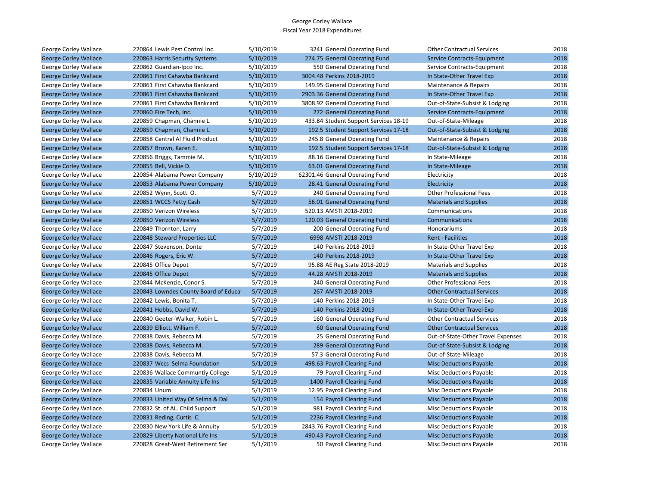| George Corley Wallace        | 220864 Lewis Pest Control Inc.       | 5/10/2019 | 3241 General Operating Fund           | <b>Other Contractual Services</b>  | 2018 |
|------------------------------|--------------------------------------|-----------|---------------------------------------|------------------------------------|------|
| <b>George Corley Wallace</b> | 220863 Harris Security Systems       | 5/10/2019 | 274.75 General Operating Fund         | Service Contracts-Equipment        | 2018 |
| George Corley Wallace        | 220862 Guardian-Ipco Inc.            | 5/10/2019 | 550 General Operating Fund            | Service Contracts-Equipment        | 2018 |
| <b>George Corley Wallace</b> | 220861 First Cahawba Bankcard        | 5/10/2019 | 3004.48 Perkins 2018-2019             | In State-Other Travel Exp          | 2018 |
| George Corley Wallace        | 220861 First Cahawba Bankcard        | 5/10/2019 | 149.95 General Operating Fund         | Maintenance & Repairs              | 2018 |
| <b>George Corley Wallace</b> | 220861 First Cahawba Bankcard        | 5/10/2019 | 2903.36 General Operating Fund        | In State-Other Travel Exp          | 2018 |
| George Corley Wallace        | 220861 First Cahawba Bankcard        | 5/10/2019 | 3808.92 General Operating Fund        | Out-of-State-Subsist & Lodging     | 2018 |
| <b>George Corley Wallace</b> | 220860 Fire Tech, Inc.               | 5/10/2019 | 272 General Operating Fund            | Service Contracts-Equipment        | 2018 |
| George Corley Wallace        | 220859 Chapman, Channie L.           | 5/10/2019 | 433.84 Student Support Services 18-19 | Out-of-State-Mileage               | 2018 |
| <b>George Corley Wallace</b> | 220859 Chapman, Channie L.           | 5/10/2019 | 192.5 Student Support Services 17-18  | Out-of-State-Subsist & Lodging     | 2018 |
| George Corley Wallace        | 220858 Central Al Fluid Product      | 5/10/2019 | 245.8 General Operating Fund          | Maintenance & Repairs              | 2018 |
| <b>George Corley Wallace</b> | 220857 Brown, Karen E.               | 5/10/2019 | 192.5 Student Support Services 17-18  | Out-of-State-Subsist & Lodging     | 2018 |
| George Corley Wallace        | 220856 Briggs, Tammie M.             | 5/10/2019 | 88.16 General Operating Fund          | In State-Mileage                   | 2018 |
| <b>George Corley Wallace</b> | 220855 Bell, Vickie D.               | 5/10/2019 | 63.01 General Operating Fund          | In State-Mileage                   | 2018 |
| George Corley Wallace        | 220854 Alabama Power Company         | 5/10/2019 | 62301.46 General Operating Fund       | Electricity                        | 2018 |
| <b>George Corley Wallace</b> | 220853 Alabama Power Company         | 5/10/2019 | 28.41 General Operating Fund          | Electricity                        | 2018 |
| George Corley Wallace        | 220852 Wynn, Scott O.                | 5/7/2019  | 240 General Operating Fund            | <b>Other Professional Fees</b>     | 2018 |
| <b>George Corley Wallace</b> | 220851 WCCS Petty Cash               | 5/7/2019  | 56.01 General Operating Fund          | <b>Materials and Supplies</b>      | 2018 |
| George Corley Wallace        | 220850 Verizon Wireless              | 5/7/2019  | 520.13 AMSTI 2018-2019                | Communications                     | 2018 |
| <b>George Corley Wallace</b> | 220850 Verizon Wireless              | 5/7/2019  | 120.03 General Operating Fund         | Communications                     | 2018 |
| George Corley Wallace        | 220849 Thornton, Larry               | 5/7/2019  | 200 General Operating Fund            | Honorariums                        | 2018 |
| <b>George Corley Wallace</b> | 220848 Steward Properties LLC        | 5/7/2019  | 6998 AMSTI 2018-2019                  | <b>Rent - Facilities</b>           | 2018 |
| George Corley Wallace        | 220847 Stevenson, Donte              | 5/7/2019  | 140 Perkins 2018-2019                 | In State-Other Travel Exp          | 2018 |
| <b>George Corley Wallace</b> | 220846 Rogers, Eric W.               | 5/7/2019  | 140 Perkins 2018-2019                 | In State-Other Travel Exp          | 2018 |
| George Corley Wallace        | 220845 Office Depot                  | 5/7/2019  | 95.88 AE Reg State 2018-2019          | <b>Materials and Supplies</b>      | 2018 |
| <b>George Corley Wallace</b> | 220845 Office Depot                  | 5/7/2019  | 44.28 AMSTI 2018-2019                 | <b>Materials and Supplies</b>      | 2018 |
| George Corley Wallace        | 220844 McKenzie, Conor S.            | 5/7/2019  | 240 General Operating Fund            | <b>Other Professional Fees</b>     | 2018 |
| <b>George Corley Wallace</b> | 220843 Lowndes County Board of Educa | 5/7/2019  | 267 AMSTI 2018-2019                   | <b>Other Contractual Services</b>  | 2018 |
| George Corley Wallace        | 220842 Lewis, Bonita T.              | 5/7/2019  | 140 Perkins 2018-2019                 | In State-Other Travel Exp          | 2018 |
| <b>George Corley Wallace</b> | 220841 Hobbs, David W.               | 5/7/2019  | 140 Perkins 2018-2019                 | In State-Other Travel Exp          | 2018 |
| George Corley Wallace        | 220840 Geeter-Walker, Robin L.       | 5/7/2019  | 160 General Operating Fund            | <b>Other Contractual Services</b>  | 2018 |
| <b>George Corley Wallace</b> | 220839 Elliott, William F.           | 5/7/2019  | 60 General Operating Fund             | <b>Other Contractual Services</b>  | 2018 |
| George Corley Wallace        | 220838 Davis, Rebecca M.             | 5/7/2019  | 25 General Operating Fund             | Out-of-State-Other Travel Expenses | 2018 |
| <b>George Corley Wallace</b> | 220838 Davis, Rebecca M.             | 5/7/2019  | 289 General Operating Fund            | Out-of-State-Subsist & Lodging     | 2018 |
| George Corley Wallace        | 220838 Davis, Rebecca M.             | 5/7/2019  | 57.3 General Operating Fund           | Out-of-State-Mileage               | 2018 |
| <b>George Corley Wallace</b> | 220837 Wccs Selma Foundation         | 5/1/2019  | 498.63 Payroll Clearing Fund          | <b>Misc Deductions Payable</b>     | 2018 |
| George Corley Wallace        | 220836 Wallace Communtiy College     | 5/1/2019  | 79 Payroll Clearing Fund              | <b>Misc Deductions Payable</b>     | 2018 |
| <b>George Corley Wallace</b> | 220835 Variable Annuity Life Ins     | 5/1/2019  | 1400 Payroll Clearing Fund            | <b>Misc Deductions Payable</b>     | 2018 |
| George Corley Wallace        | 220834 Unum                          | 5/1/2019  | 12.95 Payroll Clearing Fund           | <b>Misc Deductions Payable</b>     | 2018 |
| <b>George Corley Wallace</b> | 220833 United Way Of Selma & Dal     | 5/1/2019  | 154 Payroll Clearing Fund             | <b>Misc Deductions Payable</b>     | 2018 |
| George Corley Wallace        | 220832 St. of AL. Child Support      | 5/1/2019  | 981 Payroll Clearing Fund             | Misc Deductions Payable            | 2018 |
| <b>George Corley Wallace</b> | 220831 Reding, Curtis C.             | 5/1/2019  | 2236 Payroll Clearing Fund            | <b>Misc Deductions Payable</b>     | 2018 |
| George Corley Wallace        | 220830 New York Life & Annuity       | 5/1/2019  | 2843.76 Payroll Clearing Fund         | Misc Deductions Payable            | 2018 |
| <b>George Corley Wallace</b> | 220829 Liberty National Life Ins     | 5/1/2019  | 490.43 Payroll Clearing Fund          | <b>Misc Deductions Payable</b>     | 2018 |
| George Corley Wallace        | 220828 Great-West Retirement Ser     | 5/1/2019  | 50 Payroll Clearing Fund              | <b>Misc Deductions Payable</b>     | 2018 |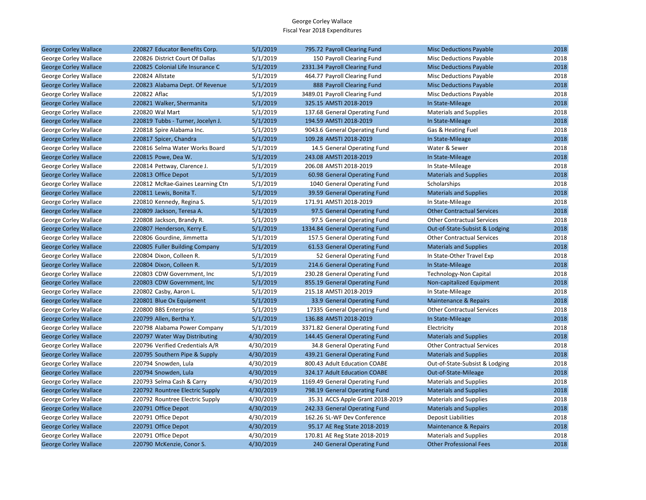| <b>George Corley Wallace</b> | 220827 Educator Benefits Corp.    | 5/1/2019  | 795.72 Payroll Clearing Fund     | <b>Misc Deductions Payable</b>    | 2018 |
|------------------------------|-----------------------------------|-----------|----------------------------------|-----------------------------------|------|
| George Corley Wallace        | 220826 District Court Of Dallas   | 5/1/2019  | 150 Payroll Clearing Fund        | <b>Misc Deductions Payable</b>    | 2018 |
| <b>George Corley Wallace</b> | 220825 Colonial Life Insurance C  | 5/1/2019  | 2331.34 Payroll Clearing Fund    | <b>Misc Deductions Payable</b>    | 2018 |
| George Corley Wallace        | 220824 Allstate                   | 5/1/2019  | 464.77 Payroll Clearing Fund     | <b>Misc Deductions Payable</b>    | 2018 |
| <b>George Corley Wallace</b> | 220823 Alabama Dept. Of Revenue   | 5/1/2019  | 888 Payroll Clearing Fund        | <b>Misc Deductions Payable</b>    | 2018 |
| George Corley Wallace        | 220822 Aflac                      | 5/1/2019  | 3489.01 Payroll Clearing Fund    | <b>Misc Deductions Payable</b>    | 2018 |
| <b>George Corley Wallace</b> | 220821 Walker, Shermanita         | 5/1/2019  | 325.15 AMSTI 2018-2019           | In State-Mileage                  | 2018 |
| George Corley Wallace        | 220820 Wal Mart                   | 5/1/2019  | 137.68 General Operating Fund    | <b>Materials and Supplies</b>     | 2018 |
| <b>George Corley Wallace</b> | 220819 Tubbs - Turner, Jocelyn J. | 5/1/2019  | 194.59 AMSTI 2018-2019           | In State-Mileage                  | 2018 |
| George Corley Wallace        | 220818 Spire Alabama Inc.         | 5/1/2019  | 9043.6 General Operating Fund    | Gas & Heating Fuel                | 2018 |
| <b>George Corley Wallace</b> | 220817 Spicer, Chandra            | 5/1/2019  | 109.28 AMSTI 2018-2019           | In State-Mileage                  | 2018 |
| George Corley Wallace        | 220816 Selma Water Works Board    | 5/1/2019  | 14.5 General Operating Fund      | Water & Sewer                     | 2018 |
| <b>George Corley Wallace</b> | 220815 Powe, Dea W.               | 5/1/2019  | 243.08 AMSTI 2018-2019           | In State-Mileage                  | 2018 |
| George Corley Wallace        | 220814 Pettway, Clarence J.       | 5/1/2019  | 206.08 AMSTI 2018-2019           | In State-Mileage                  | 2018 |
| <b>George Corley Wallace</b> | 220813 Office Depot               | 5/1/2019  | 60.98 General Operating Fund     | <b>Materials and Supplies</b>     | 2018 |
| George Corley Wallace        | 220812 McRae-Gaines Learning Ctn  | 5/1/2019  | 1040 General Operating Fund      | Scholarships                      | 2018 |
| <b>George Corley Wallace</b> | 220811 Lewis, Bonita T.           | 5/1/2019  | 39.59 General Operating Fund     | <b>Materials and Supplies</b>     | 2018 |
| George Corley Wallace        | 220810 Kennedy, Regina S.         | 5/1/2019  | 171.91 AMSTI 2018-2019           | In State-Mileage                  | 2018 |
| <b>George Corley Wallace</b> | 220809 Jackson, Teresa A.         | 5/1/2019  | 97.5 General Operating Fund      | <b>Other Contractual Services</b> | 2018 |
| George Corley Wallace        | 220808 Jackson, Brandy R.         | 5/1/2019  | 97.5 General Operating Fund      | <b>Other Contractual Services</b> | 2018 |
| <b>George Corley Wallace</b> | 220807 Henderson, Kerry E.        | 5/1/2019  | 1334.84 General Operating Fund   | Out-of-State-Subsist & Lodging    | 2018 |
| George Corley Wallace        | 220806 Gourdine, Jimmetta         | 5/1/2019  | 157.5 General Operating Fund     | <b>Other Contractual Services</b> | 2018 |
| <b>George Corley Wallace</b> | 220805 Fuller Building Company    | 5/1/2019  | 61.53 General Operating Fund     | <b>Materials and Supplies</b>     | 2018 |
| George Corley Wallace        | 220804 Dixon, Colleen R.          | 5/1/2019  | 52 General Operating Fund        | In State-Other Travel Exp         | 2018 |
| <b>George Corley Wallace</b> | 220804 Dixon, Colleen R.          | 5/1/2019  | 214.6 General Operating Fund     | In State-Mileage                  | 2018 |
| George Corley Wallace        | 220803 CDW Government, Inc.       | 5/1/2019  | 230.28 General Operating Fund    | Technology-Non Capital            | 2018 |
| <b>George Corley Wallace</b> | 220803 CDW Government, Inc.       | 5/1/2019  | 855.19 General Operating Fund    | Non-capitalized Equipment         | 2018 |
| George Corley Wallace        | 220802 Casby, Aaron L.            | 5/1/2019  | 215.18 AMSTI 2018-2019           | In State-Mileage                  | 2018 |
| <b>George Corley Wallace</b> | 220801 Blue Ox Equipment          | 5/1/2019  | 33.9 General Operating Fund      | Maintenance & Repairs             | 2018 |
| George Corley Wallace        | 220800 BBS Enterprise             | 5/1/2019  | 17335 General Operating Fund     | <b>Other Contractual Services</b> | 2018 |
| <b>George Corley Wallace</b> | 220799 Allen, Bertha Y.           | 5/1/2019  | 136.88 AMSTI 2018-2019           | In State-Mileage                  | 2018 |
| George Corley Wallace        | 220798 Alabama Power Company      | 5/1/2019  | 3371.82 General Operating Fund   | Electricity                       | 2018 |
| <b>George Corley Wallace</b> | 220797 Water Way Distributing     | 4/30/2019 | 144.45 General Operating Fund    | <b>Materials and Supplies</b>     | 2018 |
| George Corley Wallace        | 220796 Verified Credentials A/R   | 4/30/2019 | 34.8 General Operating Fund      | <b>Other Contractual Services</b> | 2018 |
| <b>George Corley Wallace</b> | 220795 Southern Pipe & Supply     | 4/30/2019 | 439.21 General Operating Fund    | <b>Materials and Supplies</b>     | 2018 |
| George Corley Wallace        | 220794 Snowden, Lula              | 4/30/2019 | 800.43 Adult Education COABE     | Out-of-State-Subsist & Lodging    | 2018 |
| <b>George Corley Wallace</b> | 220794 Snowden, Lula              | 4/30/2019 | 324.17 Adult Education COABE     | Out-of-State-Mileage              | 2018 |
| George Corley Wallace        | 220793 Selma Cash & Carry         | 4/30/2019 | 1169.49 General Operating Fund   | <b>Materials and Supplies</b>     | 2018 |
| <b>George Corley Wallace</b> | 220792 Rountree Electric Supply   | 4/30/2019 | 798.19 General Operating Fund    | <b>Materials and Supplies</b>     | 2018 |
| George Corley Wallace        | 220792 Rountree Electric Supply   | 4/30/2019 | 35.31 ACCS Apple Grant 2018-2019 | <b>Materials and Supplies</b>     | 2018 |
| <b>George Corley Wallace</b> | 220791 Office Depot               | 4/30/2019 | 242.33 General Operating Fund    | <b>Materials and Supplies</b>     | 2018 |
| George Corley Wallace        | 220791 Office Depot               | 4/30/2019 | 162.26 SL-WF Dev Conference      | Deposit Liabilities               | 2018 |
| <b>George Corley Wallace</b> | 220791 Office Depot               | 4/30/2019 | 95.17 AE Reg State 2018-2019     | <b>Maintenance &amp; Repairs</b>  | 2018 |
| George Corley Wallace        | 220791 Office Depot               | 4/30/2019 | 170.81 AE Reg State 2018-2019    | <b>Materials and Supplies</b>     | 2018 |
| <b>George Corley Wallace</b> | 220790 McKenzie, Conor S.         | 4/30/2019 | 240 General Operating Fund       | <b>Other Professional Fees</b>    | 2018 |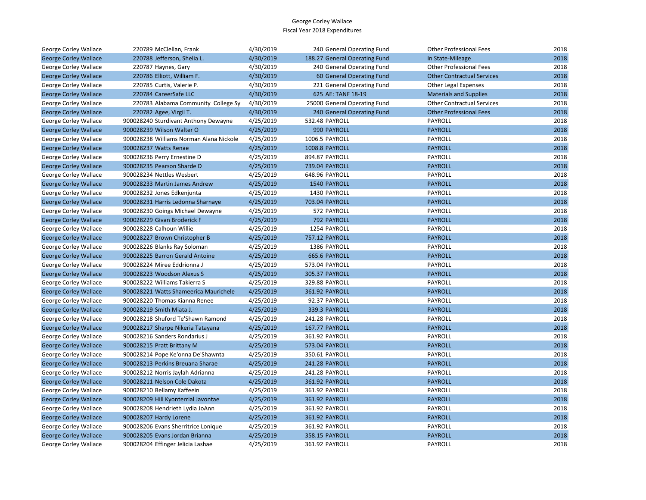| George Corley Wallace        | 220789 McClellan, Frank                 | 4/30/2019 | 240 General Operating Fund    | <b>Other Professional Fees</b>    | 2018 |
|------------------------------|-----------------------------------------|-----------|-------------------------------|-----------------------------------|------|
| <b>George Corley Wallace</b> | 220788 Jefferson, Shelia L.             | 4/30/2019 | 188.27 General Operating Fund | In State-Mileage                  | 2018 |
| George Corley Wallace        | 220787 Haynes, Gary                     | 4/30/2019 | 240 General Operating Fund    | <b>Other Professional Fees</b>    | 2018 |
| <b>George Corley Wallace</b> | 220786 Elliott, William F.              | 4/30/2019 | 60 General Operating Fund     | <b>Other Contractual Services</b> | 2018 |
| George Corley Wallace        | 220785 Curtis, Valerie P.               | 4/30/2019 | 221 General Operating Fund    | Other Legal Expenses              | 2018 |
| <b>George Corley Wallace</b> | 220784 CareerSafe LLC                   | 4/30/2019 | 625 AE: TANF 18-19            | <b>Materials and Supplies</b>     | 2018 |
| George Corley Wallace        | 220783 Alabama Community College Sy     | 4/30/2019 | 25000 General Operating Fund  | <b>Other Contractual Services</b> | 2018 |
| <b>George Corley Wallace</b> | 220782 Agee, Virgil T.                  | 4/30/2019 | 240 General Operating Fund    | <b>Other Professional Fees</b>    | 2018 |
| George Corley Wallace        | 900028240 Sturdivant Anthony Dewayne    | 4/25/2019 | 532.48 PAYROLL                | PAYROLL                           | 2018 |
| <b>George Corley Wallace</b> | 900028239 Wilson Walter O               | 4/25/2019 | 990 PAYROLL                   | <b>PAYROLL</b>                    | 2018 |
| George Corley Wallace        | 900028238 Williams Norman Alana Nickole | 4/25/2019 | 1006.5 PAYROLL                | PAYROLL                           | 2018 |
| <b>George Corley Wallace</b> | 900028237 Watts Renae                   | 4/25/2019 | 1008.8 PAYROLL                | <b>PAYROLL</b>                    | 2018 |
| George Corley Wallace        | 900028236 Perry Ernestine D             | 4/25/2019 | 894.87 PAYROLL                | PAYROLL                           | 2018 |
| <b>George Corley Wallace</b> | 900028235 Pearson Sharde D              | 4/25/2019 | 739.04 PAYROLL                | <b>PAYROLL</b>                    | 2018 |
| George Corley Wallace        | 900028234 Nettles Wesbert               | 4/25/2019 | 648.96 PAYROLL                | PAYROLL                           | 2018 |
| <b>George Corley Wallace</b> | 900028233 Martin James Andrew           | 4/25/2019 | 1540 PAYROLL                  | <b>PAYROLL</b>                    | 2018 |
| George Corley Wallace        | 900028232 Jones Edkenjunta              | 4/25/2019 | 1430 PAYROLL                  | PAYROLL                           | 2018 |
| <b>George Corley Wallace</b> | 900028231 Harris Ledonna Sharnaye       | 4/25/2019 | 703.04 PAYROLL                | <b>PAYROLL</b>                    | 2018 |
| George Corley Wallace        | 900028230 Goings Michael Dewayne        | 4/25/2019 | 572 PAYROLL                   | PAYROLL                           | 2018 |
| <b>George Corley Wallace</b> | 900028229 Givan Broderick F             | 4/25/2019 | 792 PAYROLL                   | <b>PAYROLL</b>                    | 2018 |
| George Corley Wallace        | 900028228 Calhoun Willie                | 4/25/2019 | 1254 PAYROLL                  | <b>PAYROLL</b>                    | 2018 |
| <b>George Corley Wallace</b> | 900028227 Brown Christopher B           | 4/25/2019 | <b>757.12 PAYROLL</b>         | <b>PAYROLL</b>                    | 2018 |
| George Corley Wallace        | 900028226 Blanks Ray Soloman            | 4/25/2019 | 1386 PAYROLL                  | PAYROLL                           | 2018 |
| <b>George Corley Wallace</b> | 900028225 Barron Gerald Antoine         | 4/25/2019 | 665.6 PAYROLL                 | <b>PAYROLL</b>                    | 2018 |
| George Corley Wallace        | 900028224 Miree Eddrionna J             | 4/25/2019 | 573.04 PAYROLL                | PAYROLL                           | 2018 |
| <b>George Corley Wallace</b> | 900028223 Woodson Alexus S              | 4/25/2019 | 305.37 PAYROLL                | <b>PAYROLL</b>                    | 2018 |
| George Corley Wallace        | 900028222 Williams Takierra S           | 4/25/2019 | 329.88 PAYROLL                | PAYROLL                           | 2018 |
| <b>George Corley Wallace</b> | 900028221 Watts Shameerica Maurichele   | 4/25/2019 | 361.92 PAYROLL                | <b>PAYROLL</b>                    | 2018 |
| George Corley Wallace        | 900028220 Thomas Kianna Renee           | 4/25/2019 | 92.37 PAYROLL                 | PAYROLL                           | 2018 |
| <b>George Corley Wallace</b> | 900028219 Smith Miata J.                | 4/25/2019 | 339.3 PAYROLL                 | <b>PAYROLL</b>                    | 2018 |
| George Corley Wallace        | 900028218 Shuford Te'Shawn Ramond       | 4/25/2019 | 241.28 PAYROLL                | PAYROLL                           | 2018 |
| <b>George Corley Wallace</b> | 900028217 Sharpe Nikeria Tatayana       | 4/25/2019 | 167.77 PAYROLL                | <b>PAYROLL</b>                    | 2018 |
| George Corley Wallace        | 900028216 Sanders Rondarius J           | 4/25/2019 | 361.92 PAYROLL                | PAYROLL                           | 2018 |
| <b>George Corley Wallace</b> | 900028215 Pratt Brittany M              | 4/25/2019 | 573.04 PAYROLL                | <b>PAYROLL</b>                    | 2018 |
| George Corley Wallace        | 900028214 Pope Ke'onna De'Shawnta       | 4/25/2019 | 350.61 PAYROLL                | PAYROLL                           | 2018 |
| <b>George Corley Wallace</b> | 900028213 Perkins Breuana Sharae        | 4/25/2019 | 241.28 PAYROLL                | <b>PAYROLL</b>                    | 2018 |
| George Corley Wallace        | 900028212 Norris Jaylah Adrianna        | 4/25/2019 | 241.28 PAYROLL                | PAYROLL                           | 2018 |
| <b>George Corley Wallace</b> | 900028211 Nelson Cole Dakota            | 4/25/2019 | 361.92 PAYROLL                | <b>PAYROLL</b>                    | 2018 |
| George Corley Wallace        | 900028210 Bellamy Kaffeein              | 4/25/2019 | 361.92 PAYROLL                | PAYROLL                           | 2018 |
| <b>George Corley Wallace</b> | 900028209 Hill Kyonterrial Javontae     | 4/25/2019 | 361.92 PAYROLL                | <b>PAYROLL</b>                    | 2018 |
| George Corley Wallace        | 900028208 Hendrieth Lydia JoAnn         | 4/25/2019 | 361.92 PAYROLL                | PAYROLL                           | 2018 |
| <b>George Corley Wallace</b> | 900028207 Hardy Lorene                  | 4/25/2019 | 361.92 PAYROLL                | <b>PAYROLL</b>                    | 2018 |
| George Corley Wallace        | 900028206 Evans Sherritrice Lonique     | 4/25/2019 | 361.92 PAYROLL                | PAYROLL                           | 2018 |
| <b>George Corley Wallace</b> | 900028205 Evans Jordan Brianna          | 4/25/2019 | 358.15 PAYROLL                | <b>PAYROLL</b>                    | 2018 |
| <b>George Corley Wallace</b> | 900028204 Effinger Jelicia Lashae       | 4/25/2019 | 361.92 PAYROLL                | PAYROLL                           | 2018 |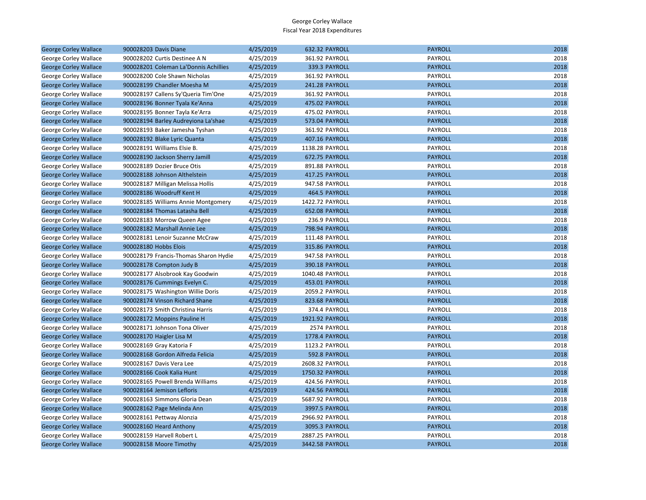| <b>George Corley Wallace</b> | 900028203 Davis Diane                 | 4/25/2019 | 632.32 PAYROLL        | <b>PAYROLL</b> | 2018 |
|------------------------------|---------------------------------------|-----------|-----------------------|----------------|------|
| George Corley Wallace        | 900028202 Curtis Destinee A N         | 4/25/2019 | 361.92 PAYROLL        | PAYROLL        | 2018 |
| <b>George Corley Wallace</b> | 900028201 Coleman La'Donnis Achillies | 4/25/2019 | 339.3 PAYROLL         | <b>PAYROLL</b> | 2018 |
| George Corley Wallace        | 900028200 Cole Shawn Nicholas         | 4/25/2019 | 361.92 PAYROLL        | PAYROLL        | 2018 |
| <b>George Corley Wallace</b> | 900028199 Chandler Moesha M           | 4/25/2019 | 241.28 PAYROLL        | <b>PAYROLL</b> | 2018 |
| George Corley Wallace        | 900028197 Callens Sy'Queria Tim'One   | 4/25/2019 | 361.92 PAYROLL        | PAYROLL        | 2018 |
| <b>George Corley Wallace</b> | 900028196 Bonner Tyala Ke'Anna        | 4/25/2019 | 475.02 PAYROLL        | <b>PAYROLL</b> | 2018 |
| George Corley Wallace        | 900028195 Bonner Tayla Ke'Arra        | 4/25/2019 | 475.02 PAYROLL        | PAYROLL        | 2018 |
| <b>George Corley Wallace</b> | 900028194 Barley Audreyiona La'shae   | 4/25/2019 | 573.04 PAYROLL        | <b>PAYROLL</b> | 2018 |
| George Corley Wallace        | 900028193 Baker Jamesha Tyshan        | 4/25/2019 | 361.92 PAYROLL        | PAYROLL        | 2018 |
| <b>George Corley Wallace</b> | 900028192 Blake Lyric Quanta          | 4/25/2019 | 407.16 PAYROLL        | <b>PAYROLL</b> | 2018 |
| George Corley Wallace        | 900028191 Williams Elsie B.           | 4/25/2019 | 1138.28 PAYROLL       | PAYROLL        | 2018 |
| <b>George Corley Wallace</b> | 900028190 Jackson Sherry Jamill       | 4/25/2019 | 672.75 PAYROLL        | <b>PAYROLL</b> | 2018 |
| George Corley Wallace        | 900028189 Dozier Bruce Otis           | 4/25/2019 | 891.88 PAYROLL        | PAYROLL        | 2018 |
| <b>George Corley Wallace</b> | 900028188 Johnson Althelstein         | 4/25/2019 | 417.25 PAYROLL        | <b>PAYROLL</b> | 2018 |
| George Corley Wallace        | 900028187 Milligan Melissa Hollis     | 4/25/2019 | 947.58 PAYROLL        | PAYROLL        | 2018 |
| <b>George Corley Wallace</b> | 900028186 Woodruff Kent H             | 4/25/2019 | 464.5 PAYROLL         | <b>PAYROLL</b> | 2018 |
| George Corley Wallace        | 900028185 Williams Annie Montgomery   | 4/25/2019 | 1422.72 PAYROLL       | PAYROLL        | 2018 |
| <b>George Corley Wallace</b> | 900028184 Thomas Latasha Bell         | 4/25/2019 | 652.08 PAYROLL        | <b>PAYROLL</b> | 2018 |
| George Corley Wallace        | 900028183 Morrow Queen Agee           | 4/25/2019 | 236.9 PAYROLL         | <b>PAYROLL</b> | 2018 |
| <b>George Corley Wallace</b> | 900028182 Marshall Annie Lee          | 4/25/2019 | <b>798.94 PAYROLL</b> | <b>PAYROLL</b> | 2018 |
| George Corley Wallace        | 900028181 Lenoir Suzanne McCraw       | 4/25/2019 | 111.48 PAYROLL        | PAYROLL        | 2018 |
| <b>George Corley Wallace</b> | 900028180 Hobbs Elois                 | 4/25/2019 | 315.86 PAYROLL        | <b>PAYROLL</b> | 2018 |
| George Corley Wallace        | 900028179 Francis-Thomas Sharon Hydie | 4/25/2019 | 947.58 PAYROLL        | PAYROLL        | 2018 |
| <b>George Corley Wallace</b> | 900028178 Compton Judy B              | 4/25/2019 | 390.18 PAYROLL        | <b>PAYROLL</b> | 2018 |
| George Corley Wallace        | 900028177 Alsobrook Kay Goodwin       | 4/25/2019 | 1040.48 PAYROLL       | PAYROLL        | 2018 |
| <b>George Corley Wallace</b> | 900028176 Cummings Evelyn C.          | 4/25/2019 | 453.01 PAYROLL        | <b>PAYROLL</b> | 2018 |
| George Corley Wallace        | 900028175 Washington Willie Doris     | 4/25/2019 | 2059.2 PAYROLL        | PAYROLL        | 2018 |
| <b>George Corley Wallace</b> | 900028174 Vinson Richard Shane        | 4/25/2019 | 823.68 PAYROLL        | <b>PAYROLL</b> | 2018 |
| George Corley Wallace        | 900028173 Smith Christina Harris      | 4/25/2019 | 374.4 PAYROLL         | PAYROLL        | 2018 |
| <b>George Corley Wallace</b> | 900028172 Moppins Pauline H           | 4/25/2019 | 1921.92 PAYROLL       | <b>PAYROLL</b> | 2018 |
| George Corley Wallace        | 900028171 Johnson Tona Oliver         | 4/25/2019 | 2574 PAYROLL          | PAYROLL        | 2018 |
| <b>George Corley Wallace</b> | 900028170 Haigler Lisa M              | 4/25/2019 | 1778.4 PAYROLL        | <b>PAYROLL</b> | 2018 |
| George Corley Wallace        | 900028169 Gray Katoria F              | 4/25/2019 | 1123.2 PAYROLL        | PAYROLL        | 2018 |
| <b>George Corley Wallace</b> | 900028168 Gordon Alfreda Felicia      | 4/25/2019 | 592.8 PAYROLL         | <b>PAYROLL</b> | 2018 |
| George Corley Wallace        | 900028167 Davis Vera Lee              | 4/25/2019 | 2608.32 PAYROLL       | PAYROLL        | 2018 |
| <b>George Corley Wallace</b> | 900028166 Cook Kalia Hunt             | 4/25/2019 | 1750.32 PAYROLL       | <b>PAYROLL</b> | 2018 |
| George Corley Wallace        | 900028165 Powell Brenda Williams      | 4/25/2019 | 424.56 PAYROLL        | PAYROLL        | 2018 |
| <b>George Corley Wallace</b> | 900028164 Jemison Lefloris            | 4/25/2019 | 424.56 PAYROLL        | <b>PAYROLL</b> | 2018 |
| George Corley Wallace        | 900028163 Simmons Gloria Dean         | 4/25/2019 | 5687.92 PAYROLL       | PAYROLL        | 2018 |
| <b>George Corley Wallace</b> | 900028162 Page Melinda Ann            | 4/25/2019 | 3997.5 PAYROLL        | <b>PAYROLL</b> | 2018 |
| George Corley Wallace        | 900028161 Pettway Alonzia             | 4/25/2019 | 2966.92 PAYROLL       | PAYROLL        | 2018 |
| <b>George Corley Wallace</b> | 900028160 Heard Anthony               | 4/25/2019 | 3095.3 PAYROLL        | <b>PAYROLL</b> | 2018 |
| George Corley Wallace        | 900028159 Harvell Robert L            | 4/25/2019 | 2887.25 PAYROLL       | PAYROLL        | 2018 |
| <b>George Corley Wallace</b> | 900028158 Moore Timothy               | 4/25/2019 | 3442.58 PAYROLL       | <b>PAYROLL</b> | 2018 |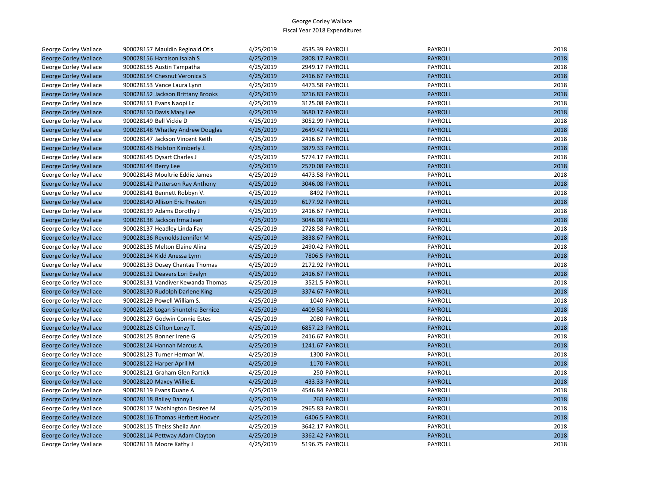| George Corley Wallace        | 900028157 Mauldin Reginald Otis   | 4/25/2019 | 4535.39 PAYROLL | <b>PAYROLL</b> | 2018 |
|------------------------------|-----------------------------------|-----------|-----------------|----------------|------|
| <b>George Corley Wallace</b> | 900028156 Haralson Isaiah S       | 4/25/2019 | 2808.17 PAYROLL | <b>PAYROLL</b> | 2018 |
| George Corley Wallace        | 900028155 Austin Tampatha         | 4/25/2019 | 2949.17 PAYROLL | PAYROLL        | 2018 |
| <b>George Corley Wallace</b> | 900028154 Chesnut Veronica S      | 4/25/2019 | 2416.67 PAYROLL | <b>PAYROLL</b> | 2018 |
| George Corley Wallace        | 900028153 Vance Laura Lynn        | 4/25/2019 | 4473.58 PAYROLL | PAYROLL        | 2018 |
| <b>George Corley Wallace</b> | 900028152 Jackson Brittany Brooks | 4/25/2019 | 3216.83 PAYROLL | <b>PAYROLL</b> | 2018 |
| George Corley Wallace        | 900028151 Evans Naopi Lc          | 4/25/2019 | 3125.08 PAYROLL | PAYROLL        | 2018 |
| <b>George Corley Wallace</b> | 900028150 Davis Mary Lee          | 4/25/2019 | 3680.17 PAYROLL | <b>PAYROLL</b> | 2018 |
| George Corley Wallace        | 900028149 Bell Vickie D           | 4/25/2019 | 3052.99 PAYROLL | PAYROLL        | 2018 |
| <b>George Corley Wallace</b> | 900028148 Whatley Andrew Douglas  | 4/25/2019 | 2649.42 PAYROLL | <b>PAYROLL</b> | 2018 |
| George Corley Wallace        | 900028147 Jackson Vincent Keith   | 4/25/2019 | 2416.67 PAYROLL | PAYROLL        | 2018 |
| <b>George Corley Wallace</b> | 900028146 Holston Kimberly J.     | 4/25/2019 | 3879.33 PAYROLL | <b>PAYROLL</b> | 2018 |
| George Corley Wallace        | 900028145 Dysart Charles J        | 4/25/2019 | 5774.17 PAYROLL | <b>PAYROLL</b> | 2018 |
| <b>George Corley Wallace</b> | 900028144 Berry Lee               | 4/25/2019 | 2570.08 PAYROLL | <b>PAYROLL</b> | 2018 |
| George Corley Wallace        | 900028143 Moultrie Eddie James    | 4/25/2019 | 4473.58 PAYROLL | PAYROLL        | 2018 |
| <b>George Corley Wallace</b> | 900028142 Patterson Ray Anthony   | 4/25/2019 | 3046.08 PAYROLL | <b>PAYROLL</b> | 2018 |
| George Corley Wallace        | 900028141 Bennett Robbyn V.       | 4/25/2019 | 8492 PAYROLL    | PAYROLL        | 2018 |
| <b>George Corley Wallace</b> | 900028140 Allison Eric Preston    | 4/25/2019 | 6177.92 PAYROLL | <b>PAYROLL</b> | 2018 |
| George Corley Wallace        | 900028139 Adams Dorothy J         | 4/25/2019 | 2416.67 PAYROLL | PAYROLL        | 2018 |
| <b>George Corley Wallace</b> | 900028138 Jackson Irma Jean       | 4/25/2019 | 3046.08 PAYROLL | <b>PAYROLL</b> | 2018 |
| George Corley Wallace        | 900028137 Headley Linda Fay       | 4/25/2019 | 2728.58 PAYROLL | PAYROLL        | 2018 |
| <b>George Corley Wallace</b> | 900028136 Reynolds Jennifer M     | 4/25/2019 | 3838.67 PAYROLL | <b>PAYROLL</b> | 2018 |
| George Corley Wallace        | 900028135 Melton Elaine Alina     | 4/25/2019 | 2490.42 PAYROLL | PAYROLL        | 2018 |
| <b>George Corley Wallace</b> | 900028134 Kidd Anessa Lynn        | 4/25/2019 | 7806.5 PAYROLL  | <b>PAYROLL</b> | 2018 |
| George Corley Wallace        | 900028133 Dosey Chantae Thomas    | 4/25/2019 | 2172.92 PAYROLL | PAYROLL        | 2018 |
| <b>George Corley Wallace</b> | 900028132 Deavers Lori Evelyn     | 4/25/2019 | 2416.67 PAYROLL | <b>PAYROLL</b> | 2018 |
| George Corley Wallace        | 900028131 Vandiver Kewanda Thomas | 4/25/2019 | 3521.5 PAYROLL  | PAYROLL        | 2018 |
| <b>George Corley Wallace</b> | 900028130 Rudolph Darlene King    | 4/25/2019 | 3374.67 PAYROLL | <b>PAYROLL</b> | 2018 |
| George Corley Wallace        | 900028129 Powell William S.       | 4/25/2019 | 1040 PAYROLL    | PAYROLL        | 2018 |
| <b>George Corley Wallace</b> | 900028128 Logan Shuntelra Bernice | 4/25/2019 | 4409.58 PAYROLL | <b>PAYROLL</b> | 2018 |
| George Corley Wallace        | 900028127 Godwin Connie Estes     | 4/25/2019 | 2080 PAYROLL    | PAYROLL        | 2018 |
| <b>George Corley Wallace</b> | 900028126 Clifton Lonzy T.        | 4/25/2019 | 6857.23 PAYROLL | <b>PAYROLL</b> | 2018 |
| George Corley Wallace        | 900028125 Bonner Irene G          | 4/25/2019 | 2416.67 PAYROLL | PAYROLL        | 2018 |
| <b>George Corley Wallace</b> | 900028124 Hannah Marcus A.        | 4/25/2019 | 1241.67 PAYROLL | <b>PAYROLL</b> | 2018 |
| George Corley Wallace        | 900028123 Turner Herman W.        | 4/25/2019 | 1300 PAYROLL    | PAYROLL        | 2018 |
| <b>George Corley Wallace</b> | 900028122 Harper April M          | 4/25/2019 | 1170 PAYROLL    | <b>PAYROLL</b> | 2018 |
| George Corley Wallace        | 900028121 Graham Glen Partick     | 4/25/2019 | 250 PAYROLL     | PAYROLL        | 2018 |
| <b>George Corley Wallace</b> | 900028120 Maxey Willie E.         | 4/25/2019 | 433.33 PAYROLL  | <b>PAYROLL</b> | 2018 |
| George Corley Wallace        | 900028119 Evans Duane A           | 4/25/2019 | 4546.84 PAYROLL | PAYROLL        | 2018 |
| <b>George Corley Wallace</b> | 900028118 Bailey Danny L          | 4/25/2019 | 260 PAYROLL     | <b>PAYROLL</b> | 2018 |
| George Corley Wallace        | 900028117 Washington Desiree M    | 4/25/2019 | 2965.83 PAYROLL | PAYROLL        | 2018 |
| <b>George Corley Wallace</b> | 900028116 Thomas Herbert Hoover   | 4/25/2019 | 6406.5 PAYROLL  | <b>PAYROLL</b> | 2018 |
| George Corley Wallace        | 900028115 Theiss Sheila Ann       | 4/25/2019 | 3642.17 PAYROLL | PAYROLL        | 2018 |
| <b>George Corley Wallace</b> | 900028114 Pettway Adam Clayton    | 4/25/2019 | 3362.42 PAYROLL | <b>PAYROLL</b> | 2018 |
| George Corley Wallace        | 900028113 Moore Kathy J           | 4/25/2019 | 5196.75 PAYROLL | PAYROLL        | 2018 |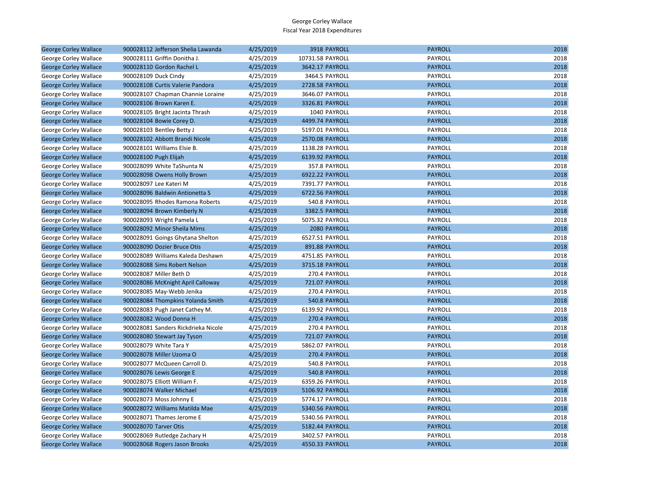| <b>George Corley Wallace</b> | 900028112 Jefferson Shelia Lawanda  | 4/25/2019 | 3918 PAYROLL     | <b>PAYROLL</b> | 2018 |
|------------------------------|-------------------------------------|-----------|------------------|----------------|------|
| George Corley Wallace        | 900028111 Griffin Donitha J.        | 4/25/2019 | 10731.58 PAYROLL | PAYROLL        | 2018 |
| <b>George Corley Wallace</b> | 900028110 Gordon Rachel L           | 4/25/2019 | 3642.17 PAYROLL  | <b>PAYROLL</b> | 2018 |
| George Corley Wallace        | 900028109 Duck Cindy                | 4/25/2019 | 3464.5 PAYROLL   | PAYROLL        | 2018 |
| <b>George Corley Wallace</b> | 900028108 Curtis Valerie Pandora    | 4/25/2019 | 2728.58 PAYROLL  | <b>PAYROLL</b> | 2018 |
| George Corley Wallace        | 900028107 Chapman Channie Loraine   | 4/25/2019 | 3646.07 PAYROLL  | PAYROLL        | 2018 |
| <b>George Corley Wallace</b> | 900028106 Brown Karen E.            | 4/25/2019 | 3326.81 PAYROLL  | <b>PAYROLL</b> | 2018 |
| George Corley Wallace        | 900028105 Bright Jacinta Thrash     | 4/25/2019 | 1040 PAYROLL     | PAYROLL        | 2018 |
| <b>George Corley Wallace</b> | 900028104 Bowie Corey D.            | 4/25/2019 | 4499.74 PAYROLL  | <b>PAYROLL</b> | 2018 |
| George Corley Wallace        | 900028103 Bentley Betty J           | 4/25/2019 | 5197.01 PAYROLL  | PAYROLL        | 2018 |
| <b>George Corley Wallace</b> | 900028102 Abbott Brandi Nicole      | 4/25/2019 | 2570.08 PAYROLL  | <b>PAYROLL</b> | 2018 |
| George Corley Wallace        | 900028101 Williams Elsie B.         | 4/25/2019 | 1138.28 PAYROLL  | PAYROLL        | 2018 |
| <b>George Corley Wallace</b> | 900028100 Pugh Elijah               | 4/25/2019 | 6139.92 PAYROLL  | <b>PAYROLL</b> | 2018 |
| George Corley Wallace        | 900028099 White TaShunta N          | 4/25/2019 | 357.8 PAYROLL    | PAYROLL        | 2018 |
| <b>George Corley Wallace</b> | 900028098 Owens Holly Brown         | 4/25/2019 | 6922.22 PAYROLL  | <b>PAYROLL</b> | 2018 |
| George Corley Wallace        | 900028097 Lee Kateri M              | 4/25/2019 | 7391.77 PAYROLL  | PAYROLL        | 2018 |
| <b>George Corley Wallace</b> | 900028096 Baldwin Antionetta S      | 4/25/2019 | 6722.56 PAYROLL  | <b>PAYROLL</b> | 2018 |
| George Corley Wallace        | 900028095 Rhodes Ramona Roberts     | 4/25/2019 | 540.8 PAYROLL    | PAYROLL        | 2018 |
| <b>George Corley Wallace</b> | 900028094 Brown Kimberly N          | 4/25/2019 | 3382.5 PAYROLL   | <b>PAYROLL</b> | 2018 |
| George Corley Wallace        | 900028093 Wright Pamela L           | 4/25/2019 | 5075.32 PAYROLL  | PAYROLL        | 2018 |
| <b>George Corley Wallace</b> | 900028092 Minor Sheila Mims         | 4/25/2019 | 2080 PAYROLL     | <b>PAYROLL</b> | 2018 |
| George Corley Wallace        | 900028091 Goings Ghytana Shelton    | 4/25/2019 | 6527.51 PAYROLL  | PAYROLL        | 2018 |
| <b>George Corley Wallace</b> | 900028090 Dozier Bruce Otis         | 4/25/2019 | 891.88 PAYROLL   | <b>PAYROLL</b> | 2018 |
| George Corley Wallace        | 900028089 Williams Kaleda Deshawn   | 4/25/2019 | 4751.85 PAYROLL  | PAYROLL        | 2018 |
| <b>George Corley Wallace</b> | 900028088 Sims Robert Nelson        | 4/25/2019 | 3715.18 PAYROLL  | <b>PAYROLL</b> | 2018 |
| George Corley Wallace        | 900028087 Miller Beth D             | 4/25/2019 | 270.4 PAYROLL    | PAYROLL        | 2018 |
| <b>George Corley Wallace</b> | 900028086 McKnight April Calloway   | 4/25/2019 | 721.07 PAYROLL   | <b>PAYROLL</b> | 2018 |
| George Corley Wallace        | 900028085 May-Webb Jenika           | 4/25/2019 | 270.4 PAYROLL    | PAYROLL        | 2018 |
| <b>George Corley Wallace</b> | 900028084 Thompkins Yolanda Smith   | 4/25/2019 | 540.8 PAYROLL    | <b>PAYROLL</b> | 2018 |
| George Corley Wallace        | 900028083 Pugh Janet Cathey M.      | 4/25/2019 | 6139.92 PAYROLL  | PAYROLL        | 2018 |
| <b>George Corley Wallace</b> | 900028082 Wood Donna H              | 4/25/2019 | 270.4 PAYROLL    | <b>PAYROLL</b> | 2018 |
| George Corley Wallace        | 900028081 Sanders Rickdrieka Nicole | 4/25/2019 | 270.4 PAYROLL    | PAYROLL        | 2018 |
| <b>George Corley Wallace</b> | 900028080 Stewart Jay Tyson         | 4/25/2019 | 721.07 PAYROLL   | <b>PAYROLL</b> | 2018 |
| George Corley Wallace        | 900028079 White Tara Y              | 4/25/2019 | 5862.07 PAYROLL  | PAYROLL        | 2018 |
| <b>George Corley Wallace</b> | 900028078 Miller Uzoma O            | 4/25/2019 | 270.4 PAYROLL    | <b>PAYROLL</b> | 2018 |
| George Corley Wallace        | 900028077 McQueen Carroll D.        | 4/25/2019 | 540.8 PAYROLL    | <b>PAYROLL</b> | 2018 |
| <b>George Corley Wallace</b> | 900028076 Lewis George E            | 4/25/2019 | 540.8 PAYROLL    | <b>PAYROLL</b> | 2018 |
| George Corley Wallace        | 900028075 Elliott William F.        | 4/25/2019 | 6359.26 PAYROLL  | PAYROLL        | 2018 |
| <b>George Corley Wallace</b> | 900028074 Walker Michael            | 4/25/2019 | 5106.92 PAYROLL  | <b>PAYROLL</b> | 2018 |
| George Corley Wallace        | 900028073 Moss Johnny E             | 4/25/2019 | 5774.17 PAYROLL  | PAYROLL        | 2018 |
| <b>George Corley Wallace</b> | 900028072 Williams Matilda Mae      | 4/25/2019 | 5340.56 PAYROLL  | <b>PAYROLL</b> | 2018 |
| George Corley Wallace        | 900028071 Thames Jerome E           | 4/25/2019 | 5340.56 PAYROLL  | PAYROLL        | 2018 |
| <b>George Corley Wallace</b> | 900028070 Tarver Otis               | 4/25/2019 | 5182.44 PAYROLL  | <b>PAYROLL</b> | 2018 |
| George Corley Wallace        | 900028069 Rutledge Zachary H        | 4/25/2019 | 3402.57 PAYROLL  | PAYROLL        | 2018 |
| <b>George Corley Wallace</b> | 900028068 Rogers Jason Brooks       | 4/25/2019 | 4550.33 PAYROLL  | <b>PAYROLL</b> | 2018 |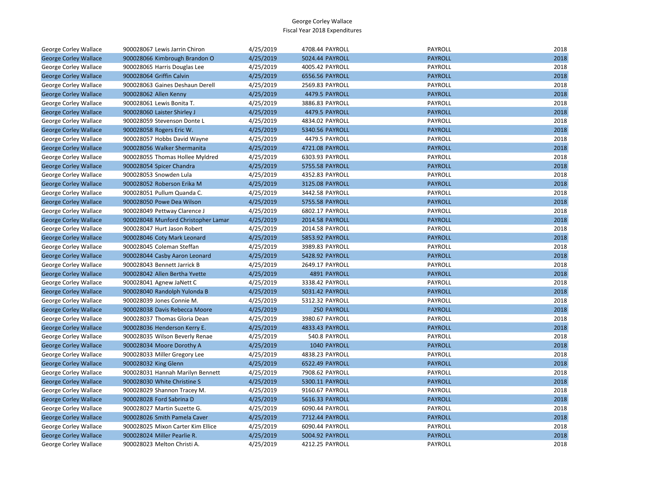| George Corley Wallace        | 900028067 Lewis Jarrin Chiron       | 4/25/2019 | 4708.44 PAYROLL | <b>PAYROLL</b> | 2018 |
|------------------------------|-------------------------------------|-----------|-----------------|----------------|------|
| <b>George Corley Wallace</b> | 900028066 Kimbrough Brandon O       | 4/25/2019 | 5024.44 PAYROLL | <b>PAYROLL</b> | 2018 |
| George Corley Wallace        | 900028065 Harris Douglas Lee        | 4/25/2019 | 4005.42 PAYROLL | PAYROLL        | 2018 |
| <b>George Corley Wallace</b> | 900028064 Griffin Calvin            | 4/25/2019 | 6556.56 PAYROLL | <b>PAYROLL</b> | 2018 |
| George Corley Wallace        | 900028063 Gaines Deshaun Derell     | 4/25/2019 | 2569.83 PAYROLL | PAYROLL        | 2018 |
| <b>George Corley Wallace</b> | 900028062 Allen Kenny               | 4/25/2019 | 4479.5 PAYROLL  | <b>PAYROLL</b> | 2018 |
| George Corley Wallace        | 900028061 Lewis Bonita T.           | 4/25/2019 | 3886.83 PAYROLL | PAYROLL        | 2018 |
| <b>George Corley Wallace</b> | 900028060 Laister Shirley J         | 4/25/2019 | 4479.5 PAYROLL  | <b>PAYROLL</b> | 2018 |
| George Corley Wallace        | 900028059 Stevenson Donte L         | 4/25/2019 | 4834.02 PAYROLL | PAYROLL        | 2018 |
| <b>George Corley Wallace</b> | 900028058 Rogers Eric W.            | 4/25/2019 | 5340.56 PAYROLL | <b>PAYROLL</b> | 2018 |
| George Corley Wallace        | 900028057 Hobbs David Wayne         | 4/25/2019 | 4479.5 PAYROLL  | PAYROLL        | 2018 |
| <b>George Corley Wallace</b> | 900028056 Walker Shermanita         | 4/25/2019 | 4721.08 PAYROLL | <b>PAYROLL</b> | 2018 |
| George Corley Wallace        | 900028055 Thomas Hollee Myldred     | 4/25/2019 | 6303.93 PAYROLL | PAYROLL        | 2018 |
| <b>George Corley Wallace</b> | 900028054 Spicer Chandra            | 4/25/2019 | 5755.58 PAYROLL | <b>PAYROLL</b> | 2018 |
| George Corley Wallace        | 900028053 Snowden Lula              | 4/25/2019 | 4352.83 PAYROLL | PAYROLL        | 2018 |
| <b>George Corley Wallace</b> | 900028052 Roberson Erika M          | 4/25/2019 | 3125.08 PAYROLL | <b>PAYROLL</b> | 2018 |
| George Corley Wallace        | 900028051 Pullum Quanda C.          | 4/25/2019 | 3442.58 PAYROLL | PAYROLL        | 2018 |
| <b>George Corley Wallace</b> | 900028050 Powe Dea Wilson           | 4/25/2019 | 5755.58 PAYROLL | <b>PAYROLL</b> | 2018 |
| George Corley Wallace        | 900028049 Pettway Clarence J        | 4/25/2019 | 6802.17 PAYROLL | PAYROLL        | 2018 |
| <b>George Corley Wallace</b> | 900028048 Munford Christopher Lamar | 4/25/2019 | 2014.58 PAYROLL | <b>PAYROLL</b> | 2018 |
| George Corley Wallace        | 900028047 Hurt Jason Robert         | 4/25/2019 | 2014.58 PAYROLL | PAYROLL        | 2018 |
| <b>George Corley Wallace</b> | 900028046 Coty Mark Leonard         | 4/25/2019 | 5853.92 PAYROLL | <b>PAYROLL</b> | 2018 |
| George Corley Wallace        | 900028045 Coleman Steffan           | 4/25/2019 | 3989.83 PAYROLL | PAYROLL        | 2018 |
| <b>George Corley Wallace</b> | 900028044 Casby Aaron Leonard       | 4/25/2019 | 5428.92 PAYROLL | <b>PAYROLL</b> | 2018 |
| George Corley Wallace        | 900028043 Bennett Jarrick B         | 4/25/2019 | 2649.17 PAYROLL | PAYROLL        | 2018 |
| <b>George Corley Wallace</b> | 900028042 Allen Bertha Yvette       | 4/25/2019 | 4891 PAYROLL    | <b>PAYROLL</b> | 2018 |
| George Corley Wallace        | 900028041 Agnew JaNett C            | 4/25/2019 | 3338.42 PAYROLL | PAYROLL        | 2018 |
| <b>George Corley Wallace</b> | 900028040 Randolph Yulonda B        | 4/25/2019 | 5031.42 PAYROLL | <b>PAYROLL</b> | 2018 |
| George Corley Wallace        | 900028039 Jones Connie M.           | 4/25/2019 | 5312.32 PAYROLL | PAYROLL        | 2018 |
| <b>George Corley Wallace</b> | 900028038 Davis Rebecca Moore       | 4/25/2019 | 250 PAYROLL     | <b>PAYROLL</b> | 2018 |
| George Corley Wallace        | 900028037 Thomas Gloria Dean        | 4/25/2019 | 3980.67 PAYROLL | PAYROLL        | 2018 |
| <b>George Corley Wallace</b> | 900028036 Henderson Kerry E.        | 4/25/2019 | 4833.43 PAYROLL | <b>PAYROLL</b> | 2018 |
| George Corley Wallace        | 900028035 Wilson Beverly Renae      | 4/25/2019 | 540.8 PAYROLL   | PAYROLL        | 2018 |
| <b>George Corley Wallace</b> | 900028034 Moore Dorothy A           | 4/25/2019 | 1040 PAYROLL    | <b>PAYROLL</b> | 2018 |
| George Corley Wallace        | 900028033 Miller Gregory Lee        | 4/25/2019 | 4838.23 PAYROLL | PAYROLL        | 2018 |
| <b>George Corley Wallace</b> | 900028032 King Glenn                | 4/25/2019 | 6522.49 PAYROLL | <b>PAYROLL</b> | 2018 |
| George Corley Wallace        | 900028031 Hannah Marilyn Bennett    | 4/25/2019 | 7908.62 PAYROLL | PAYROLL        | 2018 |
| <b>George Corley Wallace</b> | 900028030 White Christine S         | 4/25/2019 | 5300.11 PAYROLL | <b>PAYROLL</b> | 2018 |
| George Corley Wallace        | 900028029 Shannon Tracey M.         | 4/25/2019 | 9160.67 PAYROLL | PAYROLL        | 2018 |
| <b>George Corley Wallace</b> | 900028028 Ford Sabrina D            | 4/25/2019 | 5616.33 PAYROLL | <b>PAYROLL</b> | 2018 |
| George Corley Wallace        | 900028027 Martin Suzette G.         | 4/25/2019 | 6090.44 PAYROLL | PAYROLL        | 2018 |
| <b>George Corley Wallace</b> | 900028026 Smith Pamela Caver        | 4/25/2019 | 7712.44 PAYROLL | <b>PAYROLL</b> | 2018 |
| George Corley Wallace        | 900028025 Mixon Carter Kim Ellice   | 4/25/2019 | 6090.44 PAYROLL | PAYROLL        | 2018 |
| <b>George Corley Wallace</b> | 900028024 Miller Pearlie R.         | 4/25/2019 | 5004.92 PAYROLL | <b>PAYROLL</b> | 2018 |
| <b>George Corley Wallace</b> | 900028023 Melton Christi A.         | 4/25/2019 | 4212.25 PAYROLL | PAYROLL        | 2018 |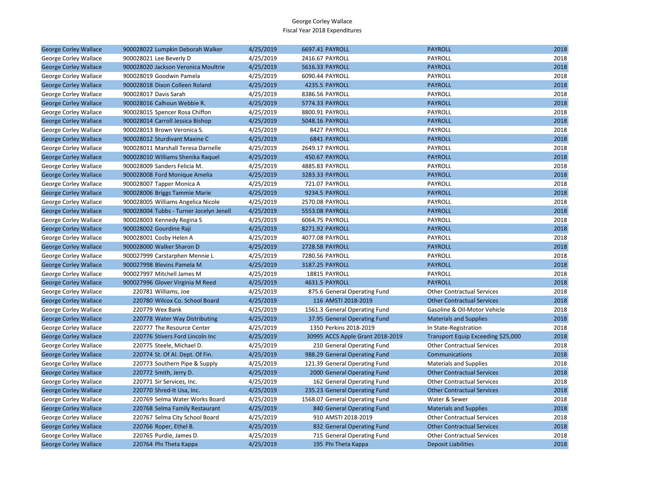| <b>George Corley Wallace</b> | 900028022 Lumpkin Deborah Walker        | 4/25/2019 | 6697.41 PAYROLL                  | <b>PAYROLL</b>                     | 2018 |
|------------------------------|-----------------------------------------|-----------|----------------------------------|------------------------------------|------|
| George Corley Wallace        | 900028021 Lee Beverly D                 | 4/25/2019 | 2416.67 PAYROLL                  | PAYROLL                            | 2018 |
| <b>George Corley Wallace</b> | 900028020 Jackson Veronica Moultrie     | 4/25/2019 | 5616.33 PAYROLL                  | <b>PAYROLL</b>                     | 2018 |
| George Corley Wallace        | 900028019 Goodwin Pamela                | 4/25/2019 | 6090.44 PAYROLL                  | <b>PAYROLL</b>                     | 2018 |
| <b>George Corley Wallace</b> | 900028018 Dixon Colleen Roland          | 4/25/2019 | 4235.5 PAYROLL                   | <b>PAYROLL</b>                     | 2018 |
| George Corley Wallace        | 900028017 Davis Sarah                   | 4/25/2019 | 8386.56 PAYROLL                  | PAYROLL                            | 2018 |
| <b>George Corley Wallace</b> | 900028016 Calhoun Webbie R.             | 4/25/2019 | 5774.33 PAYROLL                  | <b>PAYROLL</b>                     | 2018 |
| George Corley Wallace        | 900028015 Spencer Rosa Chiffon          | 4/25/2019 | 8800.91 PAYROLL                  | <b>PAYROLL</b>                     | 2018 |
| <b>George Corley Wallace</b> | 900028014 Carroll Jessica Bishop        | 4/25/2019 | 5048.16 PAYROLL                  | <b>PAYROLL</b>                     | 2018 |
| George Corley Wallace        | 900028013 Brown Veronica S.             | 4/25/2019 | 8427 PAYROLL                     | PAYROLL                            | 2018 |
| <b>George Corley Wallace</b> | 900028012 Sturdivant Maxine C           | 4/25/2019 | 6841 PAYROLL                     | <b>PAYROLL</b>                     | 2018 |
| George Corley Wallace        | 900028011 Marshall Teresa Darnelle      | 4/25/2019 | 2649.17 PAYROLL                  | PAYROLL                            | 2018 |
| <b>George Corley Wallace</b> | 900028010 Williams Shenika Raguel       | 4/25/2019 | 450.67 PAYROLL                   | <b>PAYROLL</b>                     | 2018 |
| George Corley Wallace        | 900028009 Sanders Felicia M.            | 4/25/2019 | 4885.83 PAYROLL                  | PAYROLL                            | 2018 |
| <b>George Corley Wallace</b> | 900028008 Ford Monique Amelia           | 4/25/2019 | 3283.33 PAYROLL                  | <b>PAYROLL</b>                     | 2018 |
| George Corley Wallace        | 900028007 Tapper Monica A               | 4/25/2019 | 721.07 PAYROLL                   | <b>PAYROLL</b>                     | 2018 |
| <b>George Corley Wallace</b> | 900028006 Briggs Tammie Marie           | 4/25/2019 | 9234.5 PAYROLL                   | <b>PAYROLL</b>                     | 2018 |
| George Corley Wallace        | 900028005 Williams Angelica Nicole      | 4/25/2019 | 2570.08 PAYROLL                  | PAYROLL                            | 2018 |
| <b>George Corley Wallace</b> | 900028004 Tubbs - Turner Jocelyn Jenell | 4/25/2019 | 5553.08 PAYROLL                  | <b>PAYROLL</b>                     | 2018 |
| George Corley Wallace        | 900028003 Kennedy Regina S              | 4/25/2019 | 6064.75 PAYROLL                  | <b>PAYROLL</b>                     | 2018 |
| <b>George Corley Wallace</b> | 900028002 Gourdine Raji                 | 4/25/2019 | 8271.92 PAYROLL                  | <b>PAYROLL</b>                     | 2018 |
| George Corley Wallace        | 900028001 Cosby Helen A                 | 4/25/2019 | 4077.08 PAYROLL                  | PAYROLL                            | 2018 |
| <b>George Corley Wallace</b> | 900028000 Walker Sharon D               | 4/25/2019 | 2728.58 PAYROLL                  | <b>PAYROLL</b>                     | 2018 |
| George Corley Wallace        | 900027999 Carstarphen Mennie L          | 4/25/2019 | 7280.56 PAYROLL                  | PAYROLL                            | 2018 |
| <b>George Corley Wallace</b> | 900027998 Blevins Pamela M              | 4/25/2019 | 3187.25 PAYROLL                  | <b>PAYROLL</b>                     | 2018 |
| George Corley Wallace        | 900027997 Mitchell James M              | 4/25/2019 | 18815 PAYROLL                    | PAYROLL                            | 2018 |
| <b>George Corley Wallace</b> | 900027996 Glover Virginia M Reed        | 4/25/2019 | 4631.5 PAYROLL                   | <b>PAYROLL</b>                     | 2018 |
| George Corley Wallace        | 220781 Williams, Joe                    | 4/25/2019 | 875.6 General Operating Fund     | <b>Other Contractual Services</b>  | 2018 |
| <b>George Corley Wallace</b> | 220780 Wilcox Co. School Board          | 4/25/2019 | 116 AMSTI 2018-2019              | <b>Other Contractual Services</b>  | 2018 |
| George Corley Wallace        | 220779 Wex Bank                         | 4/25/2019 | 1561.3 General Operating Fund    | Gasoline & Oil-Motor Vehicle       | 2018 |
| <b>George Corley Wallace</b> | 220778 Water Way Distributing           | 4/25/2019 | 37.95 General Operating Fund     | <b>Materials and Supplies</b>      | 2018 |
| George Corley Wallace        | 220777 The Resource Center              | 4/25/2019 | 1350 Perkins 2018-2019           | In State-Registration              | 2018 |
| <b>George Corley Wallace</b> | 220776 Stivers Ford Lincoln Inc         | 4/25/2019 | 30995 ACCS Apple Grant 2018-2019 | Transport Equip Exceeding \$25,000 | 2018 |
| George Corley Wallace        | 220775 Steele, Michael D.               | 4/25/2019 | 210 General Operating Fund       | <b>Other Contractual Services</b>  | 2018 |
| <b>George Corley Wallace</b> | 220774 St. Of Al. Dept. Of Fin.         | 4/25/2019 | 988.29 General Operating Fund    | Communications                     | 2018 |
| George Corley Wallace        | 220773 Southern Pipe & Supply           | 4/25/2019 | 121.39 General Operating Fund    | <b>Materials and Supplies</b>      | 2018 |
| <b>George Corley Wallace</b> | 220772 Smith, Jerry D.                  | 4/25/2019 | 2000 General Operating Fund      | <b>Other Contractual Services</b>  | 2018 |
| George Corley Wallace        | 220771 Sir Services, Inc.               | 4/25/2019 | 162 General Operating Fund       | <b>Other Contractual Services</b>  | 2018 |
| <b>George Corley Wallace</b> | 220770 Shred-It Usa, Inc.               | 4/25/2019 | 235.23 General Operating Fund    | <b>Other Contractual Services</b>  | 2018 |
| George Corley Wallace        | 220769 Selma Water Works Board          | 4/25/2019 | 1568.07 General Operating Fund   | Water & Sewer                      | 2018 |
| <b>George Corley Wallace</b> | 220768 Selma Family Restaurant          | 4/25/2019 | 840 General Operating Fund       | <b>Materials and Supplies</b>      | 2018 |
| George Corley Wallace        | 220767 Selma City School Board          | 4/25/2019 | 910 AMSTI 2018-2019              | <b>Other Contractual Services</b>  | 2018 |
| <b>George Corley Wallace</b> | 220766 Roper, Ethel B.                  | 4/25/2019 | 832 General Operating Fund       | <b>Other Contractual Services</b>  | 2018 |
| George Corley Wallace        | 220765 Purdie, James D.                 | 4/25/2019 | 715 General Operating Fund       | <b>Other Contractual Services</b>  | 2018 |
| <b>George Corley Wallace</b> | 220764 Phi Theta Kappa                  | 4/25/2019 | 195 Phi Theta Kappa              | <b>Deposit Liabilities</b>         | 2018 |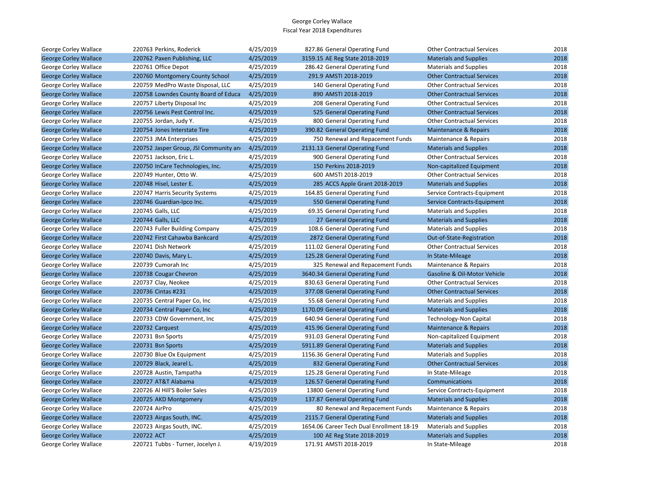| George Corley Wallace        | 220763 Perkins, Roderick               | 4/25/2019 | 827.86 General Operating Fund             | <b>Other Contractual Services</b> | 2018 |
|------------------------------|----------------------------------------|-----------|-------------------------------------------|-----------------------------------|------|
| <b>George Corley Wallace</b> | 220762 Paxen Publishing, LLC           | 4/25/2019 | 3159.15 AE Reg State 2018-2019            | <b>Materials and Supplies</b>     | 2018 |
| George Corley Wallace        | 220761 Office Depot                    | 4/25/2019 | 286.42 General Operating Fund             | <b>Materials and Supplies</b>     | 2018 |
| <b>George Corley Wallace</b> | 220760 Montgomery County School        | 4/25/2019 | 291.9 AMSTI 2018-2019                     | <b>Other Contractual Services</b> | 2018 |
| George Corley Wallace        | 220759 MedPro Waste Disposal, LLC      | 4/25/2019 | 140 General Operating Fund                | <b>Other Contractual Services</b> | 2018 |
| <b>George Corley Wallace</b> | 220758 Lowndes County Board of Educa   | 4/25/2019 | 890 AMSTI 2018-2019                       | <b>Other Contractual Services</b> | 2018 |
| George Corley Wallace        | 220757 Liberty Disposal Inc            | 4/25/2019 | 208 General Operating Fund                | <b>Other Contractual Services</b> | 2018 |
| <b>George Corley Wallace</b> | 220756 Lewis Pest Control Inc.         | 4/25/2019 | 525 General Operating Fund                | <b>Other Contractual Services</b> | 2018 |
| George Corley Wallace        | 220755 Jordan, Judy Y.                 | 4/25/2019 | 800 General Operating Fund                | <b>Other Contractual Services</b> | 2018 |
| <b>George Corley Wallace</b> | 220754 Jones Interstate Tire           | 4/25/2019 | 390.82 General Operating Fund             | <b>Maintenance &amp; Repairs</b>  | 2018 |
| George Corley Wallace        | 220753 JMA Enterprises                 | 4/25/2019 | 750 Renewal and Repacement Funds          | Maintenance & Repairs             | 2018 |
| <b>George Corley Wallace</b> | 220752 Jasper Group, JSI Community and | 4/25/2019 | 2131.13 General Operating Fund            | <b>Materials and Supplies</b>     | 2018 |
| George Corley Wallace        | 220751 Jackson, Eric L.                | 4/25/2019 | 900 General Operating Fund                | <b>Other Contractual Services</b> | 2018 |
| <b>George Corley Wallace</b> | 220750 InCare Technologies, Inc.       | 4/25/2019 | 150 Perkins 2018-2019                     | Non-capitalized Equipment         | 2018 |
| George Corley Wallace        | 220749 Hunter, Otto W.                 | 4/25/2019 | 600 AMSTI 2018-2019                       | <b>Other Contractual Services</b> | 2018 |
| <b>George Corley Wallace</b> | 220748 Hisel, Lester E.                | 4/25/2019 | 285 ACCS Apple Grant 2018-2019            | <b>Materials and Supplies</b>     | 2018 |
| George Corley Wallace        | 220747 Harris Security Systems         | 4/25/2019 | 164.85 General Operating Fund             | Service Contracts-Equipment       | 2018 |
| <b>George Corley Wallace</b> | 220746 Guardian-Ipco Inc.              | 4/25/2019 | 550 General Operating Fund                | Service Contracts-Equipment       | 2018 |
| George Corley Wallace        | 220745 Galls, LLC                      | 4/25/2019 | 69.35 General Operating Fund              | <b>Materials and Supplies</b>     | 2018 |
| <b>George Corley Wallace</b> | 220744 Galls, LLC                      | 4/25/2019 | 27 General Operating Fund                 | <b>Materials and Supplies</b>     | 2018 |
| George Corley Wallace        | 220743 Fuller Building Company         | 4/25/2019 | 108.6 General Operating Fund              | <b>Materials and Supplies</b>     | 2018 |
| <b>George Corley Wallace</b> | 220742 First Cahawba Bankcard          | 4/25/2019 | 2872 General Operating Fund               | Out-of-State-Registration         | 2018 |
| George Corley Wallace        | 220741 Dish Network                    | 4/25/2019 | 111.02 General Operating Fund             | <b>Other Contractual Services</b> | 2018 |
| <b>George Corley Wallace</b> | 220740 Davis, Mary L.                  | 4/25/2019 | 125.28 General Operating Fund             | In State-Mileage                  | 2018 |
| George Corley Wallace        | 220739 Cumorah Inc                     | 4/25/2019 | 325 Renewal and Repacement Funds          | Maintenance & Repairs             | 2018 |
| <b>George Corley Wallace</b> | 220738 Cougar Chevron                  | 4/25/2019 | 3640.34 General Operating Fund            | Gasoline & Oil-Motor Vehicle      | 2018 |
| George Corley Wallace        | 220737 Clay, Neokee                    | 4/25/2019 | 830.63 General Operating Fund             | <b>Other Contractual Services</b> | 2018 |
| <b>George Corley Wallace</b> | 220736 Cintas #231                     | 4/25/2019 | 377.08 General Operating Fund             | <b>Other Contractual Services</b> | 2018 |
| George Corley Wallace        | 220735 Central Paper Co, Inc           | 4/25/2019 | 55.68 General Operating Fund              | <b>Materials and Supplies</b>     | 2018 |
| <b>George Corley Wallace</b> | 220734 Central Paper Co, Inc.          | 4/25/2019 | 1170.09 General Operating Fund            | <b>Materials and Supplies</b>     | 2018 |
| George Corley Wallace        | 220733 CDW Government, Inc             | 4/25/2019 | 640.94 General Operating Fund             | <b>Technology-Non Capital</b>     | 2018 |
| <b>George Corley Wallace</b> | 220732 Carquest                        | 4/25/2019 | 415.96 General Operating Fund             | Maintenance & Repairs             | 2018 |
| George Corley Wallace        | 220731 Bsn Sports                      | 4/25/2019 | 931.03 General Operating Fund             | Non-capitalized Equipment         | 2018 |
| <b>George Corley Wallace</b> | 220731 Bsn Sports                      | 4/25/2019 | 5911.89 General Operating Fund            | <b>Materials and Supplies</b>     | 2018 |
| George Corley Wallace        | 220730 Blue Ox Equipment               | 4/25/2019 | 1156.36 General Operating Fund            | <b>Materials and Supplies</b>     | 2018 |
| <b>George Corley Wallace</b> | 220729 Black, Jearel L.                | 4/25/2019 | 832 General Operating Fund                | <b>Other Contractual Services</b> | 2018 |
| George Corley Wallace        | 220728 Austin, Tampatha                | 4/25/2019 | 125.28 General Operating Fund             | In State-Mileage                  | 2018 |
| <b>George Corley Wallace</b> | 220727 AT&T Alabama                    | 4/25/2019 | 126.57 General Operating Fund             | Communications                    | 2018 |
| George Corley Wallace        | 220726 Al Hill'S Boiler Sales          | 4/25/2019 | 13800 General Operating Fund              | Service Contracts-Equipment       | 2018 |
| <b>George Corley Wallace</b> | 220725 AKD Montgomery                  | 4/25/2019 | 137.87 General Operating Fund             | <b>Materials and Supplies</b>     | 2018 |
| George Corley Wallace        | 220724 AirPro                          | 4/25/2019 | 80 Renewal and Repacement Funds           | Maintenance & Repairs             | 2018 |
| <b>George Corley Wallace</b> | 220723 Airgas South, INC.              | 4/25/2019 | 2115.7 General Operating Fund             | <b>Materials and Supplies</b>     | 2018 |
| George Corley Wallace        | 220723 Airgas South, INC.              | 4/25/2019 | 1654.06 Career Tech Dual Enrollment 18-19 | <b>Materials and Supplies</b>     | 2018 |
| <b>George Corley Wallace</b> | 220722 ACT                             | 4/25/2019 | 100 AE Reg State 2018-2019                | <b>Materials and Supplies</b>     | 2018 |
| George Corley Wallace        | 220721 Tubbs - Turner, Jocelyn J.      | 4/19/2019 | 171.91 AMSTI 2018-2019                    | In State-Mileage                  | 2018 |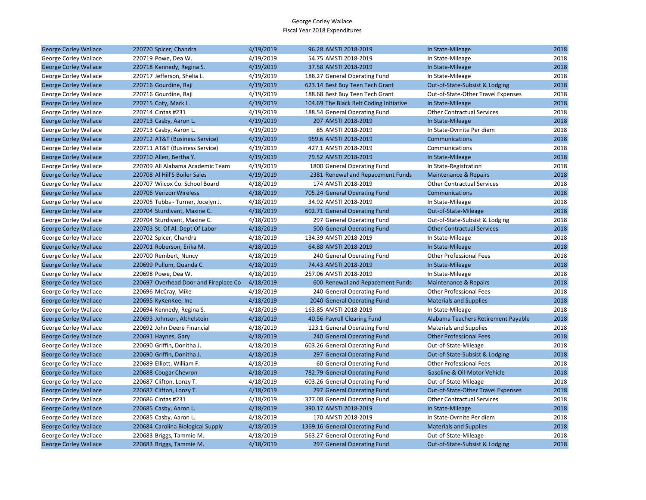| <b>George Corley Wallace</b> | 220720 Spicer, Chandra                | 4/19/2019 | 96.28 AMSTI 2018-2019                   | In State-Mileage                    | 2018 |
|------------------------------|---------------------------------------|-----------|-----------------------------------------|-------------------------------------|------|
| George Corley Wallace        | 220719 Powe, Dea W.                   | 4/19/2019 | 54.75 AMSTI 2018-2019                   | In State-Mileage                    | 2018 |
| <b>George Corley Wallace</b> | 220718 Kennedy, Regina S.             | 4/19/2019 | 37.58 AMSTI 2018-2019                   | In State-Mileage                    | 2018 |
| George Corley Wallace        | 220717 Jefferson, Shelia L.           | 4/19/2019 | 188.27 General Operating Fund           | In State-Mileage                    | 2018 |
| <b>George Corley Wallace</b> | 220716 Gourdine, Raji                 | 4/19/2019 | 623.14 Best Buy Teen Tech Grant         | Out-of-State-Subsist & Lodging      | 2018 |
| George Corley Wallace        | 220716 Gourdine, Raji                 | 4/19/2019 | 188.68 Best Buy Teen Tech Grant         | Out-of-State-Other Travel Expenses  | 2018 |
| <b>George Corley Wallace</b> | 220715 Coty, Mark L.                  | 4/19/2019 | 104.69 The Black Belt Coding Initiative | In State-Mileage                    | 2018 |
| George Corley Wallace        | 220714 Cintas #231                    | 4/19/2019 | 188.54 General Operating Fund           | <b>Other Contractual Services</b>   | 2018 |
| <b>George Corley Wallace</b> | 220713 Casby, Aaron L.                | 4/19/2019 | 207 AMSTI 2018-2019                     | In State-Mileage                    | 2018 |
| George Corley Wallace        | 220713 Casby, Aaron L.                | 4/19/2019 | 85 AMSTI 2018-2019                      | In State-Ovrnite Per diem           | 2018 |
| <b>George Corley Wallace</b> | 220712 AT&T (Business Service)        | 4/19/2019 | 959.6 AMSTI 2018-2019                   | Communications                      | 2018 |
| George Corley Wallace        | 220711 AT&T (Business Service)        | 4/19/2019 | 427.1 AMSTI 2018-2019                   | Communications                      | 2018 |
| <b>George Corley Wallace</b> | 220710 Allen, Bertha Y.               | 4/19/2019 | 79.52 AMSTI 2018-2019                   | In State-Mileage                    | 2018 |
| George Corley Wallace        | 220709 All Alabama Academic Team      | 4/19/2019 | 1800 General Operating Fund             | In State-Registration               | 2018 |
| <b>George Corley Wallace</b> | 220708 Al Hill'S Boiler Sales         | 4/19/2019 | 2381 Renewal and Repacement Funds       | Maintenance & Repairs               | 2018 |
| George Corley Wallace        | 220707 Wilcox Co. School Board        | 4/18/2019 | 174 AMSTI 2018-2019                     | <b>Other Contractual Services</b>   | 2018 |
| <b>George Corley Wallace</b> | 220706 Verizon Wireless               | 4/18/2019 | 705.24 General Operating Fund           | Communications                      | 2018 |
| George Corley Wallace        | 220705 Tubbs - Turner, Jocelyn J.     | 4/18/2019 | 34.92 AMSTI 2018-2019                   | In State-Mileage                    | 2018 |
| <b>George Corley Wallace</b> | 220704 Sturdivant, Maxine C.          | 4/18/2019 | 602.71 General Operating Fund           | Out-of-State-Mileage                | 2018 |
| George Corley Wallace        | 220704 Sturdivant, Maxine C.          | 4/18/2019 | 297 General Operating Fund              | Out-of-State-Subsist & Lodging      | 2018 |
| <b>George Corley Wallace</b> | 220703 St. Of Al. Dept Of Labor       | 4/18/2019 | 500 General Operating Fund              | <b>Other Contractual Services</b>   | 2018 |
| George Corley Wallace        | 220702 Spicer, Chandra                | 4/18/2019 | 134.39 AMSTI 2018-2019                  | In State-Mileage                    | 2018 |
| <b>George Corley Wallace</b> | 220701 Roberson, Erika M.             | 4/18/2019 | 64.88 AMSTI 2018-2019                   | In State-Mileage                    | 2018 |
| George Corley Wallace        | 220700 Rembert, Nuncy                 | 4/18/2019 | 240 General Operating Fund              | <b>Other Professional Fees</b>      | 2018 |
| <b>George Corley Wallace</b> | 220699 Pullum, Quanda C.              | 4/18/2019 | 74.43 AMSTI 2018-2019                   | In State-Mileage                    | 2018 |
| George Corley Wallace        | 220698 Powe, Dea W.                   | 4/18/2019 | 257.06 AMSTI 2018-2019                  | In State-Mileage                    | 2018 |
| <b>George Corley Wallace</b> | 220697 Overhead Door and Fireplace Co | 4/18/2019 | 600 Renewal and Repacement Funds        | <b>Maintenance &amp; Repairs</b>    | 2018 |
| George Corley Wallace        | 220696 McCray, Mike                   | 4/18/2019 | 240 General Operating Fund              | <b>Other Professional Fees</b>      | 2018 |
| <b>George Corley Wallace</b> | 220695 KyKenKee, Inc                  | 4/18/2019 | 2040 General Operating Fund             | <b>Materials and Supplies</b>       | 2018 |
| George Corley Wallace        | 220694 Kennedy, Regina S.             | 4/18/2019 | 163.85 AMSTI 2018-2019                  | In State-Mileage                    | 2018 |
| <b>George Corley Wallace</b> | 220693 Johnson, Althelstein           | 4/18/2019 | 40.56 Payroll Clearing Fund             | Alabama Teachers Retirement Payable | 2018 |
| George Corley Wallace        | 220692 John Deere Financial           | 4/18/2019 | 123.1 General Operating Fund            | <b>Materials and Supplies</b>       | 2018 |
| <b>George Corley Wallace</b> | 220691 Haynes, Gary                   | 4/18/2019 | 240 General Operating Fund              | <b>Other Professional Fees</b>      | 2018 |
| George Corley Wallace        | 220690 Griffin, Donitha J.            | 4/18/2019 | 603.26 General Operating Fund           | Out-of-State-Mileage                | 2018 |
| <b>George Corley Wallace</b> | 220690 Griffin, Donitha J.            | 4/18/2019 | 297 General Operating Fund              | Out-of-State-Subsist & Lodging      | 2018 |
| George Corley Wallace        | 220689 Elliott, William F.            | 4/18/2019 | 60 General Operating Fund               | <b>Other Professional Fees</b>      | 2018 |
| <b>George Corley Wallace</b> | 220688 Cougar Chevron                 | 4/18/2019 | 782.79 General Operating Fund           | Gasoline & Oil-Motor Vehicle        | 2018 |
| George Corley Wallace        | 220687 Clifton, Lonzy T.              | 4/18/2019 | 603.26 General Operating Fund           | Out-of-State-Mileage                | 2018 |
| <b>George Corley Wallace</b> | 220687 Clifton, Lonzy T.              | 4/18/2019 | 297 General Operating Fund              | Out-of-State-Other Travel Expenses  | 2018 |
| George Corley Wallace        | 220686 Cintas #231                    | 4/18/2019 | 377.08 General Operating Fund           | <b>Other Contractual Services</b>   | 2018 |
| <b>George Corley Wallace</b> | 220685 Casby, Aaron L.                | 4/18/2019 | 390.17 AMSTI 2018-2019                  | In State-Mileage                    | 2018 |
| George Corley Wallace        | 220685 Casby, Aaron L.                | 4/18/2019 | 170 AMSTI 2018-2019                     | In State-Ovrnite Per diem           | 2018 |
| <b>George Corley Wallace</b> | 220684 Carolina Biological Supply     | 4/18/2019 | 1369.16 General Operating Fund          | <b>Materials and Supplies</b>       | 2018 |
| George Corley Wallace        | 220683 Briggs, Tammie M.              | 4/18/2019 | 563.27 General Operating Fund           | Out-of-State-Mileage                | 2018 |
| <b>George Corley Wallace</b> | 220683 Briggs, Tammie M.              | 4/18/2019 | 297 General Operating Fund              | Out-of-State-Subsist & Lodging      | 2018 |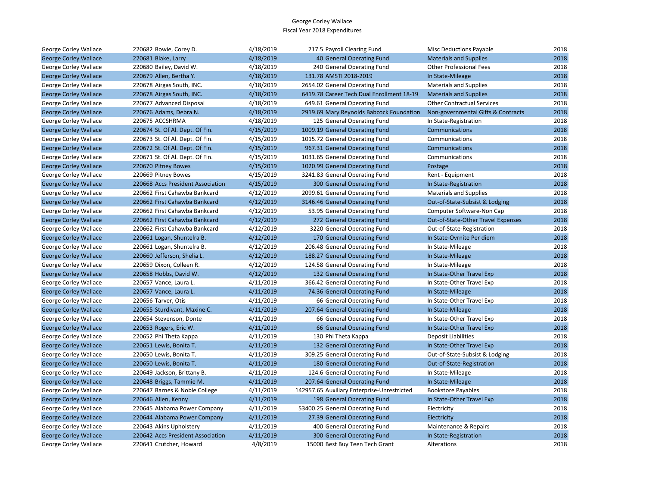| George Corley Wallace        | 220682 Bowie, Corey D.            | 4/18/2019 | 217.5 Payroll Clearing Fund                 | <b>Misc Deductions Payable</b>     | 2018 |
|------------------------------|-----------------------------------|-----------|---------------------------------------------|------------------------------------|------|
| <b>George Corley Wallace</b> | 220681 Blake, Larry               | 4/18/2019 | 40 General Operating Fund                   | <b>Materials and Supplies</b>      | 2018 |
| George Corley Wallace        | 220680 Bailey, David W.           | 4/18/2019 | 240 General Operating Fund                  | <b>Other Professional Fees</b>     | 2018 |
| <b>George Corley Wallace</b> | 220679 Allen, Bertha Y.           | 4/18/2019 | 131.78 AMSTI 2018-2019                      | In State-Mileage                   | 2018 |
| George Corley Wallace        | 220678 Airgas South, INC.         | 4/18/2019 | 2654.02 General Operating Fund              | <b>Materials and Supplies</b>      | 2018 |
| <b>George Corley Wallace</b> | 220678 Airgas South, INC.         | 4/18/2019 | 6419.78 Career Tech Dual Enrollment 18-19   | <b>Materials and Supplies</b>      | 2018 |
| George Corley Wallace        | 220677 Advanced Disposal          | 4/18/2019 | 649.61 General Operating Fund               | <b>Other Contractual Services</b>  | 2018 |
| <b>George Corley Wallace</b> | 220676 Adams, Debra N.            | 4/18/2019 | 2919.69 Mary Reynolds Babcock Foundation    | Non-governmental Gifts & Contracts | 2018 |
| George Corley Wallace        | 220675 ACCSHRMA                   | 4/18/2019 | 125 General Operating Fund                  | In State-Registration              | 2018 |
| <b>George Corley Wallace</b> | 220674 St. Of Al. Dept. Of Fin.   | 4/15/2019 | 1009.19 General Operating Fund              | Communications                     | 2018 |
| George Corley Wallace        | 220673 St. Of Al. Dept. Of Fin.   | 4/15/2019 | 1015.72 General Operating Fund              | Communications                     | 2018 |
| <b>George Corley Wallace</b> | 220672 St. Of Al. Dept. Of Fin.   | 4/15/2019 | 967.31 General Operating Fund               | Communications                     | 2018 |
| George Corley Wallace        | 220671 St. Of Al. Dept. Of Fin.   | 4/15/2019 | 1031.65 General Operating Fund              | Communications                     | 2018 |
| <b>George Corley Wallace</b> | 220670 Pitney Bowes               | 4/15/2019 | 1020.99 General Operating Fund              | Postage                            | 2018 |
| George Corley Wallace        | 220669 Pitney Bowes               | 4/15/2019 | 3241.83 General Operating Fund              | Rent - Equipment                   | 2018 |
| <b>George Corley Wallace</b> | 220668 Accs President Association | 4/15/2019 | 300 General Operating Fund                  | In State-Registration              | 2018 |
| George Corley Wallace        | 220662 First Cahawba Bankcard     | 4/12/2019 | 2099.61 General Operating Fund              | <b>Materials and Supplies</b>      | 2018 |
| <b>George Corley Wallace</b> | 220662 First Cahawba Bankcard     | 4/12/2019 | 3146.46 General Operating Fund              | Out-of-State-Subsist & Lodging     | 2018 |
| George Corley Wallace        | 220662 First Cahawba Bankcard     | 4/12/2019 | 53.95 General Operating Fund                | Computer Software-Non Cap          | 2018 |
| <b>George Corley Wallace</b> | 220662 First Cahawba Bankcard     | 4/12/2019 | 272 General Operating Fund                  | Out-of-State-Other Travel Expenses | 2018 |
| George Corley Wallace        | 220662 First Cahawba Bankcard     | 4/12/2019 | 3220 General Operating Fund                 | Out-of-State-Registration          | 2018 |
| <b>George Corley Wallace</b> | 220661 Logan, Shuntelra B.        | 4/12/2019 | 170 General Operating Fund                  | In State-Ovrnite Per diem          | 2018 |
| George Corley Wallace        | 220661 Logan, Shuntelra B.        | 4/12/2019 | 206.48 General Operating Fund               | In State-Mileage                   | 2018 |
| <b>George Corley Wallace</b> | 220660 Jefferson, Shelia L.       | 4/12/2019 | 188.27 General Operating Fund               | In State-Mileage                   | 2018 |
| George Corley Wallace        | 220659 Dixon, Colleen R.          | 4/12/2019 | 124.58 General Operating Fund               | In State-Mileage                   | 2018 |
| <b>George Corley Wallace</b> | 220658 Hobbs, David W.            | 4/12/2019 | 132 General Operating Fund                  | In State-Other Travel Exp          | 2018 |
| George Corley Wallace        | 220657 Vance, Laura L.            | 4/11/2019 | 366.42 General Operating Fund               | In State-Other Travel Exp          | 2018 |
| <b>George Corley Wallace</b> | 220657 Vance, Laura L.            | 4/11/2019 | 74.36 General Operating Fund                | In State-Mileage                   | 2018 |
| George Corley Wallace        | 220656 Tarver, Otis               | 4/11/2019 | 66 General Operating Fund                   | In State-Other Travel Exp          | 2018 |
| <b>George Corley Wallace</b> | 220655 Sturdivant, Maxine C.      | 4/11/2019 | 207.64 General Operating Fund               | In State-Mileage                   | 2018 |
| George Corley Wallace        | 220654 Stevenson, Donte           | 4/11/2019 | 66 General Operating Fund                   | In State-Other Travel Exp          | 2018 |
| <b>George Corley Wallace</b> | 220653 Rogers, Eric W.            | 4/11/2019 | 66 General Operating Fund                   | In State-Other Travel Exp          | 2018 |
| George Corley Wallace        | 220652 Phi Theta Kappa            | 4/11/2019 | 130 Phi Theta Kappa                         | Deposit Liabilities                | 2018 |
| <b>George Corley Wallace</b> | 220651 Lewis, Bonita T.           | 4/11/2019 | 132 General Operating Fund                  | In State-Other Travel Exp          | 2018 |
| George Corley Wallace        | 220650 Lewis, Bonita T.           | 4/11/2019 | 309.25 General Operating Fund               | Out-of-State-Subsist & Lodging     | 2018 |
| <b>George Corley Wallace</b> | 220650 Lewis, Bonita T.           | 4/11/2019 | 180 General Operating Fund                  | Out-of-State-Registration          | 2018 |
| George Corley Wallace        | 220649 Jackson, Brittany B.       | 4/11/2019 | 124.6 General Operating Fund                | In State-Mileage                   | 2018 |
| <b>George Corley Wallace</b> | 220648 Briggs, Tammie M.          | 4/11/2019 | 207.64 General Operating Fund               | In State-Mileage                   | 2018 |
| George Corley Wallace        | 220647 Barnes & Noble College     | 4/11/2019 | 142957.65 Auxiliary Enterprise-Unrestricted | <b>Bookstore Payables</b>          | 2018 |
| <b>George Corley Wallace</b> | 220646 Allen, Kenny               | 4/11/2019 | 198 General Operating Fund                  | In State-Other Travel Exp          | 2018 |
| George Corley Wallace        | 220645 Alabama Power Company      | 4/11/2019 | 53400.25 General Operating Fund             | Electricity                        | 2018 |
| <b>George Corley Wallace</b> | 220644 Alabama Power Company      | 4/11/2019 | 27.39 General Operating Fund                | Electricity                        | 2018 |
| George Corley Wallace        | 220643 Akins Upholstery           | 4/11/2019 | 400 General Operating Fund                  | Maintenance & Repairs              | 2018 |
| <b>George Corley Wallace</b> | 220642 Accs President Association | 4/11/2019 | 300 General Operating Fund                  | In State-Registration              | 2018 |
| George Corley Wallace        | 220641 Crutcher. Howard           | 4/8/2019  | 15000 Best Buy Teen Tech Grant              | Alterations                        | 2018 |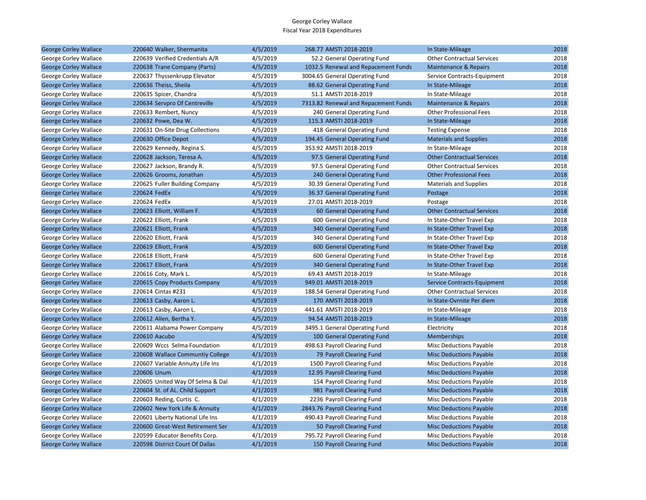| <b>George Corley Wallace</b> | 220640 Walker, Shermanita        | 4/5/2019 | 268.77 AMSTI 2018-2019               | In State-Mileage                  | 2018 |
|------------------------------|----------------------------------|----------|--------------------------------------|-----------------------------------|------|
| George Corley Wallace        | 220639 Verified Credentials A/R  | 4/5/2019 | 52.2 General Operating Fund          | <b>Other Contractual Services</b> | 2018 |
| <b>George Corley Wallace</b> | 220638 Trane Company (Parts)     | 4/5/2019 | 1032.5 Renewal and Repacement Funds  | <b>Maintenance &amp; Repairs</b>  | 2018 |
| George Corley Wallace        | 220637 Thyssenkrupp Elevator     | 4/5/2019 | 3004.65 General Operating Fund       | Service Contracts-Equipment       | 2018 |
| <b>George Corley Wallace</b> | 220636 Theiss, Sheila            | 4/5/2019 | 88.62 General Operating Fund         | In State-Mileage                  | 2018 |
| George Corley Wallace        | 220635 Spicer, Chandra           | 4/5/2019 | 51.1 AMSTI 2018-2019                 | In State-Mileage                  | 2018 |
| <b>George Corley Wallace</b> | 220634 Servpro Of Centreville    | 4/5/2019 | 7313.82 Renewal and Repacement Funds | Maintenance & Repairs             | 2018 |
| George Corley Wallace        | 220633 Rembert, Nuncy            | 4/5/2019 | 240 General Operating Fund           | <b>Other Professional Fees</b>    | 2018 |
| <b>George Corley Wallace</b> | 220632 Powe, Dea W.              | 4/5/2019 | 115.3 AMSTI 2018-2019                | In State-Mileage                  | 2018 |
| George Corley Wallace        | 220631 On-Site Drug Collections  | 4/5/2019 | 418 General Operating Fund           | <b>Testing Expense</b>            | 2018 |
| <b>George Corley Wallace</b> | 220630 Office Depot              | 4/5/2019 | 194.45 General Operating Fund        | <b>Materials and Supplies</b>     | 2018 |
| George Corley Wallace        | 220629 Kennedy, Regina S.        | 4/5/2019 | 353.92 AMSTI 2018-2019               | In State-Mileage                  | 2018 |
| <b>George Corley Wallace</b> | 220628 Jackson, Teresa A.        | 4/5/2019 | 97.5 General Operating Fund          | <b>Other Contractual Services</b> | 2018 |
| George Corley Wallace        | 220627 Jackson, Brandy R.        | 4/5/2019 | 97.5 General Operating Fund          | <b>Other Contractual Services</b> | 2018 |
| <b>George Corley Wallace</b> | 220626 Grooms, Jonathan          | 4/5/2019 | 240 General Operating Fund           | <b>Other Professional Fees</b>    | 2018 |
| George Corley Wallace        | 220625 Fuller Building Company   | 4/5/2019 | 30.39 General Operating Fund         | <b>Materials and Supplies</b>     | 2018 |
| <b>George Corley Wallace</b> | 220624 FedEx                     | 4/5/2019 | 36.37 General Operating Fund         | Postage                           | 2018 |
| George Corley Wallace        | 220624 FedEx                     | 4/5/2019 | 27.01 AMSTI 2018-2019                | Postage                           | 2018 |
| <b>George Corley Wallace</b> | 220623 Elliott, William F.       | 4/5/2019 | 60 General Operating Fund            | <b>Other Contractual Services</b> | 2018 |
| George Corley Wallace        | 220622 Elliott, Frank            | 4/5/2019 | 600 General Operating Fund           | In State-Other Travel Exp         | 2018 |
| <b>George Corley Wallace</b> | 220621 Elliott, Frank            | 4/5/2019 | 340 General Operating Fund           | In State-Other Travel Exp         | 2018 |
| George Corley Wallace        | 220620 Elliott, Frank            | 4/5/2019 | 340 General Operating Fund           | In State-Other Travel Exp         | 2018 |
| <b>George Corley Wallace</b> | 220619 Elliott, Frank            | 4/5/2019 | 600 General Operating Fund           | In State-Other Travel Exp         | 2018 |
| George Corley Wallace        | 220618 Elliott, Frank            | 4/5/2019 | 600 General Operating Fund           | In State-Other Travel Exp         | 2018 |
| <b>George Corley Wallace</b> | 220617 Elliott, Frank            | 4/5/2019 | 340 General Operating Fund           | In State-Other Travel Exp         | 2018 |
| George Corley Wallace        | 220616 Coty, Mark L.             | 4/5/2019 | 69.43 AMSTI 2018-2019                | In State-Mileage                  | 2018 |
| <b>George Corley Wallace</b> | 220615 Copy Products Company     | 4/5/2019 | 949.01 AMSTI 2018-2019               | Service Contracts-Equipment       | 2018 |
| George Corley Wallace        | 220614 Cintas #231               | 4/5/2019 | 188.54 General Operating Fund        | <b>Other Contractual Services</b> | 2018 |
| <b>George Corley Wallace</b> | 220613 Casby, Aaron L.           | 4/5/2019 | 170 AMSTI 2018-2019                  | In State-Ovrnite Per diem         | 2018 |
| George Corley Wallace        | 220613 Casby, Aaron L.           | 4/5/2019 | 441.61 AMSTI 2018-2019               | In State-Mileage                  | 2018 |
| <b>George Corley Wallace</b> | 220612 Allen, Bertha Y.          | 4/5/2019 | 94.54 AMSTI 2018-2019                | In State-Mileage                  | 2018 |
| George Corley Wallace        | 220611 Alabama Power Company     | 4/5/2019 | 3495.1 General Operating Fund        | Electricity                       | 2018 |
| <b>George Corley Wallace</b> | 220610 Aacubo                    | 4/5/2019 | 100 General Operating Fund           | <b>Memberships</b>                | 2018 |
| George Corley Wallace        | 220609 Wccs Selma Foundation     | 4/1/2019 | 498.63 Payroll Clearing Fund         | Misc Deductions Payable           | 2018 |
| <b>George Corley Wallace</b> | 220608 Wallace Communtiy College | 4/1/2019 | 79 Payroll Clearing Fund             | <b>Misc Deductions Payable</b>    | 2018 |
| George Corley Wallace        | 220607 Variable Annuity Life Ins | 4/1/2019 | 1500 Payroll Clearing Fund           | Misc Deductions Payable           | 2018 |
| <b>George Corley Wallace</b> | 220606 Unum                      | 4/1/2019 | 12.95 Payroll Clearing Fund          | <b>Misc Deductions Payable</b>    | 2018 |
| George Corley Wallace        | 220605 United Way Of Selma & Dal | 4/1/2019 | 154 Payroll Clearing Fund            | <b>Misc Deductions Payable</b>    | 2018 |
| <b>George Corley Wallace</b> | 220604 St. of AL. Child Support  | 4/1/2019 | 981 Payroll Clearing Fund            | <b>Misc Deductions Payable</b>    | 2018 |
| George Corley Wallace        | 220603 Reding, Curtis C.         | 4/1/2019 | 2236 Payroll Clearing Fund           | <b>Misc Deductions Payable</b>    | 2018 |
| <b>George Corley Wallace</b> | 220602 New York Life & Annuity   | 4/1/2019 | 2843.76 Payroll Clearing Fund        | <b>Misc Deductions Payable</b>    | 2018 |
| George Corley Wallace        | 220601 Liberty National Life Ins | 4/1/2019 | 490.43 Payroll Clearing Fund         | Misc Deductions Payable           | 2018 |
| <b>George Corley Wallace</b> | 220600 Great-West Retirement Ser | 4/1/2019 | 50 Payroll Clearing Fund             | <b>Misc Deductions Payable</b>    | 2018 |
| George Corley Wallace        | 220599 Educator Benefits Corp.   | 4/1/2019 | 795.72 Payroll Clearing Fund         | <b>Misc Deductions Payable</b>    | 2018 |
| <b>George Corley Wallace</b> | 220598 District Court Of Dallas  | 4/1/2019 | 150 Payroll Clearing Fund            | <b>Misc Deductions Payable</b>    | 2018 |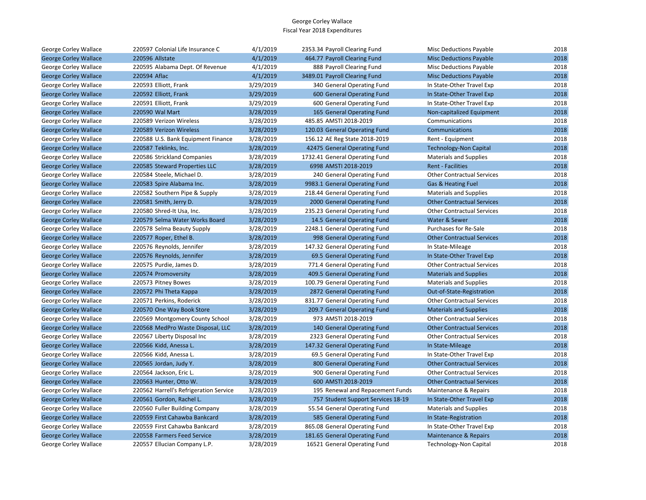| George Corley Wallace        | 220597 Colonial Life Insurance C       | 4/1/2019  | 2353.34 Payroll Clearing Fund      | <b>Misc Deductions Payable</b>    | 2018 |
|------------------------------|----------------------------------------|-----------|------------------------------------|-----------------------------------|------|
| <b>George Corley Wallace</b> | 220596 Allstate                        | 4/1/2019  | 464.77 Payroll Clearing Fund       | <b>Misc Deductions Payable</b>    | 2018 |
| George Corley Wallace        | 220595 Alabama Dept. Of Revenue        | 4/1/2019  | 888 Payroll Clearing Fund          | <b>Misc Deductions Payable</b>    | 2018 |
| <b>George Corley Wallace</b> | 220594 Aflac                           | 4/1/2019  | 3489.01 Payroll Clearing Fund      | <b>Misc Deductions Payable</b>    | 2018 |
| George Corley Wallace        | 220593 Elliott, Frank                  | 3/29/2019 | 340 General Operating Fund         | In State-Other Travel Exp         | 2018 |
| <b>George Corley Wallace</b> | 220592 Elliott, Frank                  | 3/29/2019 | 600 General Operating Fund         | In State-Other Travel Exp         | 2018 |
| George Corley Wallace        | 220591 Elliott, Frank                  | 3/29/2019 | 600 General Operating Fund         | In State-Other Travel Exp         | 2018 |
| <b>George Corley Wallace</b> | 220590 Wal Mart                        | 3/28/2019 | 165 General Operating Fund         | Non-capitalized Equipment         | 2018 |
| George Corley Wallace        | 220589 Verizon Wireless                | 3/28/2019 | 485.85 AMSTI 2018-2019             | Communications                    | 2018 |
| <b>George Corley Wallace</b> | 220589 Verizon Wireless                | 3/28/2019 | 120.03 General Operating Fund      | Communications                    | 2018 |
| George Corley Wallace        | 220588 U.S. Bank Equipment Finance     | 3/28/2019 | 156.12 AE Reg State 2018-2019      | Rent - Equipment                  | 2018 |
| <b>George Corley Wallace</b> | 220587 Teklinks, Inc.                  | 3/28/2019 | 42475 General Operating Fund       | <b>Technology-Non Capital</b>     | 2018 |
| George Corley Wallace        | 220586 Strickland Companies            | 3/28/2019 | 1732.41 General Operating Fund     | <b>Materials and Supplies</b>     | 2018 |
| <b>George Corley Wallace</b> | 220585 Steward Properties LLC          | 3/28/2019 | 6998 AMSTI 2018-2019               | <b>Rent - Facilities</b>          | 2018 |
| George Corley Wallace        | 220584 Steele, Michael D.              | 3/28/2019 | 240 General Operating Fund         | <b>Other Contractual Services</b> | 2018 |
| <b>George Corley Wallace</b> | 220583 Spire Alabama Inc.              | 3/28/2019 | 9983.1 General Operating Fund      | Gas & Heating Fuel                | 2018 |
| George Corley Wallace        | 220582 Southern Pipe & Supply          | 3/28/2019 | 218.44 General Operating Fund      | <b>Materials and Supplies</b>     | 2018 |
| <b>George Corley Wallace</b> | 220581 Smith, Jerry D.                 | 3/28/2019 | 2000 General Operating Fund        | <b>Other Contractual Services</b> | 2018 |
| George Corley Wallace        | 220580 Shred-It Usa, Inc.              | 3/28/2019 | 235.23 General Operating Fund      | <b>Other Contractual Services</b> | 2018 |
| <b>George Corley Wallace</b> | 220579 Selma Water Works Board         | 3/28/2019 | 14.5 General Operating Fund        | Water & Sewer                     | 2018 |
| George Corley Wallace        | 220578 Selma Beauty Supply             | 3/28/2019 | 2248.1 General Operating Fund      | Purchases for Re-Sale             | 2018 |
| <b>George Corley Wallace</b> | 220577 Roper, Ethel B.                 | 3/28/2019 | 998 General Operating Fund         | <b>Other Contractual Services</b> | 2018 |
| George Corley Wallace        | 220576 Reynolds, Jennifer              | 3/28/2019 | 147.32 General Operating Fund      | In State-Mileage                  | 2018 |
| <b>George Corley Wallace</b> | 220576 Reynolds, Jennifer              | 3/28/2019 | 69.5 General Operating Fund        | In State-Other Travel Exp         | 2018 |
| George Corley Wallace        | 220575 Purdie, James D.                | 3/28/2019 | 771.4 General Operating Fund       | <b>Other Contractual Services</b> | 2018 |
| <b>George Corley Wallace</b> | 220574 Promoversity                    | 3/28/2019 | 409.5 General Operating Fund       | <b>Materials and Supplies</b>     | 2018 |
| George Corley Wallace        | 220573 Pitney Bowes                    | 3/28/2019 | 100.79 General Operating Fund      | <b>Materials and Supplies</b>     | 2018 |
| <b>George Corley Wallace</b> | 220572 Phi Theta Kappa                 | 3/28/2019 | 2872 General Operating Fund        | Out-of-State-Registration         | 2018 |
| George Corley Wallace        | 220571 Perkins, Roderick               | 3/28/2019 | 831.77 General Operating Fund      | <b>Other Contractual Services</b> | 2018 |
| <b>George Corley Wallace</b> | 220570 One Way Book Store              | 3/28/2019 | 209.7 General Operating Fund       | <b>Materials and Supplies</b>     | 2018 |
| George Corley Wallace        | 220569 Montgomery County School        | 3/28/2019 | 973 AMSTI 2018-2019                | <b>Other Contractual Services</b> | 2018 |
| <b>George Corley Wallace</b> | 220568 MedPro Waste Disposal, LLC      | 3/28/2019 | 140 General Operating Fund         | <b>Other Contractual Services</b> | 2018 |
| George Corley Wallace        | 220567 Liberty Disposal Inc            | 3/28/2019 | 2323 General Operating Fund        | <b>Other Contractual Services</b> | 2018 |
| <b>George Corley Wallace</b> | 220566 Kidd, Anessa L.                 | 3/28/2019 | 147.32 General Operating Fund      | In State-Mileage                  | 2018 |
| George Corley Wallace        | 220566 Kidd, Anessa L.                 | 3/28/2019 | 69.5 General Operating Fund        | In State-Other Travel Exp         | 2018 |
| <b>George Corley Wallace</b> | 220565 Jordan, Judy Y.                 | 3/28/2019 | 800 General Operating Fund         | <b>Other Contractual Services</b> | 2018 |
| George Corley Wallace        | 220564 Jackson, Eric L.                | 3/28/2019 | 900 General Operating Fund         | <b>Other Contractual Services</b> | 2018 |
| <b>George Corley Wallace</b> | 220563 Hunter, Otto W.                 | 3/28/2019 | 600 AMSTI 2018-2019                | <b>Other Contractual Services</b> | 2018 |
| George Corley Wallace        | 220562 Harrell's Refrigeration Service | 3/28/2019 | 195 Renewal and Repacement Funds   | Maintenance & Repairs             | 2018 |
| <b>George Corley Wallace</b> | 220561 Gordon, Rachel L.               | 3/28/2019 | 757 Student Support Services 18-19 | In State-Other Travel Exp         | 2018 |
| George Corley Wallace        | 220560 Fuller Building Company         | 3/28/2019 | 55.54 General Operating Fund       | <b>Materials and Supplies</b>     | 2018 |
| <b>George Corley Wallace</b> | 220559 First Cahawba Bankcard          | 3/28/2019 | 585 General Operating Fund         | In State-Registration             | 2018 |
| George Corley Wallace        | 220559 First Cahawba Bankcard          | 3/28/2019 | 865.08 General Operating Fund      | In State-Other Travel Exp         | 2018 |
| <b>George Corley Wallace</b> | 220558 Farmers Feed Service            | 3/28/2019 | 181.65 General Operating Fund      | Maintenance & Repairs             | 2018 |
| George Corley Wallace        | 220557 Ellucian Company L.P.           | 3/28/2019 | 16521 General Operating Fund       | <b>Technology-Non Capital</b>     | 2018 |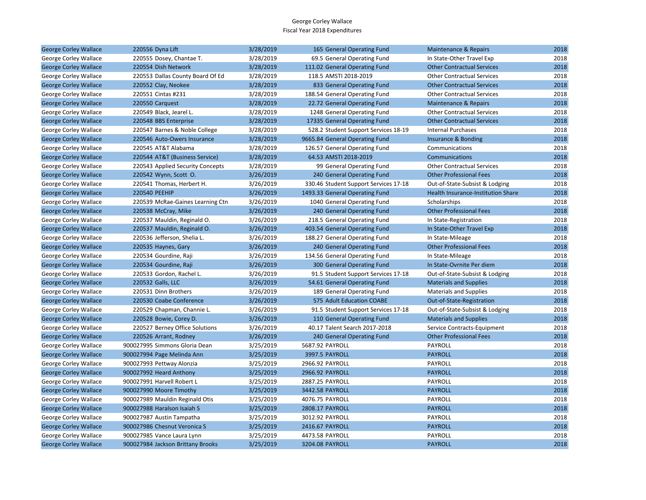| <b>George Corley Wallace</b> | 220556 Dyna Lift                  | 3/28/2019 | 165 General Operating Fund            | Maintenance & Repairs              | 2018 |
|------------------------------|-----------------------------------|-----------|---------------------------------------|------------------------------------|------|
| George Corley Wallace        | 220555 Dosey, Chantae T.          | 3/28/2019 | 69.5 General Operating Fund           | In State-Other Travel Exp          | 2018 |
| <b>George Corley Wallace</b> | 220554 Dish Network               | 3/28/2019 | 111.02 General Operating Fund         | <b>Other Contractual Services</b>  | 2018 |
| George Corley Wallace        | 220553 Dallas County Board Of Ed  | 3/28/2019 | 118.5 AMSTI 2018-2019                 | <b>Other Contractual Services</b>  | 2018 |
| <b>George Corley Wallace</b> | 220552 Clay, Neokee               | 3/28/2019 | 833 General Operating Fund            | <b>Other Contractual Services</b>  | 2018 |
| George Corley Wallace        | 220551 Cintas #231                | 3/28/2019 | 188.54 General Operating Fund         | <b>Other Contractual Services</b>  | 2018 |
| <b>George Corley Wallace</b> | 220550 Carquest                   | 3/28/2019 | 22.72 General Operating Fund          | Maintenance & Repairs              | 2018 |
| George Corley Wallace        | 220549 Black, Jearel L.           | 3/28/2019 | 1248 General Operating Fund           | <b>Other Contractual Services</b>  | 2018 |
| <b>George Corley Wallace</b> | 220548 BBS Enterprise             | 3/28/2019 | 17335 General Operating Fund          | <b>Other Contractual Services</b>  | 2018 |
| George Corley Wallace        | 220547 Barnes & Noble College     | 3/28/2019 | 528.2 Student Support Services 18-19  | <b>Internal Purchases</b>          | 2018 |
| <b>George Corley Wallace</b> | 220546 Auto-Owers Insurance       | 3/28/2019 | 9665.84 General Operating Fund        | Insurance & Bonding                | 2018 |
| George Corley Wallace        | 220545 AT&T Alabama               | 3/28/2019 | 126.57 General Operating Fund         | Communications                     | 2018 |
| <b>George Corley Wallace</b> | 220544 AT&T (Business Service)    | 3/28/2019 | 64.53 AMSTI 2018-2019                 | Communications                     | 2018 |
| George Corley Wallace        | 220543 Applied Security Concepts  | 3/28/2019 | 99 General Operating Fund             | <b>Other Contractual Services</b>  | 2018 |
| <b>George Corley Wallace</b> | 220542 Wynn, Scott O.             | 3/26/2019 | 240 General Operating Fund            | <b>Other Professional Fees</b>     | 2018 |
| George Corley Wallace        | 220541 Thomas, Herbert H.         | 3/26/2019 | 330.46 Student Support Services 17-18 | Out-of-State-Subsist & Lodging     | 2018 |
| <b>George Corley Wallace</b> | 220540 PEEHIP                     | 3/26/2019 | 1493.33 General Operating Fund        | Health Insurance-Institution Share | 2018 |
| George Corley Wallace        | 220539 McRae-Gaines Learning Ctn  | 3/26/2019 | 1040 General Operating Fund           | Scholarships                       | 2018 |
| <b>George Corley Wallace</b> | 220538 McCray, Mike               | 3/26/2019 | 240 General Operating Fund            | <b>Other Professional Fees</b>     | 2018 |
| George Corley Wallace        | 220537 Mauldin, Reginald O.       | 3/26/2019 | 218.5 General Operating Fund          | In State-Registration              | 2018 |
| <b>George Corley Wallace</b> | 220537 Mauldin, Reginald O.       | 3/26/2019 | 403.54 General Operating Fund         | In State-Other Travel Exp          | 2018 |
| George Corley Wallace        | 220536 Jefferson, Shelia L.       | 3/26/2019 | 188.27 General Operating Fund         | In State-Mileage                   | 2018 |
| <b>George Corley Wallace</b> | 220535 Haynes, Gary               | 3/26/2019 | 240 General Operating Fund            | <b>Other Professional Fees</b>     | 2018 |
| George Corley Wallace        | 220534 Gourdine, Raji             | 3/26/2019 | 134.56 General Operating Fund         | In State-Mileage                   | 2018 |
| <b>George Corley Wallace</b> | 220534 Gourdine, Raji             | 3/26/2019 | 300 General Operating Fund            | In State-Ovrnite Per diem          | 2018 |
| George Corley Wallace        | 220533 Gordon, Rachel L.          | 3/26/2019 | 91.5 Student Support Services 17-18   | Out-of-State-Subsist & Lodging     | 2018 |
| <b>George Corley Wallace</b> | 220532 Galls, LLC                 | 3/26/2019 | 54.61 General Operating Fund          | <b>Materials and Supplies</b>      | 2018 |
| George Corley Wallace        | 220531 Dinn Brothers              | 3/26/2019 | 189 General Operating Fund            | <b>Materials and Supplies</b>      | 2018 |
| <b>George Corley Wallace</b> | 220530 Coabe Conference           | 3/26/2019 | 575 Adult Education COABE             | Out-of-State-Registration          | 2018 |
| George Corley Wallace        | 220529 Chapman, Channie L.        | 3/26/2019 | 91.5 Student Support Services 17-18   | Out-of-State-Subsist & Lodging     | 2018 |
| <b>George Corley Wallace</b> | 220528 Bowie, Corey D.            | 3/26/2019 | 110 General Operating Fund            | <b>Materials and Supplies</b>      | 2018 |
| George Corley Wallace        | 220527 Berney Office Solutions    | 3/26/2019 | 40.17 Talent Search 2017-2018         | Service Contracts-Equipment        | 2018 |
| <b>George Corley Wallace</b> | 220526 Arrant, Rodney             | 3/26/2019 | 240 General Operating Fund            | <b>Other Professional Fees</b>     | 2018 |
| George Corley Wallace        | 900027995 Simmons Gloria Dean     | 3/25/2019 | 5687.92 PAYROLL                       | PAYROLL                            | 2018 |
| <b>George Corley Wallace</b> | 900027994 Page Melinda Ann        | 3/25/2019 | 3997.5 PAYROLL                        | <b>PAYROLL</b>                     | 2018 |
| George Corley Wallace        | 900027993 Pettway Alonzia         | 3/25/2019 | 2966.92 PAYROLL                       | PAYROLL                            | 2018 |
| <b>George Corley Wallace</b> | 900027992 Heard Anthony           | 3/25/2019 | 2966.92 PAYROLL                       | <b>PAYROLL</b>                     | 2018 |
| George Corley Wallace        | 900027991 Harvell Robert L        | 3/25/2019 | 2887.25 PAYROLL                       | PAYROLL                            | 2018 |
| <b>George Corley Wallace</b> | 900027990 Moore Timothy           | 3/25/2019 | 3442.58 PAYROLL                       | <b>PAYROLL</b>                     | 2018 |
| George Corley Wallace        | 900027989 Mauldin Reginald Otis   | 3/25/2019 | 4076.75 PAYROLL                       | PAYROLL                            | 2018 |
| <b>George Corley Wallace</b> | 900027988 Haralson Isaiah S       | 3/25/2019 | 2808.17 PAYROLL                       | <b>PAYROLL</b>                     | 2018 |
| George Corley Wallace        | 900027987 Austin Tampatha         | 3/25/2019 | 3012.92 PAYROLL                       | PAYROLL                            | 2018 |
| <b>George Corley Wallace</b> | 900027986 Chesnut Veronica S      | 3/25/2019 | 2416.67 PAYROLL                       | <b>PAYROLL</b>                     | 2018 |
| George Corley Wallace        | 900027985 Vance Laura Lynn        | 3/25/2019 | 4473.58 PAYROLL                       | PAYROLL                            | 2018 |
| <b>George Corley Wallace</b> | 900027984 Jackson Brittany Brooks | 3/25/2019 | 3204.08 PAYROLL                       | <b>PAYROLL</b>                     | 2018 |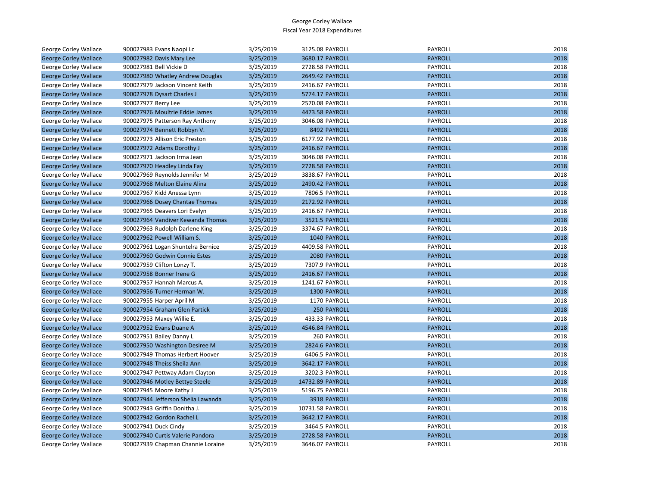| George Corley Wallace        | 900027983 Evans Naopi Lc           | 3/25/2019 | 3125.08 PAYROLL  | <b>PAYROLL</b> | 2018 |
|------------------------------|------------------------------------|-----------|------------------|----------------|------|
| <b>George Corley Wallace</b> | 900027982 Davis Mary Lee           | 3/25/2019 | 3680.17 PAYROLL  | <b>PAYROLL</b> | 2018 |
| George Corley Wallace        | 900027981 Bell Vickie D            | 3/25/2019 | 2728.58 PAYROLL  | PAYROLL        | 2018 |
| <b>George Corley Wallace</b> | 900027980 Whatley Andrew Douglas   | 3/25/2019 | 2649.42 PAYROLL  | <b>PAYROLL</b> | 2018 |
| George Corley Wallace        | 900027979 Jackson Vincent Keith    | 3/25/2019 | 2416.67 PAYROLL  | PAYROLL        | 2018 |
| <b>George Corley Wallace</b> | 900027978 Dysart Charles J         | 3/25/2019 | 5774.17 PAYROLL  | <b>PAYROLL</b> | 2018 |
| George Corley Wallace        | 900027977 Berry Lee                | 3/25/2019 | 2570.08 PAYROLL  | PAYROLL        | 2018 |
| <b>George Corley Wallace</b> | 900027976 Moultrie Eddie James     | 3/25/2019 | 4473.58 PAYROLL  | <b>PAYROLL</b> | 2018 |
| George Corley Wallace        | 900027975 Patterson Ray Anthony    | 3/25/2019 | 3046.08 PAYROLL  | PAYROLL        | 2018 |
| <b>George Corley Wallace</b> | 900027974 Bennett Robbyn V.        | 3/25/2019 | 8492 PAYROLL     | <b>PAYROLL</b> | 2018 |
| George Corley Wallace        | 900027973 Allison Eric Preston     | 3/25/2019 | 6177.92 PAYROLL  | PAYROLL        | 2018 |
| <b>George Corley Wallace</b> | 900027972 Adams Dorothy J          | 3/25/2019 | 2416.67 PAYROLL  | <b>PAYROLL</b> | 2018 |
| George Corley Wallace        | 900027971 Jackson Irma Jean        | 3/25/2019 | 3046.08 PAYROLL  | PAYROLL        | 2018 |
| <b>George Corley Wallace</b> | 900027970 Headley Linda Fay        | 3/25/2019 | 2728.58 PAYROLL  | <b>PAYROLL</b> | 2018 |
| George Corley Wallace        | 900027969 Reynolds Jennifer M      | 3/25/2019 | 3838.67 PAYROLL  | PAYROLL        | 2018 |
| <b>George Corley Wallace</b> | 900027968 Melton Elaine Alina      | 3/25/2019 | 2490.42 PAYROLL  | <b>PAYROLL</b> | 2018 |
| George Corley Wallace        | 900027967 Kidd Anessa Lynn         | 3/25/2019 | 7806.5 PAYROLL   | PAYROLL        | 2018 |
| <b>George Corley Wallace</b> | 900027966 Dosey Chantae Thomas     | 3/25/2019 | 2172.92 PAYROLL  | <b>PAYROLL</b> | 2018 |
| George Corley Wallace        | 900027965 Deavers Lori Evelyn      | 3/25/2019 | 2416.67 PAYROLL  | PAYROLL        | 2018 |
| <b>George Corley Wallace</b> | 900027964 Vandiver Kewanda Thomas  | 3/25/2019 | 3521.5 PAYROLL   | <b>PAYROLL</b> | 2018 |
| George Corley Wallace        | 900027963 Rudolph Darlene King     | 3/25/2019 | 3374.67 PAYROLL  | PAYROLL        | 2018 |
| <b>George Corley Wallace</b> | 900027962 Powell William S.        | 3/25/2019 | 1040 PAYROLL     | <b>PAYROLL</b> | 2018 |
| George Corley Wallace        | 900027961 Logan Shuntelra Bernice  | 3/25/2019 | 4409.58 PAYROLL  | PAYROLL        | 2018 |
| <b>George Corley Wallace</b> | 900027960 Godwin Connie Estes      | 3/25/2019 | 2080 PAYROLL     | <b>PAYROLL</b> | 2018 |
| George Corley Wallace        | 900027959 Clifton Lonzy T.         | 3/25/2019 | 7307.9 PAYROLL   | PAYROLL        | 2018 |
| <b>George Corley Wallace</b> | 900027958 Bonner Irene G           | 3/25/2019 | 2416.67 PAYROLL  | <b>PAYROLL</b> | 2018 |
| George Corley Wallace        | 900027957 Hannah Marcus A.         | 3/25/2019 | 1241.67 PAYROLL  | PAYROLL        | 2018 |
| <b>George Corley Wallace</b> | 900027956 Turner Herman W.         | 3/25/2019 | 1300 PAYROLL     | <b>PAYROLL</b> | 2018 |
| George Corley Wallace        | 900027955 Harper April M           | 3/25/2019 | 1170 PAYROLL     | PAYROLL        | 2018 |
| <b>George Corley Wallace</b> | 900027954 Graham Glen Partick      | 3/25/2019 | 250 PAYROLL      | <b>PAYROLL</b> | 2018 |
| George Corley Wallace        | 900027953 Maxey Willie E.          | 3/25/2019 | 433.33 PAYROLL   | PAYROLL        | 2018 |
| <b>George Corley Wallace</b> | 900027952 Evans Duane A            | 3/25/2019 | 4546.84 PAYROLL  | <b>PAYROLL</b> | 2018 |
| George Corley Wallace        | 900027951 Bailey Danny L           | 3/25/2019 | 260 PAYROLL      | PAYROLL        | 2018 |
| <b>George Corley Wallace</b> | 900027950 Washington Desiree M     | 3/25/2019 | 2824.6 PAYROLL   | <b>PAYROLL</b> | 2018 |
| George Corley Wallace        | 900027949 Thomas Herbert Hoover    | 3/25/2019 | 6406.5 PAYROLL   | PAYROLL        | 2018 |
| <b>George Corley Wallace</b> | 900027948 Theiss Sheila Ann        | 3/25/2019 | 3642.17 PAYROLL  | <b>PAYROLL</b> | 2018 |
| George Corley Wallace        | 900027947 Pettway Adam Clayton     | 3/25/2019 | 3202.3 PAYROLL   | PAYROLL        | 2018 |
| <b>George Corley Wallace</b> | 900027946 Motley Bettye Steele     | 3/25/2019 | 14732.89 PAYROLL | <b>PAYROLL</b> | 2018 |
| George Corley Wallace        | 900027945 Moore Kathy J            | 3/25/2019 | 5196.75 PAYROLL  | PAYROLL        | 2018 |
| <b>George Corley Wallace</b> | 900027944 Jefferson Shelia Lawanda | 3/25/2019 | 3918 PAYROLL     | <b>PAYROLL</b> | 2018 |
| George Corley Wallace        | 900027943 Griffin Donitha J.       | 3/25/2019 | 10731.58 PAYROLL | PAYROLL        | 2018 |
| <b>George Corley Wallace</b> | 900027942 Gordon Rachel L          | 3/25/2019 | 3642.17 PAYROLL  | <b>PAYROLL</b> | 2018 |
| George Corley Wallace        | 900027941 Duck Cindy               | 3/25/2019 | 3464.5 PAYROLL   | PAYROLL        | 2018 |
| <b>George Corley Wallace</b> | 900027940 Curtis Valerie Pandora   | 3/25/2019 | 2728.58 PAYROLL  | <b>PAYROLL</b> | 2018 |
| <b>George Corley Wallace</b> | 900027939 Chapman Channie Loraine  | 3/25/2019 | 3646.07 PAYROLL  | PAYROLL        | 2018 |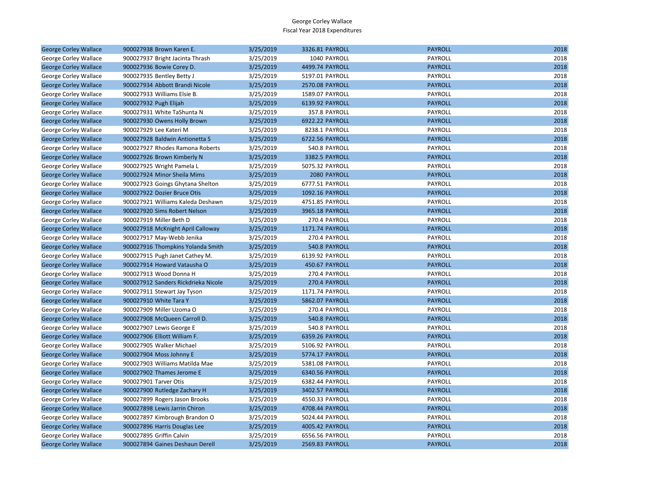| <b>George Corley Wallace</b> | 900027938 Brown Karen E.            | 3/25/2019 | 3326.81 PAYROLL | <b>PAYROLL</b> | 2018 |
|------------------------------|-------------------------------------|-----------|-----------------|----------------|------|
| George Corley Wallace        | 900027937 Bright Jacinta Thrash     | 3/25/2019 | 1040 PAYROLL    | PAYROLL        | 2018 |
| <b>George Corley Wallace</b> | 900027936 Bowie Corey D.            | 3/25/2019 | 4499.74 PAYROLL | <b>PAYROLL</b> | 2018 |
| George Corley Wallace        | 900027935 Bentley Betty J           | 3/25/2019 | 5197.01 PAYROLL | PAYROLL        | 2018 |
| <b>George Corley Wallace</b> | 900027934 Abbott Brandi Nicole      | 3/25/2019 | 2570.08 PAYROLL | <b>PAYROLL</b> | 2018 |
| George Corley Wallace        | 900027933 Williams Elsie B.         | 3/25/2019 | 1589.07 PAYROLL | PAYROLL        | 2018 |
| <b>George Corley Wallace</b> | 900027932 Pugh Elijah               | 3/25/2019 | 6139.92 PAYROLL | <b>PAYROLL</b> | 2018 |
| George Corley Wallace        | 900027931 White TaShunta N          | 3/25/2019 | 357.8 PAYROLL   | PAYROLL        | 2018 |
| <b>George Corley Wallace</b> | 900027930 Owens Holly Brown         | 3/25/2019 | 6922.22 PAYROLL | <b>PAYROLL</b> | 2018 |
| George Corley Wallace        | 900027929 Lee Kateri M              | 3/25/2019 | 8238.1 PAYROLL  | PAYROLL        | 2018 |
| <b>George Corley Wallace</b> | 900027928 Baldwin Antionetta S      | 3/25/2019 | 6722.56 PAYROLL | <b>PAYROLL</b> | 2018 |
|                              | 900027927 Rhodes Ramona Roberts     | 3/25/2019 | 540.8 PAYROLL   | PAYROLL        | 2018 |
| George Corley Wallace        |                                     |           | 3382.5 PAYROLL  | <b>PAYROLL</b> | 2018 |
| <b>George Corley Wallace</b> | 900027926 Brown Kimberly N          | 3/25/2019 | 5075.32 PAYROLL | <b>PAYROLL</b> | 2018 |
| George Corley Wallace        | 900027925 Wright Pamela L           | 3/25/2019 |                 |                |      |
| <b>George Corley Wallace</b> | 900027924 Minor Sheila Mims         | 3/25/2019 | 2080 PAYROLL    | <b>PAYROLL</b> | 2018 |
| George Corley Wallace        | 900027923 Goings Ghytana Shelton    | 3/25/2019 | 6777.51 PAYROLL | PAYROLL        | 2018 |
| <b>George Corley Wallace</b> | 900027922 Dozier Bruce Otis         | 3/25/2019 | 1092.16 PAYROLL | <b>PAYROLL</b> | 2018 |
| George Corley Wallace        | 900027921 Williams Kaleda Deshawn   | 3/25/2019 | 4751.85 PAYROLL | PAYROLL        | 2018 |
| <b>George Corley Wallace</b> | 900027920 Sims Robert Nelson        | 3/25/2019 | 3965.18 PAYROLL | <b>PAYROLL</b> | 2018 |
| George Corley Wallace        | 900027919 Miller Beth D             | 3/25/2019 | 270.4 PAYROLL   | PAYROLL        | 2018 |
| <b>George Corley Wallace</b> | 900027918 McKnight April Calloway   | 3/25/2019 | 1171.74 PAYROLL | <b>PAYROLL</b> | 2018 |
| George Corley Wallace        | 900027917 May-Webb Jenika           | 3/25/2019 | 270.4 PAYROLL   | PAYROLL        | 2018 |
| <b>George Corley Wallace</b> | 900027916 Thompkins Yolanda Smith   | 3/25/2019 | 540.8 PAYROLL   | <b>PAYROLL</b> | 2018 |
| George Corley Wallace        | 900027915 Pugh Janet Cathey M.      | 3/25/2019 | 6139.92 PAYROLL | PAYROLL        | 2018 |
| <b>George Corley Wallace</b> | 900027914 Howard Vatausha O         | 3/25/2019 | 450.67 PAYROLL  | <b>PAYROLL</b> | 2018 |
| George Corley Wallace        | 900027913 Wood Donna H              | 3/25/2019 | 270.4 PAYROLL   | PAYROLL        | 2018 |
| <b>George Corley Wallace</b> | 900027912 Sanders Rickdrieka Nicole | 3/25/2019 | 270.4 PAYROLL   | <b>PAYROLL</b> | 2018 |
| George Corley Wallace        | 900027911 Stewart Jay Tyson         | 3/25/2019 | 1171.74 PAYROLL | PAYROLL        | 2018 |
| <b>George Corley Wallace</b> | 900027910 White Tara Y              | 3/25/2019 | 5862.07 PAYROLL | <b>PAYROLL</b> | 2018 |
| George Corley Wallace        | 900027909 Miller Uzoma O            | 3/25/2019 | 270.4 PAYROLL   | PAYROLL        | 2018 |
| <b>George Corley Wallace</b> | 900027908 McQueen Carroll D.        | 3/25/2019 | 540.8 PAYROLL   | <b>PAYROLL</b> | 2018 |
| George Corley Wallace        | 900027907 Lewis George E            | 3/25/2019 | 540.8 PAYROLL   | PAYROLL        | 2018 |
| <b>George Corley Wallace</b> | 900027906 Elliott William F.        | 3/25/2019 | 6359.26 PAYROLL | <b>PAYROLL</b> | 2018 |
| George Corley Wallace        | 900027905 Walker Michael            | 3/25/2019 | 5106.92 PAYROLL | PAYROLL        | 2018 |
| <b>George Corley Wallace</b> | 900027904 Moss Johnny E             | 3/25/2019 | 5774.17 PAYROLL | <b>PAYROLL</b> | 2018 |
| George Corley Wallace        | 900027903 Williams Matilda Mae      | 3/25/2019 | 5381.08 PAYROLL | PAYROLL        | 2018 |
| <b>George Corley Wallace</b> | 900027902 Thames Jerome E           | 3/25/2019 | 6340.56 PAYROLL | <b>PAYROLL</b> | 2018 |
| George Corley Wallace        | 900027901 Tarver Otis               | 3/25/2019 | 6382.44 PAYROLL | PAYROLL        | 2018 |
| <b>George Corley Wallace</b> | 900027900 Rutledge Zachary H        | 3/25/2019 | 3402.57 PAYROLL | <b>PAYROLL</b> | 2018 |
| George Corley Wallace        | 900027899 Rogers Jason Brooks       | 3/25/2019 | 4550.33 PAYROLL | PAYROLL        | 2018 |
| <b>George Corley Wallace</b> | 900027898 Lewis Jarrin Chiron       | 3/25/2019 | 4708.44 PAYROLL | <b>PAYROLL</b> | 2018 |
| George Corley Wallace        | 900027897 Kimbrough Brandon O       | 3/25/2019 | 5024.44 PAYROLL | PAYROLL        | 2018 |
| <b>George Corley Wallace</b> | 900027896 Harris Douglas Lee        | 3/25/2019 | 4005.42 PAYROLL | <b>PAYROLL</b> | 2018 |
| George Corley Wallace        | 900027895 Griffin Calvin            | 3/25/2019 | 6556.56 PAYROLL | PAYROLL        | 2018 |
| <b>George Corley Wallace</b> | 900027894 Gaines Deshaun Derell     | 3/25/2019 | 2569.83 PAYROLL | <b>PAYROLL</b> | 2018 |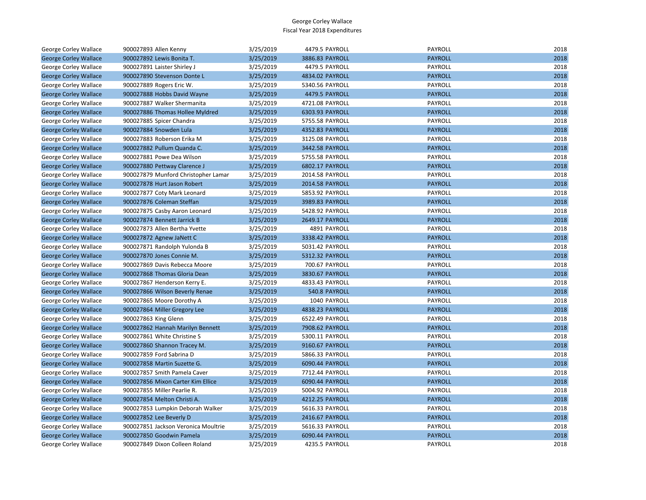| George Corley Wallace        | 900027893 Allen Kenny               | 3/25/2019 | 4479.5 PAYROLL  | PAYROLL        | 2018 |
|------------------------------|-------------------------------------|-----------|-----------------|----------------|------|
| <b>George Corley Wallace</b> | 900027892 Lewis Bonita T.           | 3/25/2019 | 3886.83 PAYROLL | <b>PAYROLL</b> | 2018 |
| <b>George Corley Wallace</b> | 900027891 Laister Shirley J         | 3/25/2019 | 4479.5 PAYROLL  | PAYROLL        | 2018 |
| <b>George Corley Wallace</b> | 900027890 Stevenson Donte L         | 3/25/2019 | 4834.02 PAYROLL | <b>PAYROLL</b> | 2018 |
| George Corley Wallace        | 900027889 Rogers Eric W.            | 3/25/2019 | 5340.56 PAYROLL | PAYROLL        | 2018 |
| <b>George Corley Wallace</b> | 900027888 Hobbs David Wayne         | 3/25/2019 | 4479.5 PAYROLL  | <b>PAYROLL</b> | 2018 |
| George Corley Wallace        | 900027887 Walker Shermanita         | 3/25/2019 | 4721.08 PAYROLL | PAYROLL        | 2018 |
| <b>George Corley Wallace</b> | 900027886 Thomas Hollee Myldred     | 3/25/2019 | 6303.93 PAYROLL | <b>PAYROLL</b> | 2018 |
| George Corley Wallace        | 900027885 Spicer Chandra            | 3/25/2019 | 5755.58 PAYROLL | PAYROLL        | 2018 |
| <b>George Corley Wallace</b> | 900027884 Snowden Lula              | 3/25/2019 | 4352.83 PAYROLL | <b>PAYROLL</b> | 2018 |
| George Corley Wallace        | 900027883 Roberson Erika M          | 3/25/2019 | 3125.08 PAYROLL | PAYROLL        | 2018 |
| <b>George Corley Wallace</b> | 900027882 Pullum Quanda C.          | 3/25/2019 | 3442.58 PAYROLL | <b>PAYROLL</b> | 2018 |
| George Corley Wallace        | 900027881 Powe Dea Wilson           | 3/25/2019 | 5755.58 PAYROLL | PAYROLL        | 2018 |
| <b>George Corley Wallace</b> | 900027880 Pettway Clarence J        | 3/25/2019 | 6802.17 PAYROLL | <b>PAYROLL</b> | 2018 |
| George Corley Wallace        | 900027879 Munford Christopher Lamar | 3/25/2019 | 2014.58 PAYROLL | PAYROLL        | 2018 |
| <b>George Corley Wallace</b> | 900027878 Hurt Jason Robert         | 3/25/2019 | 2014.58 PAYROLL | <b>PAYROLL</b> | 2018 |
| George Corley Wallace        | 900027877 Coty Mark Leonard         | 3/25/2019 | 5853.92 PAYROLL | PAYROLL        | 2018 |
| <b>George Corley Wallace</b> | 900027876 Coleman Steffan           | 3/25/2019 | 3989.83 PAYROLL | <b>PAYROLL</b> | 2018 |
| George Corley Wallace        | 900027875 Casby Aaron Leonard       | 3/25/2019 | 5428.92 PAYROLL | PAYROLL        | 2018 |
| <b>George Corley Wallace</b> | 900027874 Bennett Jarrick B         | 3/25/2019 | 2649.17 PAYROLL | <b>PAYROLL</b> | 2018 |
| George Corley Wallace        | 900027873 Allen Bertha Yvette       | 3/25/2019 | 4891 PAYROLL    | PAYROLL        | 2018 |
| <b>George Corley Wallace</b> | 900027872 Agnew JaNett C            | 3/25/2019 | 3338.42 PAYROLL | <b>PAYROLL</b> | 2018 |
| George Corley Wallace        | 900027871 Randolph Yulonda B        | 3/25/2019 | 5031.42 PAYROLL | PAYROLL        | 2018 |
| <b>George Corley Wallace</b> | 900027870 Jones Connie M.           | 3/25/2019 | 5312.32 PAYROLL | <b>PAYROLL</b> | 2018 |
| George Corley Wallace        | 900027869 Davis Rebecca Moore       | 3/25/2019 | 700.67 PAYROLL  | PAYROLL        | 2018 |
| <b>George Corley Wallace</b> | 900027868 Thomas Gloria Dean        | 3/25/2019 | 3830.67 PAYROLL | <b>PAYROLL</b> | 2018 |
| George Corley Wallace        | 900027867 Henderson Kerry E.        | 3/25/2019 | 4833.43 PAYROLL | PAYROLL        | 2018 |
| <b>George Corley Wallace</b> | 900027866 Wilson Beverly Renae      | 3/25/2019 | 540.8 PAYROLL   | <b>PAYROLL</b> | 2018 |
| George Corley Wallace        | 900027865 Moore Dorothy A           | 3/25/2019 | 1040 PAYROLL    | PAYROLL        | 2018 |
| <b>George Corley Wallace</b> | 900027864 Miller Gregory Lee        | 3/25/2019 | 4838.23 PAYROLL | <b>PAYROLL</b> | 2018 |
| George Corley Wallace        | 900027863 King Glenn                | 3/25/2019 | 6522.49 PAYROLL | PAYROLL        | 2018 |
| <b>George Corley Wallace</b> | 900027862 Hannah Marilyn Bennett    | 3/25/2019 | 7908.62 PAYROLL | <b>PAYROLL</b> | 2018 |
| George Corley Wallace        | 900027861 White Christine S         | 3/25/2019 | 5300.11 PAYROLL | PAYROLL        | 2018 |
| <b>George Corley Wallace</b> | 900027860 Shannon Tracey M.         | 3/25/2019 | 9160.67 PAYROLL | <b>PAYROLL</b> | 2018 |
| George Corley Wallace        | 900027859 Ford Sabrina D            | 3/25/2019 | 5866.33 PAYROLL | PAYROLL        | 2018 |
| <b>George Corley Wallace</b> | 900027858 Martin Suzette G.         | 3/25/2019 | 6090.44 PAYROLL | <b>PAYROLL</b> | 2018 |
| George Corley Wallace        | 900027857 Smith Pamela Caver        | 3/25/2019 | 7712.44 PAYROLL | PAYROLL        | 2018 |
| <b>George Corley Wallace</b> | 900027856 Mixon Carter Kim Ellice   | 3/25/2019 | 6090.44 PAYROLL | <b>PAYROLL</b> | 2018 |
| George Corley Wallace        | 900027855 Miller Pearlie R.         | 3/25/2019 | 5004.92 PAYROLL | PAYROLL        | 2018 |
| <b>George Corley Wallace</b> | 900027854 Melton Christi A.         | 3/25/2019 | 4212.25 PAYROLL | <b>PAYROLL</b> | 2018 |
| George Corley Wallace        | 900027853 Lumpkin Deborah Walker    | 3/25/2019 | 5616.33 PAYROLL | PAYROLL        | 2018 |
| <b>George Corley Wallace</b> | 900027852 Lee Beverly D             | 3/25/2019 | 2416.67 PAYROLL | <b>PAYROLL</b> | 2018 |
| George Corley Wallace        | 900027851 Jackson Veronica Moultrie | 3/25/2019 | 5616.33 PAYROLL | PAYROLL        | 2018 |
| <b>George Corley Wallace</b> | 900027850 Goodwin Pamela            | 3/25/2019 | 6090.44 PAYROLL | <b>PAYROLL</b> | 2018 |
| <b>George Corley Wallace</b> | 900027849 Dixon Colleen Roland      | 3/25/2019 | 4235.5 PAYROLL  | PAYROLL        | 2018 |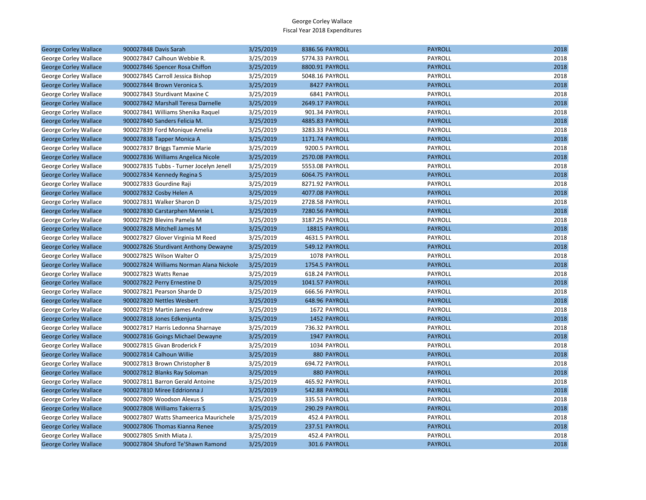| <b>George Corley Wallace</b> | 900027848 Davis Sarah                   | 3/25/2019 | 8386.56 PAYROLL | <b>PAYROLL</b> | 2018 |
|------------------------------|-----------------------------------------|-----------|-----------------|----------------|------|
| George Corley Wallace        | 900027847 Calhoun Webbie R.             | 3/25/2019 | 5774.33 PAYROLL | PAYROLL        | 2018 |
| <b>George Corley Wallace</b> | 900027846 Spencer Rosa Chiffon          | 3/25/2019 | 8800.91 PAYROLL | <b>PAYROLL</b> | 2018 |
| George Corley Wallace        | 900027845 Carroll Jessica Bishop        | 3/25/2019 | 5048.16 PAYROLL | PAYROLL        | 2018 |
| <b>George Corley Wallace</b> | 900027844 Brown Veronica S.             | 3/25/2019 | 8427 PAYROLL    | <b>PAYROLL</b> | 2018 |
| George Corley Wallace        | 900027843 Sturdivant Maxine C           | 3/25/2019 | 6841 PAYROLL    | PAYROLL        | 2018 |
| <b>George Corley Wallace</b> | 900027842 Marshall Teresa Darnelle      | 3/25/2019 | 2649.17 PAYROLL | <b>PAYROLL</b> | 2018 |
| George Corley Wallace        | 900027841 Williams Shenika Raquel       | 3/25/2019 | 901.34 PAYROLL  | <b>PAYROLL</b> | 2018 |
| <b>George Corley Wallace</b> | 900027840 Sanders Felicia M.            | 3/25/2019 | 4885.83 PAYROLL | <b>PAYROLL</b> | 2018 |
| George Corley Wallace        | 900027839 Ford Monique Amelia           | 3/25/2019 | 3283.33 PAYROLL | PAYROLL        | 2018 |
| <b>George Corley Wallace</b> | 900027838 Tapper Monica A               | 3/25/2019 | 1171.74 PAYROLL | <b>PAYROLL</b> | 2018 |
| George Corley Wallace        | 900027837 Briggs Tammie Marie           | 3/25/2019 | 9200.5 PAYROLL  | PAYROLL        | 2018 |
| <b>George Corley Wallace</b> | 900027836 Williams Angelica Nicole      | 3/25/2019 | 2570.08 PAYROLL | <b>PAYROLL</b> | 2018 |
| George Corley Wallace        | 900027835 Tubbs - Turner Jocelyn Jenell | 3/25/2019 | 5553.08 PAYROLL | PAYROLL        | 2018 |
| <b>George Corley Wallace</b> | 900027834 Kennedy Regina S              | 3/25/2019 | 6064.75 PAYROLL | <b>PAYROLL</b> | 2018 |
| George Corley Wallace        | 900027833 Gourdine Raji                 | 3/25/2019 | 8271.92 PAYROLL | PAYROLL        | 2018 |
| <b>George Corley Wallace</b> | 900027832 Cosby Helen A                 | 3/25/2019 | 4077.08 PAYROLL | <b>PAYROLL</b> | 2018 |
| George Corley Wallace        | 900027831 Walker Sharon D               | 3/25/2019 | 2728.58 PAYROLL | PAYROLL        | 2018 |
| <b>George Corley Wallace</b> | 900027830 Carstarphen Mennie L          | 3/25/2019 | 7280.56 PAYROLL | <b>PAYROLL</b> | 2018 |
| George Corley Wallace        | 900027829 Blevins Pamela M              | 3/25/2019 | 3187.25 PAYROLL | PAYROLL        | 2018 |
| <b>George Corley Wallace</b> | 900027828 Mitchell James M              | 3/25/2019 | 18815 PAYROLL   | <b>PAYROLL</b> | 2018 |
| George Corley Wallace        | 900027827 Glover Virginia M Reed        | 3/25/2019 | 4631.5 PAYROLL  | PAYROLL        | 2018 |
| <b>George Corley Wallace</b> | 900027826 Sturdivant Anthony Dewayne    | 3/25/2019 | 549.12 PAYROLL  | <b>PAYROLL</b> | 2018 |
| George Corley Wallace        | 900027825 Wilson Walter O               | 3/25/2019 | 1078 PAYROLL    | PAYROLL        | 2018 |
| <b>George Corley Wallace</b> | 900027824 Williams Norman Alana Nickole | 3/25/2019 | 1754.5 PAYROLL  | <b>PAYROLL</b> | 2018 |
| George Corley Wallace        | 900027823 Watts Renae                   | 3/25/2019 | 618.24 PAYROLL  | PAYROLL        | 2018 |
| <b>George Corley Wallace</b> | 900027822 Perry Ernestine D             | 3/25/2019 | 1041.57 PAYROLL | <b>PAYROLL</b> | 2018 |
| George Corley Wallace        | 900027821 Pearson Sharde D              | 3/25/2019 | 666.56 PAYROLL  | PAYROLL        | 2018 |
| <b>George Corley Wallace</b> | 900027820 Nettles Wesbert               | 3/25/2019 | 648.96 PAYROLL  | <b>PAYROLL</b> | 2018 |
| George Corley Wallace        | 900027819 Martin James Andrew           | 3/25/2019 | 1672 PAYROLL    | PAYROLL        | 2018 |
| <b>George Corley Wallace</b> | 900027818 Jones Edkenjunta              | 3/25/2019 | 1452 PAYROLL    | <b>PAYROLL</b> | 2018 |
| George Corley Wallace        | 900027817 Harris Ledonna Sharnaye       | 3/25/2019 | 736.32 PAYROLL  | PAYROLL        | 2018 |
| <b>George Corley Wallace</b> | 900027816 Goings Michael Dewayne        | 3/25/2019 | 1947 PAYROLL    | <b>PAYROLL</b> | 2018 |
| George Corley Wallace        | 900027815 Givan Broderick F             | 3/25/2019 | 1034 PAYROLL    | PAYROLL        | 2018 |
| <b>George Corley Wallace</b> | 900027814 Calhoun Willie                | 3/25/2019 | 880 PAYROLL     | <b>PAYROLL</b> | 2018 |
| George Corley Wallace        | 900027813 Brown Christopher B           | 3/25/2019 | 694.72 PAYROLL  | PAYROLL        | 2018 |
| <b>George Corley Wallace</b> | 900027812 Blanks Ray Soloman            | 3/25/2019 | 880 PAYROLL     | <b>PAYROLL</b> | 2018 |
| George Corley Wallace        | 900027811 Barron Gerald Antoine         | 3/25/2019 | 465.92 PAYROLL  | PAYROLL        | 2018 |
| <b>George Corley Wallace</b> | 900027810 Miree Eddrionna J             | 3/25/2019 | 542.88 PAYROLL  | <b>PAYROLL</b> | 2018 |
| George Corley Wallace        | 900027809 Woodson Alexus S              | 3/25/2019 | 335.53 PAYROLL  | PAYROLL        | 2018 |
| <b>George Corley Wallace</b> | 900027808 Williams Takierra S           | 3/25/2019 | 290.29 PAYROLL  | <b>PAYROLL</b> | 2018 |
| George Corley Wallace        | 900027807 Watts Shameerica Maurichele   | 3/25/2019 | 452.4 PAYROLL   | PAYROLL        | 2018 |
| <b>George Corley Wallace</b> | 900027806 Thomas Kianna Renee           | 3/25/2019 | 237.51 PAYROLL  | <b>PAYROLL</b> | 2018 |
| George Corley Wallace        | 900027805 Smith Miata J.                | 3/25/2019 | 452.4 PAYROLL   | PAYROLL        | 2018 |
| <b>George Corley Wallace</b> | 900027804 Shuford Te'Shawn Ramond       | 3/25/2019 | 301.6 PAYROLL   | <b>PAYROLL</b> | 2018 |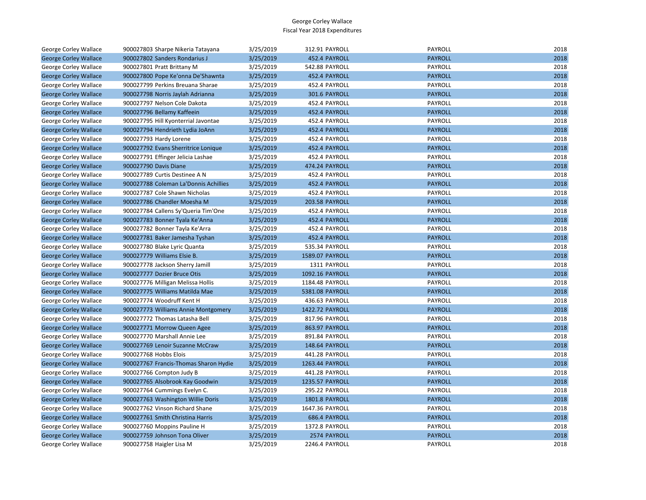| George Corley Wallace        | 900027803 Sharpe Nikeria Tatayana     | 3/25/2019 | 312.91 PAYROLL  | PAYROLL        | 2018 |
|------------------------------|---------------------------------------|-----------|-----------------|----------------|------|
| <b>George Corley Wallace</b> | 900027802 Sanders Rondarius J         | 3/25/2019 | 452.4 PAYROLL   | <b>PAYROLL</b> | 2018 |
| George Corley Wallace        | 900027801 Pratt Brittany M            | 3/25/2019 | 542.88 PAYROLL  | PAYROLL        | 2018 |
| <b>George Corley Wallace</b> | 900027800 Pope Ke'onna De'Shawnta     | 3/25/2019 | 452.4 PAYROLL   | <b>PAYROLL</b> | 2018 |
| George Corley Wallace        | 900027799 Perkins Breuana Sharae      | 3/25/2019 | 452.4 PAYROLL   | PAYROLL        | 2018 |
| <b>George Corley Wallace</b> | 900027798 Norris Jaylah Adrianna      | 3/25/2019 | 301.6 PAYROLL   | <b>PAYROLL</b> | 2018 |
| George Corley Wallace        | 900027797 Nelson Cole Dakota          | 3/25/2019 | 452.4 PAYROLL   | PAYROLL        | 2018 |
| <b>George Corley Wallace</b> | 900027796 Bellamy Kaffeein            | 3/25/2019 | 452.4 PAYROLL   | <b>PAYROLL</b> | 2018 |
| George Corley Wallace        | 900027795 Hill Kyonterrial Javontae   | 3/25/2019 | 452.4 PAYROLL   | PAYROLL        | 2018 |
| <b>George Corley Wallace</b> | 900027794 Hendrieth Lydia JoAnn       | 3/25/2019 | 452.4 PAYROLL   | <b>PAYROLL</b> | 2018 |
| George Corley Wallace        | 900027793 Hardy Lorene                | 3/25/2019 | 452.4 PAYROLL   | PAYROLL        | 2018 |
| <b>George Corley Wallace</b> | 900027792 Evans Sherritrice Lonique   | 3/25/2019 | 452.4 PAYROLL   | <b>PAYROLL</b> | 2018 |
| George Corley Wallace        | 900027791 Effinger Jelicia Lashae     | 3/25/2019 | 452.4 PAYROLL   | PAYROLL        | 2018 |
| <b>George Corley Wallace</b> | 900027790 Davis Diane                 | 3/25/2019 | 474.24 PAYROLL  | <b>PAYROLL</b> | 2018 |
| George Corley Wallace        | 900027789 Curtis Destinee A N         | 3/25/2019 | 452.4 PAYROLL   | PAYROLL        | 2018 |
| <b>George Corley Wallace</b> | 900027788 Coleman La'Donnis Achillies | 3/25/2019 | 452.4 PAYROLL   | <b>PAYROLL</b> | 2018 |
| George Corley Wallace        | 900027787 Cole Shawn Nicholas         | 3/25/2019 | 452.4 PAYROLL   | PAYROLL        | 2018 |
| <b>George Corley Wallace</b> | 900027786 Chandler Moesha M           | 3/25/2019 | 203.58 PAYROLL  | <b>PAYROLL</b> | 2018 |
| George Corley Wallace        | 900027784 Callens Sy'Queria Tim'One   | 3/25/2019 | 452.4 PAYROLL   | PAYROLL        | 2018 |
| <b>George Corley Wallace</b> | 900027783 Bonner Tyala Ke'Anna        | 3/25/2019 | 452.4 PAYROLL   | <b>PAYROLL</b> | 2018 |
| George Corley Wallace        | 900027782 Bonner Tayla Ke'Arra        | 3/25/2019 | 452.4 PAYROLL   | PAYROLL        | 2018 |
| <b>George Corley Wallace</b> | 900027781 Baker Jamesha Tyshan        | 3/25/2019 | 452.4 PAYROLL   | <b>PAYROLL</b> | 2018 |
| George Corley Wallace        | 900027780 Blake Lyric Quanta          | 3/25/2019 | 535.34 PAYROLL  | PAYROLL        | 2018 |
| <b>George Corley Wallace</b> | 900027779 Williams Elsie B.           | 3/25/2019 | 1589.07 PAYROLL | <b>PAYROLL</b> | 2018 |
| George Corley Wallace        | 900027778 Jackson Sherry Jamill       | 3/25/2019 | 1311 PAYROLL    | PAYROLL        | 2018 |
| <b>George Corley Wallace</b> | 900027777 Dozier Bruce Otis           | 3/25/2019 | 1092.16 PAYROLL | <b>PAYROLL</b> | 2018 |
| George Corley Wallace        | 900027776 Milligan Melissa Hollis     | 3/25/2019 | 1184.48 PAYROLL | PAYROLL        | 2018 |
| <b>George Corley Wallace</b> | 900027775 Williams Matilda Mae        | 3/25/2019 | 5381.08 PAYROLL | <b>PAYROLL</b> | 2018 |
| George Corley Wallace        | 900027774 Woodruff Kent H             | 3/25/2019 | 436.63 PAYROLL  | PAYROLL        | 2018 |
| <b>George Corley Wallace</b> | 900027773 Williams Annie Montgomery   | 3/25/2019 | 1422.72 PAYROLL | <b>PAYROLL</b> | 2018 |
| George Corley Wallace        | 900027772 Thomas Latasha Bell         | 3/25/2019 | 817.96 PAYROLL  | PAYROLL        | 2018 |
| <b>George Corley Wallace</b> | 900027771 Morrow Queen Agee           | 3/25/2019 | 863.97 PAYROLL  | <b>PAYROLL</b> | 2018 |
| George Corley Wallace        | 900027770 Marshall Annie Lee          | 3/25/2019 | 891.84 PAYROLL  | PAYROLL        | 2018 |
| <b>George Corley Wallace</b> | 900027769 Lenoir Suzanne McCraw       | 3/25/2019 | 148.64 PAYROLL  | <b>PAYROLL</b> | 2018 |
| George Corley Wallace        | 900027768 Hobbs Elois                 | 3/25/2019 | 441.28 PAYROLL  | PAYROLL        | 2018 |
| <b>George Corley Wallace</b> | 900027767 Francis-Thomas Sharon Hydie | 3/25/2019 | 1263.44 PAYROLL | <b>PAYROLL</b> | 2018 |
| George Corley Wallace        | 900027766 Compton Judy B              | 3/25/2019 | 441.28 PAYROLL  | PAYROLL        | 2018 |
| <b>George Corley Wallace</b> | 900027765 Alsobrook Kay Goodwin       | 3/25/2019 | 1235.57 PAYROLL | <b>PAYROLL</b> | 2018 |
| George Corley Wallace        | 900027764 Cummings Evelyn C.          | 3/25/2019 | 295.22 PAYROLL  | <b>PAYROLL</b> | 2018 |
| <b>George Corley Wallace</b> | 900027763 Washington Willie Doris     | 3/25/2019 | 1801.8 PAYROLL  | <b>PAYROLL</b> | 2018 |
| George Corley Wallace        | 900027762 Vinson Richard Shane        | 3/25/2019 | 1647.36 PAYROLL | PAYROLL        | 2018 |
| <b>George Corley Wallace</b> | 900027761 Smith Christina Harris      | 3/25/2019 | 686.4 PAYROLL   | <b>PAYROLL</b> | 2018 |
| George Corley Wallace        | 900027760 Moppins Pauline H           | 3/25/2019 | 1372.8 PAYROLL  | PAYROLL        | 2018 |
| <b>George Corley Wallace</b> | 900027759 Johnson Tona Oliver         | 3/25/2019 | 2574 PAYROLL    | <b>PAYROLL</b> | 2018 |
| <b>George Corley Wallace</b> | 900027758 Haigler Lisa M              | 3/25/2019 | 2246.4 PAYROLL  | PAYROLL        | 2018 |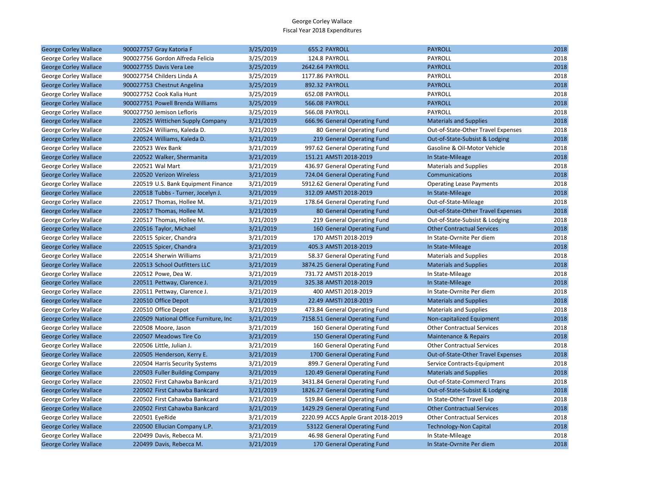| <b>George Corley Wallace</b> | 900027757 Gray Katoria F              | 3/25/2019 | 655.2 PAYROLL                      | <b>PAYROLL</b>                     | 2018 |
|------------------------------|---------------------------------------|-----------|------------------------------------|------------------------------------|------|
| George Corley Wallace        | 900027756 Gordon Alfreda Felicia      | 3/25/2019 | 124.8 PAYROLL                      | PAYROLL                            | 2018 |
| <b>George Corley Wallace</b> | 900027755 Davis Vera Lee              | 3/25/2019 | 2642.64 PAYROLL                    | <b>PAYROLL</b>                     | 2018 |
| George Corley Wallace        | 900027754 Childers Linda A            | 3/25/2019 | 1177.86 PAYROLL                    | PAYROLL                            | 2018 |
| <b>George Corley Wallace</b> | 900027753 Chestnut Angelina           | 3/25/2019 | 892.32 PAYROLL                     | <b>PAYROLL</b>                     | 2018 |
| George Corley Wallace        | 900027752 Cook Kalia Hunt             | 3/25/2019 | 652.08 PAYROLL                     | PAYROLL                            | 2018 |
| <b>George Corley Wallace</b> | 900027751 Powell Brenda Williams      | 3/25/2019 | <b>566.08 PAYROLL</b>              | <b>PAYROLL</b>                     | 2018 |
| George Corley Wallace        | 900027750 Jemison Lefloris            | 3/25/2019 | 566.08 PAYROLL                     | PAYROLL                            | 2018 |
| <b>George Corley Wallace</b> | 220525 Wittichen Supply Company       | 3/21/2019 | 666.96 General Operating Fund      | <b>Materials and Supplies</b>      | 2018 |
| George Corley Wallace        | 220524 Williams, Kaleda D.            | 3/21/2019 | 80 General Operating Fund          | Out-of-State-Other Travel Expenses | 2018 |
| <b>George Corley Wallace</b> | 220524 Williams, Kaleda D.            | 3/21/2019 | 219 General Operating Fund         | Out-of-State-Subsist & Lodging     | 2018 |
| George Corley Wallace        | 220523 Wex Bank                       | 3/21/2019 | 997.62 General Operating Fund      | Gasoline & Oil-Motor Vehicle       | 2018 |
| <b>George Corley Wallace</b> | 220522 Walker, Shermanita             | 3/21/2019 | 151.21 AMSTI 2018-2019             | In State-Mileage                   | 2018 |
| George Corley Wallace        | 220521 Wal Mart                       | 3/21/2019 | 436.97 General Operating Fund      | <b>Materials and Supplies</b>      | 2018 |
| <b>George Corley Wallace</b> | 220520 Verizon Wireless               | 3/21/2019 | 724.04 General Operating Fund      | Communications                     | 2018 |
| George Corley Wallace        | 220519 U.S. Bank Equipment Finance    | 3/21/2019 | 5912.62 General Operating Fund     | <b>Operating Lease Payments</b>    | 2018 |
| <b>George Corley Wallace</b> | 220518 Tubbs - Turner, Jocelyn J.     | 3/21/2019 | 312.09 AMSTI 2018-2019             | In State-Mileage                   | 2018 |
| George Corley Wallace        | 220517 Thomas, Hollee M.              | 3/21/2019 | 178.64 General Operating Fund      | Out-of-State-Mileage               | 2018 |
| <b>George Corley Wallace</b> | 220517 Thomas, Hollee M.              | 3/21/2019 | 80 General Operating Fund          | Out-of-State-Other Travel Expenses | 2018 |
| George Corley Wallace        | 220517 Thomas, Hollee M.              | 3/21/2019 | 219 General Operating Fund         | Out-of-State-Subsist & Lodging     | 2018 |
| <b>George Corley Wallace</b> | 220516 Taylor, Michael                | 3/21/2019 | 160 General Operating Fund         | <b>Other Contractual Services</b>  | 2018 |
| George Corley Wallace        | 220515 Spicer, Chandra                | 3/21/2019 | 170 AMSTI 2018-2019                | In State-Ovrnite Per diem          | 2018 |
| <b>George Corley Wallace</b> | 220515 Spicer, Chandra                | 3/21/2019 | 405.3 AMSTI 2018-2019              | In State-Mileage                   | 2018 |
| George Corley Wallace        | 220514 Sherwin Williams               | 3/21/2019 | 58.37 General Operating Fund       | <b>Materials and Supplies</b>      | 2018 |
| <b>George Corley Wallace</b> | 220513 School Outfitters LLC          | 3/21/2019 | 3874.25 General Operating Fund     | <b>Materials and Supplies</b>      | 2018 |
| George Corley Wallace        | 220512 Powe, Dea W.                   | 3/21/2019 | 731.72 AMSTI 2018-2019             | In State-Mileage                   | 2018 |
| <b>George Corley Wallace</b> | 220511 Pettway, Clarence J.           | 3/21/2019 | 325.38 AMSTI 2018-2019             | In State-Mileage                   | 2018 |
| George Corley Wallace        | 220511 Pettway, Clarence J.           | 3/21/2019 | 400 AMSTI 2018-2019                | In State-Ovrnite Per diem          | 2018 |
| <b>George Corley Wallace</b> | 220510 Office Depot                   | 3/21/2019 | 22.49 AMSTI 2018-2019              | <b>Materials and Supplies</b>      | 2018 |
| George Corley Wallace        | 220510 Office Depot                   | 3/21/2019 | 473.84 General Operating Fund      | <b>Materials and Supplies</b>      | 2018 |
| <b>George Corley Wallace</b> | 220509 National Office Furniture, Inc | 3/21/2019 | 7158.51 General Operating Fund     | Non-capitalized Equipment          | 2018 |
| George Corley Wallace        | 220508 Moore, Jason                   | 3/21/2019 | 160 General Operating Fund         | <b>Other Contractual Services</b>  | 2018 |
| <b>George Corley Wallace</b> | 220507 Meadows Tire Co                | 3/21/2019 | 150 General Operating Fund         | Maintenance & Repairs              | 2018 |
| George Corley Wallace        | 220506 Little, Julian J.              | 3/21/2019 | 160 General Operating Fund         | <b>Other Contractual Services</b>  | 2018 |
| <b>George Corley Wallace</b> | 220505 Henderson, Kerry E.            | 3/21/2019 | 1700 General Operating Fund        | Out-of-State-Other Travel Expenses | 2018 |
| George Corley Wallace        | 220504 Harris Security Systems        | 3/21/2019 | 899.7 General Operating Fund       | Service Contracts-Equipment        | 2018 |
| <b>George Corley Wallace</b> | 220503 Fuller Building Company        | 3/21/2019 | 120.49 General Operating Fund      | <b>Materials and Supplies</b>      | 2018 |
| George Corley Wallace        | 220502 First Cahawba Bankcard         | 3/21/2019 | 3431.84 General Operating Fund     | Out-of-State-Commercl Trans        | 2018 |
| <b>George Corley Wallace</b> | 220502 First Cahawba Bankcard         | 3/21/2019 | 1826.27 General Operating Fund     | Out-of-State-Subsist & Lodging     | 2018 |
| George Corley Wallace        | 220502 First Cahawba Bankcard         | 3/21/2019 | 519.84 General Operating Fund      | In State-Other Travel Exp          | 2018 |
| <b>George Corley Wallace</b> | 220502 First Cahawba Bankcard         | 3/21/2019 | 1429.29 General Operating Fund     | <b>Other Contractual Services</b>  | 2018 |
| George Corley Wallace        | 220501 EyeRide                        | 3/21/2019 | 2220.99 ACCS Apple Grant 2018-2019 | <b>Other Contractual Services</b>  | 2018 |
| <b>George Corley Wallace</b> | 220500 Ellucian Company L.P.          | 3/21/2019 | 53122 General Operating Fund       | <b>Technology-Non Capital</b>      | 2018 |
| George Corley Wallace        | 220499 Davis, Rebecca M.              | 3/21/2019 | 46.98 General Operating Fund       | In State-Mileage                   | 2018 |
| <b>George Corley Wallace</b> | 220499 Davis, Rebecca M.              | 3/21/2019 | 170 General Operating Fund         | In State-Ovrnite Per diem          | 2018 |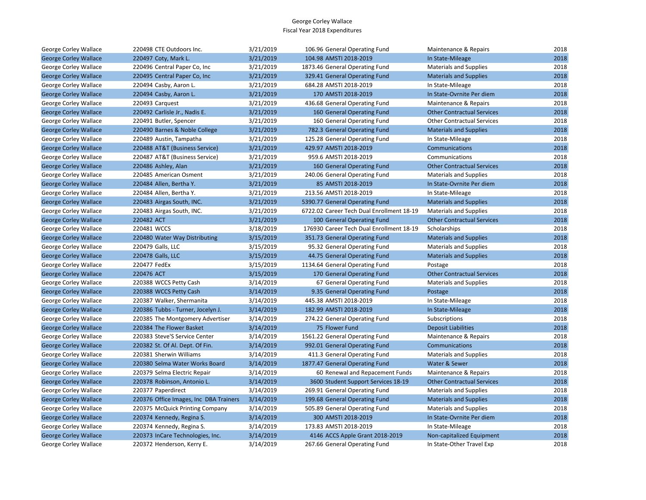| George Corley Wallace        | 220498 CTE Outdoors Inc.               | 3/21/2019 | 106.96 General Operating Fund             | Maintenance & Repairs             | 2018 |
|------------------------------|----------------------------------------|-----------|-------------------------------------------|-----------------------------------|------|
| <b>George Corley Wallace</b> | 220497 Coty, Mark L.                   | 3/21/2019 | 104.98 AMSTI 2018-2019                    | In State-Mileage                  | 2018 |
| George Corley Wallace        | 220496 Central Paper Co, Inc           | 3/21/2019 | 1873.46 General Operating Fund            | <b>Materials and Supplies</b>     | 2018 |
| <b>George Corley Wallace</b> | 220495 Central Paper Co, Inc           | 3/21/2019 | 329.41 General Operating Fund             | <b>Materials and Supplies</b>     | 2018 |
| George Corley Wallace        | 220494 Casby, Aaron L.                 | 3/21/2019 | 684.28 AMSTI 2018-2019                    | In State-Mileage                  | 2018 |
| <b>George Corley Wallace</b> | 220494 Casby, Aaron L.                 | 3/21/2019 | 170 AMSTI 2018-2019                       | In State-Ovrnite Per diem         | 2018 |
| George Corley Wallace        | 220493 Carquest                        | 3/21/2019 | 436.68 General Operating Fund             | Maintenance & Repairs             | 2018 |
| <b>George Corley Wallace</b> | 220492 Carlisle Jr., Nadis E.          | 3/21/2019 | 160 General Operating Fund                | <b>Other Contractual Services</b> | 2018 |
| George Corley Wallace        | 220491 Butler, Spencer                 | 3/21/2019 | 160 General Operating Fund                | <b>Other Contractual Services</b> | 2018 |
| <b>George Corley Wallace</b> | 220490 Barnes & Noble College          | 3/21/2019 | 782.3 General Operating Fund              | <b>Materials and Supplies</b>     | 2018 |
| George Corley Wallace        | 220489 Austin, Tampatha                | 3/21/2019 | 125.28 General Operating Fund             | In State-Mileage                  | 2018 |
| <b>George Corley Wallace</b> | 220488 AT&T (Business Service)         | 3/21/2019 | 429.97 AMSTI 2018-2019                    | Communications                    | 2018 |
| George Corley Wallace        | 220487 AT&T (Business Service)         | 3/21/2019 | 959.6 AMSTI 2018-2019                     | Communications                    | 2018 |
| <b>George Corley Wallace</b> | 220486 Ashley, Alan                    | 3/21/2019 | 160 General Operating Fund                | <b>Other Contractual Services</b> | 2018 |
| George Corley Wallace        | 220485 American Osment                 | 3/21/2019 | 240.06 General Operating Fund             | <b>Materials and Supplies</b>     | 2018 |
| <b>George Corley Wallace</b> | 220484 Allen, Bertha Y.                | 3/21/2019 | 85 AMSTI 2018-2019                        | In State-Ovrnite Per diem         | 2018 |
| George Corley Wallace        | 220484 Allen, Bertha Y.                | 3/21/2019 | 213.56 AMSTI 2018-2019                    | In State-Mileage                  | 2018 |
| <b>George Corley Wallace</b> | 220483 Airgas South, INC.              | 3/21/2019 | 5390.77 General Operating Fund            | <b>Materials and Supplies</b>     | 2018 |
| George Corley Wallace        | 220483 Airgas South, INC.              | 3/21/2019 | 6722.02 Career Tech Dual Enrollment 18-19 | <b>Materials and Supplies</b>     | 2018 |
| <b>George Corley Wallace</b> | 220482 ACT                             | 3/21/2019 | 100 General Operating Fund                | <b>Other Contractual Services</b> | 2018 |
| George Corley Wallace        | 220481 WCCS                            | 3/18/2019 | 176930 Career Tech Dual Enrollment 18-19  | Scholarships                      | 2018 |
| <b>George Corley Wallace</b> | 220480 Water Way Distributing          | 3/15/2019 | 351.73 General Operating Fund             | <b>Materials and Supplies</b>     | 2018 |
| George Corley Wallace        | 220479 Galls, LLC                      | 3/15/2019 | 95.32 General Operating Fund              | <b>Materials and Supplies</b>     | 2018 |
| <b>George Corley Wallace</b> | 220478 Galls, LLC                      | 3/15/2019 | 44.75 General Operating Fund              | <b>Materials and Supplies</b>     | 2018 |
| George Corley Wallace        | 220477 FedEx                           | 3/15/2019 | 1134.64 General Operating Fund            | Postage                           | 2018 |
| <b>George Corley Wallace</b> | 220476 ACT                             | 3/15/2019 | 170 General Operating Fund                | <b>Other Contractual Services</b> | 2018 |
| George Corley Wallace        | 220388 WCCS Petty Cash                 | 3/14/2019 | 67 General Operating Fund                 | <b>Materials and Supplies</b>     | 2018 |
| <b>George Corley Wallace</b> | 220388 WCCS Petty Cash                 | 3/14/2019 | 9.35 General Operating Fund               | Postage                           | 2018 |
| George Corley Wallace        | 220387 Walker, Shermanita              | 3/14/2019 | 445.38 AMSTI 2018-2019                    | In State-Mileage                  | 2018 |
| <b>George Corley Wallace</b> | 220386 Tubbs - Turner, Jocelyn J.      | 3/14/2019 | 182.99 AMSTI 2018-2019                    | In State-Mileage                  | 2018 |
| George Corley Wallace        | 220385 The Montgomery Advertiser       | 3/14/2019 | 274.22 General Operating Fund             | Subscriptions                     | 2018 |
| <b>George Corley Wallace</b> | 220384 The Flower Basket               | 3/14/2019 | 75 Flower Fund                            | <b>Deposit Liabilities</b>        | 2018 |
| George Corley Wallace        | 220383 Steve'S Service Center          | 3/14/2019 | 1561.22 General Operating Fund            | Maintenance & Repairs             | 2018 |
| <b>George Corley Wallace</b> | 220382 St. Of Al. Dept. Of Fin.        | 3/14/2019 | 992.01 General Operating Fund             | Communications                    | 2018 |
| George Corley Wallace        | 220381 Sherwin Williams                | 3/14/2019 | 411.3 General Operating Fund              | <b>Materials and Supplies</b>     | 2018 |
| <b>George Corley Wallace</b> | 220380 Selma Water Works Board         | 3/14/2019 | 1877.47 General Operating Fund            | Water & Sewer                     | 2018 |
| George Corley Wallace        | 220379 Selma Electric Repair           | 3/14/2019 | 60 Renewal and Repacement Funds           | Maintenance & Repairs             | 2018 |
| <b>George Corley Wallace</b> | 220378 Robinson, Antonio L.            | 3/14/2019 | 3600 Student Support Services 18-19       | <b>Other Contractual Services</b> | 2018 |
| George Corley Wallace        | 220377 Paperdirect                     | 3/14/2019 | 269.91 General Operating Fund             | <b>Materials and Supplies</b>     | 2018 |
| <b>George Corley Wallace</b> | 220376 Office Images, Inc DBA Trainers | 3/14/2019 | 199.68 General Operating Fund             | <b>Materials and Supplies</b>     | 2018 |
| George Corley Wallace        | 220375 McQuick Printing Company        | 3/14/2019 | 505.89 General Operating Fund             | <b>Materials and Supplies</b>     | 2018 |
| <b>George Corley Wallace</b> | 220374 Kennedy, Regina S.              | 3/14/2019 | 300 AMSTI 2018-2019                       | In State-Ovrnite Per diem         | 2018 |
| George Corley Wallace        | 220374 Kennedy, Regina S.              | 3/14/2019 | 173.83 AMSTI 2018-2019                    | In State-Mileage                  | 2018 |
| <b>George Corley Wallace</b> | 220373 InCare Technologies, Inc.       | 3/14/2019 | 4146 ACCS Apple Grant 2018-2019           | Non-capitalized Equipment         | 2018 |
| George Corley Wallace        | 220372 Henderson, Kerry E.             | 3/14/2019 | 267.66 General Operating Fund             | In State-Other Travel Exp         | 2018 |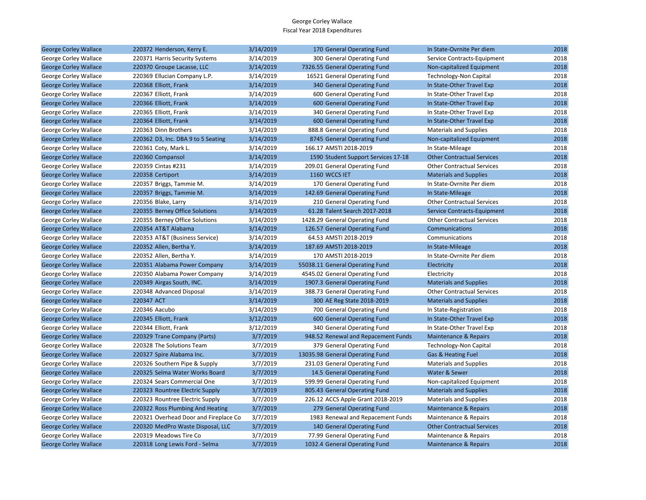| <b>George Corley Wallace</b> | 220372 Henderson, Kerry E.            | 3/14/2019 | 170 General Operating Fund          | In State-Ovrnite Per diem         | 2018 |
|------------------------------|---------------------------------------|-----------|-------------------------------------|-----------------------------------|------|
| George Corley Wallace        | 220371 Harris Security Systems        | 3/14/2019 | 300 General Operating Fund          | Service Contracts-Equipment       | 2018 |
| <b>George Corley Wallace</b> | 220370 Groupe Lacasse, LLC            | 3/14/2019 | 7326.55 General Operating Fund      | Non-capitalized Equipment         | 2018 |
| George Corley Wallace        | 220369 Ellucian Company L.P.          | 3/14/2019 | 16521 General Operating Fund        | <b>Technology-Non Capital</b>     | 2018 |
| <b>George Corley Wallace</b> | 220368 Elliott, Frank                 | 3/14/2019 | 340 General Operating Fund          | In State-Other Travel Exp         | 2018 |
| George Corley Wallace        | 220367 Elliott, Frank                 | 3/14/2019 | 600 General Operating Fund          | In State-Other Travel Exp         | 2018 |
| <b>George Corley Wallace</b> | 220366 Elliott, Frank                 | 3/14/2019 | 600 General Operating Fund          | In State-Other Travel Exp         | 2018 |
| George Corley Wallace        | 220365 Elliott, Frank                 | 3/14/2019 | 340 General Operating Fund          | In State-Other Travel Exp         | 2018 |
| <b>George Corley Wallace</b> | 220364 Elliott, Frank                 | 3/14/2019 | 600 General Operating Fund          | In State-Other Travel Exp         | 2018 |
| George Corley Wallace        | 220363 Dinn Brothers                  | 3/14/2019 | 888.8 General Operating Fund        | <b>Materials and Supplies</b>     | 2018 |
| <b>George Corley Wallace</b> | 220362 D3, Inc. DBA 9 to 5 Seating    | 3/14/2019 | 8745 General Operating Fund         | Non-capitalized Equipment         | 2018 |
| George Corley Wallace        | 220361 Coty, Mark L.                  | 3/14/2019 | 166.17 AMSTI 2018-2019              | In State-Mileage                  | 2018 |
| <b>George Corley Wallace</b> | 220360 Compansol                      | 3/14/2019 | 1590 Student Support Services 17-18 | <b>Other Contractual Services</b> | 2018 |
| George Corley Wallace        | 220359 Cintas #231                    | 3/14/2019 | 209.01 General Operating Fund       | <b>Other Contractual Services</b> | 2018 |
| <b>George Corley Wallace</b> | 220358 Certiport                      | 3/14/2019 | 1160 WCCS IET                       | <b>Materials and Supplies</b>     | 2018 |
| George Corley Wallace        | 220357 Briggs, Tammie M.              | 3/14/2019 | 170 General Operating Fund          | In State-Ovrnite Per diem         | 2018 |
| <b>George Corley Wallace</b> | 220357 Briggs, Tammie M.              | 3/14/2019 | 142.69 General Operating Fund       | In State-Mileage                  | 2018 |
| George Corley Wallace        | 220356 Blake, Larry                   | 3/14/2019 | 210 General Operating Fund          | <b>Other Contractual Services</b> | 2018 |
| <b>George Corley Wallace</b> | 220355 Berney Office Solutions        | 3/14/2019 | 61.28 Talent Search 2017-2018       | Service Contracts-Equipment       | 2018 |
| George Corley Wallace        | 220355 Berney Office Solutions        | 3/14/2019 | 1428.29 General Operating Fund      | <b>Other Contractual Services</b> | 2018 |
| <b>George Corley Wallace</b> | 220354 AT&T Alabama                   | 3/14/2019 | 126.57 General Operating Fund       | Communications                    | 2018 |
| George Corley Wallace        | 220353 AT&T (Business Service)        | 3/14/2019 | 64.53 AMSTI 2018-2019               | Communications                    | 2018 |
| <b>George Corley Wallace</b> | 220352 Allen, Bertha Y.               | 3/14/2019 | 187.69 AMSTI 2018-2019              | In State-Mileage                  | 2018 |
| George Corley Wallace        | 220352 Allen, Bertha Y.               | 3/14/2019 | 170 AMSTI 2018-2019                 | In State-Ovrnite Per diem         | 2018 |
| <b>George Corley Wallace</b> | 220351 Alabama Power Company          | 3/14/2019 | 55038.11 General Operating Fund     | Electricity                       | 2018 |
| George Corley Wallace        | 220350 Alabama Power Company          | 3/14/2019 | 4545.02 General Operating Fund      | Electricity                       | 2018 |
| <b>George Corley Wallace</b> | 220349 Airgas South, INC.             | 3/14/2019 | 1907.3 General Operating Fund       | <b>Materials and Supplies</b>     | 2018 |
| George Corley Wallace        | 220348 Advanced Disposal              | 3/14/2019 | 388.73 General Operating Fund       | <b>Other Contractual Services</b> | 2018 |
| <b>George Corley Wallace</b> | 220347 ACT                            | 3/14/2019 | 300 AE Reg State 2018-2019          | <b>Materials and Supplies</b>     | 2018 |
| George Corley Wallace        | 220346 Aacubo                         | 3/14/2019 | 700 General Operating Fund          | In State-Registration             | 2018 |
| <b>George Corley Wallace</b> | 220345 Elliott, Frank                 | 3/12/2019 | 600 General Operating Fund          | In State-Other Travel Exp         | 2018 |
| George Corley Wallace        | 220344 Elliott, Frank                 | 3/12/2019 | 340 General Operating Fund          | In State-Other Travel Exp         | 2018 |
| <b>George Corley Wallace</b> | 220329 Trane Company (Parts)          | 3/7/2019  | 948.52 Renewal and Repacement Funds | <b>Maintenance &amp; Repairs</b>  | 2018 |
| George Corley Wallace        | 220328 The Solutions Team             | 3/7/2019  | 379 General Operating Fund          | <b>Technology-Non Capital</b>     | 2018 |
| <b>George Corley Wallace</b> | 220327 Spire Alabama Inc.             | 3/7/2019  | 13035.98 General Operating Fund     | Gas & Heating Fuel                | 2018 |
| George Corley Wallace        | 220326 Southern Pipe & Supply         | 3/7/2019  | 231.03 General Operating Fund       | <b>Materials and Supplies</b>     | 2018 |
| <b>George Corley Wallace</b> | 220325 Selma Water Works Board        | 3/7/2019  | 14.5 General Operating Fund         | Water & Sewer                     | 2018 |
| George Corley Wallace        | 220324 Sears Commercial One           | 3/7/2019  | 599.99 General Operating Fund       | Non-capitalized Equipment         | 2018 |
| <b>George Corley Wallace</b> | 220323 Rountree Electric Supply       | 3/7/2019  | 805.43 General Operating Fund       | <b>Materials and Supplies</b>     | 2018 |
| George Corley Wallace        | 220323 Rountree Electric Supply       | 3/7/2019  | 226.12 ACCS Apple Grant 2018-2019   | <b>Materials and Supplies</b>     | 2018 |
| <b>George Corley Wallace</b> | 220322 Ross Plumbing And Heating      | 3/7/2019  | 279 General Operating Fund          | Maintenance & Repairs             | 2018 |
| George Corley Wallace        | 220321 Overhead Door and Fireplace Co | 3/7/2019  | 1983 Renewal and Repacement Funds   | Maintenance & Repairs             | 2018 |
| <b>George Corley Wallace</b> | 220320 MedPro Waste Disposal, LLC     | 3/7/2019  | 140 General Operating Fund          | <b>Other Contractual Services</b> | 2018 |
| George Corley Wallace        | 220319 Meadows Tire Co                | 3/7/2019  | 77.99 General Operating Fund        | Maintenance & Repairs             | 2018 |
| <b>George Corley Wallace</b> | 220318 Long Lewis Ford - Selma        | 3/7/2019  | 1032.4 General Operating Fund       | <b>Maintenance &amp; Repairs</b>  | 2018 |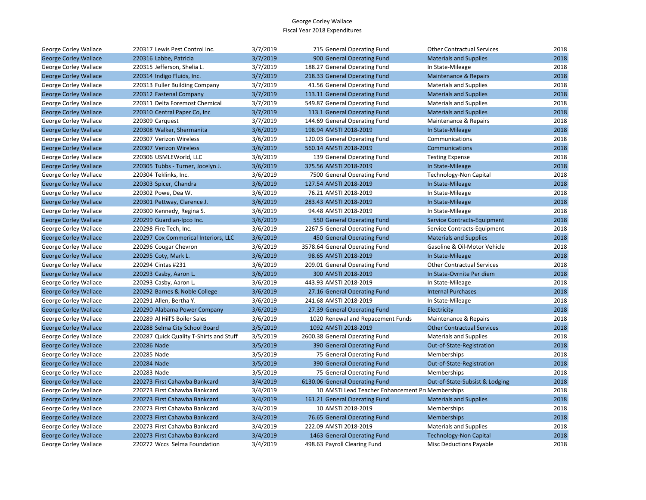| George Corley Wallace        | 220317 Lewis Pest Control Inc.          | 3/7/2019 | 715 General Operating Fund                        | <b>Other Contractual Services</b> | 2018 |
|------------------------------|-----------------------------------------|----------|---------------------------------------------------|-----------------------------------|------|
| <b>George Corley Wallace</b> | 220316 Labbe, Patricia                  | 3/7/2019 | 900 General Operating Fund                        | <b>Materials and Supplies</b>     | 2018 |
| George Corley Wallace        | 220315 Jefferson, Shelia L.             | 3/7/2019 | 188.27 General Operating Fund                     | In State-Mileage                  | 2018 |
| <b>George Corley Wallace</b> | 220314 Indigo Fluids, Inc.              | 3/7/2019 | 218.33 General Operating Fund                     | <b>Maintenance &amp; Repairs</b>  | 2018 |
| George Corley Wallace        | 220313 Fuller Building Company          | 3/7/2019 | 41.56 General Operating Fund                      | <b>Materials and Supplies</b>     | 2018 |
| <b>George Corley Wallace</b> | 220312 Fastenal Company                 | 3/7/2019 | 113.11 General Operating Fund                     | <b>Materials and Supplies</b>     | 2018 |
| George Corley Wallace        | 220311 Delta Foremost Chemical          | 3/7/2019 | 549.87 General Operating Fund                     | <b>Materials and Supplies</b>     | 2018 |
| <b>George Corley Wallace</b> | 220310 Central Paper Co, Inc            | 3/7/2019 | 113.1 General Operating Fund                      | <b>Materials and Supplies</b>     | 2018 |
| George Corley Wallace        | 220309 Carquest                         | 3/7/2019 | 144.69 General Operating Fund                     | Maintenance & Repairs             | 2018 |
| <b>George Corley Wallace</b> | 220308 Walker, Shermanita               | 3/6/2019 | 198.94 AMSTI 2018-2019                            | In State-Mileage                  | 2018 |
| George Corley Wallace        | 220307 Verizon Wireless                 | 3/6/2019 | 120.03 General Operating Fund                     | Communications                    | 2018 |
| <b>George Corley Wallace</b> | 220307 Verizon Wireless                 | 3/6/2019 | 560.14 AMSTI 2018-2019                            | Communications                    | 2018 |
| George Corley Wallace        | 220306 USMLEWorld, LLC                  | 3/6/2019 | 139 General Operating Fund                        | <b>Testing Expense</b>            | 2018 |
| <b>George Corley Wallace</b> | 220305 Tubbs - Turner, Jocelyn J.       | 3/6/2019 | 375.56 AMSTI 2018-2019                            | In State-Mileage                  | 2018 |
| George Corley Wallace        | 220304 Teklinks, Inc.                   | 3/6/2019 | 7500 General Operating Fund                       | <b>Technology-Non Capital</b>     | 2018 |
| <b>George Corley Wallace</b> | 220303 Spicer, Chandra                  | 3/6/2019 | 127.54 AMSTI 2018-2019                            | In State-Mileage                  | 2018 |
| George Corley Wallace        | 220302 Powe, Dea W.                     | 3/6/2019 | 76.21 AMSTI 2018-2019                             | In State-Mileage                  | 2018 |
| <b>George Corley Wallace</b> | 220301 Pettway, Clarence J.             | 3/6/2019 | 283.43 AMSTI 2018-2019                            | In State-Mileage                  | 2018 |
| George Corley Wallace        | 220300 Kennedy, Regina S.               | 3/6/2019 | 94.48 AMSTI 2018-2019                             | In State-Mileage                  | 2018 |
| <b>George Corley Wallace</b> | 220299 Guardian-Ipco Inc.               | 3/6/2019 | 550 General Operating Fund                        | Service Contracts-Equipment       | 2018 |
| George Corley Wallace        | 220298 Fire Tech, Inc.                  | 3/6/2019 | 2267.5 General Operating Fund                     | Service Contracts-Equipment       | 2018 |
| <b>George Corley Wallace</b> | 220297 Cox Commerical Interiors, LLC    | 3/6/2019 | 450 General Operating Fund                        | <b>Materials and Supplies</b>     | 2018 |
| George Corley Wallace        | 220296 Cougar Chevron                   | 3/6/2019 | 3578.64 General Operating Fund                    | Gasoline & Oil-Motor Vehicle      | 2018 |
| <b>George Corley Wallace</b> | 220295 Coty, Mark L.                    | 3/6/2019 | 98.65 AMSTI 2018-2019                             | In State-Mileage                  | 2018 |
| George Corley Wallace        | 220294 Cintas #231                      | 3/6/2019 | 209.01 General Operating Fund                     | <b>Other Contractual Services</b> | 2018 |
| <b>George Corley Wallace</b> | 220293 Casby, Aaron L.                  | 3/6/2019 | 300 AMSTI 2018-2019                               | In State-Ovrnite Per diem         | 2018 |
| George Corley Wallace        | 220293 Casby, Aaron L.                  | 3/6/2019 | 443.93 AMSTI 2018-2019                            | In State-Mileage                  | 2018 |
| <b>George Corley Wallace</b> | 220292 Barnes & Noble College           | 3/6/2019 | 27.16 General Operating Fund                      | <b>Internal Purchases</b>         | 2018 |
| George Corley Wallace        | 220291 Allen, Bertha Y.                 | 3/6/2019 | 241.68 AMSTI 2018-2019                            | In State-Mileage                  | 2018 |
| <b>George Corley Wallace</b> | 220290 Alabama Power Company            | 3/6/2019 | 27.39 General Operating Fund                      | Electricity                       | 2018 |
| George Corley Wallace        | 220289 Al Hill'S Boiler Sales           | 3/6/2019 | 1020 Renewal and Repacement Funds                 | Maintenance & Repairs             | 2018 |
| <b>George Corley Wallace</b> | 220288 Selma City School Board          | 3/5/2019 | 1092 AMSTI 2018-2019                              | <b>Other Contractual Services</b> | 2018 |
| George Corley Wallace        | 220287 Quick Quality T-Shirts and Stuff | 3/5/2019 | 2600.38 General Operating Fund                    | <b>Materials and Supplies</b>     | 2018 |
| <b>George Corley Wallace</b> | 220286 Nade                             | 3/5/2019 | 390 General Operating Fund                        | Out-of-State-Registration         | 2018 |
| George Corley Wallace        | 220285 Nade                             | 3/5/2019 | 75 General Operating Fund                         | Memberships                       | 2018 |
| <b>George Corley Wallace</b> | 220284 Nade                             | 3/5/2019 | 390 General Operating Fund                        | Out-of-State-Registration         | 2018 |
| George Corley Wallace        | 220283 Nade                             | 3/5/2019 | 75 General Operating Fund                         | Memberships                       | 2018 |
| <b>George Corley Wallace</b> | 220273 First Cahawba Bankcard           | 3/4/2019 | 6130.06 General Operating Fund                    | Out-of-State-Subsist & Lodging    | 2018 |
| George Corley Wallace        | 220273 First Cahawba Bankcard           | 3/4/2019 | 10 AMSTI Lead Teacher Enhancement Pro Memberships |                                   | 2018 |
| <b>George Corley Wallace</b> | 220273 First Cahawba Bankcard           | 3/4/2019 | 161.21 General Operating Fund                     | <b>Materials and Supplies</b>     | 2018 |
| George Corley Wallace        | 220273 First Cahawba Bankcard           | 3/4/2019 | 10 AMSTI 2018-2019                                | Memberships                       | 2018 |
| <b>George Corley Wallace</b> | 220273 First Cahawba Bankcard           | 3/4/2019 | 76.65 General Operating Fund                      | <b>Memberships</b>                | 2018 |
| George Corley Wallace        | 220273 First Cahawba Bankcard           | 3/4/2019 | 222.09 AMSTI 2018-2019                            | <b>Materials and Supplies</b>     | 2018 |
| <b>George Corley Wallace</b> | 220273 First Cahawba Bankcard           | 3/4/2019 | 1463 General Operating Fund                       | <b>Technology-Non Capital</b>     | 2018 |
| George Corley Wallace        | 220272 Wccs Selma Foundation            | 3/4/2019 | 498.63 Payroll Clearing Fund                      | <b>Misc Deductions Payable</b>    | 2018 |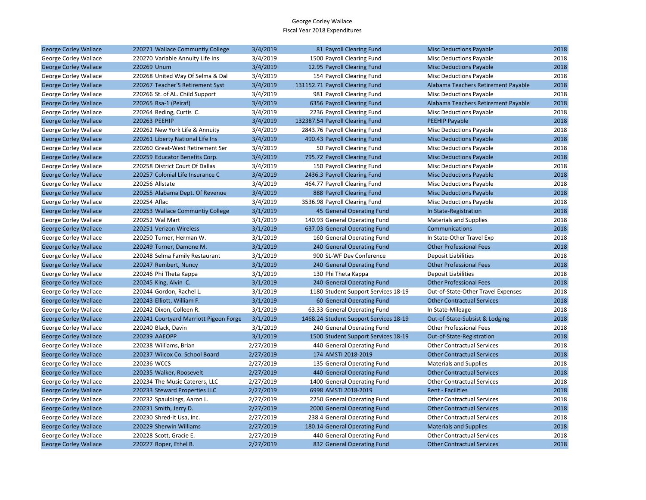| <b>George Corley Wallace</b> | 220271 Wallace Communtiy College       | 3/4/2019  | 81 Payroll Clearing Fund               | <b>Misc Deductions Payable</b>      | 2018 |
|------------------------------|----------------------------------------|-----------|----------------------------------------|-------------------------------------|------|
| George Corley Wallace        | 220270 Variable Annuity Life Ins       | 3/4/2019  | 1500 Payroll Clearing Fund             | Misc Deductions Payable             | 2018 |
| <b>George Corley Wallace</b> | 220269 Unum                            | 3/4/2019  | 12.95 Payroll Clearing Fund            | <b>Misc Deductions Payable</b>      | 2018 |
| George Corley Wallace        | 220268 United Way Of Selma & Dal       | 3/4/2019  | 154 Payroll Clearing Fund              | Misc Deductions Payable             | 2018 |
| <b>George Corley Wallace</b> | 220267 Teacher'S Retirement Syst       | 3/4/2019  | 131152.71 Payroll Clearing Fund        | Alabama Teachers Retirement Payable | 2018 |
| George Corley Wallace        | 220266 St. of AL. Child Support        | 3/4/2019  | 981 Payroll Clearing Fund              | <b>Misc Deductions Payable</b>      | 2018 |
| <b>George Corley Wallace</b> | 220265 Rsa-1 (Peiraf)                  | 3/4/2019  | 6356 Payroll Clearing Fund             | Alabama Teachers Retirement Payable | 2018 |
| George Corley Wallace        | 220264 Reding, Curtis C.               | 3/4/2019  | 2236 Payroll Clearing Fund             | <b>Misc Deductions Payable</b>      | 2018 |
| <b>George Corley Wallace</b> | 220263 PEEHIP                          | 3/4/2019  | 132387.54 Payroll Clearing Fund        | <b>PEEHIP Payable</b>               | 2018 |
| George Corley Wallace        | 220262 New York Life & Annuity         | 3/4/2019  | 2843.76 Payroll Clearing Fund          | Misc Deductions Payable             | 2018 |
| <b>George Corley Wallace</b> | 220261 Liberty National Life Ins       | 3/4/2019  | 490.43 Payroll Clearing Fund           | <b>Misc Deductions Payable</b>      | 2018 |
| George Corley Wallace        | 220260 Great-West Retirement Ser       | 3/4/2019  | 50 Payroll Clearing Fund               | <b>Misc Deductions Payable</b>      | 2018 |
| <b>George Corley Wallace</b> | 220259 Educator Benefits Corp.         | 3/4/2019  | 795.72 Payroll Clearing Fund           | <b>Misc Deductions Payable</b>      | 2018 |
| George Corley Wallace        | 220258 District Court Of Dallas        | 3/4/2019  | 150 Payroll Clearing Fund              | Misc Deductions Payable             | 2018 |
| <b>George Corley Wallace</b> | 220257 Colonial Life Insurance C       | 3/4/2019  | 2436.3 Payroll Clearing Fund           | <b>Misc Deductions Payable</b>      | 2018 |
| George Corley Wallace        | 220256 Allstate                        | 3/4/2019  | 464.77 Payroll Clearing Fund           | Misc Deductions Payable             | 2018 |
| <b>George Corley Wallace</b> | 220255 Alabama Dept. Of Revenue        | 3/4/2019  | 888 Payroll Clearing Fund              | <b>Misc Deductions Payable</b>      | 2018 |
| George Corley Wallace        | 220254 Aflac                           | 3/4/2019  | 3536.98 Payroll Clearing Fund          | Misc Deductions Payable             | 2018 |
| <b>George Corley Wallace</b> | 220253 Wallace Communtiy College       | 3/1/2019  | 45 General Operating Fund              | In State-Registration               | 2018 |
| George Corley Wallace        | 220252 Wal Mart                        | 3/1/2019  | 140.93 General Operating Fund          | <b>Materials and Supplies</b>       | 2018 |
| <b>George Corley Wallace</b> | 220251 Verizon Wireless                | 3/1/2019  | 637.03 General Operating Fund          | Communications                      | 2018 |
| George Corley Wallace        | 220250 Turner, Herman W.               | 3/1/2019  | 160 General Operating Fund             | In State-Other Travel Exp           | 2018 |
| <b>George Corley Wallace</b> | 220249 Turner, Damone M.               | 3/1/2019  | 240 General Operating Fund             | <b>Other Professional Fees</b>      | 2018 |
| George Corley Wallace        | 220248 Selma Family Restaurant         | 3/1/2019  | 900 SL-WF Dev Conference               | Deposit Liabilities                 | 2018 |
| <b>George Corley Wallace</b> | 220247 Rembert, Nuncy                  | 3/1/2019  | 240 General Operating Fund             | <b>Other Professional Fees</b>      | 2018 |
| George Corley Wallace        | 220246 Phi Theta Kappa                 | 3/1/2019  | 130 Phi Theta Kappa                    | <b>Deposit Liabilities</b>          | 2018 |
| <b>George Corley Wallace</b> | 220245 King, Alvin C.                  | 3/1/2019  | 240 General Operating Fund             | <b>Other Professional Fees</b>      | 2018 |
| George Corley Wallace        | 220244 Gordon, Rachel L.               | 3/1/2019  | 1180 Student Support Services 18-19    | Out-of-State-Other Travel Expenses  | 2018 |
| <b>George Corley Wallace</b> | 220243 Elliott, William F.             | 3/1/2019  | 60 General Operating Fund              | <b>Other Contractual Services</b>   | 2018 |
| George Corley Wallace        | 220242 Dixon, Colleen R.               | 3/1/2019  | 63.33 General Operating Fund           | In State-Mileage                    | 2018 |
| <b>George Corley Wallace</b> | 220241 Courtyard Marriott Pigeon Forge | 3/1/2019  | 1468.24 Student Support Services 18-19 | Out-of-State-Subsist & Lodging      | 2018 |
| George Corley Wallace        | 220240 Black, Davin                    | 3/1/2019  | 240 General Operating Fund             | <b>Other Professional Fees</b>      | 2018 |
| <b>George Corley Wallace</b> | 220239 AAEOPP                          | 3/1/2019  | 1500 Student Support Services 18-19    | Out-of-State-Registration           | 2018 |
| George Corley Wallace        | 220238 Williams, Brian                 | 2/27/2019 | 440 General Operating Fund             | <b>Other Contractual Services</b>   | 2018 |
| <b>George Corley Wallace</b> | 220237 Wilcox Co. School Board         | 2/27/2019 | 174 AMSTI 2018-2019                    | <b>Other Contractual Services</b>   | 2018 |
| George Corley Wallace        | 220236 WCCS                            | 2/27/2019 | 135 General Operating Fund             | <b>Materials and Supplies</b>       | 2018 |
| <b>George Corley Wallace</b> | 220235 Walker, Roosevelt               | 2/27/2019 | 440 General Operating Fund             | <b>Other Contractual Services</b>   | 2018 |
| George Corley Wallace        | 220234 The Music Caterers, LLC         | 2/27/2019 | 1400 General Operating Fund            | <b>Other Contractual Services</b>   | 2018 |
| <b>George Corley Wallace</b> | 220233 Steward Properties LLC          | 2/27/2019 | 6998 AMSTI 2018-2019                   | <b>Rent - Facilities</b>            | 2018 |
| George Corley Wallace        | 220232 Spauldings, Aaron L.            | 2/27/2019 | 2250 General Operating Fund            | <b>Other Contractual Services</b>   | 2018 |
| <b>George Corley Wallace</b> | 220231 Smith, Jerry D.                 | 2/27/2019 | 2000 General Operating Fund            | <b>Other Contractual Services</b>   | 2018 |
| George Corley Wallace        | 220230 Shred-It Usa, Inc.              | 2/27/2019 | 238.4 General Operating Fund           | <b>Other Contractual Services</b>   | 2018 |
| <b>George Corley Wallace</b> | 220229 Sherwin Williams                | 2/27/2019 | 180.14 General Operating Fund          | <b>Materials and Supplies</b>       | 2018 |
| George Corley Wallace        | 220228 Scott, Gracie E.                | 2/27/2019 | 440 General Operating Fund             | <b>Other Contractual Services</b>   | 2018 |
| <b>George Corley Wallace</b> | 220227 Roper, Ethel B.                 | 2/27/2019 | 832 General Operating Fund             | <b>Other Contractual Services</b>   | 2018 |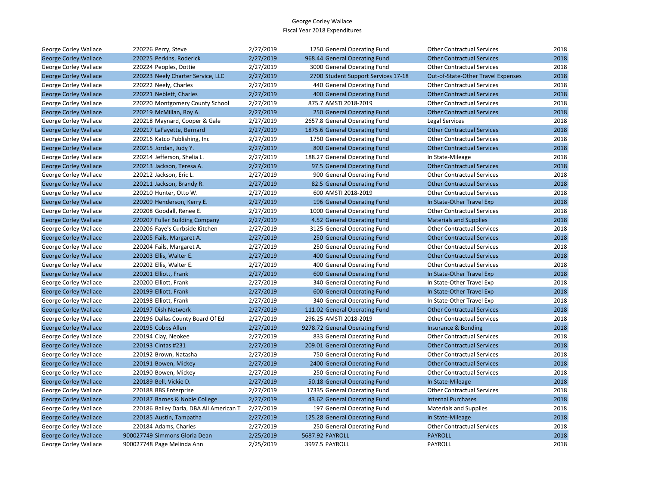| George Corley Wallace        | 220226 Perry, Steve                     | 2/27/2019 | 1250 General Operating Fund         | <b>Other Contractual Services</b>  | 2018 |
|------------------------------|-----------------------------------------|-----------|-------------------------------------|------------------------------------|------|
| <b>George Corley Wallace</b> | 220225 Perkins, Roderick                | 2/27/2019 | 968.44 General Operating Fund       | <b>Other Contractual Services</b>  | 2018 |
| George Corley Wallace        | 220224 Peoples, Dottie                  | 2/27/2019 | 3000 General Operating Fund         | <b>Other Contractual Services</b>  | 2018 |
| <b>George Corley Wallace</b> | 220223 Neely Charter Service, LLC       | 2/27/2019 | 2700 Student Support Services 17-18 | Out-of-State-Other Travel Expenses | 2018 |
| George Corley Wallace        | 220222 Neely, Charles                   | 2/27/2019 | 440 General Operating Fund          | <b>Other Contractual Services</b>  | 2018 |
| <b>George Corley Wallace</b> | 220221 Neblett, Charles                 | 2/27/2019 | 400 General Operating Fund          | <b>Other Contractual Services</b>  | 2018 |
| George Corley Wallace        | 220220 Montgomery County School         | 2/27/2019 | 875.7 AMSTI 2018-2019               | <b>Other Contractual Services</b>  | 2018 |
| <b>George Corley Wallace</b> | 220219 McMillan, Roy A.                 | 2/27/2019 | 250 General Operating Fund          | <b>Other Contractual Services</b>  | 2018 |
| George Corley Wallace        | 220218 Maynard, Cooper & Gale           | 2/27/2019 | 2657.8 General Operating Fund       | Legal Services                     | 2018 |
| <b>George Corley Wallace</b> | 220217 LaFayette, Bernard               | 2/27/2019 | 1875.6 General Operating Fund       | <b>Other Contractual Services</b>  | 2018 |
| George Corley Wallace        | 220216 Katco Publishing, Inc.           | 2/27/2019 | 1750 General Operating Fund         | <b>Other Contractual Services</b>  | 2018 |
| <b>George Corley Wallace</b> | 220215 Jordan, Judy Y.                  | 2/27/2019 | 800 General Operating Fund          | <b>Other Contractual Services</b>  | 2018 |
| George Corley Wallace        | 220214 Jefferson, Shelia L.             | 2/27/2019 | 188.27 General Operating Fund       | In State-Mileage                   | 2018 |
| <b>George Corley Wallace</b> | 220213 Jackson, Teresa A.               | 2/27/2019 | 97.5 General Operating Fund         | <b>Other Contractual Services</b>  | 2018 |
| George Corley Wallace        | 220212 Jackson, Eric L.                 | 2/27/2019 | 900 General Operating Fund          | <b>Other Contractual Services</b>  | 2018 |
| <b>George Corley Wallace</b> | 220211 Jackson, Brandy R.               | 2/27/2019 | 82.5 General Operating Fund         | <b>Other Contractual Services</b>  | 2018 |
| George Corley Wallace        | 220210 Hunter, Otto W.                  | 2/27/2019 | 600 AMSTI 2018-2019                 | <b>Other Contractual Services</b>  | 2018 |
| <b>George Corley Wallace</b> | 220209 Henderson, Kerry E.              | 2/27/2019 | 196 General Operating Fund          | In State-Other Travel Exp          | 2018 |
| George Corley Wallace        | 220208 Goodall, Renee E.                | 2/27/2019 | 1000 General Operating Fund         | <b>Other Contractual Services</b>  | 2018 |
| <b>George Corley Wallace</b> | 220207 Fuller Building Company          | 2/27/2019 | 4.52 General Operating Fund         | <b>Materials and Supplies</b>      | 2018 |
| George Corley Wallace        | 220206 Faye's Curbside Kitchen          | 2/27/2019 | 3125 General Operating Fund         | <b>Other Contractual Services</b>  | 2018 |
| <b>George Corley Wallace</b> | 220205 Fails, Margaret A.               | 2/27/2019 | 250 General Operating Fund          | <b>Other Contractual Services</b>  | 2018 |
| George Corley Wallace        | 220204 Fails, Margaret A.               | 2/27/2019 | 250 General Operating Fund          | <b>Other Contractual Services</b>  | 2018 |
| <b>George Corley Wallace</b> | 220203 Ellis, Walter E.                 | 2/27/2019 | 400 General Operating Fund          | <b>Other Contractual Services</b>  | 2018 |
| George Corley Wallace        | 220202 Ellis, Walter E.                 | 2/27/2019 | 400 General Operating Fund          | <b>Other Contractual Services</b>  | 2018 |
| <b>George Corley Wallace</b> | 220201 Elliott, Frank                   | 2/27/2019 | 600 General Operating Fund          | In State-Other Travel Exp          | 2018 |
| George Corley Wallace        | 220200 Elliott, Frank                   | 2/27/2019 | 340 General Operating Fund          | In State-Other Travel Exp          | 2018 |
| <b>George Corley Wallace</b> | 220199 Elliott, Frank                   | 2/27/2019 | 600 General Operating Fund          | In State-Other Travel Exp          | 2018 |
| George Corley Wallace        | 220198 Elliott, Frank                   | 2/27/2019 | 340 General Operating Fund          | In State-Other Travel Exp          | 2018 |
| <b>George Corley Wallace</b> | 220197 Dish Network                     | 2/27/2019 | 111.02 General Operating Fund       | <b>Other Contractual Services</b>  | 2018 |
| George Corley Wallace        | 220196 Dallas County Board Of Ed        | 2/27/2019 | 296.25 AMSTI 2018-2019              | <b>Other Contractual Services</b>  | 2018 |
| <b>George Corley Wallace</b> | 220195 Cobbs Allen                      | 2/27/2019 | 9278.72 General Operating Fund      | Insurance & Bonding                | 2018 |
| George Corley Wallace        | 220194 Clay, Neokee                     | 2/27/2019 | 833 General Operating Fund          | <b>Other Contractual Services</b>  | 2018 |
| <b>George Corley Wallace</b> | 220193 Cintas #231                      | 2/27/2019 | 209.01 General Operating Fund       | <b>Other Contractual Services</b>  | 2018 |
| George Corley Wallace        | 220192 Brown, Natasha                   | 2/27/2019 | 750 General Operating Fund          | <b>Other Contractual Services</b>  | 2018 |
| <b>George Corley Wallace</b> | 220191 Bowen, Mickey                    | 2/27/2019 | 2400 General Operating Fund         | <b>Other Contractual Services</b>  | 2018 |
| George Corley Wallace        | 220190 Bowen, Mickey                    | 2/27/2019 | 250 General Operating Fund          | <b>Other Contractual Services</b>  | 2018 |
| <b>George Corley Wallace</b> | 220189 Bell, Vickie D.                  | 2/27/2019 | 50.18 General Operating Fund        | In State-Mileage                   | 2018 |
| George Corley Wallace        | 220188 BBS Enterprise                   | 2/27/2019 | 17335 General Operating Fund        | <b>Other Contractual Services</b>  | 2018 |
| <b>George Corley Wallace</b> | 220187 Barnes & Noble College           | 2/27/2019 | 43.62 General Operating Fund        | <b>Internal Purchases</b>          | 2018 |
| George Corley Wallace        | 220186 Bailey Darla, DBA All American T | 2/27/2019 | 197 General Operating Fund          | Materials and Supplies             | 2018 |
| <b>George Corley Wallace</b> | 220185 Austin, Tampatha                 | 2/27/2019 | 125.28 General Operating Fund       | In State-Mileage                   | 2018 |
| George Corley Wallace        | 220184 Adams, Charles                   | 2/27/2019 | 250 General Operating Fund          | <b>Other Contractual Services</b>  | 2018 |
| <b>George Corley Wallace</b> | 900027749 Simmons Gloria Dean           | 2/25/2019 | 5687.92 PAYROLL                     | <b>PAYROLL</b>                     | 2018 |
| George Corley Wallace        | 900027748 Page Melinda Ann              | 2/25/2019 | 3997.5 PAYROLL                      | <b>PAYROLL</b>                     | 2018 |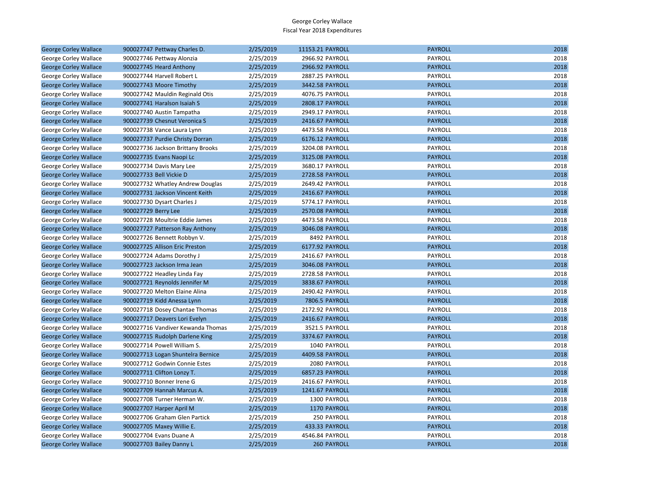| <b>George Corley Wallace</b> | 900027747 Pettway Charles D.      | 2/25/2019 | 11153.21 PAYROLL   | <b>PAYROLL</b> | 2018 |
|------------------------------|-----------------------------------|-----------|--------------------|----------------|------|
| George Corley Wallace        | 900027746 Pettway Alonzia         | 2/25/2019 | 2966.92 PAYROLL    | PAYROLL        | 2018 |
| <b>George Corley Wallace</b> | 900027745 Heard Anthony           | 2/25/2019 | 2966.92 PAYROLL    | <b>PAYROLL</b> | 2018 |
| George Corley Wallace        | 900027744 Harvell Robert L        | 2/25/2019 | 2887.25 PAYROLL    | PAYROLL        | 2018 |
| <b>George Corley Wallace</b> | 900027743 Moore Timothy           | 2/25/2019 | 3442.58 PAYROLL    | <b>PAYROLL</b> | 2018 |
| George Corley Wallace        | 900027742 Mauldin Reginald Otis   | 2/25/2019 | 4076.75 PAYROLL    | PAYROLL        | 2018 |
| <b>George Corley Wallace</b> | 900027741 Haralson Isaiah S       | 2/25/2019 | 2808.17 PAYROLL    | <b>PAYROLL</b> | 2018 |
| George Corley Wallace        | 900027740 Austin Tampatha         | 2/25/2019 | 2949.17 PAYROLL    | PAYROLL        | 2018 |
| <b>George Corley Wallace</b> | 900027739 Chesnut Veronica S      | 2/25/2019 | 2416.67 PAYROLL    | <b>PAYROLL</b> | 2018 |
| George Corley Wallace        | 900027738 Vance Laura Lynn        | 2/25/2019 | 4473.58 PAYROLL    | PAYROLL        | 2018 |
| <b>George Corley Wallace</b> | 900027737 Purdie Christy Dorran   | 2/25/2019 | 6176.12 PAYROLL    | <b>PAYROLL</b> | 2018 |
| George Corley Wallace        | 900027736 Jackson Brittany Brooks | 2/25/2019 | 3204.08 PAYROLL    | PAYROLL        | 2018 |
| <b>George Corley Wallace</b> | 900027735 Evans Naopi Lc          | 2/25/2019 | 3125.08 PAYROLL    | <b>PAYROLL</b> | 2018 |
| George Corley Wallace        | 900027734 Davis Mary Lee          | 2/25/2019 | 3680.17 PAYROLL    | PAYROLL        | 2018 |
| <b>George Corley Wallace</b> | 900027733 Bell Vickie D           | 2/25/2019 | 2728.58 PAYROLL    | <b>PAYROLL</b> | 2018 |
| George Corley Wallace        | 900027732 Whatley Andrew Douglas  | 2/25/2019 | 2649.42 PAYROLL    | PAYROLL        | 2018 |
| <b>George Corley Wallace</b> | 900027731 Jackson Vincent Keith   | 2/25/2019 | 2416.67 PAYROLL    | <b>PAYROLL</b> | 2018 |
| George Corley Wallace        | 900027730 Dysart Charles J        | 2/25/2019 | 5774.17 PAYROLL    | PAYROLL        | 2018 |
| <b>George Corley Wallace</b> | 900027729 Berry Lee               | 2/25/2019 | 2570.08 PAYROLL    | <b>PAYROLL</b> | 2018 |
| George Corley Wallace        | 900027728 Moultrie Eddie James    | 2/25/2019 | 4473.58 PAYROLL    | PAYROLL        | 2018 |
| <b>George Corley Wallace</b> | 900027727 Patterson Ray Anthony   | 2/25/2019 | 3046.08 PAYROLL    | <b>PAYROLL</b> | 2018 |
| George Corley Wallace        | 900027726 Bennett Robbyn V.       | 2/25/2019 | 8492 PAYROLL       | PAYROLL        | 2018 |
| <b>George Corley Wallace</b> | 900027725 Allison Eric Preston    | 2/25/2019 | 6177.92 PAYROLL    | <b>PAYROLL</b> | 2018 |
| George Corley Wallace        | 900027724 Adams Dorothy J         | 2/25/2019 | 2416.67 PAYROLL    | PAYROLL        | 2018 |
| <b>George Corley Wallace</b> | 900027723 Jackson Irma Jean       | 2/25/2019 | 3046.08 PAYROLL    | <b>PAYROLL</b> | 2018 |
| George Corley Wallace        | 900027722 Headley Linda Fay       | 2/25/2019 | 2728.58 PAYROLL    | PAYROLL        | 2018 |
| <b>George Corley Wallace</b> | 900027721 Reynolds Jennifer M     | 2/25/2019 | 3838.67 PAYROLL    | <b>PAYROLL</b> | 2018 |
| George Corley Wallace        | 900027720 Melton Elaine Alina     | 2/25/2019 | 2490.42 PAYROLL    | PAYROLL        | 2018 |
| <b>George Corley Wallace</b> | 900027719 Kidd Anessa Lynn        | 2/25/2019 | 7806.5 PAYROLL     | <b>PAYROLL</b> | 2018 |
| George Corley Wallace        | 900027718 Dosey Chantae Thomas    | 2/25/2019 | 2172.92 PAYROLL    | PAYROLL        | 2018 |
| <b>George Corley Wallace</b> | 900027717 Deavers Lori Evelyn     | 2/25/2019 | 2416.67 PAYROLL    | <b>PAYROLL</b> | 2018 |
| George Corley Wallace        | 900027716 Vandiver Kewanda Thomas | 2/25/2019 | 3521.5 PAYROLL     | PAYROLL        | 2018 |
| <b>George Corley Wallace</b> | 900027715 Rudolph Darlene King    | 2/25/2019 | 3374.67 PAYROLL    | <b>PAYROLL</b> | 2018 |
| George Corley Wallace        | 900027714 Powell William S.       | 2/25/2019 | 1040 PAYROLL       | PAYROLL        | 2018 |
| <b>George Corley Wallace</b> | 900027713 Logan Shuntelra Bernice | 2/25/2019 | 4409.58 PAYROLL    | <b>PAYROLL</b> | 2018 |
| George Corley Wallace        | 900027712 Godwin Connie Estes     | 2/25/2019 | 2080 PAYROLL       | PAYROLL        | 2018 |
| <b>George Corley Wallace</b> | 900027711 Clifton Lonzy T.        | 2/25/2019 | 6857.23 PAYROLL    | <b>PAYROLL</b> | 2018 |
| George Corley Wallace        | 900027710 Bonner Irene G          | 2/25/2019 | 2416.67 PAYROLL    | PAYROLL        | 2018 |
| <b>George Corley Wallace</b> | 900027709 Hannah Marcus A.        | 2/25/2019 | 1241.67 PAYROLL    | <b>PAYROLL</b> | 2018 |
| George Corley Wallace        | 900027708 Turner Herman W.        | 2/25/2019 | 1300 PAYROLL       | PAYROLL        | 2018 |
| <b>George Corley Wallace</b> | 900027707 Harper April M          | 2/25/2019 | 1170 PAYROLL       | <b>PAYROLL</b> | 2018 |
| George Corley Wallace        | 900027706 Graham Glen Partick     | 2/25/2019 | 250 PAYROLL        | PAYROLL        | 2018 |
| <b>George Corley Wallace</b> | 900027705 Maxey Willie E.         | 2/25/2019 | 433.33 PAYROLL     | <b>PAYROLL</b> | 2018 |
| George Corley Wallace        | 900027704 Evans Duane A           | 2/25/2019 | 4546.84 PAYROLL    | PAYROLL        | 2018 |
| <b>George Corley Wallace</b> | 900027703 Bailey Danny L          | 2/25/2019 | <b>260 PAYROLL</b> | <b>PAYROLL</b> | 2018 |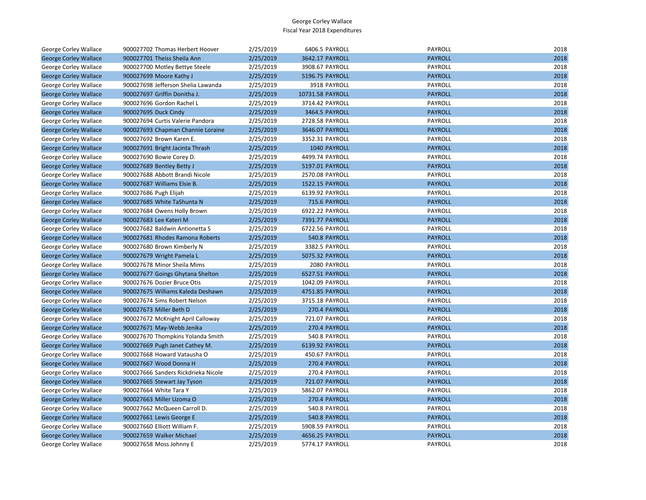| George Corley Wallace        | 900027702 Thomas Herbert Hoover     | 2/25/2019 | 6406.5 PAYROLL   | PAYROLL        | 2018 |
|------------------------------|-------------------------------------|-----------|------------------|----------------|------|
| <b>George Corley Wallace</b> | 900027701 Theiss Sheila Ann         | 2/25/2019 | 3642.17 PAYROLL  | <b>PAYROLL</b> | 2018 |
| George Corley Wallace        | 900027700 Motley Bettye Steele      | 2/25/2019 | 3908.67 PAYROLL  | PAYROLL        | 2018 |
| <b>George Corley Wallace</b> | 900027699 Moore Kathy J             | 2/25/2019 | 5196.75 PAYROLL  | <b>PAYROLL</b> | 2018 |
| George Corley Wallace        | 900027698 Jefferson Shelia Lawanda  | 2/25/2019 | 3918 PAYROLL     | PAYROLL        | 2018 |
| <b>George Corley Wallace</b> | 900027697 Griffin Donitha J.        | 2/25/2019 | 10731.58 PAYROLL | <b>PAYROLL</b> | 2018 |
| George Corley Wallace        | 900027696 Gordon Rachel L           | 2/25/2019 | 3714.42 PAYROLL  | PAYROLL        | 2018 |
| <b>George Corley Wallace</b> | 900027695 Duck Cindy                | 2/25/2019 | 3464.5 PAYROLL   | <b>PAYROLL</b> | 2018 |
| George Corley Wallace        | 900027694 Curtis Valerie Pandora    | 2/25/2019 | 2728.58 PAYROLL  | PAYROLL        | 2018 |
| <b>George Corley Wallace</b> | 900027693 Chapman Channie Loraine   | 2/25/2019 | 3646.07 PAYROLL  | <b>PAYROLL</b> | 2018 |
| George Corley Wallace        | 900027692 Brown Karen E.            | 2/25/2019 | 3352.31 PAYROLL  | <b>PAYROLL</b> | 2018 |
| <b>George Corley Wallace</b> | 900027691 Bright Jacinta Thrash     | 2/25/2019 | 1040 PAYROLL     | <b>PAYROLL</b> | 2018 |
| George Corley Wallace        | 900027690 Bowie Corey D.            | 2/25/2019 | 4499.74 PAYROLL  | PAYROLL        | 2018 |
| <b>George Corley Wallace</b> | 900027689 Bentley Betty J           | 2/25/2019 | 5197.01 PAYROLL  | <b>PAYROLL</b> | 2018 |
| George Corley Wallace        | 900027688 Abbott Brandi Nicole      | 2/25/2019 | 2570.08 PAYROLL  | PAYROLL        | 2018 |
| <b>George Corley Wallace</b> | 900027687 Williams Elsie B.         | 2/25/2019 | 1522.15 PAYROLL  | <b>PAYROLL</b> | 2018 |
| George Corley Wallace        | 900027686 Pugh Elijah               | 2/25/2019 | 6139.92 PAYROLL  | PAYROLL        | 2018 |
| <b>George Corley Wallace</b> | 900027685 White TaShunta N          | 2/25/2019 | 715.6 PAYROLL    | <b>PAYROLL</b> | 2018 |
| George Corley Wallace        | 900027684 Owens Holly Brown         | 2/25/2019 | 6922.22 PAYROLL  | PAYROLL        | 2018 |
| <b>George Corley Wallace</b> | 900027683 Lee Kateri M              | 2/25/2019 | 7391.77 PAYROLL  | <b>PAYROLL</b> | 2018 |
| George Corley Wallace        | 900027682 Baldwin Antionetta S      | 2/25/2019 | 6722.56 PAYROLL  | PAYROLL        | 2018 |
| <b>George Corley Wallace</b> | 900027681 Rhodes Ramona Roberts     | 2/25/2019 | 540.8 PAYROLL    | <b>PAYROLL</b> | 2018 |
| George Corley Wallace        | 900027680 Brown Kimberly N          | 2/25/2019 | 3382.5 PAYROLL   | PAYROLL        | 2018 |
| <b>George Corley Wallace</b> | 900027679 Wright Pamela L           | 2/25/2019 | 5075.32 PAYROLL  | <b>PAYROLL</b> | 2018 |
| George Corley Wallace        | 900027678 Minor Sheila Mims         | 2/25/2019 | 2080 PAYROLL     | PAYROLL        | 2018 |
| <b>George Corley Wallace</b> | 900027677 Goings Ghytana Shelton    | 2/25/2019 | 6527.51 PAYROLL  | <b>PAYROLL</b> | 2018 |
| George Corley Wallace        | 900027676 Dozier Bruce Otis         | 2/25/2019 | 1042.09 PAYROLL  | PAYROLL        | 2018 |
| <b>George Corley Wallace</b> | 900027675 Williams Kaleda Deshawn   | 2/25/2019 | 4751.85 PAYROLL  | <b>PAYROLL</b> | 2018 |
| George Corley Wallace        | 900027674 Sims Robert Nelson        | 2/25/2019 | 3715.18 PAYROLL  | PAYROLL        | 2018 |
| <b>George Corley Wallace</b> | 900027673 Miller Beth D             | 2/25/2019 | 270.4 PAYROLL    | <b>PAYROLL</b> | 2018 |
| George Corley Wallace        | 900027672 McKnight April Calloway   | 2/25/2019 | 721.07 PAYROLL   | <b>PAYROLL</b> | 2018 |
| <b>George Corley Wallace</b> | 900027671 May-Webb Jenika           | 2/25/2019 | 270.4 PAYROLL    | <b>PAYROLL</b> | 2018 |
| George Corley Wallace        | 900027670 Thompkins Yolanda Smith   | 2/25/2019 | 540.8 PAYROLL    | PAYROLL        | 2018 |
| <b>George Corley Wallace</b> | 900027669 Pugh Janet Cathey M.      | 2/25/2019 | 6139.92 PAYROLL  | <b>PAYROLL</b> | 2018 |
| George Corley Wallace        | 900027668 Howard Vatausha O         | 2/25/2019 | 450.67 PAYROLL   | PAYROLL        | 2018 |
| <b>George Corley Wallace</b> | 900027667 Wood Donna H              | 2/25/2019 | 270.4 PAYROLL    | <b>PAYROLL</b> | 2018 |
| George Corley Wallace        | 900027666 Sanders Rickdrieka Nicole | 2/25/2019 | 270.4 PAYROLL    | PAYROLL        | 2018 |
| <b>George Corley Wallace</b> | 900027665 Stewart Jay Tyson         | 2/25/2019 | 721.07 PAYROLL   | <b>PAYROLL</b> | 2018 |
| George Corley Wallace        | 900027664 White Tara Y              | 2/25/2019 | 5862.07 PAYROLL  | PAYROLL        | 2018 |
| <b>George Corley Wallace</b> | 900027663 Miller Uzoma O            | 2/25/2019 | 270.4 PAYROLL    | <b>PAYROLL</b> | 2018 |
| George Corley Wallace        | 900027662 McQueen Carroll D.        | 2/25/2019 | 540.8 PAYROLL    | PAYROLL        | 2018 |
| <b>George Corley Wallace</b> | 900027661 Lewis George E            | 2/25/2019 | 540.8 PAYROLL    | <b>PAYROLL</b> | 2018 |
| George Corley Wallace        | 900027660 Elliott William F.        | 2/25/2019 | 5908.59 PAYROLL  | PAYROLL        | 2018 |
| <b>George Corley Wallace</b> | 900027659 Walker Michael            | 2/25/2019 | 4656.25 PAYROLL  | <b>PAYROLL</b> | 2018 |
| <b>George Corley Wallace</b> | 900027658 Moss Johnny E             | 2/25/2019 | 5774.17 PAYROLL  | PAYROLL        | 2018 |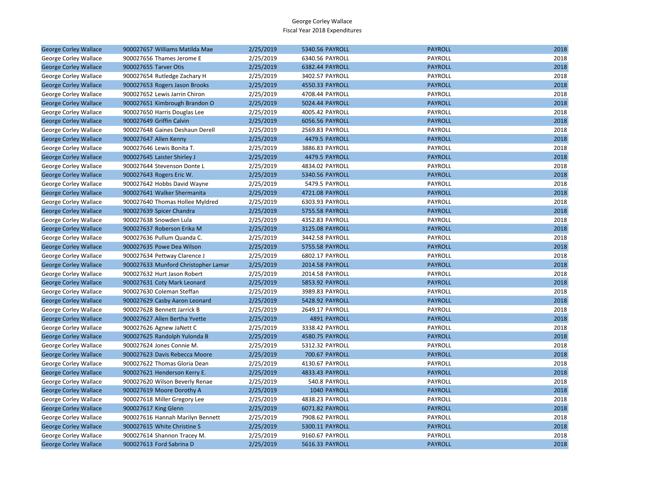| <b>George Corley Wallace</b> | 900027657 Williams Matilda Mae      | 2/25/2019 | 5340.56 PAYROLL | <b>PAYROLL</b> | 2018 |
|------------------------------|-------------------------------------|-----------|-----------------|----------------|------|
| George Corley Wallace        | 900027656 Thames Jerome E           | 2/25/2019 | 6340.56 PAYROLL | PAYROLL        | 2018 |
| <b>George Corley Wallace</b> | 900027655 Tarver Otis               | 2/25/2019 | 6382.44 PAYROLL | <b>PAYROLL</b> | 2018 |
| George Corley Wallace        | 900027654 Rutledge Zachary H        | 2/25/2019 | 3402.57 PAYROLL | PAYROLL        | 2018 |
| <b>George Corley Wallace</b> | 900027653 Rogers Jason Brooks       | 2/25/2019 | 4550.33 PAYROLL | <b>PAYROLL</b> | 2018 |
| George Corley Wallace        | 900027652 Lewis Jarrin Chiron       | 2/25/2019 | 4708.44 PAYROLL | PAYROLL        | 2018 |
| <b>George Corley Wallace</b> | 900027651 Kimbrough Brandon O       | 2/25/2019 | 5024.44 PAYROLL | <b>PAYROLL</b> | 2018 |
| George Corley Wallace        | 900027650 Harris Douglas Lee        | 2/25/2019 | 4005.42 PAYROLL | PAYROLL        | 2018 |
| <b>George Corley Wallace</b> | 900027649 Griffin Calvin            | 2/25/2019 | 6056.56 PAYROLL | <b>PAYROLL</b> | 2018 |
| George Corley Wallace        | 900027648 Gaines Deshaun Derell     | 2/25/2019 | 2569.83 PAYROLL | PAYROLL        | 2018 |
| <b>George Corley Wallace</b> | 900027647 Allen Kenny               | 2/25/2019 | 4479.5 PAYROLL  | <b>PAYROLL</b> | 2018 |
| George Corley Wallace        | 900027646 Lewis Bonita T.           | 2/25/2019 | 3886.83 PAYROLL | PAYROLL        | 2018 |
| <b>George Corley Wallace</b> | 900027645 Laister Shirley J         | 2/25/2019 | 4479.5 PAYROLL  | <b>PAYROLL</b> | 2018 |
| George Corley Wallace        | 900027644 Stevenson Donte L         | 2/25/2019 | 4834.02 PAYROLL | PAYROLL        | 2018 |
| <b>George Corley Wallace</b> | 900027643 Rogers Eric W.            | 2/25/2019 | 5340.56 PAYROLL | <b>PAYROLL</b> | 2018 |
| George Corley Wallace        | 900027642 Hobbs David Wayne         | 2/25/2019 | 5479.5 PAYROLL  | PAYROLL        | 2018 |
| <b>George Corley Wallace</b> | 900027641 Walker Shermanita         | 2/25/2019 | 4721.08 PAYROLL | <b>PAYROLL</b> | 2018 |
| George Corley Wallace        | 900027640 Thomas Hollee Myldred     | 2/25/2019 | 6303.93 PAYROLL | PAYROLL        | 2018 |
| <b>George Corley Wallace</b> | 900027639 Spicer Chandra            | 2/25/2019 | 5755.58 PAYROLL | <b>PAYROLL</b> | 2018 |
| George Corley Wallace        | 900027638 Snowden Lula              | 2/25/2019 | 4352.83 PAYROLL | PAYROLL        | 2018 |
| <b>George Corley Wallace</b> | 900027637 Roberson Erika M          | 2/25/2019 | 3125.08 PAYROLL | <b>PAYROLL</b> | 2018 |
| George Corley Wallace        | 900027636 Pullum Quanda C.          | 2/25/2019 | 3442.58 PAYROLL | PAYROLL        | 2018 |
| <b>George Corley Wallace</b> | 900027635 Powe Dea Wilson           | 2/25/2019 | 5755.58 PAYROLL | <b>PAYROLL</b> | 2018 |
| George Corley Wallace        | 900027634 Pettway Clarence J        | 2/25/2019 | 6802.17 PAYROLL | PAYROLL        | 2018 |
| <b>George Corley Wallace</b> | 900027633 Munford Christopher Lamar | 2/25/2019 | 2014.58 PAYROLL | <b>PAYROLL</b> | 2018 |
| George Corley Wallace        | 900027632 Hurt Jason Robert         | 2/25/2019 | 2014.58 PAYROLL | PAYROLL        | 2018 |
| <b>George Corley Wallace</b> | 900027631 Coty Mark Leonard         | 2/25/2019 | 5853.92 PAYROLL | <b>PAYROLL</b> | 2018 |
| George Corley Wallace        | 900027630 Coleman Steffan           | 2/25/2019 | 3989.83 PAYROLL | PAYROLL        | 2018 |
| <b>George Corley Wallace</b> | 900027629 Casby Aaron Leonard       | 2/25/2019 | 5428.92 PAYROLL | <b>PAYROLL</b> | 2018 |
| George Corley Wallace        | 900027628 Bennett Jarrick B         | 2/25/2019 | 2649.17 PAYROLL | PAYROLL        | 2018 |
| <b>George Corley Wallace</b> | 900027627 Allen Bertha Yvette       | 2/25/2019 | 4891 PAYROLL    | <b>PAYROLL</b> | 2018 |
| George Corley Wallace        | 900027626 Agnew JaNett C            | 2/25/2019 | 3338.42 PAYROLL | PAYROLL        | 2018 |
| <b>George Corley Wallace</b> | 900027625 Randolph Yulonda B        | 2/25/2019 | 4580.75 PAYROLL | <b>PAYROLL</b> | 2018 |
| George Corley Wallace        | 900027624 Jones Connie M.           | 2/25/2019 | 5312.32 PAYROLL | PAYROLL        | 2018 |
| <b>George Corley Wallace</b> | 900027623 Davis Rebecca Moore       | 2/25/2019 | 700.67 PAYROLL  | <b>PAYROLL</b> | 2018 |
| George Corley Wallace        | 900027622 Thomas Gloria Dean        | 2/25/2019 | 4130.67 PAYROLL | PAYROLL        | 2018 |
| <b>George Corley Wallace</b> | 900027621 Henderson Kerry E.        | 2/25/2019 | 4833.43 PAYROLL | <b>PAYROLL</b> | 2018 |
| George Corley Wallace        | 900027620 Wilson Beverly Renae      | 2/25/2019 | 540.8 PAYROLL   | PAYROLL        | 2018 |
| <b>George Corley Wallace</b> | 900027619 Moore Dorothy A           | 2/25/2019 | 1040 PAYROLL    | <b>PAYROLL</b> | 2018 |
| George Corley Wallace        | 900027618 Miller Gregory Lee        | 2/25/2019 | 4838.23 PAYROLL | PAYROLL        | 2018 |
| <b>George Corley Wallace</b> | 900027617 King Glenn                | 2/25/2019 | 6071.82 PAYROLL | <b>PAYROLL</b> | 2018 |
| George Corley Wallace        | 900027616 Hannah Marilyn Bennett    | 2/25/2019 | 7908.62 PAYROLL | PAYROLL        | 2018 |
| <b>George Corley Wallace</b> | 900027615 White Christine S         | 2/25/2019 | 5300.11 PAYROLL | <b>PAYROLL</b> | 2018 |
| George Corley Wallace        | 900027614 Shannon Tracey M.         | 2/25/2019 | 9160.67 PAYROLL | PAYROLL        | 2018 |
| <b>George Corley Wallace</b> | 900027613 Ford Sabrina D            | 2/25/2019 | 5616.33 PAYROLL | <b>PAYROLL</b> | 2018 |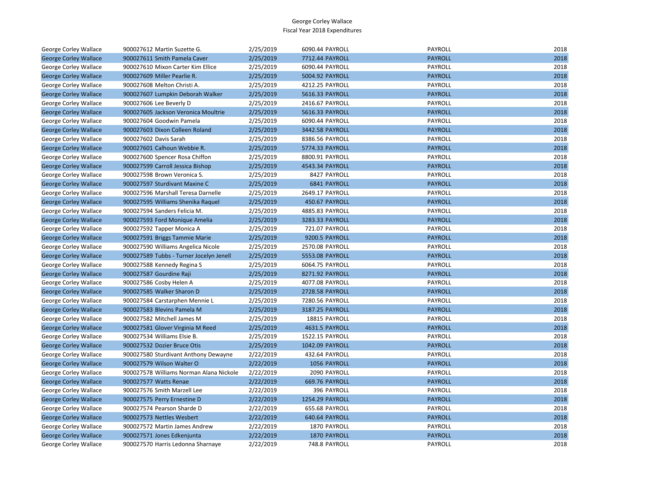| George Corley Wallace        | 900027612 Martin Suzette G.             | 2/25/2019 | 6090.44 PAYROLL | PAYROLL        | 2018 |
|------------------------------|-----------------------------------------|-----------|-----------------|----------------|------|
| <b>George Corley Wallace</b> | 900027611 Smith Pamela Caver            | 2/25/2019 | 7712.44 PAYROLL | <b>PAYROLL</b> | 2018 |
| <b>George Corley Wallace</b> | 900027610 Mixon Carter Kim Ellice       | 2/25/2019 | 6090.44 PAYROLL | PAYROLL        | 2018 |
| <b>George Corley Wallace</b> | 900027609 Miller Pearlie R.             | 2/25/2019 | 5004.92 PAYROLL | <b>PAYROLL</b> | 2018 |
| George Corley Wallace        | 900027608 Melton Christi A.             | 2/25/2019 | 4212.25 PAYROLL | PAYROLL        | 2018 |
| <b>George Corley Wallace</b> | 900027607 Lumpkin Deborah Walker        | 2/25/2019 | 5616.33 PAYROLL | <b>PAYROLL</b> | 2018 |
| George Corley Wallace        | 900027606 Lee Beverly D                 | 2/25/2019 | 2416.67 PAYROLL | PAYROLL        | 2018 |
| <b>George Corley Wallace</b> | 900027605 Jackson Veronica Moultrie     | 2/25/2019 | 5616.33 PAYROLL | <b>PAYROLL</b> | 2018 |
| George Corley Wallace        | 900027604 Goodwin Pamela                | 2/25/2019 | 6090.44 PAYROLL | PAYROLL        | 2018 |
| <b>George Corley Wallace</b> | 900027603 Dixon Colleen Roland          | 2/25/2019 | 3442.58 PAYROLL | <b>PAYROLL</b> | 2018 |
| George Corley Wallace        | 900027602 Davis Sarah                   | 2/25/2019 | 8386.56 PAYROLL | PAYROLL        | 2018 |
| <b>George Corley Wallace</b> | 900027601 Calhoun Webbie R.             | 2/25/2019 | 5774.33 PAYROLL | <b>PAYROLL</b> | 2018 |
| George Corley Wallace        | 900027600 Spencer Rosa Chiffon          | 2/25/2019 | 8800.91 PAYROLL | PAYROLL        | 2018 |
| <b>George Corley Wallace</b> | 900027599 Carroll Jessica Bishop        | 2/25/2019 | 4543.34 PAYROLL | <b>PAYROLL</b> | 2018 |
| George Corley Wallace        | 900027598 Brown Veronica S.             | 2/25/2019 | 8427 PAYROLL    | PAYROLL        | 2018 |
| <b>George Corley Wallace</b> | 900027597 Sturdivant Maxine C           | 2/25/2019 | 6841 PAYROLL    | <b>PAYROLL</b> | 2018 |
| George Corley Wallace        | 900027596 Marshall Teresa Darnelle      | 2/25/2019 | 2649.17 PAYROLL | PAYROLL        | 2018 |
| <b>George Corley Wallace</b> | 900027595 Williams Shenika Raguel       | 2/25/2019 | 450.67 PAYROLL  | <b>PAYROLL</b> | 2018 |
| George Corley Wallace        | 900027594 Sanders Felicia M.            | 2/25/2019 | 4885.83 PAYROLL | PAYROLL        | 2018 |
| <b>George Corley Wallace</b> | 900027593 Ford Monique Amelia           | 2/25/2019 | 3283.33 PAYROLL | <b>PAYROLL</b> | 2018 |
| George Corley Wallace        | 900027592 Tapper Monica A               | 2/25/2019 | 721.07 PAYROLL  | PAYROLL        | 2018 |
| <b>George Corley Wallace</b> | 900027591 Briggs Tammie Marie           | 2/25/2019 | 9200.5 PAYROLL  | <b>PAYROLL</b> | 2018 |
| George Corley Wallace        | 900027590 Williams Angelica Nicole      | 2/25/2019 | 2570.08 PAYROLL | PAYROLL        | 2018 |
| <b>George Corley Wallace</b> | 900027589 Tubbs - Turner Jocelyn Jenell | 2/25/2019 | 5553.08 PAYROLL | <b>PAYROLL</b> | 2018 |
| George Corley Wallace        | 900027588 Kennedy Regina S              | 2/25/2019 | 6064.75 PAYROLL | PAYROLL        | 2018 |
| <b>George Corley Wallace</b> | 900027587 Gourdine Raji                 | 2/25/2019 | 8271.92 PAYROLL | <b>PAYROLL</b> | 2018 |
| George Corley Wallace        | 900027586 Cosby Helen A                 | 2/25/2019 | 4077.08 PAYROLL | PAYROLL        | 2018 |
| <b>George Corley Wallace</b> | 900027585 Walker Sharon D               | 2/25/2019 | 2728.58 PAYROLL | <b>PAYROLL</b> | 2018 |
| George Corley Wallace        | 900027584 Carstarphen Mennie L          | 2/25/2019 | 7280.56 PAYROLL | PAYROLL        | 2018 |
| <b>George Corley Wallace</b> | 900027583 Blevins Pamela M              | 2/25/2019 | 3187.25 PAYROLL | <b>PAYROLL</b> | 2018 |
| George Corley Wallace        | 900027582 Mitchell James M              | 2/25/2019 | 18815 PAYROLL   | PAYROLL        | 2018 |
| <b>George Corley Wallace</b> | 900027581 Glover Virginia M Reed        | 2/25/2019 | 4631.5 PAYROLL  | <b>PAYROLL</b> | 2018 |
| George Corley Wallace        | 900027534 Williams Elsie B.             | 2/25/2019 | 1522.15 PAYROLL | PAYROLL        | 2018 |
| <b>George Corley Wallace</b> | 900027532 Dozier Bruce Otis             | 2/25/2019 | 1042.09 PAYROLL | <b>PAYROLL</b> | 2018 |
| George Corley Wallace        | 900027580 Sturdivant Anthony Dewayne    | 2/22/2019 | 432.64 PAYROLL  | PAYROLL        | 2018 |
| <b>George Corley Wallace</b> | 900027579 Wilson Walter O               | 2/22/2019 | 1056 PAYROLL    | <b>PAYROLL</b> | 2018 |
| George Corley Wallace        | 900027578 Williams Norman Alana Nickole | 2/22/2019 | 2090 PAYROLL    | PAYROLL        | 2018 |
| <b>George Corley Wallace</b> | 900027577 Watts Renae                   | 2/22/2019 | 669.76 PAYROLL  | <b>PAYROLL</b> | 2018 |
| George Corley Wallace        | 900027576 Smith Marzell Lee             | 2/22/2019 | 396 PAYROLL     | PAYROLL        | 2018 |
| <b>George Corley Wallace</b> | 900027575 Perry Ernestine D             | 2/22/2019 | 1254.29 PAYROLL | <b>PAYROLL</b> | 2018 |
| George Corley Wallace        | 900027574 Pearson Sharde D              | 2/22/2019 | 655.68 PAYROLL  | PAYROLL        | 2018 |
| <b>George Corley Wallace</b> | 900027573 Nettles Wesbert               | 2/22/2019 | 640.64 PAYROLL  | <b>PAYROLL</b> | 2018 |
| George Corley Wallace        | 900027572 Martin James Andrew           | 2/22/2019 | 1870 PAYROLL    | PAYROLL        | 2018 |
| <b>George Corley Wallace</b> | 900027571 Jones Edkenjunta              | 2/22/2019 | 1870 PAYROLL    | <b>PAYROLL</b> | 2018 |
| <b>George Corley Wallace</b> | 900027570 Harris Ledonna Sharnaye       | 2/22/2019 | 748.8 PAYROLL   | PAYROLL        | 2018 |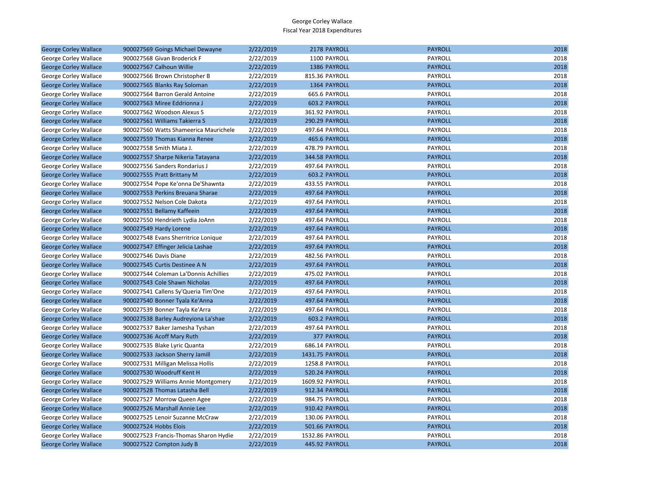| <b>George Corley Wallace</b> | 900027569 Goings Michael Dewayne      | 2/22/2019 | 2178 PAYROLL       | <b>PAYROLL</b> | 2018 |
|------------------------------|---------------------------------------|-----------|--------------------|----------------|------|
| George Corley Wallace        | 900027568 Givan Broderick F           | 2/22/2019 | 1100 PAYROLL       | PAYROLL        | 2018 |
| <b>George Corley Wallace</b> | 900027567 Calhoun Willie              | 2/22/2019 | 1386 PAYROLL       | <b>PAYROLL</b> | 2018 |
| George Corley Wallace        | 900027566 Brown Christopher B         | 2/22/2019 | 815.36 PAYROLL     | PAYROLL        | 2018 |
| <b>George Corley Wallace</b> | 900027565 Blanks Ray Soloman          | 2/22/2019 | 1364 PAYROLL       | <b>PAYROLL</b> | 2018 |
| George Corley Wallace        | 900027564 Barron Gerald Antoine       | 2/22/2019 | 665.6 PAYROLL      | PAYROLL        | 2018 |
| <b>George Corley Wallace</b> | 900027563 Miree Eddrionna J           | 2/22/2019 | 603.2 PAYROLL      | <b>PAYROLL</b> | 2018 |
| George Corley Wallace        | 900027562 Woodson Alexus S            | 2/22/2019 | 361.92 PAYROLL     | PAYROLL        | 2018 |
| <b>George Corley Wallace</b> | 900027561 Williams Takierra S         | 2/22/2019 | 290.29 PAYROLL     | <b>PAYROLL</b> | 2018 |
| George Corley Wallace        | 900027560 Watts Shameerica Maurichele | 2/22/2019 | 497.64 PAYROLL     | PAYROLL        | 2018 |
| <b>George Corley Wallace</b> | 900027559 Thomas Kianna Renee         | 2/22/2019 | 465.6 PAYROLL      | <b>PAYROLL</b> | 2018 |
| George Corley Wallace        | 900027558 Smith Miata J.              | 2/22/2019 | 478.79 PAYROLL     | PAYROLL        | 2018 |
| <b>George Corley Wallace</b> | 900027557 Sharpe Nikeria Tatayana     | 2/22/2019 | 344.58 PAYROLL     | <b>PAYROLL</b> | 2018 |
| George Corley Wallace        | 900027556 Sanders Rondarius J         | 2/22/2019 | 497.64 PAYROLL     | PAYROLL        | 2018 |
| <b>George Corley Wallace</b> | 900027555 Pratt Brittany M            | 2/22/2019 | 603.2 PAYROLL      | <b>PAYROLL</b> | 2018 |
| George Corley Wallace        | 900027554 Pope Ke'onna De'Shawnta     | 2/22/2019 | 433.55 PAYROLL     | PAYROLL        | 2018 |
| <b>George Corley Wallace</b> | 900027553 Perkins Breuana Sharae      | 2/22/2019 | 497.64 PAYROLL     | <b>PAYROLL</b> | 2018 |
| George Corley Wallace        | 900027552 Nelson Cole Dakota          | 2/22/2019 | 497.64 PAYROLL     | PAYROLL        | 2018 |
| <b>George Corley Wallace</b> | 900027551 Bellamy Kaffeein            | 2/22/2019 | 497.64 PAYROLL     | <b>PAYROLL</b> | 2018 |
| George Corley Wallace        | 900027550 Hendrieth Lydia JoAnn       | 2/22/2019 | 497.64 PAYROLL     | <b>PAYROLL</b> | 2018 |
| <b>George Corley Wallace</b> | 900027549 Hardy Lorene                | 2/22/2019 | 497.64 PAYROLL     | <b>PAYROLL</b> | 2018 |
| George Corley Wallace        | 900027548 Evans Sherritrice Lonique   | 2/22/2019 | 497.64 PAYROLL     | PAYROLL        | 2018 |
| <b>George Corley Wallace</b> | 900027547 Effinger Jelicia Lashae     | 2/22/2019 | 497.64 PAYROLL     | <b>PAYROLL</b> | 2018 |
| George Corley Wallace        | 900027546 Davis Diane                 | 2/22/2019 | 482.56 PAYROLL     | PAYROLL        | 2018 |
| <b>George Corley Wallace</b> | 900027545 Curtis Destinee A N         | 2/22/2019 | 497.64 PAYROLL     | <b>PAYROLL</b> | 2018 |
| George Corley Wallace        | 900027544 Coleman La'Donnis Achillies | 2/22/2019 | 475.02 PAYROLL     | PAYROLL        | 2018 |
| <b>George Corley Wallace</b> | 900027543 Cole Shawn Nicholas         | 2/22/2019 | 497.64 PAYROLL     | <b>PAYROLL</b> | 2018 |
| George Corley Wallace        | 900027541 Callens Sy'Queria Tim'One   | 2/22/2019 | 497.64 PAYROLL     | PAYROLL        | 2018 |
| <b>George Corley Wallace</b> | 900027540 Bonner Tyala Ke'Anna        | 2/22/2019 | 497.64 PAYROLL     | <b>PAYROLL</b> | 2018 |
| George Corley Wallace        | 900027539 Bonner Tayla Ke'Arra        | 2/22/2019 | 497.64 PAYROLL     | PAYROLL        | 2018 |
| <b>George Corley Wallace</b> | 900027538 Barley Audreyiona La'shae   | 2/22/2019 | 603.2 PAYROLL      | <b>PAYROLL</b> | 2018 |
| George Corley Wallace        | 900027537 Baker Jamesha Tyshan        | 2/22/2019 | 497.64 PAYROLL     | PAYROLL        | 2018 |
| <b>George Corley Wallace</b> | 900027536 Acoff Mary Ruth             | 2/22/2019 | <b>377 PAYROLL</b> | <b>PAYROLL</b> | 2018 |
| George Corley Wallace        | 900027535 Blake Lyric Quanta          | 2/22/2019 | 686.14 PAYROLL     | PAYROLL        | 2018 |
| <b>George Corley Wallace</b> | 900027533 Jackson Sherry Jamill       | 2/22/2019 | 1431.75 PAYROLL    | <b>PAYROLL</b> | 2018 |
| George Corley Wallace        | 900027531 Milligan Melissa Hollis     | 2/22/2019 | 1258.8 PAYROLL     | PAYROLL        | 2018 |
| <b>George Corley Wallace</b> | 900027530 Woodruff Kent H             | 2/22/2019 | 520.24 PAYROLL     | <b>PAYROLL</b> | 2018 |
| George Corley Wallace        | 900027529 Williams Annie Montgomery   | 2/22/2019 | 1609.92 PAYROLL    | PAYROLL        | 2018 |
| <b>George Corley Wallace</b> | 900027528 Thomas Latasha Bell         | 2/22/2019 | 912.34 PAYROLL     | <b>PAYROLL</b> | 2018 |
| George Corley Wallace        | 900027527 Morrow Queen Agee           | 2/22/2019 | 984.75 PAYROLL     | PAYROLL        | 2018 |
| <b>George Corley Wallace</b> | 900027526 Marshall Annie Lee          | 2/22/2019 | 910.42 PAYROLL     | <b>PAYROLL</b> | 2018 |
| George Corley Wallace        | 900027525 Lenoir Suzanne McCraw       | 2/22/2019 | 130.06 PAYROLL     | PAYROLL        | 2018 |
| <b>George Corley Wallace</b> | 900027524 Hobbs Elois                 | 2/22/2019 | 501.66 PAYROLL     | <b>PAYROLL</b> | 2018 |
| George Corley Wallace        | 900027523 Francis-Thomas Sharon Hydie | 2/22/2019 | 1532.86 PAYROLL    | PAYROLL        | 2018 |
| <b>George Corley Wallace</b> | 900027522 Compton Judy B              | 2/22/2019 | 445.92 PAYROLL     | <b>PAYROLL</b> | 2018 |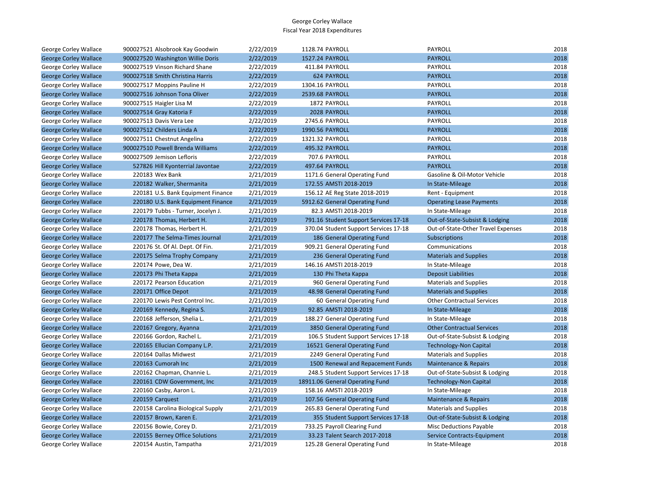| George Corley Wallace        | 900027521 Alsobrook Kay Goodwin    | 2/22/2019 | 1128.74 PAYROLL                       | <b>PAYROLL</b>                     | 2018 |
|------------------------------|------------------------------------|-----------|---------------------------------------|------------------------------------|------|
| <b>George Corley Wallace</b> | 900027520 Washington Willie Doris  | 2/22/2019 | 1527.24 PAYROLL                       | <b>PAYROLL</b>                     | 2018 |
| George Corley Wallace        | 900027519 Vinson Richard Shane     | 2/22/2019 | 411.84 PAYROLL                        | <b>PAYROLL</b>                     | 2018 |
| <b>George Corley Wallace</b> | 900027518 Smith Christina Harris   | 2/22/2019 | <b>624 PAYROLL</b>                    | <b>PAYROLL</b>                     | 2018 |
| George Corley Wallace        | 900027517 Moppins Pauline H        | 2/22/2019 | 1304.16 PAYROLL                       | PAYROLL                            | 2018 |
| <b>George Corley Wallace</b> | 900027516 Johnson Tona Oliver      | 2/22/2019 | 2539.68 PAYROLL                       | <b>PAYROLL</b>                     | 2018 |
| George Corley Wallace        | 900027515 Haigler Lisa M           | 2/22/2019 | 1872 PAYROLL                          | PAYROLL                            | 2018 |
| <b>George Corley Wallace</b> | 900027514 Gray Katoria F           | 2/22/2019 | 2028 PAYROLL                          | <b>PAYROLL</b>                     | 2018 |
| George Corley Wallace        | 900027513 Davis Vera Lee           | 2/22/2019 | 2745.6 PAYROLL                        | PAYROLL                            | 2018 |
| <b>George Corley Wallace</b> | 900027512 Childers Linda A         | 2/22/2019 | 1990.56 PAYROLL                       | <b>PAYROLL</b>                     | 2018 |
| George Corley Wallace        | 900027511 Chestnut Angelina        | 2/22/2019 | 1321.32 PAYROLL                       | PAYROLL                            | 2018 |
| <b>George Corley Wallace</b> | 900027510 Powell Brenda Williams   | 2/22/2019 | 495.32 PAYROLL                        | <b>PAYROLL</b>                     | 2018 |
| George Corley Wallace        | 900027509 Jemison Lefloris         | 2/22/2019 | 707.6 PAYROLL                         | PAYROLL                            | 2018 |
| <b>George Corley Wallace</b> | 527826 Hill Kyonterrial Javontae   | 2/22/2019 | 497.64 PAYROLL                        | <b>PAYROLL</b>                     | 2018 |
| George Corley Wallace        | 220183 Wex Bank                    | 2/21/2019 | 1171.6 General Operating Fund         | Gasoline & Oil-Motor Vehicle       | 2018 |
| <b>George Corley Wallace</b> | 220182 Walker, Shermanita          | 2/21/2019 | 172.55 AMSTI 2018-2019                | In State-Mileage                   | 2018 |
| George Corley Wallace        | 220181 U.S. Bank Equipment Finance | 2/21/2019 | 156.12 AE Reg State 2018-2019         | Rent - Equipment                   | 2018 |
| <b>George Corley Wallace</b> | 220180 U.S. Bank Equipment Finance | 2/21/2019 | 5912.62 General Operating Fund        | <b>Operating Lease Payments</b>    | 2018 |
| George Corley Wallace        | 220179 Tubbs - Turner, Jocelyn J.  | 2/21/2019 | 82.3 AMSTI 2018-2019                  | In State-Mileage                   | 2018 |
| <b>George Corley Wallace</b> | 220178 Thomas, Herbert H.          | 2/21/2019 | 791.16 Student Support Services 17-18 | Out-of-State-Subsist & Lodging     | 2018 |
| George Corley Wallace        | 220178 Thomas, Herbert H.          | 2/21/2019 | 370.04 Student Support Services 17-18 | Out-of-State-Other Travel Expenses | 2018 |
| <b>George Corley Wallace</b> | 220177 The Selma-Times Journal     | 2/21/2019 | 186 General Operating Fund            | <b>Subscriptions</b>               | 2018 |
| George Corley Wallace        | 220176 St. Of Al. Dept. Of Fin.    | 2/21/2019 | 909.21 General Operating Fund         | Communications                     | 2018 |
| <b>George Corley Wallace</b> | 220175 Selma Trophy Company        | 2/21/2019 | 236 General Operating Fund            | <b>Materials and Supplies</b>      | 2018 |
| George Corley Wallace        | 220174 Powe, Dea W.                | 2/21/2019 | 146.16 AMSTI 2018-2019                | In State-Mileage                   | 2018 |
| <b>George Corley Wallace</b> | 220173 Phi Theta Kappa             | 2/21/2019 | 130 Phi Theta Kappa                   | <b>Deposit Liabilities</b>         | 2018 |
| George Corley Wallace        | 220172 Pearson Education           | 2/21/2019 | 960 General Operating Fund            | <b>Materials and Supplies</b>      | 2018 |
| <b>George Corley Wallace</b> | 220171 Office Depot                | 2/21/2019 | 48.98 General Operating Fund          | <b>Materials and Supplies</b>      | 2018 |
| George Corley Wallace        | 220170 Lewis Pest Control Inc.     | 2/21/2019 | 60 General Operating Fund             | <b>Other Contractual Services</b>  | 2018 |
| <b>George Corley Wallace</b> | 220169 Kennedy, Regina S.          | 2/21/2019 | 92.85 AMSTI 2018-2019                 | In State-Mileage                   | 2018 |
| George Corley Wallace        | 220168 Jefferson, Shelia L.        | 2/21/2019 | 188.27 General Operating Fund         | In State-Mileage                   | 2018 |
| <b>George Corley Wallace</b> | 220167 Gregory, Ayanna             | 2/21/2019 | 3850 General Operating Fund           | <b>Other Contractual Services</b>  | 2018 |
| George Corley Wallace        | 220166 Gordon, Rachel L.           | 2/21/2019 | 106.5 Student Support Services 17-18  | Out-of-State-Subsist & Lodging     | 2018 |
| <b>George Corley Wallace</b> | 220165 Ellucian Company L.P.       | 2/21/2019 | 16521 General Operating Fund          | <b>Technology-Non Capital</b>      | 2018 |
| George Corley Wallace        | 220164 Dallas Midwest              | 2/21/2019 | 2249 General Operating Fund           | <b>Materials and Supplies</b>      | 2018 |
| <b>George Corley Wallace</b> | 220163 Cumorah Inc                 | 2/21/2019 | 1500 Renewal and Repacement Funds     | Maintenance & Repairs              | 2018 |
| George Corley Wallace        | 220162 Chapman, Channie L.         | 2/21/2019 | 248.5 Student Support Services 17-18  | Out-of-State-Subsist & Lodging     | 2018 |
| <b>George Corley Wallace</b> | 220161 CDW Government, Inc         | 2/21/2019 | 18911.06 General Operating Fund       | <b>Technology-Non Capital</b>      | 2018 |
| George Corley Wallace        | 220160 Casby, Aaron L.             | 2/21/2019 | 158.16 AMSTI 2018-2019                | In State-Mileage                   | 2018 |
| <b>George Corley Wallace</b> | 220159 Carquest                    | 2/21/2019 | 107.56 General Operating Fund         | Maintenance & Repairs              | 2018 |
| George Corley Wallace        | 220158 Carolina Biological Supply  | 2/21/2019 | 265.83 General Operating Fund         | <b>Materials and Supplies</b>      | 2018 |
| <b>George Corley Wallace</b> | 220157 Brown, Karen E.             | 2/21/2019 | 355 Student Support Services 17-18    | Out-of-State-Subsist & Lodging     | 2018 |
| George Corley Wallace        | 220156 Bowie, Corey D.             | 2/21/2019 | 733.25 Payroll Clearing Fund          | Misc Deductions Payable            | 2018 |
| <b>George Corley Wallace</b> | 220155 Berney Office Solutions     | 2/21/2019 | 33.23 Talent Search 2017-2018         | Service Contracts-Equipment        | 2018 |
| George Corley Wallace        | 220154 Austin, Tampatha            | 2/21/2019 | 125.28 General Operating Fund         | In State-Mileage                   | 2018 |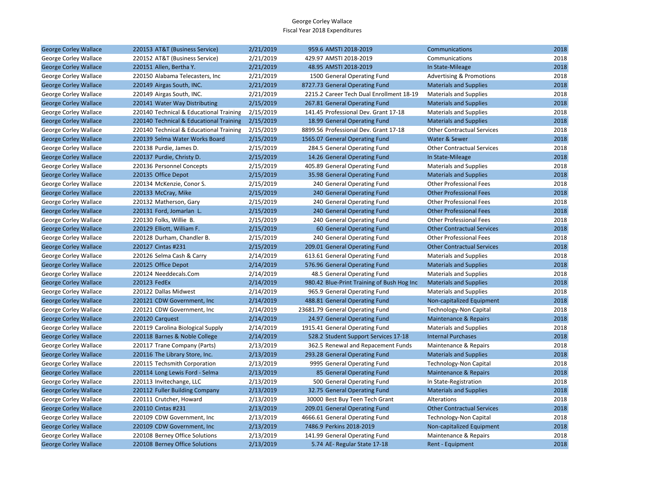| <b>George Corley Wallace</b> | 220153 AT&T (Business Service)          | 2/21/2019 | 959.6 AMSTI 2018-2019                      | Communications                      | 2018 |
|------------------------------|-----------------------------------------|-----------|--------------------------------------------|-------------------------------------|------|
| George Corley Wallace        | 220152 AT&T (Business Service)          | 2/21/2019 | 429.97 AMSTI 2018-2019                     | Communications                      | 2018 |
| <b>George Corley Wallace</b> | 220151 Allen, Bertha Y.                 | 2/21/2019 | 48.95 AMSTI 2018-2019                      | In State-Mileage                    | 2018 |
| George Corley Wallace        | 220150 Alabama Telecasters, Inc.        | 2/21/2019 | 1500 General Operating Fund                | <b>Advertising &amp; Promotions</b> | 2018 |
| <b>George Corley Wallace</b> | 220149 Airgas South, INC.               | 2/21/2019 | 8727.73 General Operating Fund             | <b>Materials and Supplies</b>       | 2018 |
| George Corley Wallace        | 220149 Airgas South, INC.               | 2/21/2019 | 2215.2 Career Tech Dual Enrollment 18-19   | <b>Materials and Supplies</b>       | 2018 |
| <b>George Corley Wallace</b> | 220141 Water Way Distributing           | 2/15/2019 | 267.81 General Operating Fund              | <b>Materials and Supplies</b>       | 2018 |
| George Corley Wallace        | 220140 Technical & Educational Training | 2/15/2019 | 141.45 Professional Dev. Grant 17-18       | <b>Materials and Supplies</b>       | 2018 |
| <b>George Corley Wallace</b> | 220140 Technical & Educational Training | 2/15/2019 | 18.99 General Operating Fund               | <b>Materials and Supplies</b>       | 2018 |
| George Corley Wallace        | 220140 Technical & Educational Training | 2/15/2019 | 8899.56 Professional Dev. Grant 17-18      | <b>Other Contractual Services</b>   | 2018 |
| <b>George Corley Wallace</b> | 220139 Selma Water Works Board          | 2/15/2019 | 1565.07 General Operating Fund             | Water & Sewer                       | 2018 |
| George Corley Wallace        | 220138 Purdie, James D.                 | 2/15/2019 | 284.5 General Operating Fund               | <b>Other Contractual Services</b>   | 2018 |
| <b>George Corley Wallace</b> | 220137 Purdie, Christy D.               | 2/15/2019 | 14.26 General Operating Fund               | In State-Mileage                    | 2018 |
| George Corley Wallace        | 220136 Personnel Concepts               | 2/15/2019 | 405.89 General Operating Fund              | <b>Materials and Supplies</b>       | 2018 |
| <b>George Corley Wallace</b> | 220135 Office Depot                     | 2/15/2019 | 35.98 General Operating Fund               | <b>Materials and Supplies</b>       | 2018 |
| George Corley Wallace        | 220134 McKenzie, Conor S.               | 2/15/2019 | 240 General Operating Fund                 | <b>Other Professional Fees</b>      | 2018 |
| <b>George Corley Wallace</b> | 220133 McCray, Mike                     | 2/15/2019 | 240 General Operating Fund                 | <b>Other Professional Fees</b>      | 2018 |
| George Corley Wallace        | 220132 Matherson, Gary                  | 2/15/2019 | 240 General Operating Fund                 | <b>Other Professional Fees</b>      | 2018 |
| <b>George Corley Wallace</b> | 220131 Ford, Jomarlan L.                | 2/15/2019 | 240 General Operating Fund                 | <b>Other Professional Fees</b>      | 2018 |
| George Corley Wallace        | 220130 Folks, Willie B.                 | 2/15/2019 | 240 General Operating Fund                 | <b>Other Professional Fees</b>      | 2018 |
| <b>George Corley Wallace</b> | 220129 Elliott, William F.              | 2/15/2019 | 60 General Operating Fund                  | <b>Other Contractual Services</b>   | 2018 |
| George Corley Wallace        | 220128 Durham, Chandler B.              | 2/15/2019 | 240 General Operating Fund                 | <b>Other Professional Fees</b>      | 2018 |
| <b>George Corley Wallace</b> | 220127 Cintas #231                      | 2/15/2019 | 209.01 General Operating Fund              | <b>Other Contractual Services</b>   | 2018 |
| George Corley Wallace        | 220126 Selma Cash & Carry               | 2/14/2019 | 613.61 General Operating Fund              | <b>Materials and Supplies</b>       | 2018 |
| <b>George Corley Wallace</b> | 220125 Office Depot                     | 2/14/2019 | 576.96 General Operating Fund              | <b>Materials and Supplies</b>       | 2018 |
| George Corley Wallace        | 220124 Needdecals.Com                   | 2/14/2019 | 48.5 General Operating Fund                | <b>Materials and Supplies</b>       | 2018 |
| <b>George Corley Wallace</b> | 220123 FedEx                            | 2/14/2019 | 980.42 Blue-Print Training of Bush Hog Inc | <b>Materials and Supplies</b>       | 2018 |
| George Corley Wallace        | 220122 Dallas Midwest                   | 2/14/2019 | 965.9 General Operating Fund               | <b>Materials and Supplies</b>       | 2018 |
| <b>George Corley Wallace</b> | 220121 CDW Government, Inc.             | 2/14/2019 | 488.81 General Operating Fund              | Non-capitalized Equipment           | 2018 |
| George Corley Wallace        | 220121 CDW Government, Inc              | 2/14/2019 | 23681.79 General Operating Fund            | Technology-Non Capital              | 2018 |
| <b>George Corley Wallace</b> | 220120 Carquest                         | 2/14/2019 | 24.97 General Operating Fund               | Maintenance & Repairs               | 2018 |
| George Corley Wallace        | 220119 Carolina Biological Supply       | 2/14/2019 | 1915.41 General Operating Fund             | <b>Materials and Supplies</b>       | 2018 |
| <b>George Corley Wallace</b> | 220118 Barnes & Noble College           | 2/14/2019 | 528.2 Student Support Services 17-18       | <b>Internal Purchases</b>           | 2018 |
| George Corley Wallace        | 220117 Trane Company (Parts)            | 2/13/2019 | 362.5 Renewal and Repacement Funds         | Maintenance & Repairs               | 2018 |
| <b>George Corley Wallace</b> | 220116 The Library Store, Inc.          | 2/13/2019 | 293.28 General Operating Fund              | <b>Materials and Supplies</b>       | 2018 |
| George Corley Wallace        | 220115 Techsmith Corporation            | 2/13/2019 | 9995 General Operating Fund                | Technology-Non Capital              | 2018 |
| <b>George Corley Wallace</b> | 220114 Long Lewis Ford - Selma          | 2/13/2019 | 85 General Operating Fund                  | Maintenance & Repairs               | 2018 |
| George Corley Wallace        | 220113 Invitechange, LLC                | 2/13/2019 | 500 General Operating Fund                 | In State-Registration               | 2018 |
| <b>George Corley Wallace</b> | 220112 Fuller Building Company          | 2/13/2019 | 32.75 General Operating Fund               | <b>Materials and Supplies</b>       | 2018 |
| George Corley Wallace        | 220111 Crutcher, Howard                 | 2/13/2019 | 30000 Best Buy Teen Tech Grant             | Alterations                         | 2018 |
| <b>George Corley Wallace</b> | 220110 Cintas #231                      | 2/13/2019 | 209.01 General Operating Fund              | <b>Other Contractual Services</b>   | 2018 |
| George Corley Wallace        | 220109 CDW Government, Inc.             | 2/13/2019 | 4666.61 General Operating Fund             | Technology-Non Capital              | 2018 |
| <b>George Corley Wallace</b> | 220109 CDW Government, Inc.             | 2/13/2019 | 7486.9 Perkins 2018-2019                   | Non-capitalized Equipment           | 2018 |
| George Corley Wallace        | 220108 Berney Office Solutions          | 2/13/2019 | 141.99 General Operating Fund              | Maintenance & Repairs               | 2018 |
| <b>George Corley Wallace</b> | 220108 Berney Office Solutions          | 2/13/2019 | 5.74 AE- Regular State 17-18               | Rent - Equipment                    | 2018 |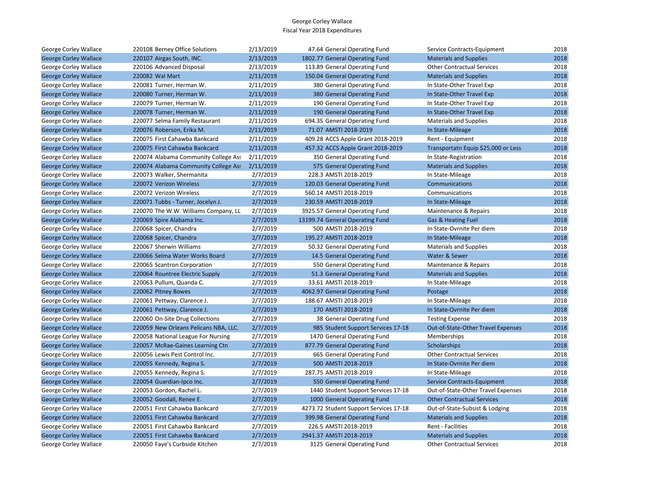| George Corley Wallace        | 220108 Berney Office Solutions        | 2/13/2019 | 47.64 General Operating Fund           | Service Contracts-Equipment         | 2018 |
|------------------------------|---------------------------------------|-----------|----------------------------------------|-------------------------------------|------|
| <b>George Corley Wallace</b> | 220107 Airgas South, INC.             | 2/13/2019 | 1802.77 General Operating Fund         | <b>Materials and Supplies</b>       | 2018 |
| George Corley Wallace        | 220106 Advanced Disposal              | 2/13/2019 | 113.89 General Operating Fund          | <b>Other Contractual Services</b>   | 2018 |
| <b>George Corley Wallace</b> | 220082 Wal Mart                       | 2/11/2019 | 150.04 General Operating Fund          | <b>Materials and Supplies</b>       | 2018 |
| George Corley Wallace        | 220081 Turner, Herman W.              | 2/11/2019 | 380 General Operating Fund             | In State-Other Travel Exp           | 2018 |
| <b>George Corley Wallace</b> | 220080 Turner, Herman W.              | 2/11/2019 | 380 General Operating Fund             | In State-Other Travel Exp           | 2018 |
| George Corley Wallace        | 220079 Turner, Herman W.              | 2/11/2019 | 190 General Operating Fund             | In State-Other Travel Exp           | 2018 |
| <b>George Corley Wallace</b> | 220078 Turner, Herman W.              | 2/11/2019 | 190 General Operating Fund             | In State-Other Travel Exp           | 2018 |
| George Corley Wallace        | 220077 Selma Family Restaurant        | 2/11/2019 | 694.35 General Operating Fund          | <b>Materials and Supplies</b>       | 2018 |
| <b>George Corley Wallace</b> | 220076 Roberson, Erika M.             | 2/11/2019 | 71.07 AMSTI 2018-2019                  | In State-Mileage                    | 2018 |
| George Corley Wallace        | 220075 First Cahawba Bankcard         | 2/11/2019 | 409.28 ACCS Apple Grant 2018-2019      | Rent - Equipment                    | 2018 |
| <b>George Corley Wallace</b> | 220075 First Cahawba Bankcard         | 2/11/2019 | 457.32 ACCS Apple Grant 2018-2019      | Transportatn Equip \$25,000 or Less | 2018 |
| George Corley Wallace        | 220074 Alabama Community College Ass  | 2/11/2019 | 350 General Operating Fund             | In State-Registration               | 2018 |
| <b>George Corley Wallace</b> | 220074 Alabama Community College Ass  | 2/11/2019 | 575 General Operating Fund             | <b>Materials and Supplies</b>       | 2018 |
| George Corley Wallace        | 220073 Walker, Shermanita             | 2/7/2019  | 228.3 AMSTI 2018-2019                  | In State-Mileage                    | 2018 |
| <b>George Corley Wallace</b> | 220072 Verizon Wireless               | 2/7/2019  | 120.03 General Operating Fund          | Communications                      | 2018 |
| George Corley Wallace        | 220072 Verizon Wireless               | 2/7/2019  | 560.14 AMSTI 2018-2019                 | Communications                      | 2018 |
| <b>George Corley Wallace</b> | 220071 Tubbs - Turner, Jocelyn J.     | 2/7/2019  | 230.59 AMSTI 2018-2019                 | In State-Mileage                    | 2018 |
| George Corley Wallace        | 220070 The W.W. Williams Company, LL  | 2/7/2019  | 3925.57 General Operating Fund         | Maintenance & Repairs               | 2018 |
| <b>George Corley Wallace</b> | 220069 Spire Alabama Inc.             | 2/7/2019  | 13199.74 General Operating Fund        | Gas & Heating Fuel                  | 2018 |
| George Corley Wallace        | 220068 Spicer, Chandra                | 2/7/2019  | 500 AMSTI 2018-2019                    | In State-Ovrnite Per diem           | 2018 |
| <b>George Corley Wallace</b> | 220068 Spicer, Chandra                | 2/7/2019  | 195.27 AMSTI 2018-2019                 | In State-Mileage                    | 2018 |
| George Corley Wallace        | 220067 Sherwin Williams               | 2/7/2019  | 50.32 General Operating Fund           | <b>Materials and Supplies</b>       | 2018 |
| <b>George Corley Wallace</b> | 220066 Selma Water Works Board        | 2/7/2019  | 14.5 General Operating Fund            | Water & Sewer                       | 2018 |
| George Corley Wallace        | 220065 Scantron Corporation           | 2/7/2019  | 550 General Operating Fund             | Maintenance & Repairs               | 2018 |
| <b>George Corley Wallace</b> | 220064 Rountree Electric Supply       | 2/7/2019  | 51.3 General Operating Fund            | <b>Materials and Supplies</b>       | 2018 |
| George Corley Wallace        | 220063 Pullum, Quanda C.              | 2/7/2019  | 33.61 AMSTI 2018-2019                  | In State-Mileage                    | 2018 |
| <b>George Corley Wallace</b> | 220062 Pitney Bowes                   | 2/7/2019  | 4062.97 General Operating Fund         | Postage                             | 2018 |
| George Corley Wallace        | 220061 Pettway, Clarence J.           | 2/7/2019  | 188.67 AMSTI 2018-2019                 | In State-Mileage                    | 2018 |
| <b>George Corley Wallace</b> | 220061 Pettway, Clarence J.           | 2/7/2019  | 170 AMSTI 2018-2019                    | In State-Ovrnite Per diem           | 2018 |
| George Corley Wallace        | 220060 On-Site Drug Collections       | 2/7/2019  | 38 General Operating Fund              | <b>Testing Expense</b>              | 2018 |
| <b>George Corley Wallace</b> | 220059 New Orleans Pelicans NBA, LLC. | 2/7/2019  | 985 Student Support Services 17-18     | Out-of-State-Other Travel Expenses  | 2018 |
| George Corley Wallace        | 220058 National League For Nursing    | 2/7/2019  | 1470 General Operating Fund            | Memberships                         | 2018 |
| <b>George Corley Wallace</b> | 220057 McRae-Gaines Learning Ctn      | 2/7/2019  | 877.79 General Operating Fund          | Scholarships                        | 2018 |
| George Corley Wallace        | 220056 Lewis Pest Control Inc.        | 2/7/2019  | 665 General Operating Fund             | <b>Other Contractual Services</b>   | 2018 |
| <b>George Corley Wallace</b> | 220055 Kennedy, Regina S.             | 2/7/2019  | 500 AMSTI 2018-2019                    | In State-Ovrnite Per diem           | 2018 |
| George Corley Wallace        | 220055 Kennedy, Regina S.             | 2/7/2019  | 287.75 AMSTI 2018-2019                 | In State-Mileage                    | 2018 |
| <b>George Corley Wallace</b> | 220054 Guardian-Ipco Inc.             | 2/7/2019  | 550 General Operating Fund             | Service Contracts-Equipment         | 2018 |
| George Corley Wallace        | 220053 Gordon, Rachel L.              | 2/7/2019  | 1440 Student Support Services 17-18    | Out-of-State-Other Travel Expenses  | 2018 |
| <b>George Corley Wallace</b> | 220052 Goodall, Renee E.              | 2/7/2019  | 1000 General Operating Fund            | <b>Other Contractual Services</b>   | 2018 |
| George Corley Wallace        | 220051 First Cahawba Bankcard         | 2/7/2019  | 4273.72 Student Support Services 17-18 | Out-of-State-Subsist & Lodging      | 2018 |
| <b>George Corley Wallace</b> | 220051 First Cahawba Bankcard         | 2/7/2019  | 399.98 General Operating Fund          | <b>Materials and Supplies</b>       | 2018 |
| George Corley Wallace        | 220051 First Cahawba Bankcard         | 2/7/2019  | 226.5 AMSTI 2018-2019                  | Rent - Facilities                   | 2018 |
| <b>George Corley Wallace</b> | 220051 First Cahawba Bankcard         | 2/7/2019  | 2941.37 AMSTI 2018-2019                | <b>Materials and Supplies</b>       | 2018 |
| George Corley Wallace        | 220050 Faye's Curbside Kitchen        | 2/7/2019  | 3125 General Operating Fund            | <b>Other Contractual Services</b>   | 2018 |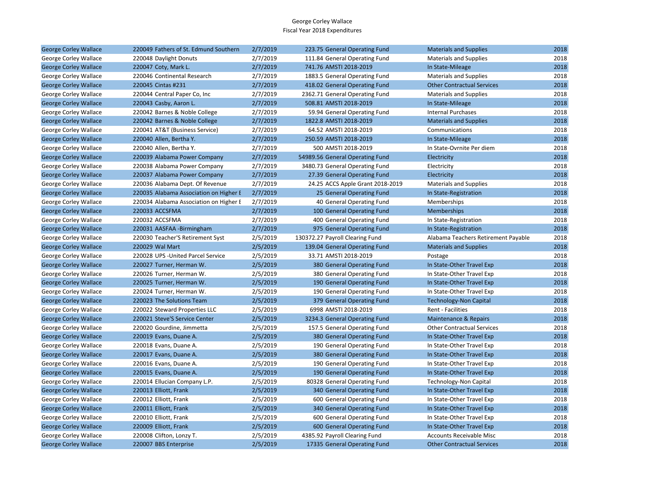| <b>George Corley Wallace</b> | 220049 Fathers of St. Edmund Southern  | 2/7/2019 | 223.75 General Operating Fund    | <b>Materials and Supplies</b>       | 2018 |
|------------------------------|----------------------------------------|----------|----------------------------------|-------------------------------------|------|
| George Corley Wallace        | 220048 Daylight Donuts                 | 2/7/2019 | 111.84 General Operating Fund    | <b>Materials and Supplies</b>       | 2018 |
| <b>George Corley Wallace</b> | 220047 Coty, Mark L.                   | 2/7/2019 | 741.76 AMSTI 2018-2019           | In State-Mileage                    | 2018 |
| George Corley Wallace        | 220046 Continental Research            | 2/7/2019 | 1883.5 General Operating Fund    | <b>Materials and Supplies</b>       | 2018 |
| <b>George Corley Wallace</b> | 220045 Cintas #231                     | 2/7/2019 | 418.02 General Operating Fund    | <b>Other Contractual Services</b>   | 2018 |
| George Corley Wallace        | 220044 Central Paper Co, Inc           | 2/7/2019 | 2362.71 General Operating Fund   | <b>Materials and Supplies</b>       | 2018 |
| <b>George Corley Wallace</b> | 220043 Casby, Aaron L.                 | 2/7/2019 | 508.81 AMSTI 2018-2019           | In State-Mileage                    | 2018 |
| George Corley Wallace        | 220042 Barnes & Noble College          | 2/7/2019 | 59.94 General Operating Fund     | <b>Internal Purchases</b>           | 2018 |
| <b>George Corley Wallace</b> | 220042 Barnes & Noble College          | 2/7/2019 | 1822.8 AMSTI 2018-2019           | <b>Materials and Supplies</b>       | 2018 |
| George Corley Wallace        | 220041 AT&T (Business Service)         | 2/7/2019 | 64.52 AMSTI 2018-2019            | Communications                      | 2018 |
| <b>George Corley Wallace</b> | 220040 Allen, Bertha Y.                | 2/7/2019 | 250.59 AMSTI 2018-2019           | In State-Mileage                    | 2018 |
| George Corley Wallace        | 220040 Allen, Bertha Y.                | 2/7/2019 | 500 AMSTI 2018-2019              | In State-Ovrnite Per diem           | 2018 |
| <b>George Corley Wallace</b> | 220039 Alabama Power Company           | 2/7/2019 | 54989.56 General Operating Fund  | Electricity                         | 2018 |
| George Corley Wallace        | 220038 Alabama Power Company           | 2/7/2019 | 3480.73 General Operating Fund   | Electricity                         | 2018 |
| <b>George Corley Wallace</b> | 220037 Alabama Power Company           | 2/7/2019 | 27.39 General Operating Fund     | Electricity                         | 2018 |
| George Corley Wallace        | 220036 Alabama Dept. Of Revenue        | 2/7/2019 | 24.25 ACCS Apple Grant 2018-2019 | <b>Materials and Supplies</b>       | 2018 |
| <b>George Corley Wallace</b> | 220035 Alabama Association on Higher E | 2/7/2019 | 25 General Operating Fund        | In State-Registration               | 2018 |
| George Corley Wallace        | 220034 Alabama Association on Higher E | 2/7/2019 | 40 General Operating Fund        | Memberships                         | 2018 |
| <b>George Corley Wallace</b> | 220033 ACCSFMA                         | 2/7/2019 | 100 General Operating Fund       | <b>Memberships</b>                  | 2018 |
| George Corley Wallace        | 220032 ACCSFMA                         | 2/7/2019 | 400 General Operating Fund       | In State-Registration               | 2018 |
| <b>George Corley Wallace</b> | 220031 AASFAA -Birmingham              | 2/7/2019 | 975 General Operating Fund       | In State-Registration               | 2018 |
| George Corley Wallace        | 220030 Teacher'S Retirement Syst       | 2/5/2019 | 130372.27 Payroll Clearing Fund  | Alabama Teachers Retirement Payable | 2018 |
| <b>George Corley Wallace</b> | 220029 Wal Mart                        | 2/5/2019 | 139.04 General Operating Fund    | <b>Materials and Supplies</b>       | 2018 |
| George Corley Wallace        | 220028 UPS - United Parcel Service     | 2/5/2019 | 33.71 AMSTI 2018-2019            | Postage                             | 2018 |
| <b>George Corley Wallace</b> | 220027 Turner, Herman W.               | 2/5/2019 | 380 General Operating Fund       | In State-Other Travel Exp           | 2018 |
| George Corley Wallace        | 220026 Turner, Herman W.               | 2/5/2019 | 380 General Operating Fund       | In State-Other Travel Exp           | 2018 |
| <b>George Corley Wallace</b> | 220025 Turner, Herman W.               | 2/5/2019 | 190 General Operating Fund       | In State-Other Travel Exp           | 2018 |
| George Corley Wallace        | 220024 Turner, Herman W.               | 2/5/2019 | 190 General Operating Fund       | In State-Other Travel Exp           | 2018 |
| <b>George Corley Wallace</b> | 220023 The Solutions Team              | 2/5/2019 | 379 General Operating Fund       | <b>Technology-Non Capital</b>       | 2018 |
| George Corley Wallace        | 220022 Steward Properties LLC          | 2/5/2019 | 6998 AMSTI 2018-2019             | Rent - Facilities                   | 2018 |
| <b>George Corley Wallace</b> | 220021 Steve'S Service Center          | 2/5/2019 | 3234.3 General Operating Fund    | Maintenance & Repairs               | 2018 |
| George Corley Wallace        | 220020 Gourdine, Jimmetta              | 2/5/2019 | 157.5 General Operating Fund     | <b>Other Contractual Services</b>   | 2018 |
| <b>George Corley Wallace</b> | 220019 Evans, Duane A.                 | 2/5/2019 | 380 General Operating Fund       | In State-Other Travel Exp           | 2018 |
| George Corley Wallace        | 220018 Evans, Duane A.                 | 2/5/2019 | 190 General Operating Fund       | In State-Other Travel Exp           | 2018 |
| <b>George Corley Wallace</b> | 220017 Evans, Duane A.                 | 2/5/2019 | 380 General Operating Fund       | In State-Other Travel Exp           | 2018 |
| George Corley Wallace        | 220016 Evans, Duane A.                 | 2/5/2019 | 190 General Operating Fund       | In State-Other Travel Exp           | 2018 |
| <b>George Corley Wallace</b> | 220015 Evans, Duane A.                 | 2/5/2019 | 190 General Operating Fund       | In State-Other Travel Exp           | 2018 |
| George Corley Wallace        | 220014 Ellucian Company L.P.           | 2/5/2019 | 80328 General Operating Fund     | Technology-Non Capital              | 2018 |
| <b>George Corley Wallace</b> | 220013 Elliott, Frank                  | 2/5/2019 | 340 General Operating Fund       | In State-Other Travel Exp           | 2018 |
| George Corley Wallace        | 220012 Elliott, Frank                  | 2/5/2019 | 600 General Operating Fund       | In State-Other Travel Exp           | 2018 |
| <b>George Corley Wallace</b> | 220011 Elliott, Frank                  | 2/5/2019 | 340 General Operating Fund       | In State-Other Travel Exp           | 2018 |
| George Corley Wallace        | 220010 Elliott, Frank                  | 2/5/2019 | 600 General Operating Fund       | In State-Other Travel Exp           | 2018 |
| <b>George Corley Wallace</b> | 220009 Elliott, Frank                  | 2/5/2019 | 600 General Operating Fund       | In State-Other Travel Exp           | 2018 |
| George Corley Wallace        | 220008 Clifton, Lonzy T.               | 2/5/2019 | 4385.92 Payroll Clearing Fund    | <b>Accounts Receivable Misc</b>     | 2018 |
| <b>George Corley Wallace</b> | 220007 BBS Enterprise                  | 2/5/2019 | 17335 General Operating Fund     | <b>Other Contractual Services</b>   | 2018 |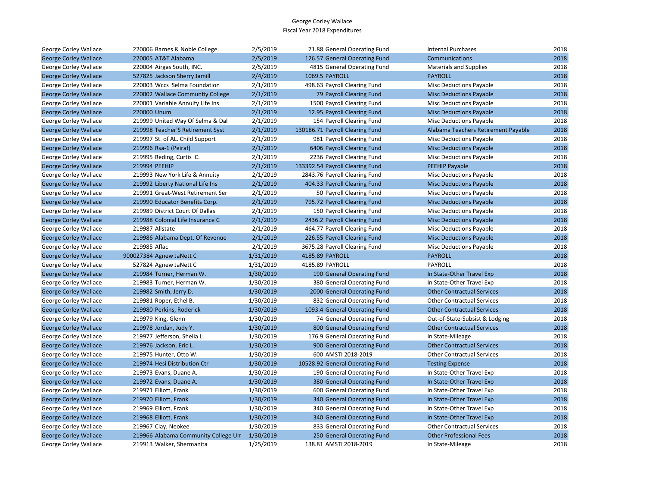| George Corley Wallace        | 220006 Barnes & Noble College       | 2/5/2019  | 71.88 General Operating Fund    | <b>Internal Purchases</b>           | 2018 |
|------------------------------|-------------------------------------|-----------|---------------------------------|-------------------------------------|------|
| <b>George Corley Wallace</b> | 220005 AT&T Alabama                 | 2/5/2019  | 126.57 General Operating Fund   | Communications                      | 2018 |
| George Corley Wallace        | 220004 Airgas South, INC.           | 2/5/2019  | 4815 General Operating Fund     | <b>Materials and Supplies</b>       | 2018 |
| <b>George Corley Wallace</b> | 527825 Jackson Sherry Jamill        | 2/4/2019  | 1069.5 PAYROLL                  | <b>PAYROLL</b>                      | 2018 |
| George Corley Wallace        | 220003 Wccs Selma Foundation        | 2/1/2019  | 498.63 Payroll Clearing Fund    | Misc Deductions Payable             | 2018 |
| <b>George Corley Wallace</b> | 220002 Wallace Communtiy College    | 2/1/2019  | 79 Payroll Clearing Fund        | <b>Misc Deductions Payable</b>      | 2018 |
| George Corley Wallace        | 220001 Variable Annuity Life Ins    | 2/1/2019  | 1500 Payroll Clearing Fund      | <b>Misc Deductions Payable</b>      | 2018 |
| <b>George Corley Wallace</b> | 220000 Unum                         | 2/1/2019  | 12.95 Payroll Clearing Fund     | <b>Misc Deductions Payable</b>      | 2018 |
| George Corley Wallace        | 219999 United Way Of Selma & Dal    | 2/1/2019  | 154 Payroll Clearing Fund       | Misc Deductions Payable             | 2018 |
| <b>George Corley Wallace</b> | 219998 Teacher'S Retirement Syst    | 2/1/2019  | 130186.71 Payroll Clearing Fund | Alabama Teachers Retirement Payable | 2018 |
| George Corley Wallace        | 219997 St. of AL. Child Support     | 2/1/2019  | 981 Payroll Clearing Fund       | Misc Deductions Payable             | 2018 |
| <b>George Corley Wallace</b> | 219996 Rsa-1 (Peiraf)               | 2/1/2019  | 6406 Payroll Clearing Fund      | <b>Misc Deductions Payable</b>      | 2018 |
| George Corley Wallace        | 219995 Reding, Curtis C.            | 2/1/2019  | 2236 Payroll Clearing Fund      | <b>Misc Deductions Payable</b>      | 2018 |
| <b>George Corley Wallace</b> | 219994 PEEHIP                       | 2/1/2019  | 133392.54 Payroll Clearing Fund | PEEHIP Payable                      | 2018 |
| George Corley Wallace        | 219993 New York Life & Annuity      | 2/1/2019  | 2843.76 Payroll Clearing Fund   | Misc Deductions Payable             | 2018 |
| <b>George Corley Wallace</b> | 219992 Liberty National Life Ins    | 2/1/2019  | 404.33 Payroll Clearing Fund    | <b>Misc Deductions Payable</b>      | 2018 |
| George Corley Wallace        | 219991 Great-West Retirement Ser    | 2/1/2019  | 50 Payroll Clearing Fund        | <b>Misc Deductions Payable</b>      | 2018 |
| <b>George Corley Wallace</b> | 219990 Educator Benefits Corp.      | 2/1/2019  | 795.72 Payroll Clearing Fund    | <b>Misc Deductions Payable</b>      | 2018 |
| George Corley Wallace        | 219989 District Court Of Dallas     | 2/1/2019  | 150 Payroll Clearing Fund       | <b>Misc Deductions Payable</b>      | 2018 |
| <b>George Corley Wallace</b> | 219988 Colonial Life Insurance C    | 2/1/2019  | 2436.2 Payroll Clearing Fund    | <b>Misc Deductions Payable</b>      | 2018 |
| George Corley Wallace        | 219987 Allstate                     | 2/1/2019  | 464.77 Payroll Clearing Fund    | Misc Deductions Payable             | 2018 |
| <b>George Corley Wallace</b> | 219986 Alabama Dept. Of Revenue     | 2/1/2019  | 226.55 Payroll Clearing Fund    | <b>Misc Deductions Payable</b>      | 2018 |
| George Corley Wallace        | 219985 Aflac                        | 2/1/2019  | 3675.28 Payroll Clearing Fund   | Misc Deductions Payable             | 2018 |
| <b>George Corley Wallace</b> | 900027384 Agnew JaNett C            | 1/31/2019 | 4185.89 PAYROLL                 | <b>PAYROLL</b>                      | 2018 |
| George Corley Wallace        | 527824 Agnew JaNett C               | 1/31/2019 | 4185.89 PAYROLL                 | PAYROLL                             | 2018 |
| <b>George Corley Wallace</b> | 219984 Turner, Herman W.            | 1/30/2019 | 190 General Operating Fund      | In State-Other Travel Exp           | 2018 |
| George Corley Wallace        | 219983 Turner, Herman W.            | 1/30/2019 | 380 General Operating Fund      | In State-Other Travel Exp           | 2018 |
| <b>George Corley Wallace</b> | 219982 Smith, Jerry D.              | 1/30/2019 | 2000 General Operating Fund     | <b>Other Contractual Services</b>   | 2018 |
| George Corley Wallace        | 219981 Roper, Ethel B.              | 1/30/2019 | 832 General Operating Fund      | <b>Other Contractual Services</b>   | 2018 |
| <b>George Corley Wallace</b> | 219980 Perkins, Roderick            | 1/30/2019 | 1093.4 General Operating Fund   | <b>Other Contractual Services</b>   | 2018 |
| George Corley Wallace        | 219979 King, Glenn                  | 1/30/2019 | 74 General Operating Fund       | Out-of-State-Subsist & Lodging      | 2018 |
| <b>George Corley Wallace</b> | 219978 Jordan, Judy Y.              | 1/30/2019 | 800 General Operating Fund      | <b>Other Contractual Services</b>   | 2018 |
| George Corley Wallace        | 219977 Jefferson, Shelia L.         | 1/30/2019 | 176.9 General Operating Fund    | In State-Mileage                    | 2018 |
| <b>George Corley Wallace</b> | 219976 Jackson, Eric L.             | 1/30/2019 | 900 General Operating Fund      | <b>Other Contractual Services</b>   | 2018 |
| George Corley Wallace        | 219975 Hunter, Otto W.              | 1/30/2019 | 600 AMSTI 2018-2019             | <b>Other Contractual Services</b>   | 2018 |
| <b>George Corley Wallace</b> | 219974 Hesi Distribution Ctr        | 1/30/2019 | 10528.92 General Operating Fund | <b>Testing Expense</b>              | 2018 |
| George Corley Wallace        | 219973 Evans, Duane A.              | 1/30/2019 | 190 General Operating Fund      | In State-Other Travel Exp           | 2018 |
| <b>George Corley Wallace</b> | 219972 Evans, Duane A.              | 1/30/2019 | 380 General Operating Fund      | In State-Other Travel Exp           | 2018 |
| George Corley Wallace        | 219971 Elliott, Frank               | 1/30/2019 | 600 General Operating Fund      | In State-Other Travel Exp           | 2018 |
| <b>George Corley Wallace</b> | 219970 Elliott, Frank               | 1/30/2019 | 340 General Operating Fund      | In State-Other Travel Exp           | 2018 |
| George Corley Wallace        | 219969 Elliott, Frank               | 1/30/2019 | 340 General Operating Fund      | In State-Other Travel Exp           | 2018 |
| <b>George Corley Wallace</b> | 219968 Elliott, Frank               | 1/30/2019 | 340 General Operating Fund      | In State-Other Travel Exp           | 2018 |
| George Corley Wallace        | 219967 Clay, Neokee                 | 1/30/2019 | 833 General Operating Fund      | <b>Other Contractual Services</b>   | 2018 |
| <b>George Corley Wallace</b> | 219966 Alabama Community College Un | 1/30/2019 | 250 General Operating Fund      | <b>Other Professional Fees</b>      | 2018 |
| George Corley Wallace        | 219913 Walker, Shermanita           | 1/25/2019 | 138.81 AMSTI 2018-2019          | In State-Mileage                    | 2018 |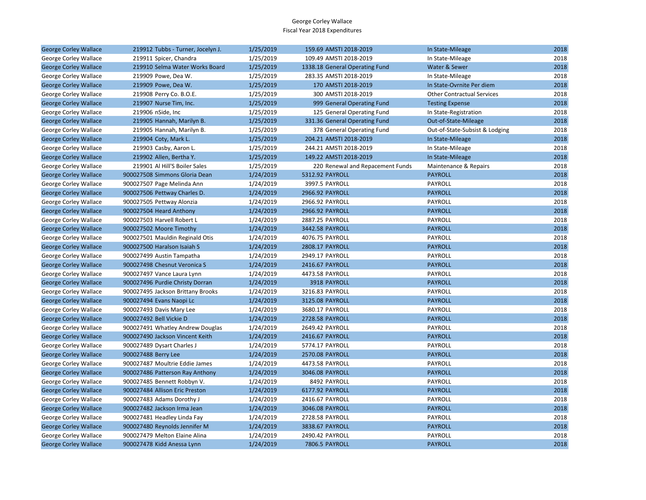| <b>George Corley Wallace</b> | 219912 Tubbs - Turner, Jocelyn J. | 1/25/2019 | 159.69 AMSTI 2018-2019           | In State-Mileage                  | 2018 |
|------------------------------|-----------------------------------|-----------|----------------------------------|-----------------------------------|------|
| George Corley Wallace        | 219911 Spicer, Chandra            | 1/25/2019 | 109.49 AMSTI 2018-2019           | In State-Mileage                  | 2018 |
| <b>George Corley Wallace</b> | 219910 Selma Water Works Board    | 1/25/2019 | 1338.18 General Operating Fund   | Water & Sewer                     | 2018 |
| George Corley Wallace        | 219909 Powe, Dea W.               | 1/25/2019 | 283.35 AMSTI 2018-2019           | In State-Mileage                  | 2018 |
| <b>George Corley Wallace</b> | 219909 Powe, Dea W.               | 1/25/2019 | 170 AMSTI 2018-2019              | In State-Ovrnite Per diem         | 2018 |
| George Corley Wallace        | 219908 Perry Co. B.O.E.           | 1/25/2019 | 300 AMSTI 2018-2019              | <b>Other Contractual Services</b> | 2018 |
| <b>George Corley Wallace</b> | 219907 Nurse Tim, Inc.            | 1/25/2019 | 999 General Operating Fund       | <b>Testing Expense</b>            | 2018 |
| George Corley Wallace        | 219906 nSide, Inc                 | 1/25/2019 | 125 General Operating Fund       | In State-Registration             | 2018 |
| <b>George Corley Wallace</b> | 219905 Hannah, Marilyn B.         | 1/25/2019 | 331.36 General Operating Fund    | Out-of-State-Mileage              | 2018 |
| George Corley Wallace        | 219905 Hannah, Marilyn B.         | 1/25/2019 | 378 General Operating Fund       | Out-of-State-Subsist & Lodging    | 2018 |
| <b>George Corley Wallace</b> | 219904 Coty, Mark L.              | 1/25/2019 | 204.21 AMSTI 2018-2019           | In State-Mileage                  | 2018 |
| George Corley Wallace        | 219903 Casby, Aaron L.            | 1/25/2019 | 244.21 AMSTI 2018-2019           | In State-Mileage                  | 2018 |
| <b>George Corley Wallace</b> | 219902 Allen, Bertha Y.           | 1/25/2019 | 149.22 AMSTI 2018-2019           | In State-Mileage                  | 2018 |
| George Corley Wallace        | 219901 Al Hill'S Boiler Sales     | 1/25/2019 | 220 Renewal and Repacement Funds | Maintenance & Repairs             | 2018 |
| <b>George Corley Wallace</b> | 900027508 Simmons Gloria Dean     | 1/24/2019 | 5312.92 PAYROLL                  | <b>PAYROLL</b>                    | 2018 |
| George Corley Wallace        | 900027507 Page Melinda Ann        | 1/24/2019 | 3997.5 PAYROLL                   | PAYROLL                           | 2018 |
| <b>George Corley Wallace</b> | 900027506 Pettway Charles D.      | 1/24/2019 | 2966.92 PAYROLL                  | <b>PAYROLL</b>                    | 2018 |
| George Corley Wallace        | 900027505 Pettway Alonzia         | 1/24/2019 | 2966.92 PAYROLL                  | PAYROLL                           | 2018 |
| <b>George Corley Wallace</b> | 900027504 Heard Anthony           | 1/24/2019 | 2966.92 PAYROLL                  | <b>PAYROLL</b>                    | 2018 |
| George Corley Wallace        | 900027503 Harvell Robert L        | 1/24/2019 | 2887.25 PAYROLL                  | PAYROLL                           | 2018 |
| <b>George Corley Wallace</b> | 900027502 Moore Timothy           | 1/24/2019 | 3442.58 PAYROLL                  | <b>PAYROLL</b>                    | 2018 |
| George Corley Wallace        | 900027501 Mauldin Reginald Otis   | 1/24/2019 | 4076.75 PAYROLL                  | PAYROLL                           | 2018 |
| <b>George Corley Wallace</b> | 900027500 Haralson Isaiah S       | 1/24/2019 | 2808.17 PAYROLL                  | <b>PAYROLL</b>                    | 2018 |
| George Corley Wallace        | 900027499 Austin Tampatha         | 1/24/2019 | 2949.17 PAYROLL                  | PAYROLL                           | 2018 |
| <b>George Corley Wallace</b> | 900027498 Chesnut Veronica S      | 1/24/2019 | 2416.67 PAYROLL                  | <b>PAYROLL</b>                    | 2018 |
| George Corley Wallace        | 900027497 Vance Laura Lynn        | 1/24/2019 | 4473.58 PAYROLL                  | PAYROLL                           | 2018 |
| <b>George Corley Wallace</b> | 900027496 Purdie Christy Dorran   | 1/24/2019 | 3918 PAYROLL                     | <b>PAYROLL</b>                    | 2018 |
| George Corley Wallace        | 900027495 Jackson Brittany Brooks | 1/24/2019 | 3216.83 PAYROLL                  | PAYROLL                           | 2018 |
| <b>George Corley Wallace</b> | 900027494 Evans Naopi Lc          | 1/24/2019 | 3125.08 PAYROLL                  | <b>PAYROLL</b>                    | 2018 |
| George Corley Wallace        | 900027493 Davis Mary Lee          | 1/24/2019 | 3680.17 PAYROLL                  | PAYROLL                           | 2018 |
| <b>George Corley Wallace</b> | 900027492 Bell Vickie D           | 1/24/2019 | 2728.58 PAYROLL                  | <b>PAYROLL</b>                    | 2018 |
| George Corley Wallace        | 900027491 Whatley Andrew Douglas  | 1/24/2019 | 2649.42 PAYROLL                  | PAYROLL                           | 2018 |
| <b>George Corley Wallace</b> | 900027490 Jackson Vincent Keith   | 1/24/2019 | 2416.67 PAYROLL                  | <b>PAYROLL</b>                    | 2018 |
| George Corley Wallace        | 900027489 Dysart Charles J        | 1/24/2019 | 5774.17 PAYROLL                  | PAYROLL                           | 2018 |
| <b>George Corley Wallace</b> | 900027488 Berry Lee               | 1/24/2019 | 2570.08 PAYROLL                  | <b>PAYROLL</b>                    | 2018 |
| George Corley Wallace        | 900027487 Moultrie Eddie James    | 1/24/2019 | 4473.58 PAYROLL                  | PAYROLL                           | 2018 |
| <b>George Corley Wallace</b> | 900027486 Patterson Ray Anthony   | 1/24/2019 | 3046.08 PAYROLL                  | <b>PAYROLL</b>                    | 2018 |
| George Corley Wallace        | 900027485 Bennett Robbyn V.       | 1/24/2019 | 8492 PAYROLL                     | PAYROLL                           | 2018 |
| <b>George Corley Wallace</b> | 900027484 Allison Eric Preston    | 1/24/2019 | 6177.92 PAYROLL                  | <b>PAYROLL</b>                    | 2018 |
| George Corley Wallace        | 900027483 Adams Dorothy J         | 1/24/2019 | 2416.67 PAYROLL                  | PAYROLL                           | 2018 |
| <b>George Corley Wallace</b> | 900027482 Jackson Irma Jean       | 1/24/2019 | 3046.08 PAYROLL                  | <b>PAYROLL</b>                    | 2018 |
| George Corley Wallace        | 900027481 Headley Linda Fay       | 1/24/2019 | 2728.58 PAYROLL                  | PAYROLL                           | 2018 |
| <b>George Corley Wallace</b> | 900027480 Reynolds Jennifer M     | 1/24/2019 | 3838.67 PAYROLL                  | <b>PAYROLL</b>                    | 2018 |
| George Corley Wallace        | 900027479 Melton Elaine Alina     | 1/24/2019 | 2490.42 PAYROLL                  | PAYROLL                           | 2018 |
| <b>George Corley Wallace</b> | 900027478 Kidd Anessa Lynn        | 1/24/2019 | <b>7806.5 PAYROLL</b>            | <b>PAYROLL</b>                    | 2018 |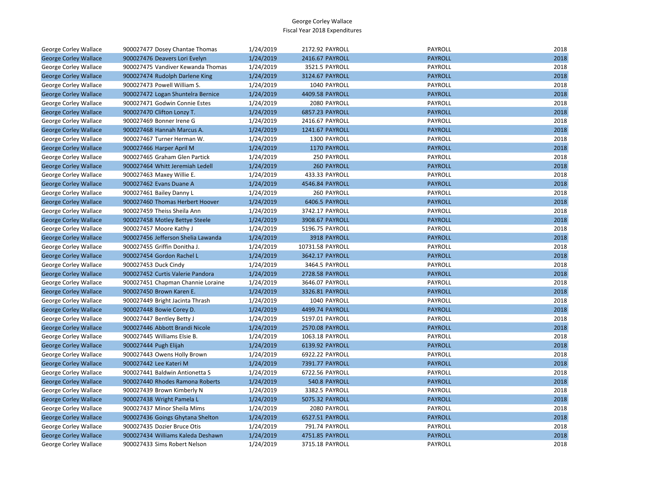| George Corley Wallace        | 900027477 Dosey Chantae Thomas     | 1/24/2019 | 2172.92 PAYROLL  | PAYROLL        | 2018 |
|------------------------------|------------------------------------|-----------|------------------|----------------|------|
| <b>George Corley Wallace</b> | 900027476 Deavers Lori Evelyn      | 1/24/2019 | 2416.67 PAYROLL  | <b>PAYROLL</b> | 2018 |
| George Corley Wallace        | 900027475 Vandiver Kewanda Thomas  | 1/24/2019 | 3521.5 PAYROLL   | PAYROLL        | 2018 |
| <b>George Corley Wallace</b> | 900027474 Rudolph Darlene King     | 1/24/2019 | 3124.67 PAYROLL  | <b>PAYROLL</b> | 2018 |
| George Corley Wallace        | 900027473 Powell William S.        | 1/24/2019 | 1040 PAYROLL     | PAYROLL        | 2018 |
| <b>George Corley Wallace</b> | 900027472 Logan Shuntelra Bernice  | 1/24/2019 | 4409.58 PAYROLL  | <b>PAYROLL</b> | 2018 |
| George Corley Wallace        | 900027471 Godwin Connie Estes      | 1/24/2019 | 2080 PAYROLL     | PAYROLL        | 2018 |
| <b>George Corley Wallace</b> | 900027470 Clifton Lonzy T.         | 1/24/2019 | 6857.23 PAYROLL  | <b>PAYROLL</b> | 2018 |
| George Corley Wallace        | 900027469 Bonner Irene G           | 1/24/2019 | 2416.67 PAYROLL  | PAYROLL        | 2018 |
| <b>George Corley Wallace</b> | 900027468 Hannah Marcus A.         | 1/24/2019 | 1241.67 PAYROLL  | <b>PAYROLL</b> | 2018 |
| George Corley Wallace        | 900027467 Turner Herman W.         | 1/24/2019 | 1300 PAYROLL     | PAYROLL        | 2018 |
| <b>George Corley Wallace</b> | 900027466 Harper April M           | 1/24/2019 | 1170 PAYROLL     | <b>PAYROLL</b> | 2018 |
| George Corley Wallace        | 900027465 Graham Glen Partick      | 1/24/2019 | 250 PAYROLL      | PAYROLL        | 2018 |
| <b>George Corley Wallace</b> | 900027464 Whitt Jeremiah Ledell    | 1/24/2019 | 260 PAYROLL      | <b>PAYROLL</b> | 2018 |
| George Corley Wallace        | 900027463 Maxey Willie E.          | 1/24/2019 | 433.33 PAYROLL   | PAYROLL        | 2018 |
| <b>George Corley Wallace</b> | 900027462 Evans Duane A            | 1/24/2019 | 4546.84 PAYROLL  | <b>PAYROLL</b> | 2018 |
| George Corley Wallace        | 900027461 Bailey Danny L           | 1/24/2019 | 260 PAYROLL      | PAYROLL        | 2018 |
| <b>George Corley Wallace</b> | 900027460 Thomas Herbert Hoover    | 1/24/2019 | 6406.5 PAYROLL   | <b>PAYROLL</b> | 2018 |
| George Corley Wallace        | 900027459 Theiss Sheila Ann        | 1/24/2019 | 3742.17 PAYROLL  | PAYROLL        | 2018 |
| <b>George Corley Wallace</b> | 900027458 Motley Bettye Steele     | 1/24/2019 | 3908.67 PAYROLL  | <b>PAYROLL</b> | 2018 |
| George Corley Wallace        | 900027457 Moore Kathy J            | 1/24/2019 | 5196.75 PAYROLL  | PAYROLL        | 2018 |
| <b>George Corley Wallace</b> | 900027456 Jefferson Shelia Lawanda | 1/24/2019 | 3918 PAYROLL     | <b>PAYROLL</b> | 2018 |
| George Corley Wallace        | 900027455 Griffin Donitha J.       | 1/24/2019 | 10731.58 PAYROLL | PAYROLL        | 2018 |
| <b>George Corley Wallace</b> | 900027454 Gordon Rachel L          | 1/24/2019 | 3642.17 PAYROLL  | <b>PAYROLL</b> | 2018 |
| George Corley Wallace        | 900027453 Duck Cindy               | 1/24/2019 | 3464.5 PAYROLL   | PAYROLL        | 2018 |
| <b>George Corley Wallace</b> | 900027452 Curtis Valerie Pandora   | 1/24/2019 | 2728.58 PAYROLL  | <b>PAYROLL</b> | 2018 |
| George Corley Wallace        | 900027451 Chapman Channie Loraine  | 1/24/2019 | 3646.07 PAYROLL  | PAYROLL        | 2018 |
| <b>George Corley Wallace</b> | 900027450 Brown Karen E.           | 1/24/2019 | 3326.81 PAYROLL  | <b>PAYROLL</b> | 2018 |
| George Corley Wallace        | 900027449 Bright Jacinta Thrash    | 1/24/2019 | 1040 PAYROLL     | PAYROLL        | 2018 |
| <b>George Corley Wallace</b> | 900027448 Bowie Corey D.           | 1/24/2019 | 4499.74 PAYROLL  | <b>PAYROLL</b> | 2018 |
| George Corley Wallace        | 900027447 Bentley Betty J          | 1/24/2019 | 5197.01 PAYROLL  | PAYROLL        | 2018 |
| <b>George Corley Wallace</b> | 900027446 Abbott Brandi Nicole     | 1/24/2019 | 2570.08 PAYROLL  | <b>PAYROLL</b> | 2018 |
| George Corley Wallace        | 900027445 Williams Elsie B.        | 1/24/2019 | 1063.18 PAYROLL  | PAYROLL        | 2018 |
| <b>George Corley Wallace</b> | 900027444 Pugh Elijah              | 1/24/2019 | 6139.92 PAYROLL  | <b>PAYROLL</b> | 2018 |
| George Corley Wallace        | 900027443 Owens Holly Brown        | 1/24/2019 | 6922.22 PAYROLL  | PAYROLL        | 2018 |
| <b>George Corley Wallace</b> | 900027442 Lee Kateri M             | 1/24/2019 | 7391.77 PAYROLL  | <b>PAYROLL</b> | 2018 |
| George Corley Wallace        | 900027441 Baldwin Antionetta S     | 1/24/2019 | 6722.56 PAYROLL  | PAYROLL        | 2018 |
| <b>George Corley Wallace</b> | 900027440 Rhodes Ramona Roberts    | 1/24/2019 | 540.8 PAYROLL    | <b>PAYROLL</b> | 2018 |
| George Corley Wallace        | 900027439 Brown Kimberly N         | 1/24/2019 | 3382.5 PAYROLL   | <b>PAYROLL</b> | 2018 |
| <b>George Corley Wallace</b> | 900027438 Wright Pamela L          | 1/24/2019 | 5075.32 PAYROLL  | <b>PAYROLL</b> | 2018 |
| George Corley Wallace        | 900027437 Minor Sheila Mims        | 1/24/2019 | 2080 PAYROLL     | PAYROLL        | 2018 |
| <b>George Corley Wallace</b> | 900027436 Goings Ghytana Shelton   | 1/24/2019 | 6527.51 PAYROLL  | <b>PAYROLL</b> | 2018 |
| George Corley Wallace        | 900027435 Dozier Bruce Otis        | 1/24/2019 | 791.74 PAYROLL   | PAYROLL        | 2018 |
| <b>George Corley Wallace</b> | 900027434 Williams Kaleda Deshawn  | 1/24/2019 | 4751.85 PAYROLL  | <b>PAYROLL</b> | 2018 |
| <b>George Corley Wallace</b> | 900027433 Sims Robert Nelson       | 1/24/2019 | 3715.18 PAYROLL  | <b>PAYROLL</b> | 2018 |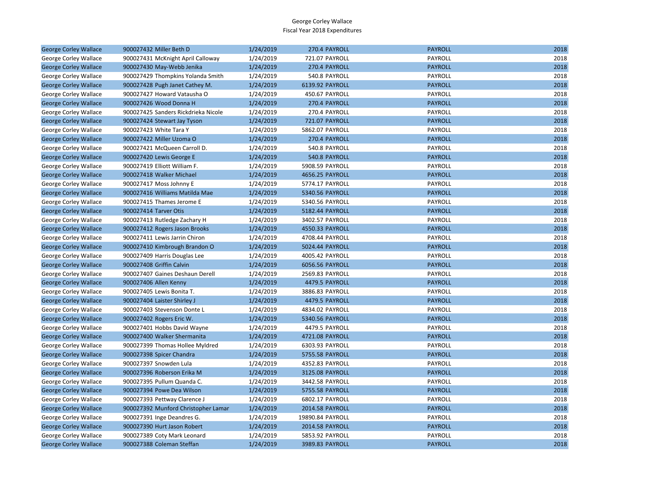| <b>George Corley Wallace</b> | 900027432 Miller Beth D             | 1/24/2019 | 270.4 PAYROLL         | <b>PAYROLL</b> | 2018 |
|------------------------------|-------------------------------------|-----------|-----------------------|----------------|------|
| George Corley Wallace        | 900027431 McKnight April Calloway   | 1/24/2019 | 721.07 PAYROLL        | PAYROLL        | 2018 |
| <b>George Corley Wallace</b> | 900027430 May-Webb Jenika           | 1/24/2019 | 270.4 PAYROLL         | <b>PAYROLL</b> | 2018 |
| George Corley Wallace        | 900027429 Thompkins Yolanda Smith   | 1/24/2019 | 540.8 PAYROLL         | PAYROLL        | 2018 |
| <b>George Corley Wallace</b> | 900027428 Pugh Janet Cathey M.      | 1/24/2019 | 6139.92 PAYROLL       | <b>PAYROLL</b> | 2018 |
| George Corley Wallace        | 900027427 Howard Vatausha O         | 1/24/2019 | 450.67 PAYROLL        | PAYROLL        | 2018 |
| <b>George Corley Wallace</b> | 900027426 Wood Donna H              | 1/24/2019 | 270.4 PAYROLL         | <b>PAYROLL</b> | 2018 |
| George Corley Wallace        | 900027425 Sanders Rickdrieka Nicole | 1/24/2019 | 270.4 PAYROLL         | PAYROLL        | 2018 |
| <b>George Corley Wallace</b> | 900027424 Stewart Jay Tyson         | 1/24/2019 | <b>721.07 PAYROLL</b> | <b>PAYROLL</b> | 2018 |
| George Corley Wallace        | 900027423 White Tara Y              | 1/24/2019 | 5862.07 PAYROLL       | PAYROLL        | 2018 |
| <b>George Corley Wallace</b> | 900027422 Miller Uzoma O            | 1/24/2019 | 270.4 PAYROLL         | <b>PAYROLL</b> | 2018 |
| George Corley Wallace        | 900027421 McQueen Carroll D.        | 1/24/2019 | 540.8 PAYROLL         | PAYROLL        | 2018 |
| <b>George Corley Wallace</b> | 900027420 Lewis George E            | 1/24/2019 | 540.8 PAYROLL         | <b>PAYROLL</b> | 2018 |
| George Corley Wallace        | 900027419 Elliott William F.        | 1/24/2019 | 5908.59 PAYROLL       | PAYROLL        | 2018 |
| <b>George Corley Wallace</b> | 900027418 Walker Michael            | 1/24/2019 | 4656.25 PAYROLL       | <b>PAYROLL</b> | 2018 |
| George Corley Wallace        | 900027417 Moss Johnny E             | 1/24/2019 | 5774.17 PAYROLL       | PAYROLL        | 2018 |
| <b>George Corley Wallace</b> | 900027416 Williams Matilda Mae      | 1/24/2019 | 5340.56 PAYROLL       | <b>PAYROLL</b> | 2018 |
| George Corley Wallace        | 900027415 Thames Jerome E           | 1/24/2019 | 5340.56 PAYROLL       | PAYROLL        | 2018 |
| <b>George Corley Wallace</b> | 900027414 Tarver Otis               | 1/24/2019 | 5182.44 PAYROLL       | <b>PAYROLL</b> | 2018 |
| George Corley Wallace        | 900027413 Rutledge Zachary H        | 1/24/2019 | 3402.57 PAYROLL       | PAYROLL        | 2018 |
| <b>George Corley Wallace</b> | 900027412 Rogers Jason Brooks       | 1/24/2019 | 4550.33 PAYROLL       | <b>PAYROLL</b> | 2018 |
| George Corley Wallace        | 900027411 Lewis Jarrin Chiron       | 1/24/2019 | 4708.44 PAYROLL       | PAYROLL        | 2018 |
| <b>George Corley Wallace</b> | 900027410 Kimbrough Brandon O       | 1/24/2019 | 5024.44 PAYROLL       | <b>PAYROLL</b> | 2018 |
| George Corley Wallace        | 900027409 Harris Douglas Lee        | 1/24/2019 | 4005.42 PAYROLL       | PAYROLL        | 2018 |
| <b>George Corley Wallace</b> | 900027408 Griffin Calvin            | 1/24/2019 | 6056.56 PAYROLL       | <b>PAYROLL</b> | 2018 |
| George Corley Wallace        | 900027407 Gaines Deshaun Derell     | 1/24/2019 | 2569.83 PAYROLL       | PAYROLL        | 2018 |
| <b>George Corley Wallace</b> | 900027406 Allen Kenny               | 1/24/2019 | 4479.5 PAYROLL        | <b>PAYROLL</b> | 2018 |
| George Corley Wallace        | 900027405 Lewis Bonita T.           | 1/24/2019 | 3886.83 PAYROLL       | PAYROLL        | 2018 |
| <b>George Corley Wallace</b> | 900027404 Laister Shirley J         | 1/24/2019 | 4479.5 PAYROLL        | <b>PAYROLL</b> | 2018 |
| George Corley Wallace        | 900027403 Stevenson Donte L         | 1/24/2019 | 4834.02 PAYROLL       | PAYROLL        | 2018 |
| <b>George Corley Wallace</b> | 900027402 Rogers Eric W.            | 1/24/2019 | 5340.56 PAYROLL       | <b>PAYROLL</b> | 2018 |
| George Corley Wallace        | 900027401 Hobbs David Wayne         | 1/24/2019 | 4479.5 PAYROLL        | PAYROLL        | 2018 |
| <b>George Corley Wallace</b> | 900027400 Walker Shermanita         | 1/24/2019 | 4721.08 PAYROLL       | <b>PAYROLL</b> | 2018 |
| George Corley Wallace        | 900027399 Thomas Hollee Myldred     | 1/24/2019 | 6303.93 PAYROLL       | PAYROLL        | 2018 |
| <b>George Corley Wallace</b> | 900027398 Spicer Chandra            | 1/24/2019 | 5755.58 PAYROLL       | <b>PAYROLL</b> | 2018 |
| George Corley Wallace        | 900027397 Snowden Lula              | 1/24/2019 | 4352.83 PAYROLL       | PAYROLL        | 2018 |
| <b>George Corley Wallace</b> | 900027396 Roberson Erika M          | 1/24/2019 | 3125.08 PAYROLL       | <b>PAYROLL</b> | 2018 |
| George Corley Wallace        | 900027395 Pullum Quanda C.          | 1/24/2019 | 3442.58 PAYROLL       | PAYROLL        | 2018 |
| <b>George Corley Wallace</b> | 900027394 Powe Dea Wilson           | 1/24/2019 | 5755.58 PAYROLL       | <b>PAYROLL</b> | 2018 |
| George Corley Wallace        | 900027393 Pettway Clarence J        | 1/24/2019 | 6802.17 PAYROLL       | PAYROLL        | 2018 |
| <b>George Corley Wallace</b> | 900027392 Munford Christopher Lamar | 1/24/2019 | 2014.58 PAYROLL       | <b>PAYROLL</b> | 2018 |
| George Corley Wallace        | 900027391 Inge Deandres G.          | 1/24/2019 | 19890.84 PAYROLL      | PAYROLL        | 2018 |
| <b>George Corley Wallace</b> | 900027390 Hurt Jason Robert         | 1/24/2019 | 2014.58 PAYROLL       | <b>PAYROLL</b> | 2018 |
| George Corley Wallace        | 900027389 Coty Mark Leonard         | 1/24/2019 | 5853.92 PAYROLL       | PAYROLL        | 2018 |
| <b>George Corley Wallace</b> | 900027388 Coleman Steffan           | 1/24/2019 | 3989.83 PAYROLL       | <b>PAYROLL</b> | 2018 |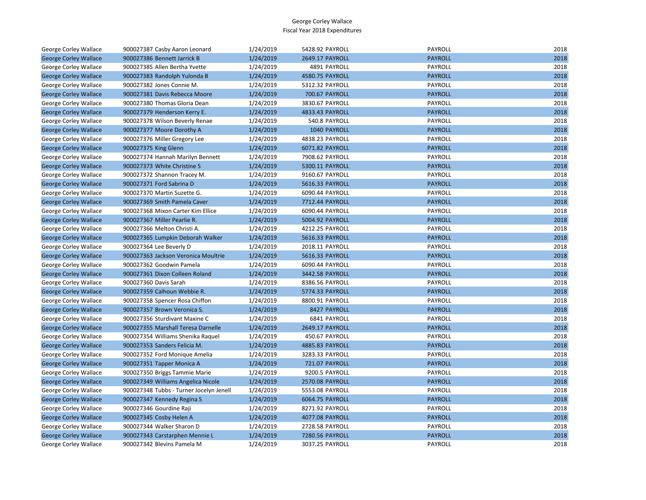| George Corley Wallace        | 900027387 Casby Aaron Leonard           | 1/24/2019 | 5428.92 PAYROLL       | PAYROLL        | 2018 |
|------------------------------|-----------------------------------------|-----------|-----------------------|----------------|------|
| <b>George Corley Wallace</b> | 900027386 Bennett Jarrick B             | 1/24/2019 | 2649.17 PAYROLL       | <b>PAYROLL</b> | 2018 |
| <b>George Corley Wallace</b> | 900027385 Allen Bertha Yvette           | 1/24/2019 | 4891 PAYROLL          | PAYROLL        | 2018 |
| <b>George Corley Wallace</b> | 900027383 Randolph Yulonda B            | 1/24/2019 | 4580.75 PAYROLL       | <b>PAYROLL</b> | 2018 |
| George Corley Wallace        | 900027382 Jones Connie M.               | 1/24/2019 | 5312.32 PAYROLL       | PAYROLL        | 2018 |
| <b>George Corley Wallace</b> | 900027381 Davis Rebecca Moore           | 1/24/2019 | 700.67 PAYROLL        | <b>PAYROLL</b> | 2018 |
| George Corley Wallace        | 900027380 Thomas Gloria Dean            | 1/24/2019 | 3830.67 PAYROLL       | PAYROLL        | 2018 |
| <b>George Corley Wallace</b> | 900027379 Henderson Kerry E.            | 1/24/2019 | 4833.43 PAYROLL       | <b>PAYROLL</b> | 2018 |
| George Corley Wallace        | 900027378 Wilson Beverly Renae          | 1/24/2019 | 540.8 PAYROLL         | PAYROLL        | 2018 |
| <b>George Corley Wallace</b> | 900027377 Moore Dorothy A               | 1/24/2019 | 1040 PAYROLL          | <b>PAYROLL</b> | 2018 |
| George Corley Wallace        | 900027376 Miller Gregory Lee            | 1/24/2019 | 4838.23 PAYROLL       | PAYROLL        | 2018 |
| <b>George Corley Wallace</b> | 900027375 King Glenn                    | 1/24/2019 | 6071.82 PAYROLL       | <b>PAYROLL</b> | 2018 |
| George Corley Wallace        | 900027374 Hannah Marilyn Bennett        | 1/24/2019 | 7908.62 PAYROLL       | PAYROLL        | 2018 |
| <b>George Corley Wallace</b> | 900027373 White Christine S             | 1/24/2019 | 5300.11 PAYROLL       | <b>PAYROLL</b> | 2018 |
| George Corley Wallace        | 900027372 Shannon Tracey M.             | 1/24/2019 | 9160.67 PAYROLL       | PAYROLL        | 2018 |
| <b>George Corley Wallace</b> | 900027371 Ford Sabrina D                | 1/24/2019 | 5616.33 PAYROLL       | <b>PAYROLL</b> | 2018 |
| George Corley Wallace        | 900027370 Martin Suzette G.             | 1/24/2019 | 6090.44 PAYROLL       | PAYROLL        | 2018 |
| <b>George Corley Wallace</b> | 900027369 Smith Pamela Caver            | 1/24/2019 | 7712.44 PAYROLL       | <b>PAYROLL</b> | 2018 |
| George Corley Wallace        | 900027368 Mixon Carter Kim Ellice       | 1/24/2019 | 6090.44 PAYROLL       | PAYROLL        | 2018 |
| <b>George Corley Wallace</b> | 900027367 Miller Pearlie R.             | 1/24/2019 | 5004.92 PAYROLL       | <b>PAYROLL</b> | 2018 |
| George Corley Wallace        | 900027366 Melton Christi A.             | 1/24/2019 | 4212.25 PAYROLL       | PAYROLL        | 2018 |
| <b>George Corley Wallace</b> | 900027365 Lumpkin Deborah Walker        | 1/24/2019 | 5616.33 PAYROLL       | <b>PAYROLL</b> | 2018 |
| George Corley Wallace        | 900027364 Lee Beverly D                 | 1/24/2019 | 2018.11 PAYROLL       | PAYROLL        | 2018 |
| <b>George Corley Wallace</b> | 900027363 Jackson Veronica Moultrie     | 1/24/2019 | 5616.33 PAYROLL       | <b>PAYROLL</b> | 2018 |
| George Corley Wallace        | 900027362 Goodwin Pamela                | 1/24/2019 | 6090.44 PAYROLL       | PAYROLL        | 2018 |
| <b>George Corley Wallace</b> | 900027361 Dixon Colleen Roland          | 1/24/2019 | 3442.58 PAYROLL       | <b>PAYROLL</b> | 2018 |
| George Corley Wallace        | 900027360 Davis Sarah                   | 1/24/2019 | 8386.56 PAYROLL       | PAYROLL        | 2018 |
| <b>George Corley Wallace</b> | 900027359 Calhoun Webbie R.             | 1/24/2019 | 5774.33 PAYROLL       | <b>PAYROLL</b> | 2018 |
| George Corley Wallace        | 900027358 Spencer Rosa Chiffon          | 1/24/2019 | 8800.91 PAYROLL       | PAYROLL        | 2018 |
| <b>George Corley Wallace</b> | 900027357 Brown Veronica S.             | 1/24/2019 | 8427 PAYROLL          | <b>PAYROLL</b> | 2018 |
| George Corley Wallace        | 900027356 Sturdivant Maxine C           | 1/24/2019 | 6841 PAYROLL          | PAYROLL        | 2018 |
| <b>George Corley Wallace</b> | 900027355 Marshall Teresa Darnelle      | 1/24/2019 | 2649.17 PAYROLL       | <b>PAYROLL</b> | 2018 |
| George Corley Wallace        | 900027354 Williams Shenika Raquel       | 1/24/2019 | 450.67 PAYROLL        | PAYROLL        | 2018 |
| <b>George Corley Wallace</b> | 900027353 Sanders Felicia M.            | 1/24/2019 | 4885.83 PAYROLL       | <b>PAYROLL</b> | 2018 |
| George Corley Wallace        | 900027352 Ford Monique Amelia           | 1/24/2019 | 3283.33 PAYROLL       | PAYROLL        | 2018 |
| <b>George Corley Wallace</b> | 900027351 Tapper Monica A               | 1/24/2019 | <b>721.07 PAYROLL</b> | <b>PAYROLL</b> | 2018 |
| George Corley Wallace        | 900027350 Briggs Tammie Marie           | 1/24/2019 | 9200.5 PAYROLL        | PAYROLL        | 2018 |
| <b>George Corley Wallace</b> | 900027349 Williams Angelica Nicole      | 1/24/2019 | 2570.08 PAYROLL       | <b>PAYROLL</b> | 2018 |
| George Corley Wallace        | 900027348 Tubbs - Turner Jocelyn Jenell | 1/24/2019 | 5553.08 PAYROLL       | PAYROLL        | 2018 |
| <b>George Corley Wallace</b> | 900027347 Kennedy Regina S              | 1/24/2019 | 6064.75 PAYROLL       | <b>PAYROLL</b> | 2018 |
| George Corley Wallace        | 900027346 Gourdine Raji                 | 1/24/2019 | 8271.92 PAYROLL       | PAYROLL        | 2018 |
| <b>George Corley Wallace</b> | 900027345 Cosby Helen A                 | 1/24/2019 | 4077.08 PAYROLL       | <b>PAYROLL</b> | 2018 |
| George Corley Wallace        | 900027344 Walker Sharon D               | 1/24/2019 | 2728.58 PAYROLL       | PAYROLL        | 2018 |
| <b>George Corley Wallace</b> | 900027343 Carstarphen Mennie L          | 1/24/2019 | 7280.56 PAYROLL       | <b>PAYROLL</b> | 2018 |
| <b>George Corley Wallace</b> | 900027342 Blevins Pamela M              | 1/24/2019 | 3037.25 PAYROLL       | PAYROLL        | 2018 |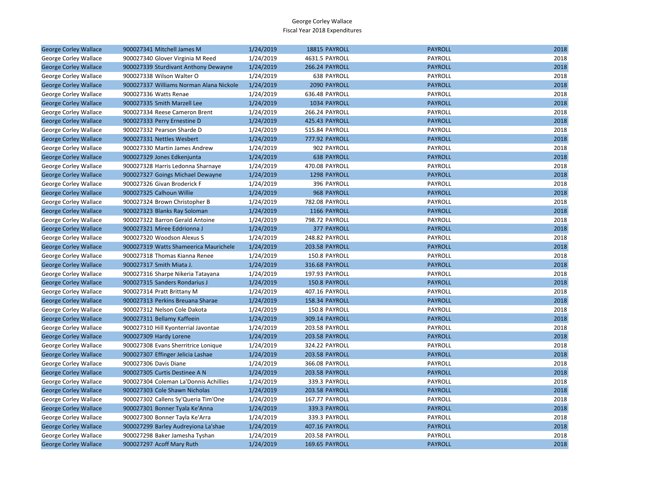| <b>George Corley Wallace</b> | 900027341 Mitchell James M              | 1/24/2019 | 18815 PAYROLL      | <b>PAYROLL</b> | 2018 |
|------------------------------|-----------------------------------------|-----------|--------------------|----------------|------|
| George Corley Wallace        | 900027340 Glover Virginia M Reed        | 1/24/2019 | 4631.5 PAYROLL     | PAYROLL        | 2018 |
| <b>George Corley Wallace</b> | 900027339 Sturdivant Anthony Dewayne    | 1/24/2019 | 266.24 PAYROLL     | <b>PAYROLL</b> | 2018 |
| George Corley Wallace        | 900027338 Wilson Walter O               | 1/24/2019 | <b>638 PAYROLL</b> | PAYROLL        | 2018 |
| <b>George Corley Wallace</b> | 900027337 Williams Norman Alana Nickole | 1/24/2019 | 2090 PAYROLL       | <b>PAYROLL</b> | 2018 |
| George Corley Wallace        | 900027336 Watts Renae                   | 1/24/2019 | 636.48 PAYROLL     | PAYROLL        | 2018 |
| <b>George Corley Wallace</b> | 900027335 Smith Marzell Lee             | 1/24/2019 | 1034 PAYROLL       | <b>PAYROLL</b> | 2018 |
| George Corley Wallace        | 900027334 Reese Cameron Brent           | 1/24/2019 | 266.24 PAYROLL     | PAYROLL        | 2018 |
| <b>George Corley Wallace</b> | 900027333 Perry Ernestine D             | 1/24/2019 | 425.43 PAYROLL     | <b>PAYROLL</b> | 2018 |
| George Corley Wallace        | 900027332 Pearson Sharde D              | 1/24/2019 | 515.84 PAYROLL     | PAYROLL        | 2018 |
| <b>George Corley Wallace</b> | 900027331 Nettles Wesbert               | 1/24/2019 | 777.92 PAYROLL     | <b>PAYROLL</b> | 2018 |
| George Corley Wallace        | 900027330 Martin James Andrew           | 1/24/2019 | 902 PAYROLL        | PAYROLL        | 2018 |
| <b>George Corley Wallace</b> | 900027329 Jones Edkenjunta              | 1/24/2019 | <b>638 PAYROLL</b> | <b>PAYROLL</b> | 2018 |
| George Corley Wallace        | 900027328 Harris Ledonna Sharnaye       | 1/24/2019 | 470.08 PAYROLL     | PAYROLL        | 2018 |
| <b>George Corley Wallace</b> | 900027327 Goings Michael Dewayne        | 1/24/2019 | 1298 PAYROLL       | <b>PAYROLL</b> | 2018 |
| George Corley Wallace        | 900027326 Givan Broderick F             | 1/24/2019 | 396 PAYROLL        | PAYROLL        | 2018 |
| <b>George Corley Wallace</b> | 900027325 Calhoun Willie                | 1/24/2019 | 968 PAYROLL        | <b>PAYROLL</b> | 2018 |
| George Corley Wallace        | 900027324 Brown Christopher B           | 1/24/2019 | 782.08 PAYROLL     | PAYROLL        | 2018 |
| <b>George Corley Wallace</b> | 900027323 Blanks Ray Soloman            | 1/24/2019 | 1166 PAYROLL       | <b>PAYROLL</b> | 2018 |
| George Corley Wallace        | 900027322 Barron Gerald Antoine         | 1/24/2019 | 798.72 PAYROLL     | PAYROLL        | 2018 |
| <b>George Corley Wallace</b> | 900027321 Miree Eddrionna J             | 1/24/2019 | 377 PAYROLL        | <b>PAYROLL</b> | 2018 |
| George Corley Wallace        | 900027320 Woodson Alexus S              | 1/24/2019 | 248.82 PAYROLL     | PAYROLL        | 2018 |
| <b>George Corley Wallace</b> | 900027319 Watts Shameerica Maurichele   | 1/24/2019 | 203.58 PAYROLL     | <b>PAYROLL</b> | 2018 |
| George Corley Wallace        | 900027318 Thomas Kianna Renee           | 1/24/2019 | 150.8 PAYROLL      | PAYROLL        | 2018 |
| <b>George Corley Wallace</b> | 900027317 Smith Miata J.                | 1/24/2019 | 316.68 PAYROLL     | <b>PAYROLL</b> | 2018 |
| George Corley Wallace        | 900027316 Sharpe Nikeria Tatayana       | 1/24/2019 | 197.93 PAYROLL     | PAYROLL        | 2018 |
| <b>George Corley Wallace</b> | 900027315 Sanders Rondarius J           | 1/24/2019 | 150.8 PAYROLL      | <b>PAYROLL</b> | 2018 |
| George Corley Wallace        | 900027314 Pratt Brittany M              | 1/24/2019 | 407.16 PAYROLL     | PAYROLL        | 2018 |
| <b>George Corley Wallace</b> | 900027313 Perkins Breuana Sharae        | 1/24/2019 | 158.34 PAYROLL     | <b>PAYROLL</b> | 2018 |
| George Corley Wallace        | 900027312 Nelson Cole Dakota            | 1/24/2019 | 150.8 PAYROLL      | PAYROLL        | 2018 |
| <b>George Corley Wallace</b> | 900027311 Bellamy Kaffeein              | 1/24/2019 | 309.14 PAYROLL     | <b>PAYROLL</b> | 2018 |
| George Corley Wallace        | 900027310 Hill Kyonterrial Javontae     | 1/24/2019 | 203.58 PAYROLL     | PAYROLL        | 2018 |
| <b>George Corley Wallace</b> | 900027309 Hardy Lorene                  | 1/24/2019 | 203.58 PAYROLL     | <b>PAYROLL</b> | 2018 |
| George Corley Wallace        | 900027308 Evans Sherritrice Lonique     | 1/24/2019 | 324.22 PAYROLL     | PAYROLL        | 2018 |
| <b>George Corley Wallace</b> | 900027307 Effinger Jelicia Lashae       | 1/24/2019 | 203.58 PAYROLL     | <b>PAYROLL</b> | 2018 |
| George Corley Wallace        | 900027306 Davis Diane                   | 1/24/2019 | 366.08 PAYROLL     | PAYROLL        | 2018 |
| <b>George Corley Wallace</b> | 900027305 Curtis Destinee A N           | 1/24/2019 | 203.58 PAYROLL     | <b>PAYROLL</b> | 2018 |
| George Corley Wallace        | 900027304 Coleman La'Donnis Achillies   | 1/24/2019 | 339.3 PAYROLL      | PAYROLL        | 2018 |
| <b>George Corley Wallace</b> | 900027303 Cole Shawn Nicholas           | 1/24/2019 | 203.58 PAYROLL     | <b>PAYROLL</b> | 2018 |
| George Corley Wallace        | 900027302 Callens Sy'Queria Tim'One     | 1/24/2019 | 167.77 PAYROLL     | PAYROLL        | 2018 |
| <b>George Corley Wallace</b> | 900027301 Bonner Tyala Ke'Anna          | 1/24/2019 | 339.3 PAYROLL      | <b>PAYROLL</b> | 2018 |
| George Corley Wallace        | 900027300 Bonner Tayla Ke'Arra          | 1/24/2019 | 339.3 PAYROLL      | PAYROLL        | 2018 |
| <b>George Corley Wallace</b> | 900027299 Barley Audreyiona La'shae     | 1/24/2019 | 407.16 PAYROLL     | <b>PAYROLL</b> | 2018 |
| George Corley Wallace        | 900027298 Baker Jamesha Tyshan          | 1/24/2019 | 203.58 PAYROLL     | PAYROLL        | 2018 |
| <b>George Corley Wallace</b> | 900027297 Acoff Mary Ruth               | 1/24/2019 | 169.65 PAYROLL     | <b>PAYROLL</b> | 2018 |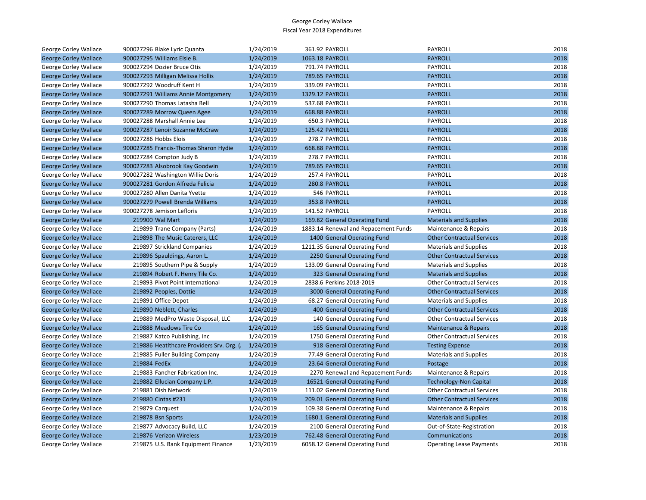| George Corley Wallace        | 900027296 Blake Lyric Quanta             | 1/24/2019 | 361.92 PAYROLL                       | PAYROLL                           | 2018 |
|------------------------------|------------------------------------------|-----------|--------------------------------------|-----------------------------------|------|
| <b>George Corley Wallace</b> | 900027295 Williams Elsie B.              | 1/24/2019 | 1063.18 PAYROLL                      | <b>PAYROLL</b>                    | 2018 |
| George Corley Wallace        | 900027294 Dozier Bruce Otis              | 1/24/2019 | 791.74 PAYROLL                       | <b>PAYROLL</b>                    | 2018 |
| <b>George Corley Wallace</b> | 900027293 Milligan Melissa Hollis        | 1/24/2019 | 789.65 PAYROLL                       | <b>PAYROLL</b>                    | 2018 |
| George Corley Wallace        | 900027292 Woodruff Kent H                | 1/24/2019 | 339.09 PAYROLL                       | PAYROLL                           | 2018 |
| <b>George Corley Wallace</b> | 900027291 Williams Annie Montgomery      | 1/24/2019 | 1329.12 PAYROLL                      | <b>PAYROLL</b>                    | 2018 |
| George Corley Wallace        | 900027290 Thomas Latasha Bell            | 1/24/2019 | 537.68 PAYROLL                       | PAYROLL                           | 2018 |
| <b>George Corley Wallace</b> | 900027289 Morrow Queen Agee              | 1/24/2019 | 668.88 PAYROLL                       | <b>PAYROLL</b>                    | 2018 |
| George Corley Wallace        | 900027288 Marshall Annie Lee             | 1/24/2019 | 650.3 PAYROLL                        | PAYROLL                           | 2018 |
| <b>George Corley Wallace</b> | 900027287 Lenoir Suzanne McCraw          | 1/24/2019 | 125.42 PAYROLL                       | <b>PAYROLL</b>                    | 2018 |
| George Corley Wallace        | 900027286 Hobbs Elois                    | 1/24/2019 | 278.7 PAYROLL                        | PAYROLL                           | 2018 |
| <b>George Corley Wallace</b> | 900027285 Francis-Thomas Sharon Hydie    | 1/24/2019 | 668.88 PAYROLL                       | <b>PAYROLL</b>                    | 2018 |
| George Corley Wallace        | 900027284 Compton Judy B                 | 1/24/2019 | 278.7 PAYROLL                        | PAYROLL                           | 2018 |
| <b>George Corley Wallace</b> | 900027283 Alsobrook Kay Goodwin          | 1/24/2019 | 789.65 PAYROLL                       | <b>PAYROLL</b>                    | 2018 |
| George Corley Wallace        | 900027282 Washington Willie Doris        | 1/24/2019 | 257.4 PAYROLL                        | PAYROLL                           | 2018 |
| <b>George Corley Wallace</b> | 900027281 Gordon Alfreda Felicia         | 1/24/2019 | 280.8 PAYROLL                        | <b>PAYROLL</b>                    | 2018 |
| George Corley Wallace        | 900027280 Allen Danita Yvette            | 1/24/2019 | 546 PAYROLL                          | PAYROLL                           | 2018 |
| <b>George Corley Wallace</b> | 900027279 Powell Brenda Williams         | 1/24/2019 | 353.8 PAYROLL                        | <b>PAYROLL</b>                    | 2018 |
| George Corley Wallace        | 900027278 Jemison Lefloris               | 1/24/2019 | 141.52 PAYROLL                       | PAYROLL                           | 2018 |
| <b>George Corley Wallace</b> | 219900 Wal Mart                          | 1/24/2019 | 169.82 General Operating Fund        | <b>Materials and Supplies</b>     | 2018 |
| George Corley Wallace        | 219899 Trane Company (Parts)             | 1/24/2019 | 1883.14 Renewal and Repacement Funds | Maintenance & Repairs             | 2018 |
| <b>George Corley Wallace</b> | 219898 The Music Caterers, LLC           | 1/24/2019 | 1400 General Operating Fund          | <b>Other Contractual Services</b> | 2018 |
| George Corley Wallace        | 219897 Strickland Companies              | 1/24/2019 | 1211.35 General Operating Fund       | <b>Materials and Supplies</b>     | 2018 |
| <b>George Corley Wallace</b> | 219896 Spauldings, Aaron L.              | 1/24/2019 | 2250 General Operating Fund          | <b>Other Contractual Services</b> | 2018 |
| George Corley Wallace        | 219895 Southern Pipe & Supply            | 1/24/2019 | 133.09 General Operating Fund        | <b>Materials and Supplies</b>     | 2018 |
| <b>George Corley Wallace</b> | 219894 Robert F. Henry Tile Co.          | 1/24/2019 | 323 General Operating Fund           | <b>Materials and Supplies</b>     | 2018 |
| George Corley Wallace        | 219893 Pivot Point International         | 1/24/2019 | 2838.6 Perkins 2018-2019             | <b>Other Contractual Services</b> | 2018 |
| <b>George Corley Wallace</b> | 219892 Peoples, Dottie                   | 1/24/2019 | 3000 General Operating Fund          | <b>Other Contractual Services</b> | 2018 |
| George Corley Wallace        | 219891 Office Depot                      | 1/24/2019 | 68.27 General Operating Fund         | <b>Materials and Supplies</b>     | 2018 |
| <b>George Corley Wallace</b> | 219890 Neblett, Charles                  | 1/24/2019 | 400 General Operating Fund           | <b>Other Contractual Services</b> | 2018 |
| George Corley Wallace        | 219889 MedPro Waste Disposal, LLC        | 1/24/2019 | 140 General Operating Fund           | <b>Other Contractual Services</b> | 2018 |
| <b>George Corley Wallace</b> | 219888 Meadows Tire Co                   | 1/24/2019 | 165 General Operating Fund           | Maintenance & Repairs             | 2018 |
| George Corley Wallace        | 219887 Katco Publishing, Inc.            | 1/24/2019 | 1750 General Operating Fund          | <b>Other Contractual Services</b> | 2018 |
| <b>George Corley Wallace</b> | 219886 Heatlthcare Providers Srv. Org. ( | 1/24/2019 | 918 General Operating Fund           | <b>Testing Expense</b>            | 2018 |
| George Corley Wallace        | 219885 Fuller Building Company           | 1/24/2019 | 77.49 General Operating Fund         | <b>Materials and Supplies</b>     | 2018 |
| <b>George Corley Wallace</b> | 219884 FedEx                             | 1/24/2019 | 23.64 General Operating Fund         | Postage                           | 2018 |
| George Corley Wallace        | 219883 Fancher Fabrication Inc.          | 1/24/2019 | 2270 Renewal and Repacement Funds    | Maintenance & Repairs             | 2018 |
| <b>George Corley Wallace</b> | 219882 Ellucian Company L.P.             | 1/24/2019 | 16521 General Operating Fund         | <b>Technology-Non Capital</b>     | 2018 |
| George Corley Wallace        | 219881 Dish Network                      | 1/24/2019 | 111.02 General Operating Fund        | <b>Other Contractual Services</b> | 2018 |
| <b>George Corley Wallace</b> | 219880 Cintas #231                       | 1/24/2019 | 209.01 General Operating Fund        | <b>Other Contractual Services</b> | 2018 |
| George Corley Wallace        | 219879 Carquest                          | 1/24/2019 | 109.38 General Operating Fund        | Maintenance & Repairs             | 2018 |
| <b>George Corley Wallace</b> | 219878 Bsn Sports                        | 1/24/2019 | 1680.1 General Operating Fund        | <b>Materials and Supplies</b>     | 2018 |
| George Corley Wallace        | 219877 Advocacy Build, LLC               | 1/24/2019 | 2100 General Operating Fund          | Out-of-State-Registration         | 2018 |
| <b>George Corley Wallace</b> | 219876 Verizon Wireless                  | 1/23/2019 | 762.48 General Operating Fund        | Communications                    | 2018 |
| George Corley Wallace        | 219875 U.S. Bank Equipment Finance       | 1/23/2019 | 6058.12 General Operating Fund       | <b>Operating Lease Payments</b>   | 2018 |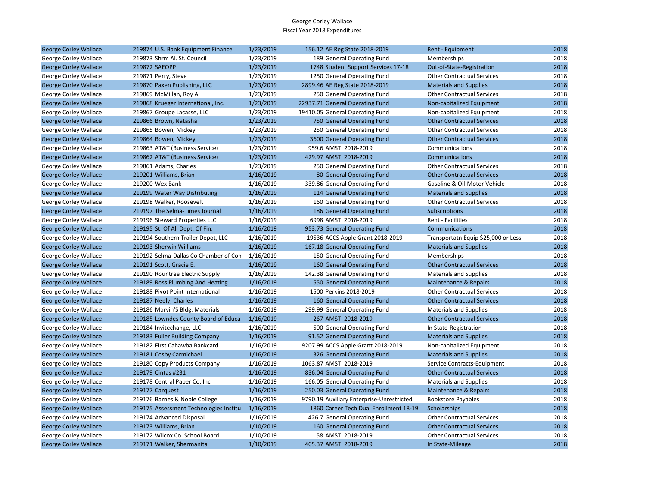| <b>George Corley Wallace</b> | 219874 U.S. Bank Equipment Finance     | 1/23/2019 | 156.12 AE Reg State 2018-2019             | Rent - Equipment                    | 2018 |
|------------------------------|----------------------------------------|-----------|-------------------------------------------|-------------------------------------|------|
| George Corley Wallace        | 219873 Shrm Al. St. Council            | 1/23/2019 | 189 General Operating Fund                | Memberships                         | 2018 |
| <b>George Corley Wallace</b> | 219872 SAEOPP                          | 1/23/2019 | 1748 Student Support Services 17-18       | Out-of-State-Registration           | 2018 |
| George Corley Wallace        | 219871 Perry, Steve                    | 1/23/2019 | 1250 General Operating Fund               | <b>Other Contractual Services</b>   | 2018 |
| <b>George Corley Wallace</b> | 219870 Paxen Publishing, LLC           | 1/23/2019 | 2899.46 AE Reg State 2018-2019            | <b>Materials and Supplies</b>       | 2018 |
| George Corley Wallace        | 219869 McMillan, Roy A.                | 1/23/2019 | 250 General Operating Fund                | <b>Other Contractual Services</b>   | 2018 |
| <b>George Corley Wallace</b> | 219868 Krueger International, Inc.     | 1/23/2019 | 22937.71 General Operating Fund           | Non-capitalized Equipment           | 2018 |
| George Corley Wallace        | 219867 Groupe Lacasse, LLC             | 1/23/2019 | 19410.05 General Operating Fund           | Non-capitalized Equipment           | 2018 |
| <b>George Corley Wallace</b> | 219866 Brown, Natasha                  | 1/23/2019 | 750 General Operating Fund                | <b>Other Contractual Services</b>   | 2018 |
| George Corley Wallace        | 219865 Bowen, Mickey                   | 1/23/2019 | 250 General Operating Fund                | <b>Other Contractual Services</b>   | 2018 |
| <b>George Corley Wallace</b> | 219864 Bowen, Mickey                   | 1/23/2019 | 3600 General Operating Fund               | <b>Other Contractual Services</b>   | 2018 |
| George Corley Wallace        | 219863 AT&T (Business Service)         | 1/23/2019 | 959.6 AMSTI 2018-2019                     | Communications                      | 2018 |
| <b>George Corley Wallace</b> | 219862 AT&T (Business Service)         | 1/23/2019 | 429.97 AMSTI 2018-2019                    | Communications                      | 2018 |
| George Corley Wallace        | 219861 Adams, Charles                  | 1/23/2019 | 250 General Operating Fund                | <b>Other Contractual Services</b>   | 2018 |
| <b>George Corley Wallace</b> | 219201 Williams, Brian                 | 1/16/2019 | 80 General Operating Fund                 | <b>Other Contractual Services</b>   | 2018 |
| George Corley Wallace        | 219200 Wex Bank                        | 1/16/2019 | 339.86 General Operating Fund             | Gasoline & Oil-Motor Vehicle        | 2018 |
| <b>George Corley Wallace</b> | 219199 Water Way Distributing          | 1/16/2019 | 114 General Operating Fund                | <b>Materials and Supplies</b>       | 2018 |
| George Corley Wallace        | 219198 Walker, Roosevelt               | 1/16/2019 | 160 General Operating Fund                | <b>Other Contractual Services</b>   | 2018 |
| <b>George Corley Wallace</b> | 219197 The Selma-Times Journal         | 1/16/2019 | 186 General Operating Fund                | <b>Subscriptions</b>                | 2018 |
| George Corley Wallace        | 219196 Steward Properties LLC          | 1/16/2019 | 6998 AMSTI 2018-2019                      | Rent - Facilities                   | 2018 |
| <b>George Corley Wallace</b> | 219195 St. Of Al. Dept. Of Fin.        | 1/16/2019 | 953.73 General Operating Fund             | Communications                      | 2018 |
| George Corley Wallace        | 219194 Southern Trailer Depot, LLC     | 1/16/2019 | 19536 ACCS Apple Grant 2018-2019          | Transportatn Equip \$25,000 or Less | 2018 |
| <b>George Corley Wallace</b> | 219193 Sherwin Williams                | 1/16/2019 | 167.18 General Operating Fund             | <b>Materials and Supplies</b>       | 2018 |
| George Corley Wallace        | 219192 Selma-Dallas Co Chamber of Con  | 1/16/2019 | 150 General Operating Fund                | Memberships                         | 2018 |
| <b>George Corley Wallace</b> | 219191 Scott, Gracie E.                | 1/16/2019 | 160 General Operating Fund                | <b>Other Contractual Services</b>   | 2018 |
| George Corley Wallace        | 219190 Rountree Electric Supply        | 1/16/2019 | 142.38 General Operating Fund             | <b>Materials and Supplies</b>       | 2018 |
| <b>George Corley Wallace</b> | 219189 Ross Plumbing And Heating       | 1/16/2019 | 550 General Operating Fund                | Maintenance & Repairs               | 2018 |
| George Corley Wallace        | 219188 Pivot Point International       | 1/16/2019 | 1500 Perkins 2018-2019                    | <b>Other Contractual Services</b>   | 2018 |
| <b>George Corley Wallace</b> | 219187 Neely, Charles                  | 1/16/2019 | 160 General Operating Fund                | <b>Other Contractual Services</b>   | 2018 |
| George Corley Wallace        | 219186 Marvin'S Bldg. Materials        | 1/16/2019 | 299.99 General Operating Fund             | <b>Materials and Supplies</b>       | 2018 |
| <b>George Corley Wallace</b> | 219185 Lowndes County Board of Educa   | 1/16/2019 | 267 AMSTI 2018-2019                       | <b>Other Contractual Services</b>   | 2018 |
| George Corley Wallace        | 219184 Invitechange, LLC               | 1/16/2019 | 500 General Operating Fund                | In State-Registration               | 2018 |
| <b>George Corley Wallace</b> | 219183 Fuller Building Company         | 1/16/2019 | 91.52 General Operating Fund              | <b>Materials and Supplies</b>       | 2018 |
| George Corley Wallace        | 219182 First Cahawba Bankcard          | 1/16/2019 | 9207.99 ACCS Apple Grant 2018-2019        | Non-capitalized Equipment           | 2018 |
| <b>George Corley Wallace</b> | 219181 Cosby Carmichael                | 1/16/2019 | 326 General Operating Fund                | <b>Materials and Supplies</b>       | 2018 |
| George Corley Wallace        | 219180 Copy Products Company           | 1/16/2019 | 1063.87 AMSTI 2018-2019                   | Service Contracts-Equipment         | 2018 |
| <b>George Corley Wallace</b> | 219179 Cintas #231                     | 1/16/2019 | 836.04 General Operating Fund             | <b>Other Contractual Services</b>   | 2018 |
| George Corley Wallace        | 219178 Central Paper Co, Inc           | 1/16/2019 | 166.05 General Operating Fund             | <b>Materials and Supplies</b>       | 2018 |
| <b>George Corley Wallace</b> | 219177 Carquest                        | 1/16/2019 | 250.03 General Operating Fund             | Maintenance & Repairs               | 2018 |
| George Corley Wallace        | 219176 Barnes & Noble College          | 1/16/2019 | 9790.19 Auxiliary Enterprise-Unrestricted | <b>Bookstore Payables</b>           | 2018 |
| <b>George Corley Wallace</b> | 219175 Assessment Technologies Institu | 1/16/2019 | 1860 Career Tech Dual Enrollment 18-19    | Scholarships                        | 2018 |
| George Corley Wallace        | 219174 Advanced Disposal               | 1/16/2019 | 426.7 General Operating Fund              | <b>Other Contractual Services</b>   | 2018 |
| <b>George Corley Wallace</b> | 219173 Williams, Brian                 | 1/10/2019 | 160 General Operating Fund                | <b>Other Contractual Services</b>   | 2018 |
| George Corley Wallace        | 219172 Wilcox Co. School Board         | 1/10/2019 | 58 AMSTI 2018-2019                        | <b>Other Contractual Services</b>   | 2018 |
| <b>George Corley Wallace</b> | 219171 Walker, Shermanita              | 1/10/2019 | 405.37 AMSTI 2018-2019                    | In State-Mileage                    | 2018 |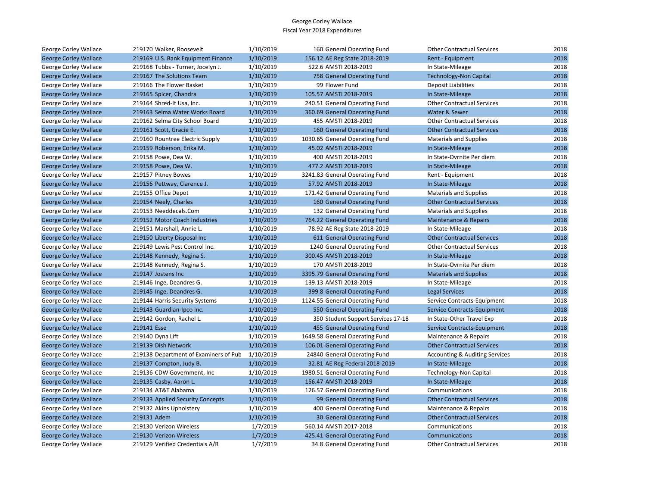| George Corley Wallace        | 219170 Walker, Roosevelt              | 1/10/2019 | 160 General Operating Fund         | <b>Other Contractual Services</b>         | 2018 |
|------------------------------|---------------------------------------|-----------|------------------------------------|-------------------------------------------|------|
| <b>George Corley Wallace</b> | 219169 U.S. Bank Equipment Finance    | 1/10/2019 | 156.12 AE Reg State 2018-2019      | Rent - Equipment                          | 2018 |
| George Corley Wallace        | 219168 Tubbs - Turner, Jocelyn J.     | 1/10/2019 | 522.6 AMSTI 2018-2019              | In State-Mileage                          | 2018 |
| <b>George Corley Wallace</b> | 219167 The Solutions Team             | 1/10/2019 | 758 General Operating Fund         | <b>Technology-Non Capital</b>             | 2018 |
| George Corley Wallace        | 219166 The Flower Basket              | 1/10/2019 | 99 Flower Fund                     | <b>Deposit Liabilities</b>                | 2018 |
| <b>George Corley Wallace</b> | 219165 Spicer, Chandra                | 1/10/2019 | 105.57 AMSTI 2018-2019             | In State-Mileage                          | 2018 |
| George Corley Wallace        | 219164 Shred-It Usa, Inc.             | 1/10/2019 | 240.51 General Operating Fund      | <b>Other Contractual Services</b>         | 2018 |
| <b>George Corley Wallace</b> | 219163 Selma Water Works Board        | 1/10/2019 | 360.69 General Operating Fund      | Water & Sewer                             | 2018 |
| George Corley Wallace        | 219162 Selma City School Board        | 1/10/2019 | 455 AMSTI 2018-2019                | <b>Other Contractual Services</b>         | 2018 |
| <b>George Corley Wallace</b> | 219161 Scott, Gracie E.               | 1/10/2019 | 160 General Operating Fund         | <b>Other Contractual Services</b>         | 2018 |
| George Corley Wallace        | 219160 Rountree Electric Supply       | 1/10/2019 | 1030.65 General Operating Fund     | <b>Materials and Supplies</b>             | 2018 |
| <b>George Corley Wallace</b> | 219159 Roberson, Erika M.             | 1/10/2019 | 45.02 AMSTI 2018-2019              | In State-Mileage                          | 2018 |
| George Corley Wallace        | 219158 Powe, Dea W.                   | 1/10/2019 | 400 AMSTI 2018-2019                | In State-Ovrnite Per diem                 | 2018 |
| <b>George Corley Wallace</b> | 219158 Powe, Dea W.                   | 1/10/2019 | 477.2 AMSTI 2018-2019              | In State-Mileage                          | 2018 |
| George Corley Wallace        | 219157 Pitney Bowes                   | 1/10/2019 | 3241.83 General Operating Fund     | Rent - Equipment                          | 2018 |
| <b>George Corley Wallace</b> | 219156 Pettway, Clarence J.           | 1/10/2019 | 57.92 AMSTI 2018-2019              | In State-Mileage                          | 2018 |
| George Corley Wallace        | 219155 Office Depot                   | 1/10/2019 | 171.42 General Operating Fund      | <b>Materials and Supplies</b>             | 2018 |
| <b>George Corley Wallace</b> | 219154 Neely, Charles                 | 1/10/2019 | 160 General Operating Fund         | <b>Other Contractual Services</b>         | 2018 |
| George Corley Wallace        | 219153 Needdecals.Com                 | 1/10/2019 | 132 General Operating Fund         | <b>Materials and Supplies</b>             | 2018 |
| <b>George Corley Wallace</b> | 219152 Motor Coach Industries         | 1/10/2019 | 764.22 General Operating Fund      | Maintenance & Repairs                     | 2018 |
| George Corley Wallace        | 219151 Marshall, Annie L.             | 1/10/2019 | 78.92 AE Reg State 2018-2019       | In State-Mileage                          | 2018 |
| <b>George Corley Wallace</b> | 219150 Liberty Disposal Inc           | 1/10/2019 | 611 General Operating Fund         | <b>Other Contractual Services</b>         | 2018 |
| George Corley Wallace        | 219149 Lewis Pest Control Inc.        | 1/10/2019 | 1240 General Operating Fund        | <b>Other Contractual Services</b>         | 2018 |
| <b>George Corley Wallace</b> | 219148 Kennedy, Regina S.             | 1/10/2019 | 300.45 AMSTI 2018-2019             | In State-Mileage                          | 2018 |
| George Corley Wallace        | 219148 Kennedy, Regina S.             | 1/10/2019 | 170 AMSTI 2018-2019                | In State-Ovrnite Per diem                 | 2018 |
| <b>George Corley Wallace</b> | 219147 Jostens Inc                    | 1/10/2019 | 3395.79 General Operating Fund     | <b>Materials and Supplies</b>             | 2018 |
| George Corley Wallace        | 219146 Inge, Deandres G.              | 1/10/2019 | 139.13 AMSTI 2018-2019             | In State-Mileage                          | 2018 |
| <b>George Corley Wallace</b> | 219145 Inge, Deandres G.              | 1/10/2019 | 399.8 General Operating Fund       | <b>Legal Services</b>                     | 2018 |
| George Corley Wallace        | 219144 Harris Security Systems        | 1/10/2019 | 1124.55 General Operating Fund     | Service Contracts-Equipment               | 2018 |
| <b>George Corley Wallace</b> | 219143 Guardian-Ipco Inc.             | 1/10/2019 | 550 General Operating Fund         | Service Contracts-Equipment               | 2018 |
| George Corley Wallace        | 219142 Gordon, Rachel L.              | 1/10/2019 | 350 Student Support Services 17-18 | In State-Other Travel Exp                 | 2018 |
| <b>George Corley Wallace</b> | 219141 Esse                           | 1/10/2019 | 455 General Operating Fund         | Service Contracts-Equipment               | 2018 |
| George Corley Wallace        | 219140 Dyna Lift                      | 1/10/2019 | 1649.58 General Operating Fund     | Maintenance & Repairs                     | 2018 |
| <b>George Corley Wallace</b> | 219139 Dish Network                   | 1/10/2019 | 106.01 General Operating Fund      | <b>Other Contractual Services</b>         | 2018 |
| George Corley Wallace        | 219138 Department of Examiners of Pub | 1/10/2019 | 24840 General Operating Fund       | <b>Accounting &amp; Auditing Services</b> | 2018 |
| <b>George Corley Wallace</b> | 219137 Compton, Judy B.               | 1/10/2019 | 32.81 AE Reg Federal 2018-2019     | In State-Mileage                          | 2018 |
| George Corley Wallace        | 219136 CDW Government, Inc.           | 1/10/2019 | 1980.51 General Operating Fund     | Technology-Non Capital                    | 2018 |
| <b>George Corley Wallace</b> | 219135 Casby, Aaron L.                | 1/10/2019 | 156.47 AMSTI 2018-2019             | In State-Mileage                          | 2018 |
| George Corley Wallace        | 219134 AT&T Alabama                   | 1/10/2019 | 126.57 General Operating Fund      | Communications                            | 2018 |
| <b>George Corley Wallace</b> | 219133 Applied Security Concepts      | 1/10/2019 | 99 General Operating Fund          | <b>Other Contractual Services</b>         | 2018 |
| George Corley Wallace        | 219132 Akins Upholstery               | 1/10/2019 | 400 General Operating Fund         | Maintenance & Repairs                     | 2018 |
| <b>George Corley Wallace</b> | 219131 Adem                           | 1/10/2019 | 30 General Operating Fund          | <b>Other Contractual Services</b>         | 2018 |
| George Corley Wallace        | 219130 Verizon Wireless               | 1/7/2019  | 560.14 AMSTI 2017-2018             | Communications                            | 2018 |
| <b>George Corley Wallace</b> | 219130 Verizon Wireless               | 1/7/2019  | 425.41 General Operating Fund      | Communications                            | 2018 |
| George Corley Wallace        | 219129 Verified Credentials A/R       | 1/7/2019  | 34.8 General Operating Fund        | <b>Other Contractual Services</b>         | 2018 |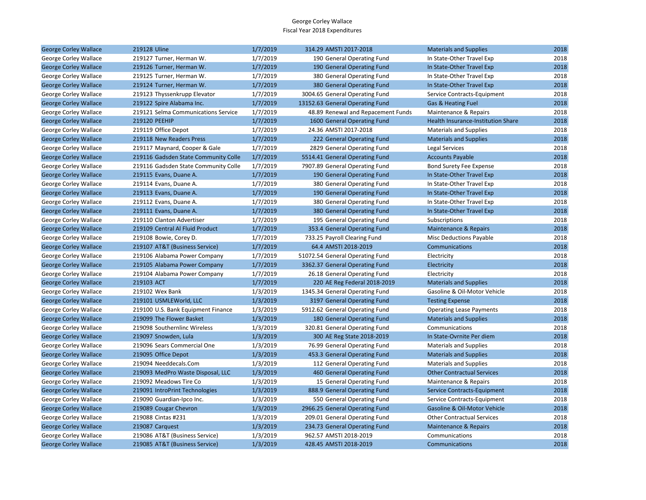| <b>George Corley Wallace</b> | 219128 Uline                         | 1/7/2019 | 314.29 AMSTI 2017-2018             | <b>Materials and Supplies</b>      | 2018 |
|------------------------------|--------------------------------------|----------|------------------------------------|------------------------------------|------|
| George Corley Wallace        | 219127 Turner, Herman W.             | 1/7/2019 | 190 General Operating Fund         | In State-Other Travel Exp          | 2018 |
| <b>George Corley Wallace</b> | 219126 Turner, Herman W.             | 1/7/2019 | 190 General Operating Fund         | In State-Other Travel Exp          | 2018 |
| George Corley Wallace        | 219125 Turner, Herman W.             | 1/7/2019 | 380 General Operating Fund         | In State-Other Travel Exp          | 2018 |
| <b>George Corley Wallace</b> | 219124 Turner, Herman W.             | 1/7/2019 | 380 General Operating Fund         | In State-Other Travel Exp          | 2018 |
| George Corley Wallace        | 219123 Thyssenkrupp Elevator         | 1/7/2019 | 3004.65 General Operating Fund     | Service Contracts-Equipment        | 2018 |
| <b>George Corley Wallace</b> | 219122 Spire Alabama Inc.            | 1/7/2019 | 13152.63 General Operating Fund    | Gas & Heating Fuel                 | 2018 |
| George Corley Wallace        | 219121 Selma Communications Service  | 1/7/2019 | 48.89 Renewal and Repacement Funds | Maintenance & Repairs              | 2018 |
| <b>George Corley Wallace</b> | 219120 PEEHIP                        | 1/7/2019 | 1600 General Operating Fund        | Health Insurance-Institution Share | 2018 |
| George Corley Wallace        | 219119 Office Depot                  | 1/7/2019 | 24.36 AMSTI 2017-2018              | <b>Materials and Supplies</b>      | 2018 |
| <b>George Corley Wallace</b> | 219118 New Readers Press             | 1/7/2019 | 222 General Operating Fund         | <b>Materials and Supplies</b>      | 2018 |
| George Corley Wallace        | 219117 Maynard, Cooper & Gale        | 1/7/2019 | 2829 General Operating Fund        | Legal Services                     | 2018 |
| <b>George Corley Wallace</b> | 219116 Gadsden State Community Colle | 1/7/2019 | 5514.41 General Operating Fund     | <b>Accounts Payable</b>            | 2018 |
| George Corley Wallace        | 219116 Gadsden State Community Colle | 1/7/2019 | 7907.89 General Operating Fund     | Bond Surety Fee Expense            | 2018 |
| <b>George Corley Wallace</b> | 219115 Evans, Duane A.               | 1/7/2019 | 190 General Operating Fund         | In State-Other Travel Exp          | 2018 |
| George Corley Wallace        | 219114 Evans, Duane A.               | 1/7/2019 | 380 General Operating Fund         | In State-Other Travel Exp          | 2018 |
| <b>George Corley Wallace</b> | 219113 Evans, Duane A.               | 1/7/2019 | 190 General Operating Fund         | In State-Other Travel Exp          | 2018 |
| George Corley Wallace        | 219112 Evans, Duane A.               | 1/7/2019 | 380 General Operating Fund         | In State-Other Travel Exp          | 2018 |
| <b>George Corley Wallace</b> | 219111 Evans, Duane A.               | 1/7/2019 | 380 General Operating Fund         | In State-Other Travel Exp          | 2018 |
| George Corley Wallace        | 219110 Clanton Advertiser            | 1/7/2019 | 195 General Operating Fund         | Subscriptions                      | 2018 |
| <b>George Corley Wallace</b> | 219109 Central Al Fluid Product      | 1/7/2019 | 353.4 General Operating Fund       | Maintenance & Repairs              | 2018 |
| George Corley Wallace        | 219108 Bowie, Corey D.               | 1/7/2019 | 733.25 Payroll Clearing Fund       | <b>Misc Deductions Payable</b>     | 2018 |
| <b>George Corley Wallace</b> | 219107 AT&T (Business Service)       | 1/7/2019 | 64.4 AMSTI 2018-2019               | Communications                     | 2018 |
| George Corley Wallace        | 219106 Alabama Power Company         | 1/7/2019 | 51072.54 General Operating Fund    | Electricity                        | 2018 |
| <b>George Corley Wallace</b> | 219105 Alabama Power Company         | 1/7/2019 | 3362.37 General Operating Fund     | Electricity                        | 2018 |
| George Corley Wallace        | 219104 Alabama Power Company         | 1/7/2019 | 26.18 General Operating Fund       | Electricity                        | 2018 |
| <b>George Corley Wallace</b> | 219103 ACT                           | 1/7/2019 | 220 AE Reg Federal 2018-2019       | <b>Materials and Supplies</b>      | 2018 |
| George Corley Wallace        | 219102 Wex Bank                      | 1/3/2019 | 1345.34 General Operating Fund     | Gasoline & Oil-Motor Vehicle       | 2018 |
| <b>George Corley Wallace</b> | 219101 USMLEWorld, LLC               | 1/3/2019 | 3197 General Operating Fund        | <b>Testing Expense</b>             | 2018 |
| George Corley Wallace        | 219100 U.S. Bank Equipment Finance   | 1/3/2019 | 5912.62 General Operating Fund     | <b>Operating Lease Payments</b>    | 2018 |
| <b>George Corley Wallace</b> | 219099 The Flower Basket             | 1/3/2019 | 180 General Operating Fund         | <b>Materials and Supplies</b>      | 2018 |
| George Corley Wallace        | 219098 Southernlinc Wireless         | 1/3/2019 | 320.81 General Operating Fund      | Communications                     | 2018 |
| <b>George Corley Wallace</b> | 219097 Snowden, Lula                 | 1/3/2019 | 300 AE Reg State 2018-2019         | In State-Ovrnite Per diem          | 2018 |
| George Corley Wallace        | 219096 Sears Commercial One          | 1/3/2019 | 76.99 General Operating Fund       | <b>Materials and Supplies</b>      | 2018 |
| <b>George Corley Wallace</b> | 219095 Office Depot                  | 1/3/2019 | 453.3 General Operating Fund       | <b>Materials and Supplies</b>      | 2018 |
| George Corley Wallace        | 219094 Needdecals.Com                | 1/3/2019 | 112 General Operating Fund         | <b>Materials and Supplies</b>      | 2018 |
| <b>George Corley Wallace</b> | 219093 MedPro Waste Disposal, LLC    | 1/3/2019 | 460 General Operating Fund         | <b>Other Contractual Services</b>  | 2018 |
| George Corley Wallace        | 219092 Meadows Tire Co               | 1/3/2019 | 15 General Operating Fund          | Maintenance & Repairs              | 2018 |
| <b>George Corley Wallace</b> | 219091 IntroPrint Technologies       | 1/3/2019 | 888.9 General Operating Fund       | Service Contracts-Equipment        | 2018 |
| George Corley Wallace        | 219090 Guardian-Ipco Inc.            | 1/3/2019 | 550 General Operating Fund         | Service Contracts-Equipment        | 2018 |
| <b>George Corley Wallace</b> | 219089 Cougar Chevron                | 1/3/2019 | 2966.25 General Operating Fund     | Gasoline & Oil-Motor Vehicle       | 2018 |
| George Corley Wallace        | 219088 Cintas #231                   | 1/3/2019 | 209.01 General Operating Fund      | <b>Other Contractual Services</b>  | 2018 |
| <b>George Corley Wallace</b> | 219087 Carguest                      | 1/3/2019 | 234.73 General Operating Fund      | <b>Maintenance &amp; Repairs</b>   | 2018 |
| George Corley Wallace        | 219086 AT&T (Business Service)       | 1/3/2019 | 962.57 AMSTI 2018-2019             | Communications                     | 2018 |
| <b>George Corley Wallace</b> | 219085 AT&T (Business Service)       | 1/3/2019 | 428.45 AMSTI 2018-2019             | Communications                     | 2018 |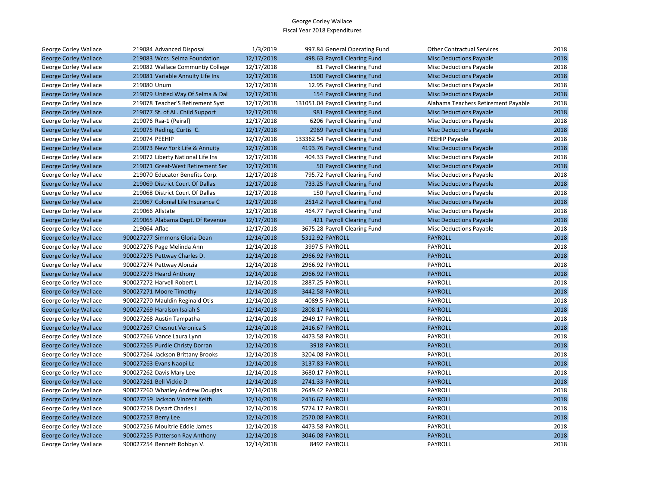| George Corley Wallace        | 219084 Advanced Disposal          | 1/3/2019   | 997.84 General Operating Fund   | <b>Other Contractual Services</b>   | 2018 |
|------------------------------|-----------------------------------|------------|---------------------------------|-------------------------------------|------|
| <b>George Corley Wallace</b> | 219083 Wccs Selma Foundation      | 12/17/2018 | 498.63 Payroll Clearing Fund    | <b>Misc Deductions Payable</b>      | 2018 |
| George Corley Wallace        | 219082 Wallace Communtiy College  | 12/17/2018 | 81 Payroll Clearing Fund        | <b>Misc Deductions Payable</b>      | 2018 |
| <b>George Corley Wallace</b> | 219081 Variable Annuity Life Ins  | 12/17/2018 | 1500 Payroll Clearing Fund      | <b>Misc Deductions Payable</b>      | 2018 |
| George Corley Wallace        | 219080 Unum                       | 12/17/2018 | 12.95 Payroll Clearing Fund     | <b>Misc Deductions Payable</b>      | 2018 |
| <b>George Corley Wallace</b> | 219079 United Way Of Selma & Dal  | 12/17/2018 | 154 Payroll Clearing Fund       | <b>Misc Deductions Payable</b>      | 2018 |
| George Corley Wallace        | 219078 Teacher'S Retirement Syst  | 12/17/2018 | 131051.04 Payroll Clearing Fund | Alabama Teachers Retirement Payable | 2018 |
| <b>George Corley Wallace</b> | 219077 St. of AL. Child Support   | 12/17/2018 | 981 Payroll Clearing Fund       | <b>Misc Deductions Payable</b>      | 2018 |
| George Corley Wallace        | 219076 Rsa-1 (Peiraf)             | 12/17/2018 | 6206 Payroll Clearing Fund      | <b>Misc Deductions Payable</b>      | 2018 |
| <b>George Corley Wallace</b> | 219075 Reding, Curtis C.          | 12/17/2018 | 2969 Payroll Clearing Fund      | <b>Misc Deductions Payable</b>      | 2018 |
| George Corley Wallace        | 219074 PEEHIP                     | 12/17/2018 | 133362.54 Payroll Clearing Fund | PEEHIP Payable                      | 2018 |
| <b>George Corley Wallace</b> | 219073 New York Life & Annuity    | 12/17/2018 | 4193.76 Payroll Clearing Fund   | <b>Misc Deductions Payable</b>      | 2018 |
| George Corley Wallace        | 219072 Liberty National Life Ins  | 12/17/2018 | 404.33 Payroll Clearing Fund    | Misc Deductions Payable             | 2018 |
| <b>George Corley Wallace</b> | 219071 Great-West Retirement Ser  | 12/17/2018 | 50 Payroll Clearing Fund        | <b>Misc Deductions Payable</b>      | 2018 |
| George Corley Wallace        | 219070 Educator Benefits Corp.    | 12/17/2018 | 795.72 Payroll Clearing Fund    | <b>Misc Deductions Payable</b>      | 2018 |
| <b>George Corley Wallace</b> | 219069 District Court Of Dallas   | 12/17/2018 | 733.25 Payroll Clearing Fund    | <b>Misc Deductions Payable</b>      | 2018 |
| George Corley Wallace        | 219068 District Court Of Dallas   | 12/17/2018 | 150 Payroll Clearing Fund       | <b>Misc Deductions Payable</b>      | 2018 |
| <b>George Corley Wallace</b> | 219067 Colonial Life Insurance C  | 12/17/2018 | 2514.2 Payroll Clearing Fund    | <b>Misc Deductions Payable</b>      | 2018 |
| George Corley Wallace        | 219066 Allstate                   | 12/17/2018 | 464.77 Payroll Clearing Fund    | <b>Misc Deductions Payable</b>      | 2018 |
| <b>George Corley Wallace</b> | 219065 Alabama Dept. Of Revenue   | 12/17/2018 | 421 Payroll Clearing Fund       | <b>Misc Deductions Payable</b>      | 2018 |
| George Corley Wallace        | 219064 Aflac                      | 12/17/2018 | 3675.28 Payroll Clearing Fund   | <b>Misc Deductions Payable</b>      | 2018 |
| <b>George Corley Wallace</b> | 900027277 Simmons Gloria Dean     | 12/14/2018 | 5312.92 PAYROLL                 | <b>PAYROLL</b>                      | 2018 |
| George Corley Wallace        | 900027276 Page Melinda Ann        | 12/14/2018 | 3997.5 PAYROLL                  | PAYROLL                             | 2018 |
| <b>George Corley Wallace</b> | 900027275 Pettway Charles D.      | 12/14/2018 | 2966.92 PAYROLL                 | <b>PAYROLL</b>                      | 2018 |
| George Corley Wallace        | 900027274 Pettway Alonzia         | 12/14/2018 | 2966.92 PAYROLL                 | <b>PAYROLL</b>                      | 2018 |
| <b>George Corley Wallace</b> | 900027273 Heard Anthony           | 12/14/2018 | 2966.92 PAYROLL                 | <b>PAYROLL</b>                      | 2018 |
| George Corley Wallace        | 900027272 Harvell Robert L        | 12/14/2018 | 2887.25 PAYROLL                 | PAYROLL                             | 2018 |
| <b>George Corley Wallace</b> | 900027271 Moore Timothy           | 12/14/2018 | 3442.58 PAYROLL                 | <b>PAYROLL</b>                      | 2018 |
| George Corley Wallace        | 900027270 Mauldin Reginald Otis   | 12/14/2018 | 4089.5 PAYROLL                  | <b>PAYROLL</b>                      | 2018 |
| <b>George Corley Wallace</b> | 900027269 Haralson Isaiah S       | 12/14/2018 | 2808.17 PAYROLL                 | <b>PAYROLL</b>                      | 2018 |
| George Corley Wallace        | 900027268 Austin Tampatha         | 12/14/2018 | 2949.17 PAYROLL                 | PAYROLL                             | 2018 |
| <b>George Corley Wallace</b> | 900027267 Chesnut Veronica S      | 12/14/2018 | 2416.67 PAYROLL                 | <b>PAYROLL</b>                      | 2018 |
| George Corley Wallace        | 900027266 Vance Laura Lynn        | 12/14/2018 | 4473.58 PAYROLL                 | <b>PAYROLL</b>                      | 2018 |
| <b>George Corley Wallace</b> | 900027265 Purdie Christy Dorran   | 12/14/2018 | 3918 PAYROLL                    | <b>PAYROLL</b>                      | 2018 |
| George Corley Wallace        | 900027264 Jackson Brittany Brooks | 12/14/2018 | 3204.08 PAYROLL                 | PAYROLL                             | 2018 |
| <b>George Corley Wallace</b> | 900027263 Evans Naopi Lc          | 12/14/2018 | 3137.83 PAYROLL                 | <b>PAYROLL</b>                      | 2018 |
| George Corley Wallace        | 900027262 Davis Mary Lee          | 12/14/2018 | 3680.17 PAYROLL                 | PAYROLL                             | 2018 |
| <b>George Corley Wallace</b> | 900027261 Bell Vickie D           | 12/14/2018 | 2741.33 PAYROLL                 | <b>PAYROLL</b>                      | 2018 |
| George Corley Wallace        | 900027260 Whatley Andrew Douglas  | 12/14/2018 | 2649.42 PAYROLL                 | <b>PAYROLL</b>                      | 2018 |
| <b>George Corley Wallace</b> | 900027259 Jackson Vincent Keith   | 12/14/2018 | 2416.67 PAYROLL                 | <b>PAYROLL</b>                      | 2018 |
| George Corley Wallace        | 900027258 Dysart Charles J        | 12/14/2018 | 5774.17 PAYROLL                 | PAYROLL                             | 2018 |
| <b>George Corley Wallace</b> | 900027257 Berry Lee               | 12/14/2018 | 2570.08 PAYROLL                 | <b>PAYROLL</b>                      | 2018 |
| George Corley Wallace        | 900027256 Moultrie Eddie James    | 12/14/2018 | 4473.58 PAYROLL                 | <b>PAYROLL</b>                      | 2018 |
| <b>George Corley Wallace</b> | 900027255 Patterson Ray Anthony   | 12/14/2018 | 3046.08 PAYROLL                 | <b>PAYROLL</b>                      | 2018 |
| George Corley Wallace        | 900027254 Bennett Robbyn V.       | 12/14/2018 | 8492 PAYROLL                    | PAYROLL                             | 2018 |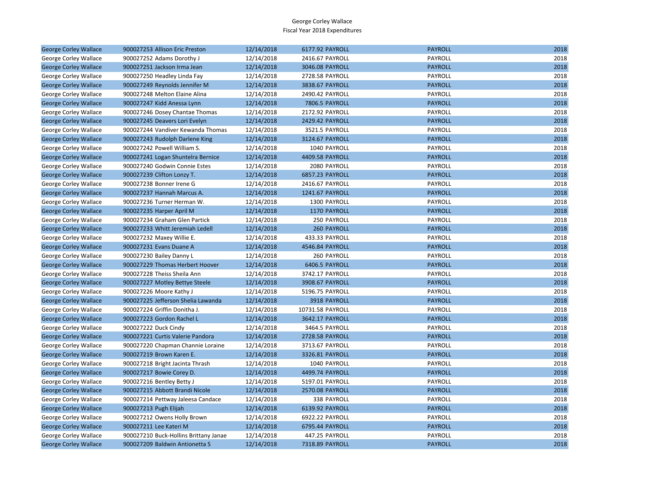| <b>George Corley Wallace</b> | 900027253 Allison Eric Preston        | 12/14/2018 | 6177.92 PAYROLL       | <b>PAYROLL</b> | 2018 |
|------------------------------|---------------------------------------|------------|-----------------------|----------------|------|
| George Corley Wallace        | 900027252 Adams Dorothy J             | 12/14/2018 | 2416.67 PAYROLL       | PAYROLL        | 2018 |
| <b>George Corley Wallace</b> | 900027251 Jackson Irma Jean           | 12/14/2018 | 3046.08 PAYROLL       | <b>PAYROLL</b> | 2018 |
| George Corley Wallace        | 900027250 Headley Linda Fay           | 12/14/2018 | 2728.58 PAYROLL       | PAYROLL        | 2018 |
| <b>George Corley Wallace</b> | 900027249 Reynolds Jennifer M         | 12/14/2018 | 3838.67 PAYROLL       | <b>PAYROLL</b> | 2018 |
| George Corley Wallace        | 900027248 Melton Elaine Alina         | 12/14/2018 | 2490.42 PAYROLL       | PAYROLL        | 2018 |
| <b>George Corley Wallace</b> | 900027247 Kidd Anessa Lynn            | 12/14/2018 | <b>7806.5 PAYROLL</b> | <b>PAYROLL</b> | 2018 |
| George Corley Wallace        | 900027246 Dosey Chantae Thomas        | 12/14/2018 | 2172.92 PAYROLL       | PAYROLL        | 2018 |
| <b>George Corley Wallace</b> | 900027245 Deavers Lori Evelyn         | 12/14/2018 | 2429.42 PAYROLL       | <b>PAYROLL</b> | 2018 |
| George Corley Wallace        | 900027244 Vandiver Kewanda Thomas     | 12/14/2018 | 3521.5 PAYROLL        | PAYROLL        | 2018 |
| <b>George Corley Wallace</b> | 900027243 Rudolph Darlene King        | 12/14/2018 | 3124.67 PAYROLL       | <b>PAYROLL</b> | 2018 |
| George Corley Wallace        | 900027242 Powell William S.           | 12/14/2018 | 1040 PAYROLL          | PAYROLL        | 2018 |
| <b>George Corley Wallace</b> | 900027241 Logan Shuntelra Bernice     | 12/14/2018 | 4409.58 PAYROLL       | <b>PAYROLL</b> | 2018 |
| George Corley Wallace        | 900027240 Godwin Connie Estes         | 12/14/2018 | 2080 PAYROLL          | PAYROLL        | 2018 |
| <b>George Corley Wallace</b> | 900027239 Clifton Lonzy T.            | 12/14/2018 | 6857.23 PAYROLL       | <b>PAYROLL</b> | 2018 |
| George Corley Wallace        | 900027238 Bonner Irene G              | 12/14/2018 | 2416.67 PAYROLL       | PAYROLL        | 2018 |
| <b>George Corley Wallace</b> | 900027237 Hannah Marcus A.            | 12/14/2018 | 1241.67 PAYROLL       | <b>PAYROLL</b> | 2018 |
| George Corley Wallace        | 900027236 Turner Herman W.            | 12/14/2018 | 1300 PAYROLL          | PAYROLL        | 2018 |
| <b>George Corley Wallace</b> | 900027235 Harper April M              | 12/14/2018 | 1170 PAYROLL          | <b>PAYROLL</b> | 2018 |
| George Corley Wallace        | 900027234 Graham Glen Partick         | 12/14/2018 | 250 PAYROLL           | <b>PAYROLL</b> | 2018 |
| <b>George Corley Wallace</b> | 900027233 Whitt Jeremiah Ledell       | 12/14/2018 | 260 PAYROLL           | <b>PAYROLL</b> | 2018 |
| George Corley Wallace        | 900027232 Maxey Willie E.             | 12/14/2018 | 433.33 PAYROLL        | PAYROLL        | 2018 |
| <b>George Corley Wallace</b> | 900027231 Evans Duane A               | 12/14/2018 | 4546.84 PAYROLL       | <b>PAYROLL</b> | 2018 |
| George Corley Wallace        | 900027230 Bailey Danny L              | 12/14/2018 | 260 PAYROLL           | PAYROLL        | 2018 |
| <b>George Corley Wallace</b> | 900027229 Thomas Herbert Hoover       | 12/14/2018 | 6406.5 PAYROLL        | <b>PAYROLL</b> | 2018 |
| George Corley Wallace        | 900027228 Theiss Sheila Ann           | 12/14/2018 | 3742.17 PAYROLL       | PAYROLL        | 2018 |
| <b>George Corley Wallace</b> | 900027227 Motley Bettye Steele        | 12/14/2018 | 3908.67 PAYROLL       | <b>PAYROLL</b> | 2018 |
| George Corley Wallace        | 900027226 Moore Kathy J               | 12/14/2018 | 5196.75 PAYROLL       | PAYROLL        | 2018 |
| <b>George Corley Wallace</b> | 900027225 Jefferson Shelia Lawanda    | 12/14/2018 | 3918 PAYROLL          | <b>PAYROLL</b> | 2018 |
| George Corley Wallace        | 900027224 Griffin Donitha J.          | 12/14/2018 | 10731.58 PAYROLL      | PAYROLL        | 2018 |
| <b>George Corley Wallace</b> | 900027223 Gordon Rachel L             | 12/14/2018 | 3642.17 PAYROLL       | <b>PAYROLL</b> | 2018 |
| George Corley Wallace        | 900027222 Duck Cindy                  | 12/14/2018 | 3464.5 PAYROLL        | PAYROLL        | 2018 |
| <b>George Corley Wallace</b> | 900027221 Curtis Valerie Pandora      | 12/14/2018 | 2728.58 PAYROLL       | <b>PAYROLL</b> | 2018 |
| George Corley Wallace        | 900027220 Chapman Channie Loraine     | 12/14/2018 | 3713.67 PAYROLL       | PAYROLL        | 2018 |
| <b>George Corley Wallace</b> | 900027219 Brown Karen E.              | 12/14/2018 | 3326.81 PAYROLL       | <b>PAYROLL</b> | 2018 |
| George Corley Wallace        | 900027218 Bright Jacinta Thrash       | 12/14/2018 | 1040 PAYROLL          | PAYROLL        | 2018 |
| <b>George Corley Wallace</b> | 900027217 Bowie Corey D.              | 12/14/2018 | 4499.74 PAYROLL       | <b>PAYROLL</b> | 2018 |
| George Corley Wallace        | 900027216 Bentley Betty J             | 12/14/2018 | 5197.01 PAYROLL       | PAYROLL        | 2018 |
| <b>George Corley Wallace</b> | 900027215 Abbott Brandi Nicole        | 12/14/2018 | 2570.08 PAYROLL       | <b>PAYROLL</b> | 2018 |
| George Corley Wallace        | 900027214 Pettway Jaleesa Candace     | 12/14/2018 | 338 PAYROLL           | PAYROLL        | 2018 |
| <b>George Corley Wallace</b> | 900027213 Pugh Elijah                 | 12/14/2018 | 6139.92 PAYROLL       | <b>PAYROLL</b> | 2018 |
| George Corley Wallace        | 900027212 Owens Holly Brown           | 12/14/2018 | 6922.22 PAYROLL       | PAYROLL        | 2018 |
| <b>George Corley Wallace</b> | 900027211 Lee Kateri M                | 12/14/2018 | 6795.44 PAYROLL       | <b>PAYROLL</b> | 2018 |
| George Corley Wallace        | 900027210 Buck-Hollins Brittany Janae | 12/14/2018 | 447.25 PAYROLL        | PAYROLL        | 2018 |
| <b>George Corley Wallace</b> | 900027209 Baldwin Antionetta S        | 12/14/2018 | 7318.89 PAYROLL       | <b>PAYROLL</b> | 2018 |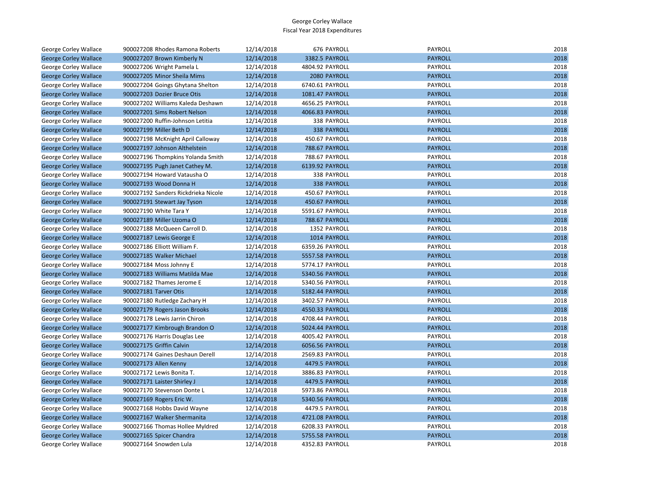| George Corley Wallace        | 900027208 Rhodes Ramona Roberts     | 12/14/2018 | 676 PAYROLL           | PAYROLL        | 2018 |
|------------------------------|-------------------------------------|------------|-----------------------|----------------|------|
| <b>George Corley Wallace</b> | 900027207 Brown Kimberly N          | 12/14/2018 | 3382.5 PAYROLL        | <b>PAYROLL</b> | 2018 |
| <b>George Corley Wallace</b> | 900027206 Wright Pamela L           | 12/14/2018 | 4804.92 PAYROLL       | PAYROLL        | 2018 |
| <b>George Corley Wallace</b> | 900027205 Minor Sheila Mims         | 12/14/2018 | 2080 PAYROLL          | <b>PAYROLL</b> | 2018 |
| George Corley Wallace        | 900027204 Goings Ghytana Shelton    | 12/14/2018 | 6740.61 PAYROLL       | PAYROLL        | 2018 |
| <b>George Corley Wallace</b> | 900027203 Dozier Bruce Otis         | 12/14/2018 | 1081.47 PAYROLL       | <b>PAYROLL</b> | 2018 |
| George Corley Wallace        | 900027202 Williams Kaleda Deshawn   | 12/14/2018 | 4656.25 PAYROLL       | PAYROLL        | 2018 |
| <b>George Corley Wallace</b> | 900027201 Sims Robert Nelson        | 12/14/2018 | 4066.83 PAYROLL       | <b>PAYROLL</b> | 2018 |
| George Corley Wallace        | 900027200 Ruffin-Johnson Letitia    | 12/14/2018 | 338 PAYROLL           | PAYROLL        | 2018 |
| <b>George Corley Wallace</b> | 900027199 Miller Beth D             | 12/14/2018 | 338 PAYROLL           | <b>PAYROLL</b> | 2018 |
| George Corley Wallace        | 900027198 McKnight April Calloway   | 12/14/2018 | 450.67 PAYROLL        | PAYROLL        | 2018 |
| <b>George Corley Wallace</b> | 900027197 Johnson Althelstein       | 12/14/2018 | 788.67 PAYROLL        | <b>PAYROLL</b> | 2018 |
| George Corley Wallace        | 900027196 Thompkins Yolanda Smith   | 12/14/2018 | 788.67 PAYROLL        | PAYROLL        | 2018 |
| <b>George Corley Wallace</b> | 900027195 Pugh Janet Cathey M.      | 12/14/2018 | 6139.92 PAYROLL       | <b>PAYROLL</b> | 2018 |
| George Corley Wallace        | 900027194 Howard Vatausha O         | 12/14/2018 | 338 PAYROLL           | PAYROLL        | 2018 |
| <b>George Corley Wallace</b> | 900027193 Wood Donna H              | 12/14/2018 | 338 PAYROLL           | <b>PAYROLL</b> | 2018 |
| George Corley Wallace        | 900027192 Sanders Rickdrieka Nicole | 12/14/2018 | 450.67 PAYROLL        | PAYROLL        | 2018 |
| <b>George Corley Wallace</b> | 900027191 Stewart Jay Tyson         | 12/14/2018 | 450.67 PAYROLL        | <b>PAYROLL</b> | 2018 |
| George Corley Wallace        | 900027190 White Tara Y              | 12/14/2018 | 5591.67 PAYROLL       | PAYROLL        | 2018 |
| <b>George Corley Wallace</b> | 900027189 Miller Uzoma O            | 12/14/2018 | 788.67 PAYROLL        | <b>PAYROLL</b> | 2018 |
| George Corley Wallace        | 900027188 McQueen Carroll D.        | 12/14/2018 | 1352 PAYROLL          | PAYROLL        | 2018 |
| <b>George Corley Wallace</b> | 900027187 Lewis George E            | 12/14/2018 | 1014 PAYROLL          | <b>PAYROLL</b> | 2018 |
| George Corley Wallace        | 900027186 Elliott William F.        | 12/14/2018 | 6359.26 PAYROLL       | PAYROLL        | 2018 |
| <b>George Corley Wallace</b> | 900027185 Walker Michael            | 12/14/2018 | 5557.58 PAYROLL       | <b>PAYROLL</b> | 2018 |
| George Corley Wallace        | 900027184 Moss Johnny E             | 12/14/2018 | 5774.17 PAYROLL       | PAYROLL        | 2018 |
| <b>George Corley Wallace</b> | 900027183 Williams Matilda Mae      | 12/14/2018 | 5340.56 PAYROLL       | <b>PAYROLL</b> | 2018 |
| George Corley Wallace        | 900027182 Thames Jerome E           | 12/14/2018 | 5340.56 PAYROLL       | PAYROLL        | 2018 |
| <b>George Corley Wallace</b> | 900027181 Tarver Otis               | 12/14/2018 | 5182.44 PAYROLL       | <b>PAYROLL</b> | 2018 |
| George Corley Wallace        | 900027180 Rutledge Zachary H        | 12/14/2018 | 3402.57 PAYROLL       | PAYROLL        | 2018 |
| <b>George Corley Wallace</b> | 900027179 Rogers Jason Brooks       | 12/14/2018 | 4550.33 PAYROLL       | <b>PAYROLL</b> | 2018 |
| George Corley Wallace        | 900027178 Lewis Jarrin Chiron       | 12/14/2018 | 4708.44 PAYROLL       | PAYROLL        | 2018 |
| <b>George Corley Wallace</b> | 900027177 Kimbrough Brandon O       | 12/14/2018 | 5024.44 PAYROLL       | <b>PAYROLL</b> | 2018 |
| George Corley Wallace        | 900027176 Harris Douglas Lee        | 12/14/2018 | 4005.42 PAYROLL       | PAYROLL        | 2018 |
| <b>George Corley Wallace</b> | 900027175 Griffin Calvin            | 12/14/2018 | 6056.56 PAYROLL       | <b>PAYROLL</b> | 2018 |
| George Corley Wallace        | 900027174 Gaines Deshaun Derell     | 12/14/2018 | 2569.83 PAYROLL       | PAYROLL        | 2018 |
| <b>George Corley Wallace</b> | 900027173 Allen Kenny               | 12/14/2018 | <b>4479.5 PAYROLL</b> | <b>PAYROLL</b> | 2018 |
| George Corley Wallace        | 900027172 Lewis Bonita T.           | 12/14/2018 | 3886.83 PAYROLL       | PAYROLL        | 2018 |
| <b>George Corley Wallace</b> | 900027171 Laister Shirley J         | 12/14/2018 | 4479.5 PAYROLL        | <b>PAYROLL</b> | 2018 |
| George Corley Wallace        | 900027170 Stevenson Donte L         | 12/14/2018 | 5973.86 PAYROLL       | PAYROLL        | 2018 |
| <b>George Corley Wallace</b> | 900027169 Rogers Eric W.            | 12/14/2018 | 5340.56 PAYROLL       | <b>PAYROLL</b> | 2018 |
| George Corley Wallace        | 900027168 Hobbs David Wayne         | 12/14/2018 | 4479.5 PAYROLL        | PAYROLL        | 2018 |
| <b>George Corley Wallace</b> | 900027167 Walker Shermanita         | 12/14/2018 | 4721.08 PAYROLL       | <b>PAYROLL</b> | 2018 |
| George Corley Wallace        | 900027166 Thomas Hollee Myldred     | 12/14/2018 | 6208.33 PAYROLL       | PAYROLL        | 2018 |
| <b>George Corley Wallace</b> | 900027165 Spicer Chandra            | 12/14/2018 | 5755.58 PAYROLL       | <b>PAYROLL</b> | 2018 |
| <b>George Corley Wallace</b> | 900027164 Snowden Lula              | 12/14/2018 | 4352.83 PAYROLL       | PAYROLL        | 2018 |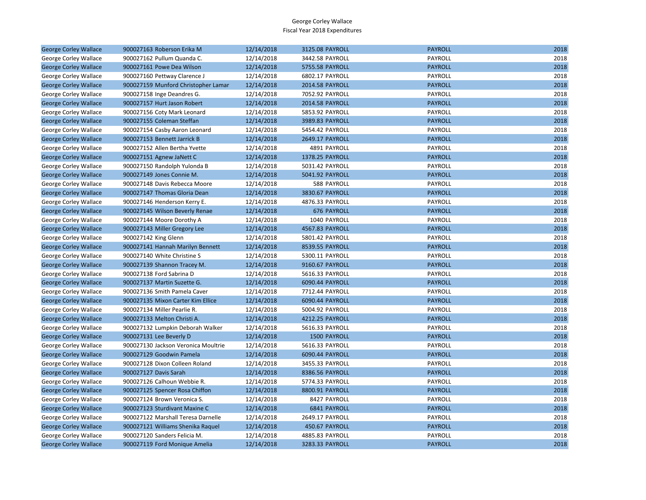| <b>George Corley Wallace</b> | 900027163 Roberson Erika M          | 12/14/2018 | 3125.08 PAYROLL | <b>PAYROLL</b> | 2018 |
|------------------------------|-------------------------------------|------------|-----------------|----------------|------|
| George Corley Wallace        | 900027162 Pullum Quanda C.          | 12/14/2018 | 3442.58 PAYROLL | PAYROLL        | 2018 |
| <b>George Corley Wallace</b> | 900027161 Powe Dea Wilson           | 12/14/2018 | 5755.58 PAYROLL | <b>PAYROLL</b> | 2018 |
| George Corley Wallace        | 900027160 Pettway Clarence J        | 12/14/2018 | 6802.17 PAYROLL | PAYROLL        | 2018 |
| <b>George Corley Wallace</b> | 900027159 Munford Christopher Lamar | 12/14/2018 | 2014.58 PAYROLL | <b>PAYROLL</b> | 2018 |
| George Corley Wallace        | 900027158 Inge Deandres G.          | 12/14/2018 | 7052.92 PAYROLL | PAYROLL        | 2018 |
| <b>George Corley Wallace</b> | 900027157 Hurt Jason Robert         | 12/14/2018 | 2014.58 PAYROLL | <b>PAYROLL</b> | 2018 |
| George Corley Wallace        | 900027156 Coty Mark Leonard         | 12/14/2018 | 5853.92 PAYROLL | PAYROLL        | 2018 |
| <b>George Corley Wallace</b> | 900027155 Coleman Steffan           | 12/14/2018 | 3989.83 PAYROLL | <b>PAYROLL</b> | 2018 |
| George Corley Wallace        | 900027154 Casby Aaron Leonard       | 12/14/2018 | 5454.42 PAYROLL | PAYROLL        | 2018 |
| <b>George Corley Wallace</b> | 900027153 Bennett Jarrick B         | 12/14/2018 | 2649.17 PAYROLL | <b>PAYROLL</b> | 2018 |
| George Corley Wallace        | 900027152 Allen Bertha Yvette       | 12/14/2018 | 4891 PAYROLL    | PAYROLL        | 2018 |
| <b>George Corley Wallace</b> | 900027151 Agnew JaNett C            | 12/14/2018 | 1378.25 PAYROLL | <b>PAYROLL</b> | 2018 |
| George Corley Wallace        | 900027150 Randolph Yulonda B        | 12/14/2018 | 5031.42 PAYROLL | PAYROLL        | 2018 |
| <b>George Corley Wallace</b> | 900027149 Jones Connie M.           | 12/14/2018 | 5041.92 PAYROLL | <b>PAYROLL</b> | 2018 |
| George Corley Wallace        | 900027148 Davis Rebecca Moore       | 12/14/2018 | 588 PAYROLL     | PAYROLL        | 2018 |
| <b>George Corley Wallace</b> | 900027147 Thomas Gloria Dean        | 12/14/2018 | 3830.67 PAYROLL | <b>PAYROLL</b> | 2018 |
| George Corley Wallace        | 900027146 Henderson Kerry E.        | 12/14/2018 | 4876.33 PAYROLL | PAYROLL        | 2018 |
| <b>George Corley Wallace</b> | 900027145 Wilson Beverly Renae      | 12/14/2018 | 676 PAYROLL     | <b>PAYROLL</b> | 2018 |
| George Corley Wallace        | 900027144 Moore Dorothy A           | 12/14/2018 | 1040 PAYROLL    | <b>PAYROLL</b> | 2018 |
| <b>George Corley Wallace</b> | 900027143 Miller Gregory Lee        | 12/14/2018 | 4567.83 PAYROLL | <b>PAYROLL</b> | 2018 |
| George Corley Wallace        | 900027142 King Glenn                | 12/14/2018 | 5801.42 PAYROLL | PAYROLL        | 2018 |
| <b>George Corley Wallace</b> | 900027141 Hannah Marilyn Bennett    | 12/14/2018 | 8539.55 PAYROLL | <b>PAYROLL</b> | 2018 |
| George Corley Wallace        | 900027140 White Christine S         | 12/14/2018 | 5300.11 PAYROLL | PAYROLL        | 2018 |
| <b>George Corley Wallace</b> | 900027139 Shannon Tracey M.         | 12/14/2018 | 9160.67 PAYROLL | <b>PAYROLL</b> | 2018 |
| George Corley Wallace        | 900027138 Ford Sabrina D            | 12/14/2018 | 5616.33 PAYROLL | PAYROLL        | 2018 |
| <b>George Corley Wallace</b> | 900027137 Martin Suzette G.         | 12/14/2018 | 6090.44 PAYROLL | <b>PAYROLL</b> | 2018 |
| George Corley Wallace        | 900027136 Smith Pamela Caver        | 12/14/2018 | 7712.44 PAYROLL | PAYROLL        | 2018 |
| <b>George Corley Wallace</b> | 900027135 Mixon Carter Kim Ellice   | 12/14/2018 | 6090.44 PAYROLL | <b>PAYROLL</b> | 2018 |
| George Corley Wallace        | 900027134 Miller Pearlie R.         | 12/14/2018 | 5004.92 PAYROLL | PAYROLL        | 2018 |
| <b>George Corley Wallace</b> | 900027133 Melton Christi A.         | 12/14/2018 | 4212.25 PAYROLL | <b>PAYROLL</b> | 2018 |
| George Corley Wallace        | 900027132 Lumpkin Deborah Walker    | 12/14/2018 | 5616.33 PAYROLL | PAYROLL        | 2018 |
| <b>George Corley Wallace</b> | 900027131 Lee Beverly D             | 12/14/2018 | 1500 PAYROLL    | <b>PAYROLL</b> | 2018 |
| George Corley Wallace        | 900027130 Jackson Veronica Moultrie | 12/14/2018 | 5616.33 PAYROLL | PAYROLL        | 2018 |
| <b>George Corley Wallace</b> | 900027129 Goodwin Pamela            | 12/14/2018 | 6090.44 PAYROLL | <b>PAYROLL</b> | 2018 |
| George Corley Wallace        | 900027128 Dixon Colleen Roland      | 12/14/2018 | 3455.33 PAYROLL | PAYROLL        | 2018 |
| <b>George Corley Wallace</b> | 900027127 Davis Sarah               | 12/14/2018 | 8386.56 PAYROLL | <b>PAYROLL</b> | 2018 |
| George Corley Wallace        | 900027126 Calhoun Webbie R.         | 12/14/2018 | 5774.33 PAYROLL | PAYROLL        | 2018 |
| <b>George Corley Wallace</b> | 900027125 Spencer Rosa Chiffon      | 12/14/2018 | 8800.91 PAYROLL | <b>PAYROLL</b> | 2018 |
| George Corley Wallace        | 900027124 Brown Veronica S.         | 12/14/2018 | 8427 PAYROLL    | PAYROLL        | 2018 |
| <b>George Corley Wallace</b> | 900027123 Sturdivant Maxine C       | 12/14/2018 | 6841 PAYROLL    | <b>PAYROLL</b> | 2018 |
| George Corley Wallace        | 900027122 Marshall Teresa Darnelle  | 12/14/2018 | 2649.17 PAYROLL | PAYROLL        | 2018 |
| <b>George Corley Wallace</b> | 900027121 Williams Shenika Raguel   | 12/14/2018 | 450.67 PAYROLL  | <b>PAYROLL</b> | 2018 |
| George Corley Wallace        | 900027120 Sanders Felicia M.        | 12/14/2018 | 4885.83 PAYROLL | PAYROLL        | 2018 |
| <b>George Corley Wallace</b> | 900027119 Ford Monique Amelia       | 12/14/2018 | 3283.33 PAYROLL | <b>PAYROLL</b> | 2018 |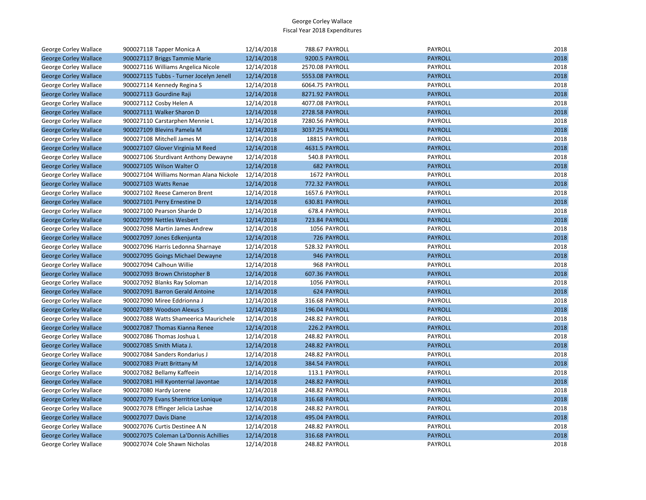| George Corley Wallace        | 900027118 Tapper Monica A               | 12/14/2018 | 788.67 PAYROLL     | PAYROLL        | 2018 |
|------------------------------|-----------------------------------------|------------|--------------------|----------------|------|
| <b>George Corley Wallace</b> | 900027117 Briggs Tammie Marie           | 12/14/2018 | 9200.5 PAYROLL     | <b>PAYROLL</b> | 2018 |
| George Corley Wallace        | 900027116 Williams Angelica Nicole      | 12/14/2018 | 2570.08 PAYROLL    | PAYROLL        | 2018 |
| <b>George Corley Wallace</b> | 900027115 Tubbs - Turner Jocelyn Jenell | 12/14/2018 | 5553.08 PAYROLL    | <b>PAYROLL</b> | 2018 |
| George Corley Wallace        | 900027114 Kennedy Regina S              | 12/14/2018 | 6064.75 PAYROLL    | PAYROLL        | 2018 |
| <b>George Corley Wallace</b> | 900027113 Gourdine Raji                 | 12/14/2018 | 8271.92 PAYROLL    | <b>PAYROLL</b> | 2018 |
| George Corley Wallace        | 900027112 Cosby Helen A                 | 12/14/2018 | 4077.08 PAYROLL    | PAYROLL        | 2018 |
| <b>George Corley Wallace</b> | 900027111 Walker Sharon D               | 12/14/2018 | 2728.58 PAYROLL    | <b>PAYROLL</b> | 2018 |
| George Corley Wallace        | 900027110 Carstarphen Mennie L          | 12/14/2018 | 7280.56 PAYROLL    | PAYROLL        | 2018 |
| <b>George Corley Wallace</b> | 900027109 Blevins Pamela M              | 12/14/2018 | 3037.25 PAYROLL    | <b>PAYROLL</b> | 2018 |
| George Corley Wallace        | 900027108 Mitchell James M              | 12/14/2018 | 18815 PAYROLL      | PAYROLL        | 2018 |
| <b>George Corley Wallace</b> | 900027107 Glover Virginia M Reed        | 12/14/2018 | 4631.5 PAYROLL     | <b>PAYROLL</b> | 2018 |
| George Corley Wallace        | 900027106 Sturdivant Anthony Dewayne    | 12/14/2018 | 540.8 PAYROLL      | PAYROLL        | 2018 |
| <b>George Corley Wallace</b> | 900027105 Wilson Walter O               | 12/14/2018 | <b>682 PAYROLL</b> | <b>PAYROLL</b> | 2018 |
| George Corley Wallace        | 900027104 Williams Norman Alana Nickole | 12/14/2018 | 1672 PAYROLL       | PAYROLL        | 2018 |
| <b>George Corley Wallace</b> | 900027103 Watts Renae                   | 12/14/2018 | 772.32 PAYROLL     | <b>PAYROLL</b> | 2018 |
| George Corley Wallace        | 900027102 Reese Cameron Brent           | 12/14/2018 | 1657.6 PAYROLL     | PAYROLL        | 2018 |
| <b>George Corley Wallace</b> | 900027101 Perry Ernestine D             | 12/14/2018 | 630.81 PAYROLL     | <b>PAYROLL</b> | 2018 |
| George Corley Wallace        | 900027100 Pearson Sharde D              | 12/14/2018 | 678.4 PAYROLL      | PAYROLL        | 2018 |
| <b>George Corley Wallace</b> | 900027099 Nettles Wesbert               | 12/14/2018 | 723.84 PAYROLL     | <b>PAYROLL</b> | 2018 |
| George Corley Wallace        | 900027098 Martin James Andrew           | 12/14/2018 | 1056 PAYROLL       | PAYROLL        | 2018 |
| <b>George Corley Wallace</b> | 900027097 Jones Edkenjunta              | 12/14/2018 | 726 PAYROLL        | <b>PAYROLL</b> | 2018 |
| George Corley Wallace        | 900027096 Harris Ledonna Sharnaye       | 12/14/2018 | 528.32 PAYROLL     | PAYROLL        | 2018 |
| <b>George Corley Wallace</b> | 900027095 Goings Michael Dewayne        | 12/14/2018 | 946 PAYROLL        | <b>PAYROLL</b> | 2018 |
| George Corley Wallace        | 900027094 Calhoun Willie                | 12/14/2018 | 968 PAYROLL        | PAYROLL        | 2018 |
| <b>George Corley Wallace</b> | 900027093 Brown Christopher B           | 12/14/2018 | 607.36 PAYROLL     | <b>PAYROLL</b> | 2018 |
| George Corley Wallace        | 900027092 Blanks Ray Soloman            | 12/14/2018 | 1056 PAYROLL       | PAYROLL        | 2018 |
| <b>George Corley Wallace</b> | 900027091 Barron Gerald Antoine         | 12/14/2018 | <b>624 PAYROLL</b> | <b>PAYROLL</b> | 2018 |
| George Corley Wallace        | 900027090 Miree Eddrionna J             | 12/14/2018 | 316.68 PAYROLL     | PAYROLL        | 2018 |
| <b>George Corley Wallace</b> | 900027089 Woodson Alexus S              | 12/14/2018 | 196.04 PAYROLL     | <b>PAYROLL</b> | 2018 |
| George Corley Wallace        | 900027088 Watts Shameerica Maurichele   | 12/14/2018 | 248.82 PAYROLL     | PAYROLL        | 2018 |
| <b>George Corley Wallace</b> | 900027087 Thomas Kianna Renee           | 12/14/2018 | 226.2 PAYROLL      | <b>PAYROLL</b> | 2018 |
| George Corley Wallace        | 900027086 Thomas Joshua L               | 12/14/2018 | 248.82 PAYROLL     | PAYROLL        | 2018 |
| <b>George Corley Wallace</b> | 900027085 Smith Miata J.                | 12/14/2018 | 248.82 PAYROLL     | <b>PAYROLL</b> | 2018 |
| George Corley Wallace        | 900027084 Sanders Rondarius J           | 12/14/2018 | 248.82 PAYROLL     | PAYROLL        | 2018 |
| <b>George Corley Wallace</b> | 900027083 Pratt Brittany M              | 12/14/2018 | 384.54 PAYROLL     | <b>PAYROLL</b> | 2018 |
| George Corley Wallace        | 900027082 Bellamy Kaffeein              | 12/14/2018 | 113.1 PAYROLL      | PAYROLL        | 2018 |
| <b>George Corley Wallace</b> | 900027081 Hill Kyonterrial Javontae     | 12/14/2018 | 248.82 PAYROLL     | <b>PAYROLL</b> | 2018 |
| George Corley Wallace        | 900027080 Hardy Lorene                  | 12/14/2018 | 248.82 PAYROLL     | PAYROLL        | 2018 |
| <b>George Corley Wallace</b> | 900027079 Evans Sherritrice Lonique     | 12/14/2018 | 316.68 PAYROLL     | <b>PAYROLL</b> | 2018 |
| George Corley Wallace        | 900027078 Effinger Jelicia Lashae       | 12/14/2018 | 248.82 PAYROLL     | PAYROLL        | 2018 |
| <b>George Corley Wallace</b> | 900027077 Davis Diane                   | 12/14/2018 | 495.04 PAYROLL     | <b>PAYROLL</b> | 2018 |
| George Corley Wallace        | 900027076 Curtis Destinee A N           | 12/14/2018 | 248.82 PAYROLL     | PAYROLL        | 2018 |
| <b>George Corley Wallace</b> | 900027075 Coleman La'Donnis Achillies   | 12/14/2018 | 316.68 PAYROLL     | <b>PAYROLL</b> | 2018 |
| <b>George Corley Wallace</b> | 900027074 Cole Shawn Nicholas           | 12/14/2018 | 248.82 PAYROLL     | PAYROLL        | 2018 |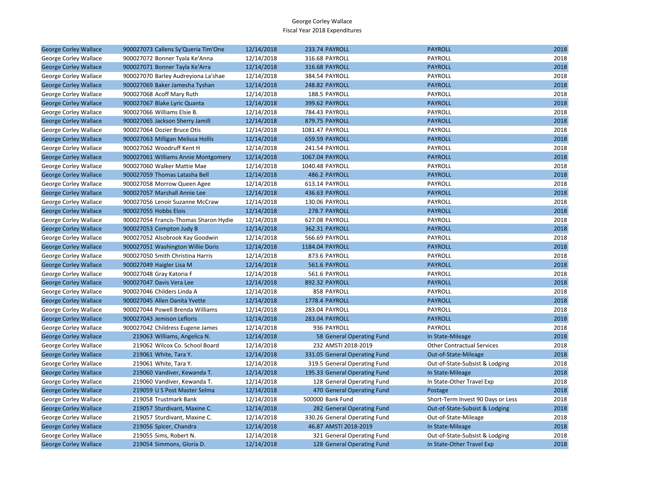| <b>George Corley Wallace</b> | 900027073 Callens Sy'Queria Tim'One   | 12/14/2018 | 233.74 PAYROLL                | <b>PAYROLL</b>                    | 2018 |
|------------------------------|---------------------------------------|------------|-------------------------------|-----------------------------------|------|
| George Corley Wallace        | 900027072 Bonner Tyala Ke'Anna        | 12/14/2018 | 316.68 PAYROLL                | PAYROLL                           | 2018 |
| <b>George Corley Wallace</b> | 900027071 Bonner Tayla Ke'Arra        | 12/14/2018 | 316.68 PAYROLL                | <b>PAYROLL</b>                    | 2018 |
| George Corley Wallace        | 900027070 Barley Audreyiona La'shae   | 12/14/2018 | 384.54 PAYROLL                | <b>PAYROLL</b>                    | 2018 |
| <b>George Corley Wallace</b> | 900027069 Baker Jamesha Tyshan        | 12/14/2018 | 248.82 PAYROLL                | <b>PAYROLL</b>                    | 2018 |
| George Corley Wallace        | 900027068 Acoff Mary Ruth             | 12/14/2018 | 188.5 PAYROLL                 | PAYROLL                           | 2018 |
| <b>George Corley Wallace</b> | 900027067 Blake Lyric Quanta          | 12/14/2018 | 399.62 PAYROLL                | <b>PAYROLL</b>                    | 2018 |
| George Corley Wallace        | 900027066 Williams Elsie B.           | 12/14/2018 | 784.43 PAYROLL                | <b>PAYROLL</b>                    | 2018 |
| <b>George Corley Wallace</b> | 900027065 Jackson Sherry Jamill       | 12/14/2018 | 879.75 PAYROLL                | <b>PAYROLL</b>                    | 2018 |
| George Corley Wallace        | 900027064 Dozier Bruce Otis           | 12/14/2018 | 1081.47 PAYROLL               | PAYROLL                           | 2018 |
| <b>George Corley Wallace</b> | 900027063 Milligan Melissa Hollis     | 12/14/2018 | 659.59 PAYROLL                | <b>PAYROLL</b>                    | 2018 |
| George Corley Wallace        | 900027062 Woodruff Kent H             | 12/14/2018 | 241.54 PAYROLL                | PAYROLL                           | 2018 |
| <b>George Corley Wallace</b> | 900027061 Williams Annie Montgomery   | 12/14/2018 | 1067.04 PAYROLL               | <b>PAYROLL</b>                    | 2018 |
| George Corley Wallace        | 900027060 Walker Mattie Mae           | 12/14/2018 | 1040.48 PAYROLL               | PAYROLL                           | 2018 |
| <b>George Corley Wallace</b> | 900027059 Thomas Latasha Bell         | 12/14/2018 | 486.2 PAYROLL                 | <b>PAYROLL</b>                    | 2018 |
| George Corley Wallace        | 900027058 Morrow Queen Agee           | 12/14/2018 | 613.14 PAYROLL                | <b>PAYROLL</b>                    | 2018 |
| <b>George Corley Wallace</b> | 900027057 Marshall Annie Lee          | 12/14/2018 | 436.63 PAYROLL                | <b>PAYROLL</b>                    | 2018 |
| George Corley Wallace        | 900027056 Lenoir Suzanne McCraw       | 12/14/2018 | 130.06 PAYROLL                | PAYROLL                           | 2018 |
| <b>George Corley Wallace</b> | 900027055 Hobbs Elois                 | 12/14/2018 | 278.7 PAYROLL                 | <b>PAYROLL</b>                    | 2018 |
| George Corley Wallace        | 900027054 Francis-Thomas Sharon Hydie | 12/14/2018 | 627.08 PAYROLL                | <b>PAYROLL</b>                    | 2018 |
| <b>George Corley Wallace</b> | 900027053 Compton Judy B              | 12/14/2018 | 362.31 PAYROLL                | <b>PAYROLL</b>                    | 2018 |
| George Corley Wallace        | 900027052 Alsobrook Kay Goodwin       | 12/14/2018 | 566.69 PAYROLL                | PAYROLL                           | 2018 |
| <b>George Corley Wallace</b> | 900027051 Washington Willie Doris     | 12/14/2018 | 1184.04 PAYROLL               | <b>PAYROLL</b>                    | 2018 |
| George Corley Wallace        | 900027050 Smith Christina Harris      | 12/14/2018 | 873.6 PAYROLL                 | PAYROLL                           | 2018 |
| <b>George Corley Wallace</b> | 900027049 Haigler Lisa M              | 12/14/2018 | 561.6 PAYROLL                 | <b>PAYROLL</b>                    | 2018 |
| George Corley Wallace        | 900027048 Gray Katoria F              | 12/14/2018 | 561.6 PAYROLL                 | PAYROLL                           | 2018 |
| <b>George Corley Wallace</b> | 900027047 Davis Vera Lee              | 12/14/2018 | 892.32 PAYROLL                | <b>PAYROLL</b>                    | 2018 |
| George Corley Wallace        | 900027046 Childers Linda A            | 12/14/2018 | 858 PAYROLL                   | PAYROLL                           | 2018 |
| <b>George Corley Wallace</b> | 900027045 Allen Danita Yvette         | 12/14/2018 | 1778.4 PAYROLL                | <b>PAYROLL</b>                    | 2018 |
| George Corley Wallace        | 900027044 Powell Brenda Williams      | 12/14/2018 | 283.04 PAYROLL                | PAYROLL                           | 2018 |
| <b>George Corley Wallace</b> | 900027043 Jemison Lefloris            | 12/14/2018 | 283.04 PAYROLL                | <b>PAYROLL</b>                    | 2018 |
| George Corley Wallace        | 900027042 Childress Eugene James      | 12/14/2018 | 936 PAYROLL                   | <b>PAYROLL</b>                    | 2018 |
| <b>George Corley Wallace</b> | 219063 Williams, Angelica N.          | 12/14/2018 | 58 General Operating Fund     | In State-Mileage                  | 2018 |
| George Corley Wallace        | 219062 Wilcox Co. School Board        | 12/14/2018 | 232 AMSTI 2018-2019           | <b>Other Contractual Services</b> | 2018 |
| <b>George Corley Wallace</b> | 219061 White, Tara Y.                 | 12/14/2018 | 331.05 General Operating Fund | Out-of-State-Mileage              | 2018 |
| George Corley Wallace        | 219061 White, Tara Y.                 | 12/14/2018 | 319.5 General Operating Fund  | Out-of-State-Subsist & Lodging    | 2018 |
| <b>George Corley Wallace</b> | 219060 Vandiver, Kewanda T.           | 12/14/2018 | 195.33 General Operating Fund | In State-Mileage                  | 2018 |
| George Corley Wallace        | 219060 Vandiver, Kewanda T.           | 12/14/2018 | 128 General Operating Fund    | In State-Other Travel Exp         | 2018 |
| <b>George Corley Wallace</b> | 219059 U S Post Master Selma          | 12/14/2018 | 470 General Operating Fund    | Postage                           | 2018 |
| George Corley Wallace        | 219058 Trustmark Bank                 | 12/14/2018 | 500000 Bank Fund              | Short-Term Invest 90 Days or Less | 2018 |
| <b>George Corley Wallace</b> | 219057 Sturdivant, Maxine C.          | 12/14/2018 | 282 General Operating Fund    | Out-of-State-Subsist & Lodging    | 2018 |
| George Corley Wallace        | 219057 Sturdivant, Maxine C.          | 12/14/2018 | 330.26 General Operating Fund | Out-of-State-Mileage              | 2018 |
| <b>George Corley Wallace</b> | 219056 Spicer, Chandra                | 12/14/2018 | 46.87 AMSTI 2018-2019         | In State-Mileage                  | 2018 |
| George Corley Wallace        | 219055 Sims, Robert N.                | 12/14/2018 | 321 General Operating Fund    | Out-of-State-Subsist & Lodging    | 2018 |
| <b>George Corley Wallace</b> | 219054 Simmons, Gloria D.             | 12/14/2018 | 128 General Operating Fund    | In State-Other Travel Exp         | 2018 |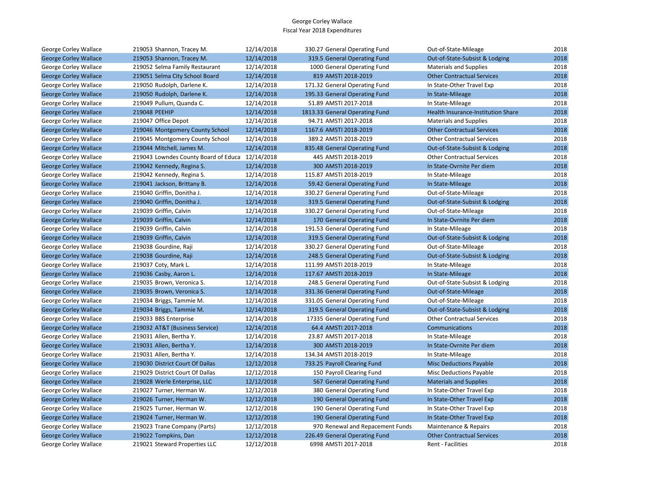| George Corley Wallace        | 219053 Shannon, Tracey M.                       | 12/14/2018 | 330.27 General Operating Fund    | Out-of-State-Mileage               | 2018 |
|------------------------------|-------------------------------------------------|------------|----------------------------------|------------------------------------|------|
| <b>George Corley Wallace</b> | 219053 Shannon, Tracey M.                       | 12/14/2018 | 319.5 General Operating Fund     | Out-of-State-Subsist & Lodging     | 2018 |
| George Corley Wallace        | 219052 Selma Family Restaurant                  | 12/14/2018 | 1000 General Operating Fund      | <b>Materials and Supplies</b>      | 2018 |
| <b>George Corley Wallace</b> | 219051 Selma City School Board                  | 12/14/2018 | 819 AMSTI 2018-2019              | <b>Other Contractual Services</b>  | 2018 |
| George Corley Wallace        | 219050 Rudolph, Darlene K.                      | 12/14/2018 | 171.32 General Operating Fund    | In State-Other Travel Exp          | 2018 |
| <b>George Corley Wallace</b> | 219050 Rudolph, Darlene K.                      | 12/14/2018 | 195.33 General Operating Fund    | In State-Mileage                   | 2018 |
| George Corley Wallace        | 219049 Pullum, Quanda C.                        | 12/14/2018 | 51.89 AMSTI 2017-2018            | In State-Mileage                   | 2018 |
| <b>George Corley Wallace</b> | 219048 PEEHIP                                   | 12/14/2018 | 1813.33 General Operating Fund   | Health Insurance-Institution Share | 2018 |
| George Corley Wallace        | 219047 Office Depot                             | 12/14/2018 | 94.71 AMSTI 2017-2018            | <b>Materials and Supplies</b>      | 2018 |
| <b>George Corley Wallace</b> | 219046 Montgomery County School                 | 12/14/2018 | 1167.6 AMSTI 2018-2019           | <b>Other Contractual Services</b>  | 2018 |
| George Corley Wallace        | 219045 Montgomery County School                 | 12/14/2018 | 389.2 AMSTI 2018-2019            | <b>Other Contractual Services</b>  | 2018 |
| <b>George Corley Wallace</b> | 219044 Mitchell, James M.                       | 12/14/2018 | 835.48 General Operating Fund    | Out-of-State-Subsist & Lodging     | 2018 |
| George Corley Wallace        | 219043 Lowndes County Board of Educa 12/14/2018 |            | 445 AMSTI 2018-2019              | <b>Other Contractual Services</b>  | 2018 |
| <b>George Corley Wallace</b> | 219042 Kennedy, Regina S.                       | 12/14/2018 | 300 AMSTI 2018-2019              | In State-Ovrnite Per diem          | 2018 |
| George Corley Wallace        | 219042 Kennedy, Regina S.                       | 12/14/2018 | 115.87 AMSTI 2018-2019           | In State-Mileage                   | 2018 |
| <b>George Corley Wallace</b> | 219041 Jackson, Brittany B.                     | 12/14/2018 | 59.42 General Operating Fund     | In State-Mileage                   | 2018 |
| George Corley Wallace        | 219040 Griffin, Donitha J.                      | 12/14/2018 | 330.27 General Operating Fund    | Out-of-State-Mileage               | 2018 |
| <b>George Corley Wallace</b> | 219040 Griffin, Donitha J.                      | 12/14/2018 | 319.5 General Operating Fund     | Out-of-State-Subsist & Lodging     | 2018 |
| George Corley Wallace        | 219039 Griffin, Calvin                          | 12/14/2018 | 330.27 General Operating Fund    | Out-of-State-Mileage               | 2018 |
| <b>George Corley Wallace</b> | 219039 Griffin, Calvin                          | 12/14/2018 | 170 General Operating Fund       | In State-Ovrnite Per diem          | 2018 |
| George Corley Wallace        | 219039 Griffin, Calvin                          | 12/14/2018 | 191.53 General Operating Fund    | In State-Mileage                   | 2018 |
| <b>George Corley Wallace</b> | 219039 Griffin, Calvin                          | 12/14/2018 | 319.5 General Operating Fund     | Out-of-State-Subsist & Lodging     | 2018 |
| George Corley Wallace        | 219038 Gourdine, Raji                           | 12/14/2018 | 330.27 General Operating Fund    | Out-of-State-Mileage               | 2018 |
| <b>George Corley Wallace</b> | 219038 Gourdine, Raji                           | 12/14/2018 | 248.5 General Operating Fund     | Out-of-State-Subsist & Lodging     | 2018 |
| George Corley Wallace        | 219037 Coty, Mark L.                            | 12/14/2018 | 111.99 AMSTI 2018-2019           | In State-Mileage                   | 2018 |
| <b>George Corley Wallace</b> | 219036 Casby, Aaron L.                          | 12/14/2018 | 117.67 AMSTI 2018-2019           | In State-Mileage                   | 2018 |
| George Corley Wallace        | 219035 Brown, Veronica S.                       | 12/14/2018 | 248.5 General Operating Fund     | Out-of-State-Subsist & Lodging     | 2018 |
| <b>George Corley Wallace</b> | 219035 Brown, Veronica S.                       | 12/14/2018 | 331.36 General Operating Fund    | Out-of-State-Mileage               | 2018 |
| George Corley Wallace        | 219034 Briggs, Tammie M.                        | 12/14/2018 | 331.05 General Operating Fund    | Out-of-State-Mileage               | 2018 |
| <b>George Corley Wallace</b> | 219034 Briggs, Tammie M.                        | 12/14/2018 | 319.5 General Operating Fund     | Out-of-State-Subsist & Lodging     | 2018 |
| George Corley Wallace        | 219033 BBS Enterprise                           | 12/14/2018 | 17335 General Operating Fund     | <b>Other Contractual Services</b>  | 2018 |
| <b>George Corley Wallace</b> | 219032 AT&T (Business Service)                  | 12/14/2018 | 64.4 AMSTI 2017-2018             | <b>Communications</b>              | 2018 |
| George Corley Wallace        | 219031 Allen, Bertha Y.                         | 12/14/2018 | 23.87 AMSTI 2017-2018            | In State-Mileage                   | 2018 |
| <b>George Corley Wallace</b> | 219031 Allen, Bertha Y.                         | 12/14/2018 | 300 AMSTI 2018-2019              | In State-Ovrnite Per diem          | 2018 |
| George Corley Wallace        | 219031 Allen, Bertha Y.                         | 12/14/2018 | 134.34 AMSTI 2018-2019           | In State-Mileage                   | 2018 |
| <b>George Corley Wallace</b> | 219030 District Court Of Dallas                 | 12/12/2018 | 733.25 Payroll Clearing Fund     | <b>Misc Deductions Payable</b>     | 2018 |
| George Corley Wallace        | 219029 District Court Of Dallas                 | 12/12/2018 | 150 Payroll Clearing Fund        | Misc Deductions Payable            | 2018 |
| <b>George Corley Wallace</b> | 219028 Werle Enterprise, LLC                    | 12/12/2018 | 567 General Operating Fund       | <b>Materials and Supplies</b>      | 2018 |
| George Corley Wallace        | 219027 Turner, Herman W.                        | 12/12/2018 | 380 General Operating Fund       | In State-Other Travel Exp          | 2018 |
| <b>George Corley Wallace</b> | 219026 Turner, Herman W.                        | 12/12/2018 | 190 General Operating Fund       | In State-Other Travel Exp          | 2018 |
| George Corley Wallace        | 219025 Turner, Herman W.                        | 12/12/2018 | 190 General Operating Fund       | In State-Other Travel Exp          | 2018 |
| <b>George Corley Wallace</b> | 219024 Turner, Herman W.                        | 12/12/2018 | 190 General Operating Fund       | In State-Other Travel Exp          | 2018 |
| George Corley Wallace        | 219023 Trane Company (Parts)                    | 12/12/2018 | 970 Renewal and Repacement Funds | Maintenance & Repairs              | 2018 |
| <b>George Corley Wallace</b> | 219022 Tompkins, Dan                            | 12/12/2018 | 226.49 General Operating Fund    | <b>Other Contractual Services</b>  | 2018 |
| George Corley Wallace        | 219021 Steward Properties LLC                   | 12/12/2018 | 6998 AMSTI 2017-2018             | <b>Rent - Facilities</b>           | 2018 |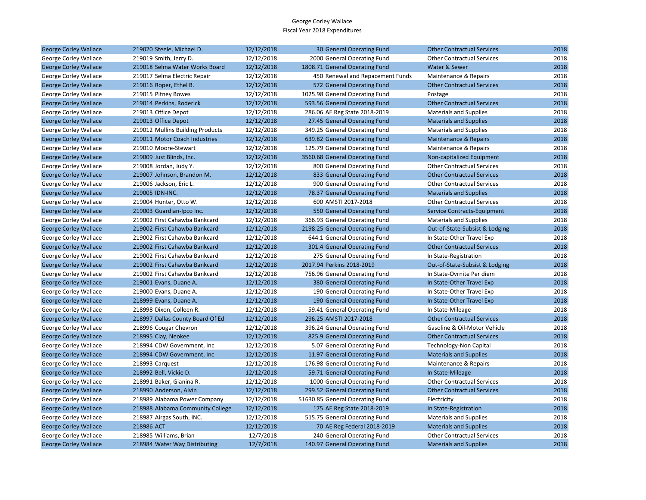| <b>George Corley Wallace</b> | 219020 Steele, Michael D.        | 12/12/2018 | 30 General Operating Fund        | <b>Other Contractual Services</b> | 2018 |
|------------------------------|----------------------------------|------------|----------------------------------|-----------------------------------|------|
| George Corley Wallace        | 219019 Smith, Jerry D.           | 12/12/2018 | 2000 General Operating Fund      | <b>Other Contractual Services</b> | 2018 |
| <b>George Corley Wallace</b> | 219018 Selma Water Works Board   | 12/12/2018 | 1808.71 General Operating Fund   | Water & Sewer                     | 2018 |
| George Corley Wallace        | 219017 Selma Electric Repair     | 12/12/2018 | 450 Renewal and Repacement Funds | Maintenance & Repairs             | 2018 |
| <b>George Corley Wallace</b> | 219016 Roper, Ethel B.           | 12/12/2018 | 572 General Operating Fund       | <b>Other Contractual Services</b> | 2018 |
| George Corley Wallace        | 219015 Pitney Bowes              | 12/12/2018 | 1025.98 General Operating Fund   | Postage                           | 2018 |
| <b>George Corley Wallace</b> | 219014 Perkins, Roderick         | 12/12/2018 | 593.56 General Operating Fund    | <b>Other Contractual Services</b> | 2018 |
| George Corley Wallace        | 219013 Office Depot              | 12/12/2018 | 286.06 AE Reg State 2018-2019    | <b>Materials and Supplies</b>     | 2018 |
| <b>George Corley Wallace</b> | 219013 Office Depot              | 12/12/2018 | 27.45 General Operating Fund     | <b>Materials and Supplies</b>     | 2018 |
| George Corley Wallace        | 219012 Mullins Building Products | 12/12/2018 | 349.25 General Operating Fund    | <b>Materials and Supplies</b>     | 2018 |
| <b>George Corley Wallace</b> | 219011 Motor Coach Industries    | 12/12/2018 | 639.82 General Operating Fund    | Maintenance & Repairs             | 2018 |
| George Corley Wallace        | 219010 Moore-Stewart             | 12/12/2018 | 125.79 General Operating Fund    | Maintenance & Repairs             | 2018 |
| <b>George Corley Wallace</b> | 219009 Just Blinds, Inc.         | 12/12/2018 | 3560.68 General Operating Fund   | Non-capitalized Equipment         | 2018 |
| George Corley Wallace        | 219008 Jordan, Judy Y.           | 12/12/2018 | 800 General Operating Fund       | <b>Other Contractual Services</b> | 2018 |
| <b>George Corley Wallace</b> | 219007 Johnson, Brandon M.       | 12/12/2018 | 833 General Operating Fund       | <b>Other Contractual Services</b> | 2018 |
| George Corley Wallace        | 219006 Jackson, Eric L.          | 12/12/2018 | 900 General Operating Fund       | <b>Other Contractual Services</b> | 2018 |
| <b>George Corley Wallace</b> | 219005 IDN-INC.                  | 12/12/2018 | 78.37 General Operating Fund     | <b>Materials and Supplies</b>     | 2018 |
| George Corley Wallace        | 219004 Hunter, Otto W.           | 12/12/2018 | 600 AMSTI 2017-2018              | <b>Other Contractual Services</b> | 2018 |
| <b>George Corley Wallace</b> | 219003 Guardian-Ipco Inc.        | 12/12/2018 | 550 General Operating Fund       | Service Contracts-Equipment       | 2018 |
| George Corley Wallace        | 219002 First Cahawba Bankcard    | 12/12/2018 | 366.93 General Operating Fund    | <b>Materials and Supplies</b>     | 2018 |
| <b>George Corley Wallace</b> | 219002 First Cahawba Bankcard    | 12/12/2018 | 2198.25 General Operating Fund   | Out-of-State-Subsist & Lodging    | 2018 |
| George Corley Wallace        | 219002 First Cahawba Bankcard    | 12/12/2018 | 644.1 General Operating Fund     | In State-Other Travel Exp         | 2018 |
| <b>George Corley Wallace</b> | 219002 First Cahawba Bankcard    | 12/12/2018 | 301.4 General Operating Fund     | <b>Other Contractual Services</b> | 2018 |
| George Corley Wallace        | 219002 First Cahawba Bankcard    | 12/12/2018 | 275 General Operating Fund       | In State-Registration             | 2018 |
| <b>George Corley Wallace</b> | 219002 First Cahawba Bankcard    | 12/12/2018 | 2017.94 Perkins 2018-2019        | Out-of-State-Subsist & Lodging    | 2018 |
| George Corley Wallace        | 219002 First Cahawba Bankcard    | 12/12/2018 | 756.96 General Operating Fund    | In State-Ovrnite Per diem         | 2018 |
| <b>George Corley Wallace</b> | 219001 Evans, Duane A.           | 12/12/2018 | 380 General Operating Fund       | In State-Other Travel Exp         | 2018 |
| George Corley Wallace        | 219000 Evans, Duane A.           | 12/12/2018 | 190 General Operating Fund       | In State-Other Travel Exp         | 2018 |
| <b>George Corley Wallace</b> | 218999 Evans, Duane A.           | 12/12/2018 | 190 General Operating Fund       | In State-Other Travel Exp         | 2018 |
| George Corley Wallace        | 218998 Dixon, Colleen R.         | 12/12/2018 | 59.41 General Operating Fund     | In State-Mileage                  | 2018 |
| <b>George Corley Wallace</b> | 218997 Dallas County Board Of Ed | 12/12/2018 | 296.25 AMSTI 2017-2018           | <b>Other Contractual Services</b> | 2018 |
| George Corley Wallace        | 218996 Cougar Chevron            | 12/12/2018 | 396.24 General Operating Fund    | Gasoline & Oil-Motor Vehicle      | 2018 |
| <b>George Corley Wallace</b> | 218995 Clay, Neokee              | 12/12/2018 | 825.9 General Operating Fund     | <b>Other Contractual Services</b> | 2018 |
| George Corley Wallace        | 218994 CDW Government, Inc       | 12/12/2018 | 5.07 General Operating Fund      | Technology-Non Capital            | 2018 |
| <b>George Corley Wallace</b> | 218994 CDW Government, Inc.      | 12/12/2018 | 11.97 General Operating Fund     | <b>Materials and Supplies</b>     | 2018 |
| George Corley Wallace        | 218993 Carquest                  | 12/12/2018 | 176.98 General Operating Fund    | Maintenance & Repairs             | 2018 |
| <b>George Corley Wallace</b> | 218992 Bell, Vickie D.           | 12/12/2018 | 59.71 General Operating Fund     | In State-Mileage                  | 2018 |
| George Corley Wallace        | 218991 Baker, Gianina R.         | 12/12/2018 | 1000 General Operating Fund      | <b>Other Contractual Services</b> | 2018 |
| <b>George Corley Wallace</b> | 218990 Anderson, Alvin           | 12/12/2018 | 299.52 General Operating Fund    | <b>Other Contractual Services</b> | 2018 |
| George Corley Wallace        | 218989 Alabama Power Company     | 12/12/2018 | 51630.85 General Operating Fund  | Electricity                       | 2018 |
| <b>George Corley Wallace</b> | 218988 Alabama Community College | 12/12/2018 | 175 AE Reg State 2018-2019       | In State-Registration             | 2018 |
| George Corley Wallace        | 218987 Airgas South, INC.        | 12/12/2018 | 515.75 General Operating Fund    | <b>Materials and Supplies</b>     | 2018 |
| <b>George Corley Wallace</b> | 218986 ACT                       | 12/12/2018 | 70 AE Reg Federal 2018-2019      | <b>Materials and Supplies</b>     | 2018 |
| George Corley Wallace        | 218985 Williams, Brian           | 12/7/2018  | 240 General Operating Fund       | <b>Other Contractual Services</b> | 2018 |
| <b>George Corley Wallace</b> | 218984 Water Way Distributing    | 12/7/2018  | 140.97 General Operating Fund    | <b>Materials and Supplies</b>     | 2018 |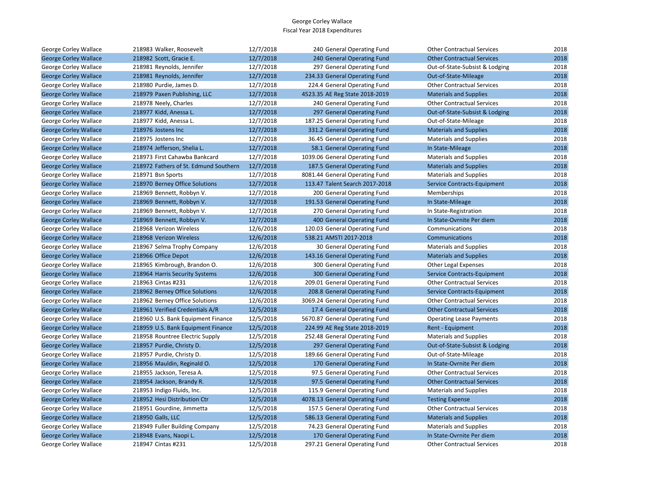| George Corley Wallace        | 218983 Walker, Roosevelt              | 12/7/2018 | 240 General Operating Fund     | <b>Other Contractual Services</b> | 2018 |
|------------------------------|---------------------------------------|-----------|--------------------------------|-----------------------------------|------|
| <b>George Corley Wallace</b> | 218982 Scott, Gracie E.               | 12/7/2018 | 240 General Operating Fund     | <b>Other Contractual Services</b> | 2018 |
| George Corley Wallace        | 218981 Reynolds, Jennifer             | 12/7/2018 | 297 General Operating Fund     | Out-of-State-Subsist & Lodging    | 2018 |
| <b>George Corley Wallace</b> | 218981 Reynolds, Jennifer             | 12/7/2018 | 234.33 General Operating Fund  | Out-of-State-Mileage              | 2018 |
| George Corley Wallace        | 218980 Purdie, James D.               | 12/7/2018 | 224.4 General Operating Fund   | <b>Other Contractual Services</b> | 2018 |
| <b>George Corley Wallace</b> | 218979 Paxen Publishing, LLC          | 12/7/2018 | 4523.35 AE Reg State 2018-2019 | <b>Materials and Supplies</b>     | 2018 |
| George Corley Wallace        | 218978 Neely, Charles                 | 12/7/2018 | 240 General Operating Fund     | <b>Other Contractual Services</b> | 2018 |
| <b>George Corley Wallace</b> | 218977 Kidd, Anessa L.                | 12/7/2018 | 297 General Operating Fund     | Out-of-State-Subsist & Lodging    | 2018 |
| George Corley Wallace        | 218977 Kidd, Anessa L.                | 12/7/2018 | 187.25 General Operating Fund  | Out-of-State-Mileage              | 2018 |
| <b>George Corley Wallace</b> | 218976 Jostens Inc                    | 12/7/2018 | 331.2 General Operating Fund   | <b>Materials and Supplies</b>     | 2018 |
| George Corley Wallace        | 218975 Jostens Inc                    | 12/7/2018 | 36.45 General Operating Fund   | <b>Materials and Supplies</b>     | 2018 |
| <b>George Corley Wallace</b> | 218974 Jefferson, Shelia L.           | 12/7/2018 | 58.1 General Operating Fund    | In State-Mileage                  | 2018 |
| George Corley Wallace        | 218973 First Cahawba Bankcard         | 12/7/2018 | 1039.06 General Operating Fund | <b>Materials and Supplies</b>     | 2018 |
| <b>George Corley Wallace</b> | 218972 Fathers of St. Edmund Southern | 12/7/2018 | 187.5 General Operating Fund   | <b>Materials and Supplies</b>     | 2018 |
| George Corley Wallace        | 218971 Bsn Sports                     | 12/7/2018 | 8081.44 General Operating Fund | <b>Materials and Supplies</b>     | 2018 |
| <b>George Corley Wallace</b> | 218970 Berney Office Solutions        | 12/7/2018 | 113.47 Talent Search 2017-2018 | Service Contracts-Equipment       | 2018 |
| George Corley Wallace        | 218969 Bennett, Robbyn V.             | 12/7/2018 | 200 General Operating Fund     | Memberships                       | 2018 |
| <b>George Corley Wallace</b> | 218969 Bennett, Robbyn V.             | 12/7/2018 | 191.53 General Operating Fund  | In State-Mileage                  | 2018 |
| George Corley Wallace        | 218969 Bennett, Robbyn V.             | 12/7/2018 | 270 General Operating Fund     | In State-Registration             | 2018 |
| <b>George Corley Wallace</b> | 218969 Bennett, Robbyn V.             | 12/7/2018 | 400 General Operating Fund     | In State-Ovrnite Per diem         | 2018 |
| George Corley Wallace        | 218968 Verizon Wireless               | 12/6/2018 | 120.03 General Operating Fund  | Communications                    | 2018 |
| <b>George Corley Wallace</b> | 218968 Verizon Wireless               | 12/6/2018 | 538.21 AMSTI 2017-2018         | Communications                    | 2018 |
| George Corley Wallace        | 218967 Selma Trophy Company           | 12/6/2018 | 30 General Operating Fund      | <b>Materials and Supplies</b>     | 2018 |
| <b>George Corley Wallace</b> | 218966 Office Depot                   | 12/6/2018 | 143.16 General Operating Fund  | <b>Materials and Supplies</b>     | 2018 |
| George Corley Wallace        | 218965 Kimbrough, Brandon O.          | 12/6/2018 | 300 General Operating Fund     | Other Legal Expenses              | 2018 |
| <b>George Corley Wallace</b> | 218964 Harris Security Systems        | 12/6/2018 | 300 General Operating Fund     | Service Contracts-Equipment       | 2018 |
| George Corley Wallace        | 218963 Cintas #231                    | 12/6/2018 | 209.01 General Operating Fund  | <b>Other Contractual Services</b> | 2018 |
| <b>George Corley Wallace</b> | 218962 Berney Office Solutions        | 12/6/2018 | 208.8 General Operating Fund   | Service Contracts-Equipment       | 2018 |
| George Corley Wallace        | 218962 Berney Office Solutions        | 12/6/2018 | 3069.24 General Operating Fund | <b>Other Contractual Services</b> | 2018 |
| <b>George Corley Wallace</b> | 218961 Verified Credentials A/R       | 12/5/2018 | 17.4 General Operating Fund    | <b>Other Contractual Services</b> | 2018 |
| George Corley Wallace        | 218960 U.S. Bank Equipment Finance    | 12/5/2018 | 5670.87 General Operating Fund | <b>Operating Lease Payments</b>   | 2018 |
| <b>George Corley Wallace</b> | 218959 U.S. Bank Equipment Finance    | 12/5/2018 | 224.99 AE Reg State 2018-2019  | Rent - Equipment                  | 2018 |
| George Corley Wallace        | 218958 Rountree Electric Supply       | 12/5/2018 | 252.48 General Operating Fund  | <b>Materials and Supplies</b>     | 2018 |
| <b>George Corley Wallace</b> | 218957 Purdie, Christy D.             | 12/5/2018 | 297 General Operating Fund     | Out-of-State-Subsist & Lodging    | 2018 |
| George Corley Wallace        | 218957 Purdie, Christy D.             | 12/5/2018 | 189.66 General Operating Fund  | Out-of-State-Mileage              | 2018 |
| <b>George Corley Wallace</b> | 218956 Mauldin, Reginald O.           | 12/5/2018 | 170 General Operating Fund     | In State-Ovrnite Per diem         | 2018 |
| George Corley Wallace        | 218955 Jackson, Teresa A.             | 12/5/2018 | 97.5 General Operating Fund    | <b>Other Contractual Services</b> | 2018 |
| <b>George Corley Wallace</b> | 218954 Jackson, Brandy R.             | 12/5/2018 | 97.5 General Operating Fund    | <b>Other Contractual Services</b> | 2018 |
| George Corley Wallace        | 218953 Indigo Fluids, Inc.            | 12/5/2018 | 115.9 General Operating Fund   | <b>Materials and Supplies</b>     | 2018 |
| <b>George Corley Wallace</b> | 218952 Hesi Distribution Ctr          | 12/5/2018 | 4078.13 General Operating Fund | <b>Testing Expense</b>            | 2018 |
| George Corley Wallace        | 218951 Gourdine, Jimmetta             | 12/5/2018 | 157.5 General Operating Fund   | <b>Other Contractual Services</b> | 2018 |
| <b>George Corley Wallace</b> | 218950 Galls, LLC                     | 12/5/2018 | 586.13 General Operating Fund  | <b>Materials and Supplies</b>     | 2018 |
| George Corley Wallace        | 218949 Fuller Building Company        | 12/5/2018 | 74.23 General Operating Fund   | <b>Materials and Supplies</b>     | 2018 |
| <b>George Corley Wallace</b> | 218948 Evans, Naopi L.                | 12/5/2018 | 170 General Operating Fund     | In State-Ovrnite Per diem         | 2018 |
| George Corley Wallace        | 218947 Cintas #231                    | 12/5/2018 | 297.21 General Operating Fund  | <b>Other Contractual Services</b> | 2018 |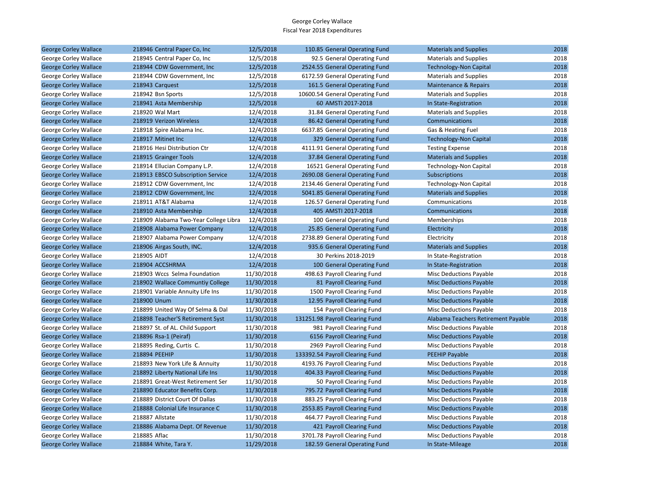| <b>George Corley Wallace</b> | 218946 Central Paper Co, Inc          | 12/5/2018  | 110.85 General Operating Fund   | <b>Materials and Supplies</b>       | 2018 |
|------------------------------|---------------------------------------|------------|---------------------------------|-------------------------------------|------|
| George Corley Wallace        | 218945 Central Paper Co, Inc          | 12/5/2018  | 92.5 General Operating Fund     | <b>Materials and Supplies</b>       | 2018 |
| <b>George Corley Wallace</b> | 218944 CDW Government, Inc.           | 12/5/2018  | 2524.55 General Operating Fund  | <b>Technology-Non Capital</b>       | 2018 |
| George Corley Wallace        | 218944 CDW Government, Inc            | 12/5/2018  | 6172.59 General Operating Fund  | <b>Materials and Supplies</b>       | 2018 |
| <b>George Corley Wallace</b> | 218943 Carquest                       | 12/5/2018  | 161.5 General Operating Fund    | Maintenance & Repairs               | 2018 |
| George Corley Wallace        | 218942 Bsn Sports                     | 12/5/2018  | 10600.54 General Operating Fund | <b>Materials and Supplies</b>       | 2018 |
| <b>George Corley Wallace</b> | 218941 Asta Membership                | 12/5/2018  | 60 AMSTI 2017-2018              | In State-Registration               | 2018 |
| George Corley Wallace        | 218920 Wal Mart                       | 12/4/2018  | 31.84 General Operating Fund    | <b>Materials and Supplies</b>       | 2018 |
| <b>George Corley Wallace</b> | 218919 Verizon Wireless               | 12/4/2018  | 86.42 General Operating Fund    | Communications                      | 2018 |
| George Corley Wallace        | 218918 Spire Alabama Inc.             | 12/4/2018  | 6637.85 General Operating Fund  | Gas & Heating Fuel                  | 2018 |
| <b>George Corley Wallace</b> | 218917 Mitinet Inc                    | 12/4/2018  | 329 General Operating Fund      | <b>Technology-Non Capital</b>       | 2018 |
| George Corley Wallace        | 218916 Hesi Distribution Ctr          | 12/4/2018  | 4111.91 General Operating Fund  | <b>Testing Expense</b>              | 2018 |
| <b>George Corley Wallace</b> | 218915 Grainger Tools                 | 12/4/2018  | 37.84 General Operating Fund    | <b>Materials and Supplies</b>       | 2018 |
| George Corley Wallace        | 218914 Ellucian Company L.P.          | 12/4/2018  | 16521 General Operating Fund    | Technology-Non Capital              | 2018 |
| <b>George Corley Wallace</b> | 218913 EBSCO Subscription Service     | 12/4/2018  | 2690.08 General Operating Fund  | Subscriptions                       | 2018 |
| George Corley Wallace        | 218912 CDW Government, Inc.           | 12/4/2018  | 2134.46 General Operating Fund  | Technology-Non Capital              | 2018 |
| <b>George Corley Wallace</b> | 218912 CDW Government, Inc.           | 12/4/2018  | 5041.85 General Operating Fund  | <b>Materials and Supplies</b>       | 2018 |
| George Corley Wallace        | 218911 AT&T Alabama                   | 12/4/2018  | 126.57 General Operating Fund   | Communications                      | 2018 |
| <b>George Corley Wallace</b> | 218910 Asta Membership                | 12/4/2018  | 405 AMSTI 2017-2018             | Communications                      | 2018 |
| George Corley Wallace        | 218909 Alabama Two-Year College Libra | 12/4/2018  | 100 General Operating Fund      | Memberships                         | 2018 |
| <b>George Corley Wallace</b> | 218908 Alabama Power Company          | 12/4/2018  | 25.85 General Operating Fund    | Electricity                         | 2018 |
| George Corley Wallace        | 218907 Alabama Power Company          | 12/4/2018  | 2738.89 General Operating Fund  | Electricity                         | 2018 |
| <b>George Corley Wallace</b> | 218906 Airgas South, INC.             | 12/4/2018  | 935.6 General Operating Fund    | <b>Materials and Supplies</b>       | 2018 |
| George Corley Wallace        | 218905 AIDT                           | 12/4/2018  | 30 Perkins 2018-2019            | In State-Registration               | 2018 |
| <b>George Corley Wallace</b> | 218904 ACCSHRMA                       | 12/4/2018  | 100 General Operating Fund      | In State-Registration               | 2018 |
| George Corley Wallace        | 218903 Wccs Selma Foundation          | 11/30/2018 | 498.63 Payroll Clearing Fund    | Misc Deductions Payable             | 2018 |
| <b>George Corley Wallace</b> | 218902 Wallace Communtiy College      | 11/30/2018 | 81 Payroll Clearing Fund        | <b>Misc Deductions Payable</b>      | 2018 |
| George Corley Wallace        | 218901 Variable Annuity Life Ins      | 11/30/2018 | 1500 Payroll Clearing Fund      | <b>Misc Deductions Payable</b>      | 2018 |
| <b>George Corley Wallace</b> | 218900 Unum                           | 11/30/2018 | 12.95 Payroll Clearing Fund     | <b>Misc Deductions Payable</b>      | 2018 |
| George Corley Wallace        | 218899 United Way Of Selma & Dal      | 11/30/2018 | 154 Payroll Clearing Fund       | Misc Deductions Payable             | 2018 |
| <b>George Corley Wallace</b> | 218898 Teacher'S Retirement Syst      | 11/30/2018 | 131251.98 Payroll Clearing Fund | Alabama Teachers Retirement Payable | 2018 |
| George Corley Wallace        | 218897 St. of AL. Child Support       | 11/30/2018 | 981 Payroll Clearing Fund       | <b>Misc Deductions Payable</b>      | 2018 |
| <b>George Corley Wallace</b> | 218896 Rsa-1 (Peiraf)                 | 11/30/2018 | 6156 Payroll Clearing Fund      | <b>Misc Deductions Payable</b>      | 2018 |
| George Corley Wallace        | 218895 Reding, Curtis C.              | 11/30/2018 | 2969 Payroll Clearing Fund      | Misc Deductions Payable             | 2018 |
| <b>George Corley Wallace</b> | 218894 PEEHIP                         | 11/30/2018 | 133392.54 Payroll Clearing Fund | <b>PEEHIP Payable</b>               | 2018 |
| George Corley Wallace        | 218893 New York Life & Annuity        | 11/30/2018 | 4193.76 Payroll Clearing Fund   | Misc Deductions Payable             | 2018 |
| <b>George Corley Wallace</b> | 218892 Liberty National Life Ins      | 11/30/2018 | 404.33 Payroll Clearing Fund    | <b>Misc Deductions Payable</b>      | 2018 |
| George Corley Wallace        | 218891 Great-West Retirement Ser      | 11/30/2018 | 50 Payroll Clearing Fund        | <b>Misc Deductions Payable</b>      | 2018 |
| <b>George Corley Wallace</b> | 218890 Educator Benefits Corp.        | 11/30/2018 | 795.72 Payroll Clearing Fund    | <b>Misc Deductions Payable</b>      | 2018 |
| George Corley Wallace        | 218889 District Court Of Dallas       | 11/30/2018 | 883.25 Payroll Clearing Fund    | Misc Deductions Payable             | 2018 |
| <b>George Corley Wallace</b> | 218888 Colonial Life Insurance C      | 11/30/2018 | 2553.85 Payroll Clearing Fund   | <b>Misc Deductions Payable</b>      | 2018 |
| George Corley Wallace        | 218887 Allstate                       | 11/30/2018 | 464.77 Payroll Clearing Fund    | <b>Misc Deductions Payable</b>      | 2018 |
| <b>George Corley Wallace</b> | 218886 Alabama Dept. Of Revenue       | 11/30/2018 | 421 Payroll Clearing Fund       | <b>Misc Deductions Payable</b>      | 2018 |
| George Corley Wallace        | 218885 Aflac                          | 11/30/2018 | 3701.78 Payroll Clearing Fund   | <b>Misc Deductions Payable</b>      | 2018 |
| <b>George Corley Wallace</b> | 218884 White, Tara Y.                 | 11/29/2018 | 182.59 General Operating Fund   | In State-Mileage                    | 2018 |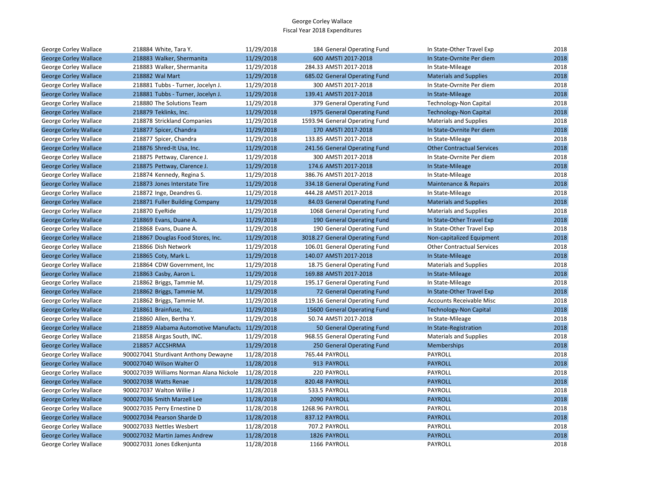| George Corley Wallace        | 218884 White, Tara Y.                          | 11/29/2018 | 184 General Operating Fund     | In State-Other Travel Exp         | 2018 |
|------------------------------|------------------------------------------------|------------|--------------------------------|-----------------------------------|------|
| <b>George Corley Wallace</b> | 218883 Walker, Shermanita                      | 11/29/2018 | 600 AMSTI 2017-2018            | In State-Ovrnite Per diem         | 2018 |
| George Corley Wallace        | 218883 Walker, Shermanita                      | 11/29/2018 | 284.33 AMSTI 2017-2018         | In State-Mileage                  | 2018 |
| <b>George Corley Wallace</b> | 218882 Wal Mart                                | 11/29/2018 | 685.02 General Operating Fund  | <b>Materials and Supplies</b>     | 2018 |
| George Corley Wallace        | 218881 Tubbs - Turner, Jocelyn J.              | 11/29/2018 | 300 AMSTI 2017-2018            | In State-Ovrnite Per diem         | 2018 |
| <b>George Corley Wallace</b> | 218881 Tubbs - Turner, Jocelyn J.              | 11/29/2018 | 139.41 AMSTI 2017-2018         | In State-Mileage                  | 2018 |
| George Corley Wallace        | 218880 The Solutions Team                      | 11/29/2018 | 379 General Operating Fund     | <b>Technology-Non Capital</b>     | 2018 |
| <b>George Corley Wallace</b> | 218879 Teklinks, Inc.                          | 11/29/2018 | 1975 General Operating Fund    | <b>Technology-Non Capital</b>     | 2018 |
| George Corley Wallace        | 218878 Strickland Companies                    | 11/29/2018 | 1593.94 General Operating Fund | <b>Materials and Supplies</b>     | 2018 |
| <b>George Corley Wallace</b> | 218877 Spicer, Chandra                         | 11/29/2018 | 170 AMSTI 2017-2018            | In State-Ovrnite Per diem         | 2018 |
| George Corley Wallace        | 218877 Spicer, Chandra                         | 11/29/2018 | 133.85 AMSTI 2017-2018         | In State-Mileage                  | 2018 |
| <b>George Corley Wallace</b> | 218876 Shred-It Usa, Inc.                      | 11/29/2018 | 241.56 General Operating Fund  | <b>Other Contractual Services</b> | 2018 |
| George Corley Wallace        | 218875 Pettway, Clarence J.                    | 11/29/2018 | 300 AMSTI 2017-2018            | In State-Ovrnite Per diem         | 2018 |
| <b>George Corley Wallace</b> | 218875 Pettway, Clarence J.                    | 11/29/2018 | 174.6 AMSTI 2017-2018          | In State-Mileage                  | 2018 |
| George Corley Wallace        | 218874 Kennedy, Regina S.                      | 11/29/2018 | 386.76 AMSTI 2017-2018         | In State-Mileage                  | 2018 |
| <b>George Corley Wallace</b> | 218873 Jones Interstate Tire                   | 11/29/2018 | 334.18 General Operating Fund  | <b>Maintenance &amp; Repairs</b>  | 2018 |
| George Corley Wallace        | 218872 Inge, Deandres G.                       | 11/29/2018 | 444.28 AMSTI 2017-2018         | In State-Mileage                  | 2018 |
| <b>George Corley Wallace</b> | 218871 Fuller Building Company                 | 11/29/2018 | 84.03 General Operating Fund   | <b>Materials and Supplies</b>     | 2018 |
| George Corley Wallace        | 218870 EyeRide                                 | 11/29/2018 | 1068 General Operating Fund    | <b>Materials and Supplies</b>     | 2018 |
| <b>George Corley Wallace</b> | 218869 Evans, Duane A.                         | 11/29/2018 | 190 General Operating Fund     | In State-Other Travel Exp         | 2018 |
| George Corley Wallace        | 218868 Evans, Duane A.                         | 11/29/2018 | 190 General Operating Fund     | In State-Other Travel Exp         | 2018 |
| <b>George Corley Wallace</b> | 218867 Douglas Food Stores, Inc.               | 11/29/2018 | 3018.27 General Operating Fund | Non-capitalized Equipment         | 2018 |
| George Corley Wallace        | 218866 Dish Network                            | 11/29/2018 | 106.01 General Operating Fund  | <b>Other Contractual Services</b> | 2018 |
| <b>George Corley Wallace</b> | 218865 Coty, Mark L.                           | 11/29/2018 | 140.07 AMSTI 2017-2018         | In State-Mileage                  | 2018 |
| George Corley Wallace        | 218864 CDW Government, Inc                     | 11/29/2018 | 18.75 General Operating Fund   | <b>Materials and Supplies</b>     | 2018 |
| <b>George Corley Wallace</b> | 218863 Casby, Aaron L.                         | 11/29/2018 | 169.88 AMSTI 2017-2018         | In State-Mileage                  | 2018 |
| George Corley Wallace        | 218862 Briggs, Tammie M.                       | 11/29/2018 | 195.17 General Operating Fund  | In State-Mileage                  | 2018 |
| <b>George Corley Wallace</b> | 218862 Briggs, Tammie M.                       | 11/29/2018 | 72 General Operating Fund      | In State-Other Travel Exp         | 2018 |
| George Corley Wallace        | 218862 Briggs, Tammie M.                       | 11/29/2018 | 119.16 General Operating Fund  | Accounts Receivable Misc          | 2018 |
| <b>George Corley Wallace</b> | 218861 Brainfuse, Inc.                         | 11/29/2018 | 15600 General Operating Fund   | <b>Technology-Non Capital</b>     | 2018 |
| George Corley Wallace        | 218860 Allen, Bertha Y.                        | 11/29/2018 | 50.74 AMSTI 2017-2018          | In State-Mileage                  | 2018 |
| <b>George Corley Wallace</b> | 218859 Alabama Automotive Manufactu 11/29/2018 |            | 50 General Operating Fund      | In State-Registration             | 2018 |
| George Corley Wallace        | 218858 Airgas South, INC.                      | 11/29/2018 | 968.55 General Operating Fund  | <b>Materials and Supplies</b>     | 2018 |
| <b>George Corley Wallace</b> | 218857 ACCSHRMA                                | 11/29/2018 | 250 General Operating Fund     | <b>Memberships</b>                | 2018 |
| George Corley Wallace        | 900027041 Sturdivant Anthony Dewayne           | 11/28/2018 | 765.44 PAYROLL                 | PAYROLL                           | 2018 |
| <b>George Corley Wallace</b> | 900027040 Wilson Walter O                      | 11/28/2018 | 913 PAYROLL                    | <b>PAYROLL</b>                    | 2018 |
| George Corley Wallace        | 900027039 Williams Norman Alana Nickole        | 11/28/2018 | 220 PAYROLL                    | PAYROLL                           | 2018 |
| <b>George Corley Wallace</b> | 900027038 Watts Renae                          | 11/28/2018 | 820.48 PAYROLL                 | <b>PAYROLL</b>                    | 2018 |
| George Corley Wallace        | 900027037 Walton Willie J                      | 11/28/2018 | 533.5 PAYROLL                  | PAYROLL                           | 2018 |
| <b>George Corley Wallace</b> | 900027036 Smith Marzell Lee                    | 11/28/2018 | 2090 PAYROLL                   | <b>PAYROLL</b>                    | 2018 |
| George Corley Wallace        | 900027035 Perry Ernestine D                    | 11/28/2018 | 1268.96 PAYROLL                | PAYROLL                           | 2018 |
| <b>George Corley Wallace</b> | 900027034 Pearson Sharde D                     | 11/28/2018 | 837.12 PAYROLL                 | <b>PAYROLL</b>                    | 2018 |
| George Corley Wallace        | 900027033 Nettles Wesbert                      | 11/28/2018 | 707.2 PAYROLL                  | PAYROLL                           | 2018 |
| <b>George Corley Wallace</b> | 900027032 Martin James Andrew                  | 11/28/2018 | 1826 PAYROLL                   | <b>PAYROLL</b>                    | 2018 |
| George Corley Wallace        | 900027031 Jones Edkenjunta                     | 11/28/2018 | 1166 PAYROLL                   | <b>PAYROLL</b>                    | 2018 |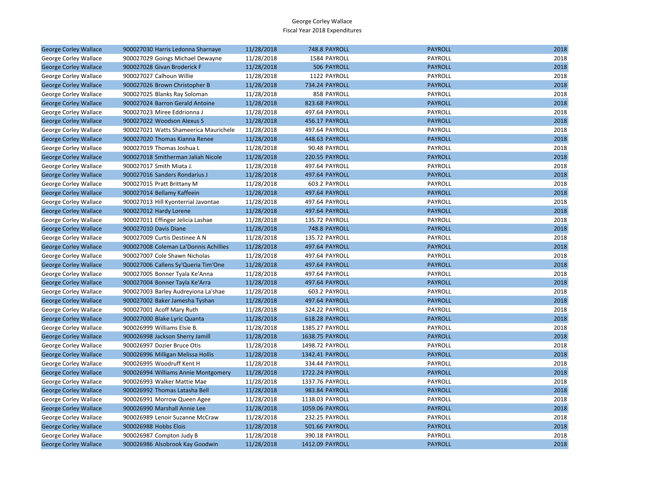| <b>George Corley Wallace</b> | 900027030 Harris Ledonna Sharnaye     | 11/28/2018 | 748.8 PAYROLL         | <b>PAYROLL</b> | 2018 |
|------------------------------|---------------------------------------|------------|-----------------------|----------------|------|
| George Corley Wallace        | 900027029 Goings Michael Dewayne      | 11/28/2018 | 1584 PAYROLL          | PAYROLL        | 2018 |
| <b>George Corley Wallace</b> | 900027028 Givan Broderick F           | 11/28/2018 | 506 PAYROLL           | <b>PAYROLL</b> | 2018 |
| George Corley Wallace        | 900027027 Calhoun Willie              | 11/28/2018 | 1122 PAYROLL          | PAYROLL        | 2018 |
| <b>George Corley Wallace</b> | 900027026 Brown Christopher B         | 11/28/2018 | <b>734.24 PAYROLL</b> | <b>PAYROLL</b> | 2018 |
| George Corley Wallace        | 900027025 Blanks Ray Soloman          | 11/28/2018 | 858 PAYROLL           | PAYROLL        | 2018 |
| <b>George Corley Wallace</b> | 900027024 Barron Gerald Antoine       | 11/28/2018 | 823.68 PAYROLL        | <b>PAYROLL</b> | 2018 |
| George Corley Wallace        | 900027023 Miree Eddrionna J           | 11/28/2018 | 497.64 PAYROLL        | PAYROLL        | 2018 |
| <b>George Corley Wallace</b> | 900027022 Woodson Alexus S            | 11/28/2018 | 456.17 PAYROLL        | <b>PAYROLL</b> | 2018 |
| George Corley Wallace        | 900027021 Watts Shameerica Maurichele | 11/28/2018 | 497.64 PAYROLL        | PAYROLL        | 2018 |
| <b>George Corley Wallace</b> | 900027020 Thomas Kianna Renee         | 11/28/2018 | 448.63 PAYROLL        | <b>PAYROLL</b> | 2018 |
| George Corley Wallace        | 900027019 Thomas Joshua L             | 11/28/2018 | 90.48 PAYROLL         | PAYROLL        | 2018 |
| <b>George Corley Wallace</b> | 900027018 Smitherman Jaliah Nicole    | 11/28/2018 | 220.55 PAYROLL        | <b>PAYROLL</b> | 2018 |
| George Corley Wallace        | 900027017 Smith Miata J.              | 11/28/2018 | 497.64 PAYROLL        | PAYROLL        | 2018 |
| <b>George Corley Wallace</b> | 900027016 Sanders Rondarius J         | 11/28/2018 | 497.64 PAYROLL        | <b>PAYROLL</b> | 2018 |
| George Corley Wallace        | 900027015 Pratt Brittany M            | 11/28/2018 | 603.2 PAYROLL         | PAYROLL        | 2018 |
| <b>George Corley Wallace</b> | 900027014 Bellamy Kaffeein            | 11/28/2018 | 497.64 PAYROLL        | <b>PAYROLL</b> | 2018 |
| George Corley Wallace        | 900027013 Hill Kyonterrial Javontae   | 11/28/2018 | 497.64 PAYROLL        | PAYROLL        | 2018 |
| <b>George Corley Wallace</b> | 900027012 Hardy Lorene                | 11/28/2018 | 497.64 PAYROLL        | <b>PAYROLL</b> | 2018 |
| George Corley Wallace        | 900027011 Effinger Jelicia Lashae     | 11/28/2018 | 135.72 PAYROLL        | PAYROLL        | 2018 |
| <b>George Corley Wallace</b> | 900027010 Davis Diane                 | 11/28/2018 | 748.8 PAYROLL         | <b>PAYROLL</b> | 2018 |
| George Corley Wallace        | 900027009 Curtis Destinee A N         | 11/28/2018 | 135.72 PAYROLL        | PAYROLL        | 2018 |
| <b>George Corley Wallace</b> | 900027008 Coleman La'Donnis Achillies | 11/28/2018 | 497.64 PAYROLL        | <b>PAYROLL</b> | 2018 |
| George Corley Wallace        | 900027007 Cole Shawn Nicholas         | 11/28/2018 | 497.64 PAYROLL        | PAYROLL        | 2018 |
| <b>George Corley Wallace</b> | 900027006 Callens Sy'Queria Tim'One   | 11/28/2018 | 497.64 PAYROLL        | <b>PAYROLL</b> | 2018 |
| George Corley Wallace        | 900027005 Bonner Tyala Ke'Anna        | 11/28/2018 | 497.64 PAYROLL        | PAYROLL        | 2018 |
| <b>George Corley Wallace</b> | 900027004 Bonner Tayla Ke'Arra        | 11/28/2018 | 497.64 PAYROLL        | <b>PAYROLL</b> | 2018 |
| George Corley Wallace        | 900027003 Barley Audreyiona La'shae   | 11/28/2018 | 603.2 PAYROLL         | PAYROLL        | 2018 |
| <b>George Corley Wallace</b> | 900027002 Baker Jamesha Tyshan        | 11/28/2018 | 497.64 PAYROLL        | <b>PAYROLL</b> | 2018 |
| George Corley Wallace        | 900027001 Acoff Mary Ruth             | 11/28/2018 | 324.22 PAYROLL        | PAYROLL        | 2018 |
| <b>George Corley Wallace</b> | 900027000 Blake Lyric Quanta          | 11/28/2018 | 618.28 PAYROLL        | <b>PAYROLL</b> | 2018 |
| George Corley Wallace        | 900026999 Williams Elsie B.           | 11/28/2018 | 1385.27 PAYROLL       | PAYROLL        | 2018 |
| <b>George Corley Wallace</b> | 900026998 Jackson Sherry Jamill       | 11/28/2018 | 1638.75 PAYROLL       | <b>PAYROLL</b> | 2018 |
| George Corley Wallace        | 900026997 Dozier Bruce Otis           | 11/28/2018 | 1498.72 PAYROLL       | PAYROLL        | 2018 |
| <b>George Corley Wallace</b> | 900026996 Milligan Melissa Hollis     | 11/28/2018 | 1342.41 PAYROLL       | <b>PAYROLL</b> | 2018 |
| George Corley Wallace        | 900026995 Woodruff Kent H             | 11/28/2018 | 334.44 PAYROLL        | PAYROLL        | 2018 |
| <b>George Corley Wallace</b> | 900026994 Williams Annie Montgomery   | 11/28/2018 | 1722.24 PAYROLL       | <b>PAYROLL</b> | 2018 |
| George Corley Wallace        | 900026993 Walker Mattie Mae           | 11/28/2018 | 1337.76 PAYROLL       | PAYROLL        | 2018 |
| <b>George Corley Wallace</b> | 900026992 Thomas Latasha Bell         | 11/28/2018 | 983.84 PAYROLL        | <b>PAYROLL</b> | 2018 |
| George Corley Wallace        | 900026991 Morrow Queen Agee           | 11/28/2018 | 1138.03 PAYROLL       | PAYROLL        | 2018 |
| <b>George Corley Wallace</b> | 900026990 Marshall Annie Lee          | 11/28/2018 | 1059.06 PAYROLL       | <b>PAYROLL</b> | 2018 |
| George Corley Wallace        | 900026989 Lenoir Suzanne McCraw       | 11/28/2018 | 232.25 PAYROLL        | PAYROLL        | 2018 |
| <b>George Corley Wallace</b> | 900026988 Hobbs Elois                 | 11/28/2018 | 501.66 PAYROLL        | <b>PAYROLL</b> | 2018 |
| George Corley Wallace        | 900026987 Compton Judy B              | 11/28/2018 | 390.18 PAYROLL        | PAYROLL        | 2018 |
| <b>George Corley Wallace</b> | 900026986 Alsobrook Kay Goodwin       | 11/28/2018 | 1412.09 PAYROLL       | <b>PAYROLL</b> | 2018 |
|                              |                                       |            |                       |                |      |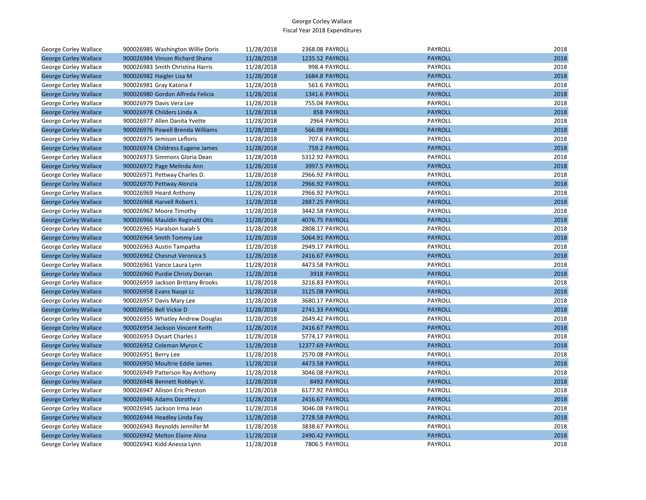| George Corley Wallace        | 900026985 Washington Willie Doris | 11/28/2018 | 2368.08 PAYROLL  | PAYROLL        | 2018 |
|------------------------------|-----------------------------------|------------|------------------|----------------|------|
| <b>George Corley Wallace</b> | 900026984 Vinson Richard Shane    | 11/28/2018 | 1235.52 PAYROLL  | <b>PAYROLL</b> | 2018 |
| <b>George Corley Wallace</b> | 900026983 Smith Christina Harris  | 11/28/2018 | 998.4 PAYROLL    | PAYROLL        | 2018 |
| <b>George Corley Wallace</b> | 900026982 Haigler Lisa M          | 11/28/2018 | 1684.8 PAYROLL   | <b>PAYROLL</b> | 2018 |
| George Corley Wallace        | 900026981 Gray Katoria F          | 11/28/2018 | 561.6 PAYROLL    | PAYROLL        | 2018 |
| <b>George Corley Wallace</b> | 900026980 Gordon Alfreda Felicia  | 11/28/2018 | 1341.6 PAYROLL   | <b>PAYROLL</b> | 2018 |
| George Corley Wallace        | 900026979 Davis Vera Lee          | 11/28/2018 | 755.04 PAYROLL   | <b>PAYROLL</b> | 2018 |
| <b>George Corley Wallace</b> | 900026978 Childers Linda A        | 11/28/2018 | 858 PAYROLL      | <b>PAYROLL</b> | 2018 |
| George Corley Wallace        | 900026977 Allen Danita Yvette     | 11/28/2018 | 2964 PAYROLL     | PAYROLL        | 2018 |
| <b>George Corley Wallace</b> | 900026976 Powell Brenda Williams  | 11/28/2018 | 566.08 PAYROLL   | <b>PAYROLL</b> | 2018 |
| George Corley Wallace        | 900026975 Jemison Lefloris        | 11/28/2018 | 707.6 PAYROLL    | PAYROLL        | 2018 |
| <b>George Corley Wallace</b> | 900026974 Childress Eugene James  | 11/28/2018 | 759.2 PAYROLL    | <b>PAYROLL</b> | 2018 |
| George Corley Wallace        | 900026973 Simmons Gloria Dean     | 11/28/2018 | 5312.92 PAYROLL  | PAYROLL        | 2018 |
| <b>George Corley Wallace</b> | 900026972 Page Melinda Ann        | 11/28/2018 | 3997.5 PAYROLL   | <b>PAYROLL</b> | 2018 |
| George Corley Wallace        | 900026971 Pettway Charles D.      | 11/28/2018 | 2966.92 PAYROLL  | PAYROLL        | 2018 |
| <b>George Corley Wallace</b> | 900026970 Pettway Alonzia         | 11/28/2018 | 2966.92 PAYROLL  | <b>PAYROLL</b> | 2018 |
| George Corley Wallace        | 900026969 Heard Anthony           | 11/28/2018 | 2966.92 PAYROLL  | PAYROLL        | 2018 |
| <b>George Corley Wallace</b> | 900026968 Harvell Robert L        | 11/28/2018 | 2887.25 PAYROLL  | <b>PAYROLL</b> | 2018 |
| George Corley Wallace        | 900026967 Moore Timothy           | 11/28/2018 | 3442.58 PAYROLL  | PAYROLL        | 2018 |
| <b>George Corley Wallace</b> | 900026966 Mauldin Reginald Otis   | 11/28/2018 | 4076.75 PAYROLL  | <b>PAYROLL</b> | 2018 |
| George Corley Wallace        | 900026965 Haralson Isaiah S       | 11/28/2018 | 2808.17 PAYROLL  | PAYROLL        | 2018 |
| <b>George Corley Wallace</b> | 900026964 Smith Tommy Lee         | 11/28/2018 | 5064.91 PAYROLL  | <b>PAYROLL</b> | 2018 |
| George Corley Wallace        | 900026963 Austin Tampatha         | 11/28/2018 | 2949.17 PAYROLL  | PAYROLL        | 2018 |
| <b>George Corley Wallace</b> | 900026962 Chesnut Veronica S      | 11/28/2018 | 2416.67 PAYROLL  | <b>PAYROLL</b> | 2018 |
| George Corley Wallace        | 900026961 Vance Laura Lynn        | 11/28/2018 | 4473.58 PAYROLL  | PAYROLL        | 2018 |
| <b>George Corley Wallace</b> | 900026960 Purdie Christy Dorran   | 11/28/2018 | 3918 PAYROLL     | <b>PAYROLL</b> | 2018 |
| George Corley Wallace        | 900026959 Jackson Brittany Brooks | 11/28/2018 | 3216.83 PAYROLL  | PAYROLL        | 2018 |
| <b>George Corley Wallace</b> | 900026958 Evans Naopi Lc          | 11/28/2018 | 3125.08 PAYROLL  | <b>PAYROLL</b> | 2018 |
| George Corley Wallace        | 900026957 Davis Mary Lee          | 11/28/2018 | 3680.17 PAYROLL  | PAYROLL        | 2018 |
| <b>George Corley Wallace</b> | 900026956 Bell Vickie D           | 11/28/2018 | 2741.33 PAYROLL  | <b>PAYROLL</b> | 2018 |
| George Corley Wallace        | 900026955 Whatley Andrew Douglas  | 11/28/2018 | 2649.42 PAYROLL  | PAYROLL        | 2018 |
| <b>George Corley Wallace</b> | 900026954 Jackson Vincent Keith   | 11/28/2018 | 2416.67 PAYROLL  | <b>PAYROLL</b> | 2018 |
| George Corley Wallace        | 900026953 Dysart Charles J        | 11/28/2018 | 5774.17 PAYROLL  | PAYROLL        | 2018 |
| <b>George Corley Wallace</b> | 900026952 Coleman Myron C         | 11/28/2018 | 12377.69 PAYROLL | <b>PAYROLL</b> | 2018 |
| George Corley Wallace        | 900026951 Berry Lee               | 11/28/2018 | 2570.08 PAYROLL  | PAYROLL        | 2018 |
| <b>George Corley Wallace</b> | 900026950 Moultrie Eddie James    | 11/28/2018 | 4473.58 PAYROLL  | <b>PAYROLL</b> | 2018 |
| George Corley Wallace        | 900026949 Patterson Ray Anthony   | 11/28/2018 | 3046.08 PAYROLL  | PAYROLL        | 2018 |
| <b>George Corley Wallace</b> | 900026948 Bennett Robbyn V.       | 11/28/2018 | 8492 PAYROLL     | <b>PAYROLL</b> | 2018 |
| George Corley Wallace        | 900026947 Allison Eric Preston    | 11/28/2018 | 6177.92 PAYROLL  | PAYROLL        | 2018 |
| <b>George Corley Wallace</b> | 900026946 Adams Dorothy J         | 11/28/2018 | 2416.67 PAYROLL  | <b>PAYROLL</b> | 2018 |
| George Corley Wallace        | 900026945 Jackson Irma Jean       | 11/28/2018 | 3046.08 PAYROLL  | PAYROLL        | 2018 |
| <b>George Corley Wallace</b> | 900026944 Headley Linda Fay       | 11/28/2018 | 2728.58 PAYROLL  | <b>PAYROLL</b> | 2018 |
| George Corley Wallace        | 900026943 Reynolds Jennifer M     | 11/28/2018 | 3838.67 PAYROLL  | PAYROLL        | 2018 |
| <b>George Corley Wallace</b> | 900026942 Melton Elaine Alina     | 11/28/2018 | 2490.42 PAYROLL  | <b>PAYROLL</b> | 2018 |
| <b>George Corley Wallace</b> | 900026941 Kidd Anessa Lynn        | 11/28/2018 | 7806.5 PAYROLL   | PAYROLL        | 2018 |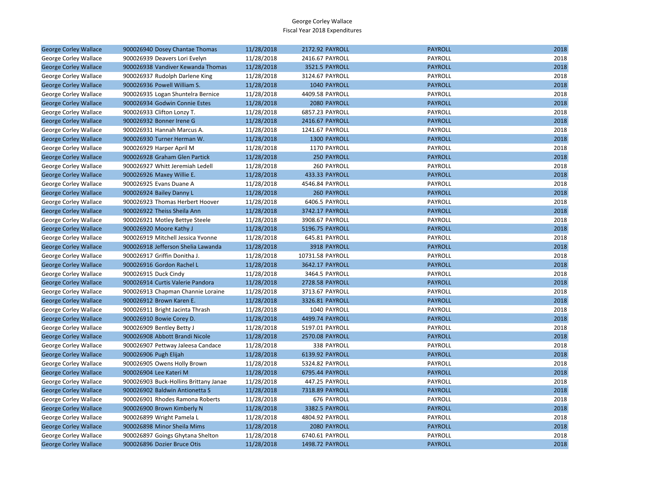| <b>George Corley Wallace</b> | 900026940 Dosey Chantae Thomas        | 11/28/2018 | 2172.92 PAYROLL    | <b>PAYROLL</b> | 2018 |
|------------------------------|---------------------------------------|------------|--------------------|----------------|------|
| George Corley Wallace        | 900026939 Deavers Lori Evelyn         | 11/28/2018 | 2416.67 PAYROLL    | PAYROLL        | 2018 |
| <b>George Corley Wallace</b> | 900026938 Vandiver Kewanda Thomas     | 11/28/2018 | 3521.5 PAYROLL     | <b>PAYROLL</b> | 2018 |
| George Corley Wallace        | 900026937 Rudolph Darlene King        | 11/28/2018 | 3124.67 PAYROLL    | PAYROLL        | 2018 |
| <b>George Corley Wallace</b> | 900026936 Powell William S.           | 11/28/2018 | 1040 PAYROLL       | <b>PAYROLL</b> | 2018 |
| George Corley Wallace        | 900026935 Logan Shuntelra Bernice     | 11/28/2018 | 4409.58 PAYROLL    | PAYROLL        | 2018 |
| <b>George Corley Wallace</b> | 900026934 Godwin Connie Estes         | 11/28/2018 | 2080 PAYROLL       | <b>PAYROLL</b> | 2018 |
| George Corley Wallace        | 900026933 Clifton Lonzy T.            | 11/28/2018 | 6857.23 PAYROLL    | PAYROLL        | 2018 |
| <b>George Corley Wallace</b> | 900026932 Bonner Irene G              | 11/28/2018 | 2416.67 PAYROLL    | <b>PAYROLL</b> | 2018 |
| George Corley Wallace        | 900026931 Hannah Marcus A.            | 11/28/2018 | 1241.67 PAYROLL    | PAYROLL        | 2018 |
| <b>George Corley Wallace</b> | 900026930 Turner Herman W.            | 11/28/2018 | 1300 PAYROLL       | <b>PAYROLL</b> | 2018 |
| George Corley Wallace        | 900026929 Harper April M              | 11/28/2018 | 1170 PAYROLL       | PAYROLL        | 2018 |
| <b>George Corley Wallace</b> | 900026928 Graham Glen Partick         | 11/28/2018 | 250 PAYROLL        | <b>PAYROLL</b> | 2018 |
| George Corley Wallace        | 900026927 Whitt Jeremiah Ledell       | 11/28/2018 | 260 PAYROLL        | PAYROLL        | 2018 |
| <b>George Corley Wallace</b> | 900026926 Maxey Willie E.             | 11/28/2018 | 433.33 PAYROLL     | <b>PAYROLL</b> | 2018 |
| George Corley Wallace        | 900026925 Evans Duane A               | 11/28/2018 | 4546.84 PAYROLL    | PAYROLL        | 2018 |
| <b>George Corley Wallace</b> | 900026924 Bailey Danny L              | 11/28/2018 | <b>260 PAYROLL</b> | <b>PAYROLL</b> | 2018 |
| George Corley Wallace        | 900026923 Thomas Herbert Hoover       | 11/28/2018 | 6406.5 PAYROLL     | PAYROLL        | 2018 |
| <b>George Corley Wallace</b> | 900026922 Theiss Sheila Ann           | 11/28/2018 | 3742.17 PAYROLL    | <b>PAYROLL</b> | 2018 |
| George Corley Wallace        | 900026921 Motley Bettye Steele        | 11/28/2018 | 3908.67 PAYROLL    | PAYROLL        | 2018 |
| <b>George Corley Wallace</b> | 900026920 Moore Kathy J               | 11/28/2018 | 5196.75 PAYROLL    | <b>PAYROLL</b> | 2018 |
| George Corley Wallace        | 900026919 Mitchell Jessica Yvonne     | 11/28/2018 | 645.81 PAYROLL     | PAYROLL        | 2018 |
| <b>George Corley Wallace</b> | 900026918 Jefferson Shelia Lawanda    | 11/28/2018 | 3918 PAYROLL       | <b>PAYROLL</b> | 2018 |
| George Corley Wallace        | 900026917 Griffin Donitha J.          | 11/28/2018 | 10731.58 PAYROLL   | PAYROLL        | 2018 |
| <b>George Corley Wallace</b> | 900026916 Gordon Rachel L             | 11/28/2018 | 3642.17 PAYROLL    | <b>PAYROLL</b> | 2018 |
| George Corley Wallace        | 900026915 Duck Cindy                  | 11/28/2018 | 3464.5 PAYROLL     | PAYROLL        | 2018 |
| <b>George Corley Wallace</b> | 900026914 Curtis Valerie Pandora      | 11/28/2018 | 2728.58 PAYROLL    | <b>PAYROLL</b> | 2018 |
| George Corley Wallace        | 900026913 Chapman Channie Loraine     | 11/28/2018 | 3713.67 PAYROLL    | PAYROLL        | 2018 |
| <b>George Corley Wallace</b> | 900026912 Brown Karen E.              | 11/28/2018 | 3326.81 PAYROLL    | <b>PAYROLL</b> | 2018 |
| George Corley Wallace        | 900026911 Bright Jacinta Thrash       | 11/28/2018 | 1040 PAYROLL       | PAYROLL        | 2018 |
| <b>George Corley Wallace</b> | 900026910 Bowie Corey D.              | 11/28/2018 | 4499.74 PAYROLL    | <b>PAYROLL</b> | 2018 |
| George Corley Wallace        | 900026909 Bentley Betty J             | 11/28/2018 | 5197.01 PAYROLL    | PAYROLL        | 2018 |
| <b>George Corley Wallace</b> | 900026908 Abbott Brandi Nicole        | 11/28/2018 | 2570.08 PAYROLL    | <b>PAYROLL</b> | 2018 |
| George Corley Wallace        | 900026907 Pettway Jaleesa Candace     | 11/28/2018 | 338 PAYROLL        | PAYROLL        | 2018 |
| <b>George Corley Wallace</b> | 900026906 Pugh Elijah                 | 11/28/2018 | 6139.92 PAYROLL    | <b>PAYROLL</b> | 2018 |
| George Corley Wallace        | 900026905 Owens Holly Brown           | 11/28/2018 | 5324.82 PAYROLL    | PAYROLL        | 2018 |
| <b>George Corley Wallace</b> | 900026904 Lee Kateri M                | 11/28/2018 | 6795.44 PAYROLL    | <b>PAYROLL</b> | 2018 |
| George Corley Wallace        | 900026903 Buck-Hollins Brittany Janae | 11/28/2018 | 447.25 PAYROLL     | PAYROLL        | 2018 |
| <b>George Corley Wallace</b> | 900026902 Baldwin Antionetta S        | 11/28/2018 | 7318.89 PAYROLL    | <b>PAYROLL</b> | 2018 |
| George Corley Wallace        | 900026901 Rhodes Ramona Roberts       | 11/28/2018 | 676 PAYROLL        | PAYROLL        | 2018 |
| <b>George Corley Wallace</b> | 900026900 Brown Kimberly N            | 11/28/2018 | 3382.5 PAYROLL     | <b>PAYROLL</b> | 2018 |
| George Corley Wallace        | 900026899 Wright Pamela L             | 11/28/2018 | 4804.92 PAYROLL    | PAYROLL        | 2018 |
| <b>George Corley Wallace</b> | 900026898 Minor Sheila Mims           | 11/28/2018 | 2080 PAYROLL       | <b>PAYROLL</b> | 2018 |
| George Corley Wallace        | 900026897 Goings Ghytana Shelton      | 11/28/2018 | 6740.61 PAYROLL    | PAYROLL        | 2018 |
| <b>George Corley Wallace</b> | 900026896 Dozier Bruce Otis           | 11/28/2018 | 1498.72 PAYROLL    | <b>PAYROLL</b> | 2018 |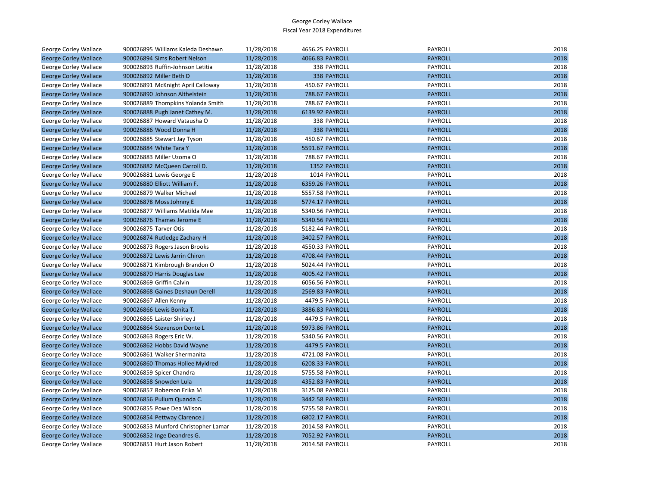| George Corley Wallace        | 900026895 Williams Kaleda Deshawn   | 11/28/2018 | 4656.25 PAYROLL | <b>PAYROLL</b> | 2018 |
|------------------------------|-------------------------------------|------------|-----------------|----------------|------|
| <b>George Corley Wallace</b> | 900026894 Sims Robert Nelson        | 11/28/2018 | 4066.83 PAYROLL | <b>PAYROLL</b> | 2018 |
| George Corley Wallace        | 900026893 Ruffin-Johnson Letitia    | 11/28/2018 | 338 PAYROLL     | PAYROLL        | 2018 |
| <b>George Corley Wallace</b> | 900026892 Miller Beth D             | 11/28/2018 | 338 PAYROLL     | <b>PAYROLL</b> | 2018 |
| George Corley Wallace        | 900026891 McKnight April Calloway   | 11/28/2018 | 450.67 PAYROLL  | PAYROLL        | 2018 |
| <b>George Corley Wallace</b> | 900026890 Johnson Althelstein       | 11/28/2018 | 788.67 PAYROLL  | <b>PAYROLL</b> | 2018 |
| George Corley Wallace        | 900026889 Thompkins Yolanda Smith   | 11/28/2018 | 788.67 PAYROLL  | PAYROLL        | 2018 |
| <b>George Corley Wallace</b> | 900026888 Pugh Janet Cathey M.      | 11/28/2018 | 6139.92 PAYROLL | <b>PAYROLL</b> | 2018 |
| George Corley Wallace        | 900026887 Howard Vatausha O         | 11/28/2018 | 338 PAYROLL     | PAYROLL        | 2018 |
| <b>George Corley Wallace</b> | 900026886 Wood Donna H              | 11/28/2018 | 338 PAYROLL     | <b>PAYROLL</b> | 2018 |
| George Corley Wallace        | 900026885 Stewart Jay Tyson         | 11/28/2018 | 450.67 PAYROLL  | PAYROLL        | 2018 |
| <b>George Corley Wallace</b> | 900026884 White Tara Y              | 11/28/2018 | 5591.67 PAYROLL | <b>PAYROLL</b> | 2018 |
| George Corley Wallace        | 900026883 Miller Uzoma O            | 11/28/2018 | 788.67 PAYROLL  | PAYROLL        | 2018 |
| <b>George Corley Wallace</b> | 900026882 McQueen Carroll D.        | 11/28/2018 | 1352 PAYROLL    | <b>PAYROLL</b> | 2018 |
| George Corley Wallace        | 900026881 Lewis George E            | 11/28/2018 | 1014 PAYROLL    | PAYROLL        | 2018 |
| <b>George Corley Wallace</b> | 900026880 Elliott William F.        | 11/28/2018 | 6359.26 PAYROLL | <b>PAYROLL</b> | 2018 |
| George Corley Wallace        | 900026879 Walker Michael            | 11/28/2018 | 5557.58 PAYROLL | PAYROLL        | 2018 |
| <b>George Corley Wallace</b> | 900026878 Moss Johnny E             | 11/28/2018 | 5774.17 PAYROLL | <b>PAYROLL</b> | 2018 |
| George Corley Wallace        | 900026877 Williams Matilda Mae      | 11/28/2018 | 5340.56 PAYROLL | PAYROLL        | 2018 |
| <b>George Corley Wallace</b> | 900026876 Thames Jerome E           | 11/28/2018 | 5340.56 PAYROLL | <b>PAYROLL</b> | 2018 |
| George Corley Wallace        | 900026875 Tarver Otis               | 11/28/2018 | 5182.44 PAYROLL | PAYROLL        | 2018 |
| <b>George Corley Wallace</b> | 900026874 Rutledge Zachary H        | 11/28/2018 | 3402.57 PAYROLL | <b>PAYROLL</b> | 2018 |
| George Corley Wallace        | 900026873 Rogers Jason Brooks       | 11/28/2018 | 4550.33 PAYROLL | PAYROLL        | 2018 |
| <b>George Corley Wallace</b> | 900026872 Lewis Jarrin Chiron       | 11/28/2018 | 4708.44 PAYROLL | <b>PAYROLL</b> | 2018 |
| George Corley Wallace        | 900026871 Kimbrough Brandon O       | 11/28/2018 | 5024.44 PAYROLL | PAYROLL        | 2018 |
| <b>George Corley Wallace</b> | 900026870 Harris Douglas Lee        | 11/28/2018 | 4005.42 PAYROLL | <b>PAYROLL</b> | 2018 |
| George Corley Wallace        | 900026869 Griffin Calvin            | 11/28/2018 | 6056.56 PAYROLL | PAYROLL        | 2018 |
| <b>George Corley Wallace</b> | 900026868 Gaines Deshaun Derell     | 11/28/2018 | 2569.83 PAYROLL | <b>PAYROLL</b> | 2018 |
| George Corley Wallace        | 900026867 Allen Kenny               | 11/28/2018 | 4479.5 PAYROLL  | PAYROLL        | 2018 |
| <b>George Corley Wallace</b> | 900026866 Lewis Bonita T.           | 11/28/2018 | 3886.83 PAYROLL | <b>PAYROLL</b> | 2018 |
| George Corley Wallace        | 900026865 Laister Shirley J         | 11/28/2018 | 4479.5 PAYROLL  | PAYROLL        | 2018 |
| <b>George Corley Wallace</b> | 900026864 Stevenson Donte L         | 11/28/2018 | 5973.86 PAYROLL | <b>PAYROLL</b> | 2018 |
| George Corley Wallace        | 900026863 Rogers Eric W.            | 11/28/2018 | 5340.56 PAYROLL | PAYROLL        | 2018 |
| <b>George Corley Wallace</b> | 900026862 Hobbs David Wayne         | 11/28/2018 | 4479.5 PAYROLL  | <b>PAYROLL</b> | 2018 |
| George Corley Wallace        | 900026861 Walker Shermanita         | 11/28/2018 | 4721.08 PAYROLL | PAYROLL        | 2018 |
| <b>George Corley Wallace</b> | 900026860 Thomas Hollee Myldred     | 11/28/2018 | 6208.33 PAYROLL | <b>PAYROLL</b> | 2018 |
| George Corley Wallace        | 900026859 Spicer Chandra            | 11/28/2018 | 5755.58 PAYROLL | PAYROLL        | 2018 |
| <b>George Corley Wallace</b> | 900026858 Snowden Lula              | 11/28/2018 | 4352.83 PAYROLL | <b>PAYROLL</b> | 2018 |
| George Corley Wallace        | 900026857 Roberson Erika M          | 11/28/2018 | 3125.08 PAYROLL | PAYROLL        | 2018 |
| <b>George Corley Wallace</b> | 900026856 Pullum Quanda C.          | 11/28/2018 | 3442.58 PAYROLL | <b>PAYROLL</b> | 2018 |
| George Corley Wallace        | 900026855 Powe Dea Wilson           | 11/28/2018 | 5755.58 PAYROLL | PAYROLL        | 2018 |
| <b>George Corley Wallace</b> | 900026854 Pettway Clarence J        | 11/28/2018 | 6802.17 PAYROLL | <b>PAYROLL</b> | 2018 |
| George Corley Wallace        | 900026853 Munford Christopher Lamar | 11/28/2018 | 2014.58 PAYROLL | PAYROLL        | 2018 |
| <b>George Corley Wallace</b> | 900026852 Inge Deandres G.          | 11/28/2018 | 7052.92 PAYROLL | <b>PAYROLL</b> | 2018 |
| <b>George Corley Wallace</b> | 900026851 Hurt Jason Robert         | 11/28/2018 | 2014.58 PAYROLL | PAYROLL        | 2018 |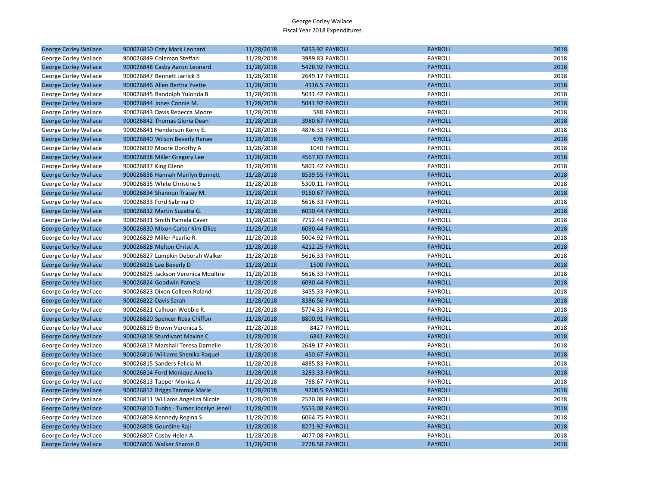| <b>PAYROLL</b><br>2018<br><b>George Corley Wallace</b><br>900026850 Coty Mark Leonard<br>11/28/2018<br>5853.92 PAYROLL<br>PAYROLL<br>2018<br>George Corley Wallace<br>900026849 Coleman Steffan<br>11/28/2018<br>3989.83 PAYROLL<br>2018<br>11/28/2018<br>5428.92 PAYROLL<br><b>PAYROLL</b><br><b>George Corley Wallace</b><br>900026848 Casby Aaron Leonard<br>PAYROLL<br>2018<br>George Corley Wallace<br>900026847 Bennett Jarrick B<br>11/28/2018<br>2649.17 PAYROLL<br><b>PAYROLL</b><br>2018<br><b>George Corley Wallace</b><br>900026846 Allen Bertha Yvette<br>11/28/2018<br>4916.5 PAYROLL<br>2018<br>George Corley Wallace<br>900026845 Randolph Yulonda B<br>11/28/2018<br>5031.42 PAYROLL<br>PAYROLL<br>2018<br><b>George Corley Wallace</b><br>900026844 Jones Connie M.<br>11/28/2018<br>5041.92 PAYROLL<br><b>PAYROLL</b><br>PAYROLL<br>2018<br>George Corley Wallace<br>900026843 Davis Rebecca Moore<br>11/28/2018<br>588 PAYROLL<br>2018<br>900026842 Thomas Gloria Dean<br>11/28/2018<br>3980.67 PAYROLL<br><b>PAYROLL</b><br><b>George Corley Wallace</b><br>2018<br>George Corley Wallace<br>900026841 Henderson Kerry E.<br>11/28/2018<br>4876.33 PAYROLL<br>PAYROLL<br><b>PAYROLL</b><br>2018<br>900026840 Wilson Beverly Renae<br>11/28/2018<br><b>676 PAYROLL</b><br><b>George Corley Wallace</b><br>2018<br>900026839 Moore Dorothy A<br>1040 PAYROLL<br>PAYROLL<br>George Corley Wallace<br>11/28/2018<br><b>PAYROLL</b><br>2018<br><b>George Corley Wallace</b><br>900026838 Miller Gregory Lee<br>11/28/2018<br>4567.83 PAYROLL<br>11/28/2018<br>PAYROLL<br>2018<br>900026837 King Glenn<br>5801.42 PAYROLL<br>George Corley Wallace<br>8539.55 PAYROLL<br><b>PAYROLL</b><br>2018<br><b>George Corley Wallace</b><br>900026836 Hannah Marilyn Bennett<br>11/28/2018<br>2018<br>900026835 White Christine S<br>11/28/2018<br>PAYROLL<br>George Corley Wallace<br>5300.11 PAYROLL<br>2018<br>900026834 Shannon Tracey M.<br>11/28/2018<br>9160.67 PAYROLL<br><b>PAYROLL</b><br><b>George Corley Wallace</b><br>PAYROLL<br>2018<br>George Corley Wallace<br>900026833 Ford Sabrina D<br>11/28/2018<br>5616.33 PAYROLL<br>11/28/2018<br><b>PAYROLL</b><br>2018<br><b>George Corley Wallace</b><br>900026832 Martin Suzette G.<br>6090.44 PAYROLL<br>11/28/2018<br><b>PAYROLL</b><br>2018<br>900026831 Smith Pamela Caver<br>7712.44 PAYROLL<br>George Corley Wallace<br>2018<br><b>PAYROLL</b><br><b>George Corley Wallace</b><br>900026830 Mixon Carter Kim Ellice<br>11/28/2018<br>6090.44 PAYROLL<br>PAYROLL<br>2018<br>900026829 Miller Pearlie R.<br>11/28/2018<br>5004.92 PAYROLL<br>George Corley Wallace<br>2018<br>900026828 Melton Christi A.<br>11/28/2018<br>4212.25 PAYROLL<br><b>PAYROLL</b><br><b>George Corley Wallace</b><br>2018<br>George Corley Wallace<br>900026827 Lumpkin Deborah Walker<br>11/28/2018<br>5616.33 PAYROLL<br>PAYROLL<br>11/28/2018<br>1500 PAYROLL<br><b>PAYROLL</b><br>2018<br><b>George Corley Wallace</b><br>900026826 Lee Beverly D<br>PAYROLL<br>2018<br>900026825 Jackson Veronica Moultrie<br>11/28/2018<br>5616.33 PAYROLL<br>George Corley Wallace<br>2018<br><b>George Corley Wallace</b><br>900026824 Goodwin Pamela<br>11/28/2018<br>6090.44 PAYROLL<br><b>PAYROLL</b><br>2018<br>11/28/2018<br>3455.33 PAYROLL<br>PAYROLL<br>George Corley Wallace<br>900026823 Dixon Colleen Roland<br>2018<br><b>PAYROLL</b><br><b>George Corley Wallace</b><br>900026822 Davis Sarah<br>11/28/2018<br>8386.56 PAYROLL<br>2018<br>George Corley Wallace<br>900026821 Calhoun Webbie R.<br>11/28/2018<br>5774.33 PAYROLL<br>PAYROLL<br>11/28/2018<br>8800.91 PAYROLL<br><b>PAYROLL</b><br>2018<br><b>George Corley Wallace</b><br>900026820 Spencer Rosa Chiffon<br>2018<br>900026819 Brown Veronica S.<br>11/28/2018<br>8427 PAYROLL<br>PAYROLL<br>George Corley Wallace<br>2018<br><b>George Corley Wallace</b><br>900026818 Sturdivant Maxine C<br>11/28/2018<br>6841 PAYROLL<br><b>PAYROLL</b><br>11/28/2018<br>2649.17 PAYROLL<br>PAYROLL<br>2018<br>George Corley Wallace<br>900026817 Marshall Teresa Darnelle<br><b>PAYROLL</b><br>2018<br><b>George Corley Wallace</b><br>900026816 Williams Shenika Raquel<br>11/28/2018<br>450.67 PAYROLL<br>PAYROLL<br>2018<br>George Corley Wallace<br>11/28/2018<br>4885.83 PAYROLL<br>900026815 Sanders Felicia M.<br><b>PAYROLL</b><br>2018<br><b>George Corley Wallace</b><br>900026814 Ford Monique Amelia<br>11/28/2018<br>3283.33 PAYROLL<br>2018<br>788.67 PAYROLL<br>PAYROLL<br>George Corley Wallace<br>900026813 Tapper Monica A<br>11/28/2018<br><b>George Corley Wallace</b><br>900026812 Briggs Tammie Marie<br>11/28/2018<br>9200.5 PAYROLL<br><b>PAYROLL</b><br>2018 |
|-------------------------------------------------------------------------------------------------------------------------------------------------------------------------------------------------------------------------------------------------------------------------------------------------------------------------------------------------------------------------------------------------------------------------------------------------------------------------------------------------------------------------------------------------------------------------------------------------------------------------------------------------------------------------------------------------------------------------------------------------------------------------------------------------------------------------------------------------------------------------------------------------------------------------------------------------------------------------------------------------------------------------------------------------------------------------------------------------------------------------------------------------------------------------------------------------------------------------------------------------------------------------------------------------------------------------------------------------------------------------------------------------------------------------------------------------------------------------------------------------------------------------------------------------------------------------------------------------------------------------------------------------------------------------------------------------------------------------------------------------------------------------------------------------------------------------------------------------------------------------------------------------------------------------------------------------------------------------------------------------------------------------------------------------------------------------------------------------------------------------------------------------------------------------------------------------------------------------------------------------------------------------------------------------------------------------------------------------------------------------------------------------------------------------------------------------------------------------------------------------------------------------------------------------------------------------------------------------------------------------------------------------------------------------------------------------------------------------------------------------------------------------------------------------------------------------------------------------------------------------------------------------------------------------------------------------------------------------------------------------------------------------------------------------------------------------------------------------------------------------------------------------------------------------------------------------------------------------------------------------------------------------------------------------------------------------------------------------------------------------------------------------------------------------------------------------------------------------------------------------------------------------------------------------------------------------------------------------------------------------------------------------------------------------------------------------------------------------------------------------------------------------------------------------------------------------------------------------------------------------------------------------------------------------------------------------------------------------------------------------------------------------------------------------------------------------------------------------------------------------------------------------------------------------------------------------------------------------------------------------------------------------------------------------------------------------------------------------------------------------------------------------------------------------------------------------------------------------------------------------------------------------------------------------------------------------------------------------------------------------------------------------------------------------------------------------|
|                                                                                                                                                                                                                                                                                                                                                                                                                                                                                                                                                                                                                                                                                                                                                                                                                                                                                                                                                                                                                                                                                                                                                                                                                                                                                                                                                                                                                                                                                                                                                                                                                                                                                                                                                                                                                                                                                                                                                                                                                                                                                                                                                                                                                                                                                                                                                                                                                                                                                                                                                                                                                                                                                                                                                                                                                                                                                                                                                                                                                                                                                                                                                                                                                                                                                                                                                                                                                                                                                                                                                                                                                                                                                                                                                                                                                                                                                                                                                                                                                                                                                                                                                                                                                                                                                                                                                                                                                                                                                                                                                                                                                                                                                                 |
|                                                                                                                                                                                                                                                                                                                                                                                                                                                                                                                                                                                                                                                                                                                                                                                                                                                                                                                                                                                                                                                                                                                                                                                                                                                                                                                                                                                                                                                                                                                                                                                                                                                                                                                                                                                                                                                                                                                                                                                                                                                                                                                                                                                                                                                                                                                                                                                                                                                                                                                                                                                                                                                                                                                                                                                                                                                                                                                                                                                                                                                                                                                                                                                                                                                                                                                                                                                                                                                                                                                                                                                                                                                                                                                                                                                                                                                                                                                                                                                                                                                                                                                                                                                                                                                                                                                                                                                                                                                                                                                                                                                                                                                                                                 |
|                                                                                                                                                                                                                                                                                                                                                                                                                                                                                                                                                                                                                                                                                                                                                                                                                                                                                                                                                                                                                                                                                                                                                                                                                                                                                                                                                                                                                                                                                                                                                                                                                                                                                                                                                                                                                                                                                                                                                                                                                                                                                                                                                                                                                                                                                                                                                                                                                                                                                                                                                                                                                                                                                                                                                                                                                                                                                                                                                                                                                                                                                                                                                                                                                                                                                                                                                                                                                                                                                                                                                                                                                                                                                                                                                                                                                                                                                                                                                                                                                                                                                                                                                                                                                                                                                                                                                                                                                                                                                                                                                                                                                                                                                                 |
|                                                                                                                                                                                                                                                                                                                                                                                                                                                                                                                                                                                                                                                                                                                                                                                                                                                                                                                                                                                                                                                                                                                                                                                                                                                                                                                                                                                                                                                                                                                                                                                                                                                                                                                                                                                                                                                                                                                                                                                                                                                                                                                                                                                                                                                                                                                                                                                                                                                                                                                                                                                                                                                                                                                                                                                                                                                                                                                                                                                                                                                                                                                                                                                                                                                                                                                                                                                                                                                                                                                                                                                                                                                                                                                                                                                                                                                                                                                                                                                                                                                                                                                                                                                                                                                                                                                                                                                                                                                                                                                                                                                                                                                                                                 |
|                                                                                                                                                                                                                                                                                                                                                                                                                                                                                                                                                                                                                                                                                                                                                                                                                                                                                                                                                                                                                                                                                                                                                                                                                                                                                                                                                                                                                                                                                                                                                                                                                                                                                                                                                                                                                                                                                                                                                                                                                                                                                                                                                                                                                                                                                                                                                                                                                                                                                                                                                                                                                                                                                                                                                                                                                                                                                                                                                                                                                                                                                                                                                                                                                                                                                                                                                                                                                                                                                                                                                                                                                                                                                                                                                                                                                                                                                                                                                                                                                                                                                                                                                                                                                                                                                                                                                                                                                                                                                                                                                                                                                                                                                                 |
|                                                                                                                                                                                                                                                                                                                                                                                                                                                                                                                                                                                                                                                                                                                                                                                                                                                                                                                                                                                                                                                                                                                                                                                                                                                                                                                                                                                                                                                                                                                                                                                                                                                                                                                                                                                                                                                                                                                                                                                                                                                                                                                                                                                                                                                                                                                                                                                                                                                                                                                                                                                                                                                                                                                                                                                                                                                                                                                                                                                                                                                                                                                                                                                                                                                                                                                                                                                                                                                                                                                                                                                                                                                                                                                                                                                                                                                                                                                                                                                                                                                                                                                                                                                                                                                                                                                                                                                                                                                                                                                                                                                                                                                                                                 |
|                                                                                                                                                                                                                                                                                                                                                                                                                                                                                                                                                                                                                                                                                                                                                                                                                                                                                                                                                                                                                                                                                                                                                                                                                                                                                                                                                                                                                                                                                                                                                                                                                                                                                                                                                                                                                                                                                                                                                                                                                                                                                                                                                                                                                                                                                                                                                                                                                                                                                                                                                                                                                                                                                                                                                                                                                                                                                                                                                                                                                                                                                                                                                                                                                                                                                                                                                                                                                                                                                                                                                                                                                                                                                                                                                                                                                                                                                                                                                                                                                                                                                                                                                                                                                                                                                                                                                                                                                                                                                                                                                                                                                                                                                                 |
|                                                                                                                                                                                                                                                                                                                                                                                                                                                                                                                                                                                                                                                                                                                                                                                                                                                                                                                                                                                                                                                                                                                                                                                                                                                                                                                                                                                                                                                                                                                                                                                                                                                                                                                                                                                                                                                                                                                                                                                                                                                                                                                                                                                                                                                                                                                                                                                                                                                                                                                                                                                                                                                                                                                                                                                                                                                                                                                                                                                                                                                                                                                                                                                                                                                                                                                                                                                                                                                                                                                                                                                                                                                                                                                                                                                                                                                                                                                                                                                                                                                                                                                                                                                                                                                                                                                                                                                                                                                                                                                                                                                                                                                                                                 |
|                                                                                                                                                                                                                                                                                                                                                                                                                                                                                                                                                                                                                                                                                                                                                                                                                                                                                                                                                                                                                                                                                                                                                                                                                                                                                                                                                                                                                                                                                                                                                                                                                                                                                                                                                                                                                                                                                                                                                                                                                                                                                                                                                                                                                                                                                                                                                                                                                                                                                                                                                                                                                                                                                                                                                                                                                                                                                                                                                                                                                                                                                                                                                                                                                                                                                                                                                                                                                                                                                                                                                                                                                                                                                                                                                                                                                                                                                                                                                                                                                                                                                                                                                                                                                                                                                                                                                                                                                                                                                                                                                                                                                                                                                                 |
|                                                                                                                                                                                                                                                                                                                                                                                                                                                                                                                                                                                                                                                                                                                                                                                                                                                                                                                                                                                                                                                                                                                                                                                                                                                                                                                                                                                                                                                                                                                                                                                                                                                                                                                                                                                                                                                                                                                                                                                                                                                                                                                                                                                                                                                                                                                                                                                                                                                                                                                                                                                                                                                                                                                                                                                                                                                                                                                                                                                                                                                                                                                                                                                                                                                                                                                                                                                                                                                                                                                                                                                                                                                                                                                                                                                                                                                                                                                                                                                                                                                                                                                                                                                                                                                                                                                                                                                                                                                                                                                                                                                                                                                                                                 |
|                                                                                                                                                                                                                                                                                                                                                                                                                                                                                                                                                                                                                                                                                                                                                                                                                                                                                                                                                                                                                                                                                                                                                                                                                                                                                                                                                                                                                                                                                                                                                                                                                                                                                                                                                                                                                                                                                                                                                                                                                                                                                                                                                                                                                                                                                                                                                                                                                                                                                                                                                                                                                                                                                                                                                                                                                                                                                                                                                                                                                                                                                                                                                                                                                                                                                                                                                                                                                                                                                                                                                                                                                                                                                                                                                                                                                                                                                                                                                                                                                                                                                                                                                                                                                                                                                                                                                                                                                                                                                                                                                                                                                                                                                                 |
|                                                                                                                                                                                                                                                                                                                                                                                                                                                                                                                                                                                                                                                                                                                                                                                                                                                                                                                                                                                                                                                                                                                                                                                                                                                                                                                                                                                                                                                                                                                                                                                                                                                                                                                                                                                                                                                                                                                                                                                                                                                                                                                                                                                                                                                                                                                                                                                                                                                                                                                                                                                                                                                                                                                                                                                                                                                                                                                                                                                                                                                                                                                                                                                                                                                                                                                                                                                                                                                                                                                                                                                                                                                                                                                                                                                                                                                                                                                                                                                                                                                                                                                                                                                                                                                                                                                                                                                                                                                                                                                                                                                                                                                                                                 |
|                                                                                                                                                                                                                                                                                                                                                                                                                                                                                                                                                                                                                                                                                                                                                                                                                                                                                                                                                                                                                                                                                                                                                                                                                                                                                                                                                                                                                                                                                                                                                                                                                                                                                                                                                                                                                                                                                                                                                                                                                                                                                                                                                                                                                                                                                                                                                                                                                                                                                                                                                                                                                                                                                                                                                                                                                                                                                                                                                                                                                                                                                                                                                                                                                                                                                                                                                                                                                                                                                                                                                                                                                                                                                                                                                                                                                                                                                                                                                                                                                                                                                                                                                                                                                                                                                                                                                                                                                                                                                                                                                                                                                                                                                                 |
|                                                                                                                                                                                                                                                                                                                                                                                                                                                                                                                                                                                                                                                                                                                                                                                                                                                                                                                                                                                                                                                                                                                                                                                                                                                                                                                                                                                                                                                                                                                                                                                                                                                                                                                                                                                                                                                                                                                                                                                                                                                                                                                                                                                                                                                                                                                                                                                                                                                                                                                                                                                                                                                                                                                                                                                                                                                                                                                                                                                                                                                                                                                                                                                                                                                                                                                                                                                                                                                                                                                                                                                                                                                                                                                                                                                                                                                                                                                                                                                                                                                                                                                                                                                                                                                                                                                                                                                                                                                                                                                                                                                                                                                                                                 |
|                                                                                                                                                                                                                                                                                                                                                                                                                                                                                                                                                                                                                                                                                                                                                                                                                                                                                                                                                                                                                                                                                                                                                                                                                                                                                                                                                                                                                                                                                                                                                                                                                                                                                                                                                                                                                                                                                                                                                                                                                                                                                                                                                                                                                                                                                                                                                                                                                                                                                                                                                                                                                                                                                                                                                                                                                                                                                                                                                                                                                                                                                                                                                                                                                                                                                                                                                                                                                                                                                                                                                                                                                                                                                                                                                                                                                                                                                                                                                                                                                                                                                                                                                                                                                                                                                                                                                                                                                                                                                                                                                                                                                                                                                                 |
|                                                                                                                                                                                                                                                                                                                                                                                                                                                                                                                                                                                                                                                                                                                                                                                                                                                                                                                                                                                                                                                                                                                                                                                                                                                                                                                                                                                                                                                                                                                                                                                                                                                                                                                                                                                                                                                                                                                                                                                                                                                                                                                                                                                                                                                                                                                                                                                                                                                                                                                                                                                                                                                                                                                                                                                                                                                                                                                                                                                                                                                                                                                                                                                                                                                                                                                                                                                                                                                                                                                                                                                                                                                                                                                                                                                                                                                                                                                                                                                                                                                                                                                                                                                                                                                                                                                                                                                                                                                                                                                                                                                                                                                                                                 |
|                                                                                                                                                                                                                                                                                                                                                                                                                                                                                                                                                                                                                                                                                                                                                                                                                                                                                                                                                                                                                                                                                                                                                                                                                                                                                                                                                                                                                                                                                                                                                                                                                                                                                                                                                                                                                                                                                                                                                                                                                                                                                                                                                                                                                                                                                                                                                                                                                                                                                                                                                                                                                                                                                                                                                                                                                                                                                                                                                                                                                                                                                                                                                                                                                                                                                                                                                                                                                                                                                                                                                                                                                                                                                                                                                                                                                                                                                                                                                                                                                                                                                                                                                                                                                                                                                                                                                                                                                                                                                                                                                                                                                                                                                                 |
|                                                                                                                                                                                                                                                                                                                                                                                                                                                                                                                                                                                                                                                                                                                                                                                                                                                                                                                                                                                                                                                                                                                                                                                                                                                                                                                                                                                                                                                                                                                                                                                                                                                                                                                                                                                                                                                                                                                                                                                                                                                                                                                                                                                                                                                                                                                                                                                                                                                                                                                                                                                                                                                                                                                                                                                                                                                                                                                                                                                                                                                                                                                                                                                                                                                                                                                                                                                                                                                                                                                                                                                                                                                                                                                                                                                                                                                                                                                                                                                                                                                                                                                                                                                                                                                                                                                                                                                                                                                                                                                                                                                                                                                                                                 |
|                                                                                                                                                                                                                                                                                                                                                                                                                                                                                                                                                                                                                                                                                                                                                                                                                                                                                                                                                                                                                                                                                                                                                                                                                                                                                                                                                                                                                                                                                                                                                                                                                                                                                                                                                                                                                                                                                                                                                                                                                                                                                                                                                                                                                                                                                                                                                                                                                                                                                                                                                                                                                                                                                                                                                                                                                                                                                                                                                                                                                                                                                                                                                                                                                                                                                                                                                                                                                                                                                                                                                                                                                                                                                                                                                                                                                                                                                                                                                                                                                                                                                                                                                                                                                                                                                                                                                                                                                                                                                                                                                                                                                                                                                                 |
|                                                                                                                                                                                                                                                                                                                                                                                                                                                                                                                                                                                                                                                                                                                                                                                                                                                                                                                                                                                                                                                                                                                                                                                                                                                                                                                                                                                                                                                                                                                                                                                                                                                                                                                                                                                                                                                                                                                                                                                                                                                                                                                                                                                                                                                                                                                                                                                                                                                                                                                                                                                                                                                                                                                                                                                                                                                                                                                                                                                                                                                                                                                                                                                                                                                                                                                                                                                                                                                                                                                                                                                                                                                                                                                                                                                                                                                                                                                                                                                                                                                                                                                                                                                                                                                                                                                                                                                                                                                                                                                                                                                                                                                                                                 |
|                                                                                                                                                                                                                                                                                                                                                                                                                                                                                                                                                                                                                                                                                                                                                                                                                                                                                                                                                                                                                                                                                                                                                                                                                                                                                                                                                                                                                                                                                                                                                                                                                                                                                                                                                                                                                                                                                                                                                                                                                                                                                                                                                                                                                                                                                                                                                                                                                                                                                                                                                                                                                                                                                                                                                                                                                                                                                                                                                                                                                                                                                                                                                                                                                                                                                                                                                                                                                                                                                                                                                                                                                                                                                                                                                                                                                                                                                                                                                                                                                                                                                                                                                                                                                                                                                                                                                                                                                                                                                                                                                                                                                                                                                                 |
|                                                                                                                                                                                                                                                                                                                                                                                                                                                                                                                                                                                                                                                                                                                                                                                                                                                                                                                                                                                                                                                                                                                                                                                                                                                                                                                                                                                                                                                                                                                                                                                                                                                                                                                                                                                                                                                                                                                                                                                                                                                                                                                                                                                                                                                                                                                                                                                                                                                                                                                                                                                                                                                                                                                                                                                                                                                                                                                                                                                                                                                                                                                                                                                                                                                                                                                                                                                                                                                                                                                                                                                                                                                                                                                                                                                                                                                                                                                                                                                                                                                                                                                                                                                                                                                                                                                                                                                                                                                                                                                                                                                                                                                                                                 |
|                                                                                                                                                                                                                                                                                                                                                                                                                                                                                                                                                                                                                                                                                                                                                                                                                                                                                                                                                                                                                                                                                                                                                                                                                                                                                                                                                                                                                                                                                                                                                                                                                                                                                                                                                                                                                                                                                                                                                                                                                                                                                                                                                                                                                                                                                                                                                                                                                                                                                                                                                                                                                                                                                                                                                                                                                                                                                                                                                                                                                                                                                                                                                                                                                                                                                                                                                                                                                                                                                                                                                                                                                                                                                                                                                                                                                                                                                                                                                                                                                                                                                                                                                                                                                                                                                                                                                                                                                                                                                                                                                                                                                                                                                                 |
|                                                                                                                                                                                                                                                                                                                                                                                                                                                                                                                                                                                                                                                                                                                                                                                                                                                                                                                                                                                                                                                                                                                                                                                                                                                                                                                                                                                                                                                                                                                                                                                                                                                                                                                                                                                                                                                                                                                                                                                                                                                                                                                                                                                                                                                                                                                                                                                                                                                                                                                                                                                                                                                                                                                                                                                                                                                                                                                                                                                                                                                                                                                                                                                                                                                                                                                                                                                                                                                                                                                                                                                                                                                                                                                                                                                                                                                                                                                                                                                                                                                                                                                                                                                                                                                                                                                                                                                                                                                                                                                                                                                                                                                                                                 |
|                                                                                                                                                                                                                                                                                                                                                                                                                                                                                                                                                                                                                                                                                                                                                                                                                                                                                                                                                                                                                                                                                                                                                                                                                                                                                                                                                                                                                                                                                                                                                                                                                                                                                                                                                                                                                                                                                                                                                                                                                                                                                                                                                                                                                                                                                                                                                                                                                                                                                                                                                                                                                                                                                                                                                                                                                                                                                                                                                                                                                                                                                                                                                                                                                                                                                                                                                                                                                                                                                                                                                                                                                                                                                                                                                                                                                                                                                                                                                                                                                                                                                                                                                                                                                                                                                                                                                                                                                                                                                                                                                                                                                                                                                                 |
|                                                                                                                                                                                                                                                                                                                                                                                                                                                                                                                                                                                                                                                                                                                                                                                                                                                                                                                                                                                                                                                                                                                                                                                                                                                                                                                                                                                                                                                                                                                                                                                                                                                                                                                                                                                                                                                                                                                                                                                                                                                                                                                                                                                                                                                                                                                                                                                                                                                                                                                                                                                                                                                                                                                                                                                                                                                                                                                                                                                                                                                                                                                                                                                                                                                                                                                                                                                                                                                                                                                                                                                                                                                                                                                                                                                                                                                                                                                                                                                                                                                                                                                                                                                                                                                                                                                                                                                                                                                                                                                                                                                                                                                                                                 |
|                                                                                                                                                                                                                                                                                                                                                                                                                                                                                                                                                                                                                                                                                                                                                                                                                                                                                                                                                                                                                                                                                                                                                                                                                                                                                                                                                                                                                                                                                                                                                                                                                                                                                                                                                                                                                                                                                                                                                                                                                                                                                                                                                                                                                                                                                                                                                                                                                                                                                                                                                                                                                                                                                                                                                                                                                                                                                                                                                                                                                                                                                                                                                                                                                                                                                                                                                                                                                                                                                                                                                                                                                                                                                                                                                                                                                                                                                                                                                                                                                                                                                                                                                                                                                                                                                                                                                                                                                                                                                                                                                                                                                                                                                                 |
|                                                                                                                                                                                                                                                                                                                                                                                                                                                                                                                                                                                                                                                                                                                                                                                                                                                                                                                                                                                                                                                                                                                                                                                                                                                                                                                                                                                                                                                                                                                                                                                                                                                                                                                                                                                                                                                                                                                                                                                                                                                                                                                                                                                                                                                                                                                                                                                                                                                                                                                                                                                                                                                                                                                                                                                                                                                                                                                                                                                                                                                                                                                                                                                                                                                                                                                                                                                                                                                                                                                                                                                                                                                                                                                                                                                                                                                                                                                                                                                                                                                                                                                                                                                                                                                                                                                                                                                                                                                                                                                                                                                                                                                                                                 |
|                                                                                                                                                                                                                                                                                                                                                                                                                                                                                                                                                                                                                                                                                                                                                                                                                                                                                                                                                                                                                                                                                                                                                                                                                                                                                                                                                                                                                                                                                                                                                                                                                                                                                                                                                                                                                                                                                                                                                                                                                                                                                                                                                                                                                                                                                                                                                                                                                                                                                                                                                                                                                                                                                                                                                                                                                                                                                                                                                                                                                                                                                                                                                                                                                                                                                                                                                                                                                                                                                                                                                                                                                                                                                                                                                                                                                                                                                                                                                                                                                                                                                                                                                                                                                                                                                                                                                                                                                                                                                                                                                                                                                                                                                                 |
|                                                                                                                                                                                                                                                                                                                                                                                                                                                                                                                                                                                                                                                                                                                                                                                                                                                                                                                                                                                                                                                                                                                                                                                                                                                                                                                                                                                                                                                                                                                                                                                                                                                                                                                                                                                                                                                                                                                                                                                                                                                                                                                                                                                                                                                                                                                                                                                                                                                                                                                                                                                                                                                                                                                                                                                                                                                                                                                                                                                                                                                                                                                                                                                                                                                                                                                                                                                                                                                                                                                                                                                                                                                                                                                                                                                                                                                                                                                                                                                                                                                                                                                                                                                                                                                                                                                                                                                                                                                                                                                                                                                                                                                                                                 |
|                                                                                                                                                                                                                                                                                                                                                                                                                                                                                                                                                                                                                                                                                                                                                                                                                                                                                                                                                                                                                                                                                                                                                                                                                                                                                                                                                                                                                                                                                                                                                                                                                                                                                                                                                                                                                                                                                                                                                                                                                                                                                                                                                                                                                                                                                                                                                                                                                                                                                                                                                                                                                                                                                                                                                                                                                                                                                                                                                                                                                                                                                                                                                                                                                                                                                                                                                                                                                                                                                                                                                                                                                                                                                                                                                                                                                                                                                                                                                                                                                                                                                                                                                                                                                                                                                                                                                                                                                                                                                                                                                                                                                                                                                                 |
|                                                                                                                                                                                                                                                                                                                                                                                                                                                                                                                                                                                                                                                                                                                                                                                                                                                                                                                                                                                                                                                                                                                                                                                                                                                                                                                                                                                                                                                                                                                                                                                                                                                                                                                                                                                                                                                                                                                                                                                                                                                                                                                                                                                                                                                                                                                                                                                                                                                                                                                                                                                                                                                                                                                                                                                                                                                                                                                                                                                                                                                                                                                                                                                                                                                                                                                                                                                                                                                                                                                                                                                                                                                                                                                                                                                                                                                                                                                                                                                                                                                                                                                                                                                                                                                                                                                                                                                                                                                                                                                                                                                                                                                                                                 |
|                                                                                                                                                                                                                                                                                                                                                                                                                                                                                                                                                                                                                                                                                                                                                                                                                                                                                                                                                                                                                                                                                                                                                                                                                                                                                                                                                                                                                                                                                                                                                                                                                                                                                                                                                                                                                                                                                                                                                                                                                                                                                                                                                                                                                                                                                                                                                                                                                                                                                                                                                                                                                                                                                                                                                                                                                                                                                                                                                                                                                                                                                                                                                                                                                                                                                                                                                                                                                                                                                                                                                                                                                                                                                                                                                                                                                                                                                                                                                                                                                                                                                                                                                                                                                                                                                                                                                                                                                                                                                                                                                                                                                                                                                                 |
|                                                                                                                                                                                                                                                                                                                                                                                                                                                                                                                                                                                                                                                                                                                                                                                                                                                                                                                                                                                                                                                                                                                                                                                                                                                                                                                                                                                                                                                                                                                                                                                                                                                                                                                                                                                                                                                                                                                                                                                                                                                                                                                                                                                                                                                                                                                                                                                                                                                                                                                                                                                                                                                                                                                                                                                                                                                                                                                                                                                                                                                                                                                                                                                                                                                                                                                                                                                                                                                                                                                                                                                                                                                                                                                                                                                                                                                                                                                                                                                                                                                                                                                                                                                                                                                                                                                                                                                                                                                                                                                                                                                                                                                                                                 |
|                                                                                                                                                                                                                                                                                                                                                                                                                                                                                                                                                                                                                                                                                                                                                                                                                                                                                                                                                                                                                                                                                                                                                                                                                                                                                                                                                                                                                                                                                                                                                                                                                                                                                                                                                                                                                                                                                                                                                                                                                                                                                                                                                                                                                                                                                                                                                                                                                                                                                                                                                                                                                                                                                                                                                                                                                                                                                                                                                                                                                                                                                                                                                                                                                                                                                                                                                                                                                                                                                                                                                                                                                                                                                                                                                                                                                                                                                                                                                                                                                                                                                                                                                                                                                                                                                                                                                                                                                                                                                                                                                                                                                                                                                                 |
|                                                                                                                                                                                                                                                                                                                                                                                                                                                                                                                                                                                                                                                                                                                                                                                                                                                                                                                                                                                                                                                                                                                                                                                                                                                                                                                                                                                                                                                                                                                                                                                                                                                                                                                                                                                                                                                                                                                                                                                                                                                                                                                                                                                                                                                                                                                                                                                                                                                                                                                                                                                                                                                                                                                                                                                                                                                                                                                                                                                                                                                                                                                                                                                                                                                                                                                                                                                                                                                                                                                                                                                                                                                                                                                                                                                                                                                                                                                                                                                                                                                                                                                                                                                                                                                                                                                                                                                                                                                                                                                                                                                                                                                                                                 |
|                                                                                                                                                                                                                                                                                                                                                                                                                                                                                                                                                                                                                                                                                                                                                                                                                                                                                                                                                                                                                                                                                                                                                                                                                                                                                                                                                                                                                                                                                                                                                                                                                                                                                                                                                                                                                                                                                                                                                                                                                                                                                                                                                                                                                                                                                                                                                                                                                                                                                                                                                                                                                                                                                                                                                                                                                                                                                                                                                                                                                                                                                                                                                                                                                                                                                                                                                                                                                                                                                                                                                                                                                                                                                                                                                                                                                                                                                                                                                                                                                                                                                                                                                                                                                                                                                                                                                                                                                                                                                                                                                                                                                                                                                                 |
|                                                                                                                                                                                                                                                                                                                                                                                                                                                                                                                                                                                                                                                                                                                                                                                                                                                                                                                                                                                                                                                                                                                                                                                                                                                                                                                                                                                                                                                                                                                                                                                                                                                                                                                                                                                                                                                                                                                                                                                                                                                                                                                                                                                                                                                                                                                                                                                                                                                                                                                                                                                                                                                                                                                                                                                                                                                                                                                                                                                                                                                                                                                                                                                                                                                                                                                                                                                                                                                                                                                                                                                                                                                                                                                                                                                                                                                                                                                                                                                                                                                                                                                                                                                                                                                                                                                                                                                                                                                                                                                                                                                                                                                                                                 |
|                                                                                                                                                                                                                                                                                                                                                                                                                                                                                                                                                                                                                                                                                                                                                                                                                                                                                                                                                                                                                                                                                                                                                                                                                                                                                                                                                                                                                                                                                                                                                                                                                                                                                                                                                                                                                                                                                                                                                                                                                                                                                                                                                                                                                                                                                                                                                                                                                                                                                                                                                                                                                                                                                                                                                                                                                                                                                                                                                                                                                                                                                                                                                                                                                                                                                                                                                                                                                                                                                                                                                                                                                                                                                                                                                                                                                                                                                                                                                                                                                                                                                                                                                                                                                                                                                                                                                                                                                                                                                                                                                                                                                                                                                                 |
| PAYROLL<br>George Corley Wallace<br>900026811 Williams Angelica Nicole<br>11/28/2018<br>2570.08 PAYROLL<br>2018                                                                                                                                                                                                                                                                                                                                                                                                                                                                                                                                                                                                                                                                                                                                                                                                                                                                                                                                                                                                                                                                                                                                                                                                                                                                                                                                                                                                                                                                                                                                                                                                                                                                                                                                                                                                                                                                                                                                                                                                                                                                                                                                                                                                                                                                                                                                                                                                                                                                                                                                                                                                                                                                                                                                                                                                                                                                                                                                                                                                                                                                                                                                                                                                                                                                                                                                                                                                                                                                                                                                                                                                                                                                                                                                                                                                                                                                                                                                                                                                                                                                                                                                                                                                                                                                                                                                                                                                                                                                                                                                                                                 |
| <b>PAYROLL</b><br>2018<br>900026810 Tubbs - Turner Jocelyn Jenell<br>11/28/2018<br>5553.08 PAYROLL<br><b>George Corley Wallace</b>                                                                                                                                                                                                                                                                                                                                                                                                                                                                                                                                                                                                                                                                                                                                                                                                                                                                                                                                                                                                                                                                                                                                                                                                                                                                                                                                                                                                                                                                                                                                                                                                                                                                                                                                                                                                                                                                                                                                                                                                                                                                                                                                                                                                                                                                                                                                                                                                                                                                                                                                                                                                                                                                                                                                                                                                                                                                                                                                                                                                                                                                                                                                                                                                                                                                                                                                                                                                                                                                                                                                                                                                                                                                                                                                                                                                                                                                                                                                                                                                                                                                                                                                                                                                                                                                                                                                                                                                                                                                                                                                                              |
| 2018<br>900026809 Kennedy Regina S<br>11/28/2018<br>6064.75 PAYROLL<br>PAYROLL<br>George Corley Wallace                                                                                                                                                                                                                                                                                                                                                                                                                                                                                                                                                                                                                                                                                                                                                                                                                                                                                                                                                                                                                                                                                                                                                                                                                                                                                                                                                                                                                                                                                                                                                                                                                                                                                                                                                                                                                                                                                                                                                                                                                                                                                                                                                                                                                                                                                                                                                                                                                                                                                                                                                                                                                                                                                                                                                                                                                                                                                                                                                                                                                                                                                                                                                                                                                                                                                                                                                                                                                                                                                                                                                                                                                                                                                                                                                                                                                                                                                                                                                                                                                                                                                                                                                                                                                                                                                                                                                                                                                                                                                                                                                                                         |
| <b>PAYROLL</b><br>2018<br><b>George Corley Wallace</b><br>900026808 Gourdine Raji<br>11/28/2018<br>8271.92 PAYROLL                                                                                                                                                                                                                                                                                                                                                                                                                                                                                                                                                                                                                                                                                                                                                                                                                                                                                                                                                                                                                                                                                                                                                                                                                                                                                                                                                                                                                                                                                                                                                                                                                                                                                                                                                                                                                                                                                                                                                                                                                                                                                                                                                                                                                                                                                                                                                                                                                                                                                                                                                                                                                                                                                                                                                                                                                                                                                                                                                                                                                                                                                                                                                                                                                                                                                                                                                                                                                                                                                                                                                                                                                                                                                                                                                                                                                                                                                                                                                                                                                                                                                                                                                                                                                                                                                                                                                                                                                                                                                                                                                                              |
| 2018<br>4077.08 PAYROLL<br>PAYROLL<br>George Corley Wallace<br>900026807 Cosby Helen A<br>11/28/2018                                                                                                                                                                                                                                                                                                                                                                                                                                                                                                                                                                                                                                                                                                                                                                                                                                                                                                                                                                                                                                                                                                                                                                                                                                                                                                                                                                                                                                                                                                                                                                                                                                                                                                                                                                                                                                                                                                                                                                                                                                                                                                                                                                                                                                                                                                                                                                                                                                                                                                                                                                                                                                                                                                                                                                                                                                                                                                                                                                                                                                                                                                                                                                                                                                                                                                                                                                                                                                                                                                                                                                                                                                                                                                                                                                                                                                                                                                                                                                                                                                                                                                                                                                                                                                                                                                                                                                                                                                                                                                                                                                                            |
| 900026806 Walker Sharon D<br>11/28/2018<br><b>2728.58 PAYROLL</b><br><b>PAYROLL</b><br>2018<br><b>George Corley Wallace</b>                                                                                                                                                                                                                                                                                                                                                                                                                                                                                                                                                                                                                                                                                                                                                                                                                                                                                                                                                                                                                                                                                                                                                                                                                                                                                                                                                                                                                                                                                                                                                                                                                                                                                                                                                                                                                                                                                                                                                                                                                                                                                                                                                                                                                                                                                                                                                                                                                                                                                                                                                                                                                                                                                                                                                                                                                                                                                                                                                                                                                                                                                                                                                                                                                                                                                                                                                                                                                                                                                                                                                                                                                                                                                                                                                                                                                                                                                                                                                                                                                                                                                                                                                                                                                                                                                                                                                                                                                                                                                                                                                                     |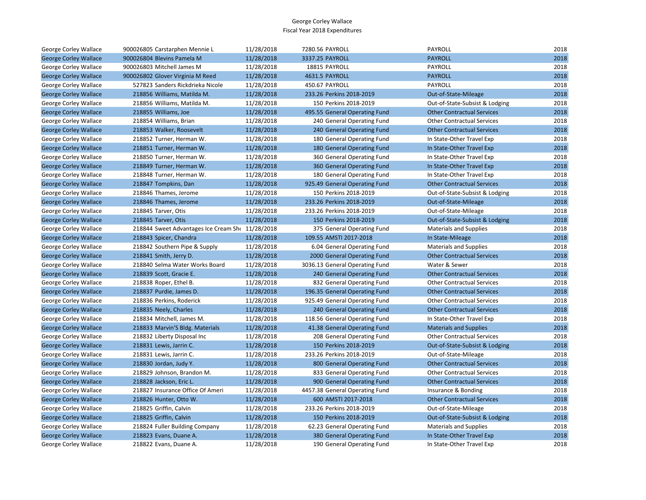| George Corley Wallace        | 900026805 Carstarphen Mennie L                    | 11/28/2018 | 7280.56 PAYROLL                | PAYROLL                           | 2018 |
|------------------------------|---------------------------------------------------|------------|--------------------------------|-----------------------------------|------|
| <b>George Corley Wallace</b> | 900026804 Blevins Pamela M                        | 11/28/2018 | 3337.25 PAYROLL                | <b>PAYROLL</b>                    | 2018 |
| George Corley Wallace        | 900026803 Mitchell James M                        | 11/28/2018 | 18815 PAYROLL                  | PAYROLL                           | 2018 |
| <b>George Corley Wallace</b> | 900026802 Glover Virginia M Reed                  | 11/28/2018 | 4631.5 PAYROLL                 | <b>PAYROLL</b>                    | 2018 |
| George Corley Wallace        | 527823 Sanders Rickdrieka Nicole                  | 11/28/2018 | 450.67 PAYROLL                 | <b>PAYROLL</b>                    | 2018 |
| <b>George Corley Wallace</b> | 218856 Williams, Matilda M.                       | 11/28/2018 | 233.26 Perkins 2018-2019       | Out-of-State-Mileage              | 2018 |
| George Corley Wallace        | 218856 Williams, Matilda M.                       | 11/28/2018 | 150 Perkins 2018-2019          | Out-of-State-Subsist & Lodging    | 2018 |
| <b>George Corley Wallace</b> | 218855 Williams, Joe                              | 11/28/2018 | 495.55 General Operating Fund  | <b>Other Contractual Services</b> | 2018 |
| George Corley Wallace        | 218854 Williams, Brian                            | 11/28/2018 | 240 General Operating Fund     | <b>Other Contractual Services</b> | 2018 |
| <b>George Corley Wallace</b> | 218853 Walker, Roosevelt                          | 11/28/2018 | 240 General Operating Fund     | <b>Other Contractual Services</b> | 2018 |
| George Corley Wallace        | 218852 Turner, Herman W.                          | 11/28/2018 | 180 General Operating Fund     | In State-Other Travel Exp         | 2018 |
| <b>George Corley Wallace</b> | 218851 Turner, Herman W.                          | 11/28/2018 | 180 General Operating Fund     | In State-Other Travel Exp         | 2018 |
| George Corley Wallace        | 218850 Turner, Herman W.                          | 11/28/2018 | 360 General Operating Fund     | In State-Other Travel Exp         | 2018 |
| <b>George Corley Wallace</b> | 218849 Turner, Herman W.                          | 11/28/2018 | 360 General Operating Fund     | In State-Other Travel Exp         | 2018 |
| George Corley Wallace        | 218848 Turner, Herman W.                          | 11/28/2018 | 180 General Operating Fund     | In State-Other Travel Exp         | 2018 |
| <b>George Corley Wallace</b> | 218847 Tompkins, Dan                              | 11/28/2018 | 925.49 General Operating Fund  | <b>Other Contractual Services</b> | 2018 |
| George Corley Wallace        | 218846 Thames, Jerome                             | 11/28/2018 | 150 Perkins 2018-2019          | Out-of-State-Subsist & Lodging    | 2018 |
| <b>George Corley Wallace</b> | 218846 Thames, Jerome                             | 11/28/2018 | 233.26 Perkins 2018-2019       | Out-of-State-Mileage              | 2018 |
| George Corley Wallace        | 218845 Tarver, Otis                               | 11/28/2018 | 233.26 Perkins 2018-2019       | Out-of-State-Mileage              | 2018 |
| <b>George Corley Wallace</b> | 218845 Tarver, Otis                               | 11/28/2018 | 150 Perkins 2018-2019          | Out-of-State-Subsist & Lodging    | 2018 |
| George Corley Wallace        | 218844 Sweet Advantages Ice Cream Shot 11/28/2018 |            | 375 General Operating Fund     | <b>Materials and Supplies</b>     | 2018 |
| <b>George Corley Wallace</b> | 218843 Spicer, Chandra                            | 11/28/2018 | 109.55 AMSTI 2017-2018         | In State-Mileage                  | 2018 |
| George Corley Wallace        | 218842 Southern Pipe & Supply                     | 11/28/2018 | 6.04 General Operating Fund    | <b>Materials and Supplies</b>     | 2018 |
| <b>George Corley Wallace</b> | 218841 Smith, Jerry D.                            | 11/28/2018 | 2000 General Operating Fund    | <b>Other Contractual Services</b> | 2018 |
| George Corley Wallace        | 218840 Selma Water Works Board                    | 11/28/2018 | 3036.13 General Operating Fund | Water & Sewer                     | 2018 |
| <b>George Corley Wallace</b> | 218839 Scott, Gracie E.                           | 11/28/2018 | 240 General Operating Fund     | <b>Other Contractual Services</b> | 2018 |
| George Corley Wallace        | 218838 Roper, Ethel B.                            | 11/28/2018 | 832 General Operating Fund     | <b>Other Contractual Services</b> | 2018 |
| <b>George Corley Wallace</b> | 218837 Purdie, James D.                           | 11/28/2018 | 196.35 General Operating Fund  | <b>Other Contractual Services</b> | 2018 |
| George Corley Wallace        | 218836 Perkins, Roderick                          | 11/28/2018 | 925.49 General Operating Fund  | <b>Other Contractual Services</b> | 2018 |
| <b>George Corley Wallace</b> | 218835 Neely, Charles                             | 11/28/2018 | 240 General Operating Fund     | <b>Other Contractual Services</b> | 2018 |
| George Corley Wallace        | 218834 Mitchell, James M.                         | 11/28/2018 | 118.56 General Operating Fund  | In State-Other Travel Exp         | 2018 |
| <b>George Corley Wallace</b> | 218833 Marvin'S Bldg. Materials                   | 11/28/2018 | 41.38 General Operating Fund   | <b>Materials and Supplies</b>     | 2018 |
| George Corley Wallace        | 218832 Liberty Disposal Inc                       | 11/28/2018 | 208 General Operating Fund     | <b>Other Contractual Services</b> | 2018 |
| <b>George Corley Wallace</b> | 218831 Lewis, Jarrin C.                           | 11/28/2018 | 150 Perkins 2018-2019          | Out-of-State-Subsist & Lodging    | 2018 |
| George Corley Wallace        | 218831 Lewis, Jarrin C.                           | 11/28/2018 | 233.26 Perkins 2018-2019       | Out-of-State-Mileage              | 2018 |
| <b>George Corley Wallace</b> | 218830 Jordan, Judy Y.                            | 11/28/2018 | 800 General Operating Fund     | <b>Other Contractual Services</b> | 2018 |
| George Corley Wallace        | 218829 Johnson, Brandon M.                        | 11/28/2018 | 833 General Operating Fund     | <b>Other Contractual Services</b> | 2018 |
| <b>George Corley Wallace</b> | 218828 Jackson, Eric L.                           | 11/28/2018 | 900 General Operating Fund     | <b>Other Contractual Services</b> | 2018 |
| George Corley Wallace        | 218827 Insurance Office Of Ameri                  | 11/28/2018 | 4457.38 General Operating Fund | Insurance & Bonding               | 2018 |
| <b>George Corley Wallace</b> | 218826 Hunter, Otto W.                            | 11/28/2018 | 600 AMSTI 2017-2018            | <b>Other Contractual Services</b> | 2018 |
| George Corley Wallace        | 218825 Griffin, Calvin                            | 11/28/2018 | 233.26 Perkins 2018-2019       | Out-of-State-Mileage              | 2018 |
| <b>George Corley Wallace</b> | 218825 Griffin, Calvin                            | 11/28/2018 | 150 Perkins 2018-2019          | Out-of-State-Subsist & Lodging    | 2018 |
| George Corley Wallace        | 218824 Fuller Building Company                    | 11/28/2018 | 62.23 General Operating Fund   | <b>Materials and Supplies</b>     | 2018 |
| <b>George Corley Wallace</b> | 218823 Evans, Duane A.                            | 11/28/2018 | 380 General Operating Fund     | In State-Other Travel Exp         | 2018 |
| George Corley Wallace        | 218822 Evans, Duane A.                            | 11/28/2018 | 190 General Operating Fund     | In State-Other Travel Exp         | 2018 |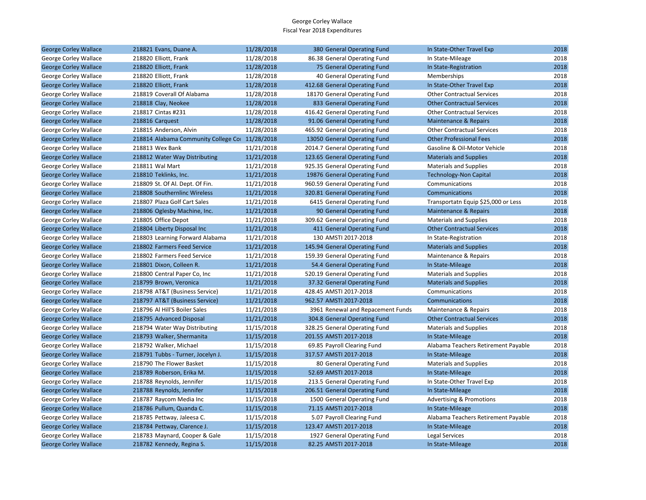| <b>George Corley Wallace</b> | 218821 Evans, Duane A.                         | 11/28/2018 | 380 General Operating Fund        | In State-Other Travel Exp           | 2018 |
|------------------------------|------------------------------------------------|------------|-----------------------------------|-------------------------------------|------|
| George Corley Wallace        | 218820 Elliott, Frank                          | 11/28/2018 | 86.38 General Operating Fund      | In State-Mileage                    | 2018 |
| <b>George Corley Wallace</b> | 218820 Elliott, Frank                          | 11/28/2018 | 75 General Operating Fund         | In State-Registration               | 2018 |
| George Corley Wallace        | 218820 Elliott, Frank                          | 11/28/2018 | 40 General Operating Fund         | Memberships                         | 2018 |
| <b>George Corley Wallace</b> | 218820 Elliott, Frank                          | 11/28/2018 | 412.68 General Operating Fund     | In State-Other Travel Exp           | 2018 |
| George Corley Wallace        | 218819 Coverall Of Alabama                     | 11/28/2018 | 18170 General Operating Fund      | <b>Other Contractual Services</b>   | 2018 |
| <b>George Corley Wallace</b> | 218818 Clay, Neokee                            | 11/28/2018 | 833 General Operating Fund        | <b>Other Contractual Services</b>   | 2018 |
| George Corley Wallace        | 218817 Cintas #231                             | 11/28/2018 | 416.42 General Operating Fund     | <b>Other Contractual Services</b>   | 2018 |
| <b>George Corley Wallace</b> | 218816 Carquest                                | 11/28/2018 | 91.06 General Operating Fund      | Maintenance & Repairs               | 2018 |
| George Corley Wallace        | 218815 Anderson, Alvin                         | 11/28/2018 | 465.92 General Operating Fund     | <b>Other Contractual Services</b>   | 2018 |
| <b>George Corley Wallace</b> | 218814 Alabama Community College Co 11/28/2018 |            | 13050 General Operating Fund      | <b>Other Professional Fees</b>      | 2018 |
| George Corley Wallace        | 218813 Wex Bank                                | 11/21/2018 | 2014.7 General Operating Fund     | Gasoline & Oil-Motor Vehicle        | 2018 |
| <b>George Corley Wallace</b> | 218812 Water Way Distributing                  | 11/21/2018 | 123.65 General Operating Fund     | <b>Materials and Supplies</b>       | 2018 |
| George Corley Wallace        | 218811 Wal Mart                                | 11/21/2018 | 925.35 General Operating Fund     | <b>Materials and Supplies</b>       | 2018 |
| <b>George Corley Wallace</b> | 218810 Teklinks, Inc.                          | 11/21/2018 | 19876 General Operating Fund      | <b>Technology-Non Capital</b>       | 2018 |
| George Corley Wallace        | 218809 St. Of Al. Dept. Of Fin.                | 11/21/2018 | 960.59 General Operating Fund     | Communications                      | 2018 |
| <b>George Corley Wallace</b> | 218808 Southernlinc Wireless                   | 11/21/2018 | 320.81 General Operating Fund     | Communications                      | 2018 |
| George Corley Wallace        | 218807 Plaza Golf Cart Sales                   | 11/21/2018 | 6415 General Operating Fund       | Transportatn Equip \$25,000 or Less | 2018 |
| <b>George Corley Wallace</b> | 218806 Oglesby Machine, Inc.                   | 11/21/2018 | 90 General Operating Fund         | Maintenance & Repairs               | 2018 |
| George Corley Wallace        | 218805 Office Depot                            | 11/21/2018 | 309.62 General Operating Fund     | <b>Materials and Supplies</b>       | 2018 |
| <b>George Corley Wallace</b> | 218804 Liberty Disposal Inc                    | 11/21/2018 | 411 General Operating Fund        | <b>Other Contractual Services</b>   | 2018 |
| George Corley Wallace        | 218803 Learning Forward Alabama                | 11/21/2018 | 130 AMSTI 2017-2018               | In State-Registration               | 2018 |
| <b>George Corley Wallace</b> | 218802 Farmers Feed Service                    | 11/21/2018 | 145.94 General Operating Fund     | <b>Materials and Supplies</b>       | 2018 |
| George Corley Wallace        | 218802 Farmers Feed Service                    | 11/21/2018 | 159.39 General Operating Fund     | Maintenance & Repairs               | 2018 |
| <b>George Corley Wallace</b> | 218801 Dixon, Colleen R.                       | 11/21/2018 | 54.4 General Operating Fund       | In State-Mileage                    | 2018 |
| George Corley Wallace        | 218800 Central Paper Co, Inc.                  | 11/21/2018 | 520.19 General Operating Fund     | <b>Materials and Supplies</b>       | 2018 |
| <b>George Corley Wallace</b> | 218799 Brown, Veronica                         | 11/21/2018 | 37.32 General Operating Fund      | <b>Materials and Supplies</b>       | 2018 |
| George Corley Wallace        | 218798 AT&T (Business Service)                 | 11/21/2018 | 428.45 AMSTI 2017-2018            | Communications                      | 2018 |
| <b>George Corley Wallace</b> | 218797 AT&T (Business Service)                 | 11/21/2018 | 962.57 AMSTI 2017-2018            | Communications                      | 2018 |
| George Corley Wallace        | 218796 Al Hill'S Boiler Sales                  | 11/21/2018 | 3961 Renewal and Repacement Funds | Maintenance & Repairs               | 2018 |
| <b>George Corley Wallace</b> | 218795 Advanced Disposal                       | 11/21/2018 | 304.8 General Operating Fund      | <b>Other Contractual Services</b>   | 2018 |
| George Corley Wallace        | 218794 Water Way Distributing                  | 11/15/2018 | 328.25 General Operating Fund     | <b>Materials and Supplies</b>       | 2018 |
| <b>George Corley Wallace</b> | 218793 Walker, Shermanita                      | 11/15/2018 | 201.55 AMSTI 2017-2018            | In State-Mileage                    | 2018 |
| George Corley Wallace        | 218792 Walker, Michael                         | 11/15/2018 | 69.85 Payroll Clearing Fund       | Alabama Teachers Retirement Payable | 2018 |
| <b>George Corley Wallace</b> | 218791 Tubbs - Turner, Jocelyn J.              | 11/15/2018 | 317.57 AMSTI 2017-2018            | In State-Mileage                    | 2018 |
| George Corley Wallace        | 218790 The Flower Basket                       | 11/15/2018 | 80 General Operating Fund         | <b>Materials and Supplies</b>       | 2018 |
| <b>George Corley Wallace</b> | 218789 Roberson, Erika M.                      | 11/15/2018 | 52.69 AMSTI 2017-2018             | In State-Mileage                    | 2018 |
| George Corley Wallace        | 218788 Reynolds, Jennifer                      | 11/15/2018 | 213.5 General Operating Fund      | In State-Other Travel Exp           | 2018 |
| <b>George Corley Wallace</b> | 218788 Reynolds, Jennifer                      | 11/15/2018 | 206.51 General Operating Fund     | In State-Mileage                    | 2018 |
| George Corley Wallace        | 218787 Raycom Media Inc                        | 11/15/2018 | 1500 General Operating Fund       | <b>Advertising &amp; Promotions</b> | 2018 |
| <b>George Corley Wallace</b> | 218786 Pullum, Quanda C.                       | 11/15/2018 | 71.15 AMSTI 2017-2018             | In State-Mileage                    | 2018 |
| George Corley Wallace        | 218785 Pettway, Jaleesa C.                     | 11/15/2018 | 5.07 Payroll Clearing Fund        | Alabama Teachers Retirement Payable | 2018 |
| <b>George Corley Wallace</b> | 218784 Pettway, Clarence J.                    | 11/15/2018 | 123.47 AMSTI 2017-2018            | In State-Mileage                    | 2018 |
| George Corley Wallace        | 218783 Maynard, Cooper & Gale                  | 11/15/2018 | 1927 General Operating Fund       | Legal Services                      | 2018 |
| <b>George Corley Wallace</b> | 218782 Kennedy, Regina S.                      | 11/15/2018 | 82.25 AMSTI 2017-2018             | In State-Mileage                    | 2018 |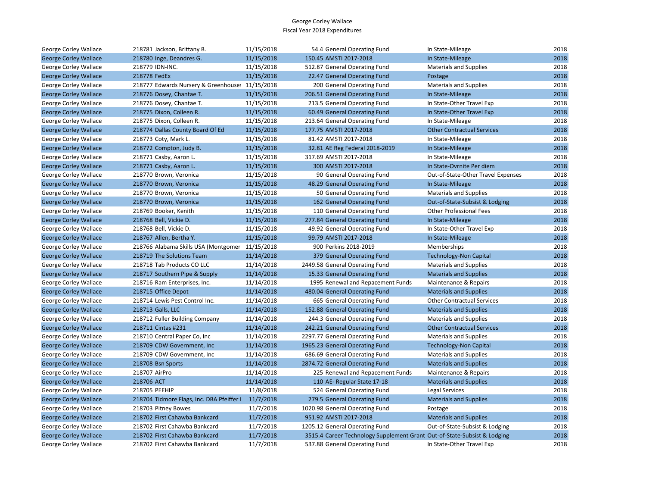| George Corley Wallace        | 218781 Jackson, Brittany B.                     | 11/15/2018 | 54.4 General Operating Fund                                              | In State-Mileage                   | 2018 |
|------------------------------|-------------------------------------------------|------------|--------------------------------------------------------------------------|------------------------------------|------|
| <b>George Corley Wallace</b> | 218780 Inge, Deandres G.                        | 11/15/2018 | 150.45 AMSTI 2017-2018                                                   | In State-Mileage                   | 2018 |
| George Corley Wallace        | 218779 IDN-INC.                                 | 11/15/2018 | 512.87 General Operating Fund                                            | <b>Materials and Supplies</b>      | 2018 |
| <b>George Corley Wallace</b> | 218778 FedEx                                    | 11/15/2018 | 22.47 General Operating Fund                                             | Postage                            | 2018 |
| George Corley Wallace        | 218777 Edwards Nursery & Greenhouse: 11/15/2018 |            | 200 General Operating Fund                                               | <b>Materials and Supplies</b>      | 2018 |
| <b>George Corley Wallace</b> | 218776 Dosey, Chantae T.                        | 11/15/2018 | 206.51 General Operating Fund                                            | In State-Mileage                   | 2018 |
| George Corley Wallace        | 218776 Dosey, Chantae T.                        | 11/15/2018 | 213.5 General Operating Fund                                             | In State-Other Travel Exp          | 2018 |
| <b>George Corley Wallace</b> | 218775 Dixon, Colleen R.                        | 11/15/2018 | 60.49 General Operating Fund                                             | In State-Other Travel Exp          | 2018 |
| George Corley Wallace        | 218775 Dixon, Colleen R.                        | 11/15/2018 | 213.64 General Operating Fund                                            | In State-Mileage                   | 2018 |
| <b>George Corley Wallace</b> | 218774 Dallas County Board Of Ed                | 11/15/2018 | 177.75 AMSTI 2017-2018                                                   | <b>Other Contractual Services</b>  | 2018 |
| George Corley Wallace        | 218773 Coty, Mark L.                            | 11/15/2018 | 81.42 AMSTI 2017-2018                                                    | In State-Mileage                   | 2018 |
| <b>George Corley Wallace</b> | 218772 Compton, Judy B.                         | 11/15/2018 | 32.81 AE Reg Federal 2018-2019                                           | In State-Mileage                   | 2018 |
| George Corley Wallace        | 218771 Casby, Aaron L.                          | 11/15/2018 | 317.69 AMSTI 2017-2018                                                   | In State-Mileage                   | 2018 |
| <b>George Corley Wallace</b> | 218771 Casby, Aaron L.                          | 11/15/2018 | 300 AMSTI 2017-2018                                                      | In State-Ovrnite Per diem          | 2018 |
| George Corley Wallace        | 218770 Brown, Veronica                          | 11/15/2018 | 90 General Operating Fund                                                | Out-of-State-Other Travel Expenses | 2018 |
| <b>George Corley Wallace</b> | 218770 Brown, Veronica                          | 11/15/2018 | 48.29 General Operating Fund                                             | In State-Mileage                   | 2018 |
| George Corley Wallace        | 218770 Brown, Veronica                          | 11/15/2018 | 50 General Operating Fund                                                | <b>Materials and Supplies</b>      | 2018 |
| <b>George Corley Wallace</b> | 218770 Brown, Veronica                          | 11/15/2018 | 162 General Operating Fund                                               | Out-of-State-Subsist & Lodging     | 2018 |
| George Corley Wallace        | 218769 Booker, Kenith                           | 11/15/2018 | 110 General Operating Fund                                               | <b>Other Professional Fees</b>     | 2018 |
| <b>George Corley Wallace</b> | 218768 Bell, Vickie D.                          | 11/15/2018 | 277.84 General Operating Fund                                            | In State-Mileage                   | 2018 |
| George Corley Wallace        | 218768 Bell, Vickie D.                          | 11/15/2018 | 49.92 General Operating Fund                                             | In State-Other Travel Exp          | 2018 |
| <b>George Corley Wallace</b> | 218767 Allen, Bertha Y.                         | 11/15/2018 | 99.79 AMSTI 2017-2018                                                    | In State-Mileage                   | 2018 |
| George Corley Wallace        | 218766 Alabama Skills USA (Montgomer            | 11/15/2018 | 900 Perkins 2018-2019                                                    | Memberships                        | 2018 |
| <b>George Corley Wallace</b> | 218719 The Solutions Team                       | 11/14/2018 | 379 General Operating Fund                                               | <b>Technology-Non Capital</b>      | 2018 |
| George Corley Wallace        | 218718 Tab Products CO LLC                      | 11/14/2018 | 2449.58 General Operating Fund                                           | <b>Materials and Supplies</b>      | 2018 |
| <b>George Corley Wallace</b> | 218717 Southern Pipe & Supply                   | 11/14/2018 | 15.33 General Operating Fund                                             | <b>Materials and Supplies</b>      | 2018 |
| George Corley Wallace        | 218716 Ram Enterprises, Inc.                    | 11/14/2018 | 1995 Renewal and Repacement Funds                                        | Maintenance & Repairs              | 2018 |
| <b>George Corley Wallace</b> | 218715 Office Depot                             | 11/14/2018 | 480.04 General Operating Fund                                            | <b>Materials and Supplies</b>      | 2018 |
| George Corley Wallace        | 218714 Lewis Pest Control Inc.                  | 11/14/2018 | 665 General Operating Fund                                               | <b>Other Contractual Services</b>  | 2018 |
| <b>George Corley Wallace</b> | 218713 Galls, LLC                               | 11/14/2018 | 152.88 General Operating Fund                                            | <b>Materials and Supplies</b>      | 2018 |
| George Corley Wallace        | 218712 Fuller Building Company                  | 11/14/2018 | 244.3 General Operating Fund                                             | <b>Materials and Supplies</b>      | 2018 |
| <b>George Corley Wallace</b> | 218711 Cintas #231                              | 11/14/2018 | 242.21 General Operating Fund                                            | <b>Other Contractual Services</b>  | 2018 |
| George Corley Wallace        | 218710 Central Paper Co, Inc                    | 11/14/2018 | 2297.77 General Operating Fund                                           | <b>Materials and Supplies</b>      | 2018 |
| <b>George Corley Wallace</b> | 218709 CDW Government, Inc.                     | 11/14/2018 | 1965.23 General Operating Fund                                           | <b>Technology-Non Capital</b>      | 2018 |
| George Corley Wallace        | 218709 CDW Government, Inc.                     | 11/14/2018 | 686.69 General Operating Fund                                            | <b>Materials and Supplies</b>      | 2018 |
| <b>George Corley Wallace</b> | 218708 Bsn Sports                               | 11/14/2018 | 2874.72 General Operating Fund                                           | <b>Materials and Supplies</b>      | 2018 |
| George Corley Wallace        | 218707 AirPro                                   | 11/14/2018 | 225 Renewal and Repacement Funds                                         | Maintenance & Repairs              | 2018 |
| <b>George Corley Wallace</b> | 218706 ACT                                      | 11/14/2018 | 110 AE- Regular State 17-18                                              | <b>Materials and Supplies</b>      | 2018 |
| George Corley Wallace        | 218705 PEEHIP                                   | 11/8/2018  | 524 General Operating Fund                                               | <b>Legal Services</b>              | 2018 |
| <b>George Corley Wallace</b> | 218704 Tidmore Flags, Inc. DBA Pfeiffer I       | 11/7/2018  | 279.5 General Operating Fund                                             | <b>Materials and Supplies</b>      | 2018 |
| George Corley Wallace        | 218703 Pitney Bowes                             | 11/7/2018  | 1020.98 General Operating Fund                                           | Postage                            | 2018 |
| <b>George Corley Wallace</b> | 218702 First Cahawba Bankcard                   | 11/7/2018  | 951.92 AMSTI 2017-2018                                                   | <b>Materials and Supplies</b>      | 2018 |
| George Corley Wallace        | 218702 First Cahawba Bankcard                   | 11/7/2018  | 1205.12 General Operating Fund                                           | Out-of-State-Subsist & Lodging     | 2018 |
| <b>George Corley Wallace</b> | 218702 First Cahawba Bankcard                   | 11/7/2018  | 3515.4 Career Technology Supplement Grant Out-of-State-Subsist & Lodging |                                    | 2018 |
| George Corley Wallace        | 218702 First Cahawba Bankcard                   | 11/7/2018  | 537.88 General Operating Fund                                            | In State-Other Travel Exp          | 2018 |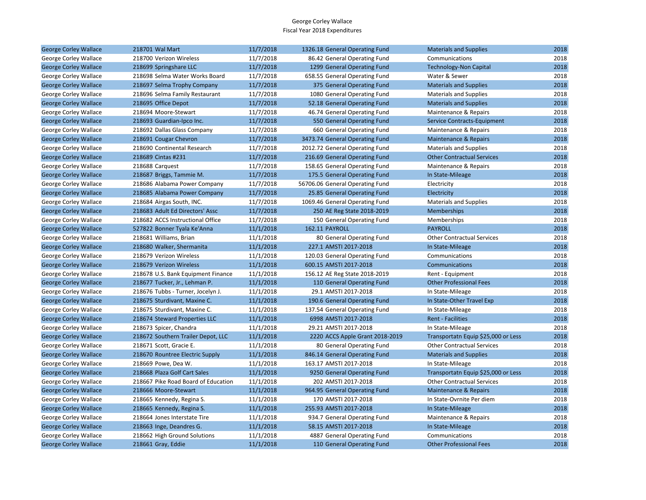| <b>George Corley Wallace</b> | 218701 Wal Mart                     | 11/7/2018 | 1326.18 General Operating Fund  | <b>Materials and Supplies</b>       | 2018 |
|------------------------------|-------------------------------------|-----------|---------------------------------|-------------------------------------|------|
| George Corley Wallace        | 218700 Verizon Wireless             | 11/7/2018 | 86.42 General Operating Fund    | Communications                      | 2018 |
| <b>George Corley Wallace</b> | 218699 Springshare LLC              | 11/7/2018 | 1299 General Operating Fund     | <b>Technology-Non Capital</b>       | 2018 |
| George Corley Wallace        | 218698 Selma Water Works Board      | 11/7/2018 | 658.55 General Operating Fund   | Water & Sewer                       | 2018 |
| <b>George Corley Wallace</b> | 218697 Selma Trophy Company         | 11/7/2018 | 375 General Operating Fund      | <b>Materials and Supplies</b>       | 2018 |
| George Corley Wallace        | 218696 Selma Family Restaurant      | 11/7/2018 | 1080 General Operating Fund     | <b>Materials and Supplies</b>       | 2018 |
| <b>George Corley Wallace</b> | 218695 Office Depot                 | 11/7/2018 | 52.18 General Operating Fund    | <b>Materials and Supplies</b>       | 2018 |
| George Corley Wallace        | 218694 Moore-Stewart                | 11/7/2018 | 46.74 General Operating Fund    | Maintenance & Repairs               | 2018 |
| <b>George Corley Wallace</b> | 218693 Guardian-Ipco Inc.           | 11/7/2018 | 550 General Operating Fund      | Service Contracts-Equipment         | 2018 |
| George Corley Wallace        | 218692 Dallas Glass Company         | 11/7/2018 | 660 General Operating Fund      | Maintenance & Repairs               | 2018 |
| <b>George Corley Wallace</b> | 218691 Cougar Chevron               | 11/7/2018 | 3473.74 General Operating Fund  | Maintenance & Repairs               | 2018 |
| George Corley Wallace        | 218690 Continental Research         | 11/7/2018 | 2012.72 General Operating Fund  | <b>Materials and Supplies</b>       | 2018 |
| <b>George Corley Wallace</b> | 218689 Cintas #231                  | 11/7/2018 | 216.69 General Operating Fund   | <b>Other Contractual Services</b>   | 2018 |
| George Corley Wallace        | 218688 Carquest                     | 11/7/2018 | 158.65 General Operating Fund   | Maintenance & Repairs               | 2018 |
| <b>George Corley Wallace</b> | 218687 Briggs, Tammie M.            | 11/7/2018 | 175.5 General Operating Fund    | In State-Mileage                    | 2018 |
| George Corley Wallace        | 218686 Alabama Power Company        | 11/7/2018 | 56706.06 General Operating Fund | Electricity                         | 2018 |
| <b>George Corley Wallace</b> | 218685 Alabama Power Company        | 11/7/2018 | 25.85 General Operating Fund    | Electricity                         | 2018 |
| George Corley Wallace        | 218684 Airgas South, INC.           | 11/7/2018 | 1069.46 General Operating Fund  | <b>Materials and Supplies</b>       | 2018 |
| <b>George Corley Wallace</b> | 218683 Adult Ed Directors' Assc     | 11/7/2018 | 250 AE Reg State 2018-2019      | <b>Memberships</b>                  | 2018 |
| George Corley Wallace        | 218682 ACCS Instructional Office    | 11/7/2018 | 150 General Operating Fund      | Memberships                         | 2018 |
| <b>George Corley Wallace</b> | 527822 Bonner Tyala Ke'Anna         | 11/1/2018 | 162.11 PAYROLL                  | <b>PAYROLL</b>                      | 2018 |
| George Corley Wallace        | 218681 Williams, Brian              | 11/1/2018 | 80 General Operating Fund       | <b>Other Contractual Services</b>   | 2018 |
| <b>George Corley Wallace</b> | 218680 Walker, Shermanita           | 11/1/2018 | 227.1 AMSTI 2017-2018           | In State-Mileage                    | 2018 |
| George Corley Wallace        | 218679 Verizon Wireless             | 11/1/2018 | 120.03 General Operating Fund   | Communications                      | 2018 |
| <b>George Corley Wallace</b> | 218679 Verizon Wireless             | 11/1/2018 | 600.15 AMSTI 2017-2018          | Communications                      | 2018 |
| George Corley Wallace        | 218678 U.S. Bank Equipment Finance  | 11/1/2018 | 156.12 AE Reg State 2018-2019   | Rent - Equipment                    | 2018 |
| <b>George Corley Wallace</b> | 218677 Tucker, Jr., Lehman P.       | 11/1/2018 | 110 General Operating Fund      | <b>Other Professional Fees</b>      | 2018 |
| George Corley Wallace        | 218676 Tubbs - Turner, Jocelyn J.   | 11/1/2018 | 29.1 AMSTI 2017-2018            | In State-Mileage                    | 2018 |
| <b>George Corley Wallace</b> | 218675 Sturdivant, Maxine C.        | 11/1/2018 | 190.6 General Operating Fund    | In State-Other Travel Exp           | 2018 |
| George Corley Wallace        | 218675 Sturdivant, Maxine C.        | 11/1/2018 | 137.54 General Operating Fund   | In State-Mileage                    | 2018 |
| <b>George Corley Wallace</b> | 218674 Steward Properties LLC       | 11/1/2018 | 6998 AMSTI 2017-2018            | <b>Rent - Facilities</b>            | 2018 |
| George Corley Wallace        | 218673 Spicer, Chandra              | 11/1/2018 | 29.21 AMSTI 2017-2018           | In State-Mileage                    | 2018 |
| <b>George Corley Wallace</b> | 218672 Southern Trailer Depot, LLC  | 11/1/2018 | 2220 ACCS Apple Grant 2018-2019 | Transportatn Equip \$25,000 or Less | 2018 |
| George Corley Wallace        | 218671 Scott, Gracie E.             | 11/1/2018 | 80 General Operating Fund       | <b>Other Contractual Services</b>   | 2018 |
| <b>George Corley Wallace</b> | 218670 Rountree Electric Supply     | 11/1/2018 | 846.14 General Operating Fund   | <b>Materials and Supplies</b>       | 2018 |
| George Corley Wallace        | 218669 Powe, Dea W.                 | 11/1/2018 | 163.17 AMSTI 2017-2018          | In State-Mileage                    | 2018 |
| <b>George Corley Wallace</b> | 218668 Plaza Golf Cart Sales        | 11/1/2018 | 9250 General Operating Fund     | Transportatn Equip \$25,000 or Less | 2018 |
| George Corley Wallace        | 218667 Pike Road Board of Education | 11/1/2018 | 202 AMSTI 2017-2018             | <b>Other Contractual Services</b>   | 2018 |
| <b>George Corley Wallace</b> | 218666 Moore-Stewart                | 11/1/2018 | 964.95 General Operating Fund   | Maintenance & Repairs               | 2018 |
| George Corley Wallace        | 218665 Kennedy, Regina S.           | 11/1/2018 | 170 AMSTI 2017-2018             | In State-Ovrnite Per diem           | 2018 |
| <b>George Corley Wallace</b> | 218665 Kennedy, Regina S.           | 11/1/2018 | 255.93 AMSTI 2017-2018          | In State-Mileage                    | 2018 |
| George Corley Wallace        | 218664 Jones Interstate Tire        | 11/1/2018 | 934.7 General Operating Fund    | Maintenance & Repairs               | 2018 |
| <b>George Corley Wallace</b> | 218663 Inge, Deandres G.            | 11/1/2018 | 58.15 AMSTI 2017-2018           | In State-Mileage                    | 2018 |
| George Corley Wallace        | 218662 High Ground Solutions        | 11/1/2018 | 4887 General Operating Fund     | Communications                      | 2018 |
| <b>George Corley Wallace</b> | 218661 Gray, Eddie                  | 11/1/2018 | 110 General Operating Fund      | <b>Other Professional Fees</b>      | 2018 |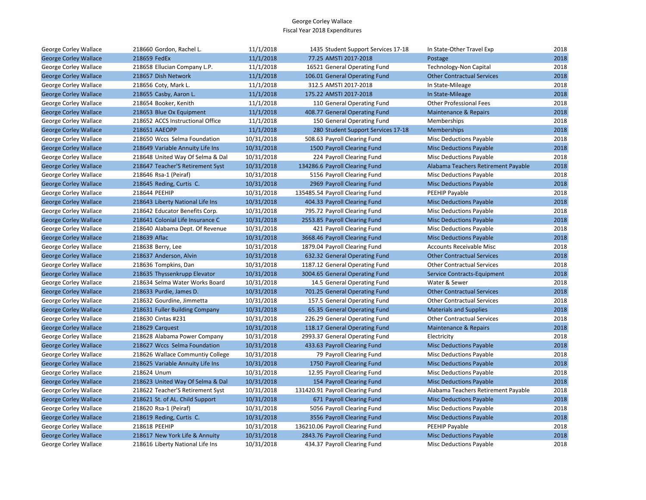| George Corley Wallace        | 218660 Gordon, Rachel L.         | 11/1/2018  | 1435 Student Support Services 17-18 | In State-Other Travel Exp           | 2018 |
|------------------------------|----------------------------------|------------|-------------------------------------|-------------------------------------|------|
| <b>George Corley Wallace</b> | 218659 FedEx                     | 11/1/2018  | 77.25 AMSTI 2017-2018               | Postage                             | 2018 |
| George Corley Wallace        | 218658 Ellucian Company L.P.     | 11/1/2018  | 16521 General Operating Fund        | Technology-Non Capital              | 2018 |
| <b>George Corley Wallace</b> | 218657 Dish Network              | 11/1/2018  | 106.01 General Operating Fund       | <b>Other Contractual Services</b>   | 2018 |
| George Corley Wallace        | 218656 Coty, Mark L.             | 11/1/2018  | 312.5 AMSTI 2017-2018               | In State-Mileage                    | 2018 |
| <b>George Corley Wallace</b> | 218655 Casby, Aaron L.           | 11/1/2018  | 175.22 AMSTI 2017-2018              | In State-Mileage                    | 2018 |
| George Corley Wallace        | 218654 Booker, Kenith            | 11/1/2018  | 110 General Operating Fund          | <b>Other Professional Fees</b>      | 2018 |
| <b>George Corley Wallace</b> | 218653 Blue Ox Equipment         | 11/1/2018  | 408.77 General Operating Fund       | <b>Maintenance &amp; Repairs</b>    | 2018 |
| George Corley Wallace        | 218652 ACCS Instructional Office | 11/1/2018  | 150 General Operating Fund          | Memberships                         | 2018 |
| <b>George Corley Wallace</b> | 218651 AAEOPP                    | 11/1/2018  | 280 Student Support Services 17-18  | <b>Memberships</b>                  | 2018 |
| George Corley Wallace        | 218650 Wccs Selma Foundation     | 10/31/2018 | 508.63 Payroll Clearing Fund        | Misc Deductions Payable             | 2018 |
| <b>George Corley Wallace</b> | 218649 Variable Annuity Life Ins | 10/31/2018 | 1500 Payroll Clearing Fund          | <b>Misc Deductions Payable</b>      | 2018 |
| George Corley Wallace        | 218648 United Way Of Selma & Dal | 10/31/2018 | 224 Payroll Clearing Fund           | <b>Misc Deductions Payable</b>      | 2018 |
| <b>George Corley Wallace</b> | 218647 Teacher'S Retirement Syst | 10/31/2018 | 134286.6 Payroll Clearing Fund      | Alabama Teachers Retirement Payable | 2018 |
| George Corley Wallace        | 218646 Rsa-1 (Peiraf)            | 10/31/2018 | 5156 Payroll Clearing Fund          | Misc Deductions Payable             | 2018 |
| <b>George Corley Wallace</b> | 218645 Reding, Curtis C.         | 10/31/2018 | 2969 Payroll Clearing Fund          | <b>Misc Deductions Payable</b>      | 2018 |
| George Corley Wallace        | 218644 PEEHIP                    | 10/31/2018 | 135485.54 Payroll Clearing Fund     | PEEHIP Payable                      | 2018 |
| <b>George Corley Wallace</b> | 218643 Liberty National Life Ins | 10/31/2018 | 404.33 Payroll Clearing Fund        | <b>Misc Deductions Payable</b>      | 2018 |
| George Corley Wallace        | 218642 Educator Benefits Corp.   | 10/31/2018 | 795.72 Payroll Clearing Fund        | <b>Misc Deductions Payable</b>      | 2018 |
| <b>George Corley Wallace</b> | 218641 Colonial Life Insurance C | 10/31/2018 | 2553.85 Payroll Clearing Fund       | <b>Misc Deductions Payable</b>      | 2018 |
| George Corley Wallace        | 218640 Alabama Dept. Of Revenue  | 10/31/2018 | 421 Payroll Clearing Fund           | <b>Misc Deductions Payable</b>      | 2018 |
| <b>George Corley Wallace</b> | 218639 Aflac                     | 10/31/2018 | 3668.46 Payroll Clearing Fund       | <b>Misc Deductions Payable</b>      | 2018 |
| George Corley Wallace        | 218638 Berry, Lee                | 10/31/2018 | 1879.04 Payroll Clearing Fund       | Accounts Receivable Misc            | 2018 |
| <b>George Corley Wallace</b> | 218637 Anderson, Alvin           | 10/31/2018 | 632.32 General Operating Fund       | <b>Other Contractual Services</b>   | 2018 |
| George Corley Wallace        | 218636 Tompkins, Dan             | 10/31/2018 | 1187.12 General Operating Fund      | <b>Other Contractual Services</b>   | 2018 |
| <b>George Corley Wallace</b> | 218635 Thyssenkrupp Elevator     | 10/31/2018 | 3004.65 General Operating Fund      | Service Contracts-Equipment         | 2018 |
| George Corley Wallace        | 218634 Selma Water Works Board   | 10/31/2018 | 14.5 General Operating Fund         | Water & Sewer                       | 2018 |
| <b>George Corley Wallace</b> | 218633 Purdie, James D.          | 10/31/2018 | 701.25 General Operating Fund       | <b>Other Contractual Services</b>   | 2018 |
| George Corley Wallace        | 218632 Gourdine, Jimmetta        | 10/31/2018 | 157.5 General Operating Fund        | <b>Other Contractual Services</b>   | 2018 |
| <b>George Corley Wallace</b> | 218631 Fuller Building Company   | 10/31/2018 | 65.35 General Operating Fund        | <b>Materials and Supplies</b>       | 2018 |
| George Corley Wallace        | 218630 Cintas #231               | 10/31/2018 | 226.29 General Operating Fund       | <b>Other Contractual Services</b>   | 2018 |
| <b>George Corley Wallace</b> | 218629 Carquest                  | 10/31/2018 | 118.17 General Operating Fund       | Maintenance & Repairs               | 2018 |
| George Corley Wallace        | 218628 Alabama Power Company     | 10/31/2018 | 2993.37 General Operating Fund      | Electricity                         | 2018 |
| <b>George Corley Wallace</b> | 218627 Wccs Selma Foundation     | 10/31/2018 | 433.63 Payroll Clearing Fund        | <b>Misc Deductions Payable</b>      | 2018 |
| George Corley Wallace        | 218626 Wallace Communtiy College | 10/31/2018 | 79 Payroll Clearing Fund            | Misc Deductions Payable             | 2018 |
| <b>George Corley Wallace</b> | 218625 Variable Annuity Life Ins | 10/31/2018 | 1750 Payroll Clearing Fund          | <b>Misc Deductions Payable</b>      | 2018 |
| George Corley Wallace        | 218624 Unum                      | 10/31/2018 | 12.95 Payroll Clearing Fund         | <b>Misc Deductions Payable</b>      | 2018 |
| <b>George Corley Wallace</b> | 218623 United Way Of Selma & Dal | 10/31/2018 | 154 Payroll Clearing Fund           | <b>Misc Deductions Payable</b>      | 2018 |
| George Corley Wallace        | 218622 Teacher'S Retirement Syst | 10/31/2018 | 131420.91 Payroll Clearing Fund     | Alabama Teachers Retirement Payable | 2018 |
| <b>George Corley Wallace</b> | 218621 St. of AL. Child Support  | 10/31/2018 | 671 Payroll Clearing Fund           | <b>Misc Deductions Payable</b>      | 2018 |
| George Corley Wallace        | 218620 Rsa-1 (Peiraf)            | 10/31/2018 | 5056 Payroll Clearing Fund          | <b>Misc Deductions Payable</b>      | 2018 |
| <b>George Corley Wallace</b> | 218619 Reding, Curtis C.         | 10/31/2018 | 3556 Payroll Clearing Fund          | <b>Misc Deductions Payable</b>      | 2018 |
| George Corley Wallace        | 218618 PEEHIP                    | 10/31/2018 | 136210.06 Payroll Clearing Fund     | PEEHIP Payable                      | 2018 |
| <b>George Corley Wallace</b> | 218617 New York Life & Annuity   | 10/31/2018 | 2843.76 Payroll Clearing Fund       | <b>Misc Deductions Payable</b>      | 2018 |
| George Corley Wallace        | 218616 Liberty National Life Ins | 10/31/2018 | 434.37 Payroll Clearing Fund        | <b>Misc Deductions Payable</b>      | 2018 |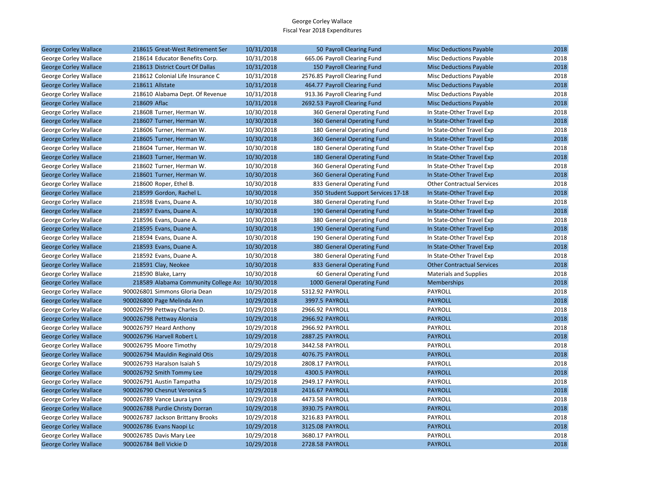| <b>George Corley Wallace</b> | 218615 Great-West Retirement Ser                | 10/31/2018 | 50 Payroll Clearing Fund           | <b>Misc Deductions Payable</b>    | 2018 |
|------------------------------|-------------------------------------------------|------------|------------------------------------|-----------------------------------|------|
| George Corley Wallace        | 218614 Educator Benefits Corp.                  | 10/31/2018 | 665.06 Payroll Clearing Fund       | Misc Deductions Payable           | 2018 |
| <b>George Corley Wallace</b> | 218613 District Court Of Dallas                 | 10/31/2018 | 150 Payroll Clearing Fund          | <b>Misc Deductions Payable</b>    | 2018 |
| George Corley Wallace        | 218612 Colonial Life Insurance C                | 10/31/2018 | 2576.85 Payroll Clearing Fund      | Misc Deductions Payable           | 2018 |
| <b>George Corley Wallace</b> | 218611 Allstate                                 | 10/31/2018 | 464.77 Payroll Clearing Fund       | <b>Misc Deductions Payable</b>    | 2018 |
| George Corley Wallace        | 218610 Alabama Dept. Of Revenue                 | 10/31/2018 | 913.36 Payroll Clearing Fund       | <b>Misc Deductions Payable</b>    | 2018 |
| <b>George Corley Wallace</b> | 218609 Aflac                                    | 10/31/2018 | 2692.53 Payroll Clearing Fund      | <b>Misc Deductions Payable</b>    | 2018 |
| George Corley Wallace        | 218608 Turner, Herman W.                        | 10/30/2018 | 360 General Operating Fund         | In State-Other Travel Exp         | 2018 |
| <b>George Corley Wallace</b> | 218607 Turner, Herman W.                        | 10/30/2018 | 360 General Operating Fund         | In State-Other Travel Exp         | 2018 |
| George Corley Wallace        | 218606 Turner, Herman W.                        | 10/30/2018 | 180 General Operating Fund         | In State-Other Travel Exp         | 2018 |
| <b>George Corley Wallace</b> | 218605 Turner, Herman W.                        | 10/30/2018 | 360 General Operating Fund         | In State-Other Travel Exp         | 2018 |
| George Corley Wallace        | 218604 Turner, Herman W.                        | 10/30/2018 | 180 General Operating Fund         | In State-Other Travel Exp         | 2018 |
| <b>George Corley Wallace</b> | 218603 Turner, Herman W.                        | 10/30/2018 | 180 General Operating Fund         | In State-Other Travel Exp         | 2018 |
| George Corley Wallace        | 218602 Turner, Herman W.                        | 10/30/2018 | 360 General Operating Fund         | In State-Other Travel Exp         | 2018 |
| <b>George Corley Wallace</b> | 218601 Turner, Herman W.                        | 10/30/2018 | 360 General Operating Fund         | In State-Other Travel Exp         | 2018 |
| George Corley Wallace        | 218600 Roper, Ethel B.                          | 10/30/2018 | 833 General Operating Fund         | <b>Other Contractual Services</b> | 2018 |
| <b>George Corley Wallace</b> | 218599 Gordon, Rachel L.                        | 10/30/2018 | 350 Student Support Services 17-18 | In State-Other Travel Exp         | 2018 |
| George Corley Wallace        | 218598 Evans, Duane A.                          | 10/30/2018 | 380 General Operating Fund         | In State-Other Travel Exp         | 2018 |
| <b>George Corley Wallace</b> | 218597 Evans, Duane A.                          | 10/30/2018 | 190 General Operating Fund         | In State-Other Travel Exp         | 2018 |
| George Corley Wallace        | 218596 Evans, Duane A.                          | 10/30/2018 | 380 General Operating Fund         | In State-Other Travel Exp         | 2018 |
| <b>George Corley Wallace</b> | 218595 Evans, Duane A.                          | 10/30/2018 | 190 General Operating Fund         | In State-Other Travel Exp         | 2018 |
| George Corley Wallace        | 218594 Evans, Duane A.                          | 10/30/2018 | 190 General Operating Fund         | In State-Other Travel Exp         | 2018 |
| <b>George Corley Wallace</b> | 218593 Evans, Duane A.                          | 10/30/2018 | 380 General Operating Fund         | In State-Other Travel Exp         | 2018 |
| George Corley Wallace        | 218592 Evans, Duane A.                          | 10/30/2018 | 380 General Operating Fund         | In State-Other Travel Exp         | 2018 |
| <b>George Corley Wallace</b> | 218591 Clay, Neokee                             | 10/30/2018 | 833 General Operating Fund         | <b>Other Contractual Services</b> | 2018 |
| George Corley Wallace        | 218590 Blake, Larry                             | 10/30/2018 | 60 General Operating Fund          | <b>Materials and Supplies</b>     | 2018 |
| <b>George Corley Wallace</b> | 218589 Alabama Community College Ass 10/30/2018 |            | 1000 General Operating Fund        | <b>Memberships</b>                | 2018 |
| George Corley Wallace        | 900026801 Simmons Gloria Dean                   | 10/29/2018 | 5312.92 PAYROLL                    | PAYROLL                           | 2018 |
| <b>George Corley Wallace</b> | 900026800 Page Melinda Ann                      | 10/29/2018 | 3997.5 PAYROLL                     | <b>PAYROLL</b>                    | 2018 |
| George Corley Wallace        | 900026799 Pettway Charles D.                    | 10/29/2018 | 2966.92 PAYROLL                    | PAYROLL                           | 2018 |
| <b>George Corley Wallace</b> | 900026798 Pettway Alonzia                       | 10/29/2018 | 2966.92 PAYROLL                    | <b>PAYROLL</b>                    | 2018 |
| George Corley Wallace        | 900026797 Heard Anthony                         | 10/29/2018 | 2966.92 PAYROLL                    | PAYROLL                           | 2018 |
| <b>George Corley Wallace</b> | 900026796 Harvell Robert L                      | 10/29/2018 | 2887.25 PAYROLL                    | <b>PAYROLL</b>                    | 2018 |
| George Corley Wallace        | 900026795 Moore Timothy                         | 10/29/2018 | 3442.58 PAYROLL                    | PAYROLL                           | 2018 |
| <b>George Corley Wallace</b> | 900026794 Mauldin Reginald Otis                 | 10/29/2018 | 4076.75 PAYROLL                    | <b>PAYROLL</b>                    | 2018 |
| George Corley Wallace        | 900026793 Haralson Isaiah S                     | 10/29/2018 | 2808.17 PAYROLL                    | PAYROLL                           | 2018 |
| <b>George Corley Wallace</b> | 900026792 Smith Tommy Lee                       | 10/29/2018 | 4300.5 PAYROLL                     | <b>PAYROLL</b>                    | 2018 |
| George Corley Wallace        | 900026791 Austin Tampatha                       | 10/29/2018 | 2949.17 PAYROLL                    | PAYROLL                           | 2018 |
| <b>George Corley Wallace</b> | 900026790 Chesnut Veronica S                    | 10/29/2018 | 2416.67 PAYROLL                    | <b>PAYROLL</b>                    | 2018 |
| George Corley Wallace        | 900026789 Vance Laura Lynn                      | 10/29/2018 | 4473.58 PAYROLL                    | PAYROLL                           | 2018 |
| <b>George Corley Wallace</b> | 900026788 Purdie Christy Dorran                 | 10/29/2018 | 3930.75 PAYROLL                    | <b>PAYROLL</b>                    | 2018 |
| George Corley Wallace        | 900026787 Jackson Brittany Brooks               | 10/29/2018 | 3216.83 PAYROLL                    | PAYROLL                           | 2018 |
| <b>George Corley Wallace</b> | 900026786 Evans Naopi Lc                        | 10/29/2018 | 3125.08 PAYROLL                    | <b>PAYROLL</b>                    | 2018 |
| George Corley Wallace        | 900026785 Davis Mary Lee                        | 10/29/2018 | 3680.17 PAYROLL                    | PAYROLL                           | 2018 |
| <b>George Corley Wallace</b> | 900026784 Bell Vickie D                         | 10/29/2018 | 2728.58 PAYROLL                    | <b>PAYROLL</b>                    | 2018 |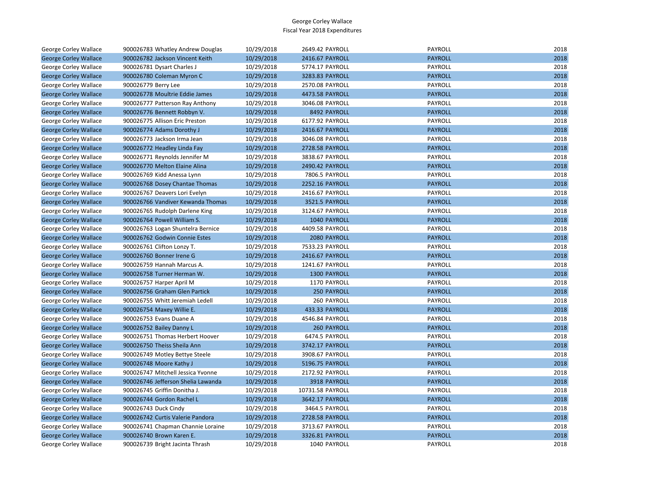| George Corley Wallace        | 900026783 Whatley Andrew Douglas   | 10/29/2018 | 2649.42 PAYROLL    | <b>PAYROLL</b> | 2018 |
|------------------------------|------------------------------------|------------|--------------------|----------------|------|
| <b>George Corley Wallace</b> | 900026782 Jackson Vincent Keith    | 10/29/2018 | 2416.67 PAYROLL    | <b>PAYROLL</b> | 2018 |
| George Corley Wallace        | 900026781 Dysart Charles J         | 10/29/2018 | 5774.17 PAYROLL    | PAYROLL        | 2018 |
| <b>George Corley Wallace</b> | 900026780 Coleman Myron C          | 10/29/2018 | 3283.83 PAYROLL    | <b>PAYROLL</b> | 2018 |
| George Corley Wallace        | 900026779 Berry Lee                | 10/29/2018 | 2570.08 PAYROLL    | PAYROLL        | 2018 |
| <b>George Corley Wallace</b> | 900026778 Moultrie Eddie James     | 10/29/2018 | 4473.58 PAYROLL    | <b>PAYROLL</b> | 2018 |
| George Corley Wallace        | 900026777 Patterson Ray Anthony    | 10/29/2018 | 3046.08 PAYROLL    | PAYROLL        | 2018 |
| <b>George Corley Wallace</b> | 900026776 Bennett Robbyn V.        | 10/29/2018 | 8492 PAYROLL       | <b>PAYROLL</b> | 2018 |
| George Corley Wallace        | 900026775 Allison Eric Preston     | 10/29/2018 | 6177.92 PAYROLL    | PAYROLL        | 2018 |
| <b>George Corley Wallace</b> | 900026774 Adams Dorothy J          | 10/29/2018 | 2416.67 PAYROLL    | <b>PAYROLL</b> | 2018 |
| George Corley Wallace        | 900026773 Jackson Irma Jean        | 10/29/2018 | 3046.08 PAYROLL    | PAYROLL        | 2018 |
| <b>George Corley Wallace</b> | 900026772 Headley Linda Fay        | 10/29/2018 | 2728.58 PAYROLL    | <b>PAYROLL</b> | 2018 |
| George Corley Wallace        | 900026771 Reynolds Jennifer M      | 10/29/2018 | 3838.67 PAYROLL    | PAYROLL        | 2018 |
| <b>George Corley Wallace</b> | 900026770 Melton Elaine Alina      | 10/29/2018 | 2490.42 PAYROLL    | <b>PAYROLL</b> | 2018 |
| George Corley Wallace        | 900026769 Kidd Anessa Lynn         | 10/29/2018 | 7806.5 PAYROLL     | PAYROLL        | 2018 |
| <b>George Corley Wallace</b> | 900026768 Dosey Chantae Thomas     | 10/29/2018 | 2252.16 PAYROLL    | <b>PAYROLL</b> | 2018 |
| George Corley Wallace        | 900026767 Deavers Lori Evelyn      | 10/29/2018 | 2416.67 PAYROLL    | PAYROLL        | 2018 |
| <b>George Corley Wallace</b> | 900026766 Vandiver Kewanda Thomas  | 10/29/2018 | 3521.5 PAYROLL     | <b>PAYROLL</b> | 2018 |
| George Corley Wallace        | 900026765 Rudolph Darlene King     | 10/29/2018 | 3124.67 PAYROLL    | PAYROLL        | 2018 |
| <b>George Corley Wallace</b> | 900026764 Powell William S.        | 10/29/2018 | 1040 PAYROLL       | <b>PAYROLL</b> | 2018 |
| George Corley Wallace        | 900026763 Logan Shuntelra Bernice  | 10/29/2018 | 4409.58 PAYROLL    | PAYROLL        | 2018 |
| <b>George Corley Wallace</b> | 900026762 Godwin Connie Estes      | 10/29/2018 | 2080 PAYROLL       | <b>PAYROLL</b> | 2018 |
| George Corley Wallace        | 900026761 Clifton Lonzy T.         | 10/29/2018 | 7533.23 PAYROLL    | PAYROLL        | 2018 |
| <b>George Corley Wallace</b> | 900026760 Bonner Irene G           | 10/29/2018 | 2416.67 PAYROLL    | <b>PAYROLL</b> | 2018 |
| George Corley Wallace        | 900026759 Hannah Marcus A.         | 10/29/2018 | 1241.67 PAYROLL    | PAYROLL        | 2018 |
| <b>George Corley Wallace</b> | 900026758 Turner Herman W.         | 10/29/2018 | 1300 PAYROLL       | <b>PAYROLL</b> | 2018 |
| George Corley Wallace        | 900026757 Harper April M           | 10/29/2018 | 1170 PAYROLL       | PAYROLL        | 2018 |
| <b>George Corley Wallace</b> | 900026756 Graham Glen Partick      | 10/29/2018 | 250 PAYROLL        | <b>PAYROLL</b> | 2018 |
| George Corley Wallace        | 900026755 Whitt Jeremiah Ledell    | 10/29/2018 | 260 PAYROLL        | PAYROLL        | 2018 |
| <b>George Corley Wallace</b> | 900026754 Maxey Willie E.          | 10/29/2018 | 433.33 PAYROLL     | <b>PAYROLL</b> | 2018 |
| George Corley Wallace        | 900026753 Evans Duane A            | 10/29/2018 | 4546.84 PAYROLL    | PAYROLL        | 2018 |
| <b>George Corley Wallace</b> | 900026752 Bailey Danny L           | 10/29/2018 | <b>260 PAYROLL</b> | <b>PAYROLL</b> | 2018 |
| George Corley Wallace        | 900026751 Thomas Herbert Hoover    | 10/29/2018 | 6474.5 PAYROLL     | PAYROLL        | 2018 |
| <b>George Corley Wallace</b> | 900026750 Theiss Sheila Ann        | 10/29/2018 | 3742.17 PAYROLL    | <b>PAYROLL</b> | 2018 |
| George Corley Wallace        | 900026749 Motley Bettye Steele     | 10/29/2018 | 3908.67 PAYROLL    | PAYROLL        | 2018 |
| <b>George Corley Wallace</b> | 900026748 Moore Kathy J            | 10/29/2018 | 5196.75 PAYROLL    | <b>PAYROLL</b> | 2018 |
| George Corley Wallace        | 900026747 Mitchell Jessica Yvonne  | 10/29/2018 | 2172.92 PAYROLL    | PAYROLL        | 2018 |
| <b>George Corley Wallace</b> | 900026746 Jefferson Shelia Lawanda | 10/29/2018 | 3918 PAYROLL       | <b>PAYROLL</b> | 2018 |
| George Corley Wallace        | 900026745 Griffin Donitha J.       | 10/29/2018 | 10731.58 PAYROLL   | PAYROLL        | 2018 |
| <b>George Corley Wallace</b> | 900026744 Gordon Rachel L          | 10/29/2018 | 3642.17 PAYROLL    | <b>PAYROLL</b> | 2018 |
| George Corley Wallace        | 900026743 Duck Cindy               | 10/29/2018 | 3464.5 PAYROLL     | PAYROLL        | 2018 |
| <b>George Corley Wallace</b> | 900026742 Curtis Valerie Pandora   | 10/29/2018 | 2728.58 PAYROLL    | <b>PAYROLL</b> | 2018 |
| George Corley Wallace        | 900026741 Chapman Channie Loraine  | 10/29/2018 | 3713.67 PAYROLL    | PAYROLL        | 2018 |
| <b>George Corley Wallace</b> | 900026740 Brown Karen E.           | 10/29/2018 | 3326.81 PAYROLL    | <b>PAYROLL</b> | 2018 |
| <b>George Corley Wallace</b> | 900026739 Bright Jacinta Thrash    | 10/29/2018 | 1040 PAYROLL       | PAYROLL        | 2018 |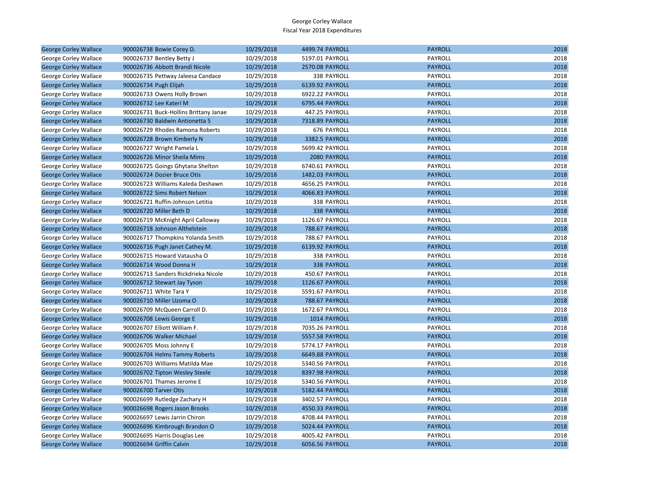| <b>George Corley Wallace</b> | 900026738 Bowie Corey D.              | 10/29/2018 | 4499.74 PAYROLL    | <b>PAYROLL</b> | 2018 |
|------------------------------|---------------------------------------|------------|--------------------|----------------|------|
| George Corley Wallace        | 900026737 Bentley Betty J             | 10/29/2018 | 5197.01 PAYROLL    | PAYROLL        | 2018 |
| <b>George Corley Wallace</b> | 900026736 Abbott Brandi Nicole        | 10/29/2018 | 2570.08 PAYROLL    | <b>PAYROLL</b> | 2018 |
| George Corley Wallace        | 900026735 Pettway Jaleesa Candace     | 10/29/2018 | 338 PAYROLL        | PAYROLL        | 2018 |
| <b>George Corley Wallace</b> | 900026734 Pugh Elijah                 | 10/29/2018 | 6139.92 PAYROLL    | <b>PAYROLL</b> | 2018 |
| George Corley Wallace        | 900026733 Owens Holly Brown           | 10/29/2018 | 6922.22 PAYROLL    | PAYROLL        | 2018 |
| <b>George Corley Wallace</b> | 900026732 Lee Kateri M                | 10/29/2018 | 6795.44 PAYROLL    | <b>PAYROLL</b> | 2018 |
| George Corley Wallace        | 900026731 Buck-Hollins Brittany Janae | 10/29/2018 | 447.25 PAYROLL     | <b>PAYROLL</b> | 2018 |
| <b>George Corley Wallace</b> | 900026730 Baldwin Antionetta S        | 10/29/2018 | 7318.89 PAYROLL    | <b>PAYROLL</b> | 2018 |
| George Corley Wallace        | 900026729 Rhodes Ramona Roberts       | 10/29/2018 | 676 PAYROLL        | PAYROLL        | 2018 |
| <b>George Corley Wallace</b> | 900026728 Brown Kimberly N            | 10/29/2018 | 3382.5 PAYROLL     | <b>PAYROLL</b> | 2018 |
| George Corley Wallace        | 900026727 Wright Pamela L             | 10/29/2018 | 5699.42 PAYROLL    | PAYROLL        | 2018 |
| <b>George Corley Wallace</b> | 900026726 Minor Sheila Mims           | 10/29/2018 | 2080 PAYROLL       | <b>PAYROLL</b> | 2018 |
| George Corley Wallace        | 900026725 Goings Ghytana Shelton      | 10/29/2018 | 6740.61 PAYROLL    | PAYROLL        | 2018 |
| <b>George Corley Wallace</b> | 900026724 Dozier Bruce Otis           | 10/29/2018 | 1482.03 PAYROLL    | <b>PAYROLL</b> | 2018 |
| George Corley Wallace        | 900026723 Williams Kaleda Deshawn     | 10/29/2018 | 4656.25 PAYROLL    | PAYROLL        | 2018 |
| <b>George Corley Wallace</b> | 900026722 Sims Robert Nelson          | 10/29/2018 | 4066.83 PAYROLL    | <b>PAYROLL</b> | 2018 |
| George Corley Wallace        | 900026721 Ruffin-Johnson Letitia      | 10/29/2018 | 338 PAYROLL        | PAYROLL        | 2018 |
| <b>George Corley Wallace</b> | 900026720 Miller Beth D               | 10/29/2018 | 338 PAYROLL        | <b>PAYROLL</b> | 2018 |
| George Corley Wallace        | 900026719 McKnight April Calloway     | 10/29/2018 | 1126.67 PAYROLL    | PAYROLL        | 2018 |
| <b>George Corley Wallace</b> | 900026718 Johnson Althelstein         | 10/29/2018 | 788.67 PAYROLL     | <b>PAYROLL</b> | 2018 |
| George Corley Wallace        | 900026717 Thompkins Yolanda Smith     | 10/29/2018 | 788.67 PAYROLL     | PAYROLL        | 2018 |
| <b>George Corley Wallace</b> | 900026716 Pugh Janet Cathey M.        | 10/29/2018 | 6139.92 PAYROLL    | <b>PAYROLL</b> | 2018 |
| George Corley Wallace        | 900026715 Howard Vatausha O           | 10/29/2018 | 338 PAYROLL        | PAYROLL        | 2018 |
| <b>George Corley Wallace</b> | 900026714 Wood Donna H                | 10/29/2018 | <b>338 PAYROLL</b> | <b>PAYROLL</b> | 2018 |
| George Corley Wallace        | 900026713 Sanders Rickdrieka Nicole   | 10/29/2018 | 450.67 PAYROLL     | PAYROLL        | 2018 |
| <b>George Corley Wallace</b> | 900026712 Stewart Jay Tyson           | 10/29/2018 | 1126.67 PAYROLL    | <b>PAYROLL</b> | 2018 |
| George Corley Wallace        | 900026711 White Tara Y                | 10/29/2018 | 5591.67 PAYROLL    | PAYROLL        | 2018 |
| <b>George Corley Wallace</b> | 900026710 Miller Uzoma O              | 10/29/2018 | 788.67 PAYROLL     | <b>PAYROLL</b> | 2018 |
| George Corley Wallace        | 900026709 McQueen Carroll D.          | 10/29/2018 | 1672.67 PAYROLL    | PAYROLL        | 2018 |
| <b>George Corley Wallace</b> | 900026708 Lewis George E              | 10/29/2018 | 1014 PAYROLL       | <b>PAYROLL</b> | 2018 |
| George Corley Wallace        | 900026707 Elliott William F.          | 10/29/2018 | 7035.26 PAYROLL    | PAYROLL        | 2018 |
| <b>George Corley Wallace</b> | 900026706 Walker Michael              | 10/29/2018 | 5557.58 PAYROLL    | <b>PAYROLL</b> | 2018 |
| George Corley Wallace        | 900026705 Moss Johnny E               | 10/29/2018 | 5774.17 PAYROLL    | PAYROLL        | 2018 |
| <b>George Corley Wallace</b> | 900026704 Helms Tammy Roberts         | 10/29/2018 | 6649.88 PAYROLL    | <b>PAYROLL</b> | 2018 |
| George Corley Wallace        | 900026703 Williams Matilda Mae        | 10/29/2018 | 5340.56 PAYROLL    | PAYROLL        | 2018 |
| <b>George Corley Wallace</b> | 900026702 Tipton Wesley Steele        | 10/29/2018 | 8397.98 PAYROLL    | <b>PAYROLL</b> | 2018 |
| George Corley Wallace        | 900026701 Thames Jerome E             | 10/29/2018 | 5340.56 PAYROLL    | PAYROLL        | 2018 |
| <b>George Corley Wallace</b> | 900026700 Tarver Otis                 | 10/29/2018 | 5182.44 PAYROLL    | <b>PAYROLL</b> | 2018 |
| George Corley Wallace        | 900026699 Rutledge Zachary H          | 10/29/2018 | 3402.57 PAYROLL    | PAYROLL        | 2018 |
| <b>George Corley Wallace</b> | 900026698 Rogers Jason Brooks         | 10/29/2018 | 4550.33 PAYROLL    | <b>PAYROLL</b> | 2018 |
| George Corley Wallace        | 900026697 Lewis Jarrin Chiron         | 10/29/2018 | 4708.44 PAYROLL    | PAYROLL        | 2018 |
| <b>George Corley Wallace</b> | 900026696 Kimbrough Brandon O         | 10/29/2018 | 5024.44 PAYROLL    | <b>PAYROLL</b> | 2018 |
| George Corley Wallace        | 900026695 Harris Douglas Lee          | 10/29/2018 | 4005.42 PAYROLL    | PAYROLL        | 2018 |
| <b>George Corley Wallace</b> | 900026694 Griffin Calvin              | 10/29/2018 | 6056.56 PAYROLL    | <b>PAYROLL</b> | 2018 |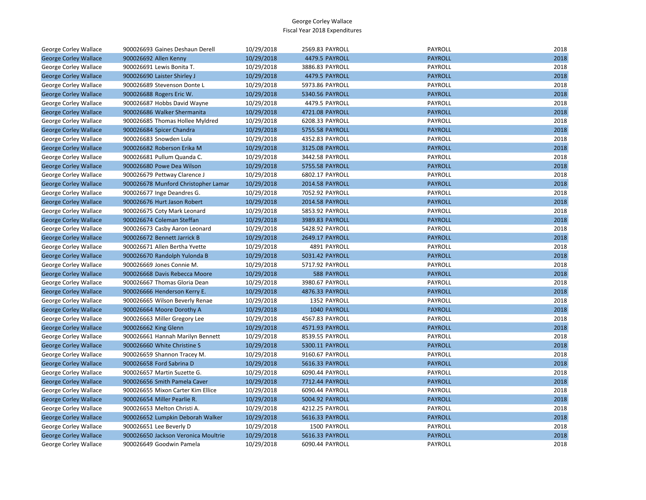| George Corley Wallace        | 900026693 Gaines Deshaun Derell     | 10/29/2018 | 2569.83 PAYROLL    | PAYROLL        | 2018 |
|------------------------------|-------------------------------------|------------|--------------------|----------------|------|
| <b>George Corley Wallace</b> | 900026692 Allen Kenny               | 10/29/2018 | 4479.5 PAYROLL     | <b>PAYROLL</b> | 2018 |
| George Corley Wallace        | 900026691 Lewis Bonita T.           | 10/29/2018 | 3886.83 PAYROLL    | PAYROLL        | 2018 |
| <b>George Corley Wallace</b> | 900026690 Laister Shirley J         | 10/29/2018 | 4479.5 PAYROLL     | <b>PAYROLL</b> | 2018 |
| George Corley Wallace        | 900026689 Stevenson Donte L         | 10/29/2018 | 5973.86 PAYROLL    | PAYROLL        | 2018 |
| <b>George Corley Wallace</b> | 900026688 Rogers Eric W.            | 10/29/2018 | 5340.56 PAYROLL    | <b>PAYROLL</b> | 2018 |
| George Corley Wallace        | 900026687 Hobbs David Wayne         | 10/29/2018 | 4479.5 PAYROLL     | PAYROLL        | 2018 |
| <b>George Corley Wallace</b> | 900026686 Walker Shermanita         | 10/29/2018 | 4721.08 PAYROLL    | <b>PAYROLL</b> | 2018 |
| George Corley Wallace        | 900026685 Thomas Hollee Myldred     | 10/29/2018 | 6208.33 PAYROLL    | PAYROLL        | 2018 |
| <b>George Corley Wallace</b> | 900026684 Spicer Chandra            | 10/29/2018 | 5755.58 PAYROLL    | <b>PAYROLL</b> | 2018 |
| George Corley Wallace        | 900026683 Snowden Lula              | 10/29/2018 | 4352.83 PAYROLL    | PAYROLL        | 2018 |
| <b>George Corley Wallace</b> | 900026682 Roberson Erika M          | 10/29/2018 | 3125.08 PAYROLL    | <b>PAYROLL</b> | 2018 |
| George Corley Wallace        | 900026681 Pullum Quanda C.          | 10/29/2018 | 3442.58 PAYROLL    | PAYROLL        | 2018 |
| <b>George Corley Wallace</b> | 900026680 Powe Dea Wilson           | 10/29/2018 | 5755.58 PAYROLL    | <b>PAYROLL</b> | 2018 |
| George Corley Wallace        | 900026679 Pettway Clarence J        | 10/29/2018 | 6802.17 PAYROLL    | PAYROLL        | 2018 |
| <b>George Corley Wallace</b> | 900026678 Munford Christopher Lamar | 10/29/2018 | 2014.58 PAYROLL    | <b>PAYROLL</b> | 2018 |
| George Corley Wallace        | 900026677 Inge Deandres G.          | 10/29/2018 | 7052.92 PAYROLL    | PAYROLL        | 2018 |
| <b>George Corley Wallace</b> | 900026676 Hurt Jason Robert         | 10/29/2018 | 2014.58 PAYROLL    | <b>PAYROLL</b> | 2018 |
| George Corley Wallace        | 900026675 Coty Mark Leonard         | 10/29/2018 | 5853.92 PAYROLL    | PAYROLL        | 2018 |
| <b>George Corley Wallace</b> | 900026674 Coleman Steffan           | 10/29/2018 | 3989.83 PAYROLL    | <b>PAYROLL</b> | 2018 |
| George Corley Wallace        | 900026673 Casby Aaron Leonard       | 10/29/2018 | 5428.92 PAYROLL    | PAYROLL        | 2018 |
| <b>George Corley Wallace</b> | 900026672 Bennett Jarrick B         | 10/29/2018 | 2649.17 PAYROLL    | <b>PAYROLL</b> | 2018 |
| George Corley Wallace        | 900026671 Allen Bertha Yvette       | 10/29/2018 | 4891 PAYROLL       | PAYROLL        | 2018 |
| <b>George Corley Wallace</b> | 900026670 Randolph Yulonda B        | 10/29/2018 | 5031.42 PAYROLL    | <b>PAYROLL</b> | 2018 |
| George Corley Wallace        | 900026669 Jones Connie M.           | 10/29/2018 | 5717.92 PAYROLL    | PAYROLL        | 2018 |
| <b>George Corley Wallace</b> | 900026668 Davis Rebecca Moore       | 10/29/2018 | <b>588 PAYROLL</b> | <b>PAYROLL</b> | 2018 |
| George Corley Wallace        | 900026667 Thomas Gloria Dean        | 10/29/2018 | 3980.67 PAYROLL    | PAYROLL        | 2018 |
| <b>George Corley Wallace</b> | 900026666 Henderson Kerry E.        | 10/29/2018 | 4876.33 PAYROLL    | <b>PAYROLL</b> | 2018 |
| George Corley Wallace        | 900026665 Wilson Beverly Renae      | 10/29/2018 | 1352 PAYROLL       | PAYROLL        | 2018 |
| <b>George Corley Wallace</b> | 900026664 Moore Dorothy A           | 10/29/2018 | 1040 PAYROLL       | <b>PAYROLL</b> | 2018 |
| George Corley Wallace        | 900026663 Miller Gregory Lee        | 10/29/2018 | 4567.83 PAYROLL    | PAYROLL        | 2018 |
| <b>George Corley Wallace</b> | 900026662 King Glenn                | 10/29/2018 | 4571.93 PAYROLL    | <b>PAYROLL</b> | 2018 |
| George Corley Wallace        | 900026661 Hannah Marilyn Bennett    | 10/29/2018 | 8539.55 PAYROLL    | PAYROLL        | 2018 |
| <b>George Corley Wallace</b> | 900026660 White Christine S         | 10/29/2018 | 5300.11 PAYROLL    | <b>PAYROLL</b> | 2018 |
| George Corley Wallace        | 900026659 Shannon Tracey M.         | 10/29/2018 | 9160.67 PAYROLL    | PAYROLL        | 2018 |
| <b>George Corley Wallace</b> | 900026658 Ford Sabrina D            | 10/29/2018 | 5616.33 PAYROLL    | <b>PAYROLL</b> | 2018 |
| George Corley Wallace        | 900026657 Martin Suzette G.         | 10/29/2018 | 6090.44 PAYROLL    | PAYROLL        | 2018 |
| <b>George Corley Wallace</b> | 900026656 Smith Pamela Caver        | 10/29/2018 | 7712.44 PAYROLL    | <b>PAYROLL</b> | 2018 |
| George Corley Wallace        | 900026655 Mixon Carter Kim Ellice   | 10/29/2018 | 6090.44 PAYROLL    | PAYROLL        | 2018 |
| <b>George Corley Wallace</b> | 900026654 Miller Pearlie R.         | 10/29/2018 | 5004.92 PAYROLL    | <b>PAYROLL</b> | 2018 |
| George Corley Wallace        | 900026653 Melton Christi A.         | 10/29/2018 | 4212.25 PAYROLL    | PAYROLL        | 2018 |
| <b>George Corley Wallace</b> | 900026652 Lumpkin Deborah Walker    | 10/29/2018 | 5616.33 PAYROLL    | <b>PAYROLL</b> | 2018 |
| George Corley Wallace        | 900026651 Lee Beverly D             | 10/29/2018 | 1500 PAYROLL       | PAYROLL        | 2018 |
| <b>George Corley Wallace</b> | 900026650 Jackson Veronica Moultrie | 10/29/2018 | 5616.33 PAYROLL    | <b>PAYROLL</b> | 2018 |
| <b>George Corley Wallace</b> | 900026649 Goodwin Pamela            | 10/29/2018 | 6090.44 PAYROLL    | PAYROLL        | 2018 |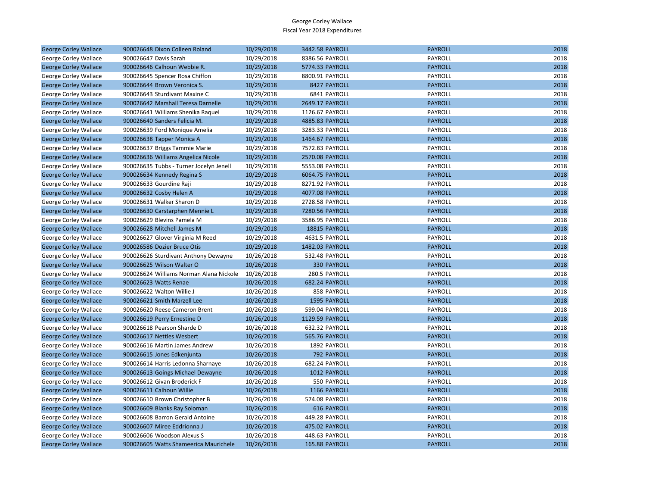| <b>George Corley Wallace</b> | 900026648 Dixon Colleen Roland          | 10/29/2018 | 3442.58 PAYROLL    | <b>PAYROLL</b> | 2018 |
|------------------------------|-----------------------------------------|------------|--------------------|----------------|------|
| George Corley Wallace        | 900026647 Davis Sarah                   | 10/29/2018 | 8386.56 PAYROLL    | PAYROLL        | 2018 |
| <b>George Corley Wallace</b> | 900026646 Calhoun Webbie R.             | 10/29/2018 | 5774.33 PAYROLL    | <b>PAYROLL</b> | 2018 |
| George Corley Wallace        | 900026645 Spencer Rosa Chiffon          | 10/29/2018 | 8800.91 PAYROLL    | PAYROLL        | 2018 |
| <b>George Corley Wallace</b> | 900026644 Brown Veronica S.             | 10/29/2018 | 8427 PAYROLL       | <b>PAYROLL</b> | 2018 |
| George Corley Wallace        | 900026643 Sturdivant Maxine C           | 10/29/2018 | 6841 PAYROLL       | PAYROLL        | 2018 |
| <b>George Corley Wallace</b> | 900026642 Marshall Teresa Darnelle      | 10/29/2018 | 2649.17 PAYROLL    | <b>PAYROLL</b> | 2018 |
| George Corley Wallace        | 900026641 Williams Shenika Raquel       | 10/29/2018 | 1126.67 PAYROLL    | PAYROLL        | 2018 |
| <b>George Corley Wallace</b> | 900026640 Sanders Felicia M.            | 10/29/2018 | 4885.83 PAYROLL    | <b>PAYROLL</b> | 2018 |
| George Corley Wallace        | 900026639 Ford Monique Amelia           | 10/29/2018 | 3283.33 PAYROLL    | PAYROLL        | 2018 |
| <b>George Corley Wallace</b> | 900026638 Tapper Monica A               | 10/29/2018 | 1464.67 PAYROLL    | <b>PAYROLL</b> | 2018 |
| George Corley Wallace        | 900026637 Briggs Tammie Marie           | 10/29/2018 | 7572.83 PAYROLL    | PAYROLL        | 2018 |
| <b>George Corley Wallace</b> | 900026636 Williams Angelica Nicole      | 10/29/2018 | 2570.08 PAYROLL    | <b>PAYROLL</b> | 2018 |
| George Corley Wallace        | 900026635 Tubbs - Turner Jocelyn Jenell | 10/29/2018 | 5553.08 PAYROLL    | PAYROLL        | 2018 |
| <b>George Corley Wallace</b> | 900026634 Kennedy Regina S              | 10/29/2018 | 6064.75 PAYROLL    | <b>PAYROLL</b> | 2018 |
| George Corley Wallace        | 900026633 Gourdine Raji                 | 10/29/2018 | 8271.92 PAYROLL    | PAYROLL        | 2018 |
| <b>George Corley Wallace</b> | 900026632 Cosby Helen A                 | 10/29/2018 | 4077.08 PAYROLL    | <b>PAYROLL</b> | 2018 |
| George Corley Wallace        | 900026631 Walker Sharon D               | 10/29/2018 | 2728.58 PAYROLL    | PAYROLL        | 2018 |
| <b>George Corley Wallace</b> | 900026630 Carstarphen Mennie L          | 10/29/2018 | 7280.56 PAYROLL    | <b>PAYROLL</b> | 2018 |
| George Corley Wallace        | 900026629 Blevins Pamela M              | 10/29/2018 | 3586.95 PAYROLL    | PAYROLL        | 2018 |
| <b>George Corley Wallace</b> | 900026628 Mitchell James M              | 10/29/2018 | 18815 PAYROLL      | <b>PAYROLL</b> | 2018 |
| George Corley Wallace        | 900026627 Glover Virginia M Reed        | 10/29/2018 | 4631.5 PAYROLL     | PAYROLL        | 2018 |
| <b>George Corley Wallace</b> | 900026586 Dozier Bruce Otis             | 10/29/2018 | 1482.03 PAYROLL    | <b>PAYROLL</b> | 2018 |
| George Corley Wallace        | 900026626 Sturdivant Anthony Dewayne    | 10/26/2018 | 532.48 PAYROLL     | PAYROLL        | 2018 |
| <b>George Corley Wallace</b> | 900026625 Wilson Walter O               | 10/26/2018 | <b>330 PAYROLL</b> | <b>PAYROLL</b> | 2018 |
| George Corley Wallace        | 900026624 Williams Norman Alana Nickole | 10/26/2018 | 280.5 PAYROLL      | PAYROLL        | 2018 |
| <b>George Corley Wallace</b> | 900026623 Watts Renae                   | 10/26/2018 | 682.24 PAYROLL     | <b>PAYROLL</b> | 2018 |
| George Corley Wallace        | 900026622 Walton Willie J               | 10/26/2018 | 858 PAYROLL        | PAYROLL        | 2018 |
| <b>George Corley Wallace</b> | 900026621 Smith Marzell Lee             | 10/26/2018 | 1595 PAYROLL       | <b>PAYROLL</b> | 2018 |
| George Corley Wallace        | 900026620 Reese Cameron Brent           | 10/26/2018 | 599.04 PAYROLL     | PAYROLL        | 2018 |
| <b>George Corley Wallace</b> | 900026619 Perry Ernestine D             | 10/26/2018 | 1129.59 PAYROLL    | <b>PAYROLL</b> | 2018 |
| George Corley Wallace        | 900026618 Pearson Sharde D              | 10/26/2018 | 632.32 PAYROLL     | PAYROLL        | 2018 |
| <b>George Corley Wallace</b> | 900026617 Nettles Wesbert               | 10/26/2018 | 565.76 PAYROLL     | <b>PAYROLL</b> | 2018 |
| George Corley Wallace        | 900026616 Martin James Andrew           | 10/26/2018 | 1892 PAYROLL       | PAYROLL        | 2018 |
| <b>George Corley Wallace</b> | 900026615 Jones Edkenjunta              | 10/26/2018 | 792 PAYROLL        | <b>PAYROLL</b> | 2018 |
| George Corley Wallace        | 900026614 Harris Ledonna Sharnaye       | 10/26/2018 | 682.24 PAYROLL     | PAYROLL        | 2018 |
| <b>George Corley Wallace</b> | 900026613 Goings Michael Dewayne        | 10/26/2018 | 1012 PAYROLL       | <b>PAYROLL</b> | 2018 |
| George Corley Wallace        | 900026612 Givan Broderick F             | 10/26/2018 | 550 PAYROLL        | PAYROLL        | 2018 |
| <b>George Corley Wallace</b> | 900026611 Calhoun Willie                | 10/26/2018 | 1166 PAYROLL       | <b>PAYROLL</b> | 2018 |
| George Corley Wallace        | 900026610 Brown Christopher B           | 10/26/2018 | 574.08 PAYROLL     | PAYROLL        | 2018 |
| <b>George Corley Wallace</b> | 900026609 Blanks Ray Soloman            | 10/26/2018 | <b>616 PAYROLL</b> | <b>PAYROLL</b> | 2018 |
| George Corley Wallace        | 900026608 Barron Gerald Antoine         | 10/26/2018 | 449.28 PAYROLL     | PAYROLL        | 2018 |
| <b>George Corley Wallace</b> | 900026607 Miree Eddrionna J             | 10/26/2018 | 475.02 PAYROLL     | <b>PAYROLL</b> | 2018 |
| George Corley Wallace        | 900026606 Woodson Alexus S              | 10/26/2018 | 448.63 PAYROLL     | PAYROLL        | 2018 |
| <b>George Corley Wallace</b> | 900026605 Watts Shameerica Maurichele   | 10/26/2018 | 165.88 PAYROLL     | <b>PAYROLL</b> | 2018 |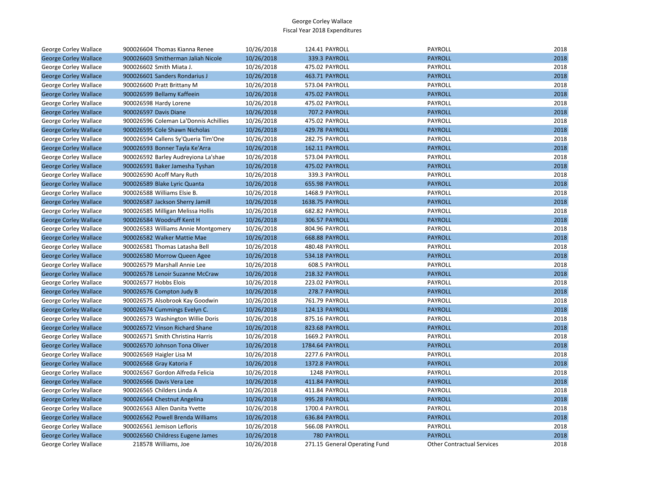| George Corley Wallace        | 900026604 Thomas Kianna Renee         | 10/26/2018 | 124.41 PAYROLL                | PAYROLL                           | 2018 |
|------------------------------|---------------------------------------|------------|-------------------------------|-----------------------------------|------|
| <b>George Corley Wallace</b> | 900026603 Smitherman Jaliah Nicole    | 10/26/2018 | 339.3 PAYROLL                 | <b>PAYROLL</b>                    | 2018 |
| George Corley Wallace        | 900026602 Smith Miata J.              | 10/26/2018 | 475.02 PAYROLL                | <b>PAYROLL</b>                    | 2018 |
| <b>George Corley Wallace</b> | 900026601 Sanders Rondarius J         | 10/26/2018 | 463.71 PAYROLL                | <b>PAYROLL</b>                    | 2018 |
| George Corley Wallace        | 900026600 Pratt Brittany M            | 10/26/2018 | 573.04 PAYROLL                | PAYROLL                           | 2018 |
| <b>George Corley Wallace</b> | 900026599 Bellamy Kaffeein            | 10/26/2018 | 475.02 PAYROLL                | <b>PAYROLL</b>                    | 2018 |
| George Corley Wallace        | 900026598 Hardy Lorene                | 10/26/2018 | 475.02 PAYROLL                | PAYROLL                           | 2018 |
| <b>George Corley Wallace</b> | 900026597 Davis Diane                 | 10/26/2018 | 707.2 PAYROLL                 | <b>PAYROLL</b>                    | 2018 |
| George Corley Wallace        | 900026596 Coleman La'Donnis Achillies | 10/26/2018 | 475.02 PAYROLL                | PAYROLL                           | 2018 |
| <b>George Corley Wallace</b> | 900026595 Cole Shawn Nicholas         | 10/26/2018 | 429.78 PAYROLL                | <b>PAYROLL</b>                    | 2018 |
| George Corley Wallace        | 900026594 Callens Sy'Queria Tim'One   | 10/26/2018 | 282.75 PAYROLL                | PAYROLL                           | 2018 |
| <b>George Corley Wallace</b> | 900026593 Bonner Tayla Ke'Arra        | 10/26/2018 | 162.11 PAYROLL                | <b>PAYROLL</b>                    | 2018 |
| George Corley Wallace        | 900026592 Barley Audreyiona La'shae   | 10/26/2018 | 573.04 PAYROLL                | PAYROLL                           | 2018 |
| <b>George Corley Wallace</b> | 900026591 Baker Jamesha Tyshan        | 10/26/2018 | 475.02 PAYROLL                | <b>PAYROLL</b>                    | 2018 |
| George Corley Wallace        | 900026590 Acoff Mary Ruth             | 10/26/2018 | 339.3 PAYROLL                 | PAYROLL                           | 2018 |
| <b>George Corley Wallace</b> | 900026589 Blake Lyric Quanta          | 10/26/2018 | 655.98 PAYROLL                | <b>PAYROLL</b>                    | 2018 |
| George Corley Wallace        | 900026588 Williams Elsie B.           | 10/26/2018 | 1468.9 PAYROLL                | PAYROLL                           | 2018 |
| <b>George Corley Wallace</b> | 900026587 Jackson Sherry Jamill       | 10/26/2018 | 1638.75 PAYROLL               | <b>PAYROLL</b>                    | 2018 |
| George Corley Wallace        | 900026585 Milligan Melissa Hollis     | 10/26/2018 | 682.82 PAYROLL                | PAYROLL                           | 2018 |
| <b>George Corley Wallace</b> | 900026584 Woodruff Kent H             | 10/26/2018 | 306.57 PAYROLL                | <b>PAYROLL</b>                    | 2018 |
| George Corley Wallace        | 900026583 Williams Annie Montgomery   | 10/26/2018 | 804.96 PAYROLL                | PAYROLL                           | 2018 |
| <b>George Corley Wallace</b> | 900026582 Walker Mattie Mae           | 10/26/2018 | 668.88 PAYROLL                | <b>PAYROLL</b>                    | 2018 |
| George Corley Wallace        | 900026581 Thomas Latasha Bell         | 10/26/2018 | 480.48 PAYROLL                | PAYROLL                           | 2018 |
| <b>George Corley Wallace</b> | 900026580 Morrow Queen Agee           | 10/26/2018 | 534.18 PAYROLL                | <b>PAYROLL</b>                    | 2018 |
| George Corley Wallace        | 900026579 Marshall Annie Lee          | 10/26/2018 | 608.5 PAYROLL                 | PAYROLL                           | 2018 |
| <b>George Corley Wallace</b> | 900026578 Lenoir Suzanne McCraw       | 10/26/2018 | 218.32 PAYROLL                | <b>PAYROLL</b>                    | 2018 |
| George Corley Wallace        | 900026577 Hobbs Elois                 | 10/26/2018 | 223.02 PAYROLL                | PAYROLL                           | 2018 |
| <b>George Corley Wallace</b> | 900026576 Compton Judy B              | 10/26/2018 | 278.7 PAYROLL                 | <b>PAYROLL</b>                    | 2018 |
| George Corley Wallace        | 900026575 Alsobrook Kay Goodwin       | 10/26/2018 | 761.79 PAYROLL                | PAYROLL                           | 2018 |
| <b>George Corley Wallace</b> | 900026574 Cummings Evelyn C.          | 10/26/2018 | 124.13 PAYROLL                | <b>PAYROLL</b>                    | 2018 |
| George Corley Wallace        | 900026573 Washington Willie Doris     | 10/26/2018 | 875.16 PAYROLL                | PAYROLL                           | 2018 |
| <b>George Corley Wallace</b> | 900026572 Vinson Richard Shane        | 10/26/2018 | 823.68 PAYROLL                | <b>PAYROLL</b>                    | 2018 |
| George Corley Wallace        | 900026571 Smith Christina Harris      | 10/26/2018 | 1669.2 PAYROLL                | PAYROLL                           | 2018 |
| <b>George Corley Wallace</b> | 900026570 Johnson Tona Oliver         | 10/26/2018 | 1784.64 PAYROLL               | <b>PAYROLL</b>                    | 2018 |
| George Corley Wallace        | 900026569 Haigler Lisa M              | 10/26/2018 | 2277.6 PAYROLL                | PAYROLL                           | 2018 |
| <b>George Corley Wallace</b> | 900026568 Gray Katoria F              | 10/26/2018 | 1372.8 PAYROLL                | <b>PAYROLL</b>                    | 2018 |
| George Corley Wallace        | 900026567 Gordon Alfreda Felicia      | 10/26/2018 | 1248 PAYROLL                  | PAYROLL                           | 2018 |
| <b>George Corley Wallace</b> | 900026566 Davis Vera Lee              | 10/26/2018 | 411.84 PAYROLL                | <b>PAYROLL</b>                    | 2018 |
| George Corley Wallace        | 900026565 Childers Linda A            | 10/26/2018 | 411.84 PAYROLL                | PAYROLL                           | 2018 |
| <b>George Corley Wallace</b> | 900026564 Chestnut Angelina           | 10/26/2018 | 995.28 PAYROLL                | <b>PAYROLL</b>                    | 2018 |
| George Corley Wallace        | 900026563 Allen Danita Yvette         | 10/26/2018 | 1700.4 PAYROLL                | PAYROLL                           | 2018 |
| <b>George Corley Wallace</b> | 900026562 Powell Brenda Williams      | 10/26/2018 | 636.84 PAYROLL                | <b>PAYROLL</b>                    | 2018 |
| George Corley Wallace        | 900026561 Jemison Lefloris            | 10/26/2018 | 566.08 PAYROLL                | PAYROLL                           | 2018 |
| <b>George Corley Wallace</b> | 900026560 Childress Eugene James      | 10/26/2018 | 780 PAYROLL                   | <b>PAYROLL</b>                    | 2018 |
| George Corley Wallace        | 218578 Williams, Joe                  | 10/26/2018 | 271.15 General Operating Fund | <b>Other Contractual Services</b> | 2018 |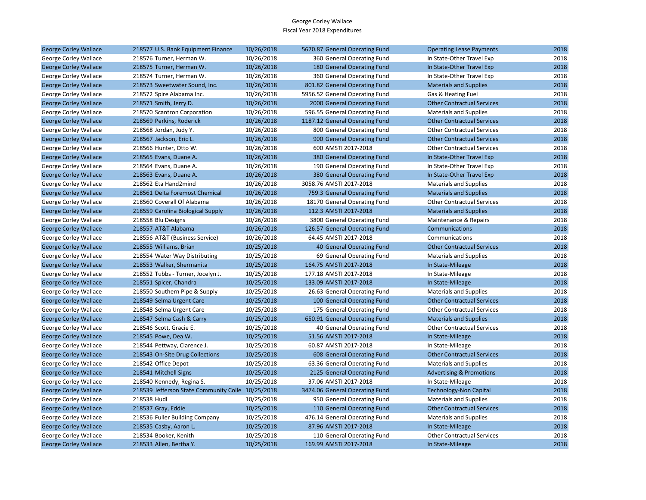| <b>George Corley Wallace</b> | 218577 U.S. Bank Equipment Finance                | 10/26/2018 | 5670.87 General Operating Fund | <b>Operating Lease Payments</b>     | 2018 |
|------------------------------|---------------------------------------------------|------------|--------------------------------|-------------------------------------|------|
| George Corley Wallace        | 218576 Turner, Herman W.                          | 10/26/2018 | 360 General Operating Fund     | In State-Other Travel Exp           | 2018 |
| <b>George Corley Wallace</b> | 218575 Turner, Herman W.                          | 10/26/2018 | 180 General Operating Fund     | In State-Other Travel Exp           | 2018 |
| George Corley Wallace        | 218574 Turner, Herman W.                          | 10/26/2018 | 360 General Operating Fund     | In State-Other Travel Exp           | 2018 |
| <b>George Corley Wallace</b> | 218573 Sweetwater Sound, Inc.                     | 10/26/2018 | 801.82 General Operating Fund  | <b>Materials and Supplies</b>       | 2018 |
| George Corley Wallace        | 218572 Spire Alabama Inc.                         | 10/26/2018 | 5956.52 General Operating Fund | Gas & Heating Fuel                  | 2018 |
| <b>George Corley Wallace</b> | 218571 Smith, Jerry D.                            | 10/26/2018 | 2000 General Operating Fund    | <b>Other Contractual Services</b>   | 2018 |
| George Corley Wallace        | 218570 Scantron Corporation                       | 10/26/2018 | 596.55 General Operating Fund  | <b>Materials and Supplies</b>       | 2018 |
| <b>George Corley Wallace</b> | 218569 Perkins, Roderick                          | 10/26/2018 | 1187.12 General Operating Fund | <b>Other Contractual Services</b>   | 2018 |
| George Corley Wallace        | 218568 Jordan, Judy Y.                            | 10/26/2018 | 800 General Operating Fund     | <b>Other Contractual Services</b>   | 2018 |
| <b>George Corley Wallace</b> | 218567 Jackson, Eric L.                           | 10/26/2018 | 900 General Operating Fund     | <b>Other Contractual Services</b>   | 2018 |
| George Corley Wallace        | 218566 Hunter, Otto W.                            | 10/26/2018 | 600 AMSTI 2017-2018            | <b>Other Contractual Services</b>   | 2018 |
| <b>George Corley Wallace</b> | 218565 Evans, Duane A.                            | 10/26/2018 | 380 General Operating Fund     | In State-Other Travel Exp           | 2018 |
| George Corley Wallace        | 218564 Evans, Duane A.                            | 10/26/2018 | 190 General Operating Fund     | In State-Other Travel Exp           | 2018 |
| <b>George Corley Wallace</b> | 218563 Evans, Duane A.                            | 10/26/2018 | 380 General Operating Fund     | In State-Other Travel Exp           | 2018 |
| George Corley Wallace        | 218562 Eta Hand2mind                              | 10/26/2018 | 3058.76 AMSTI 2017-2018        | <b>Materials and Supplies</b>       | 2018 |
| <b>George Corley Wallace</b> | 218561 Delta Foremost Chemical                    | 10/26/2018 | 759.3 General Operating Fund   | <b>Materials and Supplies</b>       | 2018 |
| George Corley Wallace        | 218560 Coverall Of Alabama                        | 10/26/2018 | 18170 General Operating Fund   | <b>Other Contractual Services</b>   | 2018 |
| <b>George Corley Wallace</b> | 218559 Carolina Biological Supply                 | 10/26/2018 | 112.3 AMSTI 2017-2018          | <b>Materials and Supplies</b>       | 2018 |
| George Corley Wallace        | 218558 Blu Designs                                | 10/26/2018 | 3800 General Operating Fund    | Maintenance & Repairs               | 2018 |
| <b>George Corley Wallace</b> | 218557 AT&T Alabama                               | 10/26/2018 | 126.57 General Operating Fund  | Communications                      | 2018 |
| George Corley Wallace        | 218556 AT&T (Business Service)                    | 10/26/2018 | 64.45 AMSTI 2017-2018          | Communications                      | 2018 |
| <b>George Corley Wallace</b> | 218555 Williams, Brian                            | 10/25/2018 | 40 General Operating Fund      | <b>Other Contractual Services</b>   | 2018 |
| George Corley Wallace        | 218554 Water Way Distributing                     | 10/25/2018 | 69 General Operating Fund      | <b>Materials and Supplies</b>       | 2018 |
| <b>George Corley Wallace</b> | 218553 Walker, Shermanita                         | 10/25/2018 | 164.75 AMSTI 2017-2018         | In State-Mileage                    | 2018 |
| George Corley Wallace        | 218552 Tubbs - Turner, Jocelyn J.                 | 10/25/2018 | 177.18 AMSTI 2017-2018         | In State-Mileage                    | 2018 |
| <b>George Corley Wallace</b> | 218551 Spicer, Chandra                            | 10/25/2018 | 133.09 AMSTI 2017-2018         | In State-Mileage                    | 2018 |
| George Corley Wallace        | 218550 Southern Pipe & Supply                     | 10/25/2018 | 26.63 General Operating Fund   | <b>Materials and Supplies</b>       | 2018 |
| <b>George Corley Wallace</b> | 218549 Selma Urgent Care                          | 10/25/2018 | 100 General Operating Fund     | <b>Other Contractual Services</b>   | 2018 |
| George Corley Wallace        | 218548 Selma Urgent Care                          | 10/25/2018 | 175 General Operating Fund     | <b>Other Contractual Services</b>   | 2018 |
| <b>George Corley Wallace</b> | 218547 Selma Cash & Carry                         | 10/25/2018 | 650.91 General Operating Fund  | <b>Materials and Supplies</b>       | 2018 |
| George Corley Wallace        | 218546 Scott, Gracie E.                           | 10/25/2018 | 40 General Operating Fund      | <b>Other Contractual Services</b>   | 2018 |
| <b>George Corley Wallace</b> | 218545 Powe, Dea W.                               | 10/25/2018 | 51.56 AMSTI 2017-2018          | In State-Mileage                    | 2018 |
| George Corley Wallace        | 218544 Pettway, Clarence J.                       | 10/25/2018 | 60.87 AMSTI 2017-2018          | In State-Mileage                    | 2018 |
| <b>George Corley Wallace</b> | 218543 On-Site Drug Collections                   | 10/25/2018 | 608 General Operating Fund     | <b>Other Contractual Services</b>   | 2018 |
| George Corley Wallace        | 218542 Office Depot                               | 10/25/2018 | 63.36 General Operating Fund   | <b>Materials and Supplies</b>       | 2018 |
| <b>George Corley Wallace</b> | 218541 Mitchell Signs                             | 10/25/2018 | 2125 General Operating Fund    | <b>Advertising &amp; Promotions</b> | 2018 |
| George Corley Wallace        | 218540 Kennedy, Regina S.                         | 10/25/2018 | 37.06 AMSTI 2017-2018          | In State-Mileage                    | 2018 |
| <b>George Corley Wallace</b> | 218539 Jefferson State Community Colle 10/25/2018 |            | 3474.06 General Operating Fund | <b>Technology-Non Capital</b>       | 2018 |
| George Corley Wallace        | 218538 Hudl                                       | 10/25/2018 | 950 General Operating Fund     | <b>Materials and Supplies</b>       | 2018 |
| <b>George Corley Wallace</b> | 218537 Gray, Eddie                                | 10/25/2018 | 110 General Operating Fund     | <b>Other Contractual Services</b>   | 2018 |
| George Corley Wallace        | 218536 Fuller Building Company                    | 10/25/2018 | 476.14 General Operating Fund  | <b>Materials and Supplies</b>       | 2018 |
| <b>George Corley Wallace</b> | 218535 Casby, Aaron L.                            | 10/25/2018 | 87.96 AMSTI 2017-2018          | In State-Mileage                    | 2018 |
| George Corley Wallace        | 218534 Booker, Kenith                             | 10/25/2018 | 110 General Operating Fund     | <b>Other Contractual Services</b>   | 2018 |
| <b>George Corley Wallace</b> | 218533 Allen, Bertha Y.                           | 10/25/2018 | 169.99 AMSTI 2017-2018         | In State-Mileage                    | 2018 |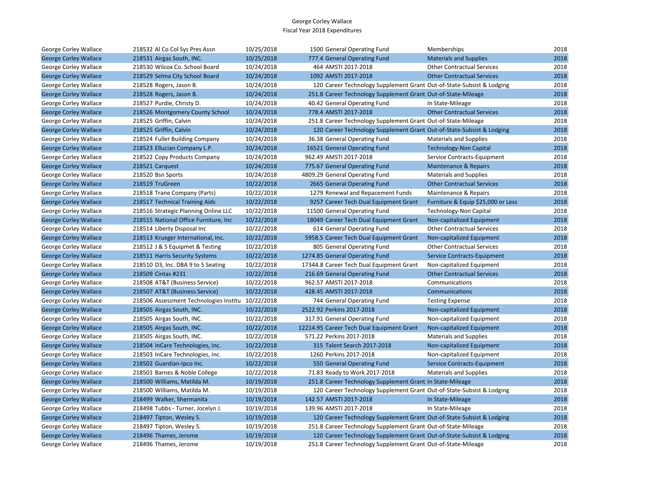| George Corley Wallace        | 218532 Al Co Col Sys Pres Assn                    | 10/25/2018 | 1500 General Operating Fund                                           | Memberships                        | 2018 |
|------------------------------|---------------------------------------------------|------------|-----------------------------------------------------------------------|------------------------------------|------|
| <b>George Corley Wallace</b> | 218531 Airgas South, INC.                         | 10/25/2018 | 777.4 General Operating Fund                                          | <b>Materials and Supplies</b>      | 2018 |
| George Corley Wallace        | 218530 Wilcox Co. School Board                    | 10/24/2018 | 464 AMSTI 2017-2018                                                   | <b>Other Contractual Services</b>  | 2018 |
| <b>George Corley Wallace</b> | 218529 Selma City School Board                    | 10/24/2018 | 1092 AMSTI 2017-2018                                                  | <b>Other Contractual Services</b>  | 2018 |
| George Corley Wallace        | 218528 Rogers, Jason B.                           | 10/24/2018 | 120 Career Technology Supplement Grant Out-of-State-Subsist & Lodging |                                    | 2018 |
| <b>George Corley Wallace</b> | 218528 Rogers, Jason B.                           | 10/24/2018 | 251.8 Career Technology Supplement Grant Out-of-State-Mileage         |                                    | 2018 |
| George Corley Wallace        | 218527 Purdie, Christy D.                         | 10/24/2018 | 40.42 General Operating Fund                                          | In State-Mileage                   | 2018 |
| <b>George Corley Wallace</b> | 218526 Montgomery County School                   | 10/24/2018 | 778.4 AMSTI 2017-2018                                                 | <b>Other Contractual Services</b>  | 2018 |
| George Corley Wallace        | 218525 Griffin, Calvin                            | 10/24/2018 | 251.8 Career Technology Supplement Grant Out-of-State-Mileage         |                                    | 2018 |
| <b>George Corley Wallace</b> | 218525 Griffin, Calvin                            | 10/24/2018 | 120 Career Technology Supplement Grant Out-of-State-Subsist & Lodging |                                    | 2018 |
| George Corley Wallace        | 218524 Fuller Building Company                    | 10/24/2018 | 36.38 General Operating Fund                                          | <b>Materials and Supplies</b>      | 2018 |
| <b>George Corley Wallace</b> | 218523 Ellucian Company L.P.                      | 10/24/2018 | 16521 General Operating Fund                                          | <b>Technology-Non Capital</b>      | 2018 |
| George Corley Wallace        | 218522 Copy Products Company                      | 10/24/2018 | 962.49 AMSTI 2017-2018                                                | Service Contracts-Equipment        | 2018 |
| <b>George Corley Wallace</b> | 218521 Carquest                                   | 10/24/2018 | 775.67 General Operating Fund                                         | <b>Maintenance &amp; Repairs</b>   | 2018 |
| George Corley Wallace        | 218520 Bsn Sports                                 | 10/24/2018 | 4809.29 General Operating Fund                                        | <b>Materials and Supplies</b>      | 2018 |
| <b>George Corley Wallace</b> | 218519 TruGreen                                   | 10/22/2018 | 2665 General Operating Fund                                           | <b>Other Contractual Services</b>  | 2018 |
| George Corley Wallace        | 218518 Trane Company (Parts)                      | 10/22/2018 | 1279 Renewal and Repacement Funds                                     | Maintenance & Repairs              | 2018 |
| <b>George Corley Wallace</b> | 218517 Technical Training Aids                    | 10/22/2018 | 9257 Career Tech Dual Equipment Grant                                 | Furniture & Equip \$25,000 or Less | 2018 |
| George Corley Wallace        | 218516 Strategic Planning Online LLC              | 10/22/2018 | 11500 General Operating Fund                                          | <b>Technology-Non Capital</b>      | 2018 |
| <b>George Corley Wallace</b> | 218515 National Office Furniture, Inc.            | 10/22/2018 | 18049 Career Tech Dual Equipment Grant                                | Non-capitalized Equipment          | 2018 |
| George Corley Wallace        | 218514 Liberty Disposal Inc                       | 10/22/2018 | 614 General Operating Fund                                            | <b>Other Contractual Services</b>  | 2018 |
| <b>George Corley Wallace</b> | 218513 Krueger International, Inc.                | 10/22/2018 | 5958.5 Career Tech Dual Equipment Grant                               | Non-capitalized Equipment          | 2018 |
| George Corley Wallace        | 218512 J & S Equipmet & Testing                   | 10/22/2018 | 805 General Operating Fund                                            | <b>Other Contractual Services</b>  | 2018 |
| <b>George Corley Wallace</b> | 218511 Harris Security Systems                    | 10/22/2018 | 1274.85 General Operating Fund                                        | Service Contracts-Equipment        | 2018 |
| George Corley Wallace        | 218510 D3, Inc. DBA 9 to 5 Seating                | 10/22/2018 | 17344.8 Career Tech Dual Equipment Grant                              | Non-capitalized Equipment          | 2018 |
| <b>George Corley Wallace</b> | 218509 Cintas #231                                | 10/22/2018 | 216.69 General Operating Fund                                         | <b>Other Contractual Services</b>  | 2018 |
| George Corley Wallace        | 218508 AT&T (Business Service)                    | 10/22/2018 | 962.57 AMSTI 2017-2018                                                | Communications                     | 2018 |
| <b>George Corley Wallace</b> | 218507 AT&T (Business Service)                    | 10/22/2018 | 428.45 AMSTI 2017-2018                                                | Communications                     | 2018 |
| George Corley Wallace        | 218506 Assessment Technologies Institu 10/22/2018 |            | 744 General Operating Fund                                            | <b>Testing Expense</b>             | 2018 |
| <b>George Corley Wallace</b> | 218505 Airgas South, INC.                         | 10/22/2018 | 2522.92 Perkins 2017-2018                                             | Non-capitalized Equipment          | 2018 |
| George Corley Wallace        | 218505 Airgas South, INC.                         | 10/22/2018 | 317.91 General Operating Fund                                         | Non-capitalized Equipment          | 2018 |
| <b>George Corley Wallace</b> | 218505 Airgas South, INC.                         | 10/22/2018 | 12214.95 Career Tech Dual Equipment Grant                             | Non-capitalized Equipment          | 2018 |
| George Corley Wallace        | 218505 Airgas South, INC.                         | 10/22/2018 | 571.22 Perkins 2017-2018                                              | <b>Materials and Supplies</b>      | 2018 |
| <b>George Corley Wallace</b> | 218504 InCare Technologies, Inc.                  | 10/22/2018 | 315 Talent Search 2017-2018                                           | Non-capitalized Equipment          | 2018 |
| George Corley Wallace        | 218503 InCare Technologies, Inc.                  | 10/22/2018 | 1260 Perkins 2017-2018                                                | Non-capitalized Equipment          | 2018 |
| <b>George Corley Wallace</b> | 218502 Guardian-Ipco Inc.                         | 10/22/2018 | 550 General Operating Fund                                            | Service Contracts-Equipment        | 2018 |
| George Corley Wallace        | 218501 Barnes & Noble College                     | 10/22/2018 | 71.83 Ready to Work 2017-2018                                         | <b>Materials and Supplies</b>      | 2018 |
| <b>George Corley Wallace</b> | 218500 Williams, Matilda M.                       | 10/19/2018 | 251.8 Career Technology Supplement Grant In State-Mileage             |                                    | 2018 |
| George Corley Wallace        | 218500 Williams, Matilda M.                       | 10/19/2018 | 120 Career Technology Supplement Grant Out-of-State-Subsist & Lodging |                                    | 2018 |
| <b>George Corley Wallace</b> | 218499 Walker, Shermanita                         | 10/19/2018 | 142.57 AMSTI 2017-2018                                                | In State-Mileage                   | 2018 |
| George Corley Wallace        | 218498 Tubbs - Turner, Jocelyn J.                 | 10/19/2018 | 139.96 AMSTI 2017-2018                                                | In State-Mileage                   | 2018 |
| <b>George Corley Wallace</b> | 218497 Tipton, Wesley S.                          | 10/19/2018 | 120 Career Technology Supplement Grant Out-of-State-Subsist & Lodging |                                    | 2018 |
| George Corley Wallace        | 218497 Tipton, Wesley S.                          | 10/19/2018 | 251.8 Career Technology Supplement Grant Out-of-State-Mileage         |                                    | 2018 |
| <b>George Corley Wallace</b> | 218496 Thames, Jerome                             | 10/19/2018 | 120 Career Technology Supplement Grant Out-of-State-Subsist & Lodging |                                    | 2018 |
| George Corley Wallace        | 218496 Thames, Jerome                             | 10/19/2018 | 251.8 Career Technology Supplement Grant Out-of-State-Mileage         |                                    | 2018 |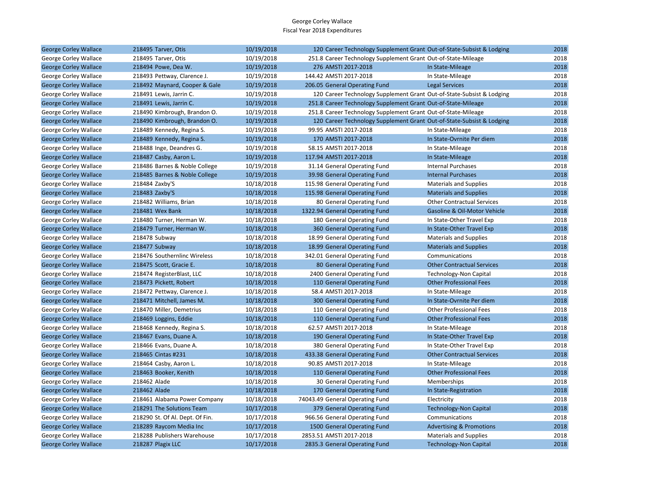| <b>George Corley Wallace</b> | 218495 Tarver, Otis             | 10/19/2018 | 120 Career Technology Supplement Grant Out-of-State-Subsist & Lodging |                                     | 2018 |
|------------------------------|---------------------------------|------------|-----------------------------------------------------------------------|-------------------------------------|------|
| George Corley Wallace        | 218495 Tarver, Otis             | 10/19/2018 | 251.8 Career Technology Supplement Grant Out-of-State-Mileage         |                                     | 2018 |
| <b>George Corley Wallace</b> | 218494 Powe, Dea W.             | 10/19/2018 | 276 AMSTI 2017-2018                                                   | In State-Mileage                    | 2018 |
| George Corley Wallace        | 218493 Pettway, Clarence J.     | 10/19/2018 | 144.42 AMSTI 2017-2018                                                | In State-Mileage                    | 2018 |
| <b>George Corley Wallace</b> | 218492 Maynard, Cooper & Gale   | 10/19/2018 | 206.05 General Operating Fund                                         | <b>Legal Services</b>               | 2018 |
| George Corley Wallace        | 218491 Lewis, Jarrin C.         | 10/19/2018 | 120 Career Technology Supplement Grant Out-of-State-Subsist & Lodging |                                     | 2018 |
| <b>George Corley Wallace</b> | 218491 Lewis, Jarrin C.         | 10/19/2018 | 251.8 Career Technology Supplement Grant Out-of-State-Mileage         |                                     | 2018 |
| George Corley Wallace        | 218490 Kimbrough, Brandon O.    | 10/19/2018 | 251.8 Career Technology Supplement Grant Out-of-State-Mileage         |                                     | 2018 |
| <b>George Corley Wallace</b> | 218490 Kimbrough, Brandon O.    | 10/19/2018 | 120 Career Technology Supplement Grant Out-of-State-Subsist & Lodging |                                     | 2018 |
| George Corley Wallace        | 218489 Kennedy, Regina S.       | 10/19/2018 | 99.95 AMSTI 2017-2018                                                 | In State-Mileage                    | 2018 |
| <b>George Corley Wallace</b> | 218489 Kennedy, Regina S.       | 10/19/2018 | 170 AMSTI 2017-2018                                                   | In State-Ovrnite Per diem           | 2018 |
| George Corley Wallace        | 218488 Inge, Deandres G.        | 10/19/2018 | 58.15 AMSTI 2017-2018                                                 | In State-Mileage                    | 2018 |
| <b>George Corley Wallace</b> | 218487 Casby, Aaron L.          | 10/19/2018 | 117.94 AMSTI 2017-2018                                                | In State-Mileage                    | 2018 |
| George Corley Wallace        | 218486 Barnes & Noble College   | 10/19/2018 | 31.14 General Operating Fund                                          | <b>Internal Purchases</b>           | 2018 |
| <b>George Corley Wallace</b> | 218485 Barnes & Noble College   | 10/19/2018 | 39.98 General Operating Fund                                          | <b>Internal Purchases</b>           | 2018 |
| George Corley Wallace        | 218484 Zaxby'S                  | 10/18/2018 | 115.98 General Operating Fund                                         | <b>Materials and Supplies</b>       | 2018 |
| <b>George Corley Wallace</b> | 218483 Zaxby'S                  | 10/18/2018 | 115.98 General Operating Fund                                         | <b>Materials and Supplies</b>       | 2018 |
| George Corley Wallace        | 218482 Williams, Brian          | 10/18/2018 | 80 General Operating Fund                                             | <b>Other Contractual Services</b>   | 2018 |
| <b>George Corley Wallace</b> | 218481 Wex Bank                 | 10/18/2018 | 1322.94 General Operating Fund                                        | Gasoline & Oil-Motor Vehicle        | 2018 |
| George Corley Wallace        | 218480 Turner, Herman W.        | 10/18/2018 | 180 General Operating Fund                                            | In State-Other Travel Exp           | 2018 |
| <b>George Corley Wallace</b> | 218479 Turner, Herman W.        | 10/18/2018 | 360 General Operating Fund                                            | In State-Other Travel Exp           | 2018 |
| George Corley Wallace        | 218478 Subway                   | 10/18/2018 | 18.99 General Operating Fund                                          | <b>Materials and Supplies</b>       | 2018 |
| <b>George Corley Wallace</b> | 218477 Subway                   | 10/18/2018 | 18.99 General Operating Fund                                          | <b>Materials and Supplies</b>       | 2018 |
| George Corley Wallace        | 218476 Southernlinc Wireless    | 10/18/2018 | 342.01 General Operating Fund                                         | Communications                      | 2018 |
| <b>George Corley Wallace</b> | 218475 Scott, Gracie E.         | 10/18/2018 | 80 General Operating Fund                                             | <b>Other Contractual Services</b>   | 2018 |
| George Corley Wallace        | 218474 RegisterBlast, LLC       | 10/18/2018 | 2400 General Operating Fund                                           | <b>Technology-Non Capital</b>       | 2018 |
| <b>George Corley Wallace</b> | 218473 Pickett, Robert          | 10/18/2018 | 110 General Operating Fund                                            | <b>Other Professional Fees</b>      | 2018 |
| George Corley Wallace        | 218472 Pettway, Clarence J.     | 10/18/2018 | 58.4 AMSTI 2017-2018                                                  | In State-Mileage                    | 2018 |
| <b>George Corley Wallace</b> | 218471 Mitchell, James M.       | 10/18/2018 | 300 General Operating Fund                                            | In State-Ovrnite Per diem           | 2018 |
| George Corley Wallace        | 218470 Miller, Demetrius        | 10/18/2018 | 110 General Operating Fund                                            | <b>Other Professional Fees</b>      | 2018 |
| <b>George Corley Wallace</b> | 218469 Loggins, Eddie           | 10/18/2018 | 110 General Operating Fund                                            | <b>Other Professional Fees</b>      | 2018 |
| George Corley Wallace        | 218468 Kennedy, Regina S.       | 10/18/2018 | 62.57 AMSTI 2017-2018                                                 | In State-Mileage                    | 2018 |
| <b>George Corley Wallace</b> | 218467 Evans, Duane A.          | 10/18/2018 | 190 General Operating Fund                                            | In State-Other Travel Exp           | 2018 |
| George Corley Wallace        | 218466 Evans, Duane A.          | 10/18/2018 | 380 General Operating Fund                                            | In State-Other Travel Exp           | 2018 |
| <b>George Corley Wallace</b> | 218465 Cintas #231              | 10/18/2018 | 433.38 General Operating Fund                                         | <b>Other Contractual Services</b>   | 2018 |
| George Corley Wallace        | 218464 Casby, Aaron L.          | 10/18/2018 | 90.85 AMSTI 2017-2018                                                 | In State-Mileage                    | 2018 |
| <b>George Corley Wallace</b> | 218463 Booker, Kenith           | 10/18/2018 | 110 General Operating Fund                                            | <b>Other Professional Fees</b>      | 2018 |
| George Corley Wallace        | 218462 Alade                    | 10/18/2018 | 30 General Operating Fund                                             | Memberships                         | 2018 |
| <b>George Corley Wallace</b> | 218462 Alade                    | 10/18/2018 | 170 General Operating Fund                                            | In State-Registration               | 2018 |
| George Corley Wallace        | 218461 Alabama Power Company    | 10/18/2018 | 74043.49 General Operating Fund                                       | Electricity                         | 2018 |
| <b>George Corley Wallace</b> | 218291 The Solutions Team       | 10/17/2018 | 379 General Operating Fund                                            | <b>Technology-Non Capital</b>       | 2018 |
| George Corley Wallace        | 218290 St. Of Al. Dept. Of Fin. | 10/17/2018 | 966.56 General Operating Fund                                         | Communications                      | 2018 |
| <b>George Corley Wallace</b> | 218289 Raycom Media Inc         | 10/17/2018 | 1500 General Operating Fund                                           | <b>Advertising &amp; Promotions</b> | 2018 |
| George Corley Wallace        | 218288 Publishers Warehouse     | 10/17/2018 | 2853.51 AMSTI 2017-2018                                               | <b>Materials and Supplies</b>       | 2018 |
| <b>George Corley Wallace</b> | 218287 Plagix LLC               | 10/17/2018 | 2835.3 General Operating Fund                                         | <b>Technology-Non Capital</b>       | 2018 |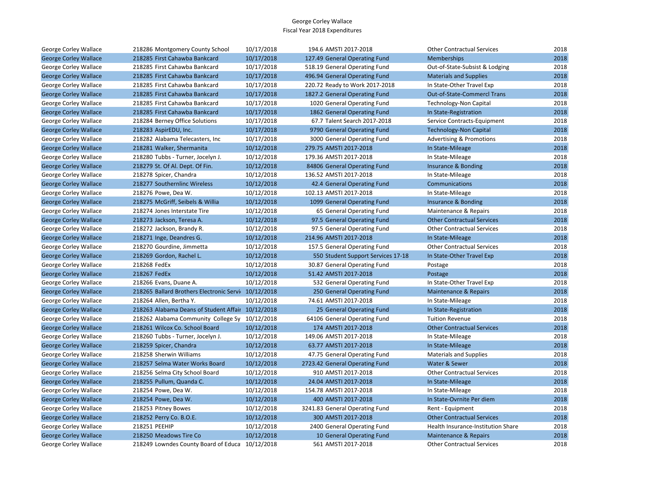| George Corley Wallace        | 218286 Montgomery County School                     | 10/17/2018 | 194.6 AMSTI 2017-2018              | <b>Other Contractual Services</b>   | 2018 |
|------------------------------|-----------------------------------------------------|------------|------------------------------------|-------------------------------------|------|
| <b>George Corley Wallace</b> | 218285 First Cahawba Bankcard                       | 10/17/2018 | 127.49 General Operating Fund      | Memberships                         | 2018 |
| George Corley Wallace        | 218285 First Cahawba Bankcard                       | 10/17/2018 | 518.19 General Operating Fund      | Out-of-State-Subsist & Lodging      | 2018 |
| <b>George Corley Wallace</b> | 218285 First Cahawba Bankcard                       | 10/17/2018 | 496.94 General Operating Fund      | <b>Materials and Supplies</b>       | 2018 |
| George Corley Wallace        | 218285 First Cahawba Bankcard                       | 10/17/2018 | 220.72 Ready to Work 2017-2018     | In State-Other Travel Exp           | 2018 |
| <b>George Corley Wallace</b> | 218285 First Cahawba Bankcard                       | 10/17/2018 | 1827.2 General Operating Fund      | <b>Out-of-State-Commercl Trans</b>  | 2018 |
| George Corley Wallace        | 218285 First Cahawba Bankcard                       | 10/17/2018 | 1020 General Operating Fund        | <b>Technology-Non Capital</b>       | 2018 |
| <b>George Corley Wallace</b> | 218285 First Cahawba Bankcard                       | 10/17/2018 | 1862 General Operating Fund        | In State-Registration               | 2018 |
| George Corley Wallace        | 218284 Berney Office Solutions                      | 10/17/2018 | 67.7 Talent Search 2017-2018       | Service Contracts-Equipment         | 2018 |
| <b>George Corley Wallace</b> | 218283 AspirEDU, Inc.                               | 10/17/2018 | 9790 General Operating Fund        | <b>Technology-Non Capital</b>       | 2018 |
| George Corley Wallace        | 218282 Alabama Telecasters, Inc.                    | 10/17/2018 | 3000 General Operating Fund        | <b>Advertising &amp; Promotions</b> | 2018 |
| <b>George Corley Wallace</b> | 218281 Walker, Shermanita                           | 10/12/2018 | 279.75 AMSTI 2017-2018             | In State-Mileage                    | 2018 |
| George Corley Wallace        | 218280 Tubbs - Turner, Jocelyn J.                   | 10/12/2018 | 179.36 AMSTI 2017-2018             | In State-Mileage                    | 2018 |
| <b>George Corley Wallace</b> | 218279 St. Of Al. Dept. Of Fin.                     | 10/12/2018 | 84806 General Operating Fund       | Insurance & Bonding                 | 2018 |
| George Corley Wallace        | 218278 Spicer, Chandra                              | 10/12/2018 | 136.52 AMSTI 2017-2018             | In State-Mileage                    | 2018 |
| <b>George Corley Wallace</b> | 218277 Southernlinc Wireless                        | 10/12/2018 | 42.4 General Operating Fund        | Communications                      | 2018 |
| George Corley Wallace        | 218276 Powe, Dea W.                                 | 10/12/2018 | 102.13 AMSTI 2017-2018             | In State-Mileage                    | 2018 |
| <b>George Corley Wallace</b> | 218275 McGriff, Seibels & Willia                    | 10/12/2018 | 1099 General Operating Fund        | Insurance & Bonding                 | 2018 |
| George Corley Wallace        | 218274 Jones Interstate Tire                        | 10/12/2018 | 65 General Operating Fund          | Maintenance & Repairs               | 2018 |
| <b>George Corley Wallace</b> | 218273 Jackson, Teresa A.                           | 10/12/2018 | 97.5 General Operating Fund        | <b>Other Contractual Services</b>   | 2018 |
| George Corley Wallace        | 218272 Jackson, Brandy R.                           | 10/12/2018 | 97.5 General Operating Fund        | <b>Other Contractual Services</b>   | 2018 |
| <b>George Corley Wallace</b> | 218271 Inge, Deandres G.                            | 10/12/2018 | 214.96 AMSTI 2017-2018             | In State-Mileage                    | 2018 |
| George Corley Wallace        | 218270 Gourdine, Jimmetta                           | 10/12/2018 | 157.5 General Operating Fund       | <b>Other Contractual Services</b>   | 2018 |
| <b>George Corley Wallace</b> | 218269 Gordon, Rachel L.                            | 10/12/2018 | 550 Student Support Services 17-18 | In State-Other Travel Exp           | 2018 |
| George Corley Wallace        | 218268 FedEx                                        | 10/12/2018 | 30.87 General Operating Fund       | Postage                             | 2018 |
| <b>George Corley Wallace</b> | 218267 FedEx                                        | 10/12/2018 | 51.42 AMSTI 2017-2018              | Postage                             | 2018 |
| George Corley Wallace        | 218266 Evans, Duane A.                              | 10/12/2018 | 532 General Operating Fund         | In State-Other Travel Exp           | 2018 |
| <b>George Corley Wallace</b> | 218265 Ballard Brothers Electronic Servi 10/12/2018 |            | 250 General Operating Fund         | Maintenance & Repairs               | 2018 |
| George Corley Wallace        | 218264 Allen, Bertha Y.                             | 10/12/2018 | 74.61 AMSTI 2017-2018              | In State-Mileage                    | 2018 |
| <b>George Corley Wallace</b> | 218263 Alabama Deans of Student Affair 10/12/2018   |            | 25 General Operating Fund          | In State-Registration               | 2018 |
| George Corley Wallace        | 218262 Alabama Community College Sy 10/12/2018      |            | 64106 General Operating Fund       | <b>Tuition Revenue</b>              | 2018 |
| <b>George Corley Wallace</b> | 218261 Wilcox Co. School Board                      | 10/12/2018 | 174 AMSTI 2017-2018                | <b>Other Contractual Services</b>   | 2018 |
| George Corley Wallace        | 218260 Tubbs - Turner, Jocelyn J.                   | 10/12/2018 | 149.06 AMSTI 2017-2018             | In State-Mileage                    | 2018 |
| <b>George Corley Wallace</b> | 218259 Spicer, Chandra                              | 10/12/2018 | 63.77 AMSTI 2017-2018              | In State-Mileage                    | 2018 |
| George Corley Wallace        | 218258 Sherwin Williams                             | 10/12/2018 | 47.75 General Operating Fund       | <b>Materials and Supplies</b>       | 2018 |
| <b>George Corley Wallace</b> | 218257 Selma Water Works Board                      | 10/12/2018 | 2723.42 General Operating Fund     | Water & Sewer                       | 2018 |
| George Corley Wallace        | 218256 Selma City School Board                      | 10/12/2018 | 910 AMSTI 2017-2018                | <b>Other Contractual Services</b>   | 2018 |
| <b>George Corley Wallace</b> | 218255 Pullum, Quanda C.                            | 10/12/2018 | 24.04 AMSTI 2017-2018              | In State-Mileage                    | 2018 |
| George Corley Wallace        | 218254 Powe, Dea W.                                 | 10/12/2018 | 154.78 AMSTI 2017-2018             | In State-Mileage                    | 2018 |
| <b>George Corley Wallace</b> | 218254 Powe, Dea W.                                 | 10/12/2018 | 400 AMSTI 2017-2018                | In State-Ovrnite Per diem           | 2018 |
| George Corley Wallace        | 218253 Pitney Bowes                                 | 10/12/2018 | 3241.83 General Operating Fund     | Rent - Equipment                    | 2018 |
| <b>George Corley Wallace</b> | 218252 Perry Co. B.O.E.                             | 10/12/2018 | 300 AMSTI 2017-2018                | <b>Other Contractual Services</b>   | 2018 |
| George Corley Wallace        | 218251 PEEHIP                                       | 10/12/2018 | 2400 General Operating Fund        | Health Insurance-Institution Share  | 2018 |
| <b>George Corley Wallace</b> | 218250 Meadows Tire Co                              | 10/12/2018 | 10 General Operating Fund          | <b>Maintenance &amp; Repairs</b>    | 2018 |
| George Corley Wallace        | 218249 Lowndes County Board of Educa                | 10/12/2018 | 561 AMSTI 2017-2018                | <b>Other Contractual Services</b>   | 2018 |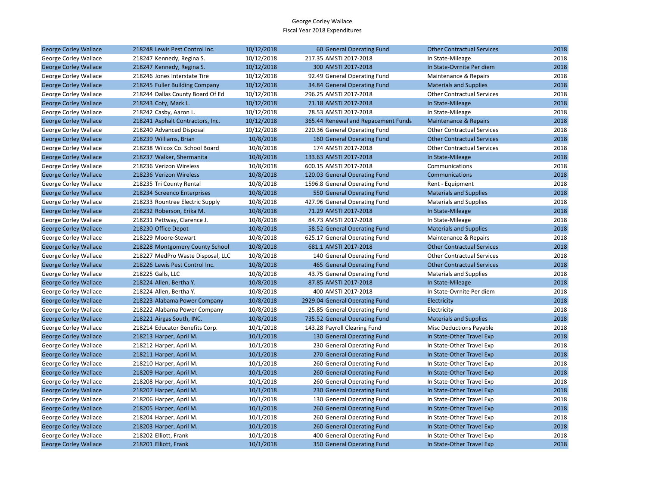| <b>George Corley Wallace</b> | 218248 Lewis Pest Control Inc.    | 10/12/2018 | 60 General Operating Fund           | <b>Other Contractual Services</b> | 2018 |
|------------------------------|-----------------------------------|------------|-------------------------------------|-----------------------------------|------|
| George Corley Wallace        | 218247 Kennedy, Regina S.         | 10/12/2018 | 217.35 AMSTI 2017-2018              | In State-Mileage                  | 2018 |
| <b>George Corley Wallace</b> | 218247 Kennedy, Regina S.         | 10/12/2018 | 300 AMSTI 2017-2018                 | In State-Ovrnite Per diem         | 2018 |
| George Corley Wallace        | 218246 Jones Interstate Tire      | 10/12/2018 | 92.49 General Operating Fund        | Maintenance & Repairs             | 2018 |
| <b>George Corley Wallace</b> | 218245 Fuller Building Company    | 10/12/2018 | 34.84 General Operating Fund        | <b>Materials and Supplies</b>     | 2018 |
| George Corley Wallace        | 218244 Dallas County Board Of Ed  | 10/12/2018 | 296.25 AMSTI 2017-2018              | <b>Other Contractual Services</b> | 2018 |
| <b>George Corley Wallace</b> | 218243 Coty, Mark L.              | 10/12/2018 | 71.18 AMSTI 2017-2018               | In State-Mileage                  | 2018 |
| George Corley Wallace        | 218242 Casby, Aaron L.            | 10/12/2018 | 78.53 AMSTI 2017-2018               | In State-Mileage                  | 2018 |
| <b>George Corley Wallace</b> | 218241 Asphalt Contractors, Inc.  | 10/12/2018 | 365.44 Renewal and Repacement Funds | Maintenance & Repairs             | 2018 |
| George Corley Wallace        | 218240 Advanced Disposal          | 10/12/2018 | 220.36 General Operating Fund       | <b>Other Contractual Services</b> | 2018 |
| <b>George Corley Wallace</b> | 218239 Williams, Brian            | 10/8/2018  | 160 General Operating Fund          | <b>Other Contractual Services</b> | 2018 |
| George Corley Wallace        | 218238 Wilcox Co. School Board    | 10/8/2018  | 174 AMSTI 2017-2018                 | <b>Other Contractual Services</b> | 2018 |
| <b>George Corley Wallace</b> | 218237 Walker, Shermanita         | 10/8/2018  | 133.63 AMSTI 2017-2018              | In State-Mileage                  | 2018 |
| George Corley Wallace        | 218236 Verizon Wireless           | 10/8/2018  | 600.15 AMSTI 2017-2018              | Communications                    | 2018 |
| <b>George Corley Wallace</b> | 218236 Verizon Wireless           | 10/8/2018  | 120.03 General Operating Fund       | Communications                    | 2018 |
| George Corley Wallace        | 218235 Tri County Rental          | 10/8/2018  | 1596.8 General Operating Fund       | Rent - Equipment                  | 2018 |
| <b>George Corley Wallace</b> | 218234 Screenco Enterprises       | 10/8/2018  | 550 General Operating Fund          | <b>Materials and Supplies</b>     | 2018 |
| George Corley Wallace        | 218233 Rountree Electric Supply   | 10/8/2018  | 427.96 General Operating Fund       | <b>Materials and Supplies</b>     | 2018 |
| <b>George Corley Wallace</b> | 218232 Roberson, Erika M.         | 10/8/2018  | 71.29 AMSTI 2017-2018               | In State-Mileage                  | 2018 |
| George Corley Wallace        | 218231 Pettway, Clarence J.       | 10/8/2018  | 84.73 AMSTI 2017-2018               | In State-Mileage                  | 2018 |
| <b>George Corley Wallace</b> | 218230 Office Depot               | 10/8/2018  | 58.52 General Operating Fund        | <b>Materials and Supplies</b>     | 2018 |
| George Corley Wallace        | 218229 Moore-Stewart              | 10/8/2018  | 625.17 General Operating Fund       | Maintenance & Repairs             | 2018 |
| <b>George Corley Wallace</b> | 218228 Montgomery County School   | 10/8/2018  | 681.1 AMSTI 2017-2018               | <b>Other Contractual Services</b> | 2018 |
| George Corley Wallace        | 218227 MedPro Waste Disposal, LLC | 10/8/2018  | 140 General Operating Fund          | <b>Other Contractual Services</b> | 2018 |
| <b>George Corley Wallace</b> | 218226 Lewis Pest Control Inc.    | 10/8/2018  | 465 General Operating Fund          | <b>Other Contractual Services</b> | 2018 |
| George Corley Wallace        | 218225 Galls, LLC                 | 10/8/2018  | 43.75 General Operating Fund        | <b>Materials and Supplies</b>     | 2018 |
| <b>George Corley Wallace</b> | 218224 Allen, Bertha Y.           | 10/8/2018  | 87.85 AMSTI 2017-2018               | In State-Mileage                  | 2018 |
| George Corley Wallace        | 218224 Allen, Bertha Y.           | 10/8/2018  | 400 AMSTI 2017-2018                 | In State-Ovrnite Per diem         | 2018 |
| <b>George Corley Wallace</b> | 218223 Alabama Power Company      | 10/8/2018  | 2929.04 General Operating Fund      | Electricity                       | 2018 |
| George Corley Wallace        | 218222 Alabama Power Company      | 10/8/2018  | 25.85 General Operating Fund        | Electricity                       | 2018 |
| <b>George Corley Wallace</b> | 218221 Airgas South, INC.         | 10/8/2018  | 735.52 General Operating Fund       | <b>Materials and Supplies</b>     | 2018 |
| George Corley Wallace        | 218214 Educator Benefits Corp.    | 10/1/2018  | 143.28 Payroll Clearing Fund        | <b>Misc Deductions Payable</b>    | 2018 |
| <b>George Corley Wallace</b> | 218213 Harper, April M.           | 10/1/2018  | 130 General Operating Fund          | In State-Other Travel Exp         | 2018 |
| George Corley Wallace        | 218212 Harper, April M.           | 10/1/2018  | 230 General Operating Fund          | In State-Other Travel Exp         | 2018 |
| <b>George Corley Wallace</b> | 218211 Harper, April M.           | 10/1/2018  | 270 General Operating Fund          | In State-Other Travel Exp         | 2018 |
| George Corley Wallace        | 218210 Harper, April M.           | 10/1/2018  | 260 General Operating Fund          | In State-Other Travel Exp         | 2018 |
| <b>George Corley Wallace</b> | 218209 Harper, April M.           | 10/1/2018  | 260 General Operating Fund          | In State-Other Travel Exp         | 2018 |
| George Corley Wallace        | 218208 Harper, April M.           | 10/1/2018  | 260 General Operating Fund          | In State-Other Travel Exp         | 2018 |
| <b>George Corley Wallace</b> | 218207 Harper, April M.           | 10/1/2018  | 230 General Operating Fund          | In State-Other Travel Exp         | 2018 |
| George Corley Wallace        | 218206 Harper, April M.           | 10/1/2018  | 130 General Operating Fund          | In State-Other Travel Exp         | 2018 |
| <b>George Corley Wallace</b> | 218205 Harper, April M.           | 10/1/2018  | 260 General Operating Fund          | In State-Other Travel Exp         | 2018 |
| George Corley Wallace        | 218204 Harper, April M.           | 10/1/2018  | 260 General Operating Fund          | In State-Other Travel Exp         | 2018 |
| <b>George Corley Wallace</b> | 218203 Harper, April M.           | 10/1/2018  | 260 General Operating Fund          | In State-Other Travel Exp         | 2018 |
| George Corley Wallace        | 218202 Elliott, Frank             | 10/1/2018  | 400 General Operating Fund          | In State-Other Travel Exp         | 2018 |
| <b>George Corley Wallace</b> | 218201 Elliott, Frank             | 10/1/2018  | 350 General Operating Fund          | In State-Other Travel Exp         | 2018 |